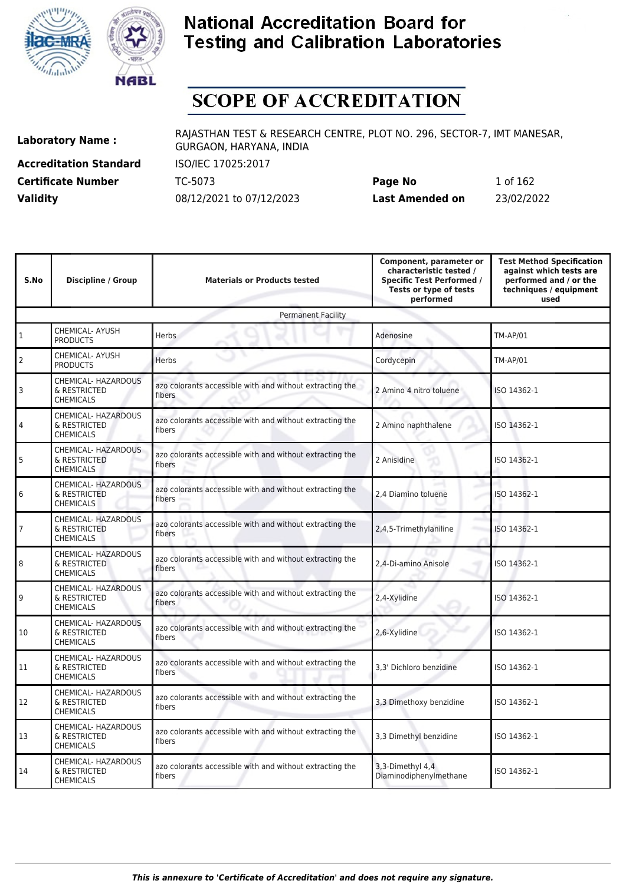



# **SCOPE OF ACCREDITATION**

**Accreditation Standard** ISO/IEC 17025:2017

**Laboratory Name :** RAJASTHAN TEST & RESEARCH CENTRE, PLOT NO. 296, SECTOR-7, IMT MANESAR, GURGAON, HARYANA, INDIA

**Certificate Number** TC-5073 **Page No** 1 of 162 **Validity** 08/12/2021 to 07/12/2023 **Last Amended on** 23/02/2022

| S.No           | <b>Discipline / Group</b>                               | <b>Materials or Products tested</b>                                | Component, parameter or<br>characteristic tested /<br><b>Specific Test Performed /</b><br>Tests or type of tests<br>performed | <b>Test Method Specification</b><br>against which tests are<br>performed and / or the<br>techniques / equipment<br>used |  |  |
|----------------|---------------------------------------------------------|--------------------------------------------------------------------|-------------------------------------------------------------------------------------------------------------------------------|-------------------------------------------------------------------------------------------------------------------------|--|--|
|                | <b>Permanent Facility</b>                               |                                                                    |                                                                                                                               |                                                                                                                         |  |  |
| $\mathbf{1}$   | CHEMICAL- AYUSH<br><b>PRODUCTS</b>                      | Adenosine                                                          | <b>TM-AP/01</b>                                                                                                               |                                                                                                                         |  |  |
| $\overline{2}$ | CHEMICAL- AYUSH<br><b>PRODUCTS</b>                      | Herbs                                                              | Cordycepin                                                                                                                    | <b>TM-AP/01</b>                                                                                                         |  |  |
| 3              | CHEMICAL- HAZARDOUS<br>& RESTRICTED<br><b>CHEMICALS</b> | azo colorants accessible with and without extracting the<br>fibers | 2 Amino 4 nitro toluene                                                                                                       | ISO 14362-1                                                                                                             |  |  |
| 4              | CHEMICAL- HAZARDOUS<br>& RESTRICTED<br><b>CHEMICALS</b> | azo colorants accessible with and without extracting the<br>fibers | 2 Amino naphthalene                                                                                                           | ISO 14362-1                                                                                                             |  |  |
| 5              | CHEMICAL- HAZARDOUS<br>& RESTRICTED<br><b>CHEMICALS</b> | azo colorants accessible with and without extracting the<br>fibers | 2 Anisidine                                                                                                                   | ISO 14362-1                                                                                                             |  |  |
| 6              | CHEMICAL- HAZARDOUS<br>& RESTRICTED<br><b>CHEMICALS</b> | azo colorants accessible with and without extracting the<br>fibers | 2.4 Diamino toluene                                                                                                           | ISO 14362-1                                                                                                             |  |  |
| 7              | CHEMICAL- HAZARDOUS<br>& RESTRICTED<br><b>CHEMICALS</b> | azo colorants accessible with and without extracting the<br>fibers | 2,4,5-Trimethylaniline                                                                                                        | ISO 14362-1                                                                                                             |  |  |
| 8              | CHEMICAL- HAZARDOUS<br>& RESTRICTED<br><b>CHEMICALS</b> | azo colorants accessible with and without extracting the<br>fibers | 2,4-Di-amino Anisole                                                                                                          | ISO 14362-1                                                                                                             |  |  |
| 9              | CHEMICAL- HAZARDOUS<br>& RESTRICTED<br><b>CHEMICALS</b> | azo colorants accessible with and without extracting the<br>fibers | 2,4-Xylidine                                                                                                                  | ISO 14362-1                                                                                                             |  |  |
| 10             | CHEMICAL- HAZARDOUS<br>& RESTRICTED<br><b>CHEMICALS</b> | azo colorants accessible with and without extracting the<br>fibers | 2,6-Xylidine                                                                                                                  | ISO 14362-1                                                                                                             |  |  |
| 11             | CHEMICAL- HAZARDOUS<br>& RESTRICTED<br><b>CHEMICALS</b> | azo colorants accessible with and without extracting the<br>fibers | 3,3' Dichloro benzidine                                                                                                       | ISO 14362-1                                                                                                             |  |  |
| 12             | CHEMICAL- HAZARDOUS<br>& RESTRICTED<br><b>CHEMICALS</b> | azo colorants accessible with and without extracting the<br>fibers | 3,3 Dimethoxy benzidine                                                                                                       | ISO 14362-1                                                                                                             |  |  |
| 13             | CHEMICAL- HAZARDOUS<br>& RESTRICTED<br><b>CHEMICALS</b> | azo colorants accessible with and without extracting the<br>fibers | 3,3 Dimethyl benzidine                                                                                                        | ISO 14362-1                                                                                                             |  |  |
| 14             | CHEMICAL- HAZARDOUS<br>& RESTRICTED<br><b>CHEMICALS</b> | azo colorants accessible with and without extracting the<br>fibers | 3,3-Dimethyl 4,4<br>Diaminodiphenylmethane                                                                                    | ISO 14362-1                                                                                                             |  |  |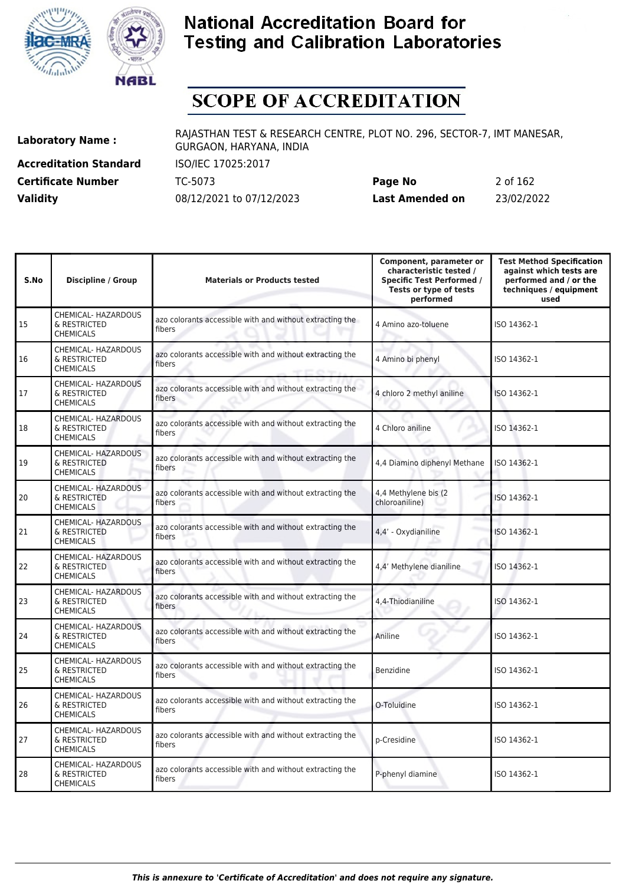



# **SCOPE OF ACCREDITATION**

**Accreditation Standard** ISO/IEC 17025:2017

**Laboratory Name :** RAJASTHAN TEST & RESEARCH CENTRE, PLOT NO. 296, SECTOR-7, IMT MANESAR, GURGAON, HARYANA, INDIA

**Certificate Number** TC-5073 **Page No** 2 of 162 **Validity** 08/12/2021 to 07/12/2023 **Last Amended on** 23/02/2022

| S.No | <b>Discipline / Group</b>                                      | <b>Materials or Products tested</b>                                | Component, parameter or<br>characteristic tested /<br><b>Specific Test Performed /</b><br>Tests or type of tests<br>performed | <b>Test Method Specification</b><br>against which tests are<br>performed and / or the<br>techniques / equipment<br>used |
|------|----------------------------------------------------------------|--------------------------------------------------------------------|-------------------------------------------------------------------------------------------------------------------------------|-------------------------------------------------------------------------------------------------------------------------|
| 15   | CHEMICAL- HAZARDOUS<br>& RESTRICTED<br><b>CHEMICALS</b>        | azo colorants accessible with and without extracting the<br>fibers | 4 Amino azo-toluene                                                                                                           | ISO 14362-1                                                                                                             |
| 16   | CHEMICAL- HAZARDOUS<br>& RESTRICTED<br><b>CHEMICALS</b>        | azo colorants accessible with and without extracting the<br>fibers | 4 Amino bi phenyl                                                                                                             | ISO 14362-1                                                                                                             |
| 17   | CHEMICAL- HAZARDOUS<br>& RESTRICTED<br><b>CHEMICALS</b>        | azo colorants accessible with and without extracting the<br>fibers | 4 chloro 2 methyl aniline                                                                                                     | ISO 14362-1                                                                                                             |
| 18   | CHEMICAL- HAZARDOUS<br>& RESTRICTED<br><b>CHEMICALS</b>        | azo colorants accessible with and without extracting the<br>fibers | 4 Chloro aniline                                                                                                              | ISO 14362-1                                                                                                             |
| 19   | CHEMICAL- HAZARDOUS<br>& RESTRICTED<br><b>CHEMICALS</b>        | azo colorants accessible with and without extracting the<br>fibers | 4,4 Diamino diphenyl Methane                                                                                                  | ISO 14362-1                                                                                                             |
| 20   | CHEMICAL- HAZARDOUS<br>& RESTRICTED<br><b>CHEMICALS</b>        | azo colorants accessible with and without extracting the<br>fibers | 4,4 Methylene bis (2)<br>chloroaniline)                                                                                       | ISO 14362-1                                                                                                             |
| 21   | CHEMICAL- HAZARDOUS<br>& RESTRICTED<br><b>CHEMICALS</b>        | azo colorants accessible with and without extracting the<br>fibers | 4,4' - Oxydianiline                                                                                                           | ISO 14362-1                                                                                                             |
| 22   | <b>CHEMICAL- HAZARDOUS</b><br>& RESTRICTED<br><b>CHEMICALS</b> | azo colorants accessible with and without extracting the<br>fibers | 4,4' Methylene dianiline                                                                                                      | ISO 14362-1                                                                                                             |
| 23   | CHEMICAL- HAZARDOUS<br>& RESTRICTED<br><b>CHEMICALS</b>        | azo colorants accessible with and without extracting the<br>fibers | 4,4-Thiodianiline                                                                                                             | ISO 14362-1                                                                                                             |
| 24   | CHEMICAL- HAZARDOUS<br>& RESTRICTED<br><b>CHEMICALS</b>        | azo colorants accessible with and without extracting the<br>fibers | Aniline                                                                                                                       | ISO 14362-1                                                                                                             |
| 25   | CHEMICAL- HAZARDOUS<br>& RESTRICTED<br><b>CHEMICALS</b>        | azo colorants accessible with and without extracting the<br>fibers | Benzidine                                                                                                                     | ISO 14362-1                                                                                                             |
| 26   | CHEMICAL- HAZARDOUS<br>& RESTRICTED<br><b>CHEMICALS</b>        | azo colorants accessible with and without extracting the<br>fibers | O-Toluidine                                                                                                                   | ISO 14362-1                                                                                                             |
| 27   | CHEMICAL- HAZARDOUS<br>& RESTRICTED<br><b>CHEMICALS</b>        | azo colorants accessible with and without extracting the<br>fibers | p-Cresidine                                                                                                                   | ISO 14362-1                                                                                                             |
| 28   | CHEMICAL- HAZARDOUS<br>& RESTRICTED<br><b>CHEMICALS</b>        | azo colorants accessible with and without extracting the<br>fibers | P-phenyl diamine                                                                                                              | ISO 14362-1                                                                                                             |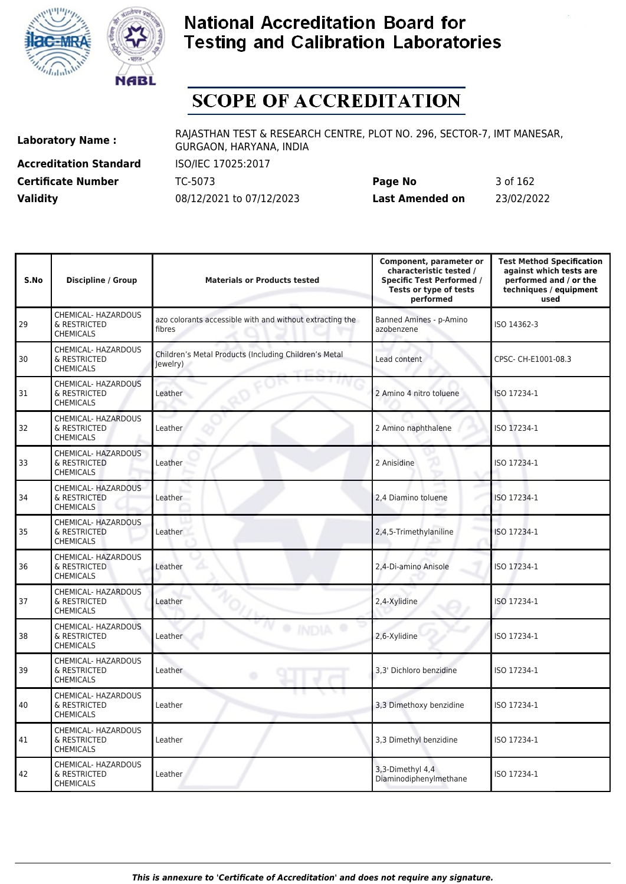



# **SCOPE OF ACCREDITATION**

**Accreditation Standard** ISO/IEC 17025:2017

**Laboratory Name :** RAJASTHAN TEST & RESEARCH CENTRE, PLOT NO. 296, SECTOR-7, IMT MANESAR, GURGAON, HARYANA, INDIA

**Certificate Number** TC-5073 **Page No** 3 of 162 **Validity** 08/12/2021 to 07/12/2023 **Last Amended on** 23/02/2022

| S.No | <b>Discipline / Group</b>                               | <b>Materials or Products tested</b>                                | Component, parameter or<br>characteristic tested /<br><b>Specific Test Performed /</b><br>Tests or type of tests<br>performed | <b>Test Method Specification</b><br>against which tests are<br>performed and / or the<br>techniques / equipment<br>used |
|------|---------------------------------------------------------|--------------------------------------------------------------------|-------------------------------------------------------------------------------------------------------------------------------|-------------------------------------------------------------------------------------------------------------------------|
| 29   | CHEMICAL- HAZARDOUS<br>& RESTRICTED<br><b>CHEMICALS</b> | azo colorants accessible with and without extracting the<br>fibres | Banned Amines - p-Amino<br>azobenzene                                                                                         | ISO 14362-3                                                                                                             |
| 30   | CHEMICAL- HAZARDOUS<br>& RESTRICTED<br><b>CHEMICALS</b> | Children's Metal Products (Including Children's Metal<br>Jewelry)  | Lead content                                                                                                                  | CPSC- CH-E1001-08.3                                                                                                     |
| 31   | CHEMICAL- HAZARDOUS<br>& RESTRICTED<br><b>CHEMICALS</b> | Leather                                                            | 2 Amino 4 nitro toluene                                                                                                       | ISO 17234-1                                                                                                             |
| 32   | CHEMICAL- HAZARDOUS<br>& RESTRICTED<br><b>CHEMICALS</b> | Leather                                                            | 2 Amino naphthalene                                                                                                           | ISO 17234-1                                                                                                             |
| 33   | CHEMICAL- HAZARDOUS<br>& RESTRICTED<br><b>CHEMICALS</b> | Leather                                                            | 2 Anisidine                                                                                                                   | ISO 17234-1                                                                                                             |
| 34   | CHEMICAL- HAZARDOUS<br>& RESTRICTED<br><b>CHEMICALS</b> | Leather                                                            | ٠<br>2,4 Diamino toluene<br>s                                                                                                 | ISO 17234-1                                                                                                             |
| 35   | CHEMICAL- HAZARDOUS<br>& RESTRICTED<br><b>CHEMICALS</b> | Leather                                                            | 2,4,5-Trimethylaniline                                                                                                        | ISO 17234-1                                                                                                             |
| 36   | CHEMICAL- HAZARDOUS<br>& RESTRICTED<br><b>CHEMICALS</b> | Leather                                                            | 2,4-Di-amino Anisole                                                                                                          | ISO 17234-1                                                                                                             |
| 37   | CHEMICAL- HAZARDOUS<br>& RESTRICTED<br><b>CHEMICALS</b> | Leather                                                            | 2,4-Xylidine                                                                                                                  | ISO 17234-1                                                                                                             |
| 38   | CHEMICAL- HAZARDOUS<br>& RESTRICTED<br><b>CHEMICALS</b> | Leather                                                            | 2,6-Xylidine                                                                                                                  | ISO 17234-1                                                                                                             |
| 39   | CHEMICAL- HAZARDOUS<br>& RESTRICTED<br><b>CHEMICALS</b> | Leather<br>۰                                                       | 3.3' Dichloro benzidine                                                                                                       | ISO 17234-1                                                                                                             |
| 40   | CHEMICAL- HAZARDOUS<br>& RESTRICTED<br><b>CHEMICALS</b> | Leather                                                            | 3,3 Dimethoxy benzidine                                                                                                       | ISO 17234-1                                                                                                             |
| 41   | CHEMICAL- HAZARDOUS<br>& RESTRICTED<br><b>CHEMICALS</b> | Leather                                                            | 3,3 Dimethyl benzidine                                                                                                        | ISO 17234-1                                                                                                             |
| 42   | CHEMICAL- HAZARDOUS<br>& RESTRICTED<br><b>CHEMICALS</b> | Leather                                                            | 3,3-Dimethyl 4,4<br>Diaminodiphenylmethane                                                                                    | ISO 17234-1                                                                                                             |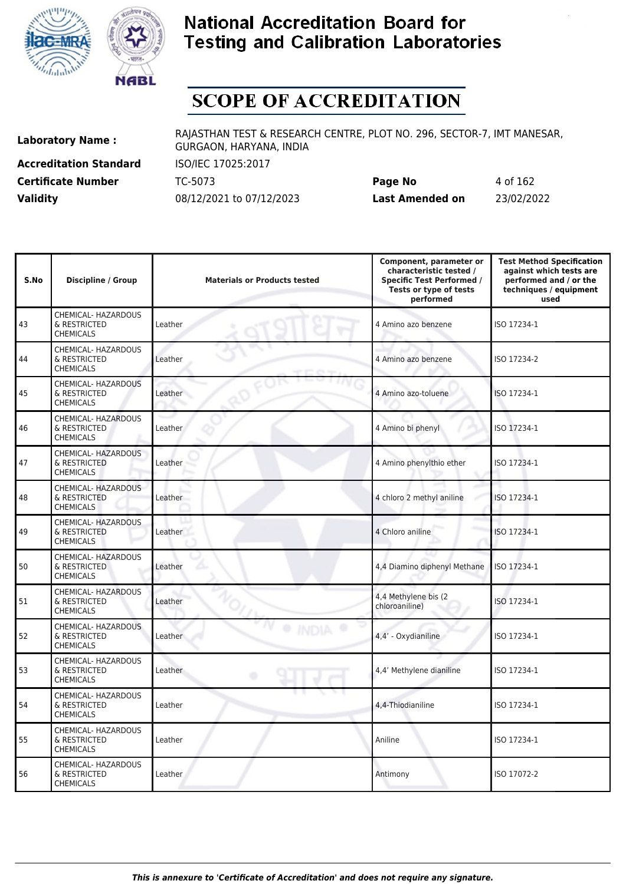



# **SCOPE OF ACCREDITATION**

**Accreditation Standard** ISO/IEC 17025:2017

**Laboratory Name :** RAJASTHAN TEST & RESEARCH CENTRE, PLOT NO. 296, SECTOR-7, IMT MANESAR, GURGAON, HARYANA, INDIA

**Certificate Number** TC-5073 **Page No** 4 of 162 **Validity** 08/12/2021 to 07/12/2023 **Last Amended on** 23/02/2022

| S.No | <b>Discipline / Group</b>                               | <b>Materials or Products tested</b> | Component, parameter or<br>characteristic tested /<br><b>Specific Test Performed /</b><br>Tests or type of tests<br>performed | <b>Test Method Specification</b><br>against which tests are<br>performed and / or the<br>techniques / equipment<br>used |
|------|---------------------------------------------------------|-------------------------------------|-------------------------------------------------------------------------------------------------------------------------------|-------------------------------------------------------------------------------------------------------------------------|
| 43   | CHEMICAL- HAZARDOUS<br>& RESTRICTED<br><b>CHEMICALS</b> | Leather                             | 4 Amino azo benzene                                                                                                           | ISO 17234-1                                                                                                             |
| 44   | CHEMICAL- HAZARDOUS<br>& RESTRICTED<br><b>CHEMICALS</b> | Leather                             | 4 Amino azo benzene                                                                                                           | ISO 17234-2                                                                                                             |
| 45   | CHEMICAL- HAZARDOUS<br>& RESTRICTED<br><b>CHEMICALS</b> | Leather                             | 4 Amino azo-toluene                                                                                                           | ISO 17234-1                                                                                                             |
| 46   | CHEMICAL- HAZARDOUS<br>& RESTRICTED<br><b>CHEMICALS</b> | Leather                             | 4 Amino bi phenyl                                                                                                             | ISO 17234-1                                                                                                             |
| 47   | CHEMICAL- HAZARDOUS<br>& RESTRICTED<br><b>CHEMICALS</b> | Leather                             | 4 Amino phenylthio ether                                                                                                      | ISO 17234-1                                                                                                             |
| 48   | CHEMICAL- HAZARDOUS<br>& RESTRICTED<br><b>CHEMICALS</b> | Leather                             | 4 chloro 2 methyl aniline                                                                                                     | ISO 17234-1                                                                                                             |
| 49   | CHEMICAL- HAZARDOUS<br>& RESTRICTED<br><b>CHEMICALS</b> | Leather                             | 4 Chloro aniline                                                                                                              | ISO 17234-1                                                                                                             |
| 50   | CHEMICAL- HAZARDOUS<br>& RESTRICTED<br><b>CHEMICALS</b> | Leather                             | 4,4 Diamino diphenyl Methane                                                                                                  | ISO 17234-1                                                                                                             |
| 51   | CHEMICAL- HAZARDOUS<br>& RESTRICTED<br><b>CHEMICALS</b> | Leather                             | 4,4 Methylene bis (2<br>chloroaniline)                                                                                        | ISO 17234-1                                                                                                             |
| 52   | CHEMICAL- HAZARDOUS<br>& RESTRICTED<br><b>CHEMICALS</b> | Leather                             | 4,4' - Oxydianiline                                                                                                           | ISO 17234-1                                                                                                             |
| 53   | CHEMICAL- HAZARDOUS<br>& RESTRICTED<br><b>CHEMICALS</b> | Leather<br>۰                        | 4,4' Methylene dianiline                                                                                                      | ISO 17234-1                                                                                                             |
| 54   | CHEMICAL- HAZARDOUS<br>& RESTRICTED<br><b>CHEMICALS</b> | Leather                             | 4,4-Thiodianiline                                                                                                             | ISO 17234-1                                                                                                             |
| 55   | CHEMICAL- HAZARDOUS<br>& RESTRICTED<br><b>CHEMICALS</b> | Leather                             | Aniline                                                                                                                       | ISO 17234-1                                                                                                             |
| 56   | CHEMICAL- HAZARDOUS<br>& RESTRICTED<br><b>CHEMICALS</b> | Leather                             | Antimony                                                                                                                      | ISO 17072-2                                                                                                             |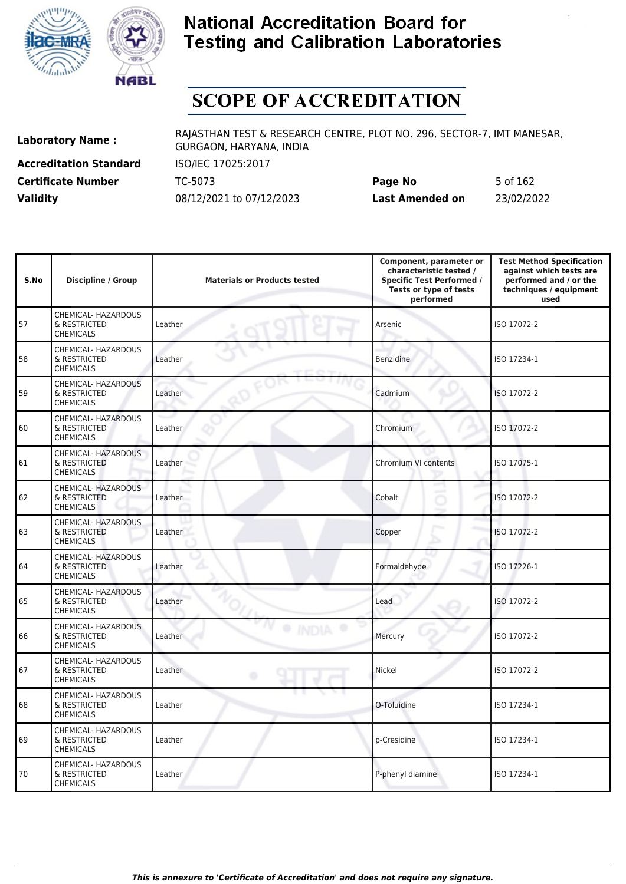



## **SCOPE OF ACCREDITATION**

**Accreditation Standard** ISO/IEC 17025:2017

**Laboratory Name :** RAJASTHAN TEST & RESEARCH CENTRE, PLOT NO. 296, SECTOR-7, IMT MANESAR, GURGAON, HARYANA, INDIA

**Certificate Number** TC-5073 **Page No** 5 of 162 **Validity** 08/12/2021 to 07/12/2023 **Last Amended on** 23/02/2022

| S.No | <b>Discipline / Group</b>                               | <b>Materials or Products tested</b> | Component, parameter or<br>characteristic tested /<br><b>Specific Test Performed /</b><br>Tests or type of tests<br>performed | <b>Test Method Specification</b><br>against which tests are<br>performed and / or the<br>techniques / equipment<br>used |
|------|---------------------------------------------------------|-------------------------------------|-------------------------------------------------------------------------------------------------------------------------------|-------------------------------------------------------------------------------------------------------------------------|
| 57   | CHEMICAL- HAZARDOUS<br>& RESTRICTED<br><b>CHEMICALS</b> | Leather                             | Arsenic                                                                                                                       | ISO 17072-2                                                                                                             |
| 58   | CHEMICAL- HAZARDOUS<br>& RESTRICTED<br><b>CHEMICALS</b> | Leather                             | <b>Benzidine</b>                                                                                                              | ISO 17234-1                                                                                                             |
| 59   | CHEMICAL- HAZARDOUS<br>& RESTRICTED<br><b>CHEMICALS</b> | Leather                             | Cadmium                                                                                                                       | ISO 17072-2                                                                                                             |
| 60   | CHEMICAL- HAZARDOUS<br>& RESTRICTED<br><b>CHEMICALS</b> | Leather                             | Chromium                                                                                                                      | ISO 17072-2                                                                                                             |
| 61   | CHEMICAL- HAZARDOUS<br>& RESTRICTED<br><b>CHEMICALS</b> | Leather                             | Chromium VI contents                                                                                                          | ISO 17075-1                                                                                                             |
| 62   | CHEMICAL- HAZARDOUS<br>& RESTRICTED<br><b>CHEMICALS</b> | Leather                             | -<br>Cobalt<br>ð                                                                                                              | ISO 17072-2                                                                                                             |
| 63   | CHEMICAL- HAZARDOUS<br>& RESTRICTED<br><b>CHEMICALS</b> | Leather                             | Copper                                                                                                                        | ISO 17072-2                                                                                                             |
| 64   | CHEMICAL- HAZARDOUS<br>& RESTRICTED<br><b>CHEMICALS</b> | Leather                             | Formaldehyde                                                                                                                  | ISO 17226-1                                                                                                             |
| 65   | CHEMICAL- HAZARDOUS<br>& RESTRICTED<br><b>CHEMICALS</b> | Leather                             | Lead                                                                                                                          | ISO 17072-2                                                                                                             |
| 66   | CHEMICAL- HAZARDOUS<br>& RESTRICTED<br><b>CHEMICALS</b> | Leather                             | Mercury                                                                                                                       | ISO 17072-2                                                                                                             |
| 67   | CHEMICAL- HAZARDOUS<br>& RESTRICTED<br><b>CHEMICALS</b> | Leather<br>۰                        | Nickel                                                                                                                        | ISO 17072-2                                                                                                             |
| 68   | CHEMICAL- HAZARDOUS<br>& RESTRICTED<br><b>CHEMICALS</b> | Leather                             | O-Toluidine                                                                                                                   | ISO 17234-1                                                                                                             |
| 69   | CHEMICAL- HAZARDOUS<br>& RESTRICTED<br><b>CHEMICALS</b> | Leather                             | p-Cresidine                                                                                                                   | ISO 17234-1                                                                                                             |
| 70   | CHEMICAL- HAZARDOUS<br>& RESTRICTED<br><b>CHEMICALS</b> | Leather                             | P-phenyl diamine                                                                                                              | ISO 17234-1                                                                                                             |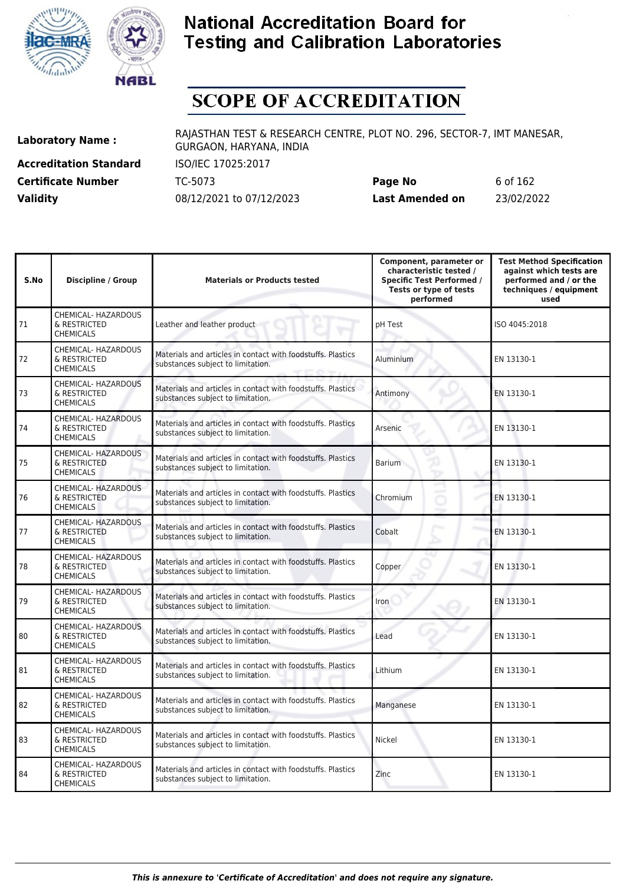



# **SCOPE OF ACCREDITATION**

**Accreditation Standard** ISO/IEC 17025:2017

**Laboratory Name :** RAJASTHAN TEST & RESEARCH CENTRE, PLOT NO. 296, SECTOR-7, IMT MANESAR, GURGAON, HARYANA, INDIA

**Certificate Number** TC-5073 **Page No** 6 of 162 **Validity** 08/12/2021 to 07/12/2023 **Last Amended on** 23/02/2022

| S.No | <b>Discipline / Group</b>                               | <b>Materials or Products tested</b>                                                              | Component, parameter or<br>characteristic tested /<br><b>Specific Test Performed /</b><br>Tests or type of tests<br>performed | <b>Test Method Specification</b><br>against which tests are<br>performed and / or the<br>techniques / equipment<br>used |
|------|---------------------------------------------------------|--------------------------------------------------------------------------------------------------|-------------------------------------------------------------------------------------------------------------------------------|-------------------------------------------------------------------------------------------------------------------------|
| 71   | CHEMICAL- HAZARDOUS<br>& RESTRICTED<br><b>CHEMICALS</b> | Leather and leather product                                                                      | pH Test                                                                                                                       | ISO 4045:2018                                                                                                           |
| 72   | CHEMICAL- HAZARDOUS<br>& RESTRICTED<br><b>CHEMICALS</b> | Materials and articles in contact with foodstuffs. Plastics<br>substances subject to limitation. | Aluminium                                                                                                                     | EN 13130-1                                                                                                              |
| 73   | CHEMICAL- HAZARDOUS<br>& RESTRICTED<br><b>CHEMICALS</b> | Materials and articles in contact with foodstuffs. Plastics<br>substances subject to limitation. | Antimony                                                                                                                      | EN 13130-1                                                                                                              |
| 74   | CHEMICAL- HAZARDOUS<br>& RESTRICTED<br><b>CHEMICALS</b> | Materials and articles in contact with foodstuffs. Plastics<br>substances subject to limitation. | Arsenic                                                                                                                       | EN 13130-1                                                                                                              |
| 75   | CHEMICAL- HAZARDOUS<br>& RESTRICTED<br><b>CHEMICALS</b> | Materials and articles in contact with foodstuffs. Plastics<br>substances subject to limitation. | <b>Barium</b><br>x                                                                                                            | EN 13130-1                                                                                                              |
| 76   | CHEMICAL- HAZARDOUS<br>& RESTRICTED<br><b>CHEMICALS</b> | Materials and articles in contact with foodstuffs. Plastics<br>substances subject to limitation. | -<br>Chromium<br>s                                                                                                            | EN 13130-1                                                                                                              |
| 77   | CHEMICAL- HAZARDOUS<br>& RESTRICTED<br><b>CHEMICALS</b> | Materials and articles in contact with foodstuffs. Plastics<br>substances subject to limitation. | Cobalt                                                                                                                        | EN 13130-1                                                                                                              |
| 78   | CHEMICAL- HAZARDOUS<br>& RESTRICTED<br><b>CHEMICALS</b> | Materials and articles in contact with foodstuffs. Plastics<br>substances subject to limitation. | Copper                                                                                                                        | EN 13130-1                                                                                                              |
| 79   | CHEMICAL- HAZARDOUS<br>& RESTRICTED<br><b>CHEMICALS</b> | Materials and articles in contact with foodstuffs. Plastics<br>substances subject to limitation. | Iron                                                                                                                          | EN 13130-1                                                                                                              |
| 80   | CHEMICAL- HAZARDOUS<br>& RESTRICTED<br><b>CHEMICALS</b> | Materials and articles in contact with foodstuffs. Plastics<br>substances subject to limitation. | Lead                                                                                                                          | EN 13130-1                                                                                                              |
| 81   | CHEMICAL- HAZARDOUS<br>& RESTRICTED<br><b>CHEMICALS</b> | Materials and articles in contact with foodstuffs. Plastics<br>substances subject to limitation. | Lithium                                                                                                                       | EN 13130-1                                                                                                              |
| 82   | CHEMICAL- HAZARDOUS<br>& RESTRICTED<br>CHEMICALS        | Materials and articles in contact with foodstuffs. Plastics<br>substances subject to limitation. | Manganese                                                                                                                     | EN 13130-1                                                                                                              |
| 83   | CHEMICAL- HAZARDOUS<br>& RESTRICTED<br><b>CHEMICALS</b> | Materials and articles in contact with foodstuffs. Plastics<br>substances subject to limitation. | Nickel                                                                                                                        | EN 13130-1                                                                                                              |
| 84   | CHEMICAL- HAZARDOUS<br>& RESTRICTED<br><b>CHEMICALS</b> | Materials and articles in contact with foodstuffs. Plastics<br>substances subject to limitation. | Zinc                                                                                                                          | EN 13130-1                                                                                                              |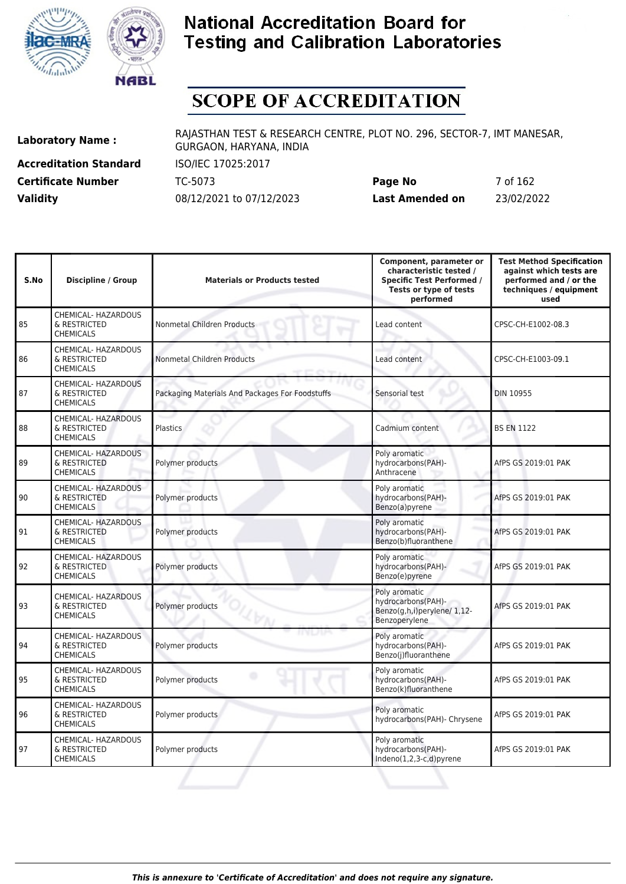



# **SCOPE OF ACCREDITATION**

**Accreditation Standard** ISO/IEC 17025:2017

**Laboratory Name :** RAJASTHAN TEST & RESEARCH CENTRE, PLOT NO. 296, SECTOR-7, IMT MANESAR, GURGAON, HARYANA, INDIA

**Certificate Number** TC-5073 **Page No** 7 of 162 **Validity** 08/12/2021 to 07/12/2023 **Last Amended on** 23/02/2022

| S.No | <b>Discipline / Group</b>                               | <b>Materials or Products tested</b>             | Component, parameter or<br>characteristic tested /<br><b>Specific Test Performed /</b><br>Tests or type of tests<br>performed | <b>Test Method Specification</b><br>against which tests are<br>performed and / or the<br>techniques / equipment<br>used |
|------|---------------------------------------------------------|-------------------------------------------------|-------------------------------------------------------------------------------------------------------------------------------|-------------------------------------------------------------------------------------------------------------------------|
| 85   | CHEMICAL- HAZARDOUS<br>& RESTRICTED<br><b>CHEMICALS</b> | Nonmetal Children Products                      | Lead content                                                                                                                  | CPSC-CH-E1002-08.3                                                                                                      |
| 86   | CHEMICAL- HAZARDOUS<br>& RESTRICTED<br><b>CHEMICALS</b> | Nonmetal Children Products                      | Lead content                                                                                                                  | CPSC-CH-E1003-09.1                                                                                                      |
| 87   | CHEMICAL- HAZARDOUS<br>& RESTRICTED<br><b>CHEMICALS</b> | Packaging Materials And Packages For Foodstuffs | Sensorial test                                                                                                                | <b>DIN 10955</b>                                                                                                        |
| 88   | CHEMICAL- HAZARDOUS<br>& RESTRICTED<br><b>CHEMICALS</b> | Plastics                                        | Cadmium content                                                                                                               | <b>BS EN 1122</b>                                                                                                       |
| 89   | CHEMICAL- HAZARDOUS<br>& RESTRICTED<br><b>CHEMICALS</b> | Polymer products                                | Poly aromatic<br>hydrocarbons(PAH)-<br>Anthracene                                                                             | AfPS GS 2019:01 PAK                                                                                                     |
| 90   | CHEMICAL- HAZARDOUS<br>& RESTRICTED<br><b>CHEMICALS</b> | Polymer products                                | Poly aromatic<br>hydrocarbons(PAH)-<br>Benzo(a)pyrene                                                                         | AfPS GS 2019:01 PAK                                                                                                     |
| 91   | CHEMICAL- HAZARDOUS<br>& RESTRICTED<br><b>CHEMICALS</b> | Polymer products                                | Poly aromatic<br>hydrocarbons(PAH)-<br>Benzo(b)fluoranthene                                                                   | AfPS GS 2019:01 PAK                                                                                                     |
| 92   | CHEMICAL- HAZARDOUS<br>& RESTRICTED<br><b>CHEMICALS</b> | Polymer products                                | Poly aromatic<br>hydrocarbons(PAH)-<br>Benzo(e)pyrene                                                                         | AfPS GS 2019:01 PAK                                                                                                     |
| 93   | CHEMICAL- HAZARDOUS<br>& RESTRICTED<br><b>CHEMICALS</b> | Polymer products<br>$\iota_{\mathbb{W}_{M}}$    | Poly aromatic<br>hydrocarbons(PAH)-<br>Benzo(g,h,i)perylene/ 1,12-<br>Benzoperylene                                           | AfPS GS 2019:01 PAK                                                                                                     |
| 94   | CHEMICAL- HAZARDOUS<br>& RESTRICTED<br><b>CHEMICALS</b> | Polymer products                                | Poly aromatic<br>hydrocarbons(PAH)-<br>Benzo(j)fluoranthene                                                                   | AfPS GS 2019:01 PAK                                                                                                     |
| 95   | CHEMICAL- HAZARDOUS<br>& RESTRICTED<br><b>CHEMICALS</b> | Polymer products                                | Poly aromatic<br>hydrocarbons(PAH)-<br>Benzo(k)fluoranthene                                                                   | AfPS GS 2019:01 PAK                                                                                                     |
| 96   | CHEMICAL- HAZARDOUS<br>& RESTRICTED<br><b>CHEMICALS</b> | Polymer products                                | Poly aromatic<br>hydrocarbons(PAH)- Chrysene                                                                                  | AfPS GS 2019:01 PAK                                                                                                     |
| 97   | CHEMICAL- HAZARDOUS<br>& RESTRICTED<br><b>CHEMICALS</b> | Polymer products                                | Poly aromatic<br>hydrocarbons(PAH)-<br>Indeno $(1,2,3-c,d)$ pyrene                                                            | AfPS GS 2019:01 PAK                                                                                                     |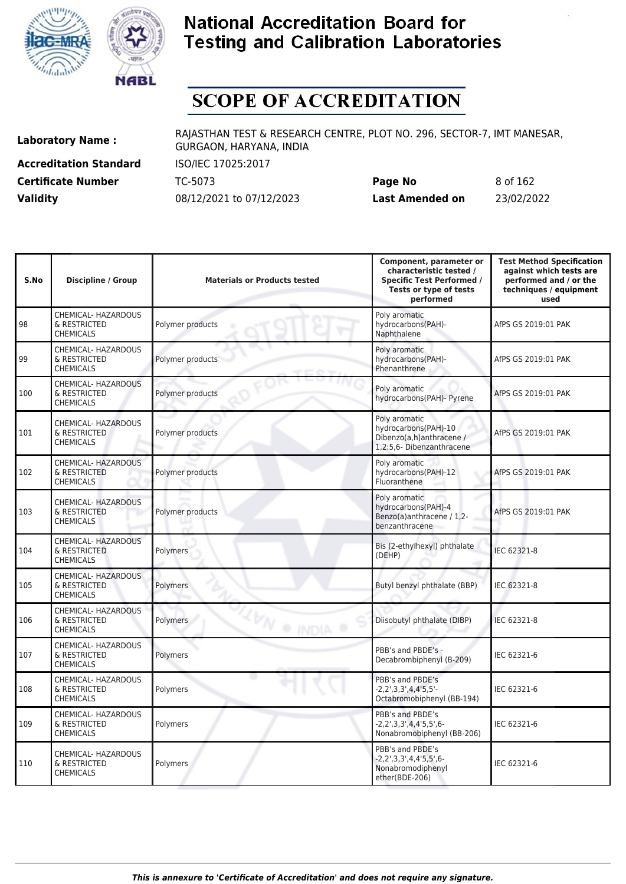



# **SCOPE OF ACCREDITATION**

**Accreditation Standard** ISO/IEC 17025:2017

**Laboratory Name :** RAJASTHAN TEST & RESEARCH CENTRE, PLOT NO. 296, SECTOR-7, IMT MANESAR, GURGAON, HARYANA, INDIA

**Certificate Number** TC-5073 **Page No** 8 of 162 **Validity** 08/12/2021 to 07/12/2023 **Last Amended on** 23/02/2022

| S.No | <b>Discipline / Group</b>                                      | <b>Materials or Products tested</b> | Component, parameter or<br>characteristic tested /<br><b>Specific Test Performed /</b><br>Tests or type of tests<br>performed | <b>Test Method Specification</b><br>against which tests are<br>performed and / or the<br>techniques / equipment<br>used |
|------|----------------------------------------------------------------|-------------------------------------|-------------------------------------------------------------------------------------------------------------------------------|-------------------------------------------------------------------------------------------------------------------------|
| 98   | CHEMICAL- HAZARDOUS<br>& RESTRICTED<br><b>CHEMICALS</b>        | Polymer products                    | Poly aromatic<br>hydrocarbons(PAH)-<br>Naphthalene                                                                            | AfPS GS 2019:01 PAK                                                                                                     |
| 99   | CHEMICAL- HAZARDOUS<br>& RESTRICTED<br><b>CHEMICALS</b>        | Polymer products                    | Poly aromatic<br>hydrocarbons(PAH)-<br>Phenanthrene                                                                           | AfPS GS 2019:01 PAK                                                                                                     |
| 100  | CHEMICAL- HAZARDOUS<br>& RESTRICTED<br><b>CHEMICALS</b>        | Polymer products                    | Poly aromatic<br>hydrocarbons(PAH)- Pyrene                                                                                    | AfPS GS 2019:01 PAK                                                                                                     |
| 101  | CHEMICAL- HAZARDOUS<br>& RESTRICTED<br><b>CHEMICALS</b>        | Polymer products                    | Poly aromatic<br>hydrocarbons(PAH)-10<br>Dibenzo(a,h)anthracene /<br>1.2:5.6- Dibenzanthracene                                | AfPS GS 2019:01 PAK                                                                                                     |
| 102  | CHEMICAL- HAZARDOUS<br>& RESTRICTED<br><b>CHEMICALS</b>        | Polymer products                    | Poly aromatic<br>hydrocarbons(PAH)-12<br>Fluoranthene                                                                         | AfPS GS 2019:01 PAK                                                                                                     |
| 103  | CHEMICAL- HAZARDOUS<br>& RESTRICTED<br><b>CHEMICALS</b>        | Polymer products                    | Poly aromatic<br>hydrocarbons(PAH)-4<br>Benzo(a)anthracene / 1,2-<br>benzanthracene                                           | AfPS GS 2019:01 PAK                                                                                                     |
| 104  | CHEMICAL- HAZARDOUS<br>& RESTRICTED<br><b>CHEMICALS</b>        | Polymers                            | Bis (2-ethylhexyl) phthalate<br>(DEHP)                                                                                        | IEC 62321-8                                                                                                             |
| 105  | CHEMICAL- HAZARDOUS<br>& RESTRICTED<br><b>CHEMICALS</b>        | Polymers                            | Butyl benzyl phthalate (BBP)                                                                                                  | IEC 62321-8                                                                                                             |
| 106  | <b>CHEMICAL- HAZARDOUS</b><br>& RESTRICTED<br><b>CHEMICALS</b> | <b><i>D</i></b> O INDIA<br>Polymers | Diisobutyl phthalate (DIBP)                                                                                                   | IEC 62321-8                                                                                                             |
| 107  | CHEMICAL- HAZARDOUS<br>& RESTRICTED<br><b>CHEMICALS</b>        | Polymers                            | PBB's and PBDE's -<br>Decabrombiphenyl (B-209)                                                                                | IEC 62321-6                                                                                                             |
| 108  | CHEMICAL- HAZARDOUS<br>& RESTRICTED<br><b>CHEMICALS</b>        | Polymers                            | PBB's and PBDE's<br>$-2, 2', 3, 3', 4, 4'5, 5'$ -<br>Octabromobiphenyl (BB-194)                                               | IEC 62321-6                                                                                                             |
| 109  | CHEMICAL- HAZARDOUS<br>& RESTRICTED<br><b>CHEMICALS</b>        | Polymers                            | PBB's and PBDE's<br>-2,2',3,3',4,4'5,5',6-<br>Nonabromobiphenyl (BB-206)                                                      | IEC 62321-6                                                                                                             |
| 110  | CHEMICAL- HAZARDOUS<br>& RESTRICTED<br><b>CHEMICALS</b>        | Polymers                            | PBB's and PBDE's<br>$-2, 2', 3, 3', 4, 4'5, 5', 6-$<br>Nonabromodiphenyl<br>ether(BDE-206)                                    | IEC 62321-6                                                                                                             |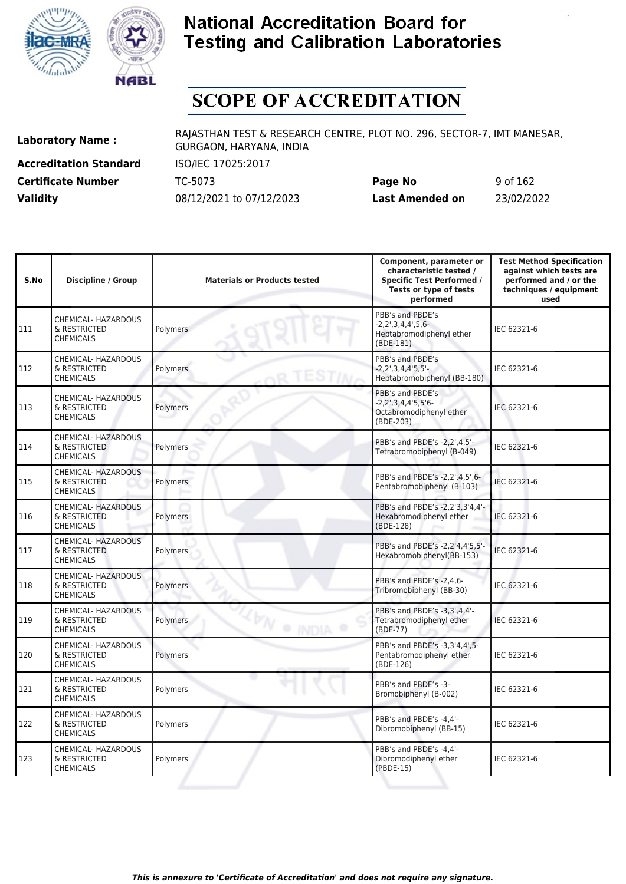



# **SCOPE OF ACCREDITATION**

**Accreditation Standard** ISO/IEC 17025:2017

**Laboratory Name :** RAJASTHAN TEST & RESEARCH CENTRE, PLOT NO. 296, SECTOR-7, IMT MANESAR, GURGAON, HARYANA, INDIA

**Certificate Number** TC-5073 **Page No** 9 of 162 **Validity** 08/12/2021 to 07/12/2023 **Last Amended on** 23/02/2022

| S.No | <b>Discipline / Group</b>                               | <b>Materials or Products tested</b> | Component, parameter or<br>characteristic tested /<br><b>Specific Test Performed /</b><br>Tests or type of tests<br>performed | <b>Test Method Specification</b><br>against which tests are<br>performed and / or the<br>techniques / equipment<br>used |
|------|---------------------------------------------------------|-------------------------------------|-------------------------------------------------------------------------------------------------------------------------------|-------------------------------------------------------------------------------------------------------------------------|
| 111  | CHEMICAL- HAZARDOUS<br>& RESTRICTED<br><b>CHEMICALS</b> | <b>Polymers</b>                     | PBB's and PBDE's<br>$-2, 2', 3, 4, 4', 5, 6-$<br>Heptabromodiphenyl ether<br>(BDE-181)                                        | IEC 62321-6                                                                                                             |
| 112  | CHEMICAL- HAZARDOUS<br>& RESTRICTED<br><b>CHEMICALS</b> | Polymers                            | PBB's and PBDE's<br>$-2, 2^{\prime}, 3, 4, 4^{\prime}5, 5^{\prime}$ -<br>Heptabromobiphenyl (BB-180)                          | IEC 62321-6                                                                                                             |
| 113  | CHEMICAL- HAZARDOUS<br>& RESTRICTED<br><b>CHEMICALS</b> | Polymers                            | PBB's and PBDE's<br>$-2, 2', 3, 4, 4'5, 5'6-$<br>Octabromodiphenyl ether<br>(BDE-203)                                         | IEC 62321-6                                                                                                             |
| 114  | CHEMICAL- HAZARDOUS<br>& RESTRICTED<br><b>CHEMICALS</b> | Polymers                            | PBB's and PBDE's -2,2',4,5'-<br>Tetrabromobiphenyl (B-049)                                                                    | IEC 62321-6                                                                                                             |
| 115  | CHEMICAL- HAZARDOUS<br>& RESTRICTED<br><b>CHEMICALS</b> | Polymers                            | PBB's and PBDE's -2.2'.4.5'.6-<br>Pentabromobiphenyl (B-103)                                                                  | IEC 62321-6                                                                                                             |
| 116  | CHEMICAL- HAZARDOUS<br>& RESTRICTED<br><b>CHEMICALS</b> | Polymers                            | PBB's and PBDE's -2,2'3,3'4,4'-<br>Hexabromodiphenyl ether<br>(BDE-128)                                                       | IEC 62321-6                                                                                                             |
| 117  | CHEMICAL- HAZARDOUS<br>& RESTRICTED<br><b>CHEMICALS</b> | Polymers                            | PBB's and PBDE's -2.2'4.4'5.5'-<br>Hexabromobiphenyl(BB-153)                                                                  | IEC 62321-6                                                                                                             |
| 118  | CHEMICAL- HAZARDOUS<br>& RESTRICTED<br><b>CHEMICALS</b> | Polymers                            | PBB's and PBDE's -2.4.6-<br>Tribromobiphenyl (BB-30)                                                                          | IEC 62321-6                                                                                                             |
| 119  | CHEMICAL- HAZARDOUS<br>& RESTRICTED<br><b>CHEMICALS</b> | <b>LEN O INDIA</b><br>Polymers      | PBB's and PBDE's -3,3',4,4'-<br>Tetrabromodiphenyl ether<br>(BDE-77)                                                          | IEC 62321-6                                                                                                             |
| 120  | CHEMICAL- HAZARDOUS<br>& RESTRICTED<br><b>CHEMICALS</b> | Polymers                            | PBB's and PBDE's -3,3'4,4',5-<br>Pentabromodiphenyl ether<br>(BDE-126)                                                        | IEC 62321-6                                                                                                             |
| 121  | CHEMICAL- HAZARDOUS<br>& RESTRICTED<br><b>CHEMICALS</b> | œ<br>Polymers                       | PBB's and PBDE's -3-<br>Bromobiphenyl (B-002)                                                                                 | IEC 62321-6                                                                                                             |
| 122  | CHEMICAL- HAZARDOUS<br>& RESTRICTED<br><b>CHEMICALS</b> | Polymers                            | PBB's and PBDE's -4,4'-<br>Dibromobiphenyl (BB-15)                                                                            | IEC 62321-6                                                                                                             |
| 123  | CHEMICAL- HAZARDOUS<br>& RESTRICTED<br><b>CHEMICALS</b> | Polymers                            | PBB's and PBDE's -4.4'-<br>Dibromodiphenyl ether<br>(PBDE-15)                                                                 | IEC 62321-6                                                                                                             |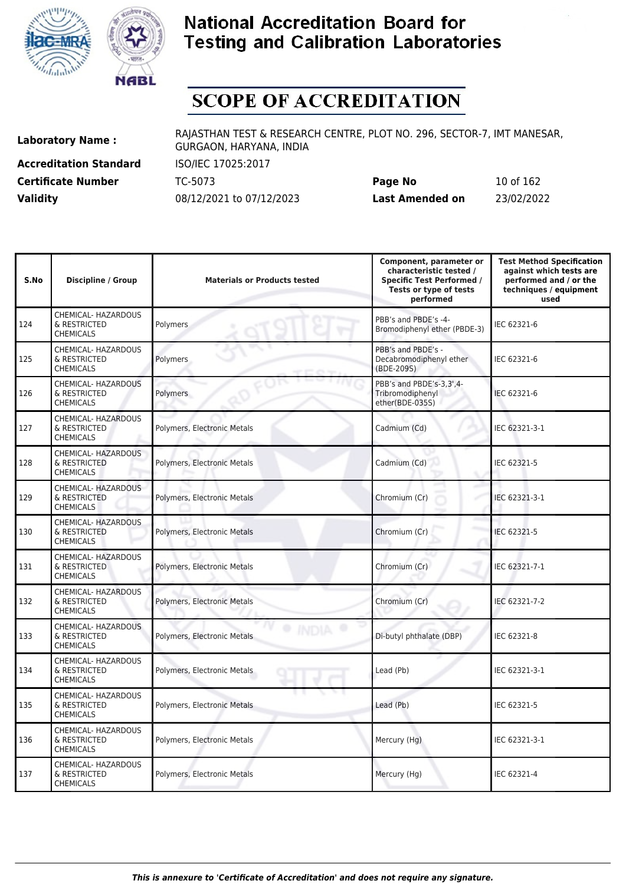



# **SCOPE OF ACCREDITATION**

**Accreditation Standard** ISO/IEC 17025:2017

**Laboratory Name :** RAJASTHAN TEST & RESEARCH CENTRE, PLOT NO. 296, SECTOR-7, IMT MANESAR, GURGAON, HARYANA, INDIA

**Certificate Number** TC-5073 **Page No** 10 of 162 **Validity** 08/12/2021 to 07/12/2023 **Last Amended on** 23/02/2022

| S.No | <b>Discipline / Group</b>                                      | <b>Materials or Products tested</b> | Component, parameter or<br>characteristic tested /<br><b>Specific Test Performed /</b><br>Tests or type of tests<br>performed | <b>Test Method Specification</b><br>against which tests are<br>performed and / or the<br>techniques / equipment<br>used |
|------|----------------------------------------------------------------|-------------------------------------|-------------------------------------------------------------------------------------------------------------------------------|-------------------------------------------------------------------------------------------------------------------------|
| 124  | CHEMICAL- HAZARDOUS<br>& RESTRICTED<br><b>CHEMICALS</b>        | Polymers                            | PBB's and PBDE's -4-<br>Bromodiphenyl ether (PBDE-3)                                                                          | IEC 62321-6                                                                                                             |
| 125  | CHEMICAL- HAZARDOUS<br>& RESTRICTED<br><b>CHEMICALS</b>        | <b>Polymers</b>                     | PBB's and PBDE's -<br>Decabromodiphenyl ether<br>(BDE-209S)                                                                   | IEC 62321-6                                                                                                             |
| 126  | CHEMICAL- HAZARDOUS<br>& RESTRICTED<br><b>CHEMICALS</b>        | Polymers                            | PBB's and PBDE's-3,3',4-<br>Tribromodiphenyl<br>ether(BDE-035S)                                                               | IEC 62321-6                                                                                                             |
| 127  | CHEMICAL- HAZARDOUS<br>& RESTRICTED<br><b>CHEMICALS</b>        | Polymers, Electronic Metals         | Cadmium (Cd)                                                                                                                  | IEC 62321-3-1                                                                                                           |
| 128  | CHEMICAL- HAZARDOUS<br>& RESTRICTED<br><b>CHEMICALS</b>        | Polymers, Electronic Metals         | Cadmium (Cd)<br>u                                                                                                             | IEC 62321-5                                                                                                             |
| 129  | CHEMICAL- HAZARDOUS<br>& RESTRICTED<br><b>CHEMICALS</b>        | Polymers, Electronic Metals         | Chromium (Cr)<br>v                                                                                                            | IEC 62321-3-1                                                                                                           |
| 130  | CHEMICAL- HAZARDOUS<br>& RESTRICTED<br><b>CHEMICALS</b>        | Polymers, Electronic Metals         | Chromium (Cr)                                                                                                                 | IEC 62321-5                                                                                                             |
| 131  | CHEMICAL- HAZARDOUS<br>& RESTRICTED<br><b>CHEMICALS</b>        | Polymers, Electronic Metals         | Chromium (Cr)                                                                                                                 | IEC 62321-7-1                                                                                                           |
| 132  | CHEMICAL- HAZARDOUS<br>& RESTRICTED<br><b>CHEMICALS</b>        | Polymers, Electronic Metals         | Chromium (Cr)                                                                                                                 | IEC 62321-7-2                                                                                                           |
| 133  | CHEMICAL- HAZARDOUS<br>& RESTRICTED<br><b>CHEMICALS</b>        | Polymers, Electronic Metals         | Di-butyl phthalate (DBP)                                                                                                      | IEC 62321-8                                                                                                             |
| 134  | CHEMICAL- HAZARDOUS<br>& RESTRICTED<br><b>CHEMICALS</b>        | Polymers, Electronic Metals         | Lead (Pb)                                                                                                                     | IEC 62321-3-1                                                                                                           |
| 135  | <b>CHEMICAL- HAZARDOUS</b><br>& RESTRICTED<br><b>CHEMICALS</b> | Polymers, Electronic Metals         | Lead (Pb)                                                                                                                     | IEC 62321-5                                                                                                             |
| 136  | CHEMICAL- HAZARDOUS<br>& RESTRICTED<br><b>CHEMICALS</b>        | Polymers, Electronic Metals         | Mercury (Hg)                                                                                                                  | IEC 62321-3-1                                                                                                           |
| 137  | CHEMICAL- HAZARDOUS<br>& RESTRICTED<br><b>CHEMICALS</b>        | Polymers, Electronic Metals         | Mercury (Hg)                                                                                                                  | IEC 62321-4                                                                                                             |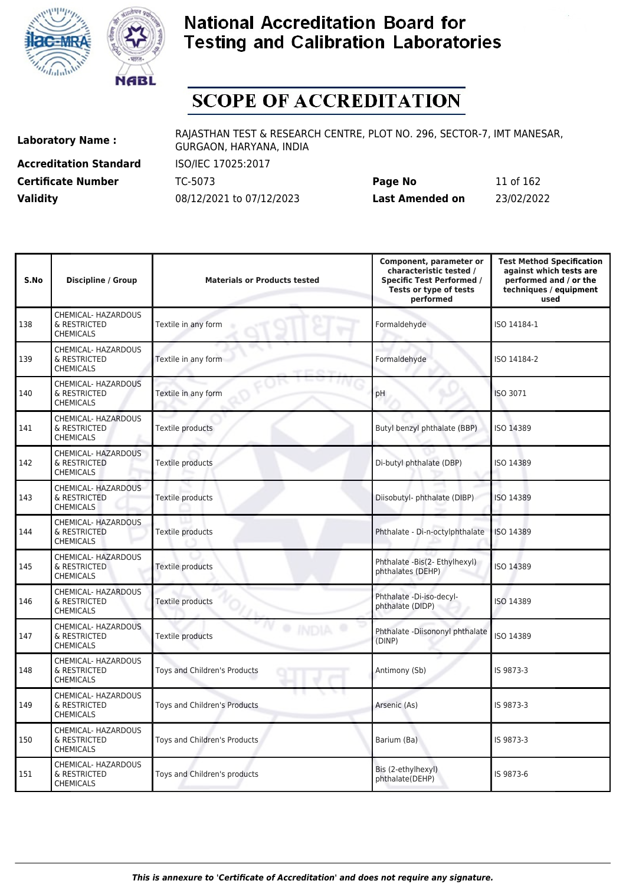



# **SCOPE OF ACCREDITATION**

**Accreditation Standard** ISO/IEC 17025:2017

**Laboratory Name :** RAJASTHAN TEST & RESEARCH CENTRE, PLOT NO. 296, SECTOR-7, IMT MANESAR, GURGAON, HARYANA, INDIA

**Certificate Number** TC-5073 **Page No** 11 of 162 **Validity** 08/12/2021 to 07/12/2023 **Last Amended on** 23/02/2022

| S.No | Discipline / Group                                      | <b>Materials or Products tested</b> | Component, parameter or<br>characteristic tested /<br><b>Specific Test Performed /</b><br>Tests or type of tests<br>performed | <b>Test Method Specification</b><br>against which tests are<br>performed and / or the<br>techniques / equipment<br>used |
|------|---------------------------------------------------------|-------------------------------------|-------------------------------------------------------------------------------------------------------------------------------|-------------------------------------------------------------------------------------------------------------------------|
| 138  | CHEMICAL- HAZARDOUS<br>& RESTRICTED<br><b>CHEMICALS</b> | Textile in any form                 | Formaldehyde                                                                                                                  | ISO 14184-1                                                                                                             |
| 139  | CHEMICAL- HAZARDOUS<br>& RESTRICTED<br><b>CHEMICALS</b> | Textile in any form                 | Formaldehyde                                                                                                                  | ISO 14184-2                                                                                                             |
| 140  | CHEMICAL- HAZARDOUS<br>& RESTRICTED<br><b>CHEMICALS</b> | Textile in any form                 | pH                                                                                                                            | <b>ISO 3071</b>                                                                                                         |
| 141  | CHEMICAL- HAZARDOUS<br>& RESTRICTED<br><b>CHEMICALS</b> | Textile products                    | Butyl benzyl phthalate (BBP)                                                                                                  | ISO 14389                                                                                                               |
| 142  | CHEMICAL- HAZARDOUS<br>& RESTRICTED<br><b>CHEMICALS</b> | Textile products                    | Di-butyl phthalate (DBP)                                                                                                      | ISO 14389                                                                                                               |
| 143  | CHEMICAL- HAZARDOUS<br>& RESTRICTED<br><b>CHEMICALS</b> | Textile products                    | Diisobutyl-phthalate (DIBP)                                                                                                   | ISO 14389                                                                                                               |
| 144  | CHEMICAL- HAZARDOUS<br>& RESTRICTED<br><b>CHEMICALS</b> | Textile products                    | Phthalate - Di-n-octylphthalate                                                                                               | ISO 14389                                                                                                               |
| 145  | CHEMICAL- HAZARDOUS<br>& RESTRICTED<br><b>CHEMICALS</b> | Textile products                    | Phthalate -Bis(2- Ethylhexyl)<br>phthalates (DEHP)                                                                            | ISO 14389                                                                                                               |
| 146  | CHEMICAL- HAZARDOUS<br>& RESTRICTED<br><b>CHEMICALS</b> | Textile products                    | Phthalate -Di-iso-decyl-<br>phthalate (DIDP)                                                                                  | ISO 14389                                                                                                               |
| 147  | CHEMICAL- HAZARDOUS<br>& RESTRICTED<br><b>CHEMICALS</b> | · INDIA<br>Textile products         | Phthalate -Diisononyl phthalate<br>(DINP)                                                                                     | ISO 14389                                                                                                               |
| 148  | CHEMICAL- HAZARDOUS<br>& RESTRICTED<br><b>CHEMICALS</b> | Toys and Children's Products        | Antimony (Sb)                                                                                                                 | IS 9873-3                                                                                                               |
| 149  | CHEMICAL- HAZARDOUS<br>& RESTRICTED<br><b>CHEMICALS</b> | Toys and Children's Products        | Arsenic (As)                                                                                                                  | IS 9873-3                                                                                                               |
| 150  | CHEMICAL- HAZARDOUS<br>& RESTRICTED<br><b>CHEMICALS</b> | Toys and Children's Products        | Barium (Ba)                                                                                                                   | IS 9873-3                                                                                                               |
| 151  | CHEMICAL- HAZARDOUS<br>& RESTRICTED<br><b>CHEMICALS</b> | Toys and Children's products        | Bis (2-ethylhexyl)<br>phthalate(DEHP)                                                                                         | IS 9873-6                                                                                                               |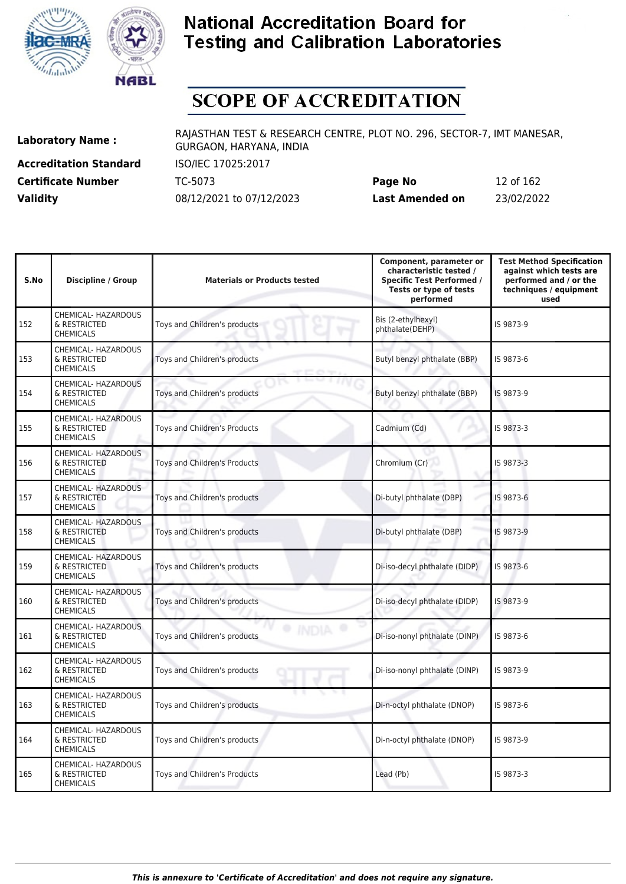



# **SCOPE OF ACCREDITATION**

**Accreditation Standard** ISO/IEC 17025:2017

**Laboratory Name :** RAJASTHAN TEST & RESEARCH CENTRE, PLOT NO. 296, SECTOR-7, IMT MANESAR, GURGAON, HARYANA, INDIA

**Certificate Number** TC-5073 **Page No** 12 of 162 **Validity** 08/12/2021 to 07/12/2023 **Last Amended on** 23/02/2022

| S.No | <b>Discipline / Group</b>                                      | <b>Materials or Products tested</b> | Component, parameter or<br>characteristic tested /<br><b>Specific Test Performed /</b><br>Tests or type of tests<br>performed | <b>Test Method Specification</b><br>against which tests are<br>performed and / or the<br>techniques / equipment<br>used |
|------|----------------------------------------------------------------|-------------------------------------|-------------------------------------------------------------------------------------------------------------------------------|-------------------------------------------------------------------------------------------------------------------------|
| 152  | CHEMICAL- HAZARDOUS<br>& RESTRICTED<br><b>CHEMICALS</b>        | Toys and Children's products        | Bis (2-ethylhexyl)<br>phthalate(DEHP)                                                                                         | IS 9873-9                                                                                                               |
| 153  | <b>CHEMICAL- HAZARDOUS</b><br>& RESTRICTED<br><b>CHEMICALS</b> | Toys and Children's products        | Butyl benzyl phthalate (BBP)                                                                                                  | IS 9873-6                                                                                                               |
| 154  | CHEMICAL- HAZARDOUS<br>& RESTRICTED<br><b>CHEMICALS</b>        | Toys and Children's products        | Butyl benzyl phthalate (BBP)                                                                                                  | IS 9873-9                                                                                                               |
| 155  | CHEMICAL- HAZARDOUS<br>& RESTRICTED<br><b>CHEMICALS</b>        | Toys and Children's Products        | Cadmium (Cd)                                                                                                                  | IS 9873-3                                                                                                               |
| 156  | CHEMICAL- HAZARDOUS<br>& RESTRICTED<br><b>CHEMICALS</b>        | Toys and Children's Products        | Chromium (Cr)                                                                                                                 | IS 9873-3                                                                                                               |
| 157  | CHEMICAL- HAZARDOUS<br>& RESTRICTED<br><b>CHEMICALS</b>        | Toys and Children's products        | Di-butyl phthalate (DBP)                                                                                                      | IS 9873-6                                                                                                               |
| 158  | CHEMICAL- HAZARDOUS<br>& RESTRICTED<br><b>CHEMICALS</b>        | Toys and Children's products        | Di-butyl phthalate (DBP)                                                                                                      | IS 9873-9                                                                                                               |
| 159  | <b>CHEMICAL- HAZARDOUS</b><br>& RESTRICTED<br><b>CHEMICALS</b> | Toys and Children's products        | Di-iso-decyl phthalate (DIDP)                                                                                                 | IS 9873-6                                                                                                               |
| 160  | CHEMICAL- HAZARDOUS<br>& RESTRICTED<br><b>CHEMICALS</b>        | Toys and Children's products        | Di-iso-decyl phthalate (DIDP)                                                                                                 | IS 9873-9                                                                                                               |
| 161  | CHEMICAL- HAZARDOUS<br>& RESTRICTED<br><b>CHEMICALS</b>        | Toys and Children's products        | Di-iso-nonyl phthalate (DINP)                                                                                                 | IS 9873-6                                                                                                               |
| 162  | CHEMICAL- HAZARDOUS<br>& RESTRICTED<br><b>CHEMICALS</b>        | Toys and Children's products        | Di-iso-nonyl phthalate (DINP)                                                                                                 | IS 9873-9                                                                                                               |
| 163  | CHEMICAL- HAZARDOUS<br>& RESTRICTED<br><b>CHEMICALS</b>        | Toys and Children's products        | Di-n-octyl phthalate (DNOP)                                                                                                   | IS 9873-6                                                                                                               |
| 164  | CHEMICAL- HAZARDOUS<br>& RESTRICTED<br><b>CHEMICALS</b>        | Toys and Children's products        | Di-n-octyl phthalate (DNOP)                                                                                                   | IS 9873-9                                                                                                               |
| 165  | CHEMICAL- HAZARDOUS<br>& RESTRICTED<br><b>CHEMICALS</b>        | Toys and Children's Products        | Lead (Pb)                                                                                                                     | IS 9873-3                                                                                                               |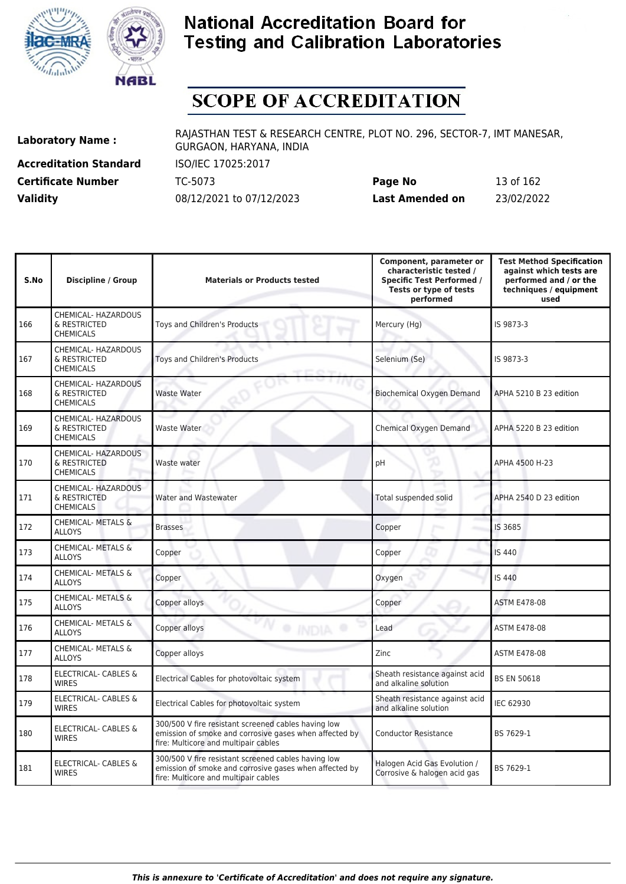



# **SCOPE OF ACCREDITATION**

**Accreditation Standard** ISO/IEC 17025:2017

**Laboratory Name :** RAJASTHAN TEST & RESEARCH CENTRE, PLOT NO. 296, SECTOR-7, IMT MANESAR, GURGAON, HARYANA, INDIA

**Certificate Number** TC-5073 **Page No** 13 of 162 **Validity** 08/12/2021 to 07/12/2023 **Last Amended on** 23/02/2022

| S.No | <b>Discipline / Group</b>                               | <b>Materials or Products tested</b>                                                                                                                   | Component, parameter or<br>characteristic tested /<br><b>Specific Test Performed /</b><br>Tests or type of tests<br>performed | <b>Test Method Specification</b><br>against which tests are<br>performed and / or the<br>techniques / equipment<br>used |
|------|---------------------------------------------------------|-------------------------------------------------------------------------------------------------------------------------------------------------------|-------------------------------------------------------------------------------------------------------------------------------|-------------------------------------------------------------------------------------------------------------------------|
| 166  | CHEMICAL- HAZARDOUS<br>& RESTRICTED<br><b>CHEMICALS</b> | Toys and Children's Products                                                                                                                          | Mercury (Hg)                                                                                                                  | IS 9873-3                                                                                                               |
| 167  | CHEMICAL- HAZARDOUS<br>& RESTRICTED<br><b>CHEMICALS</b> | Toys and Children's Products                                                                                                                          | Selenium (Se)                                                                                                                 | IS 9873-3                                                                                                               |
| 168  | CHEMICAL- HAZARDOUS<br>& RESTRICTED<br><b>CHEMICALS</b> | <b>Waste Water</b>                                                                                                                                    | <b>Biochemical Oxygen Demand</b>                                                                                              | APHA 5210 B 23 edition                                                                                                  |
| 169  | CHEMICAL- HAZARDOUS<br>& RESTRICTED<br><b>CHEMICALS</b> | Waste Water                                                                                                                                           | Chemical Oxygen Demand                                                                                                        | APHA 5220 B 23 edition                                                                                                  |
| 170  | CHEMICAL- HAZARDOUS<br>& RESTRICTED<br><b>CHEMICALS</b> | Waste water                                                                                                                                           | pH                                                                                                                            | APHA 4500 H-23                                                                                                          |
| 171  | CHEMICAL- HAZARDOUS<br>& RESTRICTED<br><b>CHEMICALS</b> | <b>Water and Wastewater</b>                                                                                                                           | Total suspended solid                                                                                                         | APHA 2540 D 23 edition                                                                                                  |
| 172  | CHEMICAL- METALS &<br><b>ALLOYS</b>                     | <b>Brasses</b>                                                                                                                                        | Copper                                                                                                                        | IS 3685                                                                                                                 |
| 173  | CHEMICAL- METALS &<br><b>ALLOYS</b>                     | Copper                                                                                                                                                | Copper                                                                                                                        | <b>IS 440</b>                                                                                                           |
| 174  | CHEMICAL- METALS &<br><b>ALLOYS</b>                     | Copper                                                                                                                                                | Oxygen                                                                                                                        | IS 440                                                                                                                  |
| 175  | CHEMICAL- METALS &<br><b>ALLOYS</b>                     | Copper alloys                                                                                                                                         | Copper                                                                                                                        | <b>ASTM E478-08</b>                                                                                                     |
| 176  | <b>CHEMICAL- METALS &amp;</b><br><b>ALLOYS</b>          | <sup>®</sup> INDIA<br>Copper alloys                                                                                                                   | Lead                                                                                                                          | <b>ASTM E478-08</b>                                                                                                     |
| 177  | <b>CHEMICAL- METALS &amp;</b><br><b>ALLOYS</b>          | Copper alloys                                                                                                                                         | Zinc                                                                                                                          | <b>ASTM E478-08</b>                                                                                                     |
| 178  | <b>ELECTRICAL- CABLES &amp;</b><br><b>WIRES</b>         | Electrical Cables for photovoltaic system                                                                                                             | Sheath resistance against acid<br>and alkaline solution                                                                       | <b>BS EN 50618</b>                                                                                                      |
| 179  | ELECTRICAL- CABLES &<br><b>WIRES</b>                    | Electrical Cables for photovoltaic system                                                                                                             | Sheath resistance against acid<br>and alkaline solution                                                                       | IEC 62930                                                                                                               |
| 180  | ELECTRICAL- CABLES &<br><b>WIRES</b>                    | 300/500 V fire resistant screened cables having low<br>emission of smoke and corrosive gases when affected by<br>fire: Multicore and multipair cables | <b>Conductor Resistance</b>                                                                                                   | BS 7629-1                                                                                                               |
| 181  | <b>ELECTRICAL- CABLES &amp;</b><br><b>WIRES</b>         | 300/500 V fire resistant screened cables having low<br>emission of smoke and corrosive gases when affected by<br>fire: Multicore and multipair cables | Halogen Acid Gas Evolution /<br>Corrosive & halogen acid gas                                                                  | BS 7629-1                                                                                                               |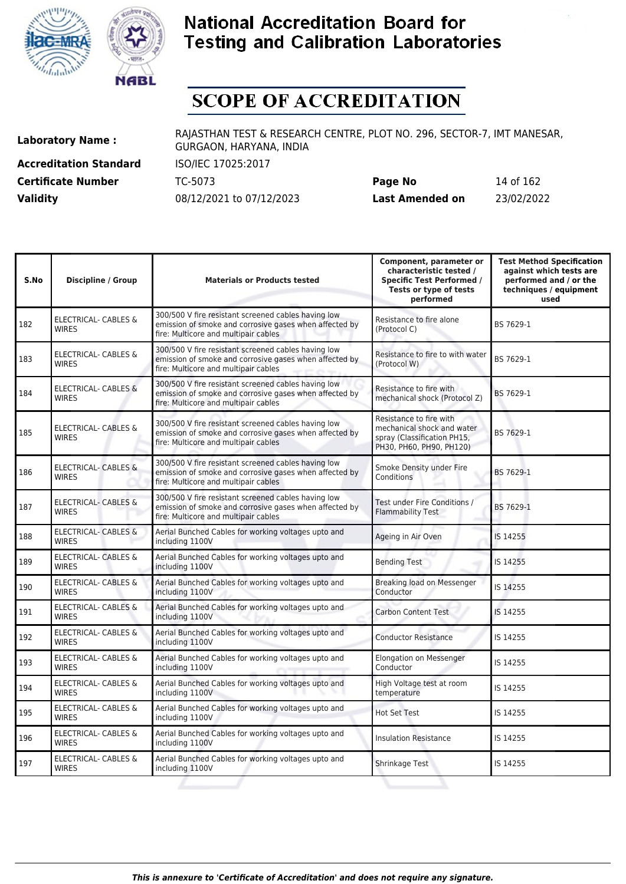



# **SCOPE OF ACCREDITATION**

**Accreditation Standard** ISO/IEC 17025:2017 **Certificate Number** TC-5073 **Validity** 08/12/2021 to 07/12/2023

| Page No                | 14 of 162  |
|------------------------|------------|
| <b>Last Amended on</b> | 23/02/2022 |

| S.No | <b>Discipline / Group</b>                       | <b>Materials or Products tested</b>                                                                                                                   | Component, parameter or<br>characteristic tested /<br><b>Specific Test Performed /</b><br>Tests or type of tests<br>performed | <b>Test Method Specification</b><br>against which tests are<br>performed and / or the<br>techniques / equipment<br>used |
|------|-------------------------------------------------|-------------------------------------------------------------------------------------------------------------------------------------------------------|-------------------------------------------------------------------------------------------------------------------------------|-------------------------------------------------------------------------------------------------------------------------|
| 182  | ELECTRICAL- CABLES &<br><b>WIRES</b>            | 300/500 V fire resistant screened cables having low<br>emission of smoke and corrosive gases when affected by<br>fire: Multicore and multipair cables | Resistance to fire alone<br>(Protocol C)                                                                                      | BS 7629-1                                                                                                               |
| 183  | <b>ELECTRICAL- CABLES &amp;</b><br><b>WIRES</b> | 300/500 V fire resistant screened cables having low<br>emission of smoke and corrosive gases when affected by<br>fire: Multicore and multipair cables | Resistance to fire to with water<br>(Protocol W)                                                                              | BS 7629-1                                                                                                               |
| 184  | <b>ELECTRICAL- CABLES &amp;</b><br><b>WIRES</b> | 300/500 V fire resistant screened cables having low<br>emission of smoke and corrosive gases when affected by<br>fire: Multicore and multipair cables | Resistance to fire with<br>mechanical shock (Protocol Z)                                                                      | BS 7629-1                                                                                                               |
| 185  | ELECTRICAL- CABLES &<br><b>WIRES</b>            | 300/500 V fire resistant screened cables having low<br>emission of smoke and corrosive gases when affected by<br>fire: Multicore and multipair cables | Resistance to fire with<br>mechanical shock and water<br>spray (Classification PH15,<br>PH30, PH60, PH90, PH120)              | BS 7629-1                                                                                                               |
| 186  | <b>ELECTRICAL- CABLES &amp;</b><br><b>WIRES</b> | 300/500 V fire resistant screened cables having low<br>emission of smoke and corrosive gases when affected by<br>fire: Multicore and multipair cables | Smoke Density under Fire<br>Conditions                                                                                        | BS 7629-1                                                                                                               |
| 187  | ELECTRICAL- CABLES &<br><b>WIRES</b>            | 300/500 V fire resistant screened cables having low<br>emission of smoke and corrosive gases when affected by<br>fire: Multicore and multipair cables | Test under Fire Conditions /<br>Flammability Test                                                                             | BS 7629-1                                                                                                               |
| 188  | <b>ELECTRICAL- CABLES &amp;</b><br><b>WIRES</b> | Aerial Bunched Cables for working voltages upto and<br>including 1100V                                                                                | Ageing in Air Oven                                                                                                            | IS 14255                                                                                                                |
| 189  | ELECTRICAL- CABLES &<br><b>WIRES</b>            | Aerial Bunched Cables for working voltages upto and<br>including 1100V                                                                                | <b>Bending Test</b>                                                                                                           | IS 14255                                                                                                                |
| 190  | ELECTRICAL- CABLES &<br><b>WIRES</b>            | Aerial Bunched Cables for working voltages upto and<br>including 1100V                                                                                | Breaking load on Messenger<br>Conductor                                                                                       | IS 14255                                                                                                                |
| 191  | <b>ELECTRICAL- CABLES &amp;</b><br><b>WIRES</b> | Aerial Bunched Cables for working voltages upto and<br>including 1100V                                                                                | <b>Carbon Content Test</b>                                                                                                    | IS 14255                                                                                                                |
| 192  | ELECTRICAL- CABLES &<br><b>WIRES</b>            | Aerial Bunched Cables for working voltages upto and<br>including 1100V                                                                                | <b>Conductor Resistance</b>                                                                                                   | IS 14255                                                                                                                |
| 193  | ELECTRICAL- CABLES &<br><b>WIRES</b>            | Aerial Bunched Cables for working voltages upto and<br>including 1100V                                                                                | Elongation on Messenger<br>Conductor                                                                                          | IS 14255                                                                                                                |
| 194  | ELECTRICAL- CABLES &<br><b>WIRES</b>            | Aerial Bunched Cables for working voltages upto and<br>including 1100V                                                                                | High Voltage test at room<br>temperature                                                                                      | IS 14255                                                                                                                |
| 195  | ELECTRICAL- CABLES &<br><b>WIRES</b>            | Aerial Bunched Cables for working voltages upto and<br>including 1100V                                                                                | <b>Hot Set Test</b>                                                                                                           | IS 14255                                                                                                                |
| 196  | <b>ELECTRICAL- CABLES &amp;</b><br><b>WIRES</b> | Aerial Bunched Cables for working voltages upto and<br>including 1100V                                                                                | <b>Insulation Resistance</b>                                                                                                  | IS 14255                                                                                                                |
| 197  | <b>ELECTRICAL- CABLES &amp;</b><br><b>WIRES</b> | Aerial Bunched Cables for working voltages upto and<br>including 1100V                                                                                | Shrinkage Test                                                                                                                | IS 14255                                                                                                                |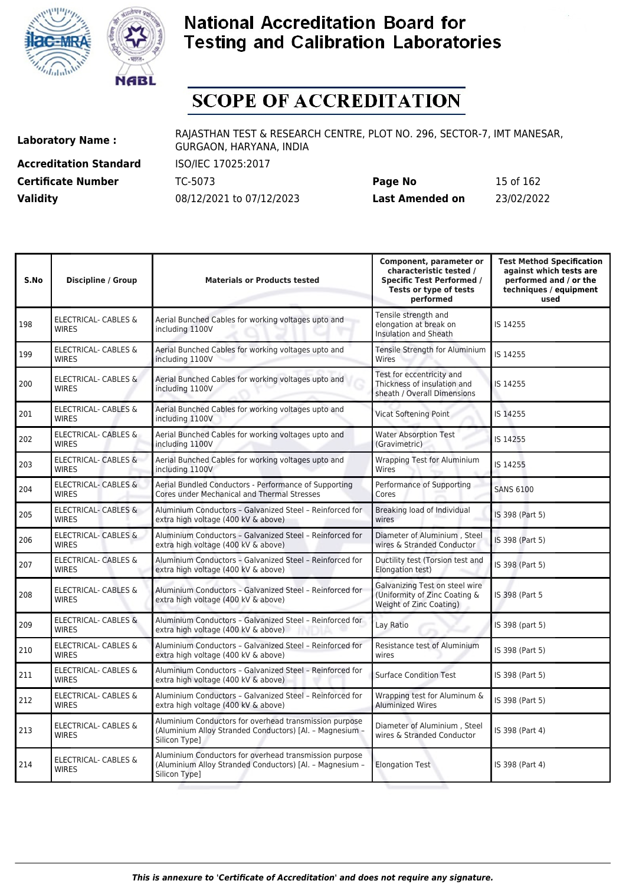



# **SCOPE OF ACCREDITATION**

**Accreditation Standard** ISO/IEC 17025:2017

**Laboratory Name :** RAJASTHAN TEST & RESEARCH CENTRE, PLOT NO. 296, SECTOR-7, IMT MANESAR, GURGAON, HARYANA, INDIA

**Certificate Number** TC-5073 **Page No** 15 of 162 **Validity** 08/12/2021 to 07/12/2023 **Last Amended on** 23/02/2022

| S.No | <b>Discipline / Group</b>                       | <b>Materials or Products tested</b>                                                                                                 | Component, parameter or<br>characteristic tested /<br><b>Specific Test Performed /</b><br>Tests or type of tests<br>performed | <b>Test Method Specification</b><br>against which tests are<br>performed and / or the<br>techniques / equipment<br>used |
|------|-------------------------------------------------|-------------------------------------------------------------------------------------------------------------------------------------|-------------------------------------------------------------------------------------------------------------------------------|-------------------------------------------------------------------------------------------------------------------------|
| 198  | <b>ELECTRICAL- CABLES &amp;</b><br><b>WIRES</b> | Aerial Bunched Cables for working voltages upto and<br>including 1100V                                                              | Tensile strength and<br>elongation at break on<br>Insulation and Sheath                                                       | IS 14255                                                                                                                |
| 199  | ELECTRICAL- CABLES &<br><b>WIRES</b>            | Aerial Bunched Cables for working voltages upto and<br>including 1100V                                                              | Tensile Strength for Aluminium<br>Wires                                                                                       | IS 14255                                                                                                                |
| 200  | ELECTRICAL- CABLES &<br><b>WIRES</b>            | Aerial Bunched Cables for working voltages upto and<br>including 1100V                                                              | Test for eccentricity and<br>Thickness of insulation and<br>sheath / Overall Dimensions                                       | IS 14255                                                                                                                |
| 201  | ELECTRICAL- CABLES &<br><b>WIRES</b>            | Aerial Bunched Cables for working voltages upto and<br>including 1100V                                                              | <b>Vicat Softening Point</b>                                                                                                  | IS 14255                                                                                                                |
| 202  | ELECTRICAL- CABLES &<br><b>WIRES</b>            | Aerial Bunched Cables for working voltages upto and<br>including 1100V                                                              | <b>Water Absorption Test</b><br>(Gravimetric)                                                                                 | IS 14255                                                                                                                |
| 203  | ELECTRICAL- CABLES &<br><b>WIRES</b>            | Aerial Bunched Cables for working voltages upto and<br>including 1100V                                                              | <b>Wrapping Test for Aluminium</b><br>Wires                                                                                   | IS 14255                                                                                                                |
| 204  | <b>ELECTRICAL- CABLES &amp;</b><br><b>WIRES</b> | Aerial Bundled Conductors - Performance of Supporting<br><b>Cores under Mechanical and Thermal Stresses</b>                         | Performance of Supporting<br>Cores                                                                                            | <b>SANS 6100</b>                                                                                                        |
| 205  | <b>ELECTRICAL- CABLES &amp;</b><br><b>WIRES</b> | Aluminium Conductors - Galvanized Steel - Reinforced for<br>extra high voltage (400 kV & above)                                     | Breaking load of Individual<br>wires                                                                                          | IS 398 (Part 5)                                                                                                         |
| 206  | ELECTRICAL- CABLES &<br><b>WIRES</b>            | Aluminium Conductors - Galvanized Steel - Reinforced for<br>extra high voltage (400 kV & above)                                     | Diameter of Aluminium, Steel<br>wires & Stranded Conductor                                                                    | IS 398 (Part 5)                                                                                                         |
| 207  | ELECTRICAL- CABLES &<br><b>WIRES</b>            | Aluminium Conductors - Galvanized Steel - Reinforced for<br>extra high voltage (400 kV & above)                                     | Ductility test (Torsion test and<br>Elongation test)                                                                          | IS 398 (Part 5)                                                                                                         |
| 208  | <b>ELECTRICAL- CABLES &amp;</b><br><b>WIRES</b> | Aluminium Conductors - Galvanized Steel - Reinforced for<br>extra high voltage (400 kV & above)                                     | Galvanizing Test on steel wire<br>(Uniformity of Zinc Coating &<br>Weight of Zinc Coating)                                    | IS 398 (Part 5                                                                                                          |
| 209  | <b>ELECTRICAL- CABLES &amp;</b><br><b>WIRES</b> | Aluminium Conductors - Galvanized Steel - Reinforced for<br>extra high voltage (400 kV & above)                                     | Lay Ratio                                                                                                                     | IS 398 (part 5)                                                                                                         |
| 210  | ELECTRICAL- CABLES &<br><b>WIRES</b>            | Aluminium Conductors - Galvanized Steel - Reinforced for<br>extra high voltage (400 kV & above)                                     | Resistance test of Aluminium<br>wires                                                                                         | IS 398 (Part 5)                                                                                                         |
| 211  | ELECTRICAL- CABLES &<br><b>WIRES</b>            | Aluminium Conductors - Galvanized Steel - Reinforced for<br>extra high voltage (400 kV & above)                                     | <b>Surface Condition Test</b>                                                                                                 | IS 398 (Part 5)                                                                                                         |
| 212  | <b>ELECTRICAL- CABLES &amp;</b><br><b>WIRES</b> | Aluminium Conductors - Galvanized Steel - Reinforced for<br>extra high voltage (400 kV & above)                                     | Wrapping test for Aluminum &<br><b>Aluminized Wires</b>                                                                       | IS 398 (Part 5)                                                                                                         |
| 213  | ELECTRICAL- CABLES &<br><b>WIRES</b>            | Aluminium Conductors for overhead transmission purpose<br>(Aluminium Alloy Stranded Conductors) [Al. - Magnesium -<br>Silicon Type] | Diameter of Aluminium, Steel<br>wires & Stranded Conductor                                                                    | IS 398 (Part 4)                                                                                                         |
| 214  | <b>ELECTRICAL- CABLES &amp;</b><br><b>WIRES</b> | Aluminium Conductors for overhead transmission purpose<br>(Aluminium Alloy Stranded Conductors) [Al. - Magnesium -<br>Silicon Type] | <b>Elongation Test</b>                                                                                                        | IS 398 (Part 4)                                                                                                         |
|      |                                                 |                                                                                                                                     |                                                                                                                               |                                                                                                                         |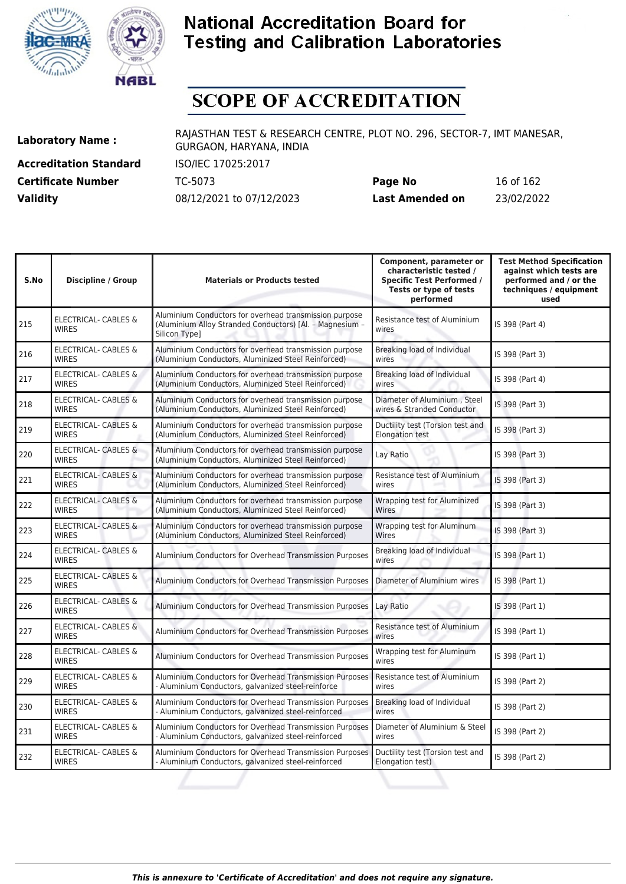



# **SCOPE OF ACCREDITATION**

**Accreditation Standard** ISO/IEC 17025:2017

**Laboratory Name :** RAJASTHAN TEST & RESEARCH CENTRE, PLOT NO. 296, SECTOR-7, IMT MANESAR, GURGAON, HARYANA, INDIA

**Certificate Number** TC-5073 **Page No** 16 of 162 **Validity** 08/12/2021 to 07/12/2023 **Last Amended on** 23/02/2022

| S.No | <b>Discipline / Group</b>                       | <b>Materials or Products tested</b>                                                                                                 | Component, parameter or<br>characteristic tested /<br><b>Specific Test Performed /</b><br>Tests or type of tests<br>performed | <b>Test Method Specification</b><br>against which tests are<br>performed and / or the<br>techniques / equipment<br>used |
|------|-------------------------------------------------|-------------------------------------------------------------------------------------------------------------------------------------|-------------------------------------------------------------------------------------------------------------------------------|-------------------------------------------------------------------------------------------------------------------------|
| 215  | <b>ELECTRICAL- CABLES &amp;</b><br><b>WIRES</b> | Aluminium Conductors for overhead transmission purpose<br>(Aluminium Alloy Stranded Conductors) [Al. - Magnesium -<br>Silicon Type] | Resistance test of Aluminium<br>wires                                                                                         | IS 398 (Part 4)                                                                                                         |
| 216  | ELECTRICAL- CABLES &<br><b>WIRES</b>            | Aluminium Conductors for overhead transmission purpose<br>(Aluminium Conductors, Aluminized Steel Reinforced)                       | Breaking load of Individual<br>wires                                                                                          | IS 398 (Part 3)                                                                                                         |
| 217  | ELECTRICAL- CABLES &<br><b>WIRES</b>            | Aluminium Conductors for overhead transmission purpose<br>(Aluminium Conductors, Aluminized Steel Reinforced)                       | Breaking load of Individual<br>wires                                                                                          | IS 398 (Part 4)                                                                                                         |
| 218  | ELECTRICAL- CABLES &<br><b>WIRES</b>            | Aluminium Conductors for overhead transmission purpose<br>(Aluminium Conductors, Aluminized Steel Reinforced)                       | Diameter of Aluminium, Steel<br>wires & Stranded Conductor                                                                    | IS 398 (Part 3)                                                                                                         |
| 219  | ELECTRICAL- CABLES &<br><b>WIRES</b>            | Aluminium Conductors for overhead transmission purpose<br>(Aluminium Conductors, Aluminized Steel Reinforced)                       | Ductility test (Torsion test and<br><b>Elongation test</b>                                                                    | IS 398 (Part 3)                                                                                                         |
| 220  | ELECTRICAL- CABLES &<br><b>WIRES</b>            | Aluminium Conductors for overhead transmission purpose<br>(Aluminium Conductors, Aluminized Steel Reinforced)                       | Lay Ratio                                                                                                                     | IS 398 (Part 3)                                                                                                         |
| 221  | <b>ELECTRICAL- CABLES &amp;</b><br><b>WIRES</b> | Aluminium Conductors for overhead transmission purpose<br>(Aluminium Conductors, Aluminized Steel Reinforced)                       | Resistance test of Aluminium<br>wires                                                                                         | IS 398 (Part 3)                                                                                                         |
| 222  | ELECTRICAL- CABLES &<br><b>WIRES</b>            | Aluminium Conductors for overhead transmission purpose<br>(Aluminium Conductors, Aluminized Steel Reinforced)                       | Wrapping test for Aluminized<br>Wires                                                                                         | IS 398 (Part 3)                                                                                                         |
| 223  | <b>ELECTRICAL- CABLES &amp;</b><br><b>WIRES</b> | Aluminium Conductors for overhead transmission purpose<br>(Aluminium Conductors, Aluminized Steel Reinforced)                       | Wrapping test for Aluminum<br>Wires                                                                                           | IS 398 (Part 3)                                                                                                         |
| 224  | <b>ELECTRICAL- CABLES &amp;</b><br><b>WIRES</b> | Aluminium Conductors for Overhead Transmission Purposes                                                                             | Breaking load of Individual<br>wires                                                                                          | IS 398 (Part 1)                                                                                                         |
| 225  | <b>ELECTRICAL- CABLES &amp;</b><br><b>WIRES</b> | Aluminium Conductors for Overhead Transmission Purposes                                                                             | Diameter of Aluminium wires                                                                                                   | IS 398 (Part 1)                                                                                                         |
| 226  | ELECTRICAL- CABLES &<br><b>WIRES</b>            | Aluminium Conductors for Overhead Transmission Purposes                                                                             | Lay Ratio                                                                                                                     | IS 398 (Part 1)                                                                                                         |
| 227  | ELECTRICAL- CABLES &<br><b>WIRES</b>            | Aluminium Conductors for Overhead Transmission Purposes                                                                             | Resistance test of Aluminium<br>wires                                                                                         | IS 398 (Part 1)                                                                                                         |
| 228  | ELECTRICAL- CABLES &<br><b>WIRES</b>            | Aluminium Conductors for Overhead Transmission Purposes                                                                             | Wrapping test for Aluminum<br>wires                                                                                           | IS 398 (Part 1)                                                                                                         |
| 229  | ELECTRICAL- CABLES &<br><b>WIRES</b>            | Aluminium Conductors for Overhead Transmission Purposes<br>- Aluminium Conductors, galvanized steel-reinforce                       | Resistance test of Aluminium<br>wires                                                                                         | IS 398 (Part 2)                                                                                                         |
| 230  | ELECTRICAL- CABLES &<br><b>WIRES</b>            | Aluminium Conductors for Overhead Transmission Purposes<br>- Aluminium Conductors, galvanized steel-reinforced                      | Breaking load of Individual<br>wires                                                                                          | IS 398 (Part 2)                                                                                                         |
| 231  | ELECTRICAL- CABLES &<br><b>WIRES</b>            | Aluminium Conductors for Overhead Transmission Purposes<br>- Aluminium Conductors, galvanized steel-reinforced                      | Diameter of Aluminium & Steel<br>wires                                                                                        | IS 398 (Part 2)                                                                                                         |
| 232  | ELECTRICAL- CABLES &<br><b>WIRES</b>            | Aluminium Conductors for Overhead Transmission Purposes<br>- Aluminium Conductors, galvanized steel-reinforced                      | Ductility test (Torsion test and<br>Elongation test)                                                                          | IS 398 (Part 2)                                                                                                         |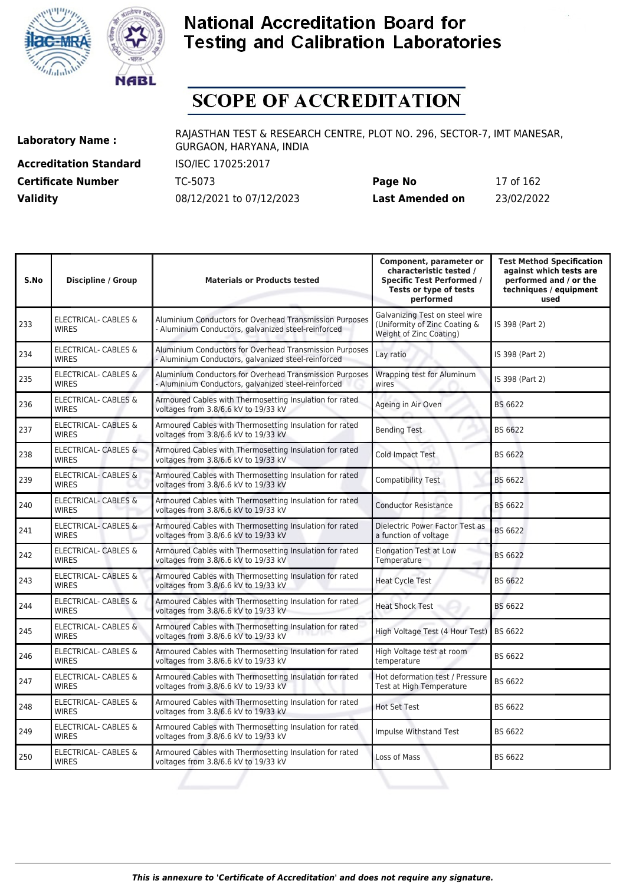



# **SCOPE OF ACCREDITATION**

**Accreditation Standard** ISO/IEC 17025:2017

**Laboratory Name :** RAJASTHAN TEST & RESEARCH CENTRE, PLOT NO. 296, SECTOR-7, IMT MANESAR, GURGAON, HARYANA, INDIA

**Certificate Number** TC-5073 **Page No** 17 of 162 **Validity** 08/12/2021 to 07/12/2023 **Last Amended on** 23/02/2022

| <b>Discipline / Group</b>                       | <b>Materials or Products tested</b>                                                                            | Component, parameter or<br>characteristic tested /<br><b>Specific Test Performed /</b><br>Tests or type of tests<br>performed | <b>Test Method Specification</b><br>against which tests are<br>performed and / or the<br>techniques / equipment<br>used |
|-------------------------------------------------|----------------------------------------------------------------------------------------------------------------|-------------------------------------------------------------------------------------------------------------------------------|-------------------------------------------------------------------------------------------------------------------------|
| <b>ELECTRICAL- CABLES &amp;</b><br><b>WIRES</b> | Aluminium Conductors for Overhead Transmission Purposes<br>- Aluminium Conductors, galvanized steel-reinforced | Galvanizing Test on steel wire<br>(Uniformity of Zinc Coating &<br>Weight of Zinc Coating)                                    | IS 398 (Part 2)                                                                                                         |
| <b>ELECTRICAL- CABLES &amp;</b><br><b>WIRES</b> | Aluminium Conductors for Overhead Transmission Purposes<br>- Aluminium Conductors, galvanized steel-reinforced | Lay ratio                                                                                                                     | IS 398 (Part 2)                                                                                                         |
| ELECTRICAL- CABLES &<br><b>WIRES</b>            | Aluminium Conductors for Overhead Transmission Purposes<br>- Aluminium Conductors, galvanized steel-reinforced | Wrapping test for Aluminum<br>wires                                                                                           | IS 398 (Part 2)                                                                                                         |
| ELECTRICAL- CABLES &<br><b>WIRES</b>            | Armoured Cables with Thermosetting Insulation for rated<br>voltages from 3.8/6.6 kV to 19/33 kV                | Ageing in Air Oven                                                                                                            | BS 6622                                                                                                                 |
| ELECTRICAL- CABLES &<br><b>WIRES</b>            | Armoured Cables with Thermosetting Insulation for rated<br>voltages from 3.8/6.6 kV to 19/33 kV                | <b>Bending Test</b>                                                                                                           | BS 6622                                                                                                                 |
| <b>ELECTRICAL- CABLES &amp;</b><br><b>WIRES</b> | Armoured Cables with Thermosetting Insulation for rated<br>voltages from 3.8/6.6 kV to 19/33 kV                | Cold Impact Test                                                                                                              | BS 6622                                                                                                                 |
| <b>ELECTRICAL- CABLES &amp;</b><br><b>WIRES</b> | Armoured Cables with Thermosetting Insulation for rated<br>voltages from 3.8/6.6 kV to 19/33 kV                | Compatibility Test                                                                                                            | BS 6622                                                                                                                 |
| <b>ELECTRICAL- CABLES &amp;</b><br><b>WIRES</b> | Armoured Cables with Thermosetting Insulation for rated<br>voltages from 3.8/6.6 kV to 19/33 kV                | <b>Conductor Resistance</b>                                                                                                   | BS 6622                                                                                                                 |
| <b>ELECTRICAL- CABLES &amp;</b><br><b>WIRES</b> | Armoured Cables with Thermosetting Insulation for rated<br>voltages from 3.8/6.6 kV to 19/33 kV                | Dielectric Power Factor Test as<br>a function of voltage                                                                      | BS 6622                                                                                                                 |
| <b>ELECTRICAL- CABLES &amp;</b><br><b>WIRFS</b> | Armoured Cables with Thermosetting Insulation for rated<br>voltages from 3.8/6.6 kV to 19/33 kV                | <b>Elongation Test at Low</b><br>Temperature                                                                                  | <b>BS 6622</b>                                                                                                          |
| <b>ELECTRICAL- CABLES &amp;</b><br><b>WIRES</b> | Armoured Cables with Thermosetting Insulation for rated<br>voltages from 3.8/6.6 kV to 19/33 kV                | <b>Heat Cycle Test</b>                                                                                                        | BS 6622                                                                                                                 |
| <b>ELECTRICAL- CABLES &amp;</b><br><b>WIRES</b> | Armoured Cables with Thermosetting Insulation for rated<br>voltages from 3.8/6.6 kV to 19/33 kV                | <b>Heat Shock Test</b>                                                                                                        | BS 6622                                                                                                                 |
| <b>ELECTRICAL- CABLES &amp;</b><br><b>WIRES</b> | Armoured Cables with Thermosetting Insulation for rated<br>voltages from 3.8/6.6 kV to 19/33 kV                |                                                                                                                               | BS 6622                                                                                                                 |
| <b>ELECTRICAL- CABLES &amp;</b><br><b>WIRES</b> | Armoured Cables with Thermosetting Insulation for rated<br>voltages from 3.8/6.6 kV to 19/33 kV                | High Voltage test at room<br>temperature                                                                                      | BS 6622                                                                                                                 |
| ELECTRICAL- CABLES &<br><b>WIRES</b>            | Armoured Cables with Thermosetting Insulation for rated<br>voltages from 3.8/6.6 kV to 19/33 kV                | Hot deformation test / Pressure<br>Test at High Temperature                                                                   | BS 6622                                                                                                                 |
| <b>ELECTRICAL- CABLES &amp;</b><br><b>WIRES</b> | Armoured Cables with Thermosetting Insulation for rated<br>voltages from 3.8/6.6 kV to 19/33 kV                | <b>Hot Set Test</b>                                                                                                           | BS 6622                                                                                                                 |
| ELECTRICAL- CABLES &<br><b>WIRES</b>            | Armoured Cables with Thermosetting Insulation for rated<br>voltages from 3.8/6.6 kV to 19/33 kV                | Impulse Withstand Test                                                                                                        | BS 6622                                                                                                                 |
| ELECTRICAL- CABLES &<br><b>WIRES</b>            | Armoured Cables with Thermosetting Insulation for rated<br>voltages from 3.8/6.6 kV to 19/33 kV                | Loss of Mass                                                                                                                  | BS 6622                                                                                                                 |
|                                                 |                                                                                                                |                                                                                                                               | High Voltage Test (4 Hour Test)                                                                                         |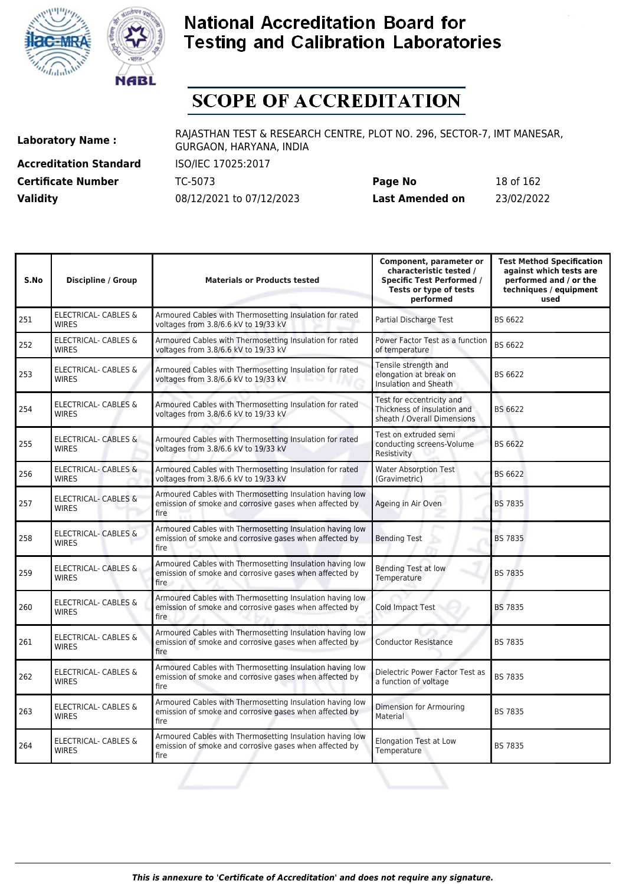



# **SCOPE OF ACCREDITATION**

**Accreditation Standard** ISO/IEC 17025:2017 **Certificate Number** TC-5073

| <b>Certificate Number</b> | TC-5073                  | Page No         | 18 of 162  |
|---------------------------|--------------------------|-----------------|------------|
| <b>Validity</b>           | 08/12/2021 to 07/12/2023 | Last Amended on | 23/02/2022 |

| S.No | <b>Discipline / Group</b>                       | <b>Materials or Products tested</b>                                                                                        | Component, parameter or<br>characteristic tested /<br><b>Specific Test Performed /</b><br>Tests or type of tests<br>performed | <b>Test Method Specification</b><br>against which tests are<br>performed and / or the<br>techniques / equipment<br>used |
|------|-------------------------------------------------|----------------------------------------------------------------------------------------------------------------------------|-------------------------------------------------------------------------------------------------------------------------------|-------------------------------------------------------------------------------------------------------------------------|
| 251  | <b>ELECTRICAL- CABLES &amp;</b><br><b>WIRFS</b> | Armoured Cables with Thermosetting Insulation for rated<br>voltages from 3.8/6.6 kV to 19/33 kV                            | Partial Discharge Test                                                                                                        | BS 6622                                                                                                                 |
| 252  | <b>ELECTRICAL- CABLES &amp;</b><br><b>WIRES</b> | Armoured Cables with Thermosetting Insulation for rated<br>voltages from 3.8/6.6 kV to 19/33 kV                            | Power Factor Test as a function<br>of temperature                                                                             | BS 6622                                                                                                                 |
| 253  | ELECTRICAL- CABLES &<br><b>WIRES</b>            | Armoured Cables with Thermosetting Insulation for rated<br>voltages from 3.8/6.6 kV to 19/33 kV                            | Tensile strength and<br>elongation at break on<br>Insulation and Sheath                                                       | BS 6622                                                                                                                 |
| 254  | <b>ELECTRICAL- CABLES &amp;</b><br><b>WIRES</b> | Armoured Cables with Thermosetting Insulation for rated<br>voltages from 3.8/6.6 kV to 19/33 kV                            | Test for eccentricity and<br>Thickness of insulation and<br>sheath / Overall Dimensions                                       | BS 6622                                                                                                                 |
| 255  | <b>ELECTRICAL- CABLES &amp;</b><br><b>WIRES</b> | Armoured Cables with Thermosetting Insulation for rated<br>voltages from 3.8/6.6 kV to 19/33 kV                            | Test on extruded semi<br>conducting screens-Volume<br>Resistivity                                                             | BS 6622                                                                                                                 |
| 256  | <b>ELECTRICAL- CABLES &amp;</b><br><b>WIRES</b> | Armoured Cables with Thermosetting Insulation for rated<br>voltages from 3.8/6.6 kV to 19/33 kV                            | <b>Water Absorption Test</b><br>(Gravimetric)                                                                                 | BS 6622                                                                                                                 |
| 257  | <b>ELECTRICAL- CABLES &amp;</b><br><b>WIRES</b> | Armoured Cables with Thermosetting Insulation having low<br>emission of smoke and corrosive gases when affected by<br>fire | Ageing in Air Oven                                                                                                            | <b>BS 7835</b>                                                                                                          |
| 258  | <b>ELECTRICAL- CABLES &amp;</b><br><b>WIRES</b> | Armoured Cables with Thermosetting Insulation having low<br>emission of smoke and corrosive gases when affected by<br>fire | <b>Bending Test</b>                                                                                                           | <b>BS 7835</b>                                                                                                          |
| 259  | ELECTRICAL- CABLES &<br><b>WIRES</b>            | Armoured Cables with Thermosetting Insulation having low<br>emission of smoke and corrosive gases when affected by<br>fire | Bending Test at low<br><b>Temperature</b>                                                                                     | <b>BS 7835</b>                                                                                                          |
| 260  | <b>ELECTRICAL- CABLES &amp;</b><br><b>WIRES</b> | Armoured Cables with Thermosetting Insulation having low<br>emission of smoke and corrosive gases when affected by<br>fire | Cold Impact Test                                                                                                              | <b>BS 7835</b>                                                                                                          |
| 261  | ELECTRICAL- CABLES &<br><b>WIRES</b>            | Armoured Cables with Thermosetting Insulation having low<br>emission of smoke and corrosive gases when affected by<br>fire | <b>Conductor Resistance</b>                                                                                                   | <b>BS 7835</b>                                                                                                          |
| 262  | <b>ELECTRICAL- CABLES &amp;</b><br><b>WIRES</b> | Armoured Cables with Thermosetting Insulation having low<br>emission of smoke and corrosive gases when affected by<br>fire | Dielectric Power Factor Test as<br>a function of voltage                                                                      | <b>BS 7835</b>                                                                                                          |
| 263  | <b>ELECTRICAL- CABLES &amp;</b><br><b>WIRES</b> | Armoured Cables with Thermosetting Insulation having low<br>emission of smoke and corrosive gases when affected by<br>fire | Dimension for Armouring<br>Material                                                                                           | <b>BS 7835</b>                                                                                                          |
| 264  | <b>ELECTRICAL- CABLES &amp;</b><br><b>WIRES</b> | Armoured Cables with Thermosetting Insulation having low<br>emission of smoke and corrosive gases when affected by<br>fire | <b>Elongation Test at Low</b><br>Temperature                                                                                  | <b>BS 7835</b>                                                                                                          |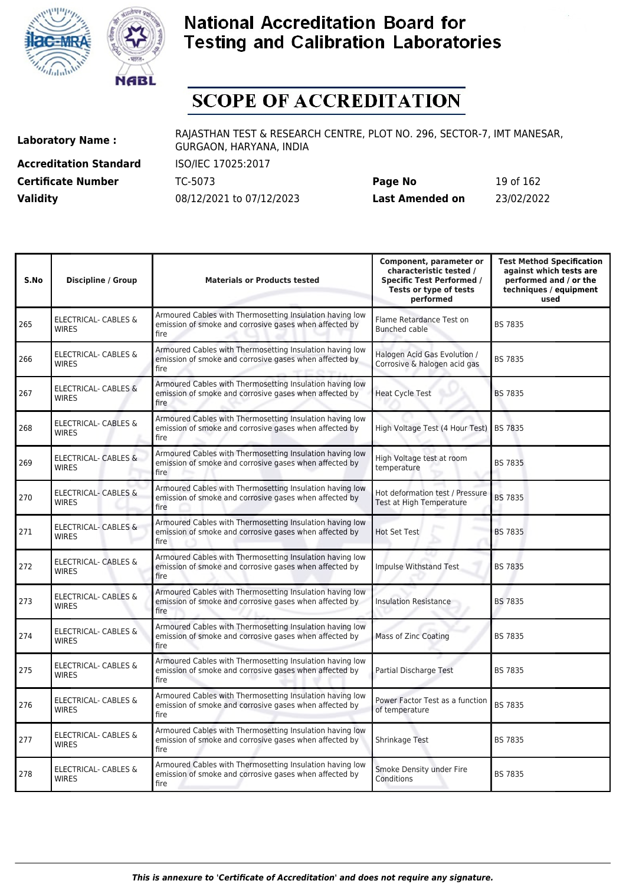



# **SCOPE OF ACCREDITATION**

**Accreditation Standard** ISO/IEC 17025:2017 **Certificate Number** TC-5073 **Validity** 08/12/2021 to 07/12/2023

| Page No         | 19 of 162  |
|-----------------|------------|
| Last Amended on | 23/02/2022 |

| S.No | <b>Discipline / Group</b>                       | <b>Materials or Products tested</b>                                                                                         | Component, parameter or<br>characteristic tested /<br><b>Specific Test Performed /</b><br>Tests or type of tests<br>performed | <b>Test Method Specification</b><br>against which tests are<br>performed and / or the<br>techniques / equipment<br>used |
|------|-------------------------------------------------|-----------------------------------------------------------------------------------------------------------------------------|-------------------------------------------------------------------------------------------------------------------------------|-------------------------------------------------------------------------------------------------------------------------|
| 265  | ELECTRICAL- CABLES &<br><b>WIRES</b>            | Armoured Cables with Thermosetting Insulation having low<br>emission of smoke and corrosive gases when affected by<br>fire  | Flame Retardance Test on<br>Bunched cable                                                                                     | <b>BS 7835</b>                                                                                                          |
| 266  | <b>ELECTRICAL- CABLES &amp;</b><br><b>WIRES</b> | Armoured Cables with Thermosetting Insulation having low<br>emission of smoke and corrosive gases when affected by<br>fire  | Halogen Acid Gas Evolution /<br>Corrosive & halogen acid gas                                                                  | <b>BS 7835</b>                                                                                                          |
| 267  | <b>ELECTRICAL- CABLES &amp;</b><br><b>WIRES</b> | Armoured Cables with Thermosetting Insulation having low<br>emission of smoke and corrosive gases when affected by<br>fire. | <b>Heat Cycle Test</b>                                                                                                        | <b>BS 7835</b>                                                                                                          |
| 268  | <b>ELECTRICAL- CABLES &amp;</b><br><b>WIRES</b> | Armoured Cables with Thermosetting Insulation having low<br>emission of smoke and corrosive gases when affected by<br>fire  | High Voltage Test (4 Hour Test)                                                                                               | <b>BS 7835</b>                                                                                                          |
| 269  | <b>ELECTRICAL- CABLES &amp;</b><br><b>WIRES</b> | Armoured Cables with Thermosetting Insulation having low<br>emission of smoke and corrosive gases when affected by<br>fire  | High Voltage test at room<br>temperature                                                                                      | <b>BS 7835</b>                                                                                                          |
| 270  | ELECTRICAL- CABLES &<br><b>WIRES</b>            | Armoured Cables with Thermosetting Insulation having low<br>emission of smoke and corrosive gases when affected by<br>fire  | Hot deformation test / Pressure<br>Test at High Temperature                                                                   | <b>BS 7835</b>                                                                                                          |
| 271  | <b>ELECTRICAL- CABLES &amp;</b><br><b>WIRES</b> | Armoured Cables with Thermosetting Insulation having low<br>emission of smoke and corrosive gases when affected by<br>fire  | <b>Hot Set Test</b>                                                                                                           | <b>BS 7835</b>                                                                                                          |
| 272  | ELECTRICAL- CABLES &<br><b>WIRES</b>            | Armoured Cables with Thermosetting Insulation having low<br>emission of smoke and corrosive gases when affected by<br>fire  | Impulse Withstand Test                                                                                                        | <b>BS 7835</b>                                                                                                          |
| 273  | ELECTRICAL- CABLES &<br><b>WIRES</b>            | Armoured Cables with Thermosetting Insulation having low<br>emission of smoke and corrosive gases when affected by<br>fire  | <b>Insulation Resistance</b>                                                                                                  | <b>BS 7835</b>                                                                                                          |
| 274  | <b>ELECTRICAL- CABLES &amp;</b><br><b>WIRES</b> | Armoured Cables with Thermosetting Insulation having low<br>emission of smoke and corrosive gases when affected by<br>fire  | <b>Mass of Zinc Coating</b>                                                                                                   | BS 7835                                                                                                                 |
| 275  | ELECTRICAL- CABLES &<br><b>WIRFS</b>            | Armoured Cables with Thermosetting Insulation having low<br>emission of smoke and corrosive gases when affected by<br>fire  | Partial Discharge Test                                                                                                        | <b>BS 7835</b>                                                                                                          |
| 276  | <b>ELECTRICAL- CABLES &amp;</b><br><b>WIRES</b> | Armoured Cables with Thermosetting Insulation having low<br>emission of smoke and corrosive gases when affected by<br>fire  | Power Factor Test as a function<br>of temperature                                                                             | <b>BS 7835</b>                                                                                                          |
| 277  | ELECTRICAL- CABLES &<br><b>WIRES</b>            | Armoured Cables with Thermosetting Insulation having low<br>emission of smoke and corrosive gases when affected by<br>fire  | Shrinkage Test                                                                                                                | <b>BS 7835</b>                                                                                                          |
| 278  | ELECTRICAL- CABLES &<br><b>WIRES</b>            | Armoured Cables with Thermosetting Insulation having low<br>emission of smoke and corrosive gases when affected by<br>fire  | Smoke Density under Fire<br>Conditions                                                                                        | <b>BS 7835</b>                                                                                                          |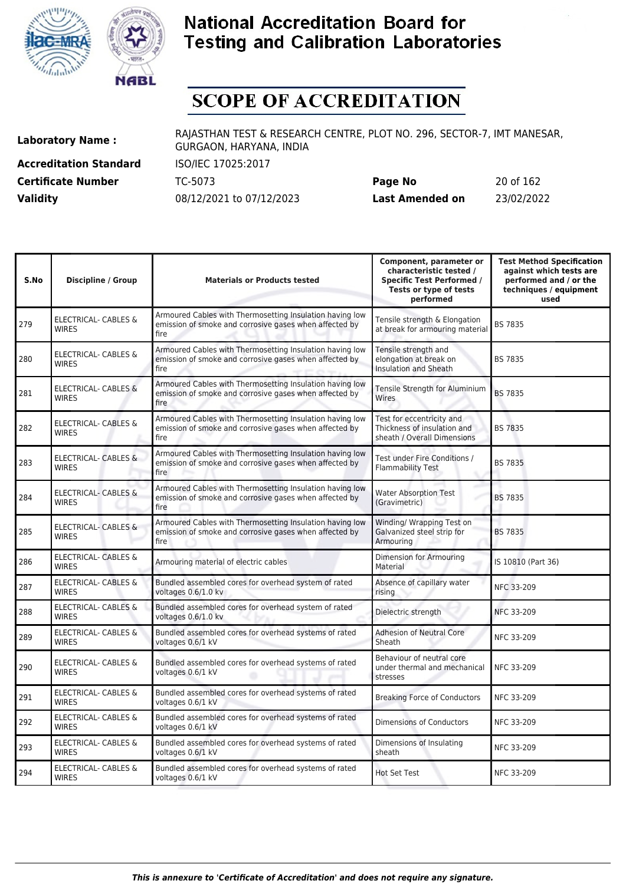



# **SCOPE OF ACCREDITATION**

**Accreditation Standard** ISO/IEC 17025:2017 **Certificate Number** TC-5073

| <b>Certificate Number</b> | TC-5073                  | Page No         | 20 of 162  |
|---------------------------|--------------------------|-----------------|------------|
| <b>Validity</b>           | 08/12/2021 to 07/12/2023 | Last Amended on | 23/02/2022 |

| S.No | <b>Discipline / Group</b>                       | <b>Materials or Products tested</b>                                                                                        | Component, parameter or<br>characteristic tested /<br><b>Specific Test Performed /</b><br>Tests or type of tests<br>performed | <b>Test Method Specification</b><br>against which tests are<br>performed and / or the<br>techniques / equipment<br>used |
|------|-------------------------------------------------|----------------------------------------------------------------------------------------------------------------------------|-------------------------------------------------------------------------------------------------------------------------------|-------------------------------------------------------------------------------------------------------------------------|
| 279  | ELECTRICAL- CABLES &<br><b>WIRES</b>            | Armoured Cables with Thermosetting Insulation having low<br>emission of smoke and corrosive gases when affected by<br>fire | Tensile strength & Elongation<br>at break for armouring material                                                              | <b>BS 7835</b>                                                                                                          |
| 280  | <b>ELECTRICAL- CABLES &amp;</b><br><b>WIRES</b> | Armoured Cables with Thermosetting Insulation having low<br>emission of smoke and corrosive gases when affected by<br>fire | Tensile strength and<br>elongation at break on<br>Insulation and Sheath                                                       | <b>BS 7835</b>                                                                                                          |
| 281  | <b>ELECTRICAL- CABLES &amp;</b><br><b>WIRES</b> | Armoured Cables with Thermosetting Insulation having low<br>emission of smoke and corrosive gases when affected by<br>fire | Tensile Strength for Aluminium<br>Wires                                                                                       | <b>BS 7835</b>                                                                                                          |
| 282  | ELECTRICAL- CABLES &<br><b>WIRES</b>            | Armoured Cables with Thermosetting Insulation having low<br>emission of smoke and corrosive gases when affected by<br>fire | Test for eccentricity and<br>Thickness of insulation and<br>sheath / Overall Dimensions                                       | <b>BS 7835</b>                                                                                                          |
| 283  | <b>ELECTRICAL- CABLES &amp;</b><br><b>WIRES</b> | Armoured Cables with Thermosetting Insulation having low<br>emission of smoke and corrosive gases when affected by<br>fire | Test under Fire Conditions /<br><b>Flammability Test</b>                                                                      | <b>BS 7835</b>                                                                                                          |
| 284  | <b>ELECTRICAL- CABLES &amp;</b><br><b>WIRES</b> | Armoured Cables with Thermosetting Insulation having low<br>emission of smoke and corrosive gases when affected by<br>fire | <b>Water Absorption Test</b><br>(Gravimetric)                                                                                 | <b>BS 7835</b>                                                                                                          |
| 285  | <b>ELECTRICAL- CABLES &amp;</b><br><b>WIRES</b> | Armoured Cables with Thermosetting Insulation having low<br>emission of smoke and corrosive gases when affected by<br>fire | Winding/ Wrapping Test on<br>Galvanized steel strip for<br>Armouring                                                          | <b>BS 7835</b>                                                                                                          |
| 286  | ELECTRICAL- CABLES &<br><b>WIRES</b>            | Armouring material of electric cables                                                                                      | Dimension for Armouring<br>Material                                                                                           | IS 10810 (Part 36)                                                                                                      |
| 287  | <b>ELECTRICAL- CABLES &amp;</b><br><b>WIRES</b> | Bundled assembled cores for overhead system of rated<br>voltages 0.6/1.0 kv                                                | Absence of capillary water<br>rising                                                                                          | <b>NFC 33-209</b>                                                                                                       |
| 288  | ELECTRICAL- CABLES &<br><b>WIRES</b>            | Bundled assembled cores for overhead system of rated<br>voltages 0.6/1.0 kv                                                | Dielectric strength                                                                                                           | NFC 33-209                                                                                                              |
| 289  | <b>ELECTRICAL- CABLES &amp;</b><br><b>WIRES</b> | Bundled assembled cores for overhead systems of rated<br>voltages 0.6/1 kV                                                 | <b>Adhesion of Neutral Core</b><br>Sheath                                                                                     | NFC 33-209                                                                                                              |
| 290  | <b>ELECTRICAL- CABLES &amp;</b><br><b>WIRES</b> | Bundled assembled cores for overhead systems of rated<br>voltages 0.6/1 kV                                                 | Behaviour of neutral core<br>under thermal and mechanical<br>stresses                                                         | NFC 33-209                                                                                                              |
| 291  | ELECTRICAL- CABLES &<br><b>WIRES</b>            | Bundled assembled cores for overhead systems of rated<br>voltages 0.6/1 kV                                                 | <b>Breaking Force of Conductors</b>                                                                                           | NFC 33-209                                                                                                              |
| 292  | ELECTRICAL- CABLES &<br><b>WIRES</b>            | Bundled assembled cores for overhead systems of rated<br>voltages 0.6/1 kV                                                 | <b>Dimensions of Conductors</b>                                                                                               | NFC 33-209                                                                                                              |
| 293  | ELECTRICAL- CABLES &<br><b>WIRES</b>            | Bundled assembled cores for overhead systems of rated<br>voltages 0.6/1 kV                                                 | Dimensions of Insulating<br>sheath                                                                                            | NFC 33-209                                                                                                              |
| 294  | ELECTRICAL- CABLES &<br><b>WIRES</b>            | Bundled assembled cores for overhead systems of rated<br>voltages 0.6/1 kV                                                 | <b>Hot Set Test</b>                                                                                                           | NFC 33-209                                                                                                              |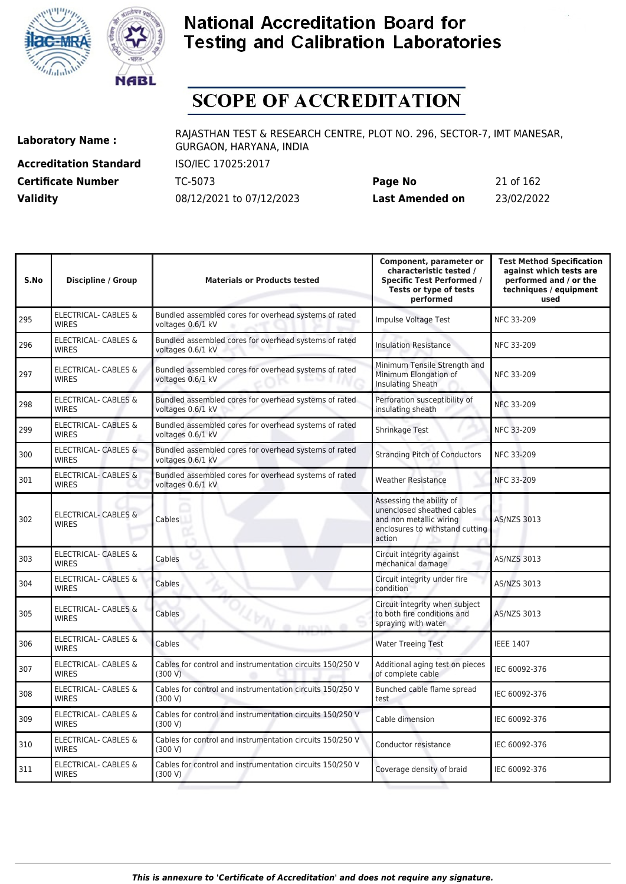



# **SCOPE OF ACCREDITATION**

**Accreditation Standard** ISO/IEC 17025:2017

**Laboratory Name :** RAJASTHAN TEST & RESEARCH CENTRE, PLOT NO. 296, SECTOR-7, IMT MANESAR, GURGAON, HARYANA, INDIA

**Certificate Number** TC-5073 **Page No** 21 of 162 **Validity** 08/12/2021 to 07/12/2023 **Last Amended on** 23/02/2022

| S.No | <b>Discipline / Group</b>                       | <b>Materials or Products tested</b>                                        | Component, parameter or<br>characteristic tested /<br><b>Specific Test Performed /</b><br>Tests or type of tests<br>performed  | <b>Test Method Specification</b><br>against which tests are<br>performed and / or the<br>techniques / equipment<br>used |
|------|-------------------------------------------------|----------------------------------------------------------------------------|--------------------------------------------------------------------------------------------------------------------------------|-------------------------------------------------------------------------------------------------------------------------|
| 295  | <b>ELECTRICAL- CABLES &amp;</b><br><b>WIRES</b> | Bundled assembled cores for overhead systems of rated<br>voltages 0.6/1 kV | Impulse Voltage Test                                                                                                           | NFC 33-209                                                                                                              |
| 296  | ELECTRICAL- CABLES &<br><b>WIRES</b>            | Bundled assembled cores for overhead systems of rated<br>voltages 0.6/1 kV | <b>Insulation Resistance</b>                                                                                                   | <b>NFC 33-209</b>                                                                                                       |
| 297  | ELECTRICAL- CABLES &<br><b>WIRES</b>            | Bundled assembled cores for overhead systems of rated<br>voltages 0.6/1 kV | Minimum Tensile Strength and<br>Minimum Elongation of<br><b>Insulating Sheath</b>                                              | <b>NFC 33-209</b>                                                                                                       |
| 298  | ELECTRICAL- CABLES &<br><b>WIRES</b>            | Bundled assembled cores for overhead systems of rated<br>voltages 0.6/1 kV | Perforation susceptibility of<br>insulating sheath                                                                             | NFC 33-209                                                                                                              |
| 299  | <b>ELECTRICAL- CABLES &amp;</b><br><b>WIRES</b> | Bundled assembled cores for overhead systems of rated<br>voltages 0.6/1 kV | Shrinkage Test                                                                                                                 | NFC 33-209                                                                                                              |
| 300  | <b>ELECTRICAL- CABLES &amp;</b><br><b>WIRES</b> | Bundled assembled cores for overhead systems of rated<br>voltages 0.6/1 kV | <b>Stranding Pitch of Conductors</b>                                                                                           | <b>NFC 33-209</b>                                                                                                       |
| 301  | <b>ELECTRICAL- CABLES &amp;</b><br><b>WIRES</b> | Bundled assembled cores for overhead systems of rated<br>voltages 0.6/1 kV | <b>Weather Resistance</b>                                                                                                      | NFC 33-209                                                                                                              |
| 302  | ELECTRICAL- CABLES &<br><b>WIRES</b>            | Cables                                                                     | Assessing the ability of<br>unenclosed sheathed cables<br>and non metallic wiring<br>enclosures to withstand cutting<br>action | AS/NZS 3013                                                                                                             |
| 303  | ELECTRICAL- CABLES &<br><b>WIRES</b>            | Cables                                                                     | Circuit integrity against<br>mechanical damage                                                                                 | <b>AS/NZS 3013</b>                                                                                                      |
| 304  | <b>ELECTRICAL- CABLES &amp;</b><br><b>WIRES</b> | Cables                                                                     | Circuit integrity under fire<br>condition                                                                                      | AS/NZS 3013                                                                                                             |
| 305  | <b>ELECTRICAL- CABLES &amp;</b><br><b>WIRES</b> | Cables<br>m.                                                               | Circuit integrity when subject<br>to both fire conditions and<br>spraying with water                                           | AS/NZS 3013                                                                                                             |
| 306  | <b>ELECTRICAL- CABLES &amp;</b><br><b>WIRES</b> | Cables                                                                     | <b>Water Treeing Test</b>                                                                                                      | <b>IEEE 1407</b>                                                                                                        |
| 307  | ELECTRICAL- CABLES &<br><b>WIRES</b>            | Cables for control and instrumentation circuits 150/250 V<br>(300 V)       | Additional aging test on pieces<br>of complete cable                                                                           | IEC 60092-376                                                                                                           |
| 308  | ELECTRICAL- CABLES &<br><b>WIRES</b>            | Cables for control and instrumentation circuits 150/250 V<br>(300 V)       | Bunched cable flame spread<br>test                                                                                             | IEC 60092-376                                                                                                           |
| 309  | ELECTRICAL- CABLES &<br><b>WIRES</b>            | Cables for control and instrumentation circuits 150/250 V<br>(300 V)       | Cable dimension                                                                                                                | IEC 60092-376                                                                                                           |
| 310  | ELECTRICAL- CABLES &<br><b>WIRES</b>            | Cables for control and instrumentation circuits 150/250 V<br>(300 V)       | Conductor resistance                                                                                                           | IEC 60092-376                                                                                                           |
| 311  | ELECTRICAL- CABLES &<br><b>WIRES</b>            | Cables for control and instrumentation circuits 150/250 V<br>(300 V)       | Coverage density of braid                                                                                                      | IEC 60092-376                                                                                                           |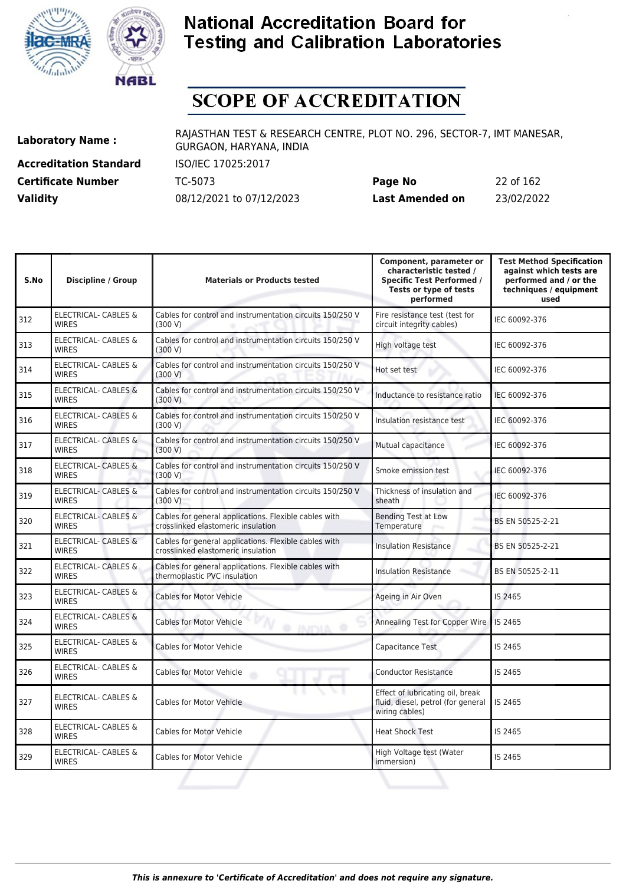



# **SCOPE OF ACCREDITATION**

**Accreditation Standard** ISO/IEC 17025:2017 **Certificate Number** TC-5073

| <b>Certificate Number</b> | TC-5073                  | Page No         | 22 of 162  |
|---------------------------|--------------------------|-----------------|------------|
| <b>Validity</b>           | 08/12/2021 to 07/12/2023 | Last Amended on | 23/02/2022 |

| S.No | <b>Discipline / Group</b>                       | <b>Materials or Products tested</b>                                                         | Component, parameter or<br>characteristic tested /<br><b>Specific Test Performed /</b><br>Tests or type of tests<br>performed | <b>Test Method Specification</b><br>against which tests are<br>performed and / or the<br>techniques / equipment<br>used |
|------|-------------------------------------------------|---------------------------------------------------------------------------------------------|-------------------------------------------------------------------------------------------------------------------------------|-------------------------------------------------------------------------------------------------------------------------|
| 312  | <b>ELECTRICAL- CABLES &amp;</b><br><b>WIRES</b> | Cables for control and instrumentation circuits 150/250 V<br>(300 V)                        | Fire resistance test (test for<br>circuit integrity cables)                                                                   | IEC 60092-376                                                                                                           |
| 313  | ELECTRICAL- CABLES &<br><b>WIRES</b>            | Cables for control and instrumentation circuits 150/250 V<br>(300 V)                        | High voltage test                                                                                                             | IEC 60092-376                                                                                                           |
| 314  | ELECTRICAL- CABLES &<br><b>WIRES</b>            | Cables for control and instrumentation circuits 150/250 V<br>(300 V)                        | Hot set test                                                                                                                  | IEC 60092-376                                                                                                           |
| 315  | ELECTRICAL- CABLES &<br><b>WIRES</b>            | Cables for control and instrumentation circuits 150/250 V<br>(300 V)                        | Inductance to resistance ratio                                                                                                | IEC 60092-376                                                                                                           |
| 316  | ELECTRICAL- CABLES &<br><b>WIRES</b>            | Cables for control and instrumentation circuits 150/250 V<br>(300 V)                        | Insulation resistance test                                                                                                    | IEC 60092-376                                                                                                           |
| 317  | ELECTRICAL- CABLES &<br><b>WIRES</b>            | Cables for control and instrumentation circuits 150/250 V<br>(300 V)                        | Mutual capacitance                                                                                                            | IEC 60092-376                                                                                                           |
| 318  | <b>ELECTRICAL- CABLES &amp;</b><br><b>WIRES</b> | Cables for control and instrumentation circuits 150/250 V<br>(300 V)                        | Smoke emission test                                                                                                           | IEC 60092-376                                                                                                           |
| 319  | ELECTRICAL- CABLES &<br><b>WIRES</b>            | Cables for control and instrumentation circuits 150/250 V<br>(300 V)                        | Thickness of insulation and<br>sheath                                                                                         | IEC 60092-376                                                                                                           |
| 320  | <b>ELECTRICAL- CABLES &amp;</b><br><b>WIRES</b> | Cables for general applications. Flexible cables with<br>crosslinked elastomeric insulation | <b>Bending Test at Low</b><br>Temperature                                                                                     | BS EN 50525-2-21                                                                                                        |
| 321  | <b>ELECTRICAL- CABLES &amp;</b><br><b>WIRES</b> | Cables for general applications. Flexible cables with<br>crosslinked elastomeric insulation | <b>Insulation Resistance</b>                                                                                                  | BS EN 50525-2-21                                                                                                        |
| 322  | ELECTRICAL- CABLES &<br><b>WIRES</b>            | Cables for general applications. Flexible cables with<br>thermoplastic PVC insulation       | <b>Insulation Resistance</b>                                                                                                  | BS EN 50525-2-11                                                                                                        |
| 323  | ELECTRICAL- CABLES &<br><b>WIRES</b>            | <b>Cables for Motor Vehicle</b>                                                             | Ageing in Air Oven                                                                                                            | IS 2465                                                                                                                 |
| 324  | <b>ELECTRICAL- CABLES &amp;</b><br><b>WIRES</b> | <b>Cables for Motor Vehicle</b><br><b>O INITIA</b>                                          | Annealing Test for Copper Wire                                                                                                | <b>IS 2465</b>                                                                                                          |
| 325  | ELECTRICAL- CABLES &<br><b>WIRES</b>            | <b>Cables for Motor Vehicle</b>                                                             | Capacitance Test                                                                                                              | IS 2465                                                                                                                 |
| 326  | ELECTRICAL- CABLES &<br><b>WIRES</b>            | <b>Cables for Motor Vehicle</b>                                                             | <b>Conductor Resistance</b>                                                                                                   | IS 2465                                                                                                                 |
| 327  | <b>ELECTRICAL- CABLES &amp;</b><br><b>WIRES</b> | <b>Cables for Motor Vehicle</b>                                                             | Effect of lubricating oil, break<br>fluid, diesel, petrol (for general<br>wiring cables)                                      | IS 2465                                                                                                                 |
| 328  | ELECTRICAL- CABLES &<br><b>WIRES</b>            | Cables for Motor Vehicle                                                                    | <b>Heat Shock Test</b>                                                                                                        | IS 2465                                                                                                                 |
| 329  | ELECTRICAL- CABLES &<br><b>WIRES</b>            | <b>Cables for Motor Vehicle</b>                                                             | High Voltage test (Water<br>immersion)                                                                                        | IS 2465                                                                                                                 |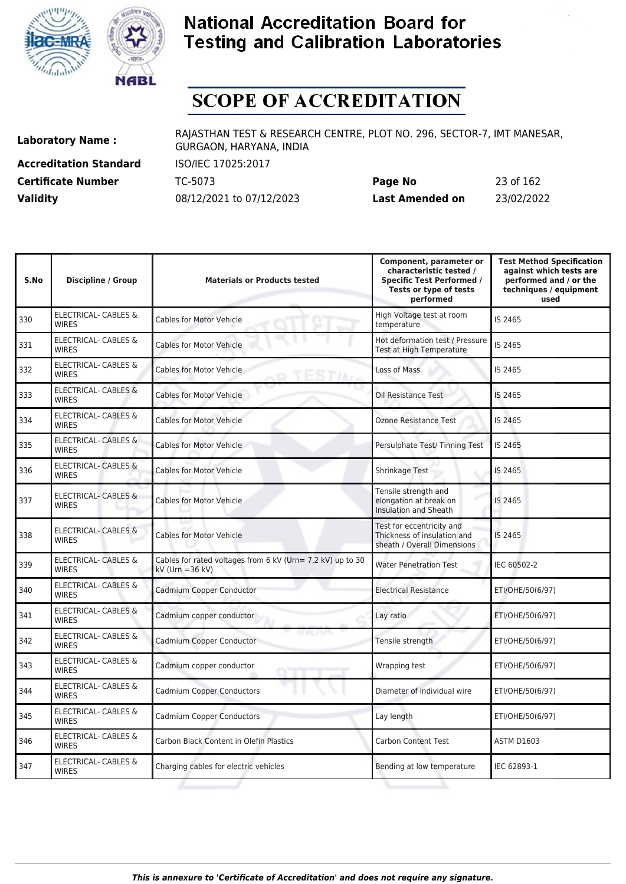



# **SCOPE OF ACCREDITATION**

**Accreditation Standard** ISO/IEC 17025:2017

**Laboratory Name :** RAJASTHAN TEST & RESEARCH CENTRE, PLOT NO. 296, SECTOR-7, IMT MANESAR, GURGAON, HARYANA, INDIA

**Certificate Number** TC-5073 **Page No** 23 of 162 **Validity** 08/12/2021 to 07/12/2023 **Last Amended on** 23/02/2022

| S.No | <b>Discipline / Group</b>                       | <b>Materials or Products tested</b>                                                 | Component, parameter or<br>characteristic tested /<br><b>Specific Test Performed /</b><br>Tests or type of tests<br>performed | <b>Test Method Specification</b><br>against which tests are<br>performed and / or the<br>techniques / equipment<br>used |
|------|-------------------------------------------------|-------------------------------------------------------------------------------------|-------------------------------------------------------------------------------------------------------------------------------|-------------------------------------------------------------------------------------------------------------------------|
| 330  | <b>ELECTRICAL- CABLES &amp;</b><br><b>WIRES</b> | <b>Cables for Motor Vehicle</b>                                                     | High Voltage test at room<br>temperature                                                                                      | IS 2465                                                                                                                 |
| 331  | ELECTRICAL- CABLES &<br><b>WIRES</b>            | <b>Cables for Motor Vehicle</b>                                                     | Hot deformation test / Pressure<br>Test at High Temperature                                                                   | IS 2465                                                                                                                 |
| 332  | ELECTRICAL- CABLES &<br><b>WIRES</b>            | <b>Cables for Motor Vehicle</b>                                                     | Loss of Mass                                                                                                                  | IS 2465                                                                                                                 |
| 333  | <b>ELECTRICAL- CABLES &amp;</b><br><b>WIRES</b> | <b>Cables for Motor Vehicle</b>                                                     | <b>Oil Resistance Test</b>                                                                                                    | IS 2465                                                                                                                 |
| 334  | <b>ELECTRICAL- CABLES &amp;</b><br><b>WIRES</b> | <b>Cables for Motor Vehicle</b>                                                     | <b>Ozone Resistance Test</b>                                                                                                  | IS 2465                                                                                                                 |
| 335  | <b>ELECTRICAL- CABLES &amp;</b><br><b>WIRES</b> | <b>Cables for Motor Vehicle</b>                                                     | Persulphate Test/ Tinning Test                                                                                                | IS 2465                                                                                                                 |
| 336  | <b>ELECTRICAL- CABLES &amp;</b><br><b>WIRES</b> | <b>Cables for Motor Vehicle</b>                                                     | Shrinkage Test                                                                                                                | IS 2465                                                                                                                 |
| 337  | <b>ELECTRICAL- CABLES &amp;</b><br><b>WIRES</b> | <b>Cables for Motor Vehicle</b>                                                     | Tensile strength and<br>elongation at break on<br><b>Insulation and Sheath</b>                                                | IS 2465                                                                                                                 |
| 338  | <b>ELECTRICAL- CABLES &amp;</b><br><b>WIRES</b> | <b>Cables for Motor Vehicle</b>                                                     | Test for eccentricity and<br>Thickness of insulation and<br>sheath / Overall Dimensions                                       | IS 2465                                                                                                                 |
| 339  | <b>ELECTRICAL- CABLES &amp;</b><br><b>WIRES</b> | Cables for rated voltages from 6 kV (Urn= 7,2 kV) up to 30<br>$kV$ (Urn = 36 $kV$ ) | <b>Water Penetration Test</b>                                                                                                 | IEC 60502-2                                                                                                             |
| 340  | <b>ELECTRICAL- CABLES &amp;</b><br><b>WIRES</b> | Cadmium Copper Conductor                                                            | <b>Electrical Resistance</b>                                                                                                  | ETI/OHE/50(6/97)                                                                                                        |
| 341  | <b>ELECTRICAL- CABLES &amp;</b><br><b>WIRES</b> | Cadmium copper conductor                                                            | Lay ratio                                                                                                                     | ETI/OHE/50(6/97)                                                                                                        |
| 342  | ELECTRICAL- CABLES &<br><b>WIRES</b>            | けなしわる<br>Cadmium Copper Conductor                                                   | Tensile strength                                                                                                              | ETI/OHE/50(6/97)                                                                                                        |
| 343  | ELECTRICAL- CABLES &<br><b>WIRES</b>            | Cadmium copper conductor                                                            | Wrapping test                                                                                                                 | ETI/OHE/50(6/97)                                                                                                        |
| 344  | ELECTRICAL- CABLES &<br><b>WIRFS</b>            | Cadmium Copper Conductors                                                           | Diameter of individual wire                                                                                                   | ETI/OHE/50(6/97)                                                                                                        |
| 345  | ELECTRICAL- CABLES &<br><b>WIRES</b>            | <b>Cadmium Copper Conductors</b>                                                    | Lay length                                                                                                                    | ETI/OHE/50(6/97)                                                                                                        |
| 346  | <b>ELECTRICAL- CABLES &amp;</b><br><b>WIRES</b> | Carbon Black Content in Olefin Plastics                                             | <b>Carbon Content Test</b>                                                                                                    | <b>ASTM D1603</b>                                                                                                       |
| 347  | <b>ELECTRICAL- CABLES &amp;</b><br><b>WIRES</b> | Charging cables for electric vehicles                                               | Bending at low temperature                                                                                                    | IEC 62893-1                                                                                                             |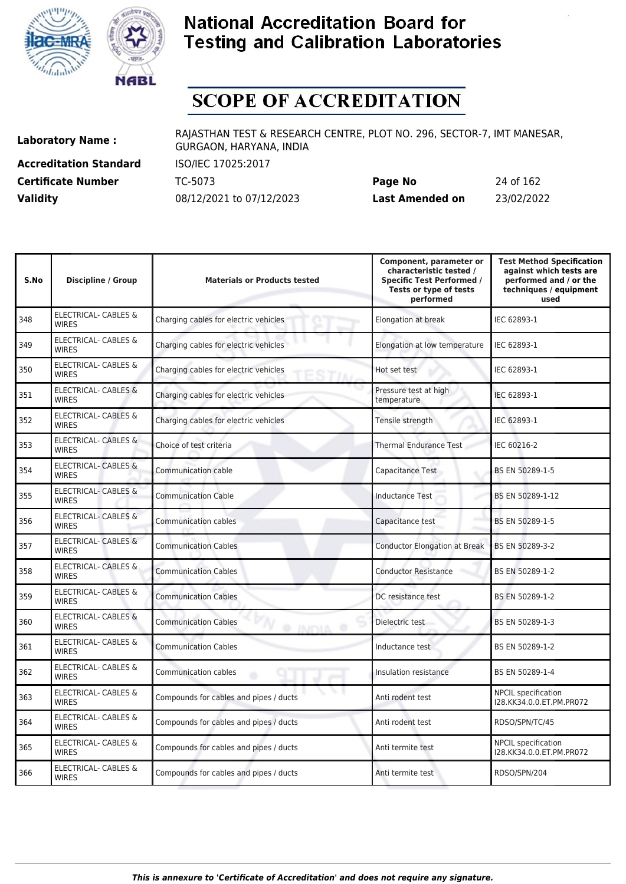



# **SCOPE OF ACCREDITATION**

**Accreditation Standard** ISO/IEC 17025:2017

**Laboratory Name :** RAJASTHAN TEST & RESEARCH CENTRE, PLOT NO. 296, SECTOR-7, IMT MANESAR, GURGAON, HARYANA, INDIA

**Certificate Number** TC-5073 **Page No** 24 of 162 **Validity** 08/12/2021 to 07/12/2023 **Last Amended on** 23/02/2022

| S.No | <b>Discipline / Group</b>                       | <b>Materials or Products tested</b>           | Component, parameter or<br>characteristic tested /<br><b>Specific Test Performed /</b><br>Tests or type of tests<br>performed | <b>Test Method Specification</b><br>against which tests are<br>performed and / or the<br>techniques / equipment<br>used |
|------|-------------------------------------------------|-----------------------------------------------|-------------------------------------------------------------------------------------------------------------------------------|-------------------------------------------------------------------------------------------------------------------------|
| 348  | <b>ELECTRICAL- CABLES &amp;</b><br><b>WIRES</b> | Charging cables for electric vehicles         | Elongation at break                                                                                                           | IEC 62893-1                                                                                                             |
| 349  | <b>ELECTRICAL- CABLES &amp;</b><br><b>WIRES</b> | Charging cables for electric vehicles         | Elongation at low temperature                                                                                                 | IEC 62893-1                                                                                                             |
| 350  | <b>ELECTRICAL- CABLES &amp;</b><br><b>WIRES</b> | Charging cables for electric vehicles<br>STIA | Hot set test                                                                                                                  | IEC 62893-1                                                                                                             |
| 351  | ELECTRICAL- CABLES &<br><b>WIRFS</b>            | Charging cables for electric vehicles         | Pressure test at high<br>temperature                                                                                          | IEC 62893-1                                                                                                             |
| 352  | <b>ELECTRICAL- CABLES &amp;</b><br><b>WIRES</b> | Charging cables for electric vehicles         | Tensile strength                                                                                                              | IEC 62893-1                                                                                                             |
| 353  | <b>ELECTRICAL- CABLES &amp;</b><br><b>WIRES</b> | Choice of test criteria                       | <b>Thermal Endurance Test</b>                                                                                                 | IEC 60216-2                                                                                                             |
| 354  | <b>ELECTRICAL- CABLES &amp;</b><br><b>WIRES</b> | <b>Communication cable</b>                    | Capacitance Test                                                                                                              | BS EN 50289-1-5                                                                                                         |
| 355  | <b>ELECTRICAL- CABLES &amp;</b><br><b>WIRES</b> | <b>Communication Cable</b>                    | <b>Inductance Test</b>                                                                                                        | BS EN 50289-1-12                                                                                                        |
| 356  | <b>ELECTRICAL- CABLES &amp;</b><br><b>WIRES</b> | <b>Communication cables</b>                   | Capacitance test                                                                                                              | BS EN 50289-1-5                                                                                                         |
| 357  | ELECTRICAL- CABLES &<br><b>WIRES</b>            | <b>Communication Cables</b>                   | <b>Conductor Elongation at Break</b>                                                                                          | BS EN 50289-3-2                                                                                                         |
| 358  | ELECTRICAL- CABLES &<br><b>WIRES</b>            | <b>Communication Cables</b>                   | <b>Conductor Resistance</b>                                                                                                   | BS EN 50289-1-2                                                                                                         |
| 359  | <b>ELECTRICAL- CABLES &amp;</b><br><b>WIRES</b> | <b>Communication Cables</b>                   | DC resistance test                                                                                                            | BS EN 50289-1-2                                                                                                         |
| 360  | <b>ELECTRICAL- CABLES &amp;</b><br><b>WIRES</b> | <b>Communication Cables</b><br>AICON ®        | Dielectric test                                                                                                               | BS EN 50289-1-3                                                                                                         |
| 361  | ELECTRICAL- CABLES &<br><b>WIRES</b>            | <b>Communication Cables</b>                   | Inductance test                                                                                                               | BS EN 50289-1-2                                                                                                         |
| 362  | <b>ELECTRICAL- CABLES &amp;</b><br><b>WIRES</b> | Communication cables                          | Insulation resistance                                                                                                         | BS EN 50289-1-4                                                                                                         |
| 363  | ELECTRICAL- CABLES &<br><b>WIRES</b>            | Compounds for cables and pipes / ducts        | Anti rodent test                                                                                                              | <b>NPCIL</b> specification<br>I28.KK34.0.0.ET.PM.PR072                                                                  |
| 364  | ELECTRICAL- CABLES &<br><b>WIRES</b>            | Compounds for cables and pipes / ducts        | Anti rodent test                                                                                                              | RDSO/SPN/TC/45                                                                                                          |
| 365  | ELECTRICAL- CABLES &<br><b>WIRES</b>            | Compounds for cables and pipes / ducts        | Anti termite test                                                                                                             | <b>NPCIL specification</b><br>I28.KK34.0.0.ET.PM.PR072                                                                  |
| 366  | ELECTRICAL- CABLES &<br><b>WIRES</b>            | Compounds for cables and pipes / ducts        | Anti termite test                                                                                                             | RDSO/SPN/204                                                                                                            |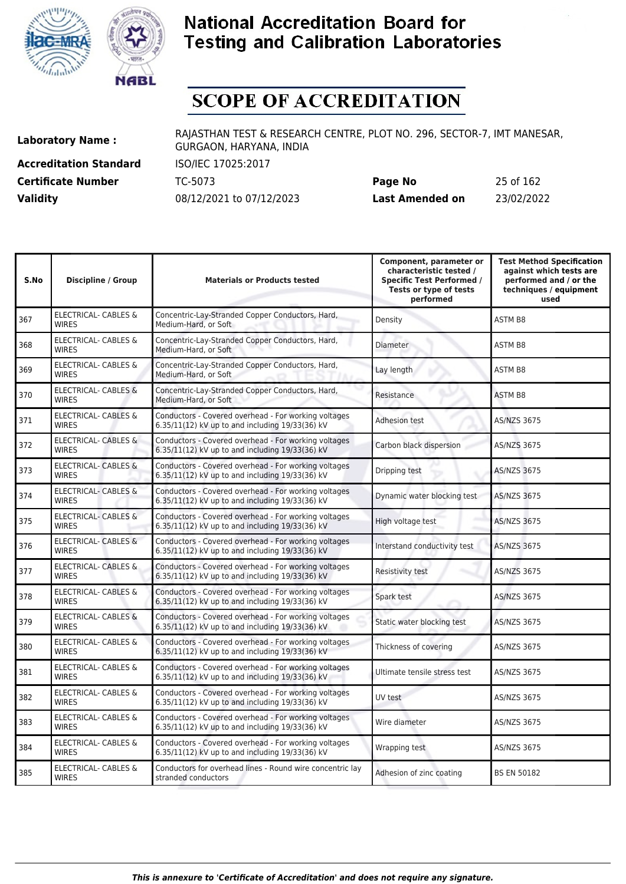



# **SCOPE OF ACCREDITATION**

**Accreditation Standard** ISO/IEC 17025:2017

**Laboratory Name :** RAJASTHAN TEST & RESEARCH CENTRE, PLOT NO. 296, SECTOR-7, IMT MANESAR, GURGAON, HARYANA, INDIA

**Certificate Number** TC-5073 **Page No** 25 of 162 **Validity** 08/12/2021 to 07/12/2023 **Last Amended on** 23/02/2022

| Discipline / Group                              | <b>Materials or Products tested</b>                                                                     | Component, parameter or<br>characteristic tested /<br><b>Specific Test Performed /</b><br>Tests or type of tests<br>performed | <b>Test Method Specification</b><br>against which tests are<br>performed and / or the<br>techniques / equipment<br>used |
|-------------------------------------------------|---------------------------------------------------------------------------------------------------------|-------------------------------------------------------------------------------------------------------------------------------|-------------------------------------------------------------------------------------------------------------------------|
| <b>ELECTRICAL- CABLES &amp;</b><br><b>WIRES</b> | Concentric-Lay-Stranded Copper Conductors, Hard,<br>Medium-Hard, or Soft                                | Density                                                                                                                       | <b>ASTM B8</b>                                                                                                          |
| ELECTRICAL- CABLES &<br><b>WIRES</b>            | Concentric-Lay-Stranded Copper Conductors, Hard,<br>Medium-Hard, or Soft                                | Diameter                                                                                                                      | <b>ASTM B8</b>                                                                                                          |
| ELECTRICAL- CABLES &<br><b>WIRES</b>            | Concentric-Lay-Stranded Copper Conductors, Hard,<br>Medium-Hard, or Soft                                | Lay length                                                                                                                    | <b>ASTM B8</b>                                                                                                          |
| <b>ELECTRICAL- CABLES &amp;</b><br><b>WIRES</b> | Concentric-Lay-Stranded Copper Conductors, Hard,<br>Medium-Hard, or Soft                                | Resistance                                                                                                                    | <b>ASTM B8</b>                                                                                                          |
| <b>ELECTRICAL- CABLES &amp;</b><br><b>WIRES</b> | Conductors - Covered overhead - For working voltages<br>6.35/11(12) kV up to and including 19/33(36) kV | <b>Adhesion test</b>                                                                                                          | AS/NZS 3675                                                                                                             |
| <b>ELECTRICAL- CABLES &amp;</b><br><b>WIRES</b> | Conductors - Covered overhead - For working voltages<br>6.35/11(12) kV up to and including 19/33(36) kV | Carbon black dispersion                                                                                                       | AS/NZS 3675                                                                                                             |
| <b>ELECTRICAL- CABLES &amp;</b><br><b>WIRES</b> | Conductors - Covered overhead - For working voltages<br>6.35/11(12) kV up to and including 19/33(36) kV | Dripping test                                                                                                                 | <b>AS/NZS 3675</b>                                                                                                      |
| <b>ELECTRICAL- CABLES &amp;</b><br><b>WIRES</b> | Conductors - Covered overhead - For working voltages<br>6.35/11(12) kV up to and including 19/33(36) kV | Dynamic water blocking test                                                                                                   | <b>AS/NZS 3675</b>                                                                                                      |
| <b>ELECTRICAL- CABLES &amp;</b><br><b>WIRES</b> | Conductors - Covered overhead - For working voltages<br>6.35/11(12) kV up to and including 19/33(36) kV | High voltage test                                                                                                             | AS/NZS 3675                                                                                                             |
| ELECTRICAL- CABLES &<br><b>WIRES</b>            | Conductors - Covered overhead - For working voltages<br>6.35/11(12) kV up to and including 19/33(36) kV | Interstand conductivity test                                                                                                  | <b>AS/NZS 3675</b>                                                                                                      |
| <b>ELECTRICAL- CABLES &amp;</b><br><b>WIRES</b> | Conductors - Covered overhead - For working voltages<br>6.35/11(12) kV up to and including 19/33(36) kV | Resistivity test                                                                                                              | AS/NZS 3675                                                                                                             |
| <b>ELECTRICAL- CABLES &amp;</b><br><b>WIRES</b> | Conductors - Covered overhead - For working voltages<br>6.35/11(12) kV up to and including 19/33(36) kV | Spark test                                                                                                                    | <b>AS/NZS 3675</b>                                                                                                      |
| <b>ELECTRICAL- CABLES &amp;</b><br><b>WIRES</b> | Conductors - Covered overhead - For working voltages<br>6.35/11(12) kV up to and including 19/33(36) kV | Static water blocking test                                                                                                    | AS/NZS 3675                                                                                                             |
| <b>ELECTRICAL- CABLES &amp;</b><br><b>WIRES</b> | Conductors - Covered overhead - For working voltages<br>6.35/11(12) kV up to and including 19/33(36) kV | Thickness of covering                                                                                                         | AS/NZS 3675                                                                                                             |
| <b>ELECTRICAL- CABLES &amp;</b><br><b>WIRES</b> | Conductors - Covered overhead - For working voltages<br>6.35/11(12) kV up to and including 19/33(36) kV | Ultimate tensile stress test                                                                                                  | AS/NZS 3675                                                                                                             |
| <b>ELECTRICAL- CABLES &amp;</b><br><b>WIRES</b> | Conductors - Covered overhead - For working voltages<br>6.35/11(12) kV up to and including 19/33(36) kV | UV test                                                                                                                       | AS/NZS 3675                                                                                                             |
| <b>ELECTRICAL- CABLES &amp;</b><br><b>WIRES</b> | Conductors - Covered overhead - For working voltages<br>6.35/11(12) kV up to and including 19/33(36) kV | Wire diameter                                                                                                                 | AS/NZS 3675                                                                                                             |
| ELECTRICAL- CABLES &<br><b>WIRES</b>            | Conductors - Covered overhead - For working voltages<br>6.35/11(12) kV up to and including 19/33(36) kV | Wrapping test                                                                                                                 | <b>AS/NZS 3675</b>                                                                                                      |
| <b>ELECTRICAL- CABLES &amp;</b><br><b>WIRES</b> | Conductors for overhead lines - Round wire concentric lay<br>stranded conductors                        | Adhesion of zinc coating                                                                                                      | <b>BS EN 50182</b>                                                                                                      |
|                                                 |                                                                                                         |                                                                                                                               |                                                                                                                         |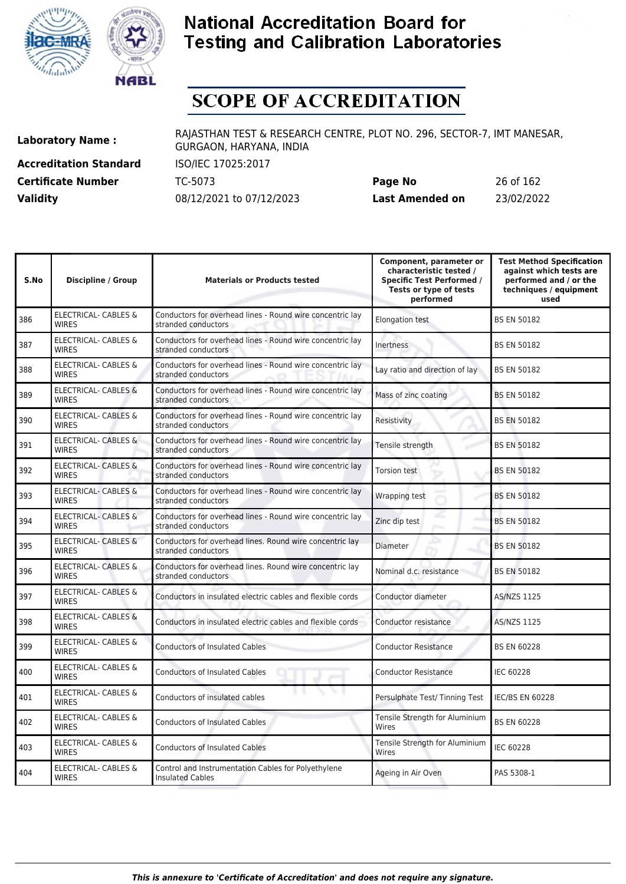



# **SCOPE OF ACCREDITATION**

**Accreditation Standard** ISO/IEC 17025:2017

**Laboratory Name :** RAJASTHAN TEST & RESEARCH CENTRE, PLOT NO. 296, SECTOR-7, IMT MANESAR, GURGAON, HARYANA, INDIA

**Certificate Number** TC-5073 **Page No** 26 of 162 **Validity** 08/12/2021 to 07/12/2023 **Last Amended on** 23/02/2022

| S.No | <b>Discipline / Group</b>                       | <b>Materials or Products tested</b>                                              | Component, parameter or<br>characteristic tested /<br><b>Specific Test Performed /</b><br>Tests or type of tests<br>performed | <b>Test Method Specification</b><br>against which tests are<br>performed and / or the<br>techniques / equipment<br>used |
|------|-------------------------------------------------|----------------------------------------------------------------------------------|-------------------------------------------------------------------------------------------------------------------------------|-------------------------------------------------------------------------------------------------------------------------|
| 386  | <b>ELECTRICAL- CABLES &amp;</b><br><b>WIRES</b> | Conductors for overhead lines - Round wire concentric lay<br>stranded conductors | <b>Elongation test</b>                                                                                                        | <b>BS EN 50182</b>                                                                                                      |
| 387  | <b>ELECTRICAL- CABLES &amp;</b><br><b>WIRES</b> | Conductors for overhead lines - Round wire concentric lay<br>stranded conductors | Inertness                                                                                                                     | <b>BS EN 50182</b>                                                                                                      |
| 388  | ELECTRICAL- CABLES &<br><b>WIRES</b>            | Conductors for overhead lines - Round wire concentric lay<br>stranded conductors | Lay ratio and direction of lay                                                                                                | <b>BS EN 50182</b>                                                                                                      |
| 389  | ELECTRICAL- CABLES &<br><b>WIRES</b>            | Conductors for overhead lines - Round wire concentric lay<br>stranded conductors | Mass of zinc coating                                                                                                          | <b>BS EN 50182</b>                                                                                                      |
| 390  | ELECTRICAL- CABLES &<br><b>WIRES</b>            | Conductors for overhead lines - Round wire concentric lay<br>stranded conductors | Resistivity                                                                                                                   | <b>BS EN 50182</b>                                                                                                      |
| 391  | <b>ELECTRICAL- CABLES &amp;</b><br><b>WIRES</b> | Conductors for overhead lines - Round wire concentric lay<br>stranded conductors | Tensile strength                                                                                                              | <b>BS EN 50182</b>                                                                                                      |
| 392  | <b>ELECTRICAL- CABLES &amp;</b><br><b>WIRES</b> | Conductors for overhead lines - Round wire concentric lay<br>stranded conductors | <b>Torsion test</b>                                                                                                           | <b>BS EN 50182</b>                                                                                                      |
| 393  | <b>ELECTRICAL- CABLES &amp;</b><br><b>WIRES</b> | Conductors for overhead lines - Round wire concentric lay<br>stranded conductors | Wrapping test                                                                                                                 | <b>BS EN 50182</b>                                                                                                      |
| 394  | ELECTRICAL- CABLES &<br><b>WIRES</b>            | Conductors for overhead lines - Round wire concentric lay<br>stranded conductors | Zinc dip test                                                                                                                 | <b>BS EN 50182</b>                                                                                                      |
| 395  | <b>ELECTRICAL- CABLES &amp;</b><br><b>WIRES</b> | Conductors for overhead lines. Round wire concentric lay<br>stranded conductors  | Diameter                                                                                                                      | <b>BS EN 50182</b>                                                                                                      |
| 396  | ELECTRICAL- CABLES &<br><b>WIRES</b>            | Conductors for overhead lines. Round wire concentric lay<br>stranded conductors  | Nominal d.c. resistance                                                                                                       | <b>BS EN 50182</b>                                                                                                      |
| 397  | <b>ELECTRICAL- CABLES &amp;</b><br><b>WIRES</b> | Conductors in insulated electric cables and flexible cords                       | Conductor diameter                                                                                                            | <b>AS/NZS 1125</b>                                                                                                      |
| 398  | ELECTRICAL- CABLES &<br><b>WIRES</b>            | Conductors in insulated electric cables and flexible cords                       | Conductor resistance                                                                                                          | AS/NZS 1125                                                                                                             |
| 399  | <b>ELECTRICAL- CABLES &amp;</b><br><b>WIRES</b> | <b>Conductors of Insulated Cables</b>                                            | <b>Conductor Resistance</b>                                                                                                   | <b>BS EN 60228</b>                                                                                                      |
| 400  | <b>ELECTRICAL- CABLES &amp;</b><br><b>WIRES</b> | <b>Conductors of Insulated Cables</b>                                            | <b>Conductor Resistance</b>                                                                                                   | <b>IEC 60228</b>                                                                                                        |
| 401  | <b>ELECTRICAL- CABLES &amp;</b><br><b>WIRES</b> | Conductors of insulated cables                                                   | Persulphate Test/ Tinning Test                                                                                                | <b>IEC/BS EN 60228</b>                                                                                                  |
| 402  | <b>ELECTRICAL- CABLES &amp;</b><br><b>WIRES</b> | <b>Conductors of Insulated Cables</b>                                            | Tensile Strength for Aluminium<br>Wires                                                                                       | <b>BS EN 60228</b>                                                                                                      |
| 403  | <b>ELECTRICAL- CABLES &amp;</b><br><b>WIRES</b> | <b>Conductors of Insulated Cables</b>                                            | Tensile Strength for Aluminium<br>Wires                                                                                       | <b>IEC 60228</b>                                                                                                        |
| 404  | <b>ELECTRICAL- CABLES &amp;</b><br><b>WIRES</b> | Control and Instrumentation Cables for Polyethylene<br><b>Insulated Cables</b>   | Ageing in Air Oven                                                                                                            | PAS 5308-1                                                                                                              |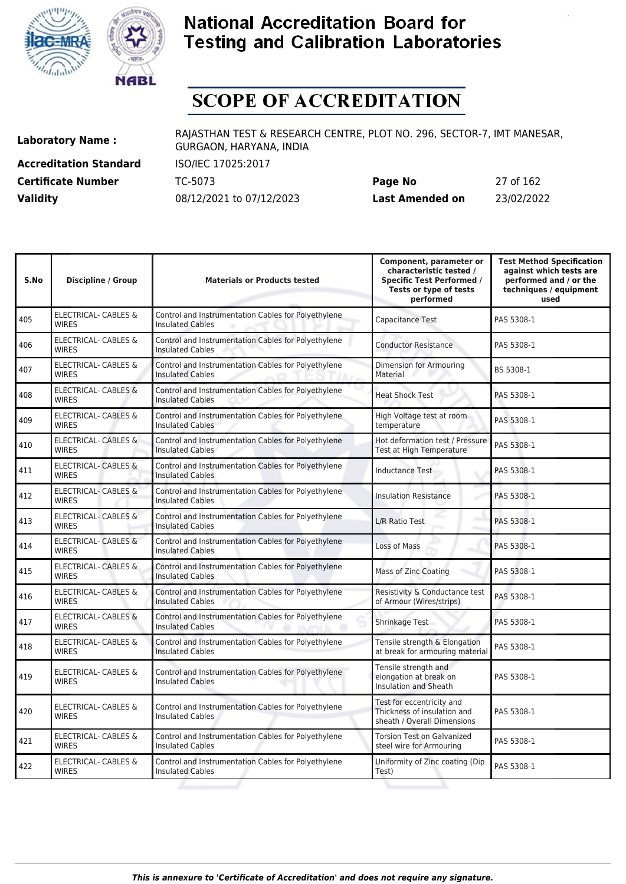



# **SCOPE OF ACCREDITATION**

**Accreditation Standard** ISO/IEC 17025:2017

**Laboratory Name :** RAJASTHAN TEST & RESEARCH CENTRE, PLOT NO. 296, SECTOR-7, IMT MANESAR, GURGAON, HARYANA, INDIA

**Certificate Number** TC-5073 **Page No** 27 of 162 **Validity** 08/12/2021 to 07/12/2023 **Last Amended on** 23/02/2022

| S.No | <b>Discipline / Group</b>                       | <b>Materials or Products tested</b>                                            | Component, parameter or<br>characteristic tested /<br><b>Specific Test Performed /</b><br>Tests or type of tests<br>performed | <b>Test Method Specification</b><br>against which tests are<br>performed and / or the<br>techniques / equipment<br>used |
|------|-------------------------------------------------|--------------------------------------------------------------------------------|-------------------------------------------------------------------------------------------------------------------------------|-------------------------------------------------------------------------------------------------------------------------|
| 405  | <b>ELECTRICAL- CABLES &amp;</b><br><b>WIRES</b> | Control and Instrumentation Cables for Polyethylene<br><b>Insulated Cables</b> | Capacitance Test                                                                                                              | PAS 5308-1                                                                                                              |
| 406  | <b>ELECTRICAL- CABLES &amp;</b><br><b>WIRES</b> | Control and Instrumentation Cables for Polyethylene<br><b>Insulated Cables</b> | <b>Conductor Resistance</b>                                                                                                   | PAS 5308-1                                                                                                              |
| 407  | <b>ELECTRICAL- CABLES &amp;</b><br><b>WIRES</b> | Control and Instrumentation Cables for Polyethylene<br><b>Insulated Cables</b> | Dimension for Armouring<br>Material                                                                                           | BS 5308-1                                                                                                               |
| 408  | ELECTRICAL- CABLES &<br><b>WIRES</b>            | Control and Instrumentation Cables for Polyethylene<br><b>Insulated Cables</b> | <b>Heat Shock Test</b>                                                                                                        | PAS 5308-1                                                                                                              |
| 409  | ELECTRICAL- CABLES &<br><b>WIRES</b>            | Control and Instrumentation Cables for Polyethylene<br><b>Insulated Cables</b> | High Voltage test at room<br>temperature                                                                                      | PAS 5308-1                                                                                                              |
| 410  | ELECTRICAL- CABLES &<br><b>WIRES</b>            | Control and Instrumentation Cables for Polyethylene<br><b>Insulated Cables</b> | Hot deformation test / Pressure<br>Test at High Temperature                                                                   | PAS 5308-1                                                                                                              |
| 411  | <b>ELECTRICAL- CABLES &amp;</b><br><b>WIRES</b> | Control and Instrumentation Cables for Polyethylene<br><b>Insulated Cables</b> | <b>Inductance Test</b>                                                                                                        | PAS 5308-1                                                                                                              |
| 412  | <b>ELECTRICAL- CABLES &amp;</b><br><b>WIRES</b> | Control and Instrumentation Cables for Polyethylene<br><b>Insulated Cables</b> | <b>Insulation Resistance</b>                                                                                                  | PAS 5308-1                                                                                                              |
| 413  | <b>ELECTRICAL- CABLES &amp;</b><br><b>WIRES</b> | Control and Instrumentation Cables for Polyethylene<br><b>Insulated Cables</b> | L/R Ratio Test                                                                                                                | PAS 5308-1                                                                                                              |
| 414  | <b>ELECTRICAL- CABLES &amp;</b><br><b>WIRES</b> | Control and Instrumentation Cables for Polyethylene<br><b>Insulated Cables</b> | Loss of Mass                                                                                                                  | PAS 5308-1                                                                                                              |
| 415  | ELECTRICAL- CABLES &<br><b>WIRES</b>            | Control and Instrumentation Cables for Polyethylene<br><b>Insulated Cables</b> | <b>Mass of Zinc Coating</b>                                                                                                   | PAS 5308-1                                                                                                              |
| 416  | ELECTRICAL- CABLES &<br><b>WIRES</b>            | Control and Instrumentation Cables for Polyethylene<br><b>Insulated Cables</b> | Resistivity & Conductance test<br>of Armour (Wires/strips)                                                                    | PAS 5308-1                                                                                                              |
| 417  | <b>ELECTRICAL- CABLES &amp;</b><br><b>WIRES</b> | Control and Instrumentation Cables for Polyethylene<br><b>Insulated Cables</b> | Shrinkage Test                                                                                                                | PAS 5308-1                                                                                                              |
| 418  | ELECTRICAL- CABLES &<br><b>WIRES</b>            | Control and Instrumentation Cables for Polyethylene<br><b>Insulated Cables</b> | Tensile strength & Elongation<br>at break for armouring material                                                              | PAS 5308-1                                                                                                              |
| 419  | ELECTRICAL- CABLES &<br><b>WIRES</b>            | Control and Instrumentation Cables for Polyethylene<br><b>Insulated Cables</b> | Tensile strength and<br>elongation at break on<br>Insulation and Sheath                                                       | PAS 5308-1                                                                                                              |
| 420  | ELECTRICAL- CABLES &<br><b>WIRES</b>            | Control and Instrumentation Cables for Polyethylene<br><b>Insulated Cables</b> | Test for eccentricity and<br>Thickness of insulation and<br>sheath / Overall Dimensions                                       | PAS 5308-1                                                                                                              |
| 421  | <b>ELECTRICAL- CABLES &amp;</b><br><b>WIRES</b> | Control and Instrumentation Cables for Polyethylene<br><b>Insulated Cables</b> | Torsion Test on Galvanized<br>steel wire for Armouring                                                                        | PAS 5308-1                                                                                                              |
| 422  | ELECTRICAL- CABLES &<br><b>WIRES</b>            | Control and Instrumentation Cables for Polyethylene<br><b>Insulated Cables</b> | Uniformity of Zinc coating (Dip<br>Test)                                                                                      | PAS 5308-1                                                                                                              |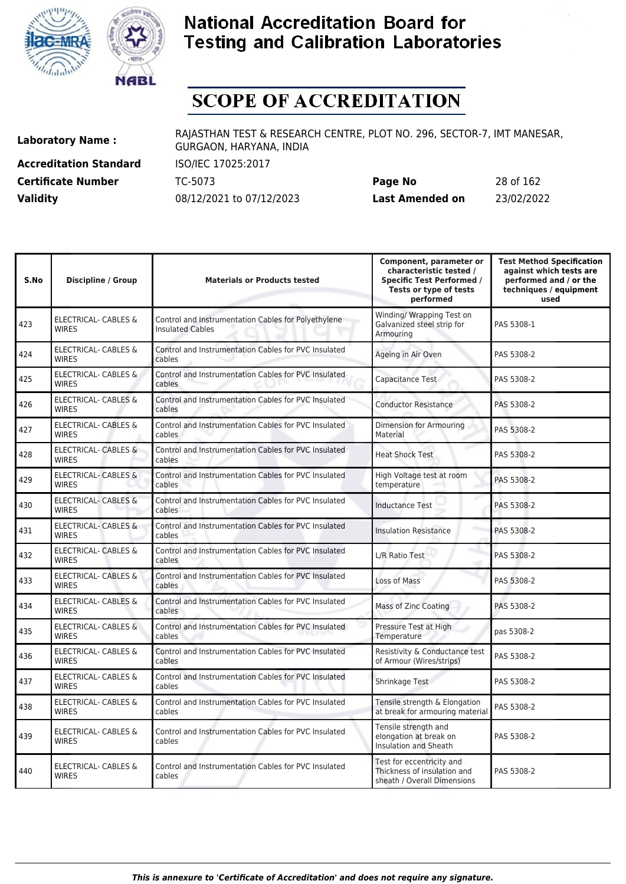



# **SCOPE OF ACCREDITATION**

**Accreditation Standard** ISO/IEC 17025:2017

**Laboratory Name :** RAJASTHAN TEST & RESEARCH CENTRE, PLOT NO. 296, SECTOR-7, IMT MANESAR, GURGAON, HARYANA, INDIA

**Certificate Number** TC-5073 **Page No** 28 of 162 **Validity** 08/12/2021 to 07/12/2023 **Last Amended on** 23/02/2022

| S.No | <b>Discipline / Group</b>                       | <b>Materials or Products tested</b>                                            | Component, parameter or<br>characteristic tested /<br><b>Specific Test Performed /</b><br>Tests or type of tests<br>performed | <b>Test Method Specification</b><br>against which tests are<br>performed and / or the<br>techniques / equipment<br>used |
|------|-------------------------------------------------|--------------------------------------------------------------------------------|-------------------------------------------------------------------------------------------------------------------------------|-------------------------------------------------------------------------------------------------------------------------|
| 423  | <b>ELECTRICAL- CABLES &amp;</b><br><b>WIRES</b> | Control and Instrumentation Cables for Polyethylene<br><b>Insulated Cables</b> | Winding/ Wrapping Test on<br>Galvanized steel strip for<br>Armouring                                                          | PAS 5308-1                                                                                                              |
| 424  | <b>ELECTRICAL- CABLES &amp;</b><br><b>WIRES</b> | Control and Instrumentation Cables for PVC Insulated<br>cables                 | Ageing in Air Oven                                                                                                            | PAS 5308-2                                                                                                              |
| 425  | ELECTRICAL- CABLES &<br><b>WIRES</b>            | Control and Instrumentation Cables for PVC Insulated<br>cables                 | Capacitance Test                                                                                                              | PAS 5308-2                                                                                                              |
| 426  | ELECTRICAL- CABLES &<br><b>WIRES</b>            | Control and Instrumentation Cables for PVC Insulated<br>cables                 | <b>Conductor Resistance</b>                                                                                                   | PAS 5308-2                                                                                                              |
| 427  | <b>ELECTRICAL- CABLES &amp;</b><br><b>WIRES</b> | Control and Instrumentation Cables for PVC Insulated<br>cables                 | Dimension for Armouring<br>Material                                                                                           | PAS 5308-2                                                                                                              |
| 428  | <b>ELECTRICAL- CABLES &amp;</b><br><b>WIRES</b> | Control and Instrumentation Cables for PVC Insulated<br>cables                 | <b>Heat Shock Test</b>                                                                                                        | PAS 5308-2                                                                                                              |
| 429  | <b>ELECTRICAL- CABLES &amp;</b><br><b>WIRES</b> | Control and Instrumentation Cables for PVC Insulated<br>cables                 | High Voltage test at room<br>temperature                                                                                      | PAS 5308-2                                                                                                              |
| 430  | <b>ELECTRICAL- CABLES &amp;</b><br><b>WIRES</b> | Control and Instrumentation Cables for PVC Insulated<br>cables                 | <b>Inductance Test</b>                                                                                                        | PAS 5308-2                                                                                                              |
| 431  | <b>ELECTRICAL- CABLES &amp;</b><br><b>WIRES</b> | Control and Instrumentation Cables for PVC Insulated<br>cables                 | <b>Insulation Resistance</b>                                                                                                  | PAS 5308-2                                                                                                              |
| 432  | ELECTRICAL- CABLES &<br><b>WIRES</b>            | Control and Instrumentation Cables for PVC Insulated<br>cables                 | L/R Ratio Test                                                                                                                | PAS 5308-2                                                                                                              |
| 433  | ELECTRICAL- CABLES &<br><b>WIRES</b>            | Control and Instrumentation Cables for PVC Insulated<br>cables                 | Loss of Mass                                                                                                                  | PAS 5308-2                                                                                                              |
| 434  | ELECTRICAL- CABLES &<br><b>WIRES</b>            | Control and Instrumentation Cables for PVC Insulated<br>cables                 | Mass of Zinc Coating                                                                                                          | PAS 5308-2                                                                                                              |
| 435  | ELECTRICAL- CABLES &<br><b>WIRES</b>            | Control and Instrumentation Cables for PVC Insulated<br>cables                 | Pressure Test at High<br>Temperature                                                                                          | pas 5308-2                                                                                                              |
| 436  | ELECTRICAL- CABLES &<br><b>WIRES</b>            | Control and Instrumentation Cables for PVC Insulated<br>cables                 | Resistivity & Conductance test<br>of Armour (Wires/strips)                                                                    | PAS 5308-2                                                                                                              |
| 437  | ELECTRICAL- CABLES &<br><b>WIRES</b>            | Control and Instrumentation Cables for PVC Insulated<br>cables                 | Shrinkage Test                                                                                                                | PAS 5308-2                                                                                                              |
| 438  | ELECTRICAL- CABLES &<br><b>WIRES</b>            | Control and Instrumentation Cables for PVC Insulated<br>cables                 | Tensile strength & Elongation<br>at break for armouring material                                                              | PAS 5308-2                                                                                                              |
| 439  | ELECTRICAL- CABLES &<br><b>WIRES</b>            | Control and Instrumentation Cables for PVC Insulated<br>cables                 | Tensile strength and<br>elongation at break on<br>Insulation and Sheath                                                       | PAS 5308-2                                                                                                              |
| 440  | <b>ELECTRICAL- CABLES &amp;</b><br><b>WIRES</b> | Control and Instrumentation Cables for PVC Insulated<br>cables                 | Test for eccentricity and<br>Thickness of insulation and<br>sheath / Overall Dimensions                                       | PAS 5308-2                                                                                                              |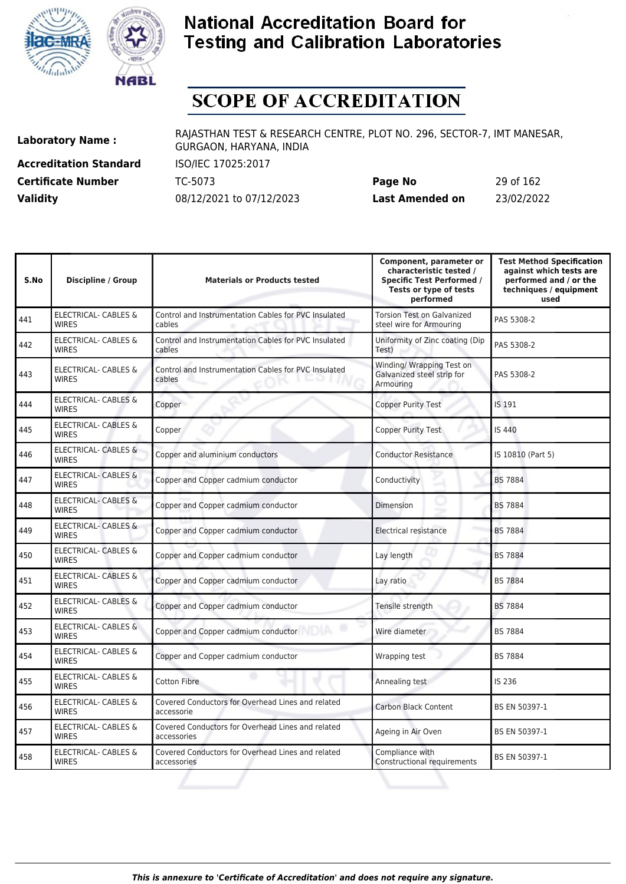



# **SCOPE OF ACCREDITATION**

**Accreditation Standard** ISO/IEC 17025:2017

**Laboratory Name :** RAJASTHAN TEST & RESEARCH CENTRE, PLOT NO. 296, SECTOR-7, IMT MANESAR, GURGAON, HARYANA, INDIA

**Certificate Number** TC-5073 **Page No** 29 of 162 **Validity** 08/12/2021 to 07/12/2023 **Last Amended on** 23/02/2022

| S.No | Discipline / Group                              | <b>Materials or Products tested</b>                              | Component, parameter or<br>characteristic tested /<br><b>Specific Test Performed /</b><br>Tests or type of tests<br>performed | <b>Test Method Specification</b><br>against which tests are<br>performed and / or the<br>techniques / equipment<br>used |
|------|-------------------------------------------------|------------------------------------------------------------------|-------------------------------------------------------------------------------------------------------------------------------|-------------------------------------------------------------------------------------------------------------------------|
| 441  | <b>ELECTRICAL- CABLES &amp;</b><br><b>WIRES</b> | Control and Instrumentation Cables for PVC Insulated<br>cables   | <b>Torsion Test on Galvanized</b><br>steel wire for Armouring                                                                 | PAS 5308-2                                                                                                              |
| 442  | ELECTRICAL- CABLES &<br><b>WIRES</b>            | Control and Instrumentation Cables for PVC Insulated<br>cables   | Uniformity of Zinc coating (Dip<br>Test)                                                                                      | PAS 5308-2                                                                                                              |
| 443  | ELECTRICAL- CABLES &<br><b>WIRES</b>            | Control and Instrumentation Cables for PVC Insulated<br>cables   | Winding/ Wrapping Test on<br>Galvanized steel strip for<br>Armouring                                                          | PAS 5308-2                                                                                                              |
| 444  | ELECTRICAL- CABLES &<br><b>WIRES</b>            | Copper                                                           | <b>Copper Purity Test</b>                                                                                                     | IS 191                                                                                                                  |
| 445  | <b>ELECTRICAL- CABLES &amp;</b><br><b>WIRES</b> | Copper                                                           | Copper Purity Test                                                                                                            | <b>IS 440</b>                                                                                                           |
| 446  | <b>ELECTRICAL- CABLES &amp;</b><br><b>WIRES</b> | Copper and aluminium conductors                                  | <b>Conductor Resistance</b>                                                                                                   | IS 10810 (Part 5)                                                                                                       |
| 447  | <b>ELECTRICAL- CABLES &amp;</b><br><b>WIRES</b> | Copper and Copper cadmium conductor                              | Conductivity                                                                                                                  | <b>BS 7884</b>                                                                                                          |
| 448  | <b>ELECTRICAL- CABLES &amp;</b><br><b>WIRES</b> | Copper and Copper cadmium conductor                              | Dimension                                                                                                                     | <b>BS 7884</b>                                                                                                          |
| 449  | <b>ELECTRICAL- CABLES &amp;</b><br><b>WIRES</b> | Copper and Copper cadmium conductor                              | Electrical resistance                                                                                                         | <b>BS 7884</b>                                                                                                          |
| 450  | ELECTRICAL- CABLES &<br><b>WIRES</b>            | Copper and Copper cadmium conductor                              | Lay length                                                                                                                    | <b>BS 7884</b>                                                                                                          |
| 451  | <b>ELECTRICAL- CABLES &amp;</b><br><b>WIRES</b> | Copper and Copper cadmium conductor                              | Lay ratio                                                                                                                     | <b>BS 7884</b>                                                                                                          |
| 452  | <b>ELECTRICAL- CABLES &amp;</b><br><b>WIRES</b> | Copper and Copper cadmium conductor                              | Tensile strength                                                                                                              | <b>BS 7884</b>                                                                                                          |
| 453  | <b>ELECTRICAL- CABLES &amp;</b><br><b>WIRES</b> | Copper and Copper cadmium conductor                              | Wire diameter                                                                                                                 | <b>BS 7884</b>                                                                                                          |
| 454  | <b>ELECTRICAL- CABLES &amp;</b><br><b>WIRES</b> | Copper and Copper cadmium conductor                              | Wrapping test                                                                                                                 | <b>BS 7884</b>                                                                                                          |
| 455  | <b>ELECTRICAL- CABLES &amp;</b><br><b>WIRFS</b> | Cotton Fibre                                                     | Annealing test                                                                                                                | IS 236                                                                                                                  |
| 456  | ELECTRICAL- CABLES &<br><b>WIRES</b>            | Covered Conductors for Overhead Lines and related<br>accessorie  | Carbon Black Content                                                                                                          | BS EN 50397-1                                                                                                           |
| 457  | <b>ELECTRICAL- CABLES &amp;</b><br><b>WIRES</b> | Covered Conductors for Overhead Lines and related<br>accessories | Ageing in Air Oven                                                                                                            | BS EN 50397-1                                                                                                           |
| 458  | ELECTRICAL- CABLES &<br><b>WIRES</b>            | Covered Conductors for Overhead Lines and related<br>accessories | Compliance with<br>Constructional requirements                                                                                | BS EN 50397-1                                                                                                           |
|      |                                                 |                                                                  |                                                                                                                               |                                                                                                                         |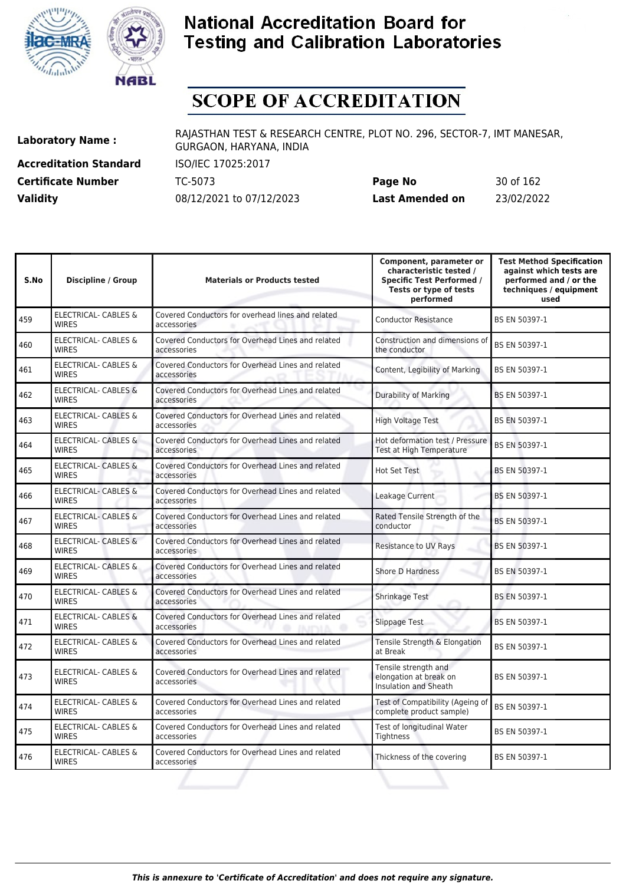



# **SCOPE OF ACCREDITATION**

**Accreditation Standard** ISO/IEC 17025:2017

**Laboratory Name :** RAJASTHAN TEST & RESEARCH CENTRE, PLOT NO. 296, SECTOR-7, IMT MANESAR, GURGAON, HARYANA, INDIA

**Certificate Number** TC-5073 **Page No** 30 of 162 **Validity** 08/12/2021 to 07/12/2023 **Last Amended on** 23/02/2022

| S.No | <b>Discipline / Group</b>                       | <b>Materials or Products tested</b>                              | Component, parameter or<br>characteristic tested /<br><b>Specific Test Performed /</b><br>Tests or type of tests<br>performed | <b>Test Method Specification</b><br>against which tests are<br>performed and / or the<br>techniques / equipment<br>used |
|------|-------------------------------------------------|------------------------------------------------------------------|-------------------------------------------------------------------------------------------------------------------------------|-------------------------------------------------------------------------------------------------------------------------|
| 459  | <b>ELECTRICAL- CABLES &amp;</b><br><b>WIRES</b> | Covered Conductors for overhead lines and related<br>accessories | <b>Conductor Resistance</b>                                                                                                   | BS EN 50397-1                                                                                                           |
| 460  | <b>ELECTRICAL- CABLES &amp;</b><br><b>WIRES</b> | Covered Conductors for Overhead Lines and related<br>accessories | Construction and dimensions of<br>the conductor                                                                               | BS EN 50397-1                                                                                                           |
| 461  | <b>ELECTRICAL- CABLES &amp;</b><br><b>WIRES</b> | Covered Conductors for Overhead Lines and related<br>accessories | Content, Legibility of Marking                                                                                                | BS EN 50397-1                                                                                                           |
| 462  | <b>ELECTRICAL- CABLES &amp;</b><br><b>WIRES</b> | Covered Conductors for Overhead Lines and related<br>accessories | <b>Durability of Marking</b>                                                                                                  | <b>BS EN 50397-1</b>                                                                                                    |
| 463  | <b>ELECTRICAL- CABLES &amp;</b><br><b>WIRFS</b> | Covered Conductors for Overhead Lines and related<br>accessories | <b>High Voltage Test</b>                                                                                                      | BS EN 50397-1                                                                                                           |
| 464  | <b>ELECTRICAL- CABLES &amp;</b><br><b>WIRES</b> | Covered Conductors for Overhead Lines and related<br>accessories | Hot deformation test / Pressure<br>Test at High Temperature                                                                   | BS EN 50397-1                                                                                                           |
| 465  | <b>ELECTRICAL- CABLES &amp;</b><br><b>WIRES</b> | Covered Conductors for Overhead Lines and related<br>accessories | Hot Set Test                                                                                                                  | BS EN 50397-1                                                                                                           |
| 466  | <b>ELECTRICAL- CABLES &amp;</b><br><b>WIRES</b> | Covered Conductors for Overhead Lines and related<br>accessories | Leakage Current                                                                                                               | BS EN 50397-1                                                                                                           |
| 467  | ELECTRICAL- CABLES &<br><b>WIRES</b>            | Covered Conductors for Overhead Lines and related<br>accessories | Rated Tensile Strength of the<br>conductor                                                                                    | BS EN 50397-1                                                                                                           |
| 468  | <b>ELECTRICAL- CABLES &amp;</b><br><b>WIRES</b> | Covered Conductors for Overhead Lines and related<br>accessories | <b>Resistance to UV Rays</b>                                                                                                  | BS EN 50397-1                                                                                                           |
| 469  | ELECTRICAL- CABLES &<br><b>WIRES</b>            | Covered Conductors for Overhead Lines and related<br>accessories | <b>Shore D Hardness</b>                                                                                                       | BS EN 50397-1                                                                                                           |
| 470  | ELECTRICAL- CABLES &<br><b>WIRES</b>            | Covered Conductors for Overhead Lines and related<br>accessories | Shrinkage Test                                                                                                                | BS EN 50397-1                                                                                                           |
| 471  | <b>ELECTRICAL- CABLES &amp;</b><br><b>WIRES</b> | Covered Conductors for Overhead Lines and related<br>accessories | Slippage Test                                                                                                                 | BS EN 50397-1                                                                                                           |
| 472  | <b>ELECTRICAL- CABLES &amp;</b><br><b>WIRES</b> | Covered Conductors for Overhead Lines and related<br>accessories | Tensile Strength & Elongation<br>at Break                                                                                     | BS EN 50397-1                                                                                                           |
| 473  | <b>ELECTRICAL- CABLES &amp;</b><br><b>WIRES</b> | Covered Conductors for Overhead Lines and related<br>accessories | Tensile strength and<br>elongation at break on<br><b>Insulation and Sheath</b>                                                | BS EN 50397-1                                                                                                           |
| 474  | <b>ELECTRICAL- CABLES &amp;</b><br><b>WIRES</b> | Covered Conductors for Overhead Lines and related<br>accessories | Test of Compatibility (Ageing of<br>complete product sample)                                                                  | BS EN 50397-1                                                                                                           |
| 475  | ELECTRICAL- CABLES &<br><b>WIRES</b>            | Covered Conductors for Overhead Lines and related<br>accessories | Test of longitudinal Water<br>Tightness                                                                                       | BS EN 50397-1                                                                                                           |
| 476  | <b>ELECTRICAL- CABLES &amp;</b><br><b>WIRES</b> | Covered Conductors for Overhead Lines and related<br>accessories | Thickness of the covering                                                                                                     | BS EN 50397-1                                                                                                           |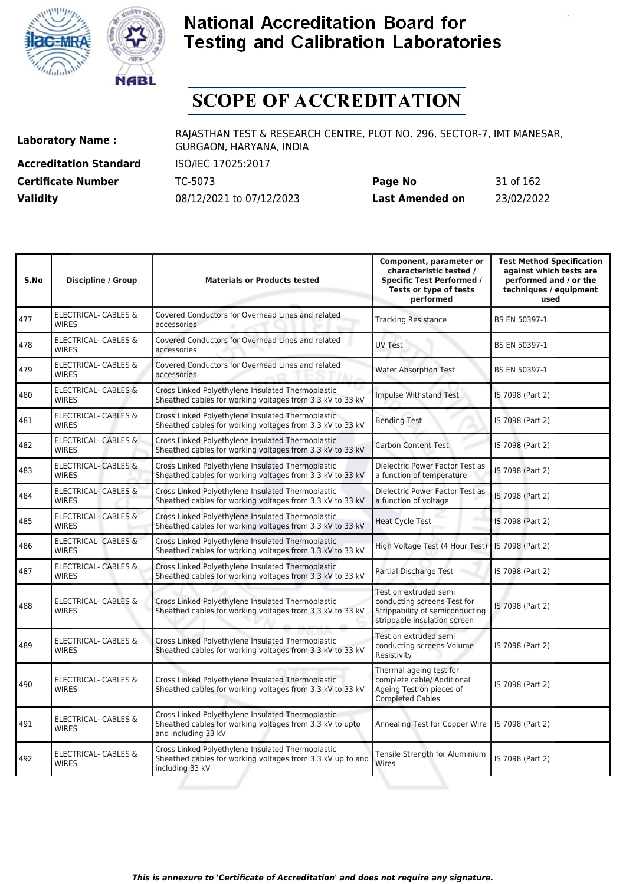



# **SCOPE OF ACCREDITATION**

**Accreditation Standard** ISO/IEC 17025:2017

**Laboratory Name :** RAJASTHAN TEST & RESEARCH CENTRE, PLOT NO. 296, SECTOR-7, IMT MANESAR, GURGAON, HARYANA, INDIA

**Certificate Number** TC-5073 **Page No** 31 of 162 **Validity** 08/12/2021 to 07/12/2023 **Last Amended on** 23/02/2022

| S.No | <b>Discipline / Group</b>                       | <b>Materials or Products tested</b>                                                                                                  | Component, parameter or<br>characteristic tested /<br><b>Specific Test Performed /</b><br>Tests or type of tests<br>performed | <b>Test Method Specification</b><br>against which tests are<br>performed and / or the<br>techniques / equipment<br>used |
|------|-------------------------------------------------|--------------------------------------------------------------------------------------------------------------------------------------|-------------------------------------------------------------------------------------------------------------------------------|-------------------------------------------------------------------------------------------------------------------------|
| 477  | <b>ELECTRICAL- CABLES &amp;</b><br><b>WIRES</b> | Covered Conductors for Overhead Lines and related<br>accessories                                                                     | <b>Tracking Resistance</b>                                                                                                    | BS EN 50397-1                                                                                                           |
| 478  | <b>ELECTRICAL- CABLES &amp;</b><br><b>WIRES</b> | Covered Conductors for Overhead Lines and related<br>accessories                                                                     | <b>UV Test</b>                                                                                                                | BS EN 50397-1                                                                                                           |
| 479  | <b>ELECTRICAL- CABLES &amp;</b><br><b>WIRES</b> | Covered Conductors for Overhead Lines and related<br>accessories                                                                     | <b>Water Absorption Test</b>                                                                                                  | BS EN 50397-1                                                                                                           |
| 480  | <b>ELECTRICAL- CABLES &amp;</b><br><b>WIRES</b> | Cross Linked Polyethylene Insulated Thermoplastic<br>Sheathed cables for working voltages from 3.3 kV to 33 kV                       | Impulse Withstand Test                                                                                                        | IS 7098 (Part 2)                                                                                                        |
| 481  | ELECTRICAL- CABLES &<br><b>WIRES</b>            | Cross Linked Polyethylene Insulated Thermoplastic<br>Sheathed cables for working voltages from 3.3 kV to 33 kV                       | <b>Bending Test</b>                                                                                                           | IS 7098 (Part 2)                                                                                                        |
| 482  | ELECTRICAL- CABLES &<br><b>WIRES</b>            | Cross Linked Polyethylene Insulated Thermoplastic<br>Sheathed cables for working voltages from 3.3 kV to 33 kV                       | <b>Carbon Content Test</b>                                                                                                    | IS 7098 (Part 2)                                                                                                        |
| 483  | <b>ELECTRICAL- CABLES &amp;</b><br><b>WIRES</b> | Cross Linked Polyethylene Insulated Thermoplastic<br>Sheathed cables for working voltages from 3.3 kV to 33 kV                       | Dielectric Power Factor Test as<br>a function of temperature                                                                  | IS 7098 (Part 2)                                                                                                        |
| 484  | <b>ELECTRICAL- CABLES &amp;</b><br><b>WIRES</b> | Cross Linked Polyethylene Insulated Thermoplastic<br>Sheathed cables for working voltages from 3.3 kV to 33 kV                       | Dielectric Power Factor Test as<br>a function of voltage                                                                      | IS 7098 (Part 2)                                                                                                        |
| 485  | ELECTRICAL- CABLES &<br><b>WIRES</b>            | Cross Linked Polyethylene Insulated Thermoplastic<br>Sheathed cables for working voltages from 3.3 kV to 33 kV                       | <b>Heat Cycle Test</b>                                                                                                        | IS 7098 (Part 2)                                                                                                        |
| 486  | <b>ELECTRICAL- CABLES &amp;</b><br><b>WIRES</b> | Cross Linked Polyethylene Insulated Thermoplastic<br>Sheathed cables for working voltages from 3.3 kV to 33 kV                       | High Voltage Test (4 Hour Test)                                                                                               | IS 7098 (Part 2)                                                                                                        |
| 487  | ELECTRICAL- CABLES &<br><b>WIRES</b>            | Cross Linked Polyethylene Insulated Thermoplastic<br>Sheathed cables for working voltages from 3.3 kV to 33 kV                       | <b>Partial Discharge Test</b>                                                                                                 | IS 7098 (Part 2)                                                                                                        |
| 488  | <b>ELECTRICAL- CABLES &amp;</b><br><b>WIRES</b> | Cross Linked Polyethylene Insulated Thermoplastic<br>Sheathed cables for working voltages from 3.3 kV to 33 kV                       | Test on extruded semi<br>conducting screens-Test for<br>Strippability of semiconducting<br>strippable insulation screen       | IS 7098 (Part 2)                                                                                                        |
| 489  | <b>ELECTRICAL- CABLES &amp;</b><br><b>WIRES</b> | Cross Linked Polyethylene Insulated Thermoplastic<br>Sheathed cables for working voltages from 3.3 kV to 33 kV                       | Test on extruded semi<br>conducting screens-Volume<br>Resistivity                                                             | IS 7098 (Part 2)                                                                                                        |
| 490  | <b>ELECTRICAL- CABLES &amp;</b><br><b>WIRES</b> | Cross Linked Polyethylene Insulated Thermoplastic<br>Sheathed cables for working voltages from 3.3 kV to 33 kV                       | Thermal ageing test for<br>complete cable/ Additional<br>Ageing Test on pieces of<br><b>Completed Cables</b>                  | IS 7098 (Part 2)                                                                                                        |
| 491  | <b>ELECTRICAL- CABLES &amp;</b><br><b>WIRES</b> | Cross Linked Polyethylene Insulated Thermoplastic<br>Sheathed cables for working voltages from 3.3 kV to upto<br>and including 33 kV | Annealing Test for Copper Wire                                                                                                | IS 7098 (Part 2)                                                                                                        |
| 492  | ELECTRICAL- CABLES &<br><b>WIRES</b>            | Cross Linked Polyethylene Insulated Thermoplastic<br>Sheathed cables for working voltages from 3.3 kV up to and<br>including 33 kV   | Tensile Strength for Aluminium<br>Wires                                                                                       | IS 7098 (Part 2)                                                                                                        |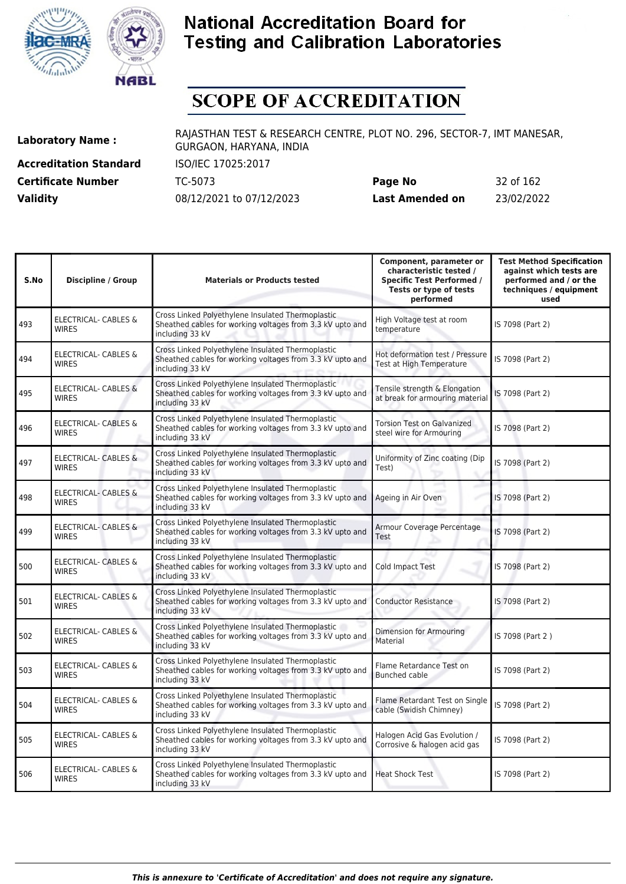



# **SCOPE OF ACCREDITATION**

**Accreditation Standard** ISO/IEC 17025:2017

**Laboratory Name :** RAJASTHAN TEST & RESEARCH CENTRE, PLOT NO. 296, SECTOR-7, IMT MANESAR, GURGAON, HARYANA, INDIA

**Certificate Number** TC-5073 **Page No** 32 of 162 **Validity** 08/12/2021 to 07/12/2023 **Last Amended on** 23/02/2022

| S.No | <b>Discipline / Group</b>                       | <b>Materials or Products tested</b>                                                                                               | Component, parameter or<br>characteristic tested /<br><b>Specific Test Performed /</b><br>Tests or type of tests<br>performed | <b>Test Method Specification</b><br>against which tests are<br>performed and / or the<br>techniques / equipment<br>used |
|------|-------------------------------------------------|-----------------------------------------------------------------------------------------------------------------------------------|-------------------------------------------------------------------------------------------------------------------------------|-------------------------------------------------------------------------------------------------------------------------|
| 493  | ELECTRICAL- CABLES &<br><b>WIRES</b>            | Cross Linked Polyethylene Insulated Thermoplastic<br>Sheathed cables for working voltages from 3.3 kV upto and<br>including 33 kV | High Voltage test at room<br>temperature                                                                                      | IS 7098 (Part 2)                                                                                                        |
| 494  | ELECTRICAL- CABLES &<br><b>WIRES</b>            | Cross Linked Polyethylene Insulated Thermoplastic<br>Sheathed cables for working voltages from 3.3 kV upto and<br>including 33 kV | Hot deformation test / Pressure<br>Test at High Temperature                                                                   | IS 7098 (Part 2)                                                                                                        |
| 495  | <b>ELECTRICAL- CABLES &amp;</b><br><b>WIRES</b> | Cross Linked Polyethylene Insulated Thermoplastic<br>Sheathed cables for working voltages from 3.3 kV upto and<br>including 33 kV | Tensile strength & Elongation<br>at break for armouring material                                                              | IS 7098 (Part 2)                                                                                                        |
| 496  | ELECTRICAL- CABLES &<br><b>WIRES</b>            | Cross Linked Polyethylene Insulated Thermoplastic<br>Sheathed cables for working voltages from 3.3 kV upto and<br>including 33 kV | <b>Torsion Test on Galvanized</b><br>steel wire for Armouring                                                                 | IS 7098 (Part 2)                                                                                                        |
| 497  | <b>ELECTRICAL- CABLES &amp;</b><br><b>WIRES</b> | Cross Linked Polyethylene Insulated Thermoplastic<br>Sheathed cables for working voltages from 3.3 kV upto and<br>including 33 kV | Uniformity of Zinc coating (Dip<br>Test)                                                                                      | IS 7098 (Part 2)                                                                                                        |
| 498  | ELECTRICAL- CABLES &<br><b>WIRES</b>            | Cross Linked Polyethylene Insulated Thermoplastic<br>Sheathed cables for working voltages from 3.3 kV upto and<br>including 33 kV | Ageing in Air Oven                                                                                                            | IS 7098 (Part 2)                                                                                                        |
| 499  | <b>ELECTRICAL- CABLES &amp;</b><br><b>WIRES</b> | Cross Linked Polyethylene Insulated Thermoplastic<br>Sheathed cables for working voltages from 3.3 kV upto and<br>including 33 kV | Armour Coverage Percentage<br>Test                                                                                            | IS 7098 (Part 2)                                                                                                        |
| 500  | ELECTRICAL- CABLES &<br><b>WIRES</b>            | Cross Linked Polyethylene Insulated Thermoplastic<br>Sheathed cables for working voltages from 3.3 kV upto and<br>including 33 kV | Cold Impact Test                                                                                                              | IS 7098 (Part 2)                                                                                                        |
| 501  | <b>ELECTRICAL- CABLES &amp;</b><br><b>WIRES</b> | Cross Linked Polyethylene Insulated Thermoplastic<br>Sheathed cables for working voltages from 3.3 kV upto and<br>including 33 kV | <b>Conductor Resistance</b>                                                                                                   | IS 7098 (Part 2)                                                                                                        |
| 502  | <b>ELECTRICAL- CABLES &amp;</b><br><b>WIRES</b> | Cross Linked Polyethylene Insulated Thermoplastic<br>Sheathed cables for working voltages from 3.3 kV upto and<br>including 33 kV | Dimension for Armouring<br>Material                                                                                           | IS 7098 (Part 2)                                                                                                        |
| 503  | <b>ELECTRICAL- CABLES &amp;</b><br><b>WIRES</b> | Cross Linked Polyethylene Insulated Thermoplastic<br>Sheathed cables for working voltages from 3.3 kV upto and<br>including 33 kV | Flame Retardance Test on<br><b>Bunched cable</b>                                                                              | IS 7098 (Part 2)                                                                                                        |
| 504  | ELECTRICAL- CABLES &<br><b>WIRES</b>            | Cross Linked Polyethylene Insulated Thermoplastic<br>Sheathed cables for working voltages from 3.3 kV upto and<br>including 33 kV | Flame Retardant Test on Single<br>cable (Swidish Chimney)                                                                     | IS 7098 (Part 2)                                                                                                        |
| 505  | ELECTRICAL- CABLES &<br><b>WIRES</b>            | Cross Linked Polyethylene Insulated Thermoplastic<br>Sheathed cables for working voltages from 3.3 kV upto and<br>including 33 kV | Halogen Acid Gas Evolution /<br>Corrosive & halogen acid gas                                                                  | IS 7098 (Part 2)                                                                                                        |
| 506  | ELECTRICAL- CABLES &<br><b>WIRES</b>            | Cross Linked Polyethylene Insulated Thermoplastic<br>Sheathed cables for working voltages from 3.3 kV upto and<br>including 33 kV | <b>Heat Shock Test</b>                                                                                                        | IS 7098 (Part 2)                                                                                                        |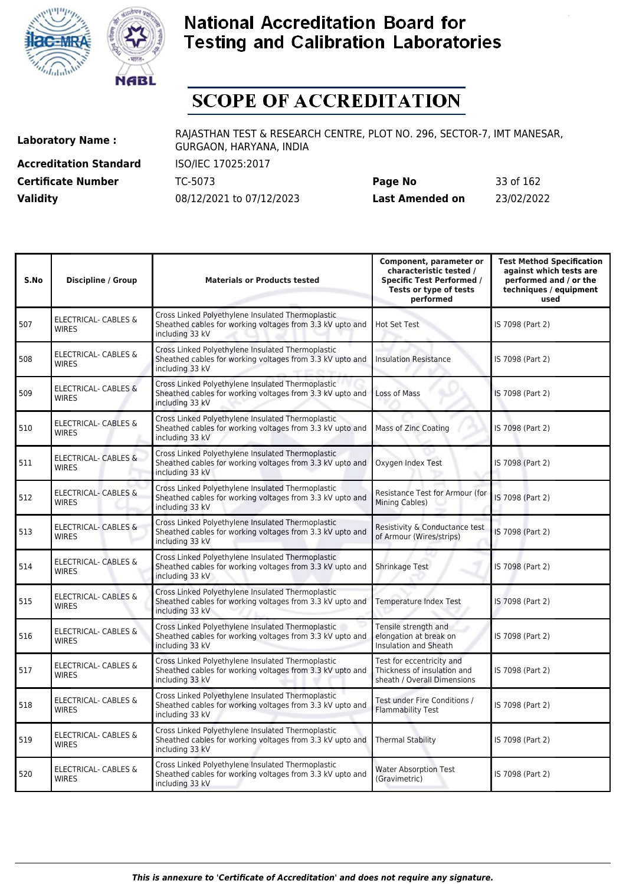



# **SCOPE OF ACCREDITATION**

**Accreditation Standard** ISO/IEC 17025:2017 **Certificate Number** TC-5073

| <b>Certificate Number</b> | TC-5073                  | Page No         | 33 of 162  |
|---------------------------|--------------------------|-----------------|------------|
| <b>Validity</b>           | 08/12/2021 to 07/12/2023 | Last Amended on | 23/02/2022 |

| S.No | <b>Discipline / Group</b>                       | <b>Materials or Products tested</b>                                                                                               | Component, parameter or<br>characteristic tested /<br><b>Specific Test Performed /</b><br>Tests or type of tests<br>performed | <b>Test Method Specification</b><br>against which tests are<br>performed and / or the<br>techniques / equipment<br>used |
|------|-------------------------------------------------|-----------------------------------------------------------------------------------------------------------------------------------|-------------------------------------------------------------------------------------------------------------------------------|-------------------------------------------------------------------------------------------------------------------------|
| 507  | <b>ELECTRICAL- CABLES &amp;</b><br><b>WIRES</b> | Cross Linked Polyethylene Insulated Thermoplastic<br>Sheathed cables for working voltages from 3.3 kV upto and<br>including 33 kV | <b>Hot Set Test</b>                                                                                                           | IS 7098 (Part 2)                                                                                                        |
| 508  | <b>ELECTRICAL- CABLES &amp;</b><br><b>WIRES</b> | Cross Linked Polyethylene Insulated Thermoplastic<br>Sheathed cables for working voltages from 3.3 kV upto and<br>including 33 kV | <b>Insulation Resistance</b>                                                                                                  | IS 7098 (Part 2)                                                                                                        |
| 509  | <b>ELECTRICAL- CABLES &amp;</b><br><b>WIRES</b> | Cross Linked Polyethylene Insulated Thermoplastic<br>Sheathed cables for working voltages from 3.3 kV upto and<br>including 33 kV | Loss of Mass                                                                                                                  | IS 7098 (Part 2)                                                                                                        |
| 510  | <b>ELECTRICAL- CABLES &amp;</b><br><b>WIRES</b> | Cross Linked Polyethylene Insulated Thermoplastic<br>Sheathed cables for working voltages from 3.3 kV upto and<br>including 33 kV | Mass of Zinc Coating                                                                                                          | IS 7098 (Part 2)                                                                                                        |
| 511  | ELECTRICAL- CABLES &<br><b>WIRES</b>            | Cross Linked Polyethylene Insulated Thermoplastic<br>Sheathed cables for working voltages from 3.3 kV upto and<br>including 33 kV | Oxygen Index Test                                                                                                             | IS 7098 (Part 2)                                                                                                        |
| 512  | ELECTRICAL- CABLES &<br><b>WIRES</b>            | Cross Linked Polyethylene Insulated Thermoplastic<br>Sheathed cables for working voltages from 3.3 kV upto and<br>including 33 kV | Resistance Test for Armour (for<br>Mining Cables)                                                                             | IS 7098 (Part 2)                                                                                                        |
| 513  | <b>ELECTRICAL- CABLES &amp;</b><br><b>WIRES</b> | Cross Linked Polyethylene Insulated Thermoplastic<br>Sheathed cables for working voltages from 3.3 kV upto and<br>including 33 kV | Resistivity & Conductance test<br>of Armour (Wires/strips)                                                                    | IS 7098 (Part 2)                                                                                                        |
| 514  | <b>ELECTRICAL- CABLES &amp;</b><br><b>WIRES</b> | Cross Linked Polyethylene Insulated Thermoplastic<br>Sheathed cables for working voltages from 3.3 kV upto and<br>including 33 kV | Shrinkage Test                                                                                                                | IS 7098 (Part 2)                                                                                                        |
| 515  | ELECTRICAL- CABLES &<br><b>WIRES</b>            | Cross Linked Polyethylene Insulated Thermoplastic<br>Sheathed cables for working voltages from 3.3 kV upto and<br>including 33 kV | <b>Temperature Index Test</b>                                                                                                 | IS 7098 (Part 2)                                                                                                        |
| 516  | <b>ELECTRICAL- CABLES &amp;</b><br><b>WIRES</b> | Cross Linked Polyethylene Insulated Thermoplastic<br>Sheathed cables for working voltages from 3.3 kV upto and<br>including 33 kV | Tensile strength and<br>elongation at break on<br><b>Insulation and Sheath</b>                                                | IS 7098 (Part 2)                                                                                                        |
| 517  | ELECTRICAL- CABLES &<br>WIRES                   | Cross Linked Polyethylene Insulated Thermoplastic<br>Sheathed cables for working voltages from 3.3 kV upto and<br>including 33 kV | Test for eccentricity and<br>Thickness of insulation and<br>sheath / Overall Dimensions                                       | IS 7098 (Part 2)                                                                                                        |
| 518  | <b>ELECTRICAL- CABLES &amp;</b><br><b>WIRES</b> | Cross Linked Polyethylene Insulated Thermoplastic<br>Sheathed cables for working voltages from 3.3 kV upto and<br>including 33 kV | Test under Fire Conditions /<br><b>Flammability Test</b>                                                                      | IS 7098 (Part 2)                                                                                                        |
| 519  | ELECTRICAL- CABLES &<br><b>WIRES</b>            | Cross Linked Polyethylene Insulated Thermoplastic<br>Sheathed cables for working voltages from 3.3 kV upto and<br>including 33 kV | <b>Thermal Stability</b>                                                                                                      | IS 7098 (Part 2)                                                                                                        |
| 520  | ELECTRICAL- CABLES &<br><b>WIRES</b>            | Cross Linked Polyethylene Insulated Thermoplastic<br>Sheathed cables for working voltages from 3.3 kV upto and<br>including 33 kV | <b>Water Absorption Test</b><br>(Gravimetric)                                                                                 | IS 7098 (Part 2)                                                                                                        |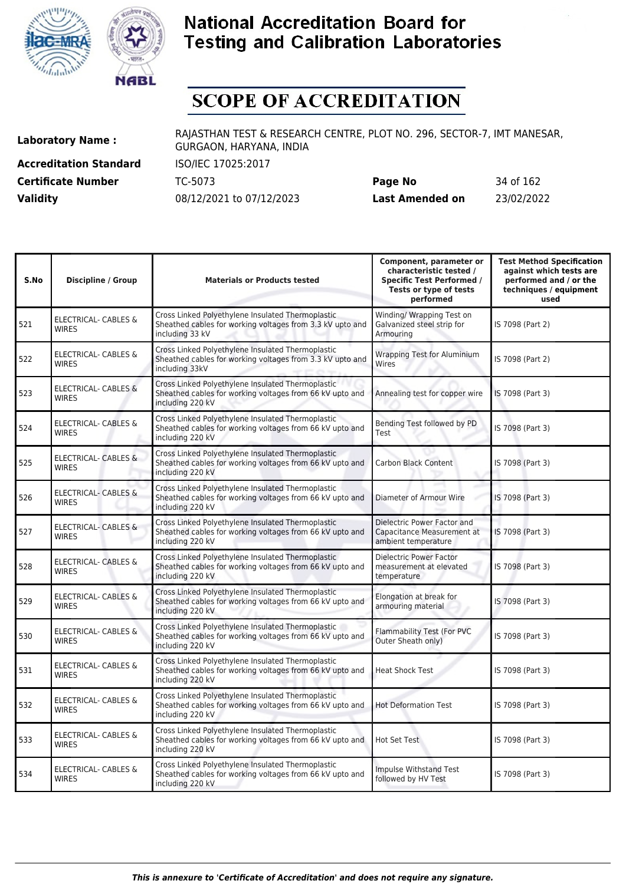



# **SCOPE OF ACCREDITATION**

**Accreditation Standard** ISO/IEC 17025:2017

**Laboratory Name :** RAJASTHAN TEST & RESEARCH CENTRE, PLOT NO. 296, SECTOR-7, IMT MANESAR, GURGAON, HARYANA, INDIA

**Certificate Number** TC-5073 **Page No** 34 of 162 **Validity** 08/12/2021 to 07/12/2023 **Last Amended on** 23/02/2022

| S.No | <b>Discipline / Group</b>                       | <b>Materials or Products tested</b>                                                                                               | Component, parameter or<br>characteristic tested /<br><b>Specific Test Performed /</b><br>Tests or type of tests<br>performed | <b>Test Method Specification</b><br>against which tests are<br>performed and / or the<br>techniques / equipment<br>used |
|------|-------------------------------------------------|-----------------------------------------------------------------------------------------------------------------------------------|-------------------------------------------------------------------------------------------------------------------------------|-------------------------------------------------------------------------------------------------------------------------|
| 521  | ELECTRICAL- CABLES &<br><b>WIRES</b>            | Cross Linked Polyethylene Insulated Thermoplastic<br>Sheathed cables for working voltages from 3.3 kV upto and<br>including 33 kV | Winding/ Wrapping Test on<br>Galvanized steel strip for<br>Armouring                                                          | IS 7098 (Part 2)                                                                                                        |
| 522  | ELECTRICAL- CABLES &<br><b>WIRES</b>            | Cross Linked Polyethylene Insulated Thermoplastic<br>Sheathed cables for working voltages from 3.3 kV upto and<br>including 33kV  | <b>Wrapping Test for Aluminium</b><br>Wires                                                                                   | IS 7098 (Part 2)                                                                                                        |
| 523  | ELECTRICAL- CABLES &<br><b>WIRES</b>            | Cross Linked Polyethylene Insulated Thermoplastic<br>Sheathed cables for working voltages from 66 kV upto and<br>including 220 kV | Annealing test for copper wire                                                                                                | IS 7098 (Part 3)                                                                                                        |
| 524  | ELECTRICAL- CABLES &<br><b>WIRES</b>            | Cross Linked Polyethylene Insulated Thermoplastic<br>Sheathed cables for working voltages from 66 kV upto and<br>including 220 kV | Bending Test followed by PD<br>Test                                                                                           | IS 7098 (Part 3)                                                                                                        |
| 525  | <b>ELECTRICAL- CABLES &amp;</b><br><b>WIRES</b> | Cross Linked Polyethylene Insulated Thermoplastic<br>Sheathed cables for working voltages from 66 kV upto and<br>including 220 kV | <b>Carbon Black Content</b>                                                                                                   | IS 7098 (Part 3)                                                                                                        |
| 526  | ELECTRICAL- CABLES &<br><b>WIRES</b>            | Cross Linked Polyethylene Insulated Thermoplastic<br>Sheathed cables for working voltages from 66 kV upto and<br>including 220 kV | Diameter of Armour Wire                                                                                                       | IS 7098 (Part 3)                                                                                                        |
| 527  | <b>ELECTRICAL- CABLES &amp;</b><br><b>WIRES</b> | Cross Linked Polyethylene Insulated Thermoplastic<br>Sheathed cables for working voltages from 66 kV upto and<br>including 220 kV | Dielectric Power Factor and<br>Capacitance Measurement at<br>ambient temperature                                              | IS 7098 (Part 3)                                                                                                        |
| 528  | ELECTRICAL- CABLES &<br><b>WIRES</b>            | Cross Linked Polyethylene Insulated Thermoplastic<br>Sheathed cables for working voltages from 66 kV upto and<br>including 220 kV | <b>Dielectric Power Factor</b><br>measurement at elevated<br>temperature                                                      | IS 7098 (Part 3)                                                                                                        |
| 529  | <b>ELECTRICAL- CABLES &amp;</b><br><b>WIRES</b> | Cross Linked Polyethylene Insulated Thermoplastic<br>Sheathed cables for working voltages from 66 kV upto and<br>including 220 kV | Elongation at break for<br>armouring material                                                                                 | IS 7098 (Part 3)                                                                                                        |
| 530  | <b>ELECTRICAL- CABLES &amp;</b><br><b>WIRES</b> | Cross Linked Polyethylene Insulated Thermoplastic<br>Sheathed cables for working voltages from 66 kV upto and<br>including 220 kV | Flammability Test (For PVC<br>Outer Sheath only)                                                                              | IS 7098 (Part 3)                                                                                                        |
| 531  | ELECTRICAL- CABLES &<br><b>WIRES</b>            | Cross Linked Polyethylene Insulated Thermoplastic<br>Sheathed cables for working voltages from 66 kV upto and<br>including 220 kV | <b>Heat Shock Test</b>                                                                                                        | IS 7098 (Part 3)                                                                                                        |
| 532  | <b>ELECTRICAL- CABLES &amp;</b><br><b>WIRES</b> | Cross Linked Polyethylene Insulated Thermoplastic<br>Sheathed cables for working voltages from 66 kV upto and<br>including 220 kV | <b>Hot Deformation Test</b>                                                                                                   | IS 7098 (Part 3)                                                                                                        |
| 533  | <b>ELECTRICAL- CABLES &amp;</b><br><b>WIRES</b> | Cross Linked Polyethylene Insulated Thermoplastic<br>Sheathed cables for working voltages from 66 kV upto and<br>including 220 kV | Hot Set Test                                                                                                                  | IS 7098 (Part 3)                                                                                                        |
| 534  | ELECTRICAL- CABLES &<br><b>WIRES</b>            | Cross Linked Polyethylene Insulated Thermoplastic<br>Sheathed cables for working voltages from 66 kV upto and<br>including 220 kV | Impulse Withstand Test<br>followed by HV Test                                                                                 | IS 7098 (Part 3)                                                                                                        |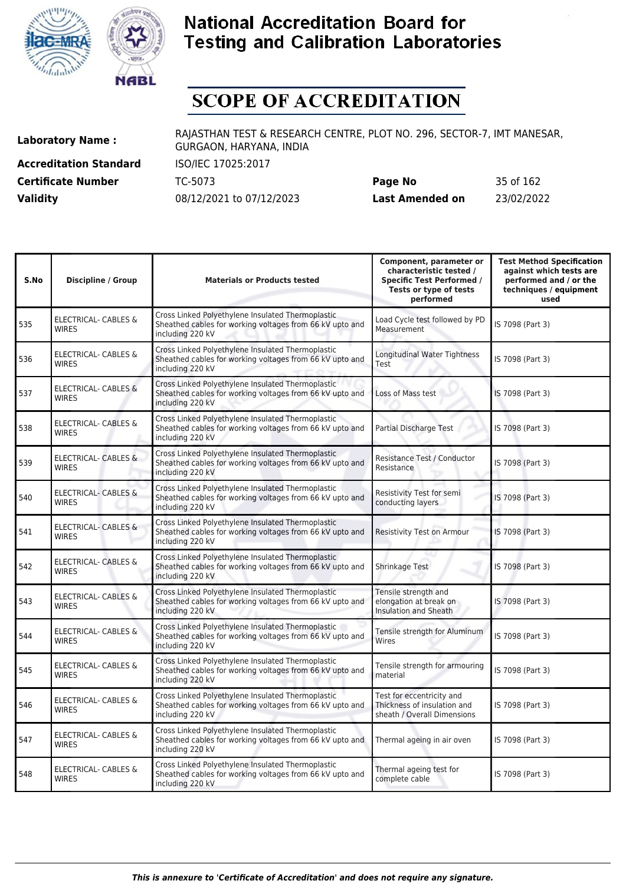



# **SCOPE OF ACCREDITATION**

**Accreditation Standard** ISO/IEC 17025:2017

**Laboratory Name :** RAJASTHAN TEST & RESEARCH CENTRE, PLOT NO. 296, SECTOR-7, IMT MANESAR, GURGAON, HARYANA, INDIA

**Certificate Number** TC-5073 **Page No** 35 of 162 **Validity** 08/12/2021 to 07/12/2023 **Last Amended on** 23/02/2022

| S.No | Discipline / Group                              | <b>Materials or Products tested</b>                                                                                               | Component, parameter or<br>characteristic tested /<br><b>Specific Test Performed /</b><br>Tests or type of tests<br>performed | <b>Test Method Specification</b><br>against which tests are<br>performed and / or the<br>techniques / equipment<br>used |
|------|-------------------------------------------------|-----------------------------------------------------------------------------------------------------------------------------------|-------------------------------------------------------------------------------------------------------------------------------|-------------------------------------------------------------------------------------------------------------------------|
| 535  | ELECTRICAL- CABLES &<br><b>WIRES</b>            | Cross Linked Polyethylene Insulated Thermoplastic<br>Sheathed cables for working voltages from 66 kV upto and<br>including 220 kV | Load Cycle test followed by PD<br>Measurement                                                                                 | IS 7098 (Part 3)                                                                                                        |
| 536  | <b>ELECTRICAL- CABLES &amp;</b><br><b>WIRES</b> | Cross Linked Polyethylene Insulated Thermoplastic<br>Sheathed cables for working voltages from 66 kV upto and<br>including 220 kV | Longitudinal Water Tightness<br>Test                                                                                          | IS 7098 (Part 3)                                                                                                        |
| 537  | <b>ELECTRICAL- CABLES &amp;</b><br><b>WIRES</b> | Cross Linked Polyethylene Insulated Thermoplastic<br>Sheathed cables for working voltages from 66 kV upto and<br>including 220 kV | Loss of Mass test                                                                                                             | IS 7098 (Part 3)                                                                                                        |
| 538  | ELECTRICAL- CABLES &<br><b>WIRES</b>            | Cross Linked Polyethylene Insulated Thermoplastic<br>Sheathed cables for working voltages from 66 kV upto and<br>including 220 kV | Partial Discharge Test                                                                                                        | IS 7098 (Part 3)                                                                                                        |
| 539  | <b>ELECTRICAL- CABLES &amp;</b><br><b>WIRES</b> | Cross Linked Polyethylene Insulated Thermoplastic<br>Sheathed cables for working voltages from 66 kV upto and<br>including 220 kV | Resistance Test / Conductor<br>Resistance                                                                                     | IS 7098 (Part 3)                                                                                                        |
| 540  | ELECTRICAL- CABLES &<br><b>WIRES</b>            | Cross Linked Polyethylene Insulated Thermoplastic<br>Sheathed cables for working voltages from 66 kV upto and<br>including 220 kV | Resistivity Test for semi<br>conducting layers                                                                                | IS 7098 (Part 3)                                                                                                        |
| 541  | ELECTRICAL- CABLES &<br><b>WIRES</b>            | Cross Linked Polyethylene Insulated Thermoplastic<br>Sheathed cables for working voltages from 66 kV upto and<br>including 220 kV | Resistivity Test on Armour                                                                                                    | IS 7098 (Part 3)                                                                                                        |
| 542  | ELECTRICAL- CABLES &<br><b>WIRES</b>            | Cross Linked Polyethylene Insulated Thermoplastic<br>Sheathed cables for working voltages from 66 kV upto and<br>including 220 kV | Shrinkage Test                                                                                                                | IS 7098 (Part 3)                                                                                                        |
| 543  | ELECTRICAL- CABLES &<br><b>WIRES</b>            | Cross Linked Polyethylene Insulated Thermoplastic<br>Sheathed cables for working voltages from 66 kV upto and<br>including 220 kV | Tensile strength and<br>elongation at break on<br><b>Insulation and Sheath</b>                                                | IS 7098 (Part 3)                                                                                                        |
| 544  | ELECTRICAL- CABLES &<br><b>WIRES</b>            | Cross Linked Polyethylene Insulated Thermoplastic<br>Sheathed cables for working voltages from 66 kV upto and<br>including 220 kV | Tensile strength for Aluminum<br>Wires                                                                                        | IS 7098 (Part 3)                                                                                                        |
| 545  | ELECTRICAL- CABLES &<br><b>WIRES</b>            | Cross Linked Polyethylene Insulated Thermoplastic<br>Sheathed cables for working voltages from 66 kV upto and<br>including 220 kV | Tensile strength for armouring<br>material                                                                                    | IS 7098 (Part 3)                                                                                                        |
| 546  | ELECTRICAL- CABLES &<br><b>WIRES</b>            | Cross Linked Polyethylene Insulated Thermoplastic<br>Sheathed cables for working voltages from 66 kV upto and<br>including 220 kV | Test for eccentricity and<br>Thickness of insulation and<br>sheath / Overall Dimensions                                       | IS 7098 (Part 3)                                                                                                        |
| 547  | ELECTRICAL- CABLES &<br><b>WIRES</b>            | Cross Linked Polyethylene Insulated Thermoplastic<br>Sheathed cables for working voltages from 66 kV upto and<br>including 220 kV | Thermal ageing in air oven                                                                                                    | IS 7098 (Part 3)                                                                                                        |
| 548  | ELECTRICAL- CABLES &<br><b>WIRES</b>            | Cross Linked Polyethylene Insulated Thermoplastic<br>Sheathed cables for working voltages from 66 kV upto and<br>including 220 kV | Thermal ageing test for<br>complete cable                                                                                     | IS 7098 (Part 3)                                                                                                        |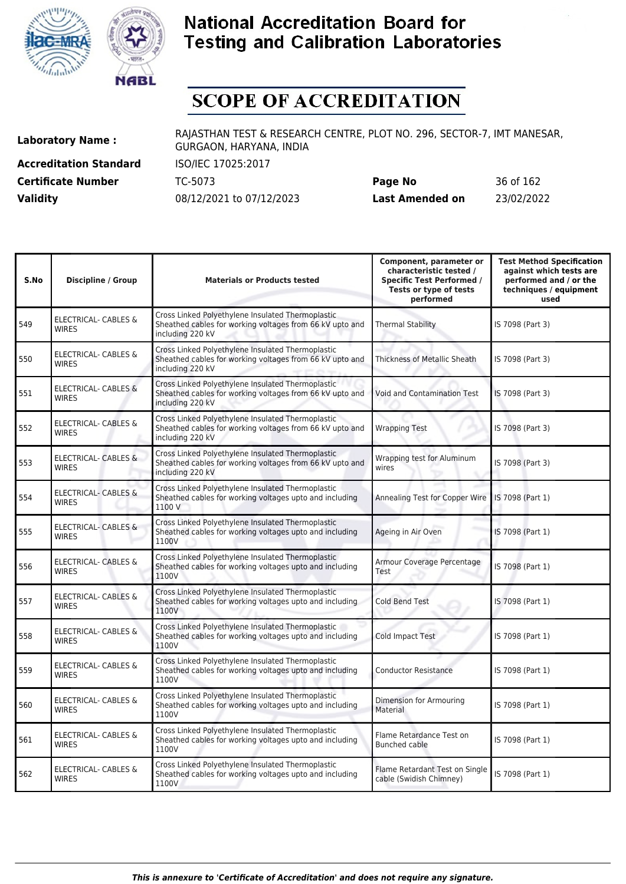



# **SCOPE OF ACCREDITATION**

**Accreditation Standard** ISO/IEC 17025:2017

**Laboratory Name :** RAJASTHAN TEST & RESEARCH CENTRE, PLOT NO. 296, SECTOR-7, IMT MANESAR, GURGAON, HARYANA, INDIA

**Certificate Number** TC-5073 **Page No** 36 of 162 **Validity** 08/12/2021 to 07/12/2023 **Last Amended on** 23/02/2022

| S.No | <b>Discipline / Group</b>                       | <b>Materials or Products tested</b>                                                                                               | Component, parameter or<br>characteristic tested /<br><b>Specific Test Performed /</b><br>Tests or type of tests<br>performed | <b>Test Method Specification</b><br>against which tests are<br>performed and / or the<br>techniques / equipment<br>used |
|------|-------------------------------------------------|-----------------------------------------------------------------------------------------------------------------------------------|-------------------------------------------------------------------------------------------------------------------------------|-------------------------------------------------------------------------------------------------------------------------|
| 549  | <b>ELECTRICAL- CABLES &amp;</b><br><b>WIRES</b> | Cross Linked Polyethylene Insulated Thermoplastic<br>Sheathed cables for working voltages from 66 kV upto and<br>including 220 kV | <b>Thermal Stability</b>                                                                                                      | IS 7098 (Part 3)                                                                                                        |
| 550  | <b>ELECTRICAL- CABLES &amp;</b><br><b>WIRES</b> | Cross Linked Polyethylene Insulated Thermoplastic<br>Sheathed cables for working voltages from 66 kV upto and<br>including 220 kV | Thickness of Metallic Sheath                                                                                                  | IS 7098 (Part 3)                                                                                                        |
| 551  | <b>ELECTRICAL- CABLES &amp;</b><br><b>WIRES</b> | Cross Linked Polyethylene Insulated Thermoplastic<br>Sheathed cables for working voltages from 66 kV upto and<br>including 220 kV | Void and Contamination Test                                                                                                   | IS 7098 (Part 3)                                                                                                        |
| 552  | <b>ELECTRICAL- CABLES &amp;</b><br><b>WIRES</b> | Cross Linked Polyethylene Insulated Thermoplastic<br>Sheathed cables for working voltages from 66 kV upto and<br>including 220 kV | <b>Wrapping Test</b>                                                                                                          | IS 7098 (Part 3)                                                                                                        |
| 553  | ELECTRICAL- CABLES &<br><b>WIRES</b>            | Cross Linked Polyethylene Insulated Thermoplastic<br>Sheathed cables for working voltages from 66 kV upto and<br>including 220 kV | Wrapping test for Aluminum<br>wires                                                                                           | IS 7098 (Part 3)                                                                                                        |
| 554  | <b>ELECTRICAL- CABLES &amp;</b><br><b>WIRES</b> | Cross Linked Polyethylene Insulated Thermoplastic<br>Sheathed cables for working voltages upto and including<br>1100 V            | Annealing Test for Copper Wire                                                                                                | IS 7098 (Part 1)                                                                                                        |
| 555  | <b>ELECTRICAL- CABLES &amp;</b><br><b>WIRES</b> | Cross Linked Polyethylene Insulated Thermoplastic<br>Sheathed cables for working voltages upto and including<br>1100V             | Ageing in Air Oven                                                                                                            | IS 7098 (Part 1)                                                                                                        |
| 556  | <b>ELECTRICAL- CABLES &amp;</b><br><b>WIRES</b> | Cross Linked Polyethylene Insulated Thermoplastic<br>Sheathed cables for working voltages upto and including<br>1100V             | Armour Coverage Percentage<br>Test                                                                                            | IS 7098 (Part 1)                                                                                                        |
| 557  | <b>ELECTRICAL- CABLES &amp;</b><br><b>WIRES</b> | Cross Linked Polyethylene Insulated Thermoplastic<br>Sheathed cables for working voltages upto and including<br>1100V             | <b>Cold Bend Test</b>                                                                                                         | IS 7098 (Part 1)                                                                                                        |
| 558  | <b>ELECTRICAL- CABLES &amp;</b><br><b>WIRES</b> | Cross Linked Polyethylene Insulated Thermoplastic<br>Sheathed cables for working voltages upto and including<br>1100V             | Cold Impact Test                                                                                                              | IS 7098 (Part 1)                                                                                                        |
| 559  | <b>ELECTRICAL- CABLES &amp;</b><br><b>WIRES</b> | Cross Linked Polyethylene Insulated Thermoplastic<br>Sheathed cables for working voltages upto and including<br>1100V             | <b>Conductor Resistance</b>                                                                                                   | IS 7098 (Part 1)                                                                                                        |
| 560  | <b>ELECTRICAL- CABLES &amp;</b><br><b>WIRES</b> | Cross Linked Polyethylene Insulated Thermoplastic<br>Sheathed cables for working voltages upto and including<br>1100V             | Dimension for Armouring<br>Material                                                                                           | IS 7098 (Part 1)                                                                                                        |
| 561  | ELECTRICAL- CABLES &<br><b>WIRES</b>            | Cross Linked Polyethylene Insulated Thermoplastic<br>Sheathed cables for working voltages upto and including<br>1100V             | Flame Retardance Test on<br><b>Bunched cable</b>                                                                              | IS 7098 (Part 1)                                                                                                        |
| 562  | <b>ELECTRICAL- CABLES &amp;</b><br><b>WIRES</b> | Cross Linked Polyethylene Insulated Thermoplastic<br>Sheathed cables for working voltages upto and including<br>1100V             | Flame Retardant Test on Single<br>cable (Swidish Chimney)                                                                     | IS 7098 (Part 1)                                                                                                        |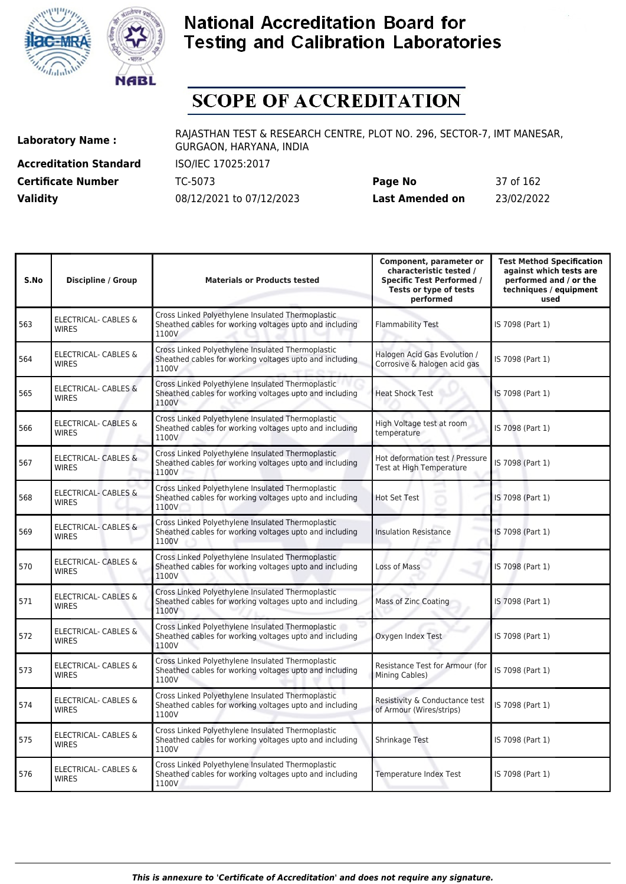



# **SCOPE OF ACCREDITATION**

**Accreditation Standard** ISO/IEC 17025:2017 **Certificate Number** TC-5073

**Laboratory Name :** RAJASTHAN TEST & RESEARCH CENTRE, PLOT NO. 296, SECTOR-7, IMT MANESAR, GURGAON, HARYANA, INDIA

| <b>Certificate Number</b> | TC-5073                  | Page No         | 37 of 162  |
|---------------------------|--------------------------|-----------------|------------|
| <b>Validity</b>           | 08/12/2021 to 07/12/2023 | Last Amended on | 23/02/2022 |

| S.No | <b>Discipline / Group</b>                       | <b>Materials or Products tested</b>                                                                                   | Component, parameter or<br>characteristic tested /<br><b>Specific Test Performed /</b><br>Tests or type of tests<br>performed | <b>Test Method Specification</b><br>against which tests are<br>performed and / or the<br>techniques / equipment<br>used |
|------|-------------------------------------------------|-----------------------------------------------------------------------------------------------------------------------|-------------------------------------------------------------------------------------------------------------------------------|-------------------------------------------------------------------------------------------------------------------------|
| 563  | <b>ELECTRICAL- CABLES &amp;</b><br><b>WIRES</b> | Cross Linked Polyethylene Insulated Thermoplastic<br>Sheathed cables for working voltages upto and including<br>1100V | <b>Flammability Test</b>                                                                                                      | IS 7098 (Part 1)                                                                                                        |
| 564  | <b>ELECTRICAL- CABLES &amp;</b><br><b>WIRES</b> | Cross Linked Polyethylene Insulated Thermoplastic<br>Sheathed cables for working voltages upto and including<br>1100V | Halogen Acid Gas Evolution /<br>Corrosive & halogen acid gas                                                                  | IS 7098 (Part 1)                                                                                                        |
| 565  | <b>ELECTRICAL- CABLES &amp;</b><br><b>WIRES</b> | Cross Linked Polyethylene Insulated Thermoplastic<br>Sheathed cables for working voltages upto and including<br>1100V | <b>Heat Shock Test</b>                                                                                                        | IS 7098 (Part 1)                                                                                                        |
| 566  | <b>ELECTRICAL- CABLES &amp;</b><br><b>WIRES</b> | Cross Linked Polyethylene Insulated Thermoplastic<br>Sheathed cables for working voltages upto and including<br>1100V | High Voltage test at room<br>temperature                                                                                      | IS 7098 (Part 1)                                                                                                        |
| 567  | ELECTRICAL- CABLES &<br><b>WIRES</b>            | Cross Linked Polyethylene Insulated Thermoplastic<br>Sheathed cables for working voltages upto and including<br>1100V | Hot deformation test / Pressure<br>Test at High Temperature                                                                   | IS 7098 (Part 1)                                                                                                        |
| 568  | ELECTRICAL- CABLES &<br><b>WIRES</b>            | Cross Linked Polyethylene Insulated Thermoplastic<br>Sheathed cables for working voltages upto and including<br>1100V | <b>Hot Set Test</b>                                                                                                           | IS 7098 (Part 1)                                                                                                        |
| 569  | <b>ELECTRICAL- CABLES &amp;</b><br><b>WIRES</b> | Cross Linked Polyethylene Insulated Thermoplastic<br>Sheathed cables for working voltages upto and including<br>1100V | <b>Insulation Resistance</b>                                                                                                  | IS 7098 (Part 1)                                                                                                        |
| 570  | ELECTRICAL- CABLES &<br><b>WIRES</b>            | Cross Linked Polyethylene Insulated Thermoplastic<br>Sheathed cables for working voltages upto and including<br>1100V | Loss of Mass                                                                                                                  | IS 7098 (Part 1)                                                                                                        |
| 571  | ELECTRICAL- CABLES &<br><b>WIRES</b>            | Cross Linked Polyethylene Insulated Thermoplastic<br>Sheathed cables for working voltages upto and including<br>1100V | Mass of Zinc Coating                                                                                                          | IS 7098 (Part 1)                                                                                                        |
| 572  | <b>ELECTRICAL- CABLES &amp;</b><br><b>WIRES</b> | Cross Linked Polyethylene Insulated Thermoplastic<br>Sheathed cables for working voltages upto and including<br>1100V | Oxygen Index Test                                                                                                             | IS 7098 (Part 1)                                                                                                        |
| 573  | ELECTRICAL- CABLES &<br>WIRES                   | Cross Linked Polyethylene Insulated Thermoplastic<br>Sheathed cables for working voltages upto and including<br>1100V | Resistance Test for Armour (for<br>Mining Cables)                                                                             | IS 7098 (Part 1)                                                                                                        |
| 574  | ELECTRICAL- CABLES &<br><b>WIRES</b>            | Cross Linked Polyethylene Insulated Thermoplastic<br>Sheathed cables for working voltages upto and including<br>1100V | Resistivity & Conductance test<br>of Armour (Wires/strips)                                                                    | IS 7098 (Part 1)                                                                                                        |
| 575  | ELECTRICAL- CABLES &<br><b>WIRES</b>            | Cross Linked Polyethylene Insulated Thermoplastic<br>Sheathed cables for working voltages upto and including<br>1100V | Shrinkage Test                                                                                                                | IS 7098 (Part 1)                                                                                                        |
| 576  | ELECTRICAL- CABLES &<br><b>WIRES</b>            | Cross Linked Polyethylene Insulated Thermoplastic<br>Sheathed cables for working voltages upto and including<br>1100V | Temperature Index Test                                                                                                        | IS 7098 (Part 1)                                                                                                        |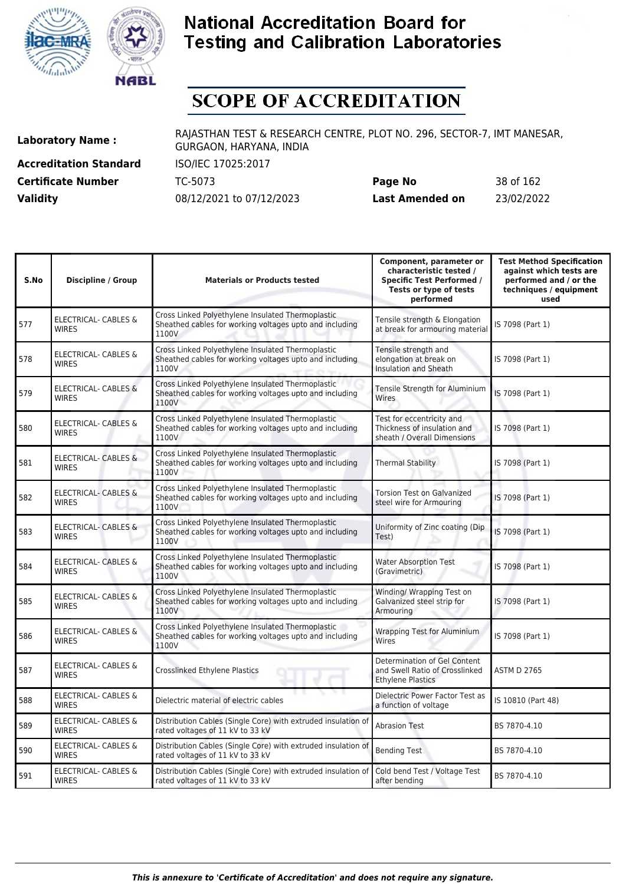



# **SCOPE OF ACCREDITATION**

**Accreditation Standard** ISO/IEC 17025:2017

**Laboratory Name :** RAJASTHAN TEST & RESEARCH CENTRE, PLOT NO. 296, SECTOR-7, IMT MANESAR, GURGAON, HARYANA, INDIA

**Certificate Number** TC-5073 **Page No** 38 of 162 **Validity** 08/12/2021 to 07/12/2023 **Last Amended on** 23/02/2022

| S.No | <b>Discipline / Group</b>                       | <b>Materials or Products tested</b>                                                                                   | Component, parameter or<br>characteristic tested /<br><b>Specific Test Performed /</b><br>Tests or type of tests<br>performed | <b>Test Method Specification</b><br>against which tests are<br>performed and / or the<br>techniques / equipment<br>used |
|------|-------------------------------------------------|-----------------------------------------------------------------------------------------------------------------------|-------------------------------------------------------------------------------------------------------------------------------|-------------------------------------------------------------------------------------------------------------------------|
| 577  | <b>ELECTRICAL- CABLES &amp;</b><br><b>WIRES</b> | Cross Linked Polyethylene Insulated Thermoplastic<br>Sheathed cables for working voltages upto and including<br>1100V | Tensile strength & Elongation<br>at break for armouring material                                                              | IS 7098 (Part 1)                                                                                                        |
| 578  | <b>ELECTRICAL- CABLES &amp;</b><br><b>WIRES</b> | Cross Linked Polyethylene Insulated Thermoplastic<br>Sheathed cables for working voltages upto and including<br>1100V | Tensile strength and<br>elongation at break on<br>Insulation and Sheath                                                       | IS 7098 (Part 1)                                                                                                        |
| 579  | <b>ELECTRICAL- CABLES &amp;</b><br><b>WIRES</b> | Cross Linked Polyethylene Insulated Thermoplastic<br>Sheathed cables for working voltages upto and including<br>1100V | Tensile Strength for Aluminium<br>Wires                                                                                       | IS 7098 (Part 1)                                                                                                        |
| 580  | <b>ELECTRICAL- CABLES &amp;</b><br><b>WIRES</b> | Cross Linked Polyethylene Insulated Thermoplastic<br>Sheathed cables for working voltages upto and including<br>1100V | Test for eccentricity and<br>Thickness of insulation and<br>sheath / Overall Dimensions                                       | IS 7098 (Part 1)                                                                                                        |
| 581  | <b>ELECTRICAL- CABLES &amp;</b><br><b>WIRES</b> | Cross Linked Polyethylene Insulated Thermoplastic<br>Sheathed cables for working voltages upto and including<br>1100V | <b>Thermal Stability</b>                                                                                                      | IS 7098 (Part 1)                                                                                                        |
| 582  | <b>ELECTRICAL- CABLES &amp;</b><br><b>WIRES</b> | Cross Linked Polyethylene Insulated Thermoplastic<br>Sheathed cables for working voltages upto and including<br>1100V | <b>Torsion Test on Galvanized</b><br>steel wire for Armouring                                                                 | IS 7098 (Part 1)                                                                                                        |
| 583  | <b>ELECTRICAL- CABLES &amp;</b><br><b>WIRES</b> | Cross Linked Polyethylene Insulated Thermoplastic<br>Sheathed cables for working voltages upto and including<br>1100V | Uniformity of Zinc coating (Dip<br>Test)                                                                                      | IS 7098 (Part 1)                                                                                                        |
| 584  | ELECTRICAL- CABLES &<br><b>WIRES</b>            | Cross Linked Polyethylene Insulated Thermoplastic<br>Sheathed cables for working voltages upto and including<br>1100V | <b>Water Absorption Test</b><br>(Gravimetric)                                                                                 | IS 7098 (Part 1)                                                                                                        |
| 585  | <b>ELECTRICAL- CABLES &amp;</b><br><b>WIRES</b> | Cross Linked Polyethylene Insulated Thermoplastic<br>Sheathed cables for working voltages upto and including<br>1100V | Winding/ Wrapping Test on<br>Galvanized steel strip for<br>Armouring                                                          | IS 7098 (Part 1)                                                                                                        |
| 586  | ELECTRICAL- CABLES &<br><b>WIRES</b>            | Cross Linked Polyethylene Insulated Thermoplastic<br>Sheathed cables for working voltages upto and including<br>1100V | <b>Wrapping Test for Aluminium</b><br>Wires                                                                                   | IS 7098 (Part 1)                                                                                                        |
| 587  | <b>ELECTRICAL- CABLES &amp;</b><br><b>WIRES</b> | Crosslinked Ethylene Plastics                                                                                         | Determination of Gel Content<br>and Swell Ratio of Crosslinked<br><b>Ethylene Plastics</b>                                    | <b>ASTM D 2765</b>                                                                                                      |
| 588  | ELECTRICAL- CABLES &<br><b>WIRES</b>            | Dielectric material of electric cables                                                                                | Dielectric Power Factor Test as<br>a function of voltage                                                                      | IS 10810 (Part 48)                                                                                                      |
| 589  | ELECTRICAL- CABLES &<br><b>WIRES</b>            | Distribution Cables (Single Core) with extruded insulation of<br>rated voltages of 11 kV to 33 kV                     | <b>Abrasion Test</b>                                                                                                          | BS 7870-4.10                                                                                                            |
| 590  | ELECTRICAL- CABLES &<br><b>WIRES</b>            | Distribution Cables (Single Core) with extruded insulation of<br>rated voltages of 11 kV to 33 kV                     | <b>Bending Test</b>                                                                                                           | BS 7870-4.10                                                                                                            |
| 591  | ELECTRICAL- CABLES &<br><b>WIRES</b>            | Distribution Cables (Single Core) with extruded insulation of<br>rated voltages of 11 kV to 33 kV                     | Cold bend Test / Voltage Test<br>after bending                                                                                | BS 7870-4.10                                                                                                            |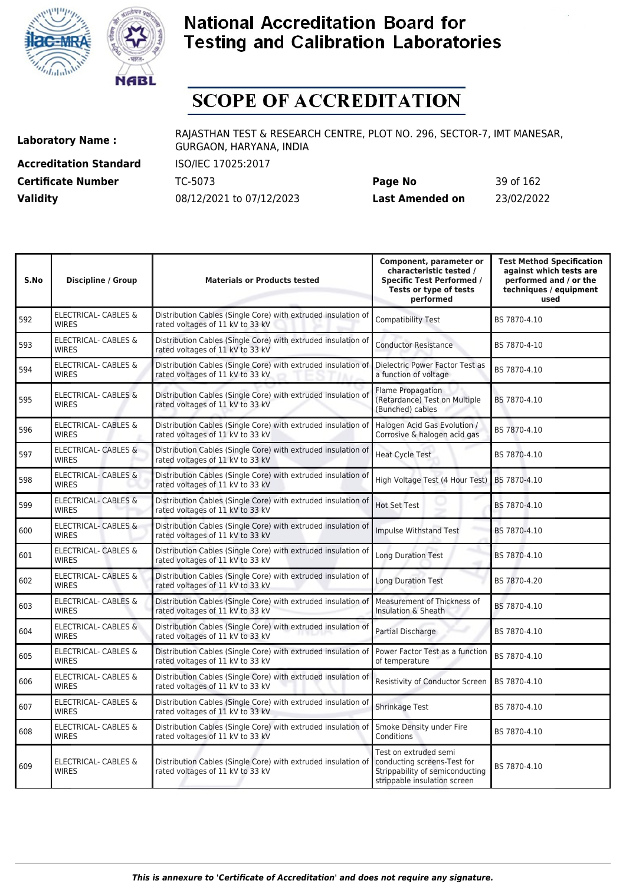



# **SCOPE OF ACCREDITATION**

**Accreditation Standard** ISO/IEC 17025:2017

**Laboratory Name :** RAJASTHAN TEST & RESEARCH CENTRE, PLOT NO. 296, SECTOR-7, IMT MANESAR, GURGAON, HARYANA, INDIA

**Certificate Number** TC-5073 **Page No** 39 of 162 **Validity** 08/12/2021 to 07/12/2023 **Last Amended on** 23/02/2022

| S.No | <b>Discipline / Group</b>                       | <b>Materials or Products tested</b>                                                               | Component, parameter or<br>characteristic tested /<br><b>Specific Test Performed /</b><br>Tests or type of tests<br>performed | <b>Test Method Specification</b><br>against which tests are<br>performed and / or the<br>techniques / equipment<br>used |
|------|-------------------------------------------------|---------------------------------------------------------------------------------------------------|-------------------------------------------------------------------------------------------------------------------------------|-------------------------------------------------------------------------------------------------------------------------|
| 592  | <b>ELECTRICAL- CABLES &amp;</b><br><b>WIRES</b> | Distribution Cables (Single Core) with extruded insulation of<br>rated voltages of 11 kV to 33 kV | <b>Compatibility Test</b>                                                                                                     | BS 7870-4.10                                                                                                            |
| 593  | <b>ELECTRICAL- CABLES &amp;</b><br><b>WIRES</b> | Distribution Cables (Single Core) with extruded insulation of<br>rated voltages of 11 kV to 33 kV | <b>Conductor Resistance</b>                                                                                                   | BS 7870-4-10                                                                                                            |
| 594  | <b>ELECTRICAL- CABLES &amp;</b><br><b>WIRES</b> | Distribution Cables (Single Core) with extruded insulation of<br>rated voltages of 11 kV to 33 kV | Dielectric Power Factor Test as<br>a function of voltage                                                                      | BS 7870-4.10                                                                                                            |
| 595  | <b>ELECTRICAL- CABLES &amp;</b><br><b>WIRES</b> | Distribution Cables (Single Core) with extruded insulation of<br>rated voltages of 11 kV to 33 kV | Flame Propagation<br>(Retardance) Test on Multiple<br>(Bunched) cables                                                        | BS 7870-4.10                                                                                                            |
| 596  | ELECTRICAL- CABLES &<br><b>WIRES</b>            | Distribution Cables (Single Core) with extruded insulation of<br>rated voltages of 11 kV to 33 kV | Halogen Acid Gas Evolution /<br>Corrosive & halogen acid gas                                                                  | BS 7870-4.10                                                                                                            |
| 597  | <b>ELECTRICAL- CABLES &amp;</b><br><b>WIRES</b> | Distribution Cables (Single Core) with extruded insulation of<br>rated voltages of 11 kV to 33 kV | <b>Heat Cycle Test</b>                                                                                                        | BS 7870-4.10                                                                                                            |
| 598  | <b>ELECTRICAL- CABLES &amp;</b><br><b>WIRES</b> | Distribution Cables (Single Core) with extruded insulation of<br>rated voltages of 11 kV to 33 kV | High Voltage Test (4 Hour Test)                                                                                               | BS 7870-4.10                                                                                                            |
| 599  | <b>ELECTRICAL- CABLES &amp;</b><br><b>WIRES</b> | Distribution Cables (Single Core) with extruded insulation of<br>rated voltages of 11 kV to 33 kV | Hot Set Test                                                                                                                  | BS 7870-4.10                                                                                                            |
| 600  | <b>ELECTRICAL- CABLES &amp;</b><br><b>WIRES</b> | Distribution Cables (Single Core) with extruded insulation of<br>rated voltages of 11 kV to 33 kV | Impulse Withstand Test                                                                                                        | BS 7870-4.10                                                                                                            |
| 601  | <b>ELECTRICAL- CABLES &amp;</b><br><b>WIRES</b> | Distribution Cables (Single Core) with extruded insulation of<br>rated voltages of 11 kV to 33 kV | <b>Long Duration Test</b>                                                                                                     | BS 7870-4.10                                                                                                            |
| 602  | <b>ELECTRICAL- CABLES &amp;</b><br><b>WIRES</b> | Distribution Cables (Single Core) with extruded insulation of<br>rated voltages of 11 kV to 33 kV | <b>Long Duration Test</b>                                                                                                     | BS 7870-4.20                                                                                                            |
| 603  | ELECTRICAL- CABLES &<br><b>WIRES</b>            | Distribution Cables (Single Core) with extruded insulation of<br>rated voltages of 11 kV to 33 kV | Measurement of Thickness of<br>Insulation & Sheath                                                                            | BS 7870-4.10                                                                                                            |
| 604  | ELECTRICAL- CABLES &<br><b>WIRES</b>            | Distribution Cables (Single Core) with extruded insulation of<br>rated voltages of 11 kV to 33 kV | Partial Discharge                                                                                                             | BS 7870-4.10                                                                                                            |
| 605  | ELECTRICAL- CABLES &<br><b>WIRES</b>            | Distribution Cables (Single Core) with extruded insulation of<br>rated voltages of 11 kV to 33 kV | Power Factor Test as a function<br>of temperature                                                                             | BS 7870-4.10                                                                                                            |
| 606  | ELECTRICAL- CABLES &<br><b>WIRES</b>            | Distribution Cables (Single Core) with extruded insulation of<br>rated voltages of 11 kV to 33 kV | Resistivity of Conductor Screen                                                                                               | BS 7870-4.10                                                                                                            |
| 607  | ELECTRICAL- CABLES &<br><b>WIRES</b>            | Distribution Cables (Single Core) with extruded insulation of<br>rated voltages of 11 kV to 33 kV | Shrinkage Test                                                                                                                | BS 7870-4.10                                                                                                            |
| 608  | ELECTRICAL- CABLES &<br><b>WIRES</b>            | Distribution Cables (Single Core) with extruded insulation of<br>rated voltages of 11 kV to 33 kV | Smoke Density under Fire<br>Conditions                                                                                        | BS 7870-4.10                                                                                                            |
| 609  | ELECTRICAL- CABLES &<br>WIRES                   | Distribution Cables (Single Core) with extruded insulation of<br>rated voltages of 11 kV to 33 kV | Test on extruded semi<br>conducting screens-Test for<br>Strippability of semiconducting<br>strippable insulation screen       | BS 7870-4.10                                                                                                            |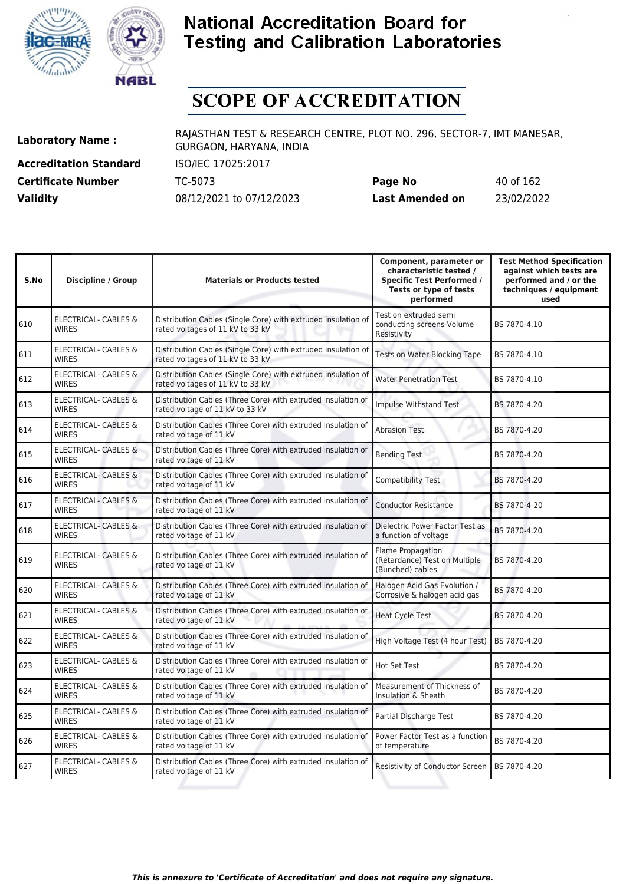



# **SCOPE OF ACCREDITATION**

**Accreditation Standard** ISO/IEC 17025:2017

**Laboratory Name :** RAJASTHAN TEST & RESEARCH CENTRE, PLOT NO. 296, SECTOR-7, IMT MANESAR, GURGAON, HARYANA, INDIA

**Certificate Number** TC-5073 **Page No** 40 of 162 **Validity** 08/12/2021 to 07/12/2023 **Last Amended on** 23/02/2022

| S.No | <b>Discipline / Group</b>                       | <b>Materials or Products tested</b>                                                               | Component, parameter or<br>characteristic tested /<br><b>Specific Test Performed /</b><br>Tests or type of tests<br>performed | <b>Test Method Specification</b><br>against which tests are<br>performed and / or the<br>techniques / equipment<br>used |
|------|-------------------------------------------------|---------------------------------------------------------------------------------------------------|-------------------------------------------------------------------------------------------------------------------------------|-------------------------------------------------------------------------------------------------------------------------|
| 610  | ELECTRICAL- CABLES &<br>WIRES                   | Distribution Cables (Single Core) with extruded insulation of<br>rated voltages of 11 kV to 33 kV | Test on extruded semi<br>conducting screens-Volume<br>Resistivity                                                             | BS 7870-4.10                                                                                                            |
| 611  | <b>ELECTRICAL- CABLES &amp;</b><br><b>WIRES</b> | Distribution Cables (Single Core) with extruded insulation of<br>rated voltages of 11 kV to 33 kV | Tests on Water Blocking Tape                                                                                                  | BS 7870-4.10                                                                                                            |
| 612  | ELECTRICAL- CABLES &<br><b>WIRES</b>            | Distribution Cables (Single Core) with extruded insulation of<br>rated voltages of 11 kV to 33 kV | <b>Water Penetration Test</b>                                                                                                 | BS 7870-4.10                                                                                                            |
| 613  | ELECTRICAL- CABLES &<br><b>WIRES</b>            | Distribution Cables (Three Core) with extruded insulation of<br>rated voltage of 11 kV to 33 kV   | Impulse Withstand Test                                                                                                        | BS 7870-4.20                                                                                                            |
| 614  | ELECTRICAL- CABLES &<br><b>WIRES</b>            | Distribution Cables (Three Core) with extruded insulation of<br>rated voltage of 11 kV            | <b>Abrasion Test</b>                                                                                                          | BS 7870-4.20                                                                                                            |
| 615  | ELECTRICAL- CABLES &<br><b>WIRES</b>            | Distribution Cables (Three Core) with extruded insulation of<br>rated voltage of 11 kV            | <b>Bending Test</b>                                                                                                           | BS 7870-4.20                                                                                                            |
| 616  | <b>ELECTRICAL- CABLES &amp;</b><br><b>WIRES</b> | Distribution Cables (Three Core) with extruded insulation of<br>rated voltage of 11 kV            | Compatibility Test                                                                                                            | BS 7870-4.20                                                                                                            |
| 617  | <b>ELECTRICAL- CABLES &amp;</b><br><b>WIRES</b> | Distribution Cables (Three Core) with extruded insulation of<br>rated voltage of 11 kV            | <b>Conductor Resistance</b>                                                                                                   | BS 7870-4-20                                                                                                            |
| 618  | <b>ELECTRICAL- CABLES &amp;</b><br><b>WIRES</b> | Distribution Cables (Three Core) with extruded insulation of<br>rated voltage of 11 kV            | Dielectric Power Factor Test as<br>a function of voltage                                                                      | BS 7870-4.20                                                                                                            |
| 619  | ELECTRICAL- CABLES &<br><b>WIRES</b>            | Distribution Cables (Three Core) with extruded insulation of<br>rated voltage of 11 kV            | <b>Flame Propagation</b><br>(Retardance) Test on Multiple<br>(Bunched) cables                                                 | BS 7870-4.20                                                                                                            |
| 620  | ELECTRICAL- CABLES &<br><b>WIRES</b>            | Distribution Cables (Three Core) with extruded insulation of<br>rated voltage of 11 kV            | Halogen Acid Gas Evolution /<br>Corrosive & halogen acid gas                                                                  | BS 7870-4.20                                                                                                            |
| 621  | <b>ELECTRICAL- CABLES &amp;</b><br><b>WIRES</b> | Distribution Cables (Three Core) with extruded insulation of<br>rated voltage of 11 kV            | <b>Heat Cycle Test</b>                                                                                                        | BS 7870-4.20                                                                                                            |
| 622  | ELECTRICAL- CABLES &<br><b>WIRES</b>            | Distribution Cables (Three Core) with extruded insulation of<br>rated voltage of 11 kV            | High Voltage Test (4 hour Test)                                                                                               | BS 7870-4.20                                                                                                            |
| 623  | <b>ELECTRICAL- CABLES &amp;</b><br><b>WIRES</b> | Distribution Cables (Three Core) with extruded insulation of<br>rated voltage of 11 kV            | Hot Set Test                                                                                                                  | BS 7870-4.20                                                                                                            |
| 624  | ELECTRICAL- CABLES &<br><b>WIRES</b>            | Distribution Cables (Three Core) with extruded insulation of<br>rated voltage of 11 kV            | Measurement of Thickness of<br>Insulation & Sheath                                                                            | BS 7870-4.20                                                                                                            |
| 625  | ELECTRICAL- CABLES &<br><b>WIRES</b>            | Distribution Cables (Three Core) with extruded insulation of<br>rated voltage of 11 kV            | Partial Discharge Test                                                                                                        | BS 7870-4.20                                                                                                            |
| 626  | <b>ELECTRICAL- CABLES &amp;</b><br><b>WIRES</b> | Distribution Cables (Three Core) with extruded insulation of<br>rated voltage of 11 kV            | Power Factor Test as a function<br>of temperature                                                                             | BS 7870-4.20                                                                                                            |
| 627  | ELECTRICAL- CABLES &<br><b>WIRES</b>            | Distribution Cables (Three Core) with extruded insulation of<br>rated voltage of 11 kV            | Resistivity of Conductor Screen                                                                                               | BS 7870-4.20                                                                                                            |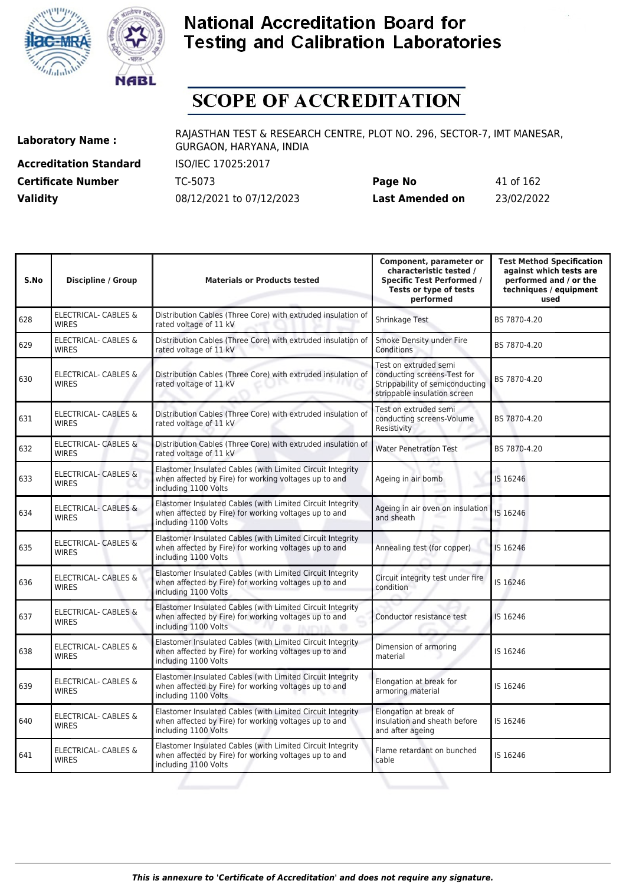



# **SCOPE OF ACCREDITATION**

**Accreditation Standard** ISO/IEC 17025:2017

**Laboratory Name :** RAJASTHAN TEST & RESEARCH CENTRE, PLOT NO. 296, SECTOR-7, IMT MANESAR, GURGAON, HARYANA, INDIA

**Certificate Number** TC-5073 **Page No** 41 of 162 **Validity** 08/12/2021 to 07/12/2023 **Last Amended on** 23/02/2022

| S.No | <b>Discipline / Group</b>                       | <b>Materials or Products tested</b>                                                                                                         | Component, parameter or<br>characteristic tested /<br><b>Specific Test Performed /</b><br>Tests or type of tests<br>performed | <b>Test Method Specification</b><br>against which tests are<br>performed and / or the<br>techniques / equipment<br>used |
|------|-------------------------------------------------|---------------------------------------------------------------------------------------------------------------------------------------------|-------------------------------------------------------------------------------------------------------------------------------|-------------------------------------------------------------------------------------------------------------------------|
| 628  | ELECTRICAL- CABLES &<br><b>WIRES</b>            | Distribution Cables (Three Core) with extruded insulation of<br>rated voltage of 11 kV                                                      | Shrinkage Test                                                                                                                | BS 7870-4.20                                                                                                            |
| 629  | ELECTRICAL- CABLES &<br><b>WIRES</b>            | Distribution Cables (Three Core) with extruded insulation of<br>rated voltage of 11 kV                                                      | Smoke Density under Fire<br>Conditions                                                                                        | BS 7870-4.20                                                                                                            |
| 630  | ELECTRICAL- CABLES &<br><b>WIRES</b>            | Distribution Cables (Three Core) with extruded insulation of<br>rated voltage of 11 kV                                                      | Test on extruded semi<br>conducting screens-Test for<br>Strippability of semiconducting<br>strippable insulation screen       | BS 7870-4.20                                                                                                            |
| 631  | <b>ELECTRICAL- CABLES &amp;</b><br><b>WIRES</b> | Distribution Cables (Three Core) with extruded insulation of<br>rated voltage of 11 kV                                                      | Test on extruded semi<br>conducting screens-Volume<br>Resistivity                                                             | BS 7870-4.20                                                                                                            |
| 632  | ELECTRICAL- CABLES &<br><b>WIRES</b>            | Distribution Cables (Three Core) with extruded insulation of<br>rated voltage of 11 kV                                                      | <b>Water Penetration Test</b>                                                                                                 | BS 7870-4.20                                                                                                            |
| 633  | <b>ELECTRICAL- CABLES &amp;</b><br><b>WIRES</b> | Elastomer Insulated Cables (with Limited Circuit Integrity<br>when affected by Fire) for working voltages up to and<br>including 1100 Volts | Ageing in air bomb                                                                                                            | IS 16246                                                                                                                |
| 634  | <b>ELECTRICAL- CABLES &amp;</b><br><b>WIRES</b> | Elastomer Insulated Cables (with Limited Circuit Integrity<br>when affected by Fire) for working voltages up to and<br>including 1100 Volts | Ageing in air oven on insulation<br>and sheath                                                                                | IS 16246                                                                                                                |
| 635  | <b>ELECTRICAL- CABLES &amp;</b><br><b>WIRES</b> | Elastomer Insulated Cables (with Limited Circuit Integrity<br>when affected by Fire) for working voltages up to and<br>including 1100 Volts | Annealing test (for copper)                                                                                                   | IS 16246                                                                                                                |
| 636  | <b>ELECTRICAL- CABLES &amp;</b><br><b>WIRES</b> | Elastomer Insulated Cables (with Limited Circuit Integrity<br>when affected by Fire) for working voltages up to and<br>including 1100 Volts | Circuit integrity test under fire<br>condition                                                                                | IS 16246                                                                                                                |
| 637  | <b>ELECTRICAL- CABLES &amp;</b><br><b>WIRES</b> | Elastomer Insulated Cables (with Limited Circuit Integrity<br>when affected by Fire) for working voltages up to and<br>including 1100 Volts | Conductor resistance test                                                                                                     | IS 16246                                                                                                                |
| 638  | ELECTRICAL- CABLES &<br><b>WIRES</b>            | Elastomer Insulated Cables (with Limited Circuit Integrity<br>when affected by Fire) for working voltages up to and<br>including 1100 Volts | Dimension of armoring<br>material                                                                                             | IS 16246                                                                                                                |
| 639  | ELECTRICAL- CABLES &<br><b>WIRES</b>            | Elastomer Insulated Cables (with Limited Circuit Integrity<br>when affected by Fire) for working voltages up to and<br>including 1100 Volts | Elongation at break for<br>armoring material                                                                                  | IS 16246                                                                                                                |
| 640  | ELECTRICAL- CABLES &<br><b>WIRES</b>            | Elastomer Insulated Cables (with Limited Circuit Integrity<br>when affected by Fire) for working voltages up to and<br>including 1100 Volts | Elongation at break of<br>insulation and sheath before<br>and after ageing                                                    | IS 16246                                                                                                                |
| 641  | ELECTRICAL- CABLES &<br><b>WIRES</b>            | Elastomer Insulated Cables (with Limited Circuit Integrity<br>when affected by Fire) for working voltages up to and<br>including 1100 Volts | Flame retardant on bunched<br>cable                                                                                           | IS 16246                                                                                                                |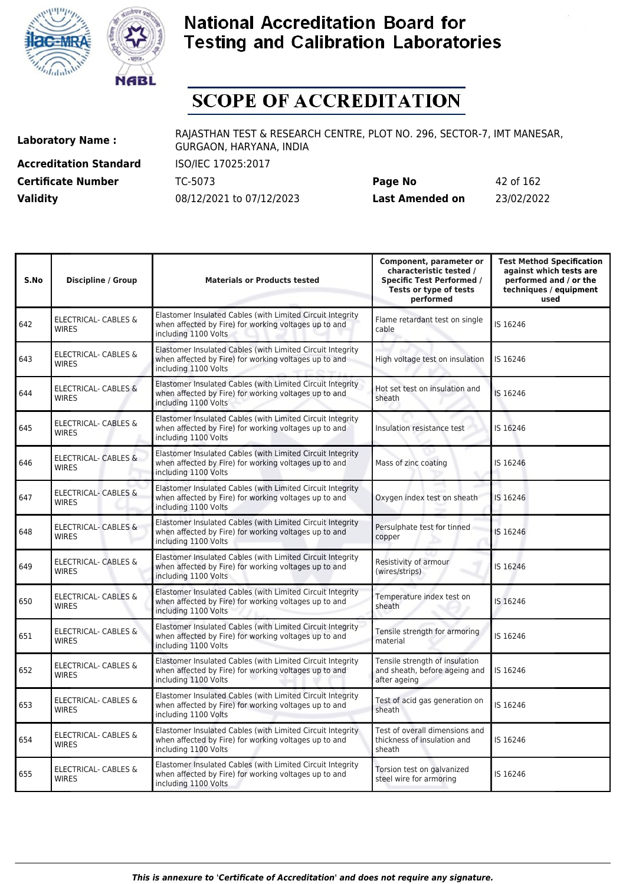



# **SCOPE OF ACCREDITATION**

**Accreditation Standard** ISO/IEC 17025:2017

**Laboratory Name :** RAJASTHAN TEST & RESEARCH CENTRE, PLOT NO. 296, SECTOR-7, IMT MANESAR, GURGAON, HARYANA, INDIA

**Certificate Number** TC-5073 **Page No** 42 of 162 **Validity** 08/12/2021 to 07/12/2023 **Last Amended on** 23/02/2022

| S.No | Discipline / Group                              | <b>Materials or Products tested</b>                                                                                                         | Component, parameter or<br>characteristic tested /<br><b>Specific Test Performed /</b><br>Tests or type of tests<br>performed | <b>Test Method Specification</b><br>against which tests are<br>performed and / or the<br>techniques / equipment<br>used |
|------|-------------------------------------------------|---------------------------------------------------------------------------------------------------------------------------------------------|-------------------------------------------------------------------------------------------------------------------------------|-------------------------------------------------------------------------------------------------------------------------|
| 642  | ELECTRICAL- CABLES &<br><b>WIRES</b>            | Elastomer Insulated Cables (with Limited Circuit Integrity<br>when affected by Fire) for working voltages up to and<br>including 1100 Volts | Flame retardant test on single<br>cable                                                                                       | IS 16246                                                                                                                |
| 643  | ELECTRICAL- CABLES &<br><b>WIRES</b>            | Elastomer Insulated Cables (with Limited Circuit Integrity<br>when affected by Fire) for working voltages up to and<br>including 1100 Volts | High voltage test on insulation                                                                                               | IS 16246                                                                                                                |
| 644  | <b>ELECTRICAL- CABLES &amp;</b><br><b>WIRES</b> | Elastomer Insulated Cables (with Limited Circuit Integrity<br>when affected by Fire) for working voltages up to and<br>including 1100 Volts | Hot set test on insulation and<br>sheath                                                                                      | IS 16246                                                                                                                |
| 645  | <b>ELECTRICAL- CABLES &amp;</b><br><b>WIRES</b> | Elastomer Insulated Cables (with Limited Circuit Integrity<br>when affected by Fire) for working voltages up to and<br>including 1100 Volts | Insulation resistance test                                                                                                    | IS 16246                                                                                                                |
| 646  | <b>ELECTRICAL- CABLES &amp;</b><br><b>WIRES</b> | Elastomer Insulated Cables (with Limited Circuit Integrity<br>when affected by Fire) for working voltages up to and<br>including 1100 Volts | Mass of zinc coating                                                                                                          | IS 16246                                                                                                                |
| 647  | ELECTRICAL- CABLES &<br><b>WIRES</b>            | Elastomer Insulated Cables (with Limited Circuit Integrity<br>when affected by Fire) for working voltages up to and<br>including 1100 Volts | Oxygen index test on sheath                                                                                                   | IS 16246                                                                                                                |
| 648  | <b>ELECTRICAL- CABLES &amp;</b><br><b>WIRES</b> | Elastomer Insulated Cables (with Limited Circuit Integrity<br>when affected by Fire) for working voltages up to and<br>including 1100 Volts | Persulphate test for tinned<br>copper                                                                                         | IS 16246                                                                                                                |
| 649  | ELECTRICAL- CABLES &<br><b>WIRES</b>            | Elastomer Insulated Cables (with Limited Circuit Integrity<br>when affected by Fire) for working voltages up to and<br>including 1100 Volts | Resistivity of armour<br>(wires/strips)                                                                                       | IS 16246                                                                                                                |
| 650  | <b>ELECTRICAL- CABLES &amp;</b><br><b>WIRES</b> | Elastomer Insulated Cables (with Limited Circuit Integrity<br>when affected by Fire) for working voltages up to and<br>including 1100 Volts | Temperature index test on<br>sheath                                                                                           | IS 16246                                                                                                                |
| 651  | ELECTRICAL- CABLES &<br><b>WIRES</b>            | Elastomer Insulated Cables (with Limited Circuit Integrity<br>when affected by Fire) for working voltages up to and<br>including 1100 Volts | Tensile strength for armoring<br>material                                                                                     | IS 16246                                                                                                                |
| 652  | ELECTRICAL- CABLES &<br><b>WIRES</b>            | Elastomer Insulated Cables (with Limited Circuit Integrity<br>when affected by Fire) for working voltages up to and<br>including 1100 Volts | Tensile strength of insulation<br>and sheath, before ageing and<br>after ageing                                               | IS 16246                                                                                                                |
| 653  | ELECTRICAL- CABLES &<br><b>WIRES</b>            | Elastomer Insulated Cables (with Limited Circuit Integrity<br>when affected by Fire) for working voltages up to and<br>including 1100 Volts | Test of acid gas generation on<br>sheath                                                                                      | IS 16246                                                                                                                |
| 654  | ELECTRICAL- CABLES &<br><b>WIRES</b>            | Elastomer Insulated Cables (with Limited Circuit Integrity<br>when affected by Fire) for working voltages up to and<br>including 1100 Volts | Test of overall dimensions and<br>thickness of insulation and<br>sheath                                                       | IS 16246                                                                                                                |
| 655  | ELECTRICAL- CABLES &<br><b>WIRES</b>            | Elastomer Insulated Cables (with Limited Circuit Integrity<br>when affected by Fire) for working voltages up to and<br>including 1100 Volts | Torsion test on galvanized<br>steel wire for armoring                                                                         | IS 16246                                                                                                                |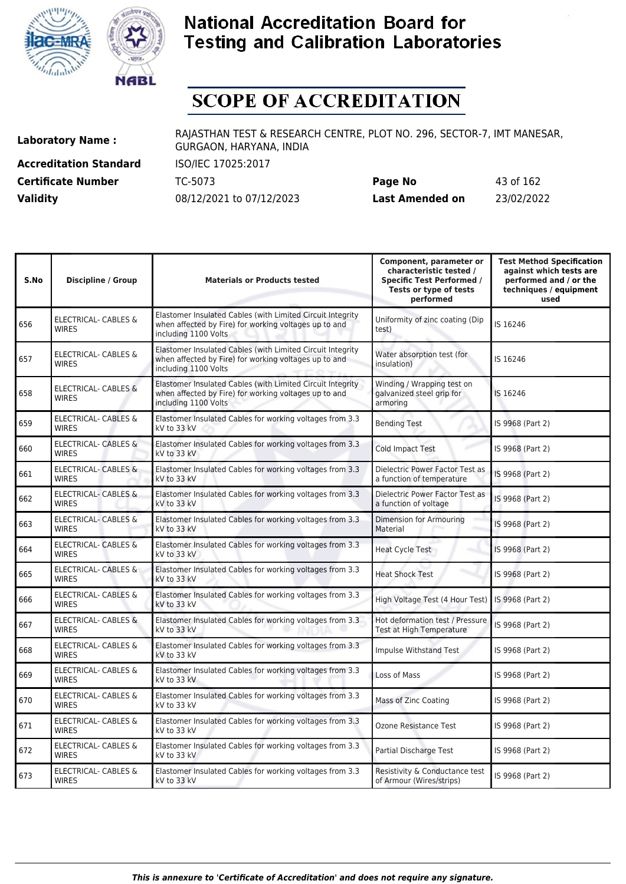



# **SCOPE OF ACCREDITATION**

**Accreditation Standard** ISO/IEC 17025:2017

**Laboratory Name :** RAJASTHAN TEST & RESEARCH CENTRE, PLOT NO. 296, SECTOR-7, IMT MANESAR, GURGAON, HARYANA, INDIA

**Certificate Number** TC-5073 **Page No** 43 of 162 **Validity** 08/12/2021 to 07/12/2023 **Last Amended on** 23/02/2022

| S.No | <b>Discipline / Group</b>                       | <b>Materials or Products tested</b>                                                                                                         | Component, parameter or<br>characteristic tested /<br><b>Specific Test Performed /</b><br>Tests or type of tests<br>performed | <b>Test Method Specification</b><br>against which tests are<br>performed and / or the<br>techniques / equipment<br>used |
|------|-------------------------------------------------|---------------------------------------------------------------------------------------------------------------------------------------------|-------------------------------------------------------------------------------------------------------------------------------|-------------------------------------------------------------------------------------------------------------------------|
| 656  | ELECTRICAL- CABLES &<br><b>WIRES</b>            | Elastomer Insulated Cables (with Limited Circuit Integrity<br>when affected by Fire) for working voltages up to and<br>including 1100 Volts | Uniformity of zinc coating (Dip<br>test)                                                                                      | IS 16246                                                                                                                |
| 657  | ELECTRICAL- CABLES &<br><b>WIRES</b>            | Elastomer Insulated Cables (with Limited Circuit Integrity<br>when affected by Fire) for working voltages up to and<br>including 1100 Volts | Water absorption test (for<br>insulation)                                                                                     | IS 16246                                                                                                                |
| 658  | ELECTRICAL- CABLES &<br><b>WIRES</b>            | Elastomer Insulated Cables (with Limited Circuit Integrity<br>when affected by Fire) for working voltages up to and<br>including 1100 Volts | Winding / Wrapping test on<br>galvanized steel grip for<br>armoring                                                           | IS 16246                                                                                                                |
| 659  | ELECTRICAL- CABLES &<br><b>WIRES</b>            | Elastomer Insulated Cables for working voltages from 3.3<br>kV to 33 kV                                                                     | <b>Bending Test</b>                                                                                                           | IS 9968 (Part 2)                                                                                                        |
| 660  | <b>ELECTRICAL- CABLES &amp;</b><br><b>WIRES</b> | Elastomer Insulated Cables for working voltages from 3.3<br>kV to 33 kV                                                                     | <b>Cold Impact Test</b>                                                                                                       | IS 9968 (Part 2)                                                                                                        |
| 661  | <b>ELECTRICAL- CABLES &amp;</b><br><b>WIRES</b> | Elastomer Insulated Cables for working voltages from 3.3<br>kV to 33 kV                                                                     | Dielectric Power Factor Test as<br>a function of temperature                                                                  | IS 9968 (Part 2)                                                                                                        |
| 662  | <b>ELECTRICAL- CABLES &amp;</b><br><b>WIRES</b> | Elastomer Insulated Cables for working voltages from 3.3<br>kV to 33 kV                                                                     | Dielectric Power Factor Test as<br>a function of voltage                                                                      | IS 9968 (Part 2)                                                                                                        |
| 663  | <b>ELECTRICAL- CABLES &amp;</b><br><b>WIRES</b> | Elastomer Insulated Cables for working voltages from 3.3<br>kV to 33 kV                                                                     | Dimension for Armouring<br>Material                                                                                           | IS 9968 (Part 2)                                                                                                        |
| 664  | <b>ELECTRICAL- CABLES &amp;</b><br><b>WIRES</b> | Elastomer Insulated Cables for working voltages from 3.3<br>kV to 33 kV                                                                     | Heat Cycle Test                                                                                                               | IS 9968 (Part 2)                                                                                                        |
| 665  | <b>ELECTRICAL- CABLES &amp;</b><br><b>WIRES</b> | Elastomer Insulated Cables for working voltages from 3.3<br>kV to 33 kV                                                                     | <b>Heat Shock Test</b>                                                                                                        | IS 9968 (Part 2)                                                                                                        |
| 666  | <b>ELECTRICAL- CABLES &amp;</b><br><b>WIRES</b> | Elastomer Insulated Cables for working voltages from 3.3<br>kV to 33 kV                                                                     | High Voltage Test (4 Hour Test)                                                                                               | IS 9968 (Part 2)                                                                                                        |
| 667  | <b>ELECTRICAL- CABLES &amp;</b><br><b>WIRES</b> | Elastomer Insulated Cables for working voltages from 3.3<br>kV to 33 kV                                                                     | Hot deformation test / Pressure<br>Test at High Temperature                                                                   | IS 9968 (Part 2)                                                                                                        |
| 668  | ELECTRICAL- CABLES &<br><b>WIRES</b>            | Elastomer Insulated Cables for working voltages from 3.3<br>kV to 33 kV                                                                     | Impulse Withstand Test                                                                                                        | IS 9968 (Part 2)                                                                                                        |
| 669  | ELECTRICAL- CABLES &<br><b>WIRES</b>            | Elastomer Insulated Cables for working voltages from 3.3<br>kV to 33 kV                                                                     | Loss of Mass                                                                                                                  | IS 9968 (Part 2)                                                                                                        |
| 670  | ELECTRICAL- CABLES &<br><b>WIRES</b>            | Elastomer Insulated Cables for working voltages from 3.3<br>kV to 33 kV                                                                     | Mass of Zinc Coating                                                                                                          | IS 9968 (Part 2)                                                                                                        |
| 671  | <b>ELECTRICAL- CABLES &amp;</b><br><b>WIRES</b> | Elastomer Insulated Cables for working voltages from 3.3<br>kV to 33 kV                                                                     | Ozone Resistance Test                                                                                                         | IS 9968 (Part 2)                                                                                                        |
| 672  | <b>ELECTRICAL- CABLES &amp;</b><br><b>WIRES</b> | Elastomer Insulated Cables for working voltages from 3.3<br>kV to 33 kV                                                                     | Partial Discharge Test                                                                                                        | IS 9968 (Part 2)                                                                                                        |
| 673  | <b>ELECTRICAL- CABLES &amp;</b><br><b>WIRES</b> | Elastomer Insulated Cables for working voltages from 3.3<br>kV to 33 kV                                                                     | Resistivity & Conductance test<br>of Armour (Wires/strips)                                                                    | IS 9968 (Part 2)                                                                                                        |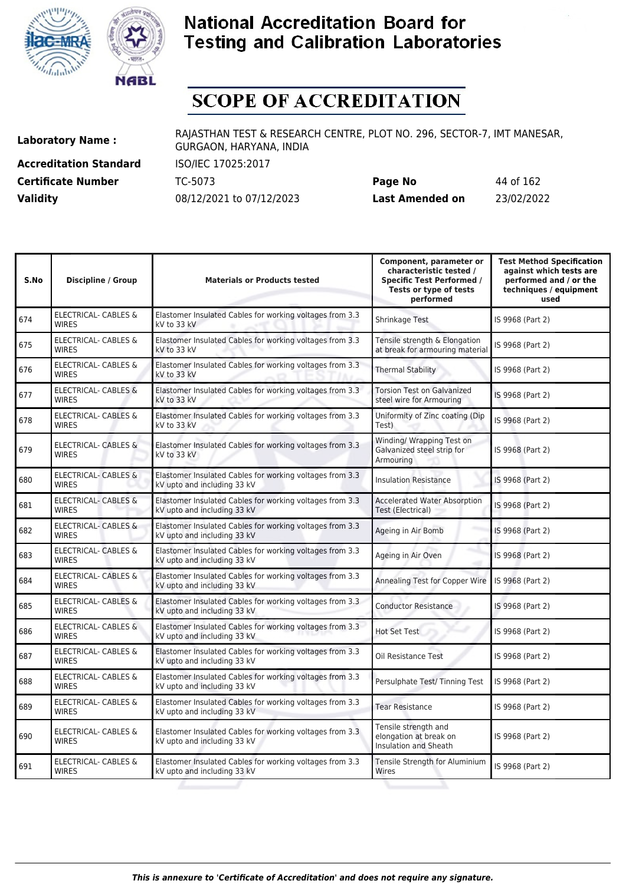



# **SCOPE OF ACCREDITATION**

**Accreditation Standard** ISO/IEC 17025:2017

**Laboratory Name :** RAJASTHAN TEST & RESEARCH CENTRE, PLOT NO. 296, SECTOR-7, IMT MANESAR, GURGAON, HARYANA, INDIA

**Certificate Number** TC-5073 **Page No** 44 of 162 **Validity** 08/12/2021 to 07/12/2023 **Last Amended on** 23/02/2022

| S.No | <b>Discipline / Group</b>                       | <b>Materials or Products tested</b>                                                     | Component, parameter or<br>characteristic tested /<br><b>Specific Test Performed /</b><br>Tests or type of tests<br>performed | <b>Test Method Specification</b><br>against which tests are<br>performed and / or the<br>techniques / equipment<br>used |
|------|-------------------------------------------------|-----------------------------------------------------------------------------------------|-------------------------------------------------------------------------------------------------------------------------------|-------------------------------------------------------------------------------------------------------------------------|
| 674  | <b>ELECTRICAL- CABLES &amp;</b><br><b>WIRES</b> | Elastomer Insulated Cables for working voltages from 3.3<br>kV to 33 kV                 | Shrinkage Test                                                                                                                | IS 9968 (Part 2)                                                                                                        |
| 675  | ELECTRICAL- CABLES &<br><b>WIRES</b>            | Elastomer Insulated Cables for working voltages from 3.3<br>kV to 33 kV                 | Tensile strength & Elongation<br>at break for armouring material                                                              | IS 9968 (Part 2)                                                                                                        |
| 676  | ELECTRICAL- CABLES &<br><b>WIRES</b>            | Elastomer Insulated Cables for working voltages from 3.3<br>kV to 33 kV                 | <b>Thermal Stability</b>                                                                                                      | IS 9968 (Part 2)                                                                                                        |
| 677  | <b>ELECTRICAL- CABLES &amp;</b><br><b>WIRES</b> | Elastomer Insulated Cables for working voltages from 3.3<br>kV to 33 kV                 | <b>Torsion Test on Galvanized</b><br>steel wire for Armouring                                                                 | IS 9968 (Part 2)                                                                                                        |
| 678  | <b>ELECTRICAL- CABLES &amp;</b><br><b>WIRES</b> | Elastomer Insulated Cables for working voltages from 3.3<br>kV to 33 kV                 | Uniformity of Zinc coating (Dip<br>Test)                                                                                      | IS 9968 (Part 2)                                                                                                        |
| 679  | ELECTRICAL- CABLES &<br><b>WIRES</b>            | Elastomer Insulated Cables for working voltages from 3.3<br>kV to 33 kV                 | Winding/ Wrapping Test on<br>Galvanized steel strip for<br>Armouring                                                          | IS 9968 (Part 2)                                                                                                        |
| 680  | ELECTRICAL- CABLES &<br><b>WIRES</b>            | Elastomer Insulated Cables for working voltages from 3.3<br>kV upto and including 33 kV | Insulation Resistance                                                                                                         | IS 9968 (Part 2)                                                                                                        |
| 681  | <b>ELECTRICAL- CABLES &amp;</b><br><b>WIRES</b> | Elastomer Insulated Cables for working voltages from 3.3<br>kV upto and including 33 kV | <b>Accelerated Water Absorption</b><br>Test (Electrical)                                                                      | IS 9968 (Part 2)                                                                                                        |
| 682  | <b>ELECTRICAL- CABLES &amp;</b><br><b>WIRES</b> | Elastomer Insulated Cables for working voltages from 3.3<br>kV upto and including 33 kV | Ageing in Air Bomb                                                                                                            | IS 9968 (Part 2)                                                                                                        |
| 683  | ELECTRICAL- CABLES &<br><b>WIRES</b>            | Elastomer Insulated Cables for working voltages from 3.3<br>kV upto and including 33 kV | Ageing in Air Oven                                                                                                            | IS 9968 (Part 2)                                                                                                        |
| 684  | <b>ELECTRICAL- CABLES &amp;</b><br><b>WIRES</b> | Elastomer Insulated Cables for working voltages from 3.3<br>kV upto and including 33 kV | Annealing Test for Copper Wire                                                                                                | IS 9968 (Part 2)                                                                                                        |
| 685  | <b>ELECTRICAL- CABLES &amp;</b><br><b>WIRES</b> | Elastomer Insulated Cables for working voltages from 3.3<br>kV upto and including 33 kV | <b>Conductor Resistance</b>                                                                                                   | IS 9968 (Part 2)                                                                                                        |
| 686  | <b>ELECTRICAL- CABLES &amp;</b><br><b>WIRES</b> | Elastomer Insulated Cables for working voltages from 3.3<br>kV upto and including 33 kV | <b>Hot Set Test</b>                                                                                                           | IS 9968 (Part 2)                                                                                                        |
| 687  | <b>ELECTRICAL- CABLES &amp;</b><br><b>WIRES</b> | Elastomer Insulated Cables for working voltages from 3.3<br>kV upto and including 33 kV | Oil Resistance Test                                                                                                           | IS 9968 (Part 2)                                                                                                        |
| 688  | <b>ELECTRICAL- CABLES &amp;</b><br><b>WIRES</b> | Elastomer Insulated Cables for working voltages from 3.3<br>kV upto and including 33 kV | Persulphate Test/Tinning Test                                                                                                 | IS 9968 (Part 2)                                                                                                        |
| 689  | <b>ELECTRICAL- CABLES &amp;</b><br><b>WIRES</b> | Elastomer Insulated Cables for working voltages from 3.3<br>kV upto and including 33 kV | <b>Tear Resistance</b>                                                                                                        | IS 9968 (Part 2)                                                                                                        |
| 690  | ELECTRICAL- CABLES &<br><b>WIRES</b>            | Elastomer Insulated Cables for working voltages from 3.3<br>kV upto and including 33 kV | Tensile strength and<br>elongation at break on<br>Insulation and Sheath                                                       | IS 9968 (Part 2)                                                                                                        |
| 691  | <b>ELECTRICAL- CABLES &amp;</b><br><b>WIRES</b> | Elastomer Insulated Cables for working voltages from 3.3<br>kV upto and including 33 kV | Tensile Strength for Aluminium<br>Wires                                                                                       | IS 9968 (Part 2)                                                                                                        |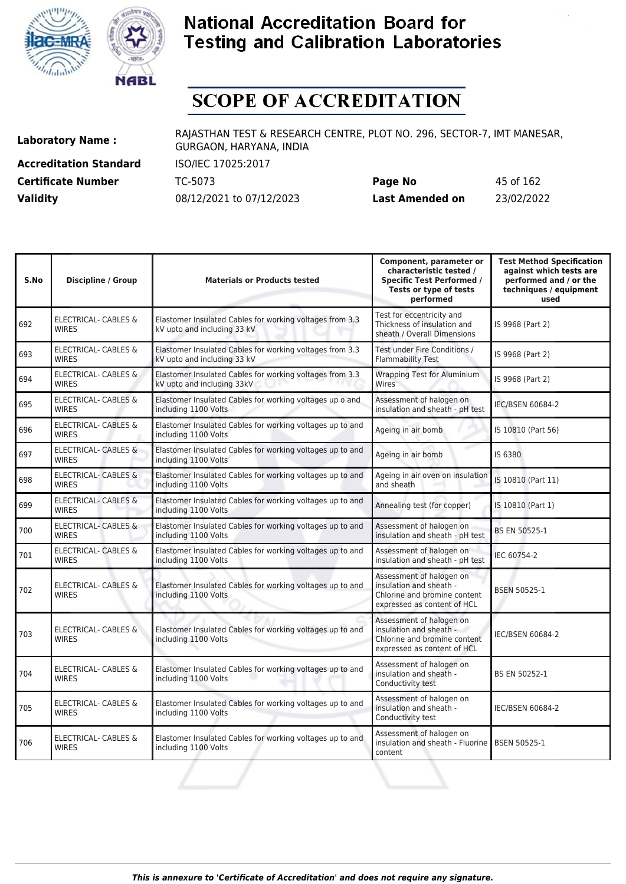



# **SCOPE OF ACCREDITATION**

**Accreditation Standard** ISO/IEC 17025:2017 **Certificate Number** TC-5073

**Laboratory Name :** RAJASTHAN TEST & RESEARCH CENTRE, PLOT NO. 296, SECTOR-7, IMT MANESAR, GURGAON, HARYANA, INDIA

| <b>Certificate Number</b> | TC-5073                  | Page No         | 45 of 162  |
|---------------------------|--------------------------|-----------------|------------|
| <b>Validity</b>           | 08/12/2021 to 07/12/2023 | Last Amended on | 23/02/2022 |

| S.No | <b>Discipline / Group</b>                       | <b>Materials or Products tested</b>                                                     | Component, parameter or<br>characteristic tested /<br><b>Specific Test Performed /</b><br>Tests or type of tests<br>performed | <b>Test Method Specification</b><br>against which tests are<br>performed and / or the<br>techniques / equipment<br>used |
|------|-------------------------------------------------|-----------------------------------------------------------------------------------------|-------------------------------------------------------------------------------------------------------------------------------|-------------------------------------------------------------------------------------------------------------------------|
| 692  | ELECTRICAL- CABLES &<br><b>WIRES</b>            | Elastomer Insulated Cables for working voltages from 3.3<br>kV upto and including 33 kV | Test for eccentricity and<br>Thickness of insulation and<br>sheath / Overall Dimensions                                       | IS 9968 (Part 2)                                                                                                        |
| 693  | ELECTRICAL- CABLES &<br><b>WIRFS</b>            | Elastomer Insulated Cables for working voltages from 3.3<br>kV upto and including 33 kV | Test under Fire Conditions /<br><b>Flammability Test</b>                                                                      | IS 9968 (Part 2)                                                                                                        |
| 694  | ELECTRICAL- CABLES &<br><b>WIRES</b>            | Elastomer Insulated Cables for working voltages from 3.3<br>kV upto and including 33kV  | <b>Wrapping Test for Aluminium</b><br>Wires                                                                                   | IS 9968 (Part 2)                                                                                                        |
| 695  | ELECTRICAL- CABLES &<br><b>WIRES</b>            | Elastomer Insulated Cables for working voltages up o and<br>including 1100 Volts        | Assessment of halogen on<br>insulation and sheath - pH test                                                                   | <b>IEC/BSEN 60684-2</b>                                                                                                 |
| 696  | ELECTRICAL- CABLES &<br><b>WIRES</b>            | Elastomer Insulated Cables for working voltages up to and<br>including 1100 Volts       | Ageing in air bomb                                                                                                            | IS 10810 (Part 56)                                                                                                      |
| 697  | <b>ELECTRICAL- CABLES &amp;</b><br><b>WIRES</b> | Elastomer Insulated Cables for working voltages up to and<br>including 1100 Volts       | Ageing in air bomb                                                                                                            | IS 6380                                                                                                                 |
| 698  | <b>ELECTRICAL- CABLES &amp;</b><br><b>WIRES</b> | Elastomer Insulated Cables for working voltages up to and<br>including 1100 Volts       | Ageing in air oven on insulation<br>and sheath                                                                                | IS 10810 (Part 11)                                                                                                      |
| 699  | <b>ELECTRICAL- CABLES &amp;</b><br><b>WIRES</b> | Elastomer Insulated Cables for working voltages up to and<br>including 1100 Volts       | Annealing test (for copper)                                                                                                   | IS 10810 (Part 1)                                                                                                       |
| 700  | <b>ELECTRICAL- CABLES &amp;</b><br><b>WIRES</b> | Elastomer Insulated Cables for working voltages up to and<br>including 1100 Volts       | Assessment of halogen on<br>insulation and sheath - pH test                                                                   | BS EN 50525-1                                                                                                           |
| 701  | <b>ELECTRICAL- CABLES &amp;</b><br><b>WIRES</b> | Elastomer Insulated Cables for working voltages up to and<br>including 1100 Volts       | Assessment of halogen on<br>insulation and sheath - pH test                                                                   | IEC 60754-2                                                                                                             |
| 702  | <b>ELECTRICAL- CABLES &amp;</b><br><b>WIRES</b> | Elastomer Insulated Cables for working voltages up to and<br>including 1100 Volts       | Assessment of halogen on<br>insulation and sheath -<br>Chlorine and bromine content<br>expressed as content of HCL            | <b>BSEN 50525-1</b>                                                                                                     |
| 703  | <b>ELECTRICAL- CABLES &amp;</b><br><b>WIRES</b> | Elastomer Insulated Cables for working voltages up to and<br>including 1100 Volts       | Assessment of halogen on<br>insulation and sheath -<br>Chlorine and bromine content<br>expressed as content of HCL            | <b>IEC/BSEN 60684-2</b>                                                                                                 |
| 704  | <b>ELECTRICAL- CABLES &amp;</b><br><b>WIRES</b> | Elastomer Insulated Cables for working voltages up to and<br>including 1100 Volts       | Assessment of halogen on<br>insulation and sheath -<br>Conductivity test                                                      | BS EN 50252-1                                                                                                           |
| 705  | ELECTRICAL- CABLES &<br><b>WIRES</b>            | Elastomer Insulated Cables for working voltages up to and<br>including 1100 Volts       | Assessment of halogen on<br>insulation and sheath -<br>Conductivity test                                                      | <b>IEC/BSEN 60684-2</b>                                                                                                 |
| 706  | ELECTRICAL- CABLES &<br><b>WIRES</b>            | Elastomer Insulated Cables for working voltages up to and<br>including 1100 Volts       | Assessment of halogen on<br>insulation and sheath - Fluorine<br>content                                                       | BSEN 50525-1                                                                                                            |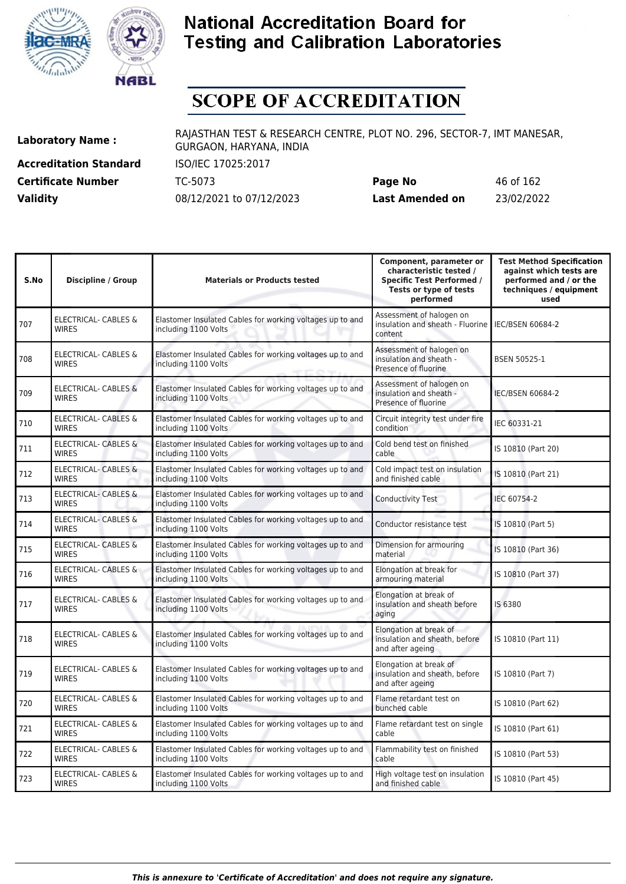



# **SCOPE OF ACCREDITATION**

**Accreditation Standard** ISO/IEC 17025:2017

**Laboratory Name :** RAJASTHAN TEST & RESEARCH CENTRE, PLOT NO. 296, SECTOR-7, IMT MANESAR, GURGAON, HARYANA, INDIA

**Certificate Number** TC-5073 **Page No** 46 of 162 **Validity** 08/12/2021 to 07/12/2023 **Last Amended on** 23/02/2022

| S.No | <b>Discipline / Group</b>                       | <b>Materials or Products tested</b>                                               | Component, parameter or<br>characteristic tested /<br><b>Specific Test Performed /</b><br>Tests or type of tests<br>performed | <b>Test Method Specification</b><br>against which tests are<br>performed and / or the<br>techniques / equipment<br>used |
|------|-------------------------------------------------|-----------------------------------------------------------------------------------|-------------------------------------------------------------------------------------------------------------------------------|-------------------------------------------------------------------------------------------------------------------------|
| 707  | <b>ELECTRICAL- CABLES &amp;</b><br><b>WIRES</b> | Elastomer Insulated Cables for working voltages up to and<br>including 1100 Volts | Assessment of halogen on<br>insulation and sheath - Fluorine   IEC/BSEN 60684-2<br>content                                    |                                                                                                                         |
| 708  | <b>ELECTRICAL- CABLES &amp;</b><br><b>WIRES</b> | Elastomer Insulated Cables for working voltages up to and<br>including 1100 Volts | Assessment of halogen on<br>insulation and sheath -<br>Presence of fluorine                                                   | <b>BSEN 50525-1</b>                                                                                                     |
| 709  | <b>ELECTRICAL- CABLES &amp;</b><br><b>WIRES</b> | Elastomer Insulated Cables for working voltages up to and<br>including 1100 Volts | Assessment of halogen on<br>insulation and sheath -<br>Presence of fluorine                                                   | <b>IEC/BSEN 60684-2</b>                                                                                                 |
| 710  | ELECTRICAL- CABLES &<br><b>WIRES</b>            | Elastomer Insulated Cables for working voltages up to and<br>including 1100 Volts | Circuit integrity test under fire<br>condition                                                                                | IEC 60331-21                                                                                                            |
| 711  | ELECTRICAL- CABLES &<br><b>WIRES</b>            | Elastomer Insulated Cables for working voltages up to and<br>including 1100 Volts | Cold bend test on finished<br>cable                                                                                           | IS 10810 (Part 20)                                                                                                      |
| 712  | <b>ELECTRICAL- CABLES &amp;</b><br><b>WIRES</b> | Elastomer Insulated Cables for working voltages up to and<br>including 1100 Volts | Cold impact test on insulation<br>and finished cable                                                                          | IS 10810 (Part 21)                                                                                                      |
| 713  | <b>ELECTRICAL- CABLES &amp;</b><br><b>WIRES</b> | Elastomer Insulated Cables for working voltages up to and<br>including 1100 Volts | <b>Conductivity Test</b>                                                                                                      | IEC 60754-2                                                                                                             |
| 714  | ELECTRICAL- CABLES &<br><b>WIRES</b>            | Elastomer Insulated Cables for working voltages up to and<br>including 1100 Volts | Conductor resistance test                                                                                                     | IS 10810 (Part 5)                                                                                                       |
| 715  | ELECTRICAL- CABLES &<br><b>WIRES</b>            | Elastomer Insulated Cables for working voltages up to and<br>including 1100 Volts | Dimension for armouring<br>material                                                                                           | IS 10810 (Part 36)                                                                                                      |
| 716  | ELECTRICAL- CABLES &<br><b>WIRES</b>            | Elastomer Insulated Cables for working voltages up to and<br>including 1100 Volts | Elongation at break for<br>armouring material                                                                                 | IS 10810 (Part 37)                                                                                                      |
| 717  | ELECTRICAL- CABLES &<br><b>WIRES</b>            | Elastomer Insulated Cables for working voltages up to and<br>including 1100 Volts | Elongation at break of<br>insulation and sheath before<br>aging                                                               | IS 6380                                                                                                                 |
| 718  | ELECTRICAL- CABLES &<br><b>WIRES</b>            | Elastomer Insulated Cables for working voltages up to and<br>including 1100 Volts | Elongation at break of<br>insulation and sheath, before<br>and after ageing                                                   | IS 10810 (Part 11)                                                                                                      |
| 719  | <b>ELECTRICAL- CABLES &amp;</b><br><b>WIRES</b> | Elastomer Insulated Cables for working voltages up to and<br>including 1100 Volts | Elongation at break of<br>insulation and sheath, before<br>and after ageing                                                   | IS 10810 (Part 7)                                                                                                       |
| 720  | <b>ELECTRICAL- CABLES &amp;</b><br><b>WIRES</b> | Elastomer Insulated Cables for working voltages up to and<br>including 1100 Volts | Flame retardant test on<br>bunched cable                                                                                      | IS 10810 (Part 62)                                                                                                      |
| 721  | ELECTRICAL- CABLES &<br><b>WIRES</b>            | Elastomer Insulated Cables for working voltages up to and<br>including 1100 Volts | Flame retardant test on single<br>cable                                                                                       | IS 10810 (Part 61)                                                                                                      |
| 722  | ELECTRICAL- CABLES &<br><b>WIRES</b>            | Elastomer Insulated Cables for working voltages up to and<br>including 1100 Volts | Flammability test on finished<br>cable                                                                                        | IS 10810 (Part 53)                                                                                                      |
| 723  | ELECTRICAL- CABLES &<br><b>WIRES</b>            | Elastomer Insulated Cables for working voltages up to and<br>including 1100 Volts | High voltage test on insulation<br>and finished cable                                                                         | IS 10810 (Part 45)                                                                                                      |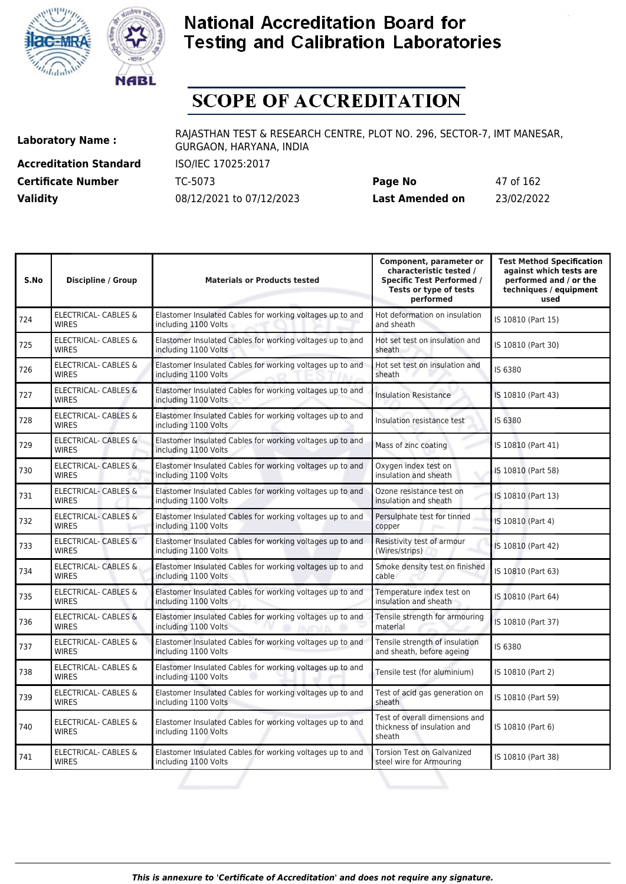



# **SCOPE OF ACCREDITATION**

**Accreditation Standard** ISO/IEC 17025:2017

**Laboratory Name :** RAJASTHAN TEST & RESEARCH CENTRE, PLOT NO. 296, SECTOR-7, IMT MANESAR, GURGAON, HARYANA, INDIA

**Certificate Number** TC-5073 **Page No** 47 of 162 **Validity** 08/12/2021 to 07/12/2023 **Last Amended on** 23/02/2022

| S.No | <b>Discipline / Group</b>                       | <b>Materials or Products tested</b>                                               | Component, parameter or<br>characteristic tested /<br><b>Specific Test Performed /</b><br>Tests or type of tests<br>performed | <b>Test Method Specification</b><br>against which tests are<br>performed and / or the<br>techniques / equipment<br>used |
|------|-------------------------------------------------|-----------------------------------------------------------------------------------|-------------------------------------------------------------------------------------------------------------------------------|-------------------------------------------------------------------------------------------------------------------------|
| 724  | <b>ELECTRICAL- CABLES &amp;</b><br><b>WIRES</b> | Elastomer Insulated Cables for working voltages up to and<br>including 1100 Volts | Hot deformation on insulation<br>and sheath                                                                                   | IS 10810 (Part 15)                                                                                                      |
| 725  | <b>ELECTRICAL- CABLES &amp;</b><br><b>WIRES</b> | Elastomer Insulated Cables for working voltages up to and<br>including 1100 Volts | Hot set test on insulation and<br>sheath                                                                                      | IS 10810 (Part 30)                                                                                                      |
| 726  | ELECTRICAL- CABLES &<br><b>WIRES</b>            | Elastomer Insulated Cables for working voltages up to and<br>including 1100 Volts | Hot set test on insulation and<br>sheath                                                                                      | IS 6380                                                                                                                 |
| 727  | ELECTRICAL- CABLES &<br><b>WIRES</b>            | Elastomer Insulated Cables for working voltages up to and<br>including 1100 Volts | <b>Insulation Resistance</b>                                                                                                  | IS 10810 (Part 43)                                                                                                      |
| 728  | <b>ELECTRICAL- CABLES &amp;</b><br><b>WIRES</b> | Elastomer Insulated Cables for working voltages up to and<br>including 1100 Volts | Insulation resistance test                                                                                                    | IS 6380                                                                                                                 |
| 729  | <b>ELECTRICAL- CABLES &amp;</b><br><b>WIRES</b> | Elastomer Insulated Cables for working voltages up to and<br>including 1100 Volts | Mass of zinc coating                                                                                                          | IS 10810 (Part 41)                                                                                                      |
| 730  | <b>ELECTRICAL- CABLES &amp;</b><br><b>WIRES</b> | Elastomer Insulated Cables for working voltages up to and<br>including 1100 Volts | Oxygen index test on<br>insulation and sheath                                                                                 | IS 10810 (Part 58)                                                                                                      |
| 731  | <b>ELECTRICAL- CABLES &amp;</b><br><b>WIRES</b> | Elastomer Insulated Cables for working voltages up to and<br>including 1100 Volts | Ozone resistance test on<br>insulation and sheath                                                                             | IS 10810 (Part 13)                                                                                                      |
| 732  | ELECTRICAL- CABLES &<br><b>WIRES</b>            | Elastomer Insulated Cables for working voltages up to and<br>including 1100 Volts | Persulphate test for tinned<br>copper                                                                                         | IS 10810 (Part 4)                                                                                                       |
| 733  | <b>ELECTRICAL- CABLES &amp;</b><br><b>WIRES</b> | Elastomer Insulated Cables for working voltages up to and<br>including 1100 Volts | Resistivity test of armour<br>(Wires/strips)                                                                                  | IS 10810 (Part 42)                                                                                                      |
| 734  | ELECTRICAL- CABLES &<br><b>WIRES</b>            | Elastomer Insulated Cables for working voltages up to and<br>including 1100 Volts | Smoke density test on finished<br>cable                                                                                       | IS 10810 (Part 63)                                                                                                      |
| 735  | <b>ELECTRICAL- CABLES &amp;</b><br><b>WIRES</b> | Elastomer Insulated Cables for working voltages up to and<br>including 1100 Volts | Temperature index test on<br>insulation and sheath                                                                            | IS 10810 (Part 64)                                                                                                      |
| 736  | <b>ELECTRICAL- CABLES &amp;</b><br><b>WIRES</b> | Elastomer Insulated Cables for working voltages up to and<br>including 1100 Volts | Tensile strength for armouring<br>material                                                                                    | IS 10810 (Part 37)                                                                                                      |
| 737  | ELECTRICAL- CABLES &<br><b>WIRES</b>            | Elastomer Insulated Cables for working voltages up to and<br>including 1100 Volts | Tensile strength of insulation<br>and sheath, before ageing                                                                   | IS 6380                                                                                                                 |
| 738  | <b>ELECTRICAL- CABLES &amp;</b><br><b>WIRES</b> | Elastomer Insulated Cables for working voltages up to and<br>including 1100 Volts | Tensile test (for aluminium)                                                                                                  | IS 10810 (Part 2)                                                                                                       |
| 739  | ELECTRICAL- CABLES &<br><b>WIRES</b>            | Elastomer Insulated Cables for working voltages up to and<br>including 1100 Volts | Test of acid gas generation on<br>sheath                                                                                      | IS 10810 (Part 59)                                                                                                      |
| 740  | ELECTRICAL- CABLES &<br><b>WIRES</b>            | Elastomer Insulated Cables for working voltages up to and<br>including 1100 Volts | Test of overall dimensions and<br>thickness of insulation and<br>sheath                                                       | IS 10810 (Part 6)                                                                                                       |
| 741  | ELECTRICAL- CABLES &<br><b>WIRES</b>            | Elastomer Insulated Cables for working voltages up to and<br>including 1100 Volts | <b>Torsion Test on Galvanized</b><br>steel wire for Armouring                                                                 | IS 10810 (Part 38)                                                                                                      |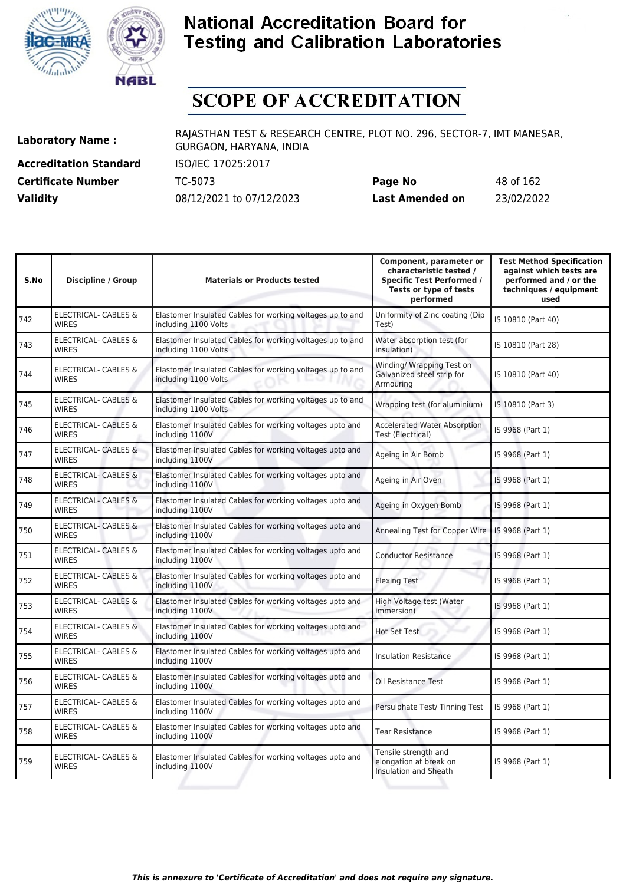



# **SCOPE OF ACCREDITATION**

**Accreditation Standard** ISO/IEC 17025:2017

**Laboratory Name :** RAJASTHAN TEST & RESEARCH CENTRE, PLOT NO. 296, SECTOR-7, IMT MANESAR, GURGAON, HARYANA, INDIA

**Certificate Number** TC-5073 **Page No** 48 of 162 **Validity** 08/12/2021 to 07/12/2023 **Last Amended on** 23/02/2022

| S.No | <b>Discipline / Group</b>                       | <b>Materials or Products tested</b>                                               | Component, parameter or<br>characteristic tested /<br><b>Specific Test Performed /</b><br>Tests or type of tests<br>performed | <b>Test Method Specification</b><br>against which tests are<br>performed and / or the<br>techniques / equipment<br>used |
|------|-------------------------------------------------|-----------------------------------------------------------------------------------|-------------------------------------------------------------------------------------------------------------------------------|-------------------------------------------------------------------------------------------------------------------------|
| 742  | <b>ELECTRICAL- CABLES &amp;</b><br><b>WIRES</b> | Elastomer Insulated Cables for working voltages up to and<br>including 1100 Volts | Uniformity of Zinc coating (Dip<br>Test)                                                                                      | IS 10810 (Part 40)                                                                                                      |
| 743  | <b>ELECTRICAL- CABLES &amp;</b><br><b>WIRES</b> | Elastomer Insulated Cables for working voltages up to and<br>including 1100 Volts | Water absorption test (for<br>insulation)                                                                                     | IS 10810 (Part 28)                                                                                                      |
| 744  | ELECTRICAL- CABLES &<br><b>WIRES</b>            | Elastomer Insulated Cables for working voltages up to and<br>including 1100 Volts | Winding/ Wrapping Test on<br>Galvanized steel strip for<br>Armouring                                                          | IS 10810 (Part 40)                                                                                                      |
| 745  | ELECTRICAL- CABLES &<br><b>WIRES</b>            | Elastomer Insulated Cables for working voltages up to and<br>including 1100 Volts | Wrapping test (for aluminium)                                                                                                 | IS 10810 (Part 3)                                                                                                       |
| 746  | <b>ELECTRICAL- CABLES &amp;</b><br><b>WIRES</b> | Elastomer Insulated Cables for working voltages upto and<br>including 1100V       | <b>Accelerated Water Absorption</b><br><b>Test (Electrical)</b>                                                               | IS 9968 (Part 1)                                                                                                        |
| 747  | <b>ELECTRICAL- CABLES &amp;</b><br><b>WIRES</b> | Elastomer Insulated Cables for working voltages upto and<br>including 1100V       | Ageing in Air Bomb                                                                                                            | IS 9968 (Part 1)                                                                                                        |
| 748  | <b>ELECTRICAL- CABLES &amp;</b><br><b>WIRES</b> | Elastomer Insulated Cables for working voltages upto and<br>including 1100V       | Ageing in Air Oven                                                                                                            | IS 9968 (Part 1)                                                                                                        |
| 749  | <b>ELECTRICAL- CABLES &amp;</b><br><b>WIRES</b> | Elastomer Insulated Cables for working voltages upto and<br>including 1100V       | Ageing in Oxygen Bomb                                                                                                         | IS 9968 (Part 1)                                                                                                        |
| 750  | <b>ELECTRICAL- CABLES &amp;</b><br><b>WIRES</b> | Elastomer Insulated Cables for working voltages upto and<br>including 1100V       | Annealing Test for Copper Wire                                                                                                | IS 9968 (Part 1)                                                                                                        |
| 751  | <b>ELECTRICAL- CABLES &amp;</b><br>WIRES        | Elastomer Insulated Cables for working voltages upto and<br>including 1100V       | <b>Conductor Resistance</b>                                                                                                   | IS 9968 (Part 1)                                                                                                        |
| 752  | ELECTRICAL- CABLES &<br><b>WIRES</b>            | Elastomer Insulated Cables for working voltages upto and<br>including 1100V       | <b>Flexing Test</b>                                                                                                           | IS 9968 (Part 1)                                                                                                        |
| 753  | ELECTRICAL- CABLES &<br><b>WIRES</b>            | Elastomer Insulated Cables for working voltages upto and<br>including 1100V       | High Voltage test (Water<br>immersion)                                                                                        | IS 9968 (Part 1)                                                                                                        |
| 754  | ELECTRICAL- CABLES &<br><b>WIRES</b>            | Elastomer Insulated Cables for working voltages upto and<br>including 1100V       | <b>Hot Set Test</b>                                                                                                           | IS 9968 (Part 1)                                                                                                        |
| 755  | ELECTRICAL- CABLES &<br><b>WIRES</b>            | Elastomer Insulated Cables for working voltages upto and<br>including 1100V       | <b>Insulation Resistance</b>                                                                                                  | IS 9968 (Part 1)                                                                                                        |
| 756  | ELECTRICAL- CABLES &<br><b>WIRES</b>            | Elastomer Insulated Cables for working voltages upto and<br>including 1100V       | Oil Resistance Test                                                                                                           | IS 9968 (Part 1)                                                                                                        |
| 757  | ELECTRICAL- CABLES &<br><b>WIRES</b>            | Elastomer Insulated Cables for working voltages upto and<br>including 1100V       | Persulphate Test/ Tinning Test                                                                                                | IS 9968 (Part 1)                                                                                                        |
| 758  | ELECTRICAL- CABLES &<br><b>WIRES</b>            | Elastomer Insulated Cables for working voltages upto and<br>including 1100V       | <b>Tear Resistance</b>                                                                                                        | IS 9968 (Part 1)                                                                                                        |
| 759  | <b>ELECTRICAL- CABLES &amp;</b><br><b>WIRES</b> | Elastomer Insulated Cables for working voltages upto and<br>including 1100V       | Tensile strength and<br>elongation at break on<br>Insulation and Sheath                                                       | IS 9968 (Part 1)                                                                                                        |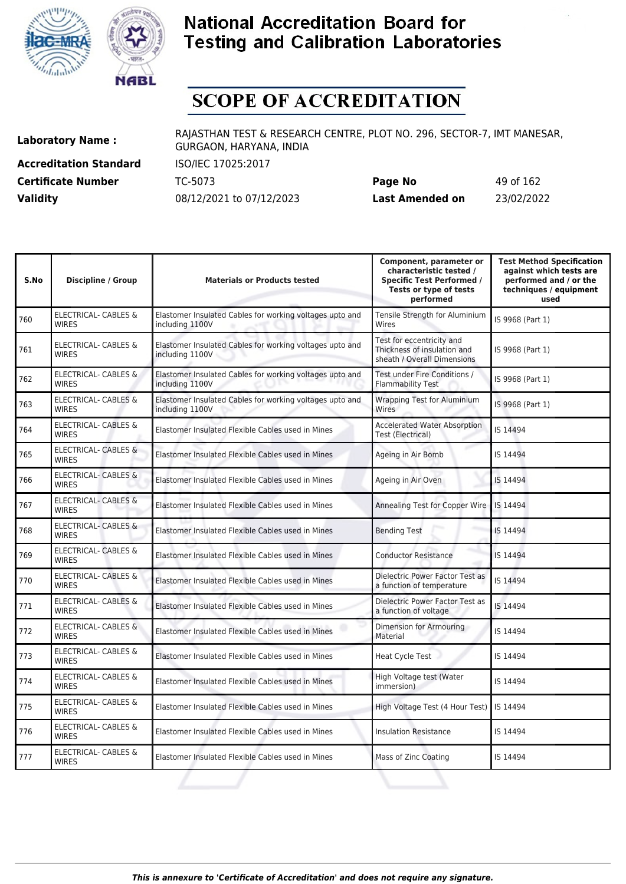



# **SCOPE OF ACCREDITATION**

**Accreditation Standard** ISO/IEC 17025:2017

**Laboratory Name :** RAJASTHAN TEST & RESEARCH CENTRE, PLOT NO. 296, SECTOR-7, IMT MANESAR, GURGAON, HARYANA, INDIA

**Certificate Number** TC-5073 **Page No** 49 of 162 **Validity** 08/12/2021 to 07/12/2023 **Last Amended on** 23/02/2022

| S.No | <b>Discipline / Group</b>                       | <b>Materials or Products tested</b>                                         | Component, parameter or<br>characteristic tested /<br><b>Specific Test Performed /</b><br>Tests or type of tests<br>performed | <b>Test Method Specification</b><br>against which tests are<br>performed and / or the<br>techniques / equipment<br>used |
|------|-------------------------------------------------|-----------------------------------------------------------------------------|-------------------------------------------------------------------------------------------------------------------------------|-------------------------------------------------------------------------------------------------------------------------|
| 760  | ELECTRICAL- CABLES &<br><b>WIRES</b>            | Elastomer Insulated Cables for working voltages upto and<br>including 1100V | Tensile Strength for Aluminium<br>Wires                                                                                       | IS 9968 (Part 1)                                                                                                        |
| 761  | ELECTRICAL- CABLES &<br><b>WIRES</b>            | Elastomer Insulated Cables for working voltages upto and<br>including 1100V | Test for eccentricity and<br>Thickness of insulation and<br>sheath / Overall Dimensions                                       | IS 9968 (Part 1)                                                                                                        |
| 762  | ELECTRICAL- CABLES &<br><b>WIRES</b>            | Elastomer Insulated Cables for working voltages upto and<br>including 1100V | Test under Fire Conditions /<br><b>Flammability Test</b>                                                                      | IS 9968 (Part 1)                                                                                                        |
| 763  | ELECTRICAL- CABLES &<br><b>WIRES</b>            | Elastomer Insulated Cables for working voltages upto and<br>including 1100V | <b>Wrapping Test for Aluminium</b><br>Wires                                                                                   | IS 9968 (Part 1)                                                                                                        |
| 764  | ELECTRICAL- CABLES &<br><b>WIRES</b>            | Elastomer Insulated Flexible Cables used in Mines                           | <b>Accelerated Water Absorption</b><br>Test (Electrical)                                                                      | IS 14494                                                                                                                |
| 765  | <b>ELECTRICAL- CABLES &amp;</b><br><b>WIRES</b> | Elastomer Insulated Flexible Cables used in Mines                           | Ageing in Air Bomb                                                                                                            | IS 14494                                                                                                                |
| 766  | <b>ELECTRICAL- CABLES &amp;</b><br><b>WIRES</b> | Elastomer Insulated Flexible Cables used in Mines                           | Ageing in Air Oven                                                                                                            | IS 14494                                                                                                                |
| 767  | <b>ELECTRICAL- CABLES &amp;</b><br><b>WIRES</b> | Elastomer Insulated Flexible Cables used in Mines                           | Annealing Test for Copper Wire                                                                                                | IS 14494                                                                                                                |
| 768  | <b>ELECTRICAL- CABLES &amp;</b><br><b>WIRES</b> | Elastomer Insulated Flexible Cables used in Mines                           | <b>Bending Test</b>                                                                                                           | IS 14494                                                                                                                |
| 769  | ELECTRICAL- CABLES &<br><b>WIRES</b>            | Elastomer Insulated Flexible Cables used in Mines                           | <b>Conductor Resistance</b>                                                                                                   | IS 14494                                                                                                                |
| 770  | <b>ELECTRICAL- CABLES &amp;</b><br><b>WIRES</b> | Elastomer Insulated Flexible Cables used in Mines                           | Dielectric Power Factor Test as<br>a function of temperature                                                                  | IS 14494                                                                                                                |
| 771  | <b>ELECTRICAL- CABLES &amp;</b><br><b>WIRES</b> | Elastomer Insulated Flexible Cables used in Mines                           | Dielectric Power Factor Test as<br>a function of voltage                                                                      | IS 14494                                                                                                                |
| 772  | <b>ELECTRICAL- CABLES &amp;</b><br><b>WIRES</b> | Elastomer Insulated Flexible Cables used in Mines                           | Dimension for Armouring<br>Material                                                                                           | IS 14494                                                                                                                |
| 773  | <b>ELECTRICAL- CABLES &amp;</b><br><b>WIRFS</b> | Elastomer Insulated Flexible Cables used in Mines                           | Heat Cycle Test                                                                                                               | IS 14494                                                                                                                |
| 774  | ELECTRICAL- CABLES &<br><b>WIRES</b>            | Elastomer Insulated Flexible Cables used in Mines                           | High Voltage test (Water<br>immersion)                                                                                        | IS 14494                                                                                                                |
| 775  | ELECTRICAL- CABLES &<br><b>WIRES</b>            | Elastomer Insulated Flexible Cables used in Mines                           | High Voltage Test (4 Hour Test)                                                                                               | IS 14494                                                                                                                |
| 776  | ELECTRICAL- CABLES &<br><b>WIRES</b>            | Elastomer Insulated Flexible Cables used in Mines                           | <b>Insulation Resistance</b>                                                                                                  | IS 14494                                                                                                                |
| 777  | ELECTRICAL- CABLES &<br><b>WIRES</b>            | Elastomer Insulated Flexible Cables used in Mines                           | Mass of Zinc Coating                                                                                                          | IS 14494                                                                                                                |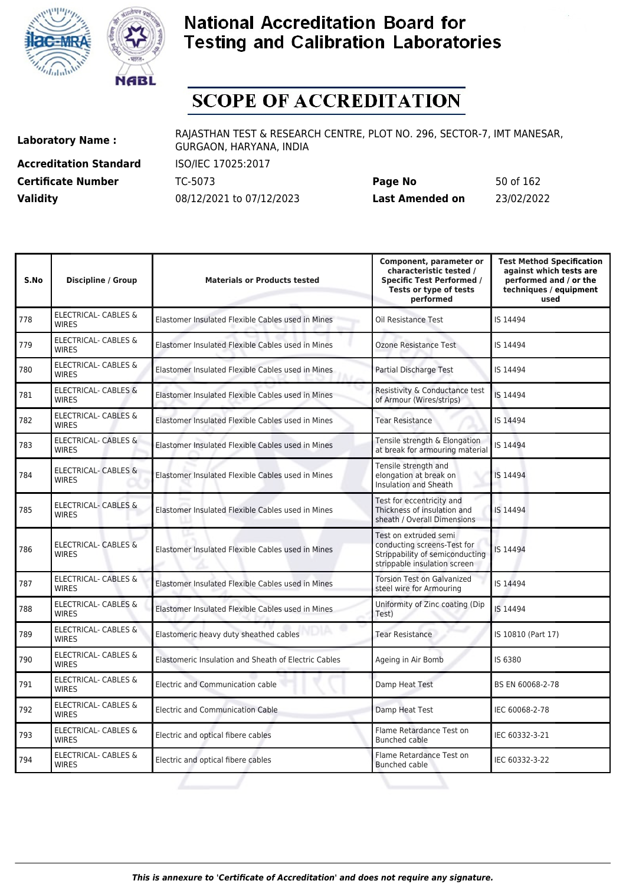



# **SCOPE OF ACCREDITATION**

**Accreditation Standard** ISO/IEC 17025:2017

**Laboratory Name :** RAJASTHAN TEST & RESEARCH CENTRE, PLOT NO. 296, SECTOR-7, IMT MANESAR, GURGAON, HARYANA, INDIA

**Certificate Number** TC-5073 **Page No** 50 of 162 **Validity** 08/12/2021 to 07/12/2023 **Last Amended on** 23/02/2022

| <b>Discipline / Group</b>                       | <b>Materials or Products tested</b>                  | Component, parameter or<br>characteristic tested /<br><b>Specific Test Performed /</b><br>Tests or type of tests<br>performed | <b>Test Method Specification</b><br>against which tests are<br>performed and / or the<br>techniques / equipment<br>used |
|-------------------------------------------------|------------------------------------------------------|-------------------------------------------------------------------------------------------------------------------------------|-------------------------------------------------------------------------------------------------------------------------|
| <b>ELECTRICAL- CABLES &amp;</b><br><b>WIRES</b> | Elastomer Insulated Flexible Cables used in Mines    | Oil Resistance Test                                                                                                           | IS 14494                                                                                                                |
| ELECTRICAL- CABLES &<br><b>WIRES</b>            | Elastomer Insulated Flexible Cables used in Mines    | <b>Ozone Resistance Test</b>                                                                                                  | IS 14494                                                                                                                |
| ELECTRICAL- CABLES &<br><b>WIRES</b>            | Elastomer Insulated Flexible Cables used in Mines    | Partial Discharge Test                                                                                                        | IS 14494                                                                                                                |
| <b>ELECTRICAL- CABLES &amp;</b><br><b>WIRES</b> | Elastomer Insulated Flexible Cables used in Mines    | Resistivity & Conductance test<br>of Armour (Wires/strips)                                                                    | IS 14494                                                                                                                |
| ELECTRICAL- CABLES &<br><b>WIRES</b>            | Elastomer Insulated Flexible Cables used in Mines    | <b>Tear Resistance</b>                                                                                                        | IS 14494                                                                                                                |
| ELECTRICAL- CABLES &<br><b>WIRES</b>            | Elastomer Insulated Flexible Cables used in Mines    | Tensile strength & Elongation<br>at break for armouring material                                                              | IS 14494                                                                                                                |
| <b>ELECTRICAL- CABLES &amp;</b><br><b>WIRES</b> | Elastomer Insulated Flexible Cables used in Mines    | Tensile strength and<br>elongation at break on<br>Insulation and Sheath                                                       | IS 14494                                                                                                                |
| <b>ELECTRICAL- CABLES &amp;</b><br><b>WIRES</b> | Elastomer Insulated Flexible Cables used in Mines    | Test for eccentricity and<br>Thickness of insulation and<br>sheath / Overall Dimensions                                       | IS 14494                                                                                                                |
| <b>ELECTRICAL- CABLES &amp;</b><br><b>WIRES</b> | Elastomer Insulated Flexible Cables used in Mines    | Test on extruded semi<br>conducting screens-Test for<br>Strippability of semiconducting<br>strippable insulation screen       | IS 14494                                                                                                                |
| ELECTRICAL- CABLES &<br><b>WIRES</b>            | Elastomer Insulated Flexible Cables used in Mines    | <b>Torsion Test on Galvanized</b><br>steel wire for Armouring                                                                 | IS 14494                                                                                                                |
| ELECTRICAL- CABLES &<br><b>WIRES</b>            | Elastomer Insulated Flexible Cables used in Mines    | Uniformity of Zinc coating (Dip<br>Test)                                                                                      | IS 14494                                                                                                                |
| <b>ELECTRICAL- CABLES &amp;</b><br><b>WIRES</b> | Elastomeric heavy duty sheathed cables               | <b>Tear Resistance</b>                                                                                                        | IS 10810 (Part 17)                                                                                                      |
| ELECTRICAL- CABLES &<br><b>WIRES</b>            | Elastomeric Insulation and Sheath of Electric Cables | Ageing in Air Bomb                                                                                                            | IS 6380                                                                                                                 |
| <b>ELECTRICAL- CABLES &amp;</b><br><b>WIRES</b> | Electric and Communication cable                     | Damp Heat Test                                                                                                                | BS EN 60068-2-78                                                                                                        |
| ELECTRICAL- CABLES &<br><b>WIRES</b>            | <b>Electric and Communication Cable</b>              | Damp Heat Test                                                                                                                | IEC 60068-2-78                                                                                                          |
| <b>ELECTRICAL- CABLES &amp;</b><br><b>WIRES</b> | Electric and optical fibere cables                   | Flame Retardance Test on<br><b>Bunched cable</b>                                                                              | IEC 60332-3-21                                                                                                          |
| ELECTRICAL- CABLES &<br>WIRES                   | Electric and optical fibere cables                   | Flame Retardance Test on<br><b>Bunched cable</b>                                                                              | IEC 60332-3-22                                                                                                          |
|                                                 |                                                      |                                                                                                                               |                                                                                                                         |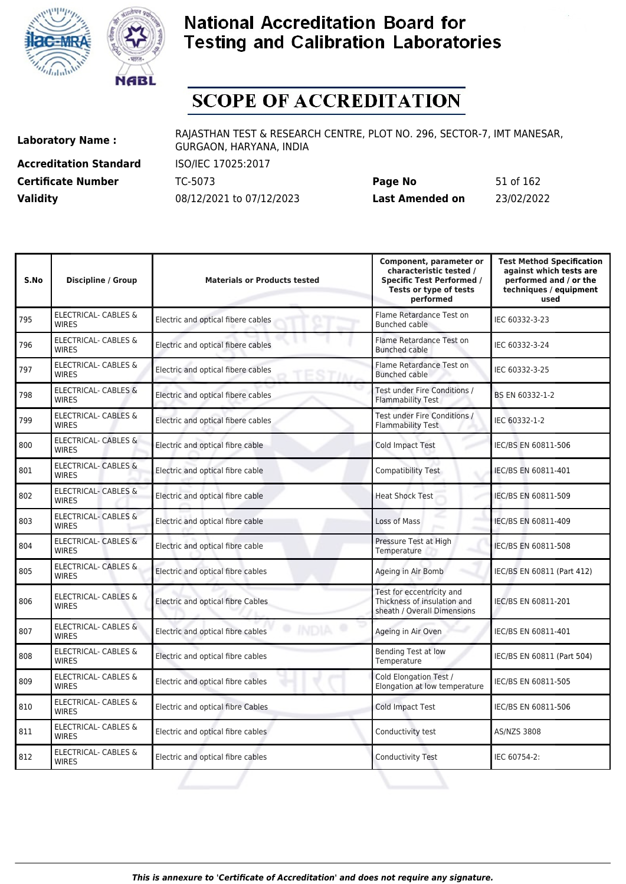



# **SCOPE OF ACCREDITATION**

**Accreditation Standard** ISO/IEC 17025:2017

**Laboratory Name :** RAJASTHAN TEST & RESEARCH CENTRE, PLOT NO. 296, SECTOR-7, IMT MANESAR, GURGAON, HARYANA, INDIA

**Certificate Number** TC-5073 **Page No** 51 of 162 **Validity** 08/12/2021 to 07/12/2023 **Last Amended on** 23/02/2022

| S.No | Discipline / Group                              | <b>Materials or Products tested</b>               | Component, parameter or<br>characteristic tested /<br><b>Specific Test Performed /</b><br>Tests or type of tests<br>performed | <b>Test Method Specification</b><br>against which tests are<br>performed and / or the<br>techniques / equipment<br>used |
|------|-------------------------------------------------|---------------------------------------------------|-------------------------------------------------------------------------------------------------------------------------------|-------------------------------------------------------------------------------------------------------------------------|
| 795  | ELECTRICAL- CABLES &<br><b>WIRES</b>            | Electric and optical fibere cables                | Flame Retardance Test on<br>Bunched cable                                                                                     | IEC 60332-3-23                                                                                                          |
| 796  | ELECTRICAL- CABLES &<br><b>WIRES</b>            | Electric and optical fibere cables                | Flame Retardance Test on<br><b>Bunched cable</b>                                                                              | IEC 60332-3-24                                                                                                          |
| 797  | ELECTRICAL- CABLES &<br><b>WIRES</b>            | Electric and optical fibere cables                | Flame Retardance Test on<br>Bunched cable                                                                                     | IEC 60332-3-25                                                                                                          |
| 798  | <b>ELECTRICAL- CABLES &amp;</b><br><b>WIRES</b> | Electric and optical fibere cables                | Test under Fire Conditions /<br><b>Flammability Test</b>                                                                      | BS EN 60332-1-2                                                                                                         |
| 799  | ELECTRICAL- CABLES &<br><b>WIRES</b>            | Electric and optical fibere cables                | Test under Fire Conditions /<br><b>Flammability Test</b>                                                                      | IEC 60332-1-2                                                                                                           |
| 800  | <b>ELECTRICAL- CABLES &amp;</b><br><b>WIRES</b> | Electric and optical fibre cable                  | <b>Cold Impact Test</b>                                                                                                       | IEC/BS EN 60811-506                                                                                                     |
| 801  | <b>ELECTRICAL- CABLES &amp;</b><br><b>WIRES</b> | Electric and optical fibre cable                  | Compatibility Test                                                                                                            | IEC/BS EN 60811-401                                                                                                     |
| 802  | <b>ELECTRICAL- CABLES &amp;</b><br><b>WIRES</b> | Electric and optical fibre cable                  | <b>Heat Shock Test</b>                                                                                                        | IEC/BS EN 60811-509                                                                                                     |
| 803  | <b>ELECTRICAL- CABLES &amp;</b><br><b>WIRES</b> | Electric and optical fibre cable                  | Loss of Mass                                                                                                                  | IEC/BS EN 60811-409                                                                                                     |
| 804  | <b>ELECTRICAL- CABLES &amp;</b><br><b>WIRES</b> | Electric and optical fibre cable                  | Pressure Test at High<br>Temperature                                                                                          | IEC/BS EN 60811-508                                                                                                     |
| 805  | ELECTRICAL- CABLES &<br><b>WIRES</b>            | Electric and optical fibre cables                 | Ageing in Air Bomb                                                                                                            | IEC/BS EN 60811 (Part 412)                                                                                              |
| 806  | <b>ELECTRICAL- CABLES &amp;</b><br><b>WIRES</b> | Electric and optical fibre Cables                 | Test for eccentricity and<br>Thickness of insulation and<br>sheath / Overall Dimensions                                       | IEC/BS EN 60811-201                                                                                                     |
| 807  | <b>ELECTRICAL- CABLES &amp;</b><br><b>WIRES</b> | <b>INDIA</b><br>Electric and optical fibre cables | Ageing in Air Oven                                                                                                            | IEC/BS EN 60811-401                                                                                                     |
| 808  | ELECTRICAL- CABLES &<br><b>WIRES</b>            | Electric and optical fibre cables                 | Bending Test at low<br>Temperature                                                                                            | IEC/BS EN 60811 (Part 504)                                                                                              |
| 809  | ELECTRICAL- CABLES &<br><b>WIRES</b>            | Electric and optical fibre cables                 | Cold Elongation Test /<br>Elongation at low temperature                                                                       | IEC/BS EN 60811-505                                                                                                     |
| 810  | ELECTRICAL- CABLES &<br><b>WIRES</b>            | Electric and optical fibre Cables                 | <b>Cold Impact Test</b>                                                                                                       | IEC/BS EN 60811-506                                                                                                     |
| 811  | ELECTRICAL- CABLES &<br><b>WIRES</b>            | Electric and optical fibre cables                 | Conductivity test                                                                                                             | AS/NZS 3808                                                                                                             |
| 812  | <b>ELECTRICAL- CABLES &amp;</b><br><b>WIRES</b> | Electric and optical fibre cables                 | <b>Conductivity Test</b>                                                                                                      | IEC 60754-2:                                                                                                            |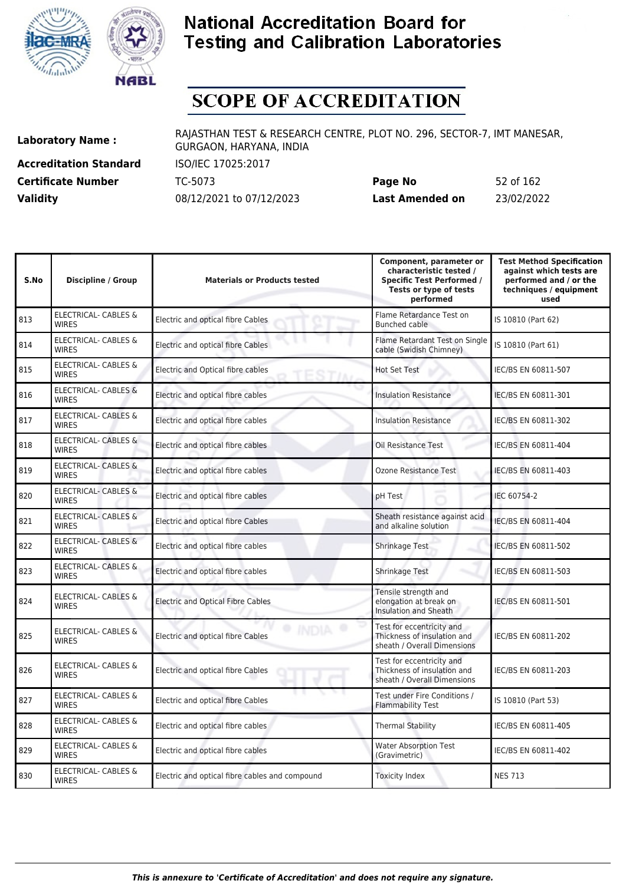



# **SCOPE OF ACCREDITATION**

**Accreditation Standard** ISO/IEC 17025:2017

**Laboratory Name :** RAJASTHAN TEST & RESEARCH CENTRE, PLOT NO. 296, SECTOR-7, IMT MANESAR, GURGAON, HARYANA, INDIA

**Certificate Number** TC-5073 **Page No** 52 of 162 **Validity** 08/12/2021 to 07/12/2023 **Last Amended on** 23/02/2022

| S.No | <b>Discipline / Group</b>                       | <b>Materials or Products tested</b>            | Component, parameter or<br>characteristic tested /<br><b>Specific Test Performed /</b><br>Tests or type of tests<br>performed | <b>Test Method Specification</b><br>against which tests are<br>performed and / or the<br>techniques / equipment<br>used |
|------|-------------------------------------------------|------------------------------------------------|-------------------------------------------------------------------------------------------------------------------------------|-------------------------------------------------------------------------------------------------------------------------|
| 813  | <b>ELECTRICAL- CABLES &amp;</b><br><b>WIRES</b> | Electric and optical fibre Cables              | Flame Retardance Test on<br>Bunched cable                                                                                     | IS 10810 (Part 62)                                                                                                      |
| 814  | ELECTRICAL- CABLES &<br><b>WIRES</b>            | Electric and optical fibre Cables              | Flame Retardant Test on Single<br>cable (Swidish Chimney)                                                                     | IS 10810 (Part 61)                                                                                                      |
| 815  | <b>ELECTRICAL- CABLES &amp;</b><br><b>WIRES</b> | Electric and Optical fibre cables              | <b>Hot Set Test</b>                                                                                                           | IEC/BS EN 60811-507                                                                                                     |
| 816  | <b>ELECTRICAL- CABLES &amp;</b><br><b>WIRES</b> | Electric and optical fibre cables              | <b>Insulation Resistance</b>                                                                                                  | IEC/BS EN 60811-301                                                                                                     |
| 817  | <b>ELECTRICAL- CABLES &amp;</b><br><b>WIRES</b> | Electric and optical fibre cables              | <b>Insulation Resistance</b>                                                                                                  | IEC/BS EN 60811-302                                                                                                     |
| 818  | <b>ELECTRICAL- CABLES &amp;</b><br><b>WIRES</b> | Electric and optical fibre cables              | Oil Resistance Test                                                                                                           | IEC/BS EN 60811-404                                                                                                     |
| 819  | <b>ELECTRICAL- CABLES &amp;</b><br><b>WIRES</b> | Electric and optical fibre cables              | Ozone Resistance Test                                                                                                         | IEC/BS EN 60811-403                                                                                                     |
| 820  | <b>ELECTRICAL- CABLES &amp;</b><br><b>WIRFS</b> | Electric and optical fibre cables              | pH Test                                                                                                                       | IEC 60754-2                                                                                                             |
| 821  | <b>ELECTRICAL- CABLES &amp;</b><br><b>WIRES</b> | Electric and optical fibre Cables              | Sheath resistance against acid<br>and alkaline solution                                                                       | IEC/BS EN 60811-404                                                                                                     |
| 822  | <b>ELECTRICAL- CABLES &amp;</b><br><b>WIRES</b> | Electric and optical fibre cables              | Shrinkage Test                                                                                                                | IEC/BS EN 60811-502                                                                                                     |
| 823  | ELECTRICAL- CABLES &<br><b>WIRES</b>            | Electric and optical fibre cables              | Shrinkage Test                                                                                                                | IEC/BS EN 60811-503                                                                                                     |
| 824  | <b>ELECTRICAL- CABLES &amp;</b><br><b>WIRES</b> | <b>Electric and Optical Fibre Cables</b>       | Tensile strength and<br>elongation at break on<br><b>Insulation and Sheath</b>                                                | IEC/BS EN 60811-501                                                                                                     |
| 825  | <b>ELECTRICAL- CABLES &amp;</b><br><b>WIRES</b> | Electric and optical fibre Cables              | Test for eccentricity and<br>Thickness of insulation and<br>sheath / Overall Dimensions                                       | IEC/BS EN 60811-202                                                                                                     |
| 826  | ELECTRICAL- CABLES &<br><b>WIRES</b>            | Electric and optical fibre Cables              | Test for eccentricity and<br>Thickness of insulation and<br>sheath / Overall Dimensions                                       | IEC/BS EN 60811-203                                                                                                     |
| 827  | <b>ELECTRICAL- CABLES &amp;</b><br><b>WIRES</b> | Electric and optical fibre Cables              | Test under Fire Conditions /<br><b>Flammability Test</b>                                                                      | IS 10810 (Part 53)                                                                                                      |
| 828  | ELECTRICAL- CABLES &<br><b>WIRES</b>            | Electric and optical fibre cables              | <b>Thermal Stability</b>                                                                                                      | IEC/BS EN 60811-405                                                                                                     |
| 829  | ELECTRICAL- CABLES &<br><b>WIRES</b>            | Electric and optical fibre cables              | <b>Water Absorption Test</b><br>(Gravimetric)                                                                                 | IEC/BS EN 60811-402                                                                                                     |
| 830  | ELECTRICAL- CABLES &<br><b>WIRES</b>            | Electric and optical fibre cables and compound | <b>Toxicity Index</b>                                                                                                         | <b>NES 713</b>                                                                                                          |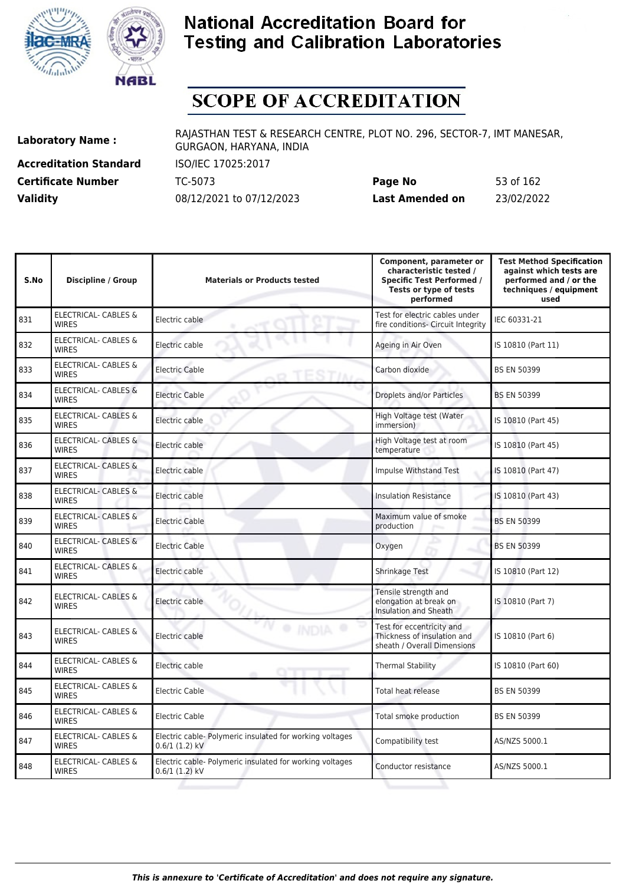



# **SCOPE OF ACCREDITATION**

**Accreditation Standard** ISO/IEC 17025:2017

**Laboratory Name :** RAJASTHAN TEST & RESEARCH CENTRE, PLOT NO. 296, SECTOR-7, IMT MANESAR, GURGAON, HARYANA, INDIA

**Certificate Number** TC-5073 **Page No** 53 of 162 **Validity** 08/12/2021 to 07/12/2023 **Last Amended on** 23/02/2022

| S.No | <b>Discipline / Group</b>                       | <b>Materials or Products tested</b>                                         | Component, parameter or<br>characteristic tested /<br><b>Specific Test Performed /</b><br>Tests or type of tests<br>performed | <b>Test Method Specification</b><br>against which tests are<br>performed and / or the<br>techniques / equipment<br>used |
|------|-------------------------------------------------|-----------------------------------------------------------------------------|-------------------------------------------------------------------------------------------------------------------------------|-------------------------------------------------------------------------------------------------------------------------|
| 831  | ELECTRICAL- CABLES &<br><b>WIRES</b>            | Electric cable                                                              | Test for electric cables under<br>fire conditions- Circuit Integrity                                                          | IEC 60331-21                                                                                                            |
| 832  | ELECTRICAL- CABLES &<br><b>WIRES</b>            | Electric cable                                                              | Ageing in Air Oven                                                                                                            | IS 10810 (Part 11)                                                                                                      |
| 833  | ELECTRICAL- CABLES &<br><b>WIRES</b>            | <b>Electric Cable</b>                                                       | Carbon dioxide                                                                                                                | <b>BS EN 50399</b>                                                                                                      |
| 834  | <b>ELECTRICAL- CABLES &amp;</b><br><b>WIRES</b> | <b>Electric Cable</b>                                                       | Droplets and/or Particles                                                                                                     | <b>BS EN 50399</b>                                                                                                      |
| 835  | <b>ELECTRICAL- CABLES &amp;</b><br><b>WIRES</b> | Electric cable                                                              | High Voltage test (Water<br>immersion)                                                                                        | IS 10810 (Part 45)                                                                                                      |
| 836  | <b>ELECTRICAL- CABLES &amp;</b><br><b>WIRES</b> | Electric cable                                                              | High Voltage test at room<br>temperature                                                                                      | IS 10810 (Part 45)                                                                                                      |
| 837  | <b>ELECTRICAL- CABLES &amp;</b><br><b>WIRES</b> | Electric cable                                                              | <b>Impulse Withstand Test</b>                                                                                                 | IS 10810 (Part 47)                                                                                                      |
| 838  | <b>ELECTRICAL- CABLES &amp;</b><br><b>WIRES</b> | Electric cable                                                              | <b>Insulation Resistance</b>                                                                                                  | IS 10810 (Part 43)                                                                                                      |
| 839  | ELECTRICAL- CABLES &<br><b>WIRES</b>            | Electric Cable                                                              | Maximum value of smoke<br>production                                                                                          | <b>BS EN 50399</b>                                                                                                      |
| 840  | ELECTRICAL- CABLES &<br><b>WIRES</b>            | <b>Electric Cable</b>                                                       | Oxygen                                                                                                                        | <b>BS EN 50399</b>                                                                                                      |
| 841  | ELECTRICAL- CABLES &<br><b>WIRES</b>            | Electric cable                                                              | <b>Shrinkage Test</b>                                                                                                         | IS 10810 (Part 12)                                                                                                      |
| 842  | ELECTRICAL- CABLES &<br><b>WIRES</b>            | Electric cable                                                              | Tensile strength and<br>elongation at break on<br>Insulation and Sheath                                                       | IS 10810 (Part 7)                                                                                                       |
| 843  | ELECTRICAL- CABLES &<br><b>WIRES</b>            | Electric cable                                                              | Test for eccentricity and<br>Thickness of insulation and<br>sheath / Overall Dimensions                                       | IS 10810 (Part 6)                                                                                                       |
| 844  | <b>ELECTRICAL- CABLES &amp;</b><br><b>WIRES</b> | Electric cable<br>om                                                        | <b>Thermal Stability</b>                                                                                                      | IS 10810 (Part 60)                                                                                                      |
| 845  | ELECTRICAL- CABLES &<br><b>WIRFS</b>            | <b>Electric Cable</b>                                                       | <b>Total heat release</b>                                                                                                     | <b>BS EN 50399</b>                                                                                                      |
| 846  | <b>ELECTRICAL- CABLES &amp;</b><br><b>WIRES</b> | <b>Electric Cable</b>                                                       | Total smoke production                                                                                                        | <b>BS EN 50399</b>                                                                                                      |
| 847  | <b>ELECTRICAL- CABLES &amp;</b><br><b>WIRES</b> | Electric cable- Polymeric insulated for working voltages<br>$0.6/1(1.2)$ kV | Compatibility test                                                                                                            | AS/NZS 5000.1                                                                                                           |
| 848  | ELECTRICAL- CABLES &<br><b>WIRES</b>            | Electric cable- Polymeric insulated for working voltages<br>$0.6/1(1.2)$ kV | Conductor resistance                                                                                                          | AS/NZS 5000.1                                                                                                           |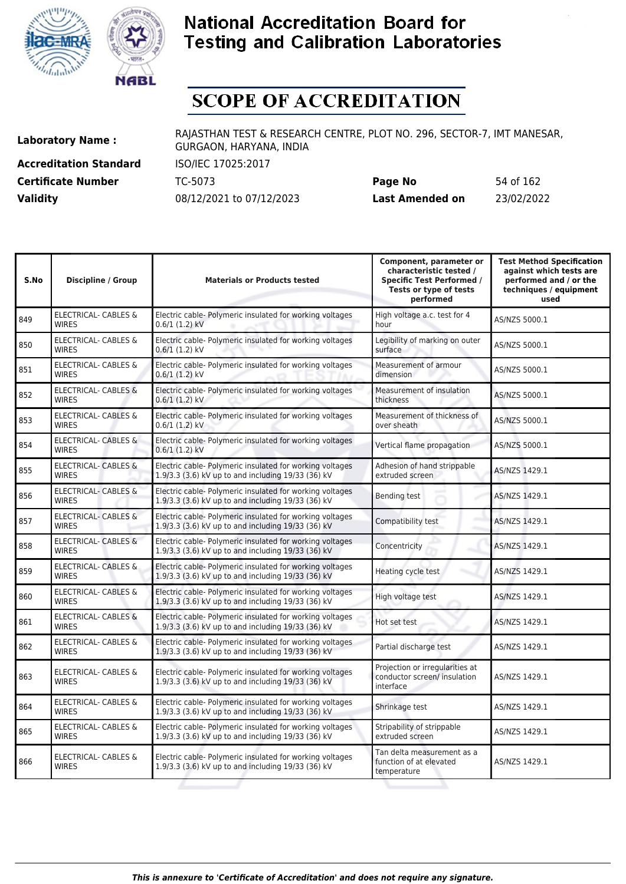



# **SCOPE OF ACCREDITATION**

**Accreditation Standard** ISO/IEC 17025:2017

**Laboratory Name :** RAJASTHAN TEST & RESEARCH CENTRE, PLOT NO. 296, SECTOR-7, IMT MANESAR, GURGAON, HARYANA, INDIA

**Certificate Number** TC-5073 **Page No** 54 of 162 **Validity** 08/12/2021 to 07/12/2023 **Last Amended on** 23/02/2022

| S.No | <b>Discipline / Group</b>                       | <b>Materials or Products tested</b>                                                                            | Component, parameter or<br>characteristic tested /<br><b>Specific Test Performed /</b><br>Tests or type of tests<br>performed | <b>Test Method Specification</b><br>against which tests are<br>performed and / or the<br>techniques / equipment<br>used |
|------|-------------------------------------------------|----------------------------------------------------------------------------------------------------------------|-------------------------------------------------------------------------------------------------------------------------------|-------------------------------------------------------------------------------------------------------------------------|
| 849  | ELECTRICAL- CABLES &<br><b>WIRES</b>            | Electric cable- Polymeric insulated for working voltages<br>$0.6/1(1.2)$ kV                                    | High voltage a.c. test for 4<br>hour                                                                                          | AS/NZS 5000.1                                                                                                           |
| 850  | ELECTRICAL- CABLES &<br><b>WIRES</b>            | Electric cable- Polymeric insulated for working voltages<br>$0.6/1(1.2)$ kV                                    | Legibility of marking on outer<br>surface                                                                                     | AS/NZS 5000.1                                                                                                           |
| 851  | <b>ELECTRICAL- CABLES &amp;</b><br><b>WIRES</b> | Electric cable- Polymeric insulated for working voltages<br>$0.6/1(1.2)$ kV                                    | Measurement of armour<br>dimension                                                                                            | AS/NZS 5000.1                                                                                                           |
| 852  | <b>ELECTRICAL- CABLES &amp;</b><br><b>WIRES</b> | Electric cable- Polymeric insulated for working voltages<br>$0.6/1(1.2)$ kV                                    | Measurement of insulation<br>thickness                                                                                        | AS/NZS 5000.1                                                                                                           |
| 853  | ELECTRICAL- CABLES &<br><b>WIRES</b>            | Electric cable- Polymeric insulated for working voltages<br>$0.6/1(1.2)$ kV                                    | Measurement of thickness of<br>over sheath                                                                                    | AS/NZS 5000.1                                                                                                           |
| 854  | ELECTRICAL- CABLES &<br><b>WIRES</b>            | Electric cable- Polymeric insulated for working voltages<br>$0.6/1(1.2)$ kV                                    | Vertical flame propagation                                                                                                    | AS/NZS 5000.1                                                                                                           |
| 855  | <b>ELECTRICAL- CABLES &amp;</b><br><b>WIRES</b> | Electric cable- Polymeric insulated for working voltages<br>1.9/3.3 (3.6) kV up to and including 19/33 (36) kV | Adhesion of hand strippable<br>extruded screen                                                                                | AS/NZS 1429.1                                                                                                           |
| 856  | <b>ELECTRICAL- CABLES &amp;</b><br><b>WIRES</b> | Electric cable- Polymeric insulated for working voltages<br>1.9/3.3 (3.6) kV up to and including 19/33 (36) kV | Bending test                                                                                                                  | AS/NZS 1429.1                                                                                                           |
| 857  | <b>ELECTRICAL- CABLES &amp;</b><br><b>WIRES</b> | Electric cable- Polymeric insulated for working voltages<br>1.9/3.3 (3.6) kV up to and including 19/33 (36) kV | Compatibility test                                                                                                            | AS/NZS 1429.1                                                                                                           |
| 858  | <b>ELECTRICAL- CABLES &amp;</b><br><b>WIRES</b> | Electric cable- Polymeric insulated for working voltages<br>1.9/3.3 (3.6) kV up to and including 19/33 (36) kV | Concentricity                                                                                                                 | AS/NZS 1429.1                                                                                                           |
| 859  | ELECTRICAL- CABLES &<br><b>WIRES</b>            | Electric cable- Polymeric insulated for working voltages<br>1.9/3.3 (3.6) kV up to and including 19/33 (36) kV | Heating cycle test                                                                                                            | AS/NZS 1429.1                                                                                                           |
| 860  | ELECTRICAL- CABLES &<br><b>WIRES</b>            | Electric cable- Polymeric insulated for working voltages<br>1.9/3.3 (3.6) kV up to and including 19/33 (36) kV | High voltage test                                                                                                             | AS/NZS 1429.1                                                                                                           |
| 861  | <b>ELECTRICAL- CABLES &amp;</b><br><b>WIRES</b> | Electric cable- Polymeric insulated for working voltages<br>1.9/3.3 (3.6) kV up to and including 19/33 (36) kV | Hot set test                                                                                                                  | AS/NZS 1429.1                                                                                                           |
| 862  | ELECTRICAL- CABLES &<br><b>WIRES</b>            | Electric cable- Polymeric insulated for working voltages<br>1.9/3.3 (3.6) kV up to and including 19/33 (36) kV | Partial discharge test                                                                                                        | AS/NZS 1429.1                                                                                                           |
| 863  | <b>ELECTRICAL- CABLES &amp;</b><br><b>WIRES</b> | Electric cable- Polymeric insulated for working voltages<br>1.9/3.3 (3.6) kV up to and including 19/33 (36) kV | Projection or irregularities at<br>conductor screen/ insulation<br>interface                                                  | AS/NZS 1429.1                                                                                                           |
| 864  | ELECTRICAL- CABLES &<br><b>WIRES</b>            | Electric cable- Polymeric insulated for working voltages<br>1.9/3.3 (3.6) kV up to and including 19/33 (36) kV | Shrinkage test                                                                                                                | AS/NZS 1429.1                                                                                                           |
| 865  | ELECTRICAL- CABLES &<br><b>WIRES</b>            | Electric cable- Polymeric insulated for working voltages<br>1.9/3.3 (3.6) kV up to and including 19/33 (36) kV | Stripability of strippable<br>extruded screen                                                                                 | AS/NZS 1429.1                                                                                                           |
| 866  | <b>ELECTRICAL- CABLES &amp;</b><br><b>WIRES</b> | Electric cable- Polymeric insulated for working voltages<br>1.9/3.3 (3.6) kV up to and including 19/33 (36) kV | Tan delta measurement as a<br>function of at elevated<br>temperature                                                          | AS/NZS 1429.1                                                                                                           |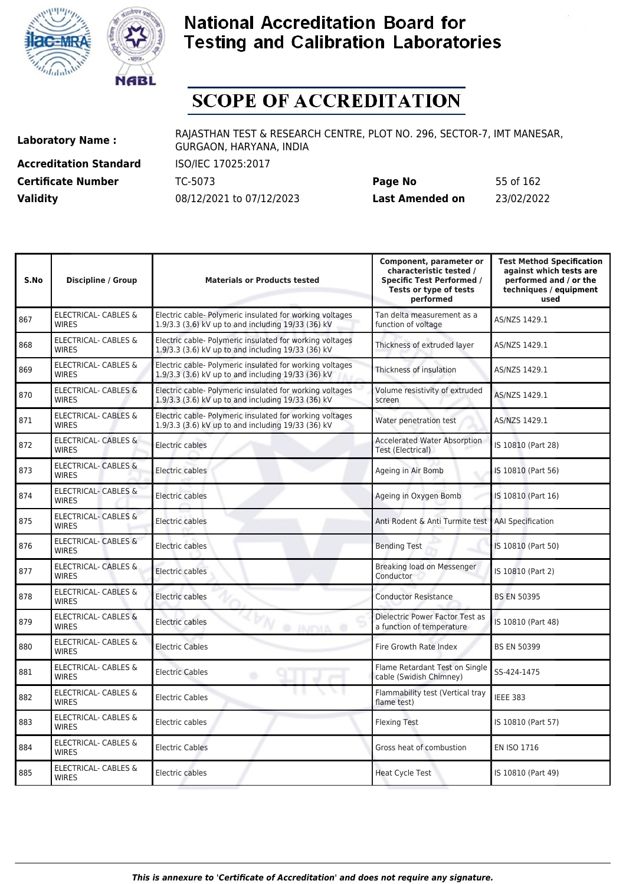



# **SCOPE OF ACCREDITATION**

**Accreditation Standard** ISO/IEC 17025:2017

**Laboratory Name :** RAJASTHAN TEST & RESEARCH CENTRE, PLOT NO. 296, SECTOR-7, IMT MANESAR, GURGAON, HARYANA, INDIA

**Certificate Number** TC-5073 **Page No** 55 of 162 **Validity** 08/12/2021 to 07/12/2023 **Last Amended on** 23/02/2022

| S.No | Discipline / Group                              | <b>Materials or Products tested</b>                                                                            | Component, parameter or<br>characteristic tested /<br><b>Specific Test Performed /</b><br>Tests or type of tests<br>performed | <b>Test Method Specification</b><br>against which tests are<br>performed and / or the<br>techniques / equipment<br>used |
|------|-------------------------------------------------|----------------------------------------------------------------------------------------------------------------|-------------------------------------------------------------------------------------------------------------------------------|-------------------------------------------------------------------------------------------------------------------------|
| 867  | ELECTRICAL- CABLES &<br><b>WIRES</b>            | Electric cable- Polymeric insulated for working voltages<br>1.9/3.3 (3.6) kV up to and including 19/33 (36) kV | Tan delta measurement as a<br>function of voltage                                                                             | AS/NZS 1429.1                                                                                                           |
| 868  | ELECTRICAL- CABLES &<br><b>WIRES</b>            | Electric cable- Polymeric insulated for working voltages<br>1.9/3.3 (3.6) kV up to and including 19/33 (36) kV | Thickness of extruded layer                                                                                                   | AS/NZS 1429.1                                                                                                           |
| 869  | <b>ELECTRICAL- CABLES &amp;</b><br><b>WIRES</b> | Electric cable- Polymeric insulated for working voltages<br>1.9/3.3 (3.6) kV up to and including 19/33 (36) kV | Thickness of insulation                                                                                                       | AS/NZS 1429.1                                                                                                           |
| 870  | <b>ELECTRICAL- CABLES &amp;</b><br><b>WIRES</b> | Electric cable- Polymeric insulated for working voltages<br>1.9/3.3 (3.6) kV up to and including 19/33 (36) kV | Volume resistivity of extruded<br>screen                                                                                      | AS/NZS 1429.1                                                                                                           |
| 871  | <b>ELECTRICAL- CABLES &amp;</b><br><b>WIRES</b> | Electric cable- Polymeric insulated for working voltages<br>1.9/3.3 (3.6) kV up to and including 19/33 (36) kV | Water penetration test                                                                                                        | AS/NZS 1429.1                                                                                                           |
| 872  | <b>ELECTRICAL- CABLES &amp;</b><br><b>WIRES</b> | Electric cables                                                                                                | <b>Accelerated Water Absorption</b><br>Test (Electrical)                                                                      | IS 10810 (Part 28)                                                                                                      |
| 873  | <b>ELECTRICAL- CABLES &amp;</b><br><b>WIRES</b> | Electric cables                                                                                                | Ageing in Air Bomb                                                                                                            | IS 10810 (Part 56)                                                                                                      |
| 874  | ELECTRICAL- CABLES &<br><b>WIRES</b>            | Electric cables                                                                                                | Ageing in Oxygen Bomb                                                                                                         | IS 10810 (Part 16)                                                                                                      |
| 875  | ELECTRICAL- CABLES &<br><b>WIRES</b>            | Electric cables                                                                                                | Anti Rodent & Anti Turmite test                                                                                               | <b>AAI Specification</b>                                                                                                |
| 876  | ELECTRICAL- CABLES &<br><b>WIRES</b>            | Electric cables                                                                                                | <b>Bending Test</b>                                                                                                           | IS 10810 (Part 50)                                                                                                      |
| 877  | <b>ELECTRICAL- CABLES &amp;</b><br><b>WIRES</b> | Electric cables                                                                                                | Breaking load on Messenger<br>Conductor                                                                                       | IS 10810 (Part 2)                                                                                                       |
| 878  | ELECTRICAL- CABLES &<br><b>WIRES</b>            | Electric cables                                                                                                | <b>Conductor Resistance</b>                                                                                                   | <b>BS EN 50395</b>                                                                                                      |
| 879  | ELECTRICAL- CABLES &<br><b>WIRES</b>            | Electric cables<br>@ INDIA @                                                                                   | Dielectric Power Factor Test as<br>a function of temperature                                                                  | IS 10810 (Part 48)                                                                                                      |
| 880  | <b>ELECTRICAL- CABLES &amp;</b><br><b>WIRES</b> | <b>Electric Cables</b>                                                                                         | Fire Growth Rate Index                                                                                                        | <b>BS EN 50399</b>                                                                                                      |
| 881  | ELECTRICAL- CABLES &<br><b>WIRES</b>            | <b>Electric Cables</b><br>۰                                                                                    | Flame Retardant Test on Single<br>cable (Swidish Chimney)                                                                     | SS-424-1475                                                                                                             |
| 882  | ELECTRICAL- CABLES &<br><b>WIRES</b>            | <b>Electric Cables</b>                                                                                         | Flammability test (Vertical tray<br>flame test)                                                                               | <b>IEEE 383</b>                                                                                                         |
| 883  | ELECTRICAL- CABLES &<br><b>WIRES</b>            | Electric cables                                                                                                | <b>Flexing Test</b>                                                                                                           | IS 10810 (Part 57)                                                                                                      |
| 884  | <b>ELECTRICAL- CABLES &amp;</b><br><b>WIRES</b> | <b>Electric Cables</b>                                                                                         | Gross heat of combustion                                                                                                      | EN ISO 1716                                                                                                             |
| 885  | <b>ELECTRICAL- CABLES &amp;</b><br><b>WIRES</b> | Electric cables                                                                                                | <b>Heat Cycle Test</b>                                                                                                        | IS 10810 (Part 49)                                                                                                      |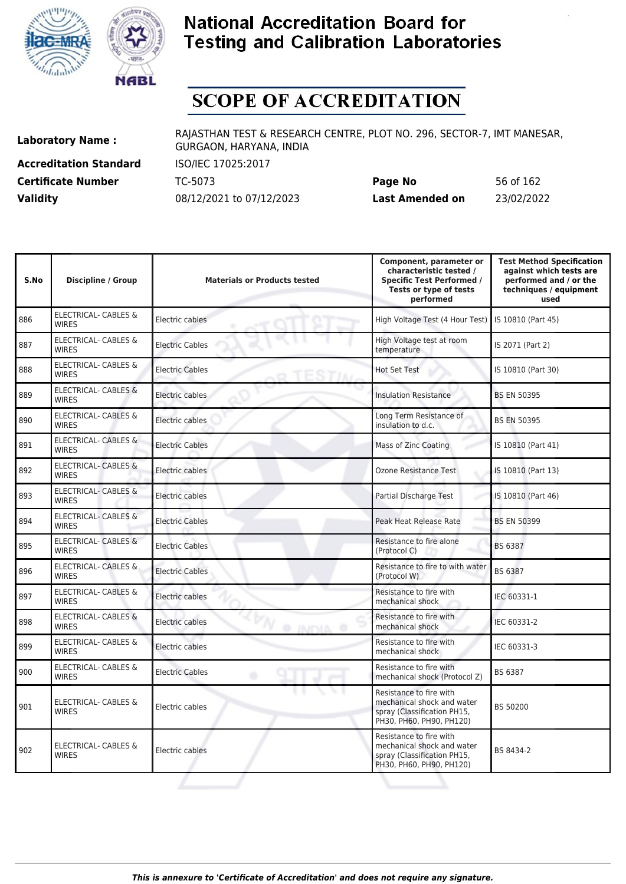



# **SCOPE OF ACCREDITATION**

**Accreditation Standard** ISO/IEC 17025:2017

**Laboratory Name :** RAJASTHAN TEST & RESEARCH CENTRE, PLOT NO. 296, SECTOR-7, IMT MANESAR, GURGAON, HARYANA, INDIA

**Certificate Number** TC-5073 **Page No** 56 of 162 **Validity** 08/12/2021 to 07/12/2023 **Last Amended on** 23/02/2022

| S.No | <b>Discipline / Group</b>                       | <b>Materials or Products tested</b> | Component, parameter or<br>characteristic tested /<br><b>Specific Test Performed /</b><br>Tests or type of tests<br>performed | <b>Test Method Specification</b><br>against which tests are<br>performed and / or the<br>techniques / equipment<br>used |
|------|-------------------------------------------------|-------------------------------------|-------------------------------------------------------------------------------------------------------------------------------|-------------------------------------------------------------------------------------------------------------------------|
| 886  | <b>ELECTRICAL- CABLES &amp;</b><br><b>WIRES</b> | Electric cables                     | High Voltage Test (4 Hour Test)                                                                                               | IS 10810 (Part 45)                                                                                                      |
| 887  | <b>ELECTRICAL- CABLES &amp;</b><br><b>WIRES</b> | <b>Electric Cables</b>              | High Voltage test at room<br>temperature                                                                                      | IS 2071 (Part 2)                                                                                                        |
| 888  | <b>ELECTRICAL- CABLES &amp;</b><br><b>WIRES</b> | <b>Electric Cables</b>              | Hot Set Test                                                                                                                  | IS 10810 (Part 30)                                                                                                      |
| 889  | <b>ELECTRICAL- CABLES &amp;</b><br><b>WIRFS</b> | Electric cables                     | <b>Insulation Resistance</b>                                                                                                  | <b>BS EN 50395</b>                                                                                                      |
| 890  | <b>ELECTRICAL- CABLES &amp;</b><br><b>WIRES</b> | Electric cables                     | Long Term Resistance of<br>insulation to d.c.                                                                                 | <b>BS EN 50395</b>                                                                                                      |
| 891  | ELECTRICAL- CABLES &<br><b>WIRES</b>            | <b>Electric Cables</b>              | Mass of Zinc Coating                                                                                                          | IS 10810 (Part 41)                                                                                                      |
| 892  | <b>ELECTRICAL- CABLES &amp;</b><br><b>WIRES</b> | Electric cables                     | Ozone Resistance Test                                                                                                         | IS 10810 (Part 13)                                                                                                      |
| 893  | <b>ELECTRICAL- CABLES &amp;</b><br><b>WIRES</b> | Electric cables                     | Partial Discharge Test                                                                                                        | IS 10810 (Part 46)                                                                                                      |
| 894  | <b>ELECTRICAL- CABLES &amp;</b><br><b>WIRES</b> | <b>Electric Cables</b>              | Peak Heat Release Rate                                                                                                        | <b>BS EN 50399</b>                                                                                                      |
| 895  | <b>ELECTRICAL- CABLES &amp;</b><br><b>WIRES</b> | <b>Electric Cables</b>              | Resistance to fire alone<br>(Protocol C)                                                                                      | BS 6387                                                                                                                 |
| 896  | ELECTRICAL- CABLES &<br><b>WIRES</b>            | <b>Electric Cables</b>              | Resistance to fire to with water<br>(Protocol W)                                                                              | BS 6387                                                                                                                 |
| 897  | <b>ELECTRICAL- CABLES &amp;</b><br><b>WIRES</b> | Electric cables                     | Resistance to fire with<br>mechanical shock                                                                                   | IEC 60331-1                                                                                                             |
| 898  | <b>ELECTRICAL- CABLES &amp;</b><br><b>WIRES</b> | Electric cables<br><b>AINTHA</b>    | Resistance to fire with<br>mechanical shock                                                                                   | IEC 60331-2                                                                                                             |
| 899  | <b>ELECTRICAL- CABLES &amp;</b><br><b>WIRFS</b> | Electric cables                     | Resistance to fire with<br>mechanical shock                                                                                   | IEC 60331-3                                                                                                             |
| 900  | ELECTRICAL- CABLES &<br><b>WIRES</b>            | <b>Electric Cables</b><br>۰         | Resistance to fire with<br>mechanical shock (Protocol Z)                                                                      | BS 6387                                                                                                                 |
| 901  | <b>ELECTRICAL- CABLES &amp;</b><br><b>WIRES</b> | Electric cables                     | Resistance to fire with<br>mechanical shock and water<br>spray (Classification PH15,<br>PH30, PH60, PH90, PH120)              | BS 50200                                                                                                                |
| 902  | <b>ELECTRICAL- CABLES &amp;</b><br><b>WIRES</b> | Electric cables                     | Resistance to fire with<br>mechanical shock and water<br>spray (Classification PH15,<br>PH30, PH60, PH90, PH120)              | BS 8434-2                                                                                                               |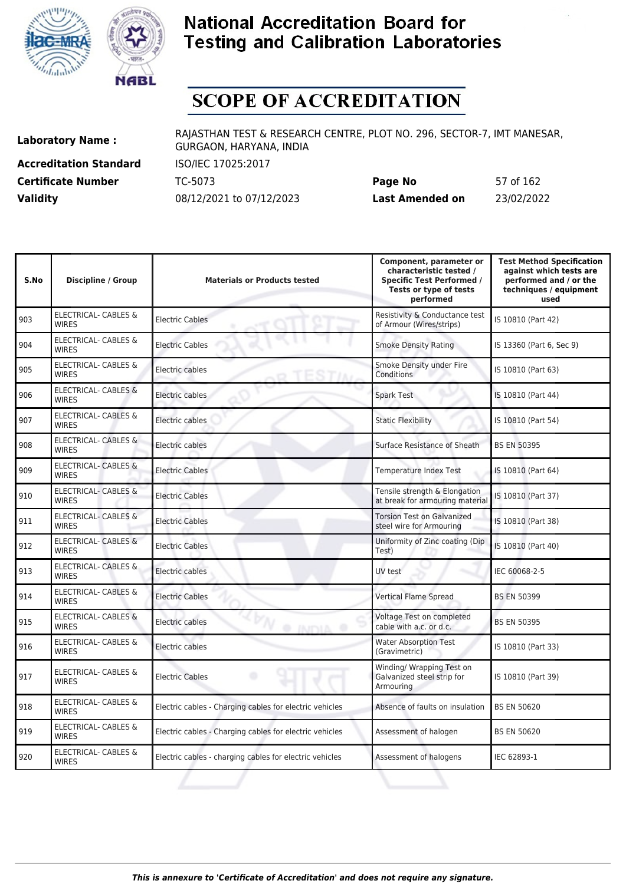



# **SCOPE OF ACCREDITATION**

**Accreditation Standard** ISO/IEC 17025:2017

**Laboratory Name :** RAJASTHAN TEST & RESEARCH CENTRE, PLOT NO. 296, SECTOR-7, IMT MANESAR, GURGAON, HARYANA, INDIA

**Certificate Number** TC-5073 **Page No** 57 of 162 **Validity** 08/12/2021 to 07/12/2023 **Last Amended on** 23/02/2022

| S.No | Discipline / Group                              | <b>Materials or Products tested</b>                     | Component, parameter or<br>characteristic tested /<br><b>Specific Test Performed /</b><br>Tests or type of tests<br>performed | <b>Test Method Specification</b><br>against which tests are<br>performed and / or the<br>techniques / equipment<br>used |
|------|-------------------------------------------------|---------------------------------------------------------|-------------------------------------------------------------------------------------------------------------------------------|-------------------------------------------------------------------------------------------------------------------------|
| 903  | <b>ELECTRICAL- CABLES &amp;</b><br><b>WIRES</b> | <b>Electric Cables</b>                                  | Resistivity & Conductance test<br>of Armour (Wires/strips)                                                                    | IS 10810 (Part 42)                                                                                                      |
| 904  | ELECTRICAL- CABLES &<br><b>WIRES</b>            | <b>Electric Cables</b>                                  | <b>Smoke Density Rating</b>                                                                                                   | IS 13360 (Part 6, Sec 9)                                                                                                |
| 905  | <b>ELECTRICAL- CABLES &amp;</b><br><b>WIRES</b> | Electric cables                                         | Smoke Density under Fire<br>Conditions                                                                                        | IS 10810 (Part 63)                                                                                                      |
| 906  | ELECTRICAL- CABLES &<br><b>WIRES</b>            | Electric cables                                         | Spark Test                                                                                                                    | IS 10810 (Part 44)                                                                                                      |
| 907  | ELECTRICAL- CABLES &<br><b>WIRES</b>            | Electric cables                                         | <b>Static Flexibility</b>                                                                                                     | IS 10810 (Part 54)                                                                                                      |
| 908  | ELECTRICAL- CABLES &<br><b>WIRES</b>            | Electric cables                                         | Surface Resistance of Sheath                                                                                                  | <b>BS EN 50395</b>                                                                                                      |
| 909  | <b>ELECTRICAL- CABLES &amp;</b><br><b>WIRES</b> | <b>Electric Cables</b>                                  | Temperature Index Test                                                                                                        | IS 10810 (Part 64)                                                                                                      |
| 910  | <b>ELECTRICAL- CABLES &amp;</b><br><b>WIRES</b> | <b>Electric Cables</b>                                  | Tensile strength & Elongation<br>at break for armouring material                                                              | IS 10810 (Part 37)                                                                                                      |
| 911  | <b>ELECTRICAL- CABLES &amp;</b><br><b>WIRES</b> | <b>Electric Cables</b>                                  | <b>Torsion Test on Galvanized</b><br>steel wire for Armouring                                                                 | IS 10810 (Part 38)                                                                                                      |
| 912  | <b>ELECTRICAL- CABLES &amp;</b><br><b>WIRES</b> | <b>Electric Cables</b>                                  | Uniformity of Zinc coating (Dip<br>Test)                                                                                      | IS 10810 (Part 40)                                                                                                      |
| 913  | ELECTRICAL- CABLES &<br><b>WIRES</b>            | Electric cables                                         | UV test                                                                                                                       | IEC 60068-2-5                                                                                                           |
| 914  | <b>ELECTRICAL- CABLES &amp;</b><br><b>WIRES</b> | <b>Electric Cables</b>                                  | <b>Vertical Flame Spread</b>                                                                                                  | <b>BS EN 50399</b>                                                                                                      |
| 915  | <b>ELECTRICAL- CABLES &amp;</b><br><b>WIRES</b> | Electric cables<br>@ INDIA @                            | Voltage Test on completed<br>cable with a.c. or d.c.                                                                          | <b>BS EN 50395</b>                                                                                                      |
| 916  | <b>ELECTRICAL- CABLES &amp;</b><br><b>WIRES</b> | Electric cables                                         | <b>Water Absorption Test</b><br>(Gravimetric)                                                                                 | IS 10810 (Part 33)                                                                                                      |
| 917  | <b>ELECTRICAL- CABLES &amp;</b><br><b>WIRES</b> | <b>Electric Cables</b><br>۰                             | Winding/ Wrapping Test on<br>Galvanized steel strip for<br>Armouring                                                          | IS 10810 (Part 39)                                                                                                      |
| 918  | ELECTRICAL- CABLES &<br><b>WIRES</b>            | Electric cables - Charging cables for electric vehicles | Absence of faults on insulation                                                                                               | <b>BS EN 50620</b>                                                                                                      |
| 919  | <b>ELECTRICAL- CABLES &amp;</b><br><b>WIRES</b> | Electric cables - Charging cables for electric vehicles | Assessment of halogen                                                                                                         | <b>BS EN 50620</b>                                                                                                      |
| 920  | <b>ELECTRICAL- CABLES &amp;</b><br><b>WIRES</b> | Electric cables - charging cables for electric vehicles | Assessment of halogens                                                                                                        | IEC 62893-1                                                                                                             |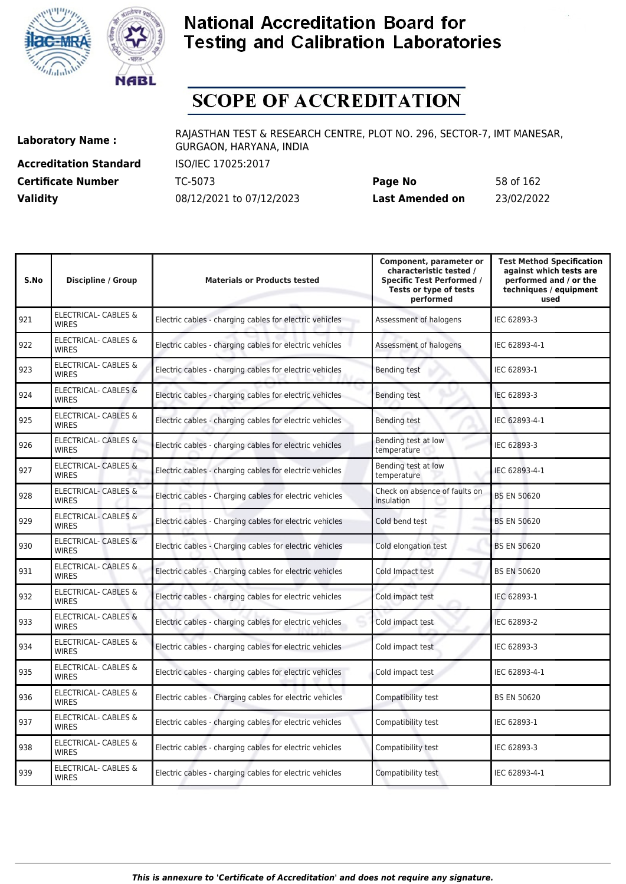



# **SCOPE OF ACCREDITATION**

**Accreditation Standard** ISO/IEC 17025:2017

**Laboratory Name :** RAJASTHAN TEST & RESEARCH CENTRE, PLOT NO. 296, SECTOR-7, IMT MANESAR, GURGAON, HARYANA, INDIA

**Certificate Number** TC-5073 **Page No** 58 of 162 **Validity** 08/12/2021 to 07/12/2023 **Last Amended on** 23/02/2022

| <b>Test Method Specification</b><br>against which tests are<br>performed and / or the<br>techniques / equipment<br>used |
|-------------------------------------------------------------------------------------------------------------------------|
|                                                                                                                         |
|                                                                                                                         |
|                                                                                                                         |
|                                                                                                                         |
|                                                                                                                         |
|                                                                                                                         |
|                                                                                                                         |
|                                                                                                                         |
|                                                                                                                         |
|                                                                                                                         |
|                                                                                                                         |
|                                                                                                                         |
|                                                                                                                         |
|                                                                                                                         |
|                                                                                                                         |
|                                                                                                                         |
|                                                                                                                         |
|                                                                                                                         |
|                                                                                                                         |
|                                                                                                                         |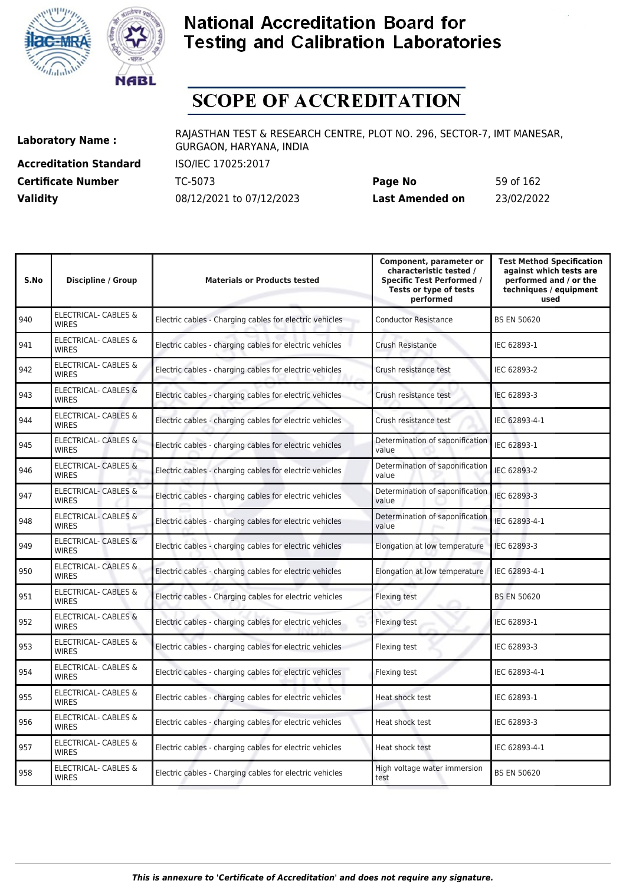



# **SCOPE OF ACCREDITATION**

**Accreditation Standard** ISO/IEC 17025:2017

**Laboratory Name :** RAJASTHAN TEST & RESEARCH CENTRE, PLOT NO. 296, SECTOR-7, IMT MANESAR, GURGAON, HARYANA, INDIA

**Certificate Number** TC-5073 **Page No** 59 of 162 **Validity** 08/12/2021 to 07/12/2023 **Last Amended on** 23/02/2022

| S.No | <b>Discipline / Group</b>                       | <b>Materials or Products tested</b>                     | Component, parameter or<br>characteristic tested /<br><b>Specific Test Performed /</b><br>Tests or type of tests<br>performed | <b>Test Method Specification</b><br>against which tests are<br>performed and / or the<br>techniques / equipment<br>used |
|------|-------------------------------------------------|---------------------------------------------------------|-------------------------------------------------------------------------------------------------------------------------------|-------------------------------------------------------------------------------------------------------------------------|
| 940  | ELECTRICAL- CABLES &<br><b>WIRES</b>            | Electric cables - Charging cables for electric vehicles | <b>Conductor Resistance</b>                                                                                                   | <b>BS EN 50620</b>                                                                                                      |
| 941  | ELECTRICAL- CABLES &<br><b>WIRES</b>            | Electric cables - charging cables for electric vehicles | <b>Crush Resistance</b>                                                                                                       | IEC 62893-1                                                                                                             |
| 942  | ELECTRICAL- CABLES &<br><b>WIRES</b>            | Electric cables - charging cables for electric vehicles | Crush resistance test                                                                                                         | IEC 62893-2                                                                                                             |
| 943  | <b>ELECTRICAL- CABLES &amp;</b><br><b>WIRES</b> | Electric cables - charging cables for electric vehicles | Crush resistance test                                                                                                         | IEC 62893-3                                                                                                             |
| 944  | <b>ELECTRICAL- CABLES &amp;</b><br><b>WIRES</b> | Electric cables - charging cables for electric vehicles | Crush resistance test                                                                                                         | IEC 62893-4-1                                                                                                           |
| 945  | ELECTRICAL- CABLES &<br><b>WIRES</b>            | Electric cables - charging cables for electric vehicles | Determination of saponification<br>value                                                                                      | IEC 62893-1                                                                                                             |
| 946  | <b>ELECTRICAL- CABLES &amp;</b><br><b>WIRES</b> | Electric cables - charging cables for electric vehicles | Determination of saponification<br>value                                                                                      | IEC 62893-2                                                                                                             |
| 947  | <b>ELECTRICAL- CABLES &amp;</b><br><b>WIRES</b> | Electric cables - charging cables for electric vehicles | Determination of saponification<br>value                                                                                      | IEC 62893-3                                                                                                             |
| 948  | <b>ELECTRICAL- CABLES &amp;</b><br><b>WIRES</b> | Electric cables - charging cables for electric vehicles | Determination of saponification<br>value                                                                                      | IEC 62893-4-1                                                                                                           |
| 949  | ELECTRICAL- CABLES &<br><b>WIRES</b>            | Electric cables - charging cables for electric vehicles | Elongation at low temperature                                                                                                 | IEC 62893-3                                                                                                             |
| 950  | <b>ELECTRICAL- CABLES &amp;</b><br><b>WIRES</b> | Electric cables - charging cables for electric vehicles | Elongation at low temperature                                                                                                 | IEC 62893-4-1                                                                                                           |
| 951  | <b>ELECTRICAL- CABLES &amp;</b><br><b>WIRFS</b> | Electric cables - Charging cables for electric vehicles | Flexing test                                                                                                                  | <b>BS EN 50620</b>                                                                                                      |
| 952  | ELECTRICAL- CABLES &<br><b>WIRES</b>            | Electric cables - charging cables for electric vehicles | Flexing test                                                                                                                  | IEC 62893-1                                                                                                             |
| 953  | ELECTRICAL- CABLES &<br><b>WIRES</b>            | Electric cables - charging cables for electric vehicles | Flexing test                                                                                                                  | IEC 62893-3                                                                                                             |
| 954  | <b>ELECTRICAL- CABLES &amp;</b><br><b>WIRES</b> | Electric cables - charging cables for electric vehicles | Flexing test                                                                                                                  | IEC 62893-4-1                                                                                                           |
| 955  | ELECTRICAL- CABLES &<br><b>WIRES</b>            | Electric cables - charging cables for electric vehicles | Heat shock test                                                                                                               | IEC 62893-1                                                                                                             |
| 956  | ELECTRICAL- CABLES &<br><b>WIRES</b>            | Electric cables - charging cables for electric vehicles | Heat shock test                                                                                                               | IEC 62893-3                                                                                                             |
| 957  | ELECTRICAL- CABLES &<br><b>WIRES</b>            | Electric cables - charging cables for electric vehicles | Heat shock test                                                                                                               | IEC 62893-4-1                                                                                                           |
| 958  | ELECTRICAL- CABLES &<br><b>WIRES</b>            | Electric cables - Charging cables for electric vehicles | High voltage water immersion<br>test                                                                                          | <b>BS EN 50620</b>                                                                                                      |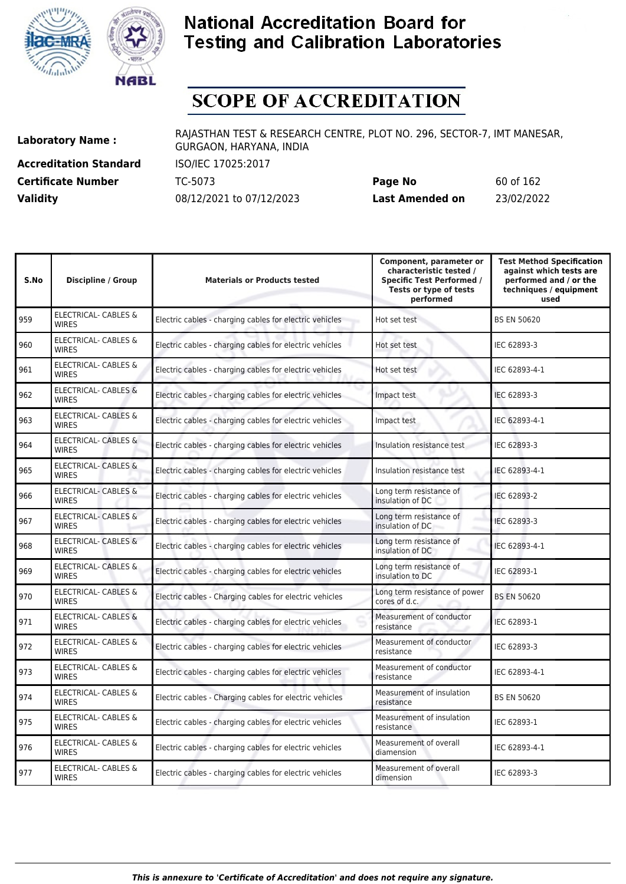



# **SCOPE OF ACCREDITATION**

**Accreditation Standard** ISO/IEC 17025:2017 **Certificate Number** TC-5073

**Laboratory Name :** RAJASTHAN TEST & RESEARCH CENTRE, PLOT NO. 296, SECTOR-7, IMT MANESAR, GURGAON, HARYANA, INDIA

| <b>Certificate Number</b> | TC-5073                  | Page No         | 60 of 162  |
|---------------------------|--------------------------|-----------------|------------|
| <b>Validity</b>           | 08/12/2021 to 07/12/2023 | Last Amended on | 23/02/2022 |

| S.No | <b>Discipline / Group</b>                       | <b>Materials or Products tested</b>                     | Component, parameter or<br>characteristic tested /<br><b>Specific Test Performed /</b><br>Tests or type of tests<br>performed | <b>Test Method Specification</b><br>against which tests are<br>performed and / or the<br>techniques / equipment<br>used |
|------|-------------------------------------------------|---------------------------------------------------------|-------------------------------------------------------------------------------------------------------------------------------|-------------------------------------------------------------------------------------------------------------------------|
| 959  | ELECTRICAL- CABLES &<br><b>WIRES</b>            | Electric cables - charging cables for electric vehicles | Hot set test                                                                                                                  | <b>BS EN 50620</b>                                                                                                      |
| 960  | ELECTRICAL- CABLES &<br><b>WIRES</b>            | Electric cables - charging cables for electric vehicles | Hot set test                                                                                                                  | IEC 62893-3                                                                                                             |
| 961  | <b>ELECTRICAL- CABLES &amp;</b><br><b>WIRES</b> | Electric cables - charging cables for electric vehicles | Hot set test                                                                                                                  | IEC 62893-4-1                                                                                                           |
| 962  | <b>ELECTRICAL- CABLES &amp;</b><br><b>WIRES</b> | Electric cables - charging cables for electric vehicles | Impact test                                                                                                                   | IEC 62893-3                                                                                                             |
| 963  | <b>ELECTRICAL- CABLES &amp;</b><br><b>WIRES</b> | Electric cables - charging cables for electric vehicles | Impact test                                                                                                                   | IEC 62893-4-1                                                                                                           |
| 964  | ELECTRICAL- CABLES &<br><b>WIRES</b>            | Electric cables - charging cables for electric vehicles | Insulation resistance test                                                                                                    | IEC 62893-3                                                                                                             |
| 965  | <b>ELECTRICAL- CABLES &amp;</b><br><b>WIRES</b> | Electric cables - charging cables for electric vehicles | Insulation resistance test                                                                                                    | IEC 62893-4-1                                                                                                           |
| 966  | <b>ELECTRICAL- CABLES &amp;</b><br><b>WIRES</b> | Electric cables - charging cables for electric vehicles | Long term resistance of<br>insulation of DC                                                                                   | IEC 62893-2                                                                                                             |
| 967  | <b>ELECTRICAL- CABLES &amp;</b><br><b>WIRES</b> | Electric cables - charging cables for electric vehicles | Long term resistance of<br>insulation of DC                                                                                   | IEC 62893-3                                                                                                             |
| 968  | <b>ELECTRICAL- CABLES &amp;</b><br><b>WIRES</b> | Electric cables - charging cables for electric vehicles | Long term resistance of<br>insulation of DC                                                                                   | IEC 62893-4-1                                                                                                           |
| 969  | <b>ELECTRICAL- CABLES &amp;</b><br><b>WIRES</b> | Electric cables - charging cables for electric vehicles | Long term resistance of<br>insulation to DC                                                                                   | IEC 62893-1                                                                                                             |
| 970  | <b>ELECTRICAL- CABLES &amp;</b><br><b>WIRES</b> | Electric cables - Charging cables for electric vehicles | Long term resistance of power<br>cores of d.c.                                                                                | <b>BS EN 50620</b>                                                                                                      |
| 971  | <b>ELECTRICAL- CABLES &amp;</b><br><b>WIRES</b> | Electric cables - charging cables for electric vehicles | Measurement of conductor<br>resistance                                                                                        | IEC 62893-1                                                                                                             |
| 972  | ELECTRICAL- CABLES &<br><b>WIRES</b>            | Electric cables - charging cables for electric vehicles | Measurement of conductor<br>resistance                                                                                        | IEC 62893-3                                                                                                             |
| 973  | ELECTRICAL- CABLES &<br><b>WIRES</b>            | Electric cables - charging cables for electric vehicles | Measurement of conductor<br>resistance                                                                                        | IEC 62893-4-1                                                                                                           |
| 974  | ELECTRICAL- CABLES &<br><b>WIRES</b>            | Electric cables - Charging cables for electric vehicles | Measurement of insulation<br>resistance                                                                                       | <b>BS EN 50620</b>                                                                                                      |
| 975  | ELECTRICAL- CABLES &<br><b>WIRES</b>            | Electric cables - charging cables for electric vehicles | Measurement of insulation<br>resistance                                                                                       | IEC 62893-1                                                                                                             |
| 976  | ELECTRICAL- CABLES &<br><b>WIRES</b>            | Electric cables - charging cables for electric vehicles | Measurement of overall<br>diamension                                                                                          | IEC 62893-4-1                                                                                                           |
| 977  | ELECTRICAL- CABLES &<br><b>WIRES</b>            | Electric cables - charging cables for electric vehicles | Measurement of overall<br>dimension                                                                                           | IEC 62893-3                                                                                                             |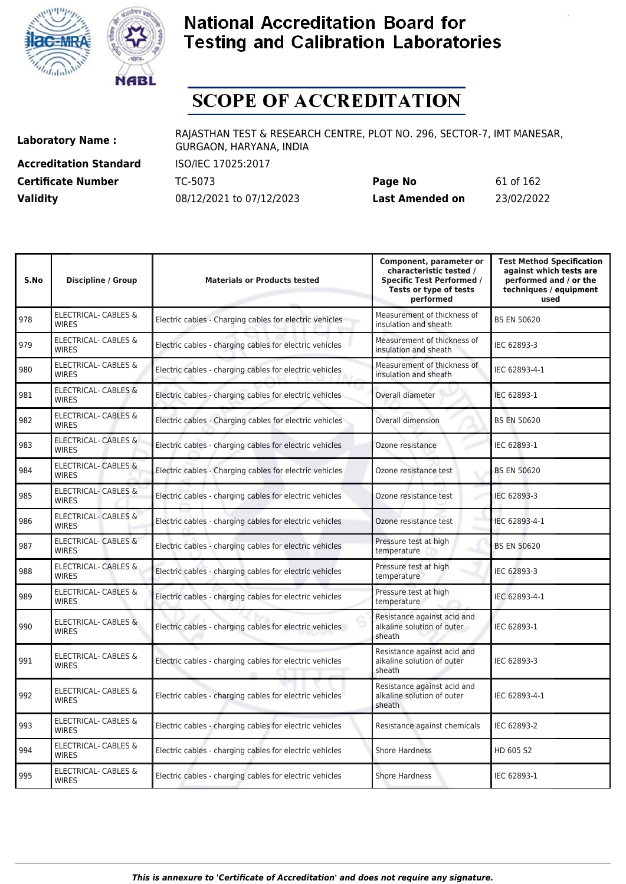



# **SCOPE OF ACCREDITATION**

**Accreditation Standard** ISO/IEC 17025:2017

**Laboratory Name :** RAJASTHAN TEST & RESEARCH CENTRE, PLOT NO. 296, SECTOR-7, IMT MANESAR, GURGAON, HARYANA, INDIA

**Certificate Number** TC-5073 **Page No** 61 of 162 **Validity** 08/12/2021 to 07/12/2023 **Last Amended on** 23/02/2022

| S.No | <b>Discipline / Group</b>                       | <b>Materials or Products tested</b>                     | Component, parameter or<br>characteristic tested /<br><b>Specific Test Performed /</b><br>Tests or type of tests<br>performed | <b>Test Method Specification</b><br>against which tests are<br>performed and / or the<br>techniques / equipment<br>used |
|------|-------------------------------------------------|---------------------------------------------------------|-------------------------------------------------------------------------------------------------------------------------------|-------------------------------------------------------------------------------------------------------------------------|
| 978  | ELECTRICAL- CABLES &<br><b>WIRES</b>            | Electric cables - Charging cables for electric vehicles | Measurement of thickness of<br>insulation and sheath                                                                          | <b>BS EN 50620</b>                                                                                                      |
| 979  | ELECTRICAL- CABLES &<br><b>WIRES</b>            | Electric cables - charging cables for electric vehicles | Measurement of thickness of<br>insulation and sheath                                                                          | IEC 62893-3                                                                                                             |
| 980  | ELECTRICAL- CABLES &<br><b>WIRES</b>            | Electric cables - charging cables for electric vehicles | Measurement of thickness of<br>insulation and sheath                                                                          | IEC 62893-4-1                                                                                                           |
| 981  | <b>ELECTRICAL- CABLES &amp;</b><br><b>WIRES</b> | Electric cables - charging cables for electric vehicles | Overall diameter                                                                                                              | IEC 62893-1                                                                                                             |
| 982  | <b>ELECTRICAL- CABLES &amp;</b><br><b>WIRES</b> | Electric cables - Charging cables for electric vehicles | Overall dimension                                                                                                             | <b>BS EN 50620</b>                                                                                                      |
| 983  | <b>ELECTRICAL- CABLES &amp;</b><br><b>WIRES</b> | Electric cables - charging cables for electric vehicles | Ozone resistance                                                                                                              | IEC 62893-1                                                                                                             |
| 984  | <b>ELECTRICAL- CABLES &amp;</b><br><b>WIRES</b> | Electric cables - Charging cables for electric vehicles | Ozone resistance test                                                                                                         | <b>BS EN 50620</b>                                                                                                      |
| 985  | <b>ELECTRICAL- CABLES &amp;</b><br><b>WIRES</b> | Electric cables - charging cables for electric vehicles | Ozone resistance test                                                                                                         | IEC 62893-3                                                                                                             |
| 986  | <b>ELECTRICAL- CABLES &amp;</b><br><b>WIRES</b> | Electric cables - charging cables for electric vehicles | Ozone resistance test                                                                                                         | IEC 62893-4-1                                                                                                           |
| 987  | <b>ELECTRICAL- CABLES &amp;</b><br><b>WIRES</b> | Electric cables - charging cables for electric vehicles | Pressure test at high<br>temperature                                                                                          | <b>BS EN 50620</b>                                                                                                      |
| 988  | ELECTRICAL- CABLES &<br><b>WIRES</b>            | Electric cables - charging cables for electric vehicles | Pressure test at high<br>temperature                                                                                          | IEC 62893-3                                                                                                             |
| 989  | ELECTRICAL- CABLES &<br><b>WIRES</b>            | Electric cables - charging cables for electric vehicles | Pressure test at high<br>temperature                                                                                          | IEC 62893-4-1                                                                                                           |
| 990  | <b>ELECTRICAL- CABLES &amp;</b><br><b>WIRES</b> | Electric cables - charging cables for electric vehicles | Resistance against acid and<br>alkaline solution of outer<br>sheath                                                           | IEC 62893-1                                                                                                             |
| 991  | <b>ELECTRICAL- CABLES &amp;</b><br><b>WIRES</b> | Electric cables - charging cables for electric vehicles | Resistance against acid and<br>alkaline solution of outer<br>sheath                                                           | IEC 62893-3                                                                                                             |
| 992  | ELECTRICAL- CABLES &<br><b>WIRES</b>            | Electric cables - charging cables for electric vehicles | Resistance against acid and<br>alkaline solution of outer<br>sheath                                                           | IEC 62893-4-1                                                                                                           |
| 993  | ELECTRICAL- CABLES &<br><b>WIRES</b>            | Electric cables - charging cables for electric vehicles | Resistance against chemicals                                                                                                  | IEC 62893-2                                                                                                             |
| 994  | ELECTRICAL- CABLES &<br><b>WIRES</b>            | Electric cables - charging cables for electric vehicles | <b>Shore Hardness</b>                                                                                                         | HD 605 S2                                                                                                               |
| 995  | ELECTRICAL- CABLES &<br><b>WIRES</b>            | Electric cables - charging cables for electric vehicles | <b>Shore Hardness</b>                                                                                                         | IEC 62893-1                                                                                                             |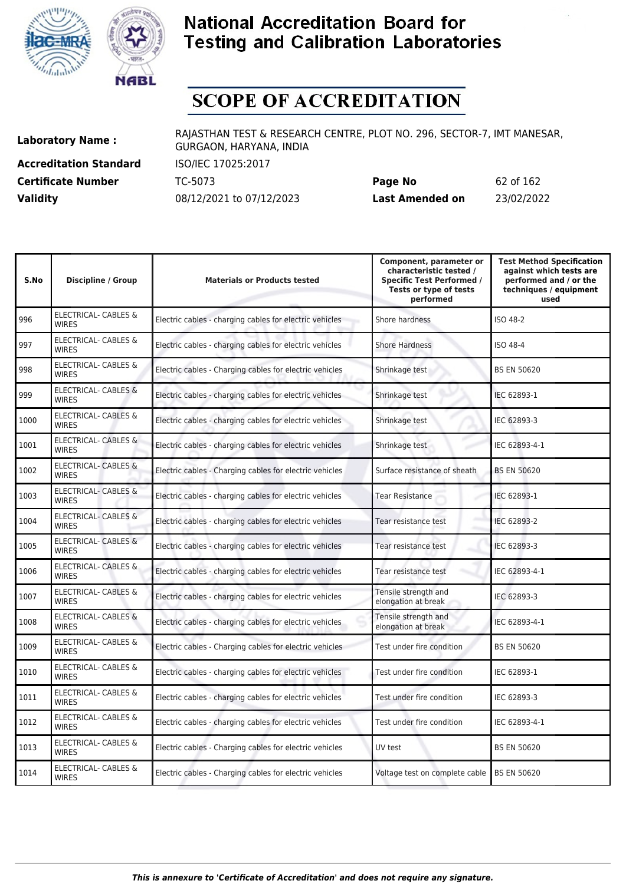



# **SCOPE OF ACCREDITATION**

**Accreditation Standard** ISO/IEC 17025:2017

**Laboratory Name :** RAJASTHAN TEST & RESEARCH CENTRE, PLOT NO. 296, SECTOR-7, IMT MANESAR, GURGAON, HARYANA, INDIA

**Certificate Number** TC-5073 **Page No** 62 of 162 **Validity** 08/12/2021 to 07/12/2023 **Last Amended on** 23/02/2022

| S.No | <b>Discipline / Group</b>                       | <b>Materials or Products tested</b>                     | Component, parameter or<br>characteristic tested /<br><b>Specific Test Performed /</b><br>Tests or type of tests<br>performed | <b>Test Method Specification</b><br>against which tests are<br>performed and / or the<br>techniques / equipment<br>used |
|------|-------------------------------------------------|---------------------------------------------------------|-------------------------------------------------------------------------------------------------------------------------------|-------------------------------------------------------------------------------------------------------------------------|
| 996  | ELECTRICAL- CABLES &<br><b>WIRES</b>            | Electric cables - charging cables for electric vehicles | Shore hardness                                                                                                                | ISO 48-2                                                                                                                |
| 997  | <b>ELECTRICAL- CABLES &amp;</b><br><b>WIRES</b> | Electric cables - charging cables for electric vehicles | <b>Shore Hardness</b>                                                                                                         | ISO 48-4                                                                                                                |
| 998  | <b>ELECTRICAL- CABLES &amp;</b><br><b>WIRES</b> | Electric cables - Charging cables for electric vehicles | Shrinkage test                                                                                                                | <b>BS EN 50620</b>                                                                                                      |
| 999  | ELECTRICAL- CABLES &<br><b>WIRES</b>            | Electric cables - charging cables for electric vehicles | Shrinkage test                                                                                                                | IEC 62893-1                                                                                                             |
| 1000 | ELECTRICAL- CABLES &<br><b>WIRES</b>            | Electric cables - charging cables for electric vehicles | Shrinkage test                                                                                                                | IEC 62893-3                                                                                                             |
| 1001 | <b>ELECTRICAL- CABLES &amp;</b><br><b>WIRES</b> | Electric cables - charging cables for electric vehicles | Shrinkage test                                                                                                                | IEC 62893-4-1                                                                                                           |
| 1002 | <b>ELECTRICAL- CABLES &amp;</b><br><b>WIRES</b> | Electric cables - Charging cables for electric vehicles | Surface resistance of sheath                                                                                                  | <b>BS EN 50620</b>                                                                                                      |
| 1003 | ELECTRICAL- CABLES &<br><b>WIRES</b>            | Electric cables - charging cables for electric vehicles | Tear Resistance                                                                                                               | IEC 62893-1                                                                                                             |
| 1004 | ELECTRICAL- CABLES &<br><b>WIRES</b>            | Electric cables - charging cables for electric vehicles | Tear resistance test                                                                                                          | IEC 62893-2                                                                                                             |
| 1005 | ELECTRICAL- CABLES &<br><b>WIRES</b>            | Electric cables - charging cables for electric vehicles | Tear resistance test                                                                                                          | IEC 62893-3                                                                                                             |
| 1006 | ELECTRICAL- CABLES &<br><b>WIRES</b>            | Electric cables - charging cables for electric vehicles | Tear resistance test                                                                                                          | IEC 62893-4-1                                                                                                           |
| 1007 | ELECTRICAL- CABLES &<br><b>WIRES</b>            | Electric cables - charging cables for electric vehicles | Tensile strength and<br>elongation at break                                                                                   | IEC 62893-3                                                                                                             |
| 1008 | <b>ELECTRICAL- CABLES &amp;</b><br><b>WIRES</b> | Electric cables - charging cables for electric vehicles | Tensile strength and<br>elongation at break                                                                                   | IEC 62893-4-1                                                                                                           |
| 1009 | ELECTRICAL- CABLES &<br><b>WIRES</b>            | Electric cables - Charging cables for electric vehicles | Test under fire condition                                                                                                     | <b>BS EN 50620</b>                                                                                                      |
| 1010 | ELECTRICAL- CABLES &<br><b>WIRES</b>            | Electric cables - charging cables for electric vehicles | Test under fire condition                                                                                                     | IEC 62893-1                                                                                                             |
| 1011 | ELECTRICAL- CABLES &<br><b>WIRES</b>            | Electric cables - charging cables for electric vehicles | Test under fire condition                                                                                                     | IEC 62893-3                                                                                                             |
| 1012 | ELECTRICAL- CABLES &<br><b>WIRES</b>            | Electric cables - charging cables for electric vehicles | Test under fire condition                                                                                                     | IEC 62893-4-1                                                                                                           |
| 1013 | <b>ELECTRICAL- CABLES &amp;</b><br><b>WIRES</b> | Electric cables - Charging cables for electric vehicles | UV test                                                                                                                       | <b>BS EN 50620</b>                                                                                                      |
| 1014 | <b>ELECTRICAL- CABLES &amp;</b><br><b>WIRES</b> | Electric cables - Charging cables for electric vehicles | Voltage test on complete cable                                                                                                | <b>BS EN 50620</b>                                                                                                      |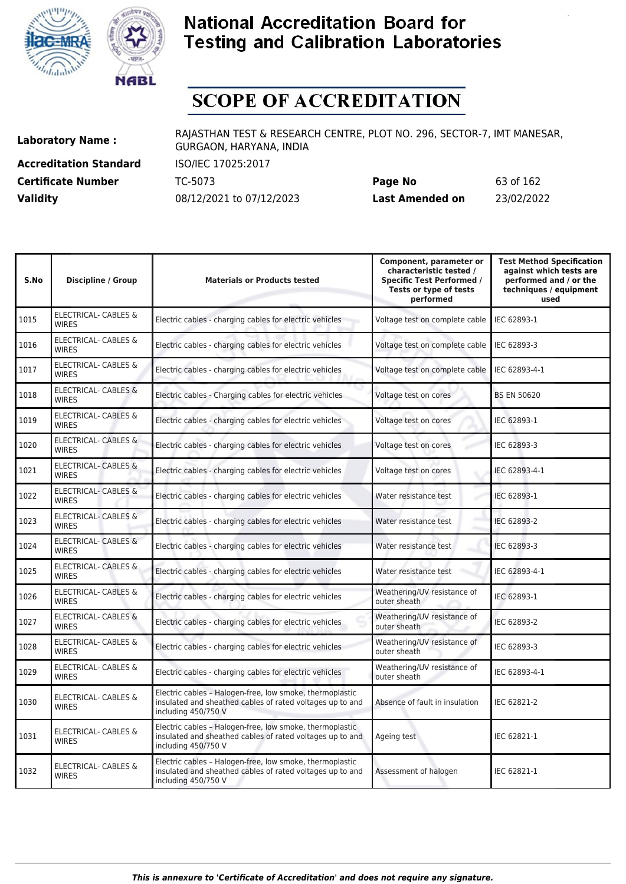



# **SCOPE OF ACCREDITATION**

**Accreditation Standard** ISO/IEC 17025:2017

**Laboratory Name :** RAJASTHAN TEST & RESEARCH CENTRE, PLOT NO. 296, SECTOR-7, IMT MANESAR, GURGAON, HARYANA, INDIA

**Certificate Number** TC-5073 **Page No** 63 of 162 **Validity** 08/12/2021 to 07/12/2023 **Last Amended on** 23/02/2022

| S.No | <b>Discipline / Group</b>                       | <b>Materials or Products tested</b>                                                                                                          | Component, parameter or<br>characteristic tested /<br><b>Specific Test Performed /</b><br>Tests or type of tests<br>performed | <b>Test Method Specification</b><br>against which tests are<br>performed and / or the<br>techniques / equipment<br>used |
|------|-------------------------------------------------|----------------------------------------------------------------------------------------------------------------------------------------------|-------------------------------------------------------------------------------------------------------------------------------|-------------------------------------------------------------------------------------------------------------------------|
| 1015 | <b>ELECTRICAL- CABLES &amp;</b><br><b>WIRES</b> | Electric cables - charging cables for electric vehicles                                                                                      | Voltage test on complete cable                                                                                                | IEC 62893-1                                                                                                             |
| 1016 | <b>ELECTRICAL- CABLES &amp;</b><br><b>WIRES</b> | Electric cables - charging cables for electric vehicles                                                                                      | Voltage test on complete cable                                                                                                | IEC 62893-3                                                                                                             |
| 1017 | <b>ELECTRICAL- CABLES &amp;</b><br><b>WIRES</b> | Electric cables - charging cables for electric vehicles                                                                                      | Voltage test on complete cable                                                                                                | IEC 62893-4-1                                                                                                           |
| 1018 | <b>ELECTRICAL- CABLES &amp;</b><br><b>WIRES</b> | Electric cables - Charging cables for electric vehicles                                                                                      | Voltage test on cores                                                                                                         | <b>BS EN 50620</b>                                                                                                      |
| 1019 | ELECTRICAL- CABLES &<br><b>WIRES</b>            | Electric cables - charging cables for electric vehicles                                                                                      | Voltage test on cores                                                                                                         | IEC 62893-1                                                                                                             |
| 1020 | <b>ELECTRICAL- CABLES &amp;</b><br><b>WIRFS</b> | Electric cables - charging cables for electric vehicles                                                                                      | Voltage test on cores                                                                                                         | IEC 62893-3                                                                                                             |
| 1021 | <b>ELECTRICAL- CABLES &amp;</b><br><b>WIRES</b> | Electric cables - charging cables for electric vehicles                                                                                      | Voltage test on cores                                                                                                         | IEC 62893-4-1                                                                                                           |
| 1022 | ELECTRICAL- CABLES &<br><b>WIRES</b>            | Electric cables - charging cables for electric vehicles                                                                                      | Water resistance test                                                                                                         | IEC 62893-1                                                                                                             |
| 1023 | <b>ELECTRICAL- CABLES &amp;</b><br><b>WIRES</b> | Electric cables - charging cables for electric vehicles                                                                                      | Water resistance test                                                                                                         | IEC 62893-2                                                                                                             |
| 1024 | ELECTRICAL- CABLES &<br><b>WIRES</b>            | Electric cables - charging cables for electric vehicles                                                                                      | Water resistance test                                                                                                         | IEC 62893-3                                                                                                             |
| 1025 | <b>ELECTRICAL- CABLES &amp;</b><br><b>WIRES</b> | Electric cables - charging cables for electric vehicles                                                                                      | Water resistance test                                                                                                         | IEC 62893-4-1                                                                                                           |
| 1026 | ELECTRICAL- CABLES &<br><b>WIRES</b>            | Electric cables - charging cables for electric vehicles                                                                                      | Weathering/UV resistance of<br>outer sheath                                                                                   | IEC 62893-1                                                                                                             |
| 1027 | <b>ELECTRICAL- CABLES &amp;</b><br><b>WIRES</b> | Electric cables - charging cables for electric vehicles                                                                                      | Weathering/UV resistance of<br>outer sheath                                                                                   | IEC 62893-2                                                                                                             |
| 1028 | ELECTRICAL- CABLES &<br><b>WIRES</b>            | Electric cables - charging cables for electric vehicles                                                                                      | Weathering/UV resistance of<br>outer sheath                                                                                   | IEC 62893-3                                                                                                             |
| 1029 | <b>ELECTRICAL- CABLES &amp;</b><br><b>WIRES</b> | Electric cables - charging cables for electric vehicles                                                                                      | Weathering/UV resistance of<br>outer sheath                                                                                   | IEC 62893-4-1                                                                                                           |
| 1030 | ELECTRICAL- CABLES &<br><b>WIRES</b>            | Electric cables - Halogen-free, low smoke, thermoplastic<br>insulated and sheathed cables of rated voltages up to and<br>including 450/750 V | Absence of fault in insulation                                                                                                | IEC 62821-2                                                                                                             |
| 1031 | ELECTRICAL- CABLES &<br><b>WIRES</b>            | Electric cables - Halogen-free, low smoke, thermoplastic<br>insulated and sheathed cables of rated voltages up to and<br>including 450/750 V | Ageing test                                                                                                                   | IEC 62821-1                                                                                                             |
| 1032 | <b>ELECTRICAL- CABLES &amp;</b><br><b>WIRES</b> | Electric cables - Halogen-free, low smoke, thermoplastic<br>insulated and sheathed cables of rated voltages up to and<br>including 450/750 V | Assessment of halogen                                                                                                         | IEC 62821-1                                                                                                             |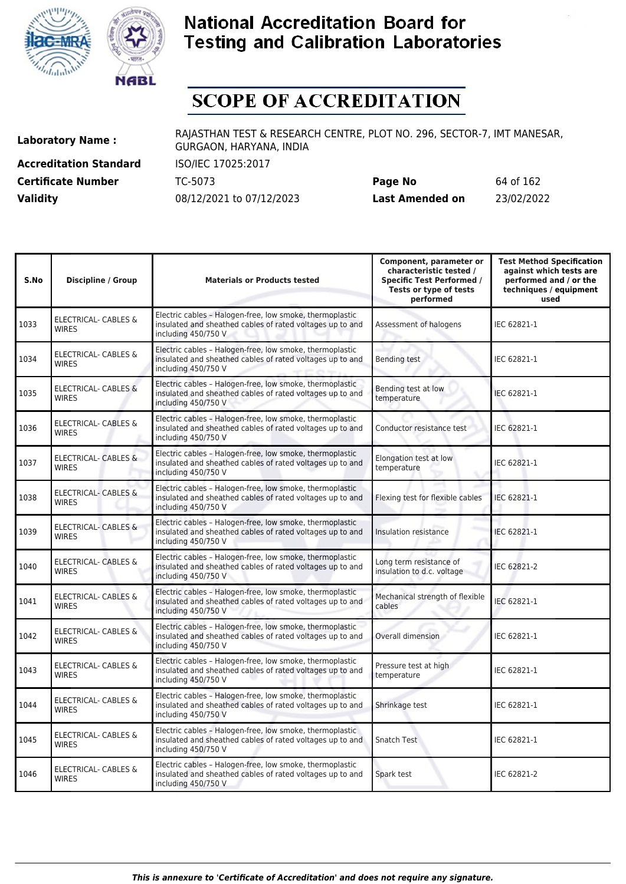



# **SCOPE OF ACCREDITATION**

**Accreditation Standard** ISO/IEC 17025:2017

**Laboratory Name :** RAJASTHAN TEST & RESEARCH CENTRE, PLOT NO. 296, SECTOR-7, IMT MANESAR, GURGAON, HARYANA, INDIA

**Certificate Number** TC-5073 **Page No** 64 of 162 **Validity** 08/12/2021 to 07/12/2023 **Last Amended on** 23/02/2022

| S.No | <b>Discipline / Group</b>                       | <b>Materials or Products tested</b>                                                                                                          | Component, parameter or<br>characteristic tested /<br><b>Specific Test Performed /</b><br>Tests or type of tests<br>performed | <b>Test Method Specification</b><br>against which tests are<br>performed and / or the<br>techniques / equipment<br>used |
|------|-------------------------------------------------|----------------------------------------------------------------------------------------------------------------------------------------------|-------------------------------------------------------------------------------------------------------------------------------|-------------------------------------------------------------------------------------------------------------------------|
| 1033 | <b>ELECTRICAL- CABLES &amp;</b><br><b>WIRES</b> | Electric cables - Halogen-free, low smoke, thermoplastic<br>insulated and sheathed cables of rated voltages up to and<br>including 450/750 V | Assessment of halogens                                                                                                        | IEC 62821-1                                                                                                             |
| 1034 | ELECTRICAL- CABLES &<br><b>WIRES</b>            | Electric cables - Halogen-free, low smoke, thermoplastic<br>insulated and sheathed cables of rated voltages up to and<br>including 450/750 V | <b>Bending test</b>                                                                                                           | IEC 62821-1                                                                                                             |
| 1035 | <b>ELECTRICAL- CABLES &amp;</b><br><b>WIRES</b> | Electric cables - Halogen-free, low smoke, thermoplastic<br>insulated and sheathed cables of rated voltages up to and<br>including 450/750 V | Bending test at low<br>temperature                                                                                            | IEC 62821-1                                                                                                             |
| 1036 | ELECTRICAL- CABLES &<br><b>WIRES</b>            | Electric cables - Halogen-free, low smoke, thermoplastic<br>insulated and sheathed cables of rated voltages up to and<br>including 450/750 V | Conductor resistance test                                                                                                     | IEC 62821-1                                                                                                             |
| 1037 | <b>ELECTRICAL- CABLES &amp;</b><br><b>WIRES</b> | Electric cables - Halogen-free, low smoke, thermoplastic<br>insulated and sheathed cables of rated voltages up to and<br>including 450/750 V | Elongation test at low<br>temperature                                                                                         | IEC 62821-1                                                                                                             |
| 1038 | <b>ELECTRICAL- CABLES &amp;</b><br><b>WIRES</b> | Electric cables - Halogen-free, low smoke, thermoplastic<br>insulated and sheathed cables of rated voltages up to and<br>including 450/750 V | Flexing test for flexible cables                                                                                              | IEC 62821-1                                                                                                             |
| 1039 | <b>ELECTRICAL- CABLES &amp;</b><br><b>WIRES</b> | Electric cables - Halogen-free, low smoke, thermoplastic<br>insulated and sheathed cables of rated voltages up to and<br>including 450/750 V | Insulation resistance                                                                                                         | IEC 62821-1                                                                                                             |
| 1040 | <b>ELECTRICAL- CABLES &amp;</b><br><b>WIRES</b> | Electric cables - Halogen-free, low smoke, thermoplastic<br>insulated and sheathed cables of rated voltages up to and<br>including 450/750 V | Long term resistance of<br>insulation to d.c. voltage                                                                         | IEC 62821-2                                                                                                             |
| 1041 | ELECTRICAL- CABLES &<br><b>WIRES</b>            | Electric cables - Halogen-free, low smoke, thermoplastic<br>insulated and sheathed cables of rated voltages up to and<br>including 450/750 V | Mechanical strength of flexible<br>cables                                                                                     | IEC 62821-1                                                                                                             |
| 1042 | ELECTRICAL- CABLES &<br><b>WIRES</b>            | Electric cables - Halogen-free, low smoke, thermoplastic<br>insulated and sheathed cables of rated voltages up to and<br>including 450/750 V | Overall dimension                                                                                                             | IEC 62821-1                                                                                                             |
| 1043 | ELECTRICAL- CABLES &<br><b>WIRES</b>            | Electric cables - Halogen-free, low smoke, thermoplastic<br>insulated and sheathed cables of rated voltages up to and<br>including 450/750 V | Pressure test at high<br>temperature                                                                                          | IEC 62821-1                                                                                                             |
| 1044 | ELECTRICAL- CABLES &<br><b>WIRES</b>            | Electric cables - Halogen-free, low smoke, thermoplastic<br>insulated and sheathed cables of rated voltages up to and<br>including 450/750 V | Shrinkage test                                                                                                                | IEC 62821-1                                                                                                             |
| 1045 | <b>ELECTRICAL- CABLES &amp;</b><br><b>WIRES</b> | Electric cables - Halogen-free, low smoke, thermoplastic<br>insulated and sheathed cables of rated voltages up to and<br>including 450/750 V | Snatch Test                                                                                                                   | IEC 62821-1                                                                                                             |
| 1046 | <b>ELECTRICAL- CABLES &amp;</b><br><b>WIRES</b> | Electric cables - Halogen-free, low smoke, thermoplastic<br>insulated and sheathed cables of rated voltages up to and<br>including 450/750 V | Spark test                                                                                                                    | IEC 62821-2                                                                                                             |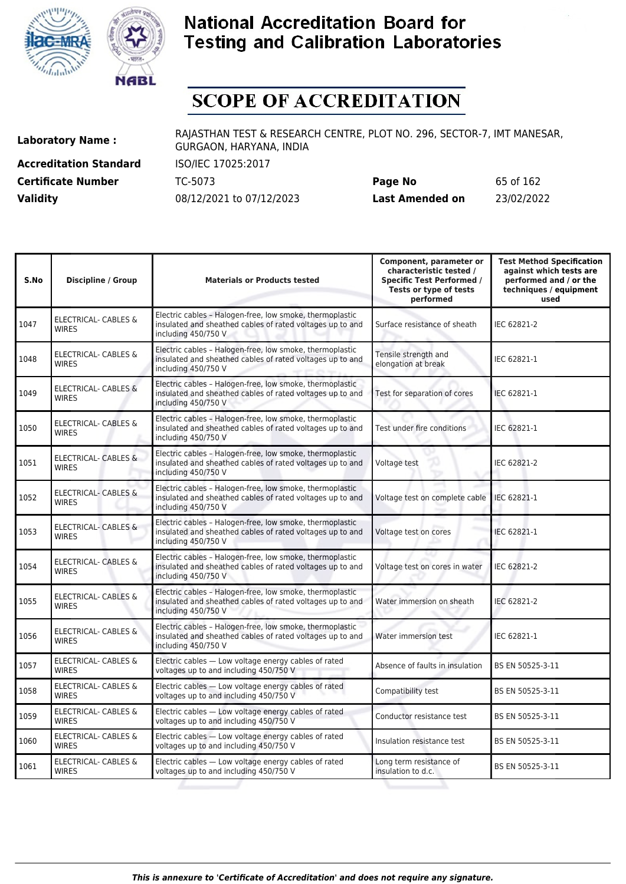



# **SCOPE OF ACCREDITATION**

**Accreditation Standard** ISO/IEC 17025:2017

**Laboratory Name :** RAJASTHAN TEST & RESEARCH CENTRE, PLOT NO. 296, SECTOR-7, IMT MANESAR, GURGAON, HARYANA, INDIA

**Certificate Number** TC-5073 **Page No** 65 of 162 **Validity** 08/12/2021 to 07/12/2023 **Last Amended on** 23/02/2022

| S.No | <b>Discipline / Group</b>                       | <b>Materials or Products tested</b>                                                                                                          | Component, parameter or<br>characteristic tested /<br><b>Specific Test Performed /</b><br>Tests or type of tests<br>performed | <b>Test Method Specification</b><br>against which tests are<br>performed and / or the<br>techniques / equipment<br>used |
|------|-------------------------------------------------|----------------------------------------------------------------------------------------------------------------------------------------------|-------------------------------------------------------------------------------------------------------------------------------|-------------------------------------------------------------------------------------------------------------------------|
| 1047 | <b>ELECTRICAL- CABLES &amp;</b><br><b>WIRES</b> | Electric cables - Halogen-free, low smoke, thermoplastic<br>insulated and sheathed cables of rated voltages up to and<br>including 450/750 V | Surface resistance of sheath                                                                                                  | IEC 62821-2                                                                                                             |
| 1048 | <b>ELECTRICAL- CABLES &amp;</b><br><b>WIRES</b> | Electric cables - Halogen-free, low smoke, thermoplastic<br>insulated and sheathed cables of rated voltages up to and<br>including 450/750 V | Tensile strength and<br>elongation at break                                                                                   | IEC 62821-1                                                                                                             |
| 1049 | <b>ELECTRICAL- CABLES &amp;</b><br><b>WIRES</b> | Electric cables - Halogen-free, low smoke, thermoplastic<br>insulated and sheathed cables of rated voltages up to and<br>including 450/750 V | Test for separation of cores                                                                                                  | IEC 62821-1                                                                                                             |
| 1050 | <b>ELECTRICAL- CABLES &amp;</b><br><b>WIRES</b> | Electric cables - Halogen-free, low smoke, thermoplastic<br>insulated and sheathed cables of rated voltages up to and<br>including 450/750 V | Test under fire conditions                                                                                                    | IEC 62821-1                                                                                                             |
| 1051 | ELECTRICAL- CABLES &<br><b>WIRES</b>            | Electric cables - Halogen-free, low smoke, thermoplastic<br>insulated and sheathed cables of rated voltages up to and<br>including 450/750 V | Voltage test                                                                                                                  | IEC 62821-2                                                                                                             |
| 1052 | <b>ELECTRICAL- CABLES &amp;</b><br><b>WIRES</b> | Electric cables - Halogen-free, low smoke, thermoplastic<br>insulated and sheathed cables of rated voltages up to and<br>including 450/750 V | Voltage test on complete cable                                                                                                | IEC 62821-1                                                                                                             |
| 1053 | <b>ELECTRICAL- CABLES &amp;</b><br><b>WIRES</b> | Electric cables - Halogen-free, low smoke, thermoplastic<br>insulated and sheathed cables of rated voltages up to and<br>including 450/750 V | Voltage test on cores                                                                                                         | IEC 62821-1                                                                                                             |
| 1054 | ELECTRICAL- CABLES &<br><b>WIRES</b>            | Electric cables - Halogen-free, low smoke, thermoplastic<br>insulated and sheathed cables of rated voltages up to and<br>including 450/750 V | Voltage test on cores in water                                                                                                | IEC 62821-2                                                                                                             |
| 1055 | <b>ELECTRICAL- CABLES &amp;</b><br><b>WIRES</b> | Electric cables - Halogen-free, low smoke, thermoplastic<br>insulated and sheathed cables of rated voltages up to and<br>including 450/750 V | Water immersion on sheath                                                                                                     | IEC 62821-2                                                                                                             |
| 1056 | <b>ELECTRICAL- CABLES &amp;</b><br><b>WIRES</b> | Electric cables - Halogen-free, low smoke, thermoplastic<br>insulated and sheathed cables of rated voltages up to and<br>including 450/750 V | Water immersion test                                                                                                          | IEC 62821-1                                                                                                             |
| 1057 | ELECTRICAL- CABLES &<br><b>WIRES</b>            | Electric cables - Low voltage energy cables of rated<br>voltages up to and including 450/750 V                                               | Absence of faults in insulation                                                                                               | BS EN 50525-3-11                                                                                                        |
| 1058 | ELECTRICAL- CABLES &<br><b>WIRES</b>            | Electric cables - Low voltage energy cables of rated<br>voltages up to and including 450/750 V                                               | Compatibility test                                                                                                            | BS EN 50525-3-11                                                                                                        |
| 1059 | <b>ELECTRICAL- CABLES &amp;</b><br><b>WIRES</b> | Electric cables - Low voltage energy cables of rated<br>voltages up to and including 450/750 V                                               | Conductor resistance test                                                                                                     | BS EN 50525-3-11                                                                                                        |
| 1060 | ELECTRICAL- CABLES &<br><b>WIRES</b>            | Electric cables - Low voltage energy cables of rated<br>voltages up to and including 450/750 V                                               | Insulation resistance test                                                                                                    | BS EN 50525-3-11                                                                                                        |
| 1061 | ELECTRICAL- CABLES &<br><b>WIRES</b>            | Electric cables - Low voltage energy cables of rated<br>voltages up to and including 450/750 V                                               | Long term resistance of<br>insulation to d.c.                                                                                 | BS EN 50525-3-11                                                                                                        |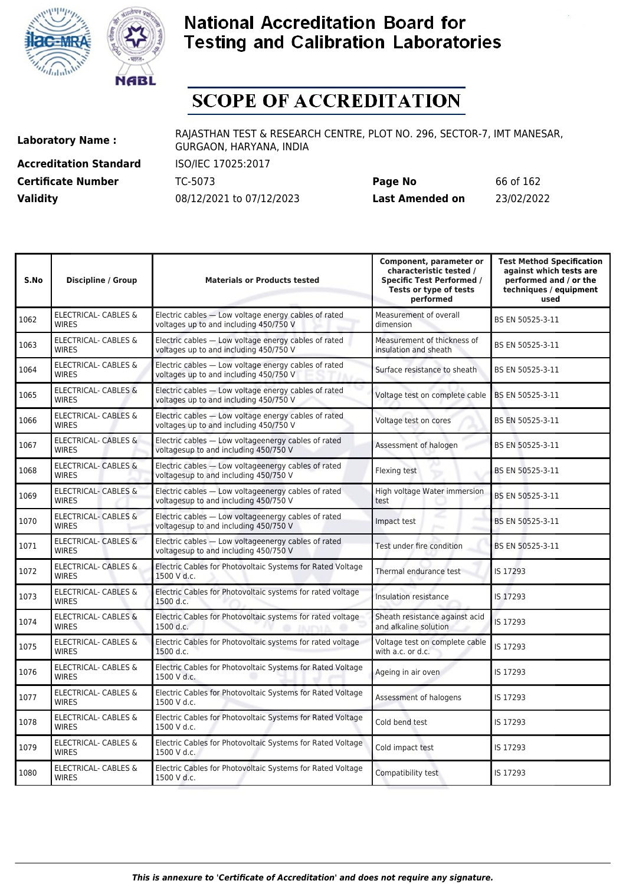



# **SCOPE OF ACCREDITATION**

**Accreditation Standard** ISO/IEC 17025:2017

**Laboratory Name :** RAJASTHAN TEST & RESEARCH CENTRE, PLOT NO. 296, SECTOR-7, IMT MANESAR, GURGAON, HARYANA, INDIA

**Certificate Number** TC-5073 **Page No** 66 of 162 **Validity** 08/12/2021 to 07/12/2023 **Last Amended on** 23/02/2022

| S.No | <b>Discipline / Group</b>                       | <b>Materials or Products tested</b>                                                            | Component, parameter or<br>characteristic tested /<br><b>Specific Test Performed /</b><br>Tests or type of tests<br>performed | <b>Test Method Specification</b><br>against which tests are<br>performed and / or the<br>techniques / equipment<br>used |
|------|-------------------------------------------------|------------------------------------------------------------------------------------------------|-------------------------------------------------------------------------------------------------------------------------------|-------------------------------------------------------------------------------------------------------------------------|
| 1062 | <b>ELECTRICAL- CABLES &amp;</b><br><b>WIRES</b> | Electric cables - Low voltage energy cables of rated<br>voltages up to and including 450/750 V | Measurement of overall<br>dimension                                                                                           | BS EN 50525-3-11                                                                                                        |
| 1063 | <b>ELECTRICAL- CABLES &amp;</b><br><b>WIRES</b> | Electric cables - Low voltage energy cables of rated<br>voltages up to and including 450/750 V | Measurement of thickness of<br>insulation and sheath                                                                          | BS EN 50525-3-11                                                                                                        |
| 1064 | ELECTRICAL- CABLES &<br><b>WIRES</b>            | Electric cables - Low voltage energy cables of rated<br>voltages up to and including 450/750 V | Surface resistance to sheath                                                                                                  | BS EN 50525-3-11                                                                                                        |
| 1065 | <b>ELECTRICAL- CABLES &amp;</b><br><b>WIRES</b> | Electric cables - Low voltage energy cables of rated<br>voltages up to and including 450/750 V | Voltage test on complete cable                                                                                                | BS EN 50525-3-11                                                                                                        |
| 1066 | <b>ELECTRICAL- CABLES &amp;</b><br><b>WIRES</b> | Electric cables - Low voltage energy cables of rated<br>voltages up to and including 450/750 V | Voltage test on cores                                                                                                         | BS EN 50525-3-11                                                                                                        |
| 1067 | ELECTRICAL- CABLES &<br><b>WIRES</b>            | Electric cables - Low voltageenergy cables of rated<br>voltagesup to and including 450/750 V   | Assessment of halogen                                                                                                         | BS EN 50525-3-11                                                                                                        |
| 1068 | <b>ELECTRICAL- CABLES &amp;</b><br><b>WIRES</b> | Electric cables - Low voltageenergy cables of rated<br>voltagesup to and including 450/750 V   | Flexing test                                                                                                                  | BS EN 50525-3-11                                                                                                        |
| 1069 | <b>ELECTRICAL- CABLES &amp;</b><br><b>WIRES</b> | Electric cables - Low voltageenergy cables of rated<br>voltagesup to and including 450/750 V   | High voltage Water immersion<br>test                                                                                          | BS EN 50525-3-11                                                                                                        |
| 1070 | <b>ELECTRICAL- CABLES &amp;</b><br><b>WIRES</b> | Electric cables - Low voltageenergy cables of rated<br>voltagesup to and including 450/750 V   | Impact test                                                                                                                   | BS EN 50525-3-11                                                                                                        |
| 1071 | <b>ELECTRICAL- CABLES &amp;</b><br><b>WIRES</b> | Electric cables - Low voltageenergy cables of rated<br>voltagesup to and including 450/750 V   | Test under fire condition                                                                                                     | BS EN 50525-3-11                                                                                                        |
| 1072 | <b>ELECTRICAL- CABLES &amp;</b><br><b>WIRES</b> | Electric Cables for Photovoltaic Systems for Rated Voltage<br>1500 V d.c.                      | Thermal endurance test                                                                                                        | IS 17293                                                                                                                |
| 1073 | ELECTRICAL- CABLES &<br><b>WIRES</b>            | Electric Cables for Photovoltaic systems for rated voltage<br>1500 d.c.                        | Insulation resistance                                                                                                         | IS 17293                                                                                                                |
| 1074 | <b>ELECTRICAL- CABLES &amp;</b><br><b>WIRES</b> | Electric Cables for Photovoltaic systems for rated voltage<br>1500 d.c.                        | Sheath resistance against acid<br>and alkaline solution                                                                       | IS 17293                                                                                                                |
| 1075 | ELECTRICAL- CABLES &<br><b>WIRES</b>            | Electric Cables for Photovoltaic systems for rated voltage<br>1500 d.c.                        | Voltage test on complete cable<br>with a.c. or d.c.                                                                           | IS 17293                                                                                                                |
| 1076 | <b>ELECTRICAL- CABLES &amp;</b><br><b>WIRES</b> | Electric Cables for Photovoltaic Systems for Rated Voltage<br>1500 V d.c.                      | Ageing in air oven                                                                                                            | IS 17293                                                                                                                |
| 1077 | ELECTRICAL- CABLES &<br><b>WIRES</b>            | Electric Cables for Photovoltaic Systems for Rated Voltage<br>1500 V d.c.                      | Assessment of halogens                                                                                                        | IS 17293                                                                                                                |
| 1078 | ELECTRICAL- CABLES &<br><b>WIRES</b>            | Electric Cables for Photovoltaic Systems for Rated Voltage<br>1500 V d.c.                      | Cold bend test                                                                                                                | IS 17293                                                                                                                |
| 1079 | ELECTRICAL- CABLES &<br><b>WIRES</b>            | Electric Cables for Photovoltaic Systems for Rated Voltage<br>1500 V d.c.                      | Cold impact test                                                                                                              | IS 17293                                                                                                                |
| 1080 | <b>ELECTRICAL- CABLES &amp;</b><br><b>WIRES</b> | Electric Cables for Photovoltaic Systems for Rated Voltage<br>1500 V d.c.                      | Compatibility test                                                                                                            | IS 17293                                                                                                                |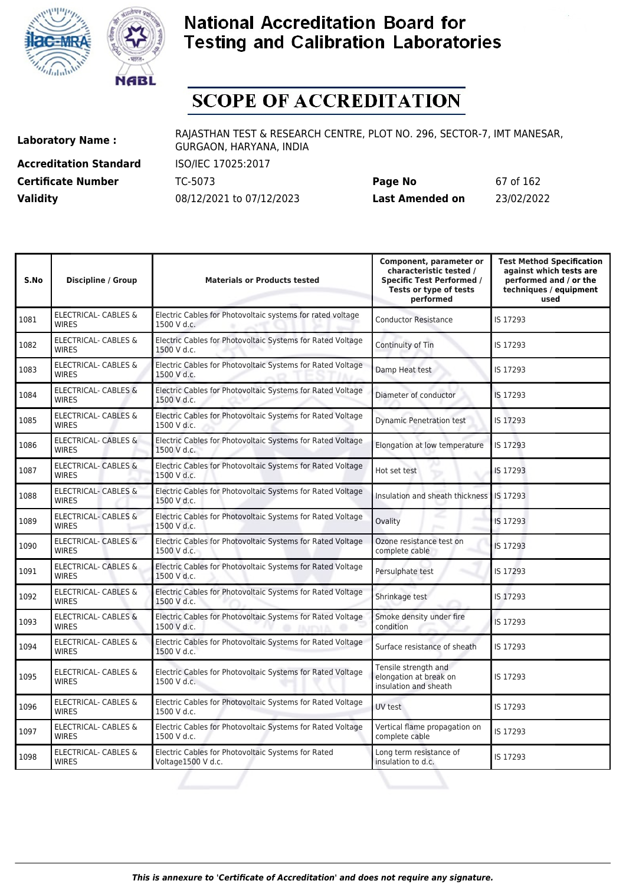



# **SCOPE OF ACCREDITATION**

**Accreditation Standard** ISO/IEC 17025:2017

**Laboratory Name :** RAJASTHAN TEST & RESEARCH CENTRE, PLOT NO. 296, SECTOR-7, IMT MANESAR, GURGAON, HARYANA, INDIA

**Certificate Number** TC-5073 **Page No** 67 of 162 **Validity** 08/12/2021 to 07/12/2023 **Last Amended on** 23/02/2022

| S.No | <b>Discipline / Group</b>                       | <b>Materials or Products tested</b>                                       | Component, parameter or<br>characteristic tested /<br><b>Specific Test Performed /</b><br>Tests or type of tests<br>performed | <b>Test Method Specification</b><br>against which tests are<br>performed and / or the<br>techniques / equipment<br>used |
|------|-------------------------------------------------|---------------------------------------------------------------------------|-------------------------------------------------------------------------------------------------------------------------------|-------------------------------------------------------------------------------------------------------------------------|
| 1081 | ELECTRICAL- CABLES &<br><b>WIRES</b>            | Electric Cables for Photovoltaic systems for rated voltage<br>1500 V d.c. | <b>Conductor Resistance</b>                                                                                                   | IS 17293                                                                                                                |
| 1082 | ELECTRICAL- CABLES &<br><b>WIRES</b>            | Electric Cables for Photovoltaic Systems for Rated Voltage<br>1500 V d.c. | Continuity of Tin                                                                                                             | IS 17293                                                                                                                |
| 1083 | <b>ELECTRICAL- CABLES &amp;</b><br><b>WIRES</b> | Electric Cables for Photovoltaic Systems for Rated Voltage<br>1500 V d.c. | Damp Heat test                                                                                                                | IS 17293                                                                                                                |
| 1084 | <b>ELECTRICAL- CABLES &amp;</b><br><b>WIRES</b> | Electric Cables for Photovoltaic Systems for Rated Voltage<br>1500 V d.c. | Diameter of conductor                                                                                                         | IS 17293                                                                                                                |
| 1085 | <b>ELECTRICAL- CABLES &amp;</b><br><b>WIRES</b> | Electric Cables for Photovoltaic Systems for Rated Voltage<br>1500 V d.c. | <b>Dynamic Penetration test</b>                                                                                               | IS 17293                                                                                                                |
| 1086 | ELECTRICAL- CABLES &<br><b>WIRES</b>            | Electric Cables for Photovoltaic Systems for Rated Voltage<br>1500 V d.c. | Elongation at low temperature                                                                                                 | IS 17293                                                                                                                |
| 1087 | <b>ELECTRICAL- CABLES &amp;</b><br><b>WIRES</b> | Electric Cables for Photovoltaic Systems for Rated Voltage<br>1500 V d.c. | Hot set test                                                                                                                  | IS 17293                                                                                                                |
| 1088 | <b>ELECTRICAL- CABLES &amp;</b><br><b>WIRES</b> | Electric Cables for Photovoltaic Systems for Rated Voltage<br>1500 V d.c. | Insulation and sheath thickness                                                                                               | IS 17293                                                                                                                |
| 1089 | ELECTRICAL- CABLES &<br><b>WIRES</b>            | Electric Cables for Photovoltaic Systems for Rated Voltage<br>1500 V d.c. | Ovality                                                                                                                       | IS 17293                                                                                                                |
| 1090 | ELECTRICAL- CABLES &<br><b>WIRES</b>            | Electric Cables for Photovoltaic Systems for Rated Voltage<br>1500 V d.c. | Ozone resistance test on<br>complete cable                                                                                    | IS 17293                                                                                                                |
| 1091 | <b>ELECTRICAL- CABLES &amp;</b><br><b>WIRES</b> | Electric Cables for Photovoltaic Systems for Rated Voltage<br>1500 V d.c. | Persulphate test                                                                                                              | IS 17293                                                                                                                |
| 1092 | ELECTRICAL- CABLES &<br><b>WIRES</b>            | Electric Cables for Photovoltaic Systems for Rated Voltage<br>1500 V d.c. | Shrinkage test                                                                                                                | IS 17293                                                                                                                |
| 1093 | <b>ELECTRICAL- CABLES &amp;</b><br><b>WIRES</b> | Electric Cables for Photovoltaic Systems for Rated Voltage<br>1500 V d.c. | Smoke density under fire<br>condition                                                                                         | IS 17293                                                                                                                |
| 1094 | <b>ELECTRICAL- CABLES &amp;</b><br><b>WIRES</b> | Electric Cables for Photovoltaic Systems for Rated Voltage<br>1500 V d.c. | Surface resistance of sheath                                                                                                  | IS 17293                                                                                                                |
| 1095 | ELECTRICAL- CABLES &<br><b>WIRES</b>            | Electric Cables for Photovoltaic Systems for Rated Voltage<br>1500 V d.c. | Tensile strength and<br>elongation at break on<br>insulation and sheath                                                       | IS 17293                                                                                                                |
| 1096 | <b>ELECTRICAL- CABLES &amp;</b><br><b>WIRES</b> | Electric Cables for Photovoltaic Systems for Rated Voltage<br>1500 V d.c. | UV test                                                                                                                       | IS 17293                                                                                                                |
| 1097 | ELECTRICAL- CABLES &<br><b>WIRES</b>            | Electric Cables for Photovoltaic Systems for Rated Voltage<br>1500 V d.c. | Vertical flame propagation on<br>complete cable                                                                               | IS 17293                                                                                                                |
| 1098 | ELECTRICAL- CABLES &<br><b>WIRES</b>            | Electric Cables for Photovoltaic Systems for Rated<br>Voltage1500 V d.c.  | Long term resistance of<br>insulation to d.c.                                                                                 | IS 17293                                                                                                                |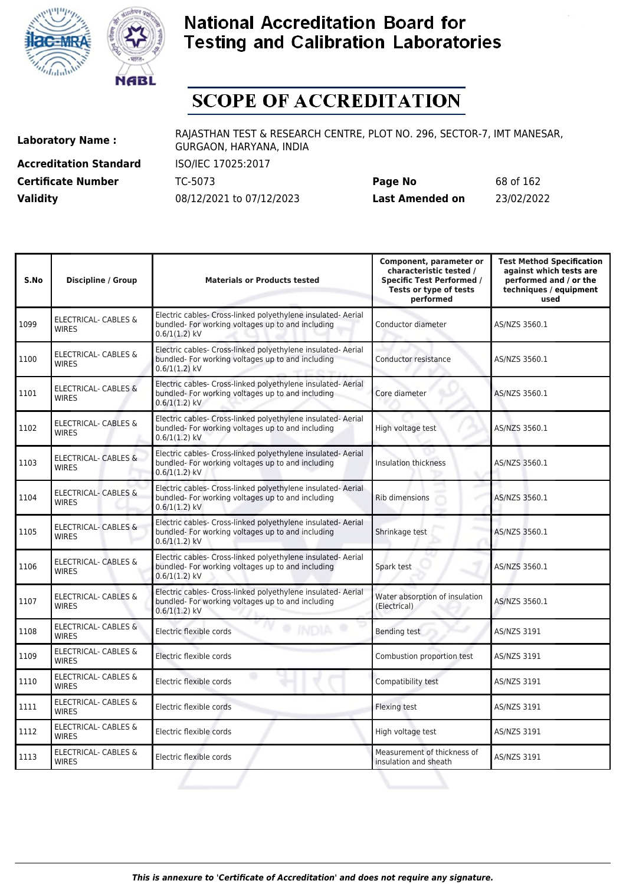



# **SCOPE OF ACCREDITATION**

**Accreditation Standard** ISO/IEC 17025:2017

**Laboratory Name :** RAJASTHAN TEST & RESEARCH CENTRE, PLOT NO. 296, SECTOR-7, IMT MANESAR, GURGAON, HARYANA, INDIA

**Certificate Number** TC-5073 **Page No** 68 of 162 **Validity** 08/12/2021 to 07/12/2023 **Last Amended on** 23/02/2022

| S.No | <b>Discipline / Group</b>                       | <b>Materials or Products tested</b>                                                                                                  | Component, parameter or<br>characteristic tested /<br><b>Specific Test Performed /</b><br>Tests or type of tests<br>performed | <b>Test Method Specification</b><br>against which tests are<br>performed and / or the<br>techniques / equipment<br>used |
|------|-------------------------------------------------|--------------------------------------------------------------------------------------------------------------------------------------|-------------------------------------------------------------------------------------------------------------------------------|-------------------------------------------------------------------------------------------------------------------------|
| 1099 | ELECTRICAL- CABLES &<br><b>WIRES</b>            | Electric cables- Cross-linked polyethylene insulated- Aerial<br>bundled- For working voltages up to and including<br>$0.6/1(1.2)$ kV | Conductor diameter                                                                                                            | AS/NZS 3560.1                                                                                                           |
| 1100 | <b>ELECTRICAL- CABLES &amp;</b><br><b>WIRES</b> | Electric cables- Cross-linked polyethylene insulated- Aerial<br>bundled- For working voltages up to and including<br>$0.6/1(1.2)$ kV | Conductor resistance                                                                                                          | AS/NZS 3560.1                                                                                                           |
| 1101 | <b>ELECTRICAL- CABLES &amp;</b><br><b>WIRES</b> | Electric cables- Cross-linked polyethylene insulated- Aerial<br>bundled- For working voltages up to and including<br>$0.6/1(1.2)$ kV | Core diameter                                                                                                                 | AS/NZS 3560.1                                                                                                           |
| 1102 | <b>ELECTRICAL- CABLES &amp;</b><br><b>WIRES</b> | Electric cables- Cross-linked polyethylene insulated- Aerial<br>bundled- For working voltages up to and including<br>$0.6/1(1.2)$ kV | High voltage test                                                                                                             | AS/NZS 3560.1                                                                                                           |
| 1103 | <b>ELECTRICAL- CABLES &amp;</b><br><b>WIRES</b> | Electric cables- Cross-linked polyethylene insulated- Aerial<br>bundled- For working voltages up to and including<br>$0.6/1(1.2)$ kV | <b>Insulation thickness</b>                                                                                                   | AS/NZS 3560.1                                                                                                           |
| 1104 | <b>ELECTRICAL- CABLES &amp;</b><br><b>WIRES</b> | Electric cables- Cross-linked polyethylene insulated- Aerial<br>bundled- For working voltages up to and including<br>$0.6/1(1.2)$ kV | Rib dimensions                                                                                                                | AS/NZS 3560.1                                                                                                           |
| 1105 | <b>ELECTRICAL- CABLES &amp;</b><br><b>WIRES</b> | Electric cables- Cross-linked polyethylene insulated- Aerial<br>bundled- For working voltages up to and including<br>$0.6/1(1.2)$ kV | Shrinkage test                                                                                                                | AS/NZS 3560.1                                                                                                           |
| 1106 | <b>ELECTRICAL- CABLES &amp;</b><br><b>WIRES</b> | Electric cables- Cross-linked polyethylene insulated- Aerial<br>bundled- For working voltages up to and including<br>$0.6/1(1.2)$ kV | Spark test                                                                                                                    | AS/NZS 3560.1                                                                                                           |
| 1107 | <b>ELECTRICAL- CABLES &amp;</b><br><b>WIRES</b> | Electric cables- Cross-linked polyethylene insulated- Aerial<br>bundled- For working voltages up to and including<br>$0.6/1(1.2)$ kV | Water absorption of insulation<br>(Electrical)                                                                                | AS/NZS 3560.1                                                                                                           |
| 1108 | <b>ELECTRICAL- CABLES &amp;</b><br><b>WIRES</b> | Electric flexible cords                                                                                                              | <b>Bending test</b>                                                                                                           | <b>AS/NZS 3191</b>                                                                                                      |
| 1109 | ELECTRICAL- CABLES &<br><b>WIRFS</b>            | Electric flexible cords                                                                                                              | Combustion proportion test                                                                                                    | AS/NZS 3191                                                                                                             |
| 1110 | ELECTRICAL- CABLES &<br><b>WIRES</b>            | Electric flexible cords                                                                                                              | Compatibility test                                                                                                            | AS/NZS 3191                                                                                                             |
| 1111 | ELECTRICAL- CABLES &<br><b>WIRES</b>            | Electric flexible cords                                                                                                              | <b>Flexing test</b>                                                                                                           | <b>AS/NZS 3191</b>                                                                                                      |
| 1112 | <b>ELECTRICAL- CABLES &amp;</b><br><b>WIRES</b> | Electric flexible cords                                                                                                              | High voltage test                                                                                                             | AS/NZS 3191                                                                                                             |
| 1113 | <b>ELECTRICAL- CABLES &amp;</b><br><b>WIRES</b> | Electric flexible cords                                                                                                              | Measurement of thickness of<br>insulation and sheath                                                                          | <b>AS/NZS 3191</b>                                                                                                      |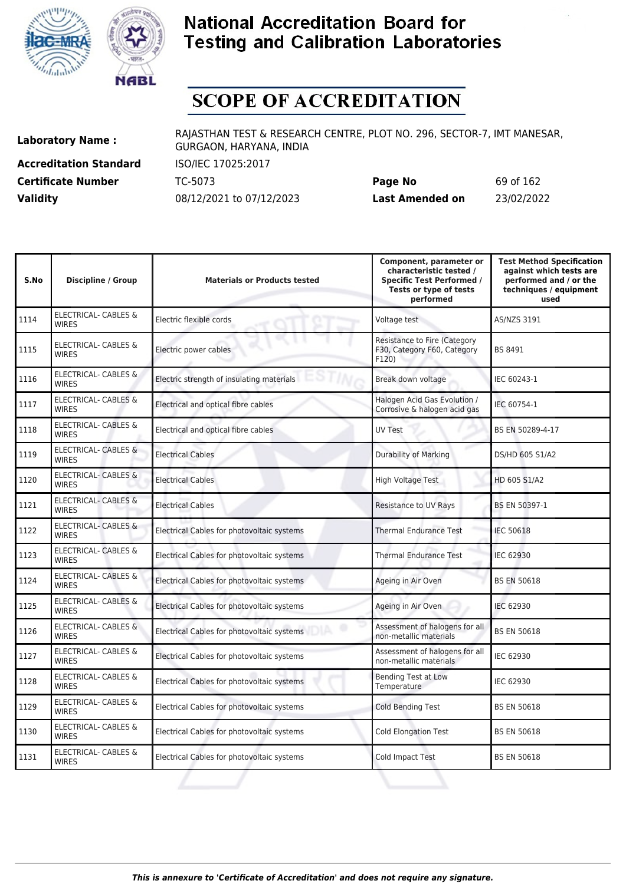



# **SCOPE OF ACCREDITATION**

**Accreditation Standard** ISO/IEC 17025:2017

**Laboratory Name :** RAJASTHAN TEST & RESEARCH CENTRE, PLOT NO. 296, SECTOR-7, IMT MANESAR, GURGAON, HARYANA, INDIA

**Certificate Number** TC-5073 **Page No** 69 of 162 **Validity** 08/12/2021 to 07/12/2023 **Last Amended on** 23/02/2022

| S.No | <b>Discipline / Group</b>                       | <b>Materials or Products tested</b>            | Component, parameter or<br>characteristic tested /<br><b>Specific Test Performed /</b><br>Tests or type of tests<br>performed | <b>Test Method Specification</b><br>against which tests are<br>performed and / or the<br>techniques / equipment<br>used |
|------|-------------------------------------------------|------------------------------------------------|-------------------------------------------------------------------------------------------------------------------------------|-------------------------------------------------------------------------------------------------------------------------|
| 1114 | <b>ELECTRICAL- CABLES &amp;</b><br><b>WIRES</b> | Electric flexible cords                        | Voltage test                                                                                                                  | <b>AS/NZS 3191</b>                                                                                                      |
| 1115 | ELECTRICAL- CABLES &<br><b>WIRES</b>            | Electric power cables                          | <b>Resistance to Fire (Category</b><br>F30, Category F60, Category<br>F120)                                                   | BS 8491                                                                                                                 |
| 1116 | <b>ELECTRICAL- CABLES &amp;</b><br><b>WIRES</b> | Electric strength of insulating materials<br>m | Break down voltage                                                                                                            | IEC 60243-1                                                                                                             |
| 1117 | ELECTRICAL- CABLES &<br><b>WIRES</b>            | Electrical and optical fibre cables            | Halogen Acid Gas Evolution /<br>Corrosive & halogen acid gas                                                                  | IEC 60754-1                                                                                                             |
| 1118 | <b>ELECTRICAL- CABLES &amp;</b><br><b>WIRES</b> | Electrical and optical fibre cables            | <b>UV Test</b>                                                                                                                | BS EN 50289-4-17                                                                                                        |
| 1119 | <b>ELECTRICAL- CABLES &amp;</b><br><b>WIRES</b> | <b>Electrical Cables</b>                       | Durability of Marking                                                                                                         | DS/HD 605 S1/A2                                                                                                         |
| 1120 | <b>ELECTRICAL- CABLES &amp;</b><br><b>WIRES</b> | <b>Electrical Cables</b>                       | High Voltage Test                                                                                                             | HD 605 S1/A2                                                                                                            |
| 1121 | <b>ELECTRICAL- CABLES &amp;</b><br><b>WIRES</b> | <b>Electrical Cables</b>                       | <b>Resistance to UV Rays</b>                                                                                                  | BS EN 50397-1                                                                                                           |
| 1122 | <b>ELECTRICAL- CABLES &amp;</b><br><b>WIRES</b> | Electrical Cables for photovoltaic systems     | <b>Thermal Endurance Test</b>                                                                                                 | <b>IEC 50618</b>                                                                                                        |
| 1123 | <b>ELECTRICAL- CABLES &amp;</b><br><b>WIRES</b> | Electrical Cables for photovoltaic systems     | <b>Thermal Endurance Test</b>                                                                                                 | <b>IEC 62930</b>                                                                                                        |
| 1124 | <b>ELECTRICAL- CABLES &amp;</b><br><b>WIRES</b> | Electrical Cables for photovoltaic systems     | Ageing in Air Oven                                                                                                            | <b>BS EN 50618</b>                                                                                                      |
| 1125 | <b>ELECTRICAL- CABLES &amp;</b><br><b>WIRES</b> | Electrical Cables for photovoltaic systems     | Ageing in Air Oven                                                                                                            | <b>IEC 62930</b>                                                                                                        |
| 1126 | ELECTRICAL- CABLES &<br><b>WIRES</b>            | Electrical Cables for photovoltaic systems     | Assessment of halogens for all<br>non-metallic materials                                                                      | <b>BS EN 50618</b>                                                                                                      |
| 1127 | ELECTRICAL- CABLES &<br><b>WIRFS</b>            | Electrical Cables for photovoltaic systems     | Assessment of halogens for all<br>non-metallic materials                                                                      | IEC 62930                                                                                                               |
| 1128 | ELECTRICAL- CABLES &<br><b>WIRES</b>            | Electrical Cables for photovoltaic systems     | <b>Bending Test at Low</b><br>Temperature                                                                                     | IEC 62930                                                                                                               |
| 1129 | ELECTRICAL- CABLES &<br><b>WIRES</b>            | Electrical Cables for photovoltaic systems     | <b>Cold Bending Test</b>                                                                                                      | <b>BS EN 50618</b>                                                                                                      |
| 1130 | ELECTRICAL- CABLES &<br><b>WIRES</b>            | Electrical Cables for photovoltaic systems     | <b>Cold Elongation Test</b>                                                                                                   | <b>BS EN 50618</b>                                                                                                      |
| 1131 | <b>ELECTRICAL- CABLES &amp;</b><br><b>WIRES</b> | Electrical Cables for photovoltaic systems     | Cold Impact Test                                                                                                              | <b>BS EN 50618</b>                                                                                                      |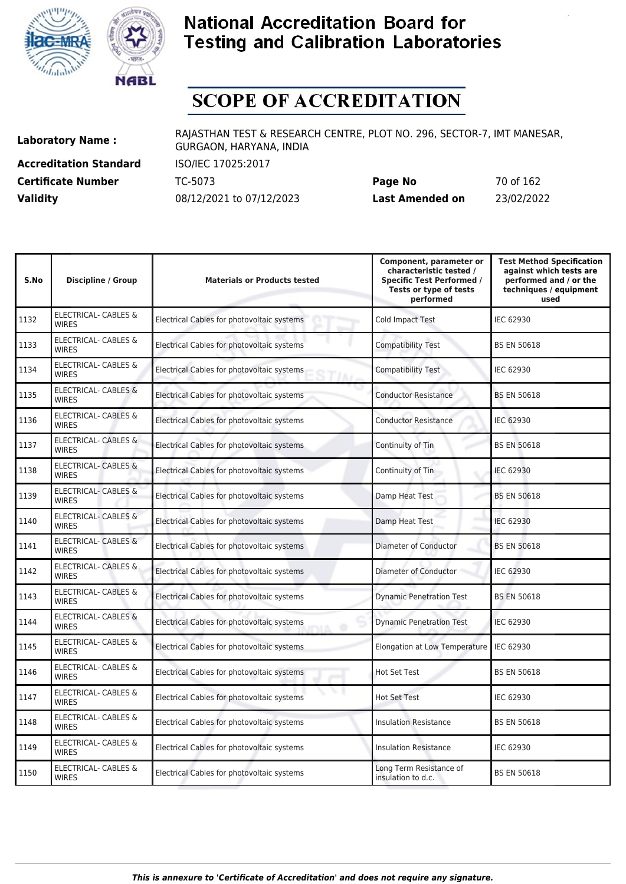



# **SCOPE OF ACCREDITATION**

**Accreditation Standard** ISO/IEC 17025:2017

**Laboratory Name :** RAJASTHAN TEST & RESEARCH CENTRE, PLOT NO. 296, SECTOR-7, IMT MANESAR, GURGAON, HARYANA, INDIA

**Certificate Number** TC-5073 **Page No** 70 of 162 **Validity** 08/12/2021 to 07/12/2023 **Last Amended on** 23/02/2022

| S.No | <b>Discipline / Group</b>                       | <b>Materials or Products tested</b>             | Component, parameter or<br>characteristic tested /<br><b>Specific Test Performed /</b><br>Tests or type of tests<br>performed | <b>Test Method Specification</b><br>against which tests are<br>performed and / or the<br>techniques / equipment<br>used |
|------|-------------------------------------------------|-------------------------------------------------|-------------------------------------------------------------------------------------------------------------------------------|-------------------------------------------------------------------------------------------------------------------------|
| 1132 | ELECTRICAL- CABLES &<br><b>WIRES</b>            | Electrical Cables for photovoltaic systems      | Cold Impact Test                                                                                                              | IEC 62930                                                                                                               |
| 1133 | <b>ELECTRICAL- CABLES &amp;</b><br><b>WIRES</b> | Electrical Cables for photovoltaic systems      | <b>Compatibility Test</b>                                                                                                     | <b>BS EN 50618</b>                                                                                                      |
| 1134 | <b>ELECTRICAL- CABLES &amp;</b><br><b>WIRES</b> | Electrical Cables for photovoltaic systems      | <b>Compatibility Test</b>                                                                                                     | IEC 62930                                                                                                               |
| 1135 | ELECTRICAL- CABLES &<br><b>WIRES</b>            | Electrical Cables for photovoltaic systems      | <b>Conductor Resistance</b>                                                                                                   | <b>BS EN 50618</b>                                                                                                      |
| 1136 | ELECTRICAL- CABLES &<br><b>WIRES</b>            | Electrical Cables for photovoltaic systems      | <b>Conductor Resistance</b>                                                                                                   | <b>IEC 62930</b>                                                                                                        |
| 1137 | <b>ELECTRICAL- CABLES &amp;</b><br><b>WIRES</b> | Electrical Cables for photovoltaic systems      | Continuity of Tin                                                                                                             | <b>BS EN 50618</b>                                                                                                      |
| 1138 | <b>ELECTRICAL- CABLES &amp;</b><br><b>WIRES</b> | Electrical Cables for photovoltaic systems      | Continuity of Tin                                                                                                             | IEC 62930                                                                                                               |
| 1139 | <b>ELECTRICAL- CABLES &amp;</b><br><b>WIRES</b> | Electrical Cables for photovoltaic systems      | Damp Heat Test                                                                                                                | <b>BS EN 50618</b>                                                                                                      |
| 1140 | ELECTRICAL- CABLES &<br><b>WIRES</b>            | Electrical Cables for photovoltaic systems      | Damp Heat Test                                                                                                                | <b>IEC 62930</b>                                                                                                        |
| 1141 | ELECTRICAL- CABLES &<br><b>WIRES</b>            | Electrical Cables for photovoltaic systems      | Diameter of Conductor                                                                                                         | <b>BS EN 50618</b>                                                                                                      |
| 1142 | ELECTRICAL- CABLES &<br><b>WIRES</b>            | Electrical Cables for photovoltaic systems      | <b>Diameter of Conductor</b>                                                                                                  | <b>IEC 62930</b>                                                                                                        |
| 1143 | ELECTRICAL- CABLES &<br><b>WIRES</b>            | Electrical Cables for photovoltaic systems      | <b>Dynamic Penetration Test</b>                                                                                               | <b>BS EN 50618</b>                                                                                                      |
| 1144 | <b>ELECTRICAL- CABLES &amp;</b><br><b>WIRES</b> | Electrical Cables for photovoltaic systems      | <b>Dynamic Penetration Test</b>                                                                                               | <b>IEC 62930</b>                                                                                                        |
| 1145 | ELECTRICAL- CABLES &<br><b>WIRES</b>            | Electrical Cables for photovoltaic systems      | Elongation at Low Temperature                                                                                                 | IEC 62930                                                                                                               |
| 1146 | <b>ELECTRICAL- CABLES &amp;</b><br><b>WIRES</b> | Electrical Cables for photovoltaic systems      | <b>Hot Set Test</b>                                                                                                           | <b>BS EN 50618</b>                                                                                                      |
| 1147 | <b>ELECTRICAL- CABLES &amp;</b><br><b>WIRES</b> | v<br>Electrical Cables for photovoltaic systems | <b>Hot Set Test</b>                                                                                                           | IEC 62930                                                                                                               |
| 1148 | ELECTRICAL- CABLES &<br><b>WIRES</b>            | Electrical Cables for photovoltaic systems      | <b>Insulation Resistance</b>                                                                                                  | <b>BS EN 50618</b>                                                                                                      |
| 1149 | <b>ELECTRICAL- CABLES &amp;</b><br><b>WIRES</b> | Electrical Cables for photovoltaic systems      | <b>Insulation Resistance</b>                                                                                                  | <b>IEC 62930</b>                                                                                                        |
| 1150 | <b>ELECTRICAL- CABLES &amp;</b><br><b>WIRES</b> | Electrical Cables for photovoltaic systems      | Long Term Resistance of<br>insulation to d.c.                                                                                 | <b>BS EN 50618</b>                                                                                                      |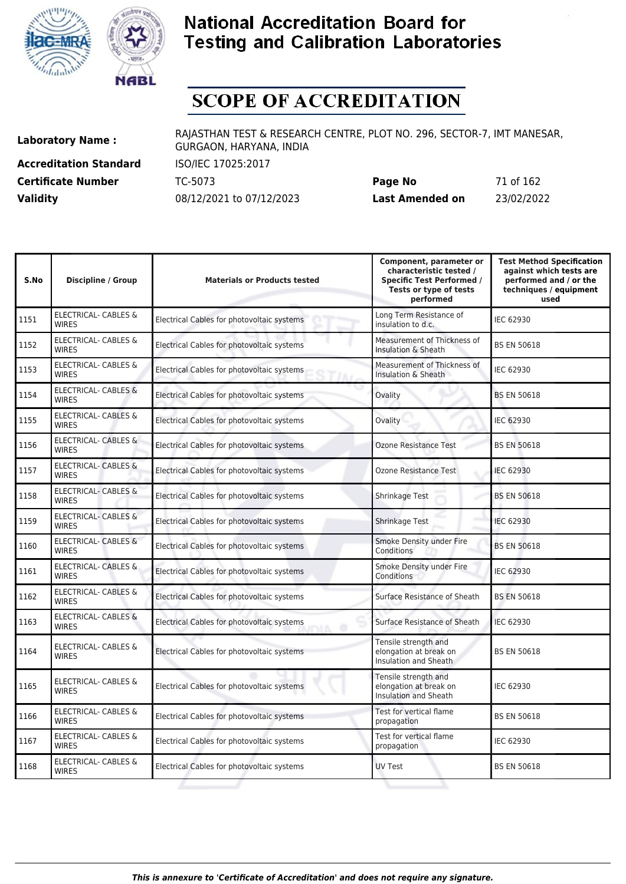



# **SCOPE OF ACCREDITATION**

**Accreditation Standard** ISO/IEC 17025:2017

**Laboratory Name :** RAJASTHAN TEST & RESEARCH CENTRE, PLOT NO. 296, SECTOR-7, IMT MANESAR, GURGAON, HARYANA, INDIA

**Certificate Number** TC-5073 **Page No** 71 of 162 **Validity** 08/12/2021 to 07/12/2023 **Last Amended on** 23/02/2022

| S.No | <b>Discipline / Group</b>                       | <b>Materials or Products tested</b>        | Component, parameter or<br>characteristic tested /<br><b>Specific Test Performed /</b><br>Tests or type of tests<br>performed | <b>Test Method Specification</b><br>against which tests are<br>performed and / or the<br>techniques / equipment<br>used |
|------|-------------------------------------------------|--------------------------------------------|-------------------------------------------------------------------------------------------------------------------------------|-------------------------------------------------------------------------------------------------------------------------|
| 1151 | ELECTRICAL- CABLES &<br><b>WIRES</b>            | Electrical Cables for photovoltaic systems | Long Term Resistance of<br>insulation to d.c.                                                                                 | IEC 62930                                                                                                               |
| 1152 | <b>ELECTRICAL- CABLES &amp;</b><br><b>WIRES</b> | Electrical Cables for photovoltaic systems | Measurement of Thickness of<br>Insulation & Sheath                                                                            | <b>BS EN 50618</b>                                                                                                      |
| 1153 | <b>ELECTRICAL- CABLES &amp;</b><br><b>WIRES</b> | Electrical Cables for photovoltaic systems | Measurement of Thickness of<br>Insulation & Sheath                                                                            | IEC 62930                                                                                                               |
| 1154 | <b>ELECTRICAL- CABLES &amp;</b><br><b>WIRES</b> | Electrical Cables for photovoltaic systems | Ovality                                                                                                                       | <b>BS EN 50618</b>                                                                                                      |
| 1155 | ELECTRICAL- CABLES &<br><b>WIRES</b>            | Electrical Cables for photovoltaic systems | Ovality                                                                                                                       | IEC 62930                                                                                                               |
| 1156 | <b>ELECTRICAL- CABLES &amp;</b><br><b>WIRES</b> | Electrical Cables for photovoltaic systems | Ozone Resistance Test                                                                                                         | <b>BS EN 50618</b>                                                                                                      |
| 1157 | <b>ELECTRICAL- CABLES &amp;</b><br><b>WIRES</b> | Electrical Cables for photovoltaic systems | Ozone Resistance Test                                                                                                         | <b>IEC 62930</b>                                                                                                        |
| 1158 | <b>ELECTRICAL- CABLES &amp;</b><br><b>WIRES</b> | Electrical Cables for photovoltaic systems | Shrinkage Test                                                                                                                | <b>BS EN 50618</b>                                                                                                      |
| 1159 | ELECTRICAL- CABLES &<br><b>WIRES</b>            | Electrical Cables for photovoltaic systems | <b>Shrinkage Test</b>                                                                                                         | <b>IEC 62930</b>                                                                                                        |
| 1160 | ELECTRICAL- CABLES &<br><b>WIRES</b>            | Electrical Cables for photovoltaic systems | Smoke Density under Fire<br>Conditions                                                                                        | <b>BS EN 50618</b>                                                                                                      |
| 1161 | <b>ELECTRICAL- CABLES &amp;</b><br><b>WIRES</b> | Electrical Cables for photovoltaic systems | Smoke Density under Fire<br>Conditions                                                                                        | <b>IEC 62930</b>                                                                                                        |
| 1162 | <b>ELECTRICAL- CABLES &amp;</b><br><b>WIRES</b> | Electrical Cables for photovoltaic systems | Surface Resistance of Sheath                                                                                                  | <b>BS EN 50618</b>                                                                                                      |
| 1163 | <b>ELECTRICAL- CABLES &amp;</b><br><b>WIRES</b> | Electrical Cables for photovoltaic systems | Surface Resistance of Sheath                                                                                                  | <b>IEC 62930</b>                                                                                                        |
| 1164 | ELECTRICAL- CABLES &<br><b>WIRES</b>            | Electrical Cables for photovoltaic systems | Tensile strength and<br>elongation at break on<br>Insulation and Sheath                                                       | <b>BS EN 50618</b>                                                                                                      |
| 1165 | <b>ELECTRICAL- CABLES &amp;</b><br><b>WIRES</b> | Electrical Cables for photovoltaic systems | Tensile strength and<br>elongation at break on<br><b>Insulation and Sheath</b>                                                | <b>IEC 62930</b>                                                                                                        |
| 1166 | <b>ELECTRICAL- CABLES &amp;</b><br><b>WIRES</b> | Electrical Cables for photovoltaic systems | Test for vertical flame<br>propagation                                                                                        | <b>BS EN 50618</b>                                                                                                      |
| 1167 | <b>ELECTRICAL- CABLES &amp;</b><br><b>WIRES</b> | Electrical Cables for photovoltaic systems | Test for vertical flame<br>propagation                                                                                        | IEC 62930                                                                                                               |
| 1168 | ELECTRICAL- CABLES &<br><b>WIRES</b>            | Electrical Cables for photovoltaic systems | <b>UV Test</b>                                                                                                                | <b>BS EN 50618</b>                                                                                                      |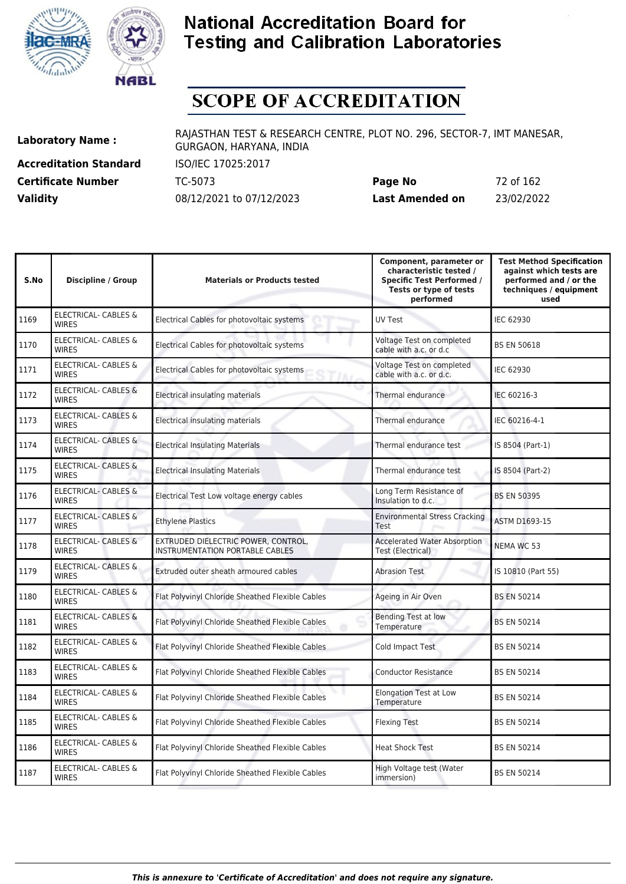



# **SCOPE OF ACCREDITATION**

**Accreditation Standard** ISO/IEC 17025:2017 **Certificate Number Page 162 TC-5073** 

**Laboratory Name :** RAJASTHAN TEST & RESEARCH CENTRE, PLOT NO. 296, SECTOR-7, IMT MANESAR, GURGAON, HARYANA, INDIA

| <b>Certificate Number</b> | TC-5073                  | Page No         | 72 of 162  |
|---------------------------|--------------------------|-----------------|------------|
| <b>Validity</b>           | 08/12/2021 to 07/12/2023 | Last Amended on | 23/02/2022 |

| S.No | <b>Discipline / Group</b>                       | <b>Materials or Products tested</b>                                    | Component, parameter or<br>characteristic tested /<br><b>Specific Test Performed /</b><br>Tests or type of tests<br>performed | <b>Test Method Specification</b><br>against which tests are<br>performed and / or the<br>techniques / equipment<br>used |
|------|-------------------------------------------------|------------------------------------------------------------------------|-------------------------------------------------------------------------------------------------------------------------------|-------------------------------------------------------------------------------------------------------------------------|
| 1169 | <b>ELECTRICAL- CABLES &amp;</b><br><b>WIRES</b> | Electrical Cables for photovoltaic systems                             | UV Test                                                                                                                       | <b>IEC 62930</b>                                                                                                        |
| 1170 | <b>ELECTRICAL- CABLES &amp;</b><br><b>WIRES</b> | Electrical Cables for photovoltaic systems                             | Voltage Test on completed<br>cable with a.c. or d.c                                                                           | <b>BS EN 50618</b>                                                                                                      |
| 1171 | <b>ELECTRICAL- CABLES &amp;</b><br><b>WIRES</b> | Electrical Cables for photovoltaic systems                             | Voltage Test on completed<br>cable with a.c. or d.c.                                                                          | <b>IEC 62930</b>                                                                                                        |
| 1172 | <b>ELECTRICAL- CABLES &amp;</b><br><b>WIRES</b> | Electrical insulating materials                                        | Thermal endurance                                                                                                             | IEC 60216-3                                                                                                             |
| 1173 | ELECTRICAL- CABLES &<br><b>WIRES</b>            | Electrical insulating materials                                        | Thermal endurance                                                                                                             | IEC 60216-4-1                                                                                                           |
| 1174 | <b>ELECTRICAL- CABLES &amp;</b><br><b>WIRES</b> | <b>Electrical Insulating Materials</b>                                 | Thermal endurance test                                                                                                        | IS 8504 (Part-1)                                                                                                        |
| 1175 | <b>ELECTRICAL- CABLES &amp;</b><br><b>WIRES</b> | <b>Electrical Insulating Materials</b>                                 | Thermal endurance test                                                                                                        | IS 8504 (Part-2)                                                                                                        |
| 1176 | ELECTRICAL- CABLES &<br><b>WIRES</b>            | Electrical Test Low voltage energy cables                              | Long Term Resistance of<br>Insulation to d.c.                                                                                 | <b>BS EN 50395</b>                                                                                                      |
| 1177 | ELECTRICAL- CABLES &<br><b>WIRES</b>            | <b>Ethylene Plastics</b>                                               | <b>Environmental Stress Cracking</b><br>Test                                                                                  | <b>ASTM D1693-15</b>                                                                                                    |
| 1178 | <b>ELECTRICAL- CABLES &amp;</b><br><b>WIRES</b> | EXTRUDED DIELECTRIC POWER, CONTROL,<br>INSTRUMENTATION PORTABLE CABLES | <b>Accelerated Water Absorption</b><br>Test (Electrical)                                                                      | NEMA WC 53                                                                                                              |
| 1179 | <b>ELECTRICAL- CABLES &amp;</b><br><b>WIRES</b> | Extruded outer sheath armoured cables                                  | <b>Abrasion Test</b>                                                                                                          | IS 10810 (Part 55)                                                                                                      |
| 1180 | ELECTRICAL- CABLES &<br><b>WIRES</b>            | Flat Polyvinyl Chloride Sheathed Flexible Cables                       | Ageing in Air Oven                                                                                                            | <b>BS EN 50214</b>                                                                                                      |
| 1181 | <b>ELECTRICAL- CABLES &amp;</b><br><b>WIRES</b> | Flat Polyvinyl Chloride Sheathed Flexible Cables                       | <b>Bending Test at low</b><br>Temperature                                                                                     | <b>BS EN 50214</b>                                                                                                      |
| 1182 | ELECTRICAL- CABLES &<br><b>WIRES</b>            | Flat Polyvinyl Chloride Sheathed Flexible Cables                       | Cold Impact Test                                                                                                              | <b>BS EN 50214</b>                                                                                                      |
| 1183 | ELECTRICAL- CABLES &<br><b>WIRES</b>            | Flat Polyvinyl Chloride Sheathed Flexible Cables                       | <b>Conductor Resistance</b>                                                                                                   | <b>BS EN 50214</b>                                                                                                      |
| 1184 | ELECTRICAL- CABLES &<br><b>WIRFS</b>            | Flat Polyvinyl Chloride Sheathed Flexible Cables                       | <b>Elongation Test at Low</b><br>Temperature                                                                                  | <b>BS EN 50214</b>                                                                                                      |
| 1185 | ELECTRICAL- CABLES &<br><b>WIRES</b>            | Flat Polyvinyl Chloride Sheathed Flexible Cables                       | <b>Flexing Test</b>                                                                                                           | <b>BS EN 50214</b>                                                                                                      |
| 1186 | <b>ELECTRICAL- CABLES &amp;</b><br><b>WIRES</b> | Flat Polyvinyl Chloride Sheathed Flexible Cables                       | <b>Heat Shock Test</b>                                                                                                        | <b>BS EN 50214</b>                                                                                                      |
| 1187 | <b>ELECTRICAL- CABLES &amp;</b><br><b>WIRES</b> | Flat Polyvinyl Chloride Sheathed Flexible Cables                       | High Voltage test (Water<br>immersion)                                                                                        | <b>BS EN 50214</b>                                                                                                      |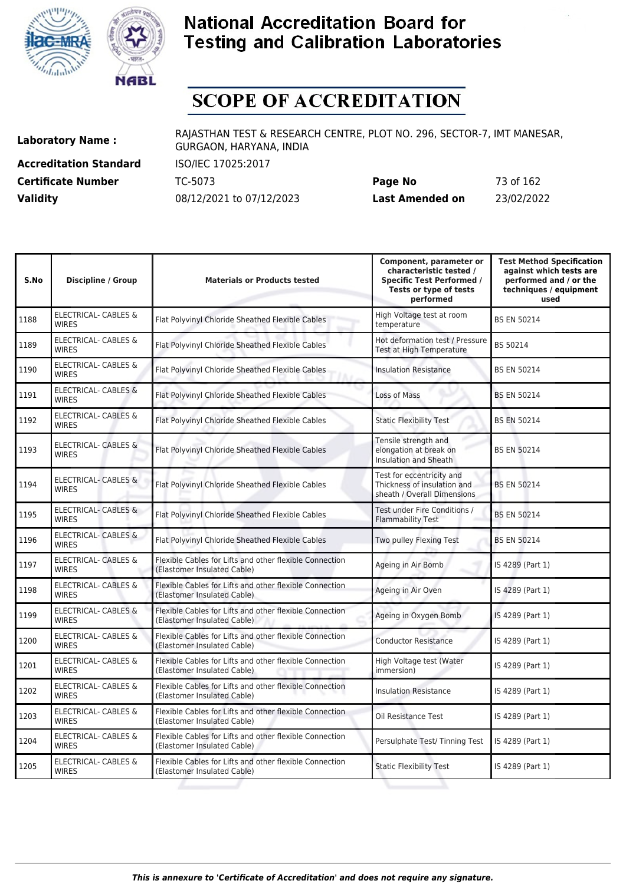



# **SCOPE OF ACCREDITATION**

**Accreditation Standard** ISO/IEC 17025:2017

**Laboratory Name :** RAJASTHAN TEST & RESEARCH CENTRE, PLOT NO. 296, SECTOR-7, IMT MANESAR, GURGAON, HARYANA, INDIA

**Certificate Number** TC-5073 **Page No** 73 of 162 **Validity** 08/12/2021 to 07/12/2023 **Last Amended on** 23/02/2022

| <b>Discipline / Group</b>                       | <b>Materials or Products tested</b>                                                    | Component, parameter or<br>characteristic tested /<br><b>Specific Test Performed /</b><br>Tests or type of tests<br>performed | <b>Test Method Specification</b><br>against which tests are<br>performed and / or the<br>techniques / equipment<br>used |
|-------------------------------------------------|----------------------------------------------------------------------------------------|-------------------------------------------------------------------------------------------------------------------------------|-------------------------------------------------------------------------------------------------------------------------|
| ELECTRICAL- CABLES &<br><b>WIRES</b>            | Flat Polyvinyl Chloride Sheathed Flexible Cables                                       | High Voltage test at room<br>temperature                                                                                      | <b>BS EN 50214</b>                                                                                                      |
| <b>ELECTRICAL- CABLES &amp;</b><br><b>WIRES</b> | Flat Polyvinyl Chloride Sheathed Flexible Cables                                       | Hot deformation test / Pressure<br>Test at High Temperature                                                                   | BS 50214                                                                                                                |
| ELECTRICAL- CABLES &<br><b>WIRES</b>            | Flat Polyvinyl Chloride Sheathed Flexible Cables                                       | <b>Insulation Resistance</b>                                                                                                  | <b>BS EN 50214</b>                                                                                                      |
| <b>ELECTRICAL- CABLES &amp;</b><br><b>WIRES</b> | Flat Polyvinyl Chloride Sheathed Flexible Cables                                       | Loss of Mass                                                                                                                  | <b>BS EN 50214</b>                                                                                                      |
| <b>ELECTRICAL- CABLES &amp;</b><br><b>WIRES</b> | Flat Polyvinyl Chloride Sheathed Flexible Cables                                       | <b>Static Flexibility Test</b>                                                                                                | <b>BS EN 50214</b>                                                                                                      |
| <b>ELECTRICAL- CABLES &amp;</b><br><b>WIRFS</b> | Flat Polyvinyl Chloride Sheathed Flexible Cables                                       | Tensile strength and<br>elongation at break on<br>Insulation and Sheath                                                       | <b>BS EN 50214</b>                                                                                                      |
| ELECTRICAL- CABLES &<br><b>WIRES</b>            | Flat Polyvinyl Chloride Sheathed Flexible Cables                                       | Test for eccentricity and<br>Thickness of insulation and<br>sheath / Overall Dimensions                                       | <b>BS EN 50214</b>                                                                                                      |
| ELECTRICAL- CABLES &<br><b>WIRES</b>            | Flat Polyvinyl Chloride Sheathed Flexible Cables                                       | Test under Fire Conditions /<br><b>Flammability Test</b>                                                                      | <b>BS EN 50214</b>                                                                                                      |
| ELECTRICAL- CABLES &<br><b>WIRES</b>            | Flat Polyvinyl Chloride Sheathed Flexible Cables                                       | Two pulley Flexing Test                                                                                                       | <b>BS EN 50214</b>                                                                                                      |
| <b>ELECTRICAL- CABLES &amp;</b><br><b>WIRES</b> | Flexible Cables for Lifts and other flexible Connection<br>(Elastomer Insulated Cable) | Ageing in Air Bomb                                                                                                            | IS 4289 (Part 1)                                                                                                        |
| ELECTRICAL- CABLES &<br><b>WIRES</b>            | Flexible Cables for Lifts and other flexible Connection<br>(Elastomer Insulated Cable) | Ageing in Air Oven                                                                                                            | IS 4289 (Part 1)                                                                                                        |
| <b>ELECTRICAL- CABLES &amp;</b><br><b>WIRES</b> | Flexible Cables for Lifts and other flexible Connection<br>(Elastomer Insulated Cable) | Ageing in Oxygen Bomb                                                                                                         | IS 4289 (Part 1)                                                                                                        |
| <b>ELECTRICAL- CABLES &amp;</b><br><b>WIRES</b> | Flexible Cables for Lifts and other flexible Connection<br>(Elastomer Insulated Cable) | <b>Conductor Resistance</b>                                                                                                   | IS 4289 (Part 1)                                                                                                        |
| <b>ELECTRICAL- CABLES &amp;</b><br><b>WIRES</b> | Flexible Cables for Lifts and other flexible Connection<br>(Elastomer Insulated Cable) | High Voltage test (Water<br>immersion)                                                                                        | IS 4289 (Part 1)                                                                                                        |
| <b>ELECTRICAL- CABLES &amp;</b><br><b>WIRES</b> | Flexible Cables for Lifts and other flexible Connection<br>(Elastomer Insulated Cable) | <b>Insulation Resistance</b>                                                                                                  | IS 4289 (Part 1)                                                                                                        |
| ELECTRICAL- CABLES &<br><b>WIRES</b>            | Flexible Cables for Lifts and other flexible Connection<br>(Elastomer Insulated Cable) | Oil Resistance Test                                                                                                           | IS 4289 (Part 1)                                                                                                        |
| <b>ELECTRICAL- CABLES &amp;</b><br><b>WIRES</b> | Flexible Cables for Lifts and other flexible Connection<br>(Elastomer Insulated Cable) | Persulphate Test/ Tinning Test                                                                                                | IS 4289 (Part 1)                                                                                                        |
| ELECTRICAL- CABLES &<br><b>WIRES</b>            | Flexible Cables for Lifts and other flexible Connection<br>(Elastomer Insulated Cable) | <b>Static Flexibility Test</b>                                                                                                | IS 4289 (Part 1)                                                                                                        |
|                                                 |                                                                                        |                                                                                                                               |                                                                                                                         |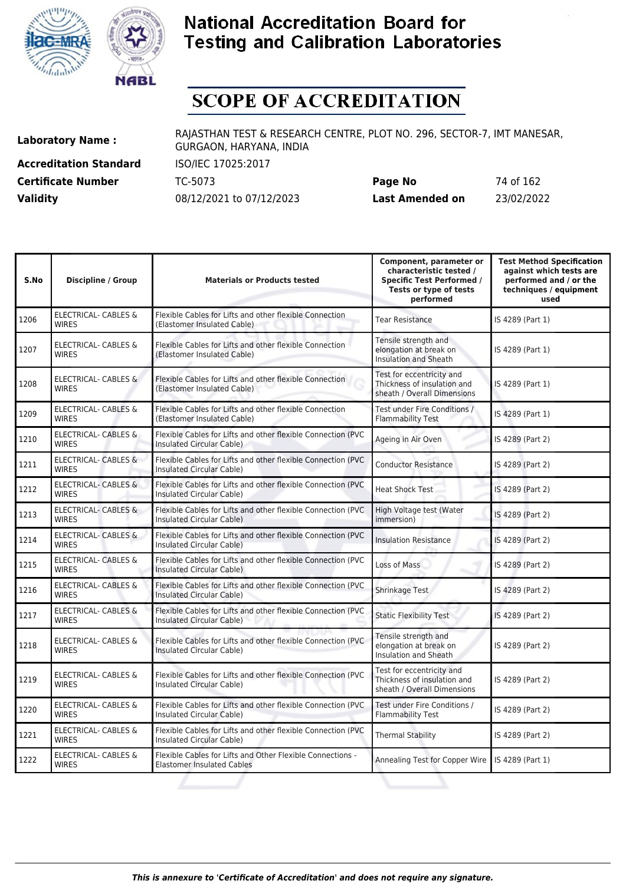



# **SCOPE OF ACCREDITATION**

**Accreditation Standard** ISO/IEC 17025:2017

**Laboratory Name :** RAJASTHAN TEST & RESEARCH CENTRE, PLOT NO. 296, SECTOR-7, IMT MANESAR, GURGAON, HARYANA, INDIA

**Certificate Number** TC-5073 **Page No** 74 of 162 **Validity** 08/12/2021 to 07/12/2023 **Last Amended on** 23/02/2022

| S.No | <b>Discipline / Group</b>                       | <b>Materials or Products tested</b>                                                              | Component, parameter or<br>characteristic tested /<br><b>Specific Test Performed /</b><br>Tests or type of tests<br>performed | <b>Test Method Specification</b><br>against which tests are<br>performed and / or the<br>techniques / equipment<br>used |
|------|-------------------------------------------------|--------------------------------------------------------------------------------------------------|-------------------------------------------------------------------------------------------------------------------------------|-------------------------------------------------------------------------------------------------------------------------|
| 1206 | <b>ELECTRICAL- CABLES &amp;</b><br><b>WIRES</b> | Flexible Cables for Lifts and other flexible Connection<br>(Elastomer Insulated Cable)           | <b>Tear Resistance</b>                                                                                                        | IS 4289 (Part 1)                                                                                                        |
| 1207 | ELECTRICAL- CABLES &<br><b>WIRES</b>            | Flexible Cables for Lifts and other flexible Connection<br>(Elastomer Insulated Cable)           | Tensile strength and<br>elongation at break on<br>Insulation and Sheath                                                       | IS 4289 (Part 1)                                                                                                        |
| 1208 | ELECTRICAL- CABLES &<br><b>WIRES</b>            | Flexible Cables for Lifts and other flexible Connection<br>(Elastomer Insulated Cable)           | Test for eccentricity and<br>Thickness of insulation and<br>sheath / Overall Dimensions                                       | IS 4289 (Part 1)                                                                                                        |
| 1209 | <b>ELECTRICAL- CABLES &amp;</b><br><b>WIRES</b> | Flexible Cables for Lifts and other flexible Connection<br>(Elastomer Insulated Cable)           | Test under Fire Conditions /<br><b>Flammability Test</b>                                                                      | IS 4289 (Part 1)                                                                                                        |
| 1210 | ELECTRICAL- CABLES &<br><b>WIRES</b>            | Flexible Cables for Lifts and other flexible Connection (PVC<br>Insulated Circular Cable)        | Ageing in Air Oven                                                                                                            | IS 4289 (Part 2)                                                                                                        |
| 1211 | <b>ELECTRICAL- CABLES &amp;</b><br><b>WIRES</b> | Flexible Cables for Lifts and other flexible Connection (PVC<br>Insulated Circular Cable)        | <b>Conductor Resistance</b>                                                                                                   | IS 4289 (Part 2)                                                                                                        |
| 1212 | ELECTRICAL- CABLES &<br><b>WIRES</b>            | Flexible Cables for Lifts and other flexible Connection (PVC<br>Insulated Circular Cable)        | <b>Heat Shock Test</b>                                                                                                        | IS 4289 (Part 2)                                                                                                        |
| 1213 | ELECTRICAL- CABLES &<br><b>WIRES</b>            | Flexible Cables for Lifts and other flexible Connection (PVC<br>Insulated Circular Cable)        | High Voltage test (Water<br>immersion)                                                                                        | IS 4289 (Part 2)                                                                                                        |
| 1214 | <b>ELECTRICAL- CABLES &amp;</b><br><b>WIRES</b> | Flexible Cables for Lifts and other flexible Connection (PVC<br>Insulated Circular Cable)        | <b>Insulation Resistance</b>                                                                                                  | IS 4289 (Part 2)                                                                                                        |
| 1215 | ELECTRICAL- CABLES &<br><b>WIRES</b>            | Flexible Cables for Lifts and other flexible Connection (PVC<br>Insulated Circular Cable)        | Loss of Mass                                                                                                                  | IS 4289 (Part 2)                                                                                                        |
| 1216 | ELECTRICAL- CABLES &<br><b>WIRES</b>            | Flexible Cables for Lifts and other flexible Connection (PVC<br><b>Insulated Circular Cable)</b> | Shrinkage Test                                                                                                                | IS 4289 (Part 2)                                                                                                        |
| 1217 | <b>ELECTRICAL- CABLES &amp;</b><br><b>WIRES</b> | Flexible Cables for Lifts and other flexible Connection (PVC<br>Insulated Circular Cable)        | <b>Static Flexibility Test</b>                                                                                                | IS 4289 (Part 2)                                                                                                        |
| 1218 | ELECTRICAL- CABLES &<br><b>WIRES</b>            | Flexible Cables for Lifts and other flexible Connection (PVC<br>Insulated Circular Cable)        | Tensile strength and<br>elongation at break on<br>Insulation and Sheath                                                       | IS 4289 (Part 2)                                                                                                        |
| 1219 | <b>ELECTRICAL- CABLES &amp;</b><br><b>WIRES</b> | Flexible Cables for Lifts and other flexible Connection (PVC<br>Insulated Circular Cable)        | Test for eccentricity and<br>Thickness of insulation and<br>sheath / Overall Dimensions                                       | IS 4289 (Part 2)                                                                                                        |
| 1220 | <b>ELECTRICAL- CABLES &amp;</b><br><b>WIRES</b> | Flexible Cables for Lifts and other flexible Connection (PVC<br>Insulated Circular Cable)        | Test under Fire Conditions /<br><b>Flammability Test</b>                                                                      | IS 4289 (Part 2)                                                                                                        |
| 1221 | ELECTRICAL- CABLES &<br><b>WIRES</b>            | Flexible Cables for Lifts and other flexible Connection (PVC<br>Insulated Circular Cable)        | <b>Thermal Stability</b>                                                                                                      | IS 4289 (Part 2)                                                                                                        |
| 1222 | ELECTRICAL- CABLES &<br><b>WIRES</b>            | Flexible Cables for Lifts and Other Flexible Connections -<br><b>Elastomer Insulated Cables</b>  | Annealing Test for Copper Wire                                                                                                | IS 4289 (Part 1)                                                                                                        |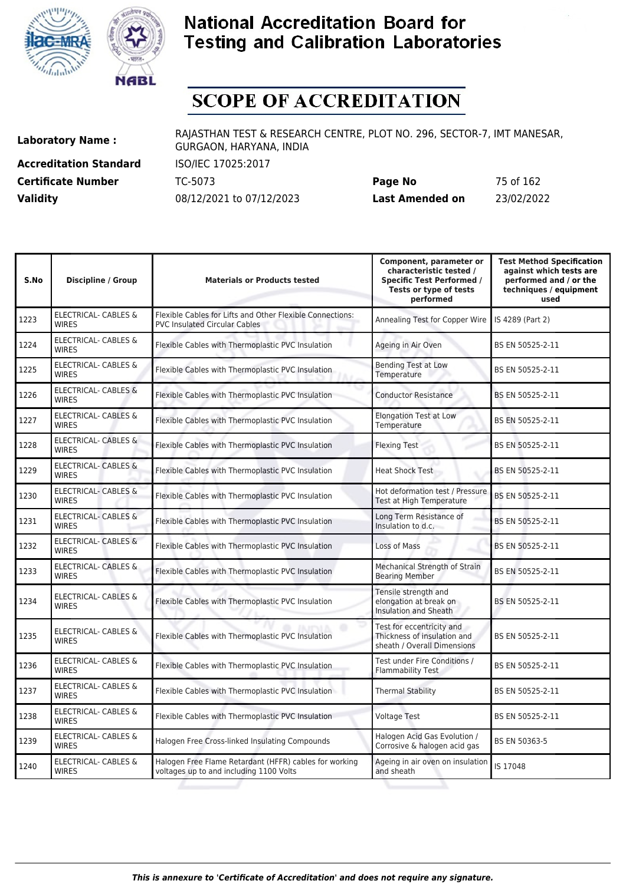



# **SCOPE OF ACCREDITATION**

**Accreditation Standard** ISO/IEC 17025:2017

**Laboratory Name :** RAJASTHAN TEST & RESEARCH CENTRE, PLOT NO. 296, SECTOR-7, IMT MANESAR, GURGAON, HARYANA, INDIA

**Certificate Number** TC-5073 **Page No** 75 of 162 **Validity** 08/12/2021 to 07/12/2023 **Last Amended on** 23/02/2022

| S.No | <b>Discipline / Group</b>                       | <b>Materials or Products tested</b>                                                               | Component, parameter or<br>characteristic tested /<br><b>Specific Test Performed /</b><br>Tests or type of tests<br>performed | <b>Test Method Specification</b><br>against which tests are<br>performed and / or the<br>techniques / equipment<br>used |
|------|-------------------------------------------------|---------------------------------------------------------------------------------------------------|-------------------------------------------------------------------------------------------------------------------------------|-------------------------------------------------------------------------------------------------------------------------|
| 1223 | <b>ELECTRICAL- CABLES &amp;</b><br><b>WIRES</b> | Flexible Cables for Lifts and Other Flexible Connections:<br><b>PVC Insulated Circular Cables</b> | Annealing Test for Copper Wire                                                                                                | IS 4289 (Part 2)                                                                                                        |
| 1224 | ELECTRICAL- CABLES &<br><b>WIRES</b>            | Flexible Cables with Thermoplastic PVC Insulation                                                 | Ageing in Air Oven                                                                                                            | BS EN 50525-2-11                                                                                                        |
| 1225 | <b>ELECTRICAL- CABLES &amp;</b><br><b>WIRES</b> | Flexible Cables with Thermoplastic PVC Insulation                                                 | <b>Bending Test at Low</b><br>Temperature                                                                                     | BS EN 50525-2-11                                                                                                        |
| 1226 | <b>ELECTRICAL- CABLES &amp;</b><br><b>WIRES</b> | Flexible Cables with Thermoplastic PVC Insulation                                                 | <b>Conductor Resistance</b>                                                                                                   | BS EN 50525-2-11                                                                                                        |
| 1227 | ELECTRICAL- CABLES &<br><b>WIRES</b>            | Flexible Cables with Thermoplastic PVC Insulation                                                 | <b>Elongation Test at Low</b><br>Temperature                                                                                  | BS EN 50525-2-11                                                                                                        |
| 1228 | <b>ELECTRICAL- CABLES &amp;</b><br><b>WIRES</b> | Flexible Cables with Thermoplastic PVC Insulation                                                 | <b>Flexing Test</b>                                                                                                           | BS EN 50525-2-11                                                                                                        |
| 1229 | <b>ELECTRICAL- CABLES &amp;</b><br><b>WIRES</b> | Flexible Cables with Thermoplastic PVC Insulation                                                 | <b>Heat Shock Test</b>                                                                                                        | BS EN 50525-2-11                                                                                                        |
| 1230 | <b>ELECTRICAL- CABLES &amp;</b><br><b>WIRES</b> | Flexible Cables with Thermoplastic PVC Insulation                                                 | Hot deformation test / Pressure<br>Test at High Temperature                                                                   | BS EN 50525-2-11                                                                                                        |
| 1231 | ELECTRICAL- CABLES &<br><b>WIRES</b>            | Flexible Cables with Thermoplastic PVC Insulation                                                 | Long Term Resistance of<br>Insulation to d.c.                                                                                 | BS EN 50525-2-11                                                                                                        |
| 1232 | <b>ELECTRICAL- CABLES &amp;</b><br><b>WIRES</b> | Flexible Cables with Thermoplastic PVC Insulation                                                 | Loss of Mass                                                                                                                  | BS EN 50525-2-11                                                                                                        |
| 1233 | <b>ELECTRICAL- CABLES &amp;</b><br><b>WIRES</b> | Flexible Cables with Thermoplastic PVC Insulation                                                 | Mechanical Strength of Strain<br><b>Bearing Member</b>                                                                        | BS EN 50525-2-11                                                                                                        |
| 1234 | ELECTRICAL- CABLES &<br><b>WIRES</b>            | Flexible Cables with Thermoplastic PVC Insulation                                                 | Tensile strength and<br>elongation at break on<br>Insulation and Sheath                                                       | BS EN 50525-2-11                                                                                                        |
| 1235 | <b>ELECTRICAL- CABLES &amp;</b><br><b>WIRES</b> | Flexible Cables with Thermoplastic PVC Insulation                                                 | Test for eccentricity and<br>Thickness of insulation and<br>sheath / Overall Dimensions                                       | BS EN 50525-2-11                                                                                                        |
| 1236 | ELECTRICAL- CABLES &<br><b>WIRES</b>            | Flexible Cables with Thermoplastic PVC Insulation                                                 | Test under Fire Conditions /<br>Flammability Test                                                                             | BS EN 50525-2-11                                                                                                        |
| 1237 | ELECTRICAL- CABLES &<br><b>WIRES</b>            | Flexible Cables with Thermoplastic PVC Insulation                                                 | <b>Thermal Stability</b>                                                                                                      | BS EN 50525-2-11                                                                                                        |
| 1238 | ELECTRICAL- CABLES &<br><b>WIRES</b>            | Flexible Cables with Thermoplastic PVC Insulation                                                 | <b>Voltage Test</b>                                                                                                           | BS EN 50525-2-11                                                                                                        |
| 1239 | ELECTRICAL- CABLES &<br><b>WIRES</b>            | Halogen Free Cross-linked Insulating Compounds                                                    | Halogen Acid Gas Evolution /<br>Corrosive & halogen acid gas                                                                  | BS EN 50363-5                                                                                                           |
| 1240 | ELECTRICAL- CABLES &<br><b>WIRES</b>            | Halogen Free Flame Retardant (HFFR) cables for working<br>voltages up to and including 1100 Volts | Ageing in air oven on insulation<br>and sheath                                                                                | IS 17048                                                                                                                |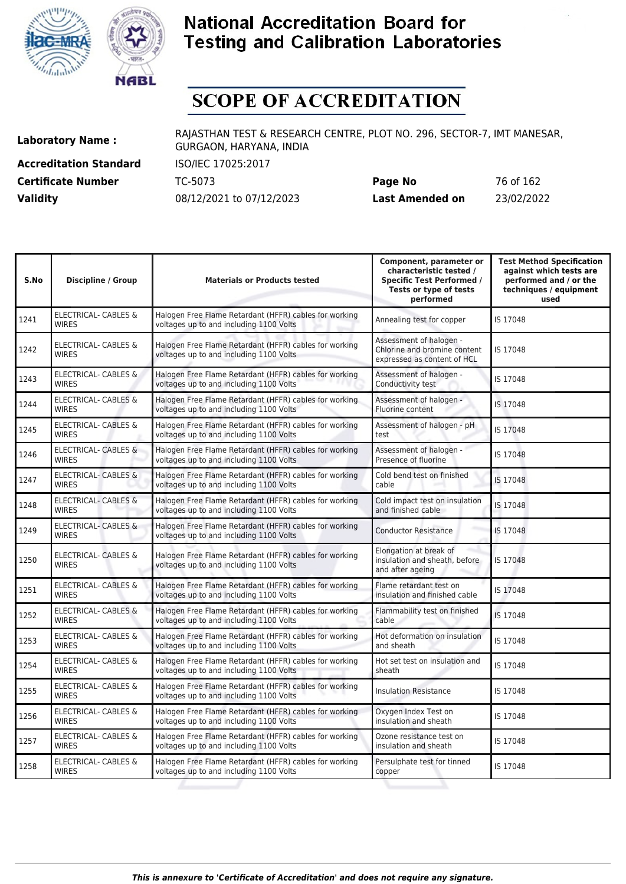



# **SCOPE OF ACCREDITATION**

**Accreditation Standard** ISO/IEC 17025:2017

**Laboratory Name :** RAJASTHAN TEST & RESEARCH CENTRE, PLOT NO. 296, SECTOR-7, IMT MANESAR, GURGAON, HARYANA, INDIA

**Certificate Number** TC-5073 **Page No** 76 of 162 **Validity** 08/12/2021 to 07/12/2023 **Last Amended on** 23/02/2022

| Halogen Free Flame Retardant (HFFR) cables for working<br>voltages up to and including 1100 Volts | Annealing test for copper                                                              |          |
|---------------------------------------------------------------------------------------------------|----------------------------------------------------------------------------------------|----------|
|                                                                                                   |                                                                                        | IS 17048 |
| voltages up to and including 1100 Volts                                                           | Assessment of halogen -<br>Chlorine and bromine content<br>expressed as content of HCL | IS 17048 |
| Halogen Free Flame Retardant (HFFR) cables for working<br>voltages up to and including 1100 Volts | Assessment of halogen -<br>Conductivity test                                           | IS 17048 |
| Halogen Free Flame Retardant (HFFR) cables for working<br>voltages up to and including 1100 Volts | Assessment of halogen -<br>Fluorine content                                            | IS 17048 |
| Halogen Free Flame Retardant (HFFR) cables for working<br>voltages up to and including 1100 Volts | Assessment of halogen - pH<br>test                                                     | IS 17048 |
| Halogen Free Flame Retardant (HFFR) cables for working<br>voltages up to and including 1100 Volts | Assessment of halogen -<br>Presence of fluorine                                        | IS 17048 |
| Halogen Free Flame Retardant (HFFR) cables for working<br>voltages up to and including 1100 Volts | Cold bend test on finished<br>cable                                                    | IS 17048 |
| Halogen Free Flame Retardant (HFFR) cables for working<br>voltages up to and including 1100 Volts | Cold impact test on insulation<br>and finished cable                                   | IS 17048 |
| Halogen Free Flame Retardant (HFFR) cables for working<br>voltages up to and including 1100 Volts | <b>Conductor Resistance</b>                                                            | IS 17048 |
| Halogen Free Flame Retardant (HFFR) cables for working<br>voltages up to and including 1100 Volts | Elongation at break of<br>insulation and sheath, before<br>and after ageing            | IS 17048 |
| Halogen Free Flame Retardant (HFFR) cables for working<br>voltages up to and including 1100 Volts | Flame retardant test on<br>insulation and finished cable                               | IS 17048 |
| Halogen Free Flame Retardant (HFFR) cables for working<br>voltages up to and including 1100 Volts | Flammability test on finished<br>cable                                                 | IS 17048 |
| Halogen Free Flame Retardant (HFFR) cables for working<br>voltages up to and including 1100 Volts | Hot deformation on insulation<br>and sheath                                            | IS 17048 |
| Halogen Free Flame Retardant (HFFR) cables for working<br>voltages up to and including 1100 Volts | Hot set test on insulation and<br>sheath                                               | IS 17048 |
| Halogen Free Flame Retardant (HFFR) cables for working<br>voltages up to and including 1100 Volts | <b>Insulation Resistance</b>                                                           | IS 17048 |
| Halogen Free Flame Retardant (HFFR) cables for working<br>voltages up to and including 1100 Volts | Oxygen Index Test on<br>insulation and sheath                                          | IS 17048 |
| Halogen Free Flame Retardant (HFFR) cables for working<br>voltages up to and including 1100 Volts | Ozone resistance test on<br>insulation and sheath                                      | IS 17048 |
| Halogen Free Flame Retardant (HFFR) cables for working<br>voltages up to and including 1100 Volts | Persulphate test for tinned<br>copper                                                  | IS 17048 |
|                                                                                                   | Halogen Free Flame Retardant (HFFR) cables for working                                 |          |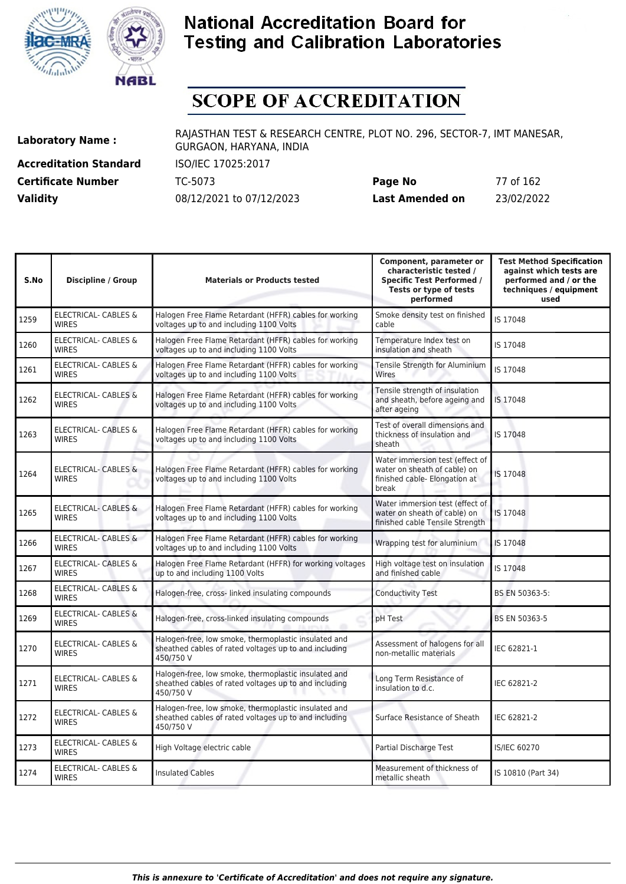



## **SCOPE OF ACCREDITATION**

**Accreditation Standard** ISO/IEC 17025:2017

**Laboratory Name :** RAJASTHAN TEST & RESEARCH CENTRE, PLOT NO. 296, SECTOR-7, IMT MANESAR, GURGAON, HARYANA, INDIA

**Certificate Number** TC-5073 **Page No** 77 of 162 **Validity** 08/12/2021 to 07/12/2023 **Last Amended on** 23/02/2022

| S.No | <b>Discipline / Group</b>                       | <b>Materials or Products tested</b>                                                                                        | Component, parameter or<br>characteristic tested /<br><b>Specific Test Performed /</b><br>Tests or type of tests<br>performed | <b>Test Method Specification</b><br>against which tests are<br>performed and / or the<br>techniques / equipment<br>used |
|------|-------------------------------------------------|----------------------------------------------------------------------------------------------------------------------------|-------------------------------------------------------------------------------------------------------------------------------|-------------------------------------------------------------------------------------------------------------------------|
| 1259 | ELECTRICAL- CABLES &<br><b>WIRES</b>            | Halogen Free Flame Retardant (HFFR) cables for working<br>voltages up to and including 1100 Volts                          | Smoke density test on finished<br>cable                                                                                       | IS 17048                                                                                                                |
| 1260 | <b>ELECTRICAL- CABLES &amp;</b><br><b>WIRES</b> | Halogen Free Flame Retardant (HFFR) cables for working<br>voltages up to and including 1100 Volts                          | Temperature Index test on<br>insulation and sheath                                                                            | IS 17048                                                                                                                |
| 1261 | ELECTRICAL- CABLES &<br><b>WIRES</b>            | Halogen Free Flame Retardant (HFFR) cables for working<br>voltages up to and including 1100 Volts                          | Tensile Strength for Aluminium<br>Wires                                                                                       | IS 17048                                                                                                                |
| 1262 | <b>ELECTRICAL- CABLES &amp;</b><br><b>WIRES</b> | Halogen Free Flame Retardant (HFFR) cables for working<br>voltages up to and including 1100 Volts                          | Tensile strength of insulation<br>and sheath, before ageing and<br>after ageing                                               | IS 17048                                                                                                                |
| 1263 | <b>ELECTRICAL- CABLES &amp;</b><br><b>WIRES</b> | Halogen Free Flame Retardant (HFFR) cables for working<br>voltages up to and including 1100 Volts                          | Test of overall dimensions and<br>thickness of insulation and<br>sheath                                                       | IS 17048                                                                                                                |
| 1264 | <b>ELECTRICAL- CABLES &amp;</b><br><b>WIRES</b> | Halogen Free Flame Retardant (HFFR) cables for working<br>voltages up to and including 1100 Volts                          | Water immersion test (effect of<br>water on sheath of cable) on<br>finished cable- Elongation at<br>break                     | IS 17048                                                                                                                |
| 1265 | <b>ELECTRICAL- CABLES &amp;</b><br><b>WIRES</b> | Halogen Free Flame Retardant (HFFR) cables for working<br>voltages up to and including 1100 Volts                          | Water immersion test (effect of<br>water on sheath of cable) on<br>finished cable Tensile Strength                            | IS 17048                                                                                                                |
| 1266 | <b>ELECTRICAL- CABLES &amp;</b><br><b>WIRES</b> | Halogen Free Flame Retardant (HFFR) cables for working<br>voltages up to and including 1100 Volts                          | Wrapping test for aluminium                                                                                                   | IS 17048                                                                                                                |
| 1267 | ELECTRICAL- CABLES &<br><b>WIRES</b>            | Halogen Free Flame Retardant (HFFR) for working voltages<br>up to and including 1100 Volts                                 | High voltage test on insulation<br>and finished cable                                                                         | IS 17048                                                                                                                |
| 1268 | ELECTRICAL- CABLES &<br><b>WIRES</b>            | Halogen-free, cross- linked insulating compounds                                                                           | <b>Conductivity Test</b>                                                                                                      | BS EN 50363-5:                                                                                                          |
| 1269 | <b>ELECTRICAL- CABLES &amp;</b><br><b>WIRES</b> | Halogen-free, cross-linked insulating compounds                                                                            | pH Test                                                                                                                       | BS EN 50363-5                                                                                                           |
| 1270 | ELECTRICAL- CABLES &<br><b>WIRES</b>            | Halogen-free, low smoke, thermoplastic insulated and<br>sheathed cables of rated voltages up to and including<br>450/750 V | Assessment of halogens for all<br>non-metallic materials                                                                      | IEC 62821-1                                                                                                             |
| 1271 | <b>ELECTRICAL- CABLES &amp;</b><br><b>WIRES</b> | Halogen-free, low smoke, thermoplastic insulated and<br>sheathed cables of rated voltages up to and including<br>450/750 V | Long Term Resistance of<br>insulation to d.c.                                                                                 | IEC 62821-2                                                                                                             |
| 1272 | <b>ELECTRICAL- CABLES &amp;</b><br><b>WIRES</b> | Halogen-free, low smoke, thermoplastic insulated and<br>sheathed cables of rated voltages up to and including<br>450/750 V | Surface Resistance of Sheath                                                                                                  | IEC 62821-2                                                                                                             |
| 1273 | <b>ELECTRICAL- CABLES &amp;</b><br><b>WIRES</b> | High Voltage electric cable                                                                                                | Partial Discharge Test                                                                                                        | <b>IS/IEC 60270</b>                                                                                                     |
| 1274 | <b>ELECTRICAL- CABLES &amp;</b><br><b>WIRES</b> | <b>Insulated Cables</b>                                                                                                    | Measurement of thickness of<br>metallic sheath                                                                                | IS 10810 (Part 34)                                                                                                      |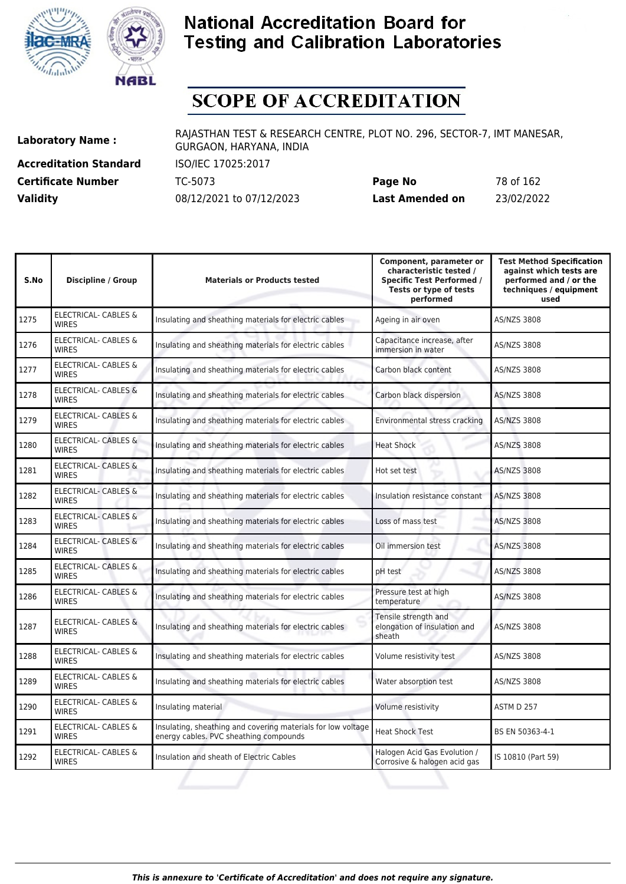



# **SCOPE OF ACCREDITATION**

**Accreditation Standard** ISO/IEC 17025:2017 **Certificate Number Page 162 TC-5073** 

| <b>Certificate Number</b> | TC-5073                  | Page No         | 78 of 162  |
|---------------------------|--------------------------|-----------------|------------|
| <b>Validity</b>           | 08/12/2021 to 07/12/2023 | Last Amended on | 23/02/2022 |

| S.No | <b>Discipline / Group</b>                       | <b>Materials or Products tested</b>                                                                    | Component, parameter or<br>characteristic tested /<br><b>Specific Test Performed /</b><br>Tests or type of tests<br>performed | <b>Test Method Specification</b><br>against which tests are<br>performed and / or the<br>techniques / equipment<br>used |
|------|-------------------------------------------------|--------------------------------------------------------------------------------------------------------|-------------------------------------------------------------------------------------------------------------------------------|-------------------------------------------------------------------------------------------------------------------------|
| 1275 | <b>ELECTRICAL- CABLES &amp;</b><br><b>WIRES</b> | Insulating and sheathing materials for electric cables                                                 | Ageing in air oven                                                                                                            | <b>AS/NZS 3808</b>                                                                                                      |
| 1276 | <b>ELECTRICAL- CABLES &amp;</b><br><b>WIRES</b> | Insulating and sheathing materials for electric cables                                                 | Capacitance increase, after<br>immersion in water                                                                             | <b>AS/NZS 3808</b>                                                                                                      |
| 1277 | <b>ELECTRICAL- CABLES &amp;</b><br><b>WIRES</b> | Insulating and sheathing materials for electric cables                                                 | Carbon black content                                                                                                          | <b>AS/NZS 3808</b>                                                                                                      |
| 1278 | <b>ELECTRICAL- CABLES &amp;</b><br><b>WIRES</b> | Insulating and sheathing materials for electric cables                                                 | Carbon black dispersion                                                                                                       | <b>AS/NZS 3808</b>                                                                                                      |
| 1279 | <b>ELECTRICAL- CABLES &amp;</b><br><b>WIRES</b> | Insulating and sheathing materials for electric cables                                                 | Environmental stress cracking                                                                                                 | <b>AS/NZS 3808</b>                                                                                                      |
| 1280 | ELECTRICAL- CABLES &<br><b>WIRES</b>            | Insulating and sheathing materials for electric cables                                                 | <b>Heat Shock</b>                                                                                                             | <b>AS/NZS 3808</b>                                                                                                      |
| 1281 | <b>ELECTRICAL- CABLES &amp;</b><br><b>WIRES</b> | Insulating and sheathing materials for electric cables                                                 | Hot set test                                                                                                                  | <b>AS/NZS 3808</b>                                                                                                      |
| 1282 | <b>ELECTRICAL- CABLES &amp;</b><br><b>WIRES</b> | Insulating and sheathing materials for electric cables                                                 | Insulation resistance constant                                                                                                | <b>AS/NZS 3808</b>                                                                                                      |
| 1283 | <b>ELECTRICAL- CABLES &amp;</b><br><b>WIRES</b> | Insulating and sheathing materials for electric cables                                                 | Loss of mass test                                                                                                             | <b>AS/NZS 3808</b>                                                                                                      |
| 1284 | <b>ELECTRICAL- CABLES &amp;</b><br><b>WIRES</b> | Insulating and sheathing materials for electric cables                                                 | Oil immersion test                                                                                                            | <b>AS/NZS 3808</b>                                                                                                      |
| 1285 | ELECTRICAL- CABLES &<br><b>WIRFS</b>            | Insulating and sheathing materials for electric cables                                                 | pH test                                                                                                                       | AS/NZS 3808                                                                                                             |
| 1286 | ELECTRICAL- CABLES &<br><b>WIRES</b>            | Insulating and sheathing materials for electric cables                                                 | Pressure test at high<br>temperature                                                                                          | <b>AS/NZS 3808</b>                                                                                                      |
| 1287 | ELECTRICAL- CABLES &<br><b>WIRES</b>            | Insulating and sheathing materials for electric cables                                                 | Tensile strength and<br>elongation of insulation and<br>sheath                                                                | AS/NZS 3808                                                                                                             |
| 1288 | ELECTRICAL- CABLES &<br><b>WIRES</b>            | Insulating and sheathing materials for electric cables                                                 | Volume resistivity test                                                                                                       | AS/NZS 3808                                                                                                             |
| 1289 | ELECTRICAL- CABLES &<br><b>WIRES</b>            | Insulating and sheathing materials for electric cables                                                 | Water absorption test                                                                                                         | AS/NZS 3808                                                                                                             |
| 1290 | ELECTRICAL- CABLES &<br><b>WIRES</b>            | Insulating material                                                                                    | Volume resistivity                                                                                                            | ASTM D 257                                                                                                              |
| 1291 | ELECTRICAL- CABLES &<br><b>WIRES</b>            | Insulating, sheathing and covering materials for low voltage<br>energy cables. PVC sheathing compounds | <b>Heat Shock Test</b>                                                                                                        | BS EN 50363-4-1                                                                                                         |
| 1292 | <b>ELECTRICAL- CABLES &amp;</b><br><b>WIRES</b> | Insulation and sheath of Electric Cables                                                               | Halogen Acid Gas Evolution /<br>Corrosive & halogen acid gas                                                                  | IS 10810 (Part 59)                                                                                                      |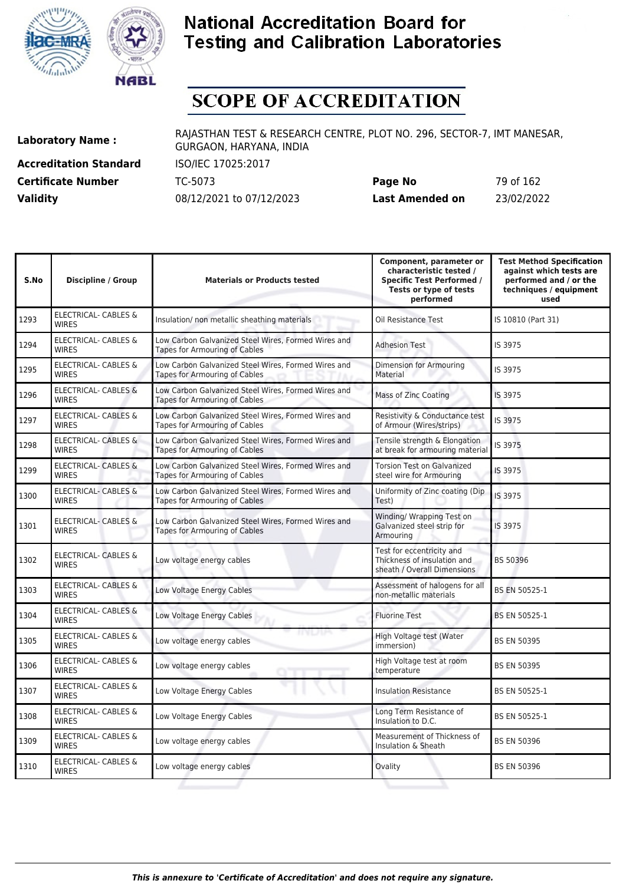



## **SCOPE OF ACCREDITATION**

**Accreditation Standard** ISO/IEC 17025:2017

**Laboratory Name :** RAJASTHAN TEST & RESEARCH CENTRE, PLOT NO. 296, SECTOR-7, IMT MANESAR, GURGAON, HARYANA, INDIA

**Certificate Number** TC-5073 **Page No** 79 of 162 **Validity** 08/12/2021 to 07/12/2023 **Last Amended on** 23/02/2022

| S.No | <b>Discipline / Group</b>                       | <b>Materials or Products tested</b>                                                         | Component, parameter or<br>characteristic tested /<br><b>Specific Test Performed /</b><br>Tests or type of tests<br>performed | <b>Test Method Specification</b><br>against which tests are<br>performed and / or the<br>techniques / equipment<br>used |
|------|-------------------------------------------------|---------------------------------------------------------------------------------------------|-------------------------------------------------------------------------------------------------------------------------------|-------------------------------------------------------------------------------------------------------------------------|
| 1293 | ELECTRICAL- CABLES &<br><b>WIRES</b>            | Insulation/ non metallic sheathing materials                                                | Oil Resistance Test                                                                                                           | IS 10810 (Part 31)                                                                                                      |
| 1294 | ELECTRICAL- CABLES &<br><b>WIRES</b>            | Low Carbon Galvanized Steel Wires, Formed Wires and<br>Tapes for Armouring of Cables        | <b>Adhesion Test</b>                                                                                                          | IS 3975                                                                                                                 |
| 1295 | ELECTRICAL- CABLES &<br><b>WIRES</b>            | Low Carbon Galvanized Steel Wires, Formed Wires and<br><b>Tapes for Armouring of Cables</b> | Dimension for Armouring<br>Material                                                                                           | IS 3975                                                                                                                 |
| 1296 | <b>ELECTRICAL- CABLES &amp;</b><br><b>WIRES</b> | Low Carbon Galvanized Steel Wires, Formed Wires and<br>Tapes for Armouring of Cables        | Mass of Zinc Coating                                                                                                          | IS 3975                                                                                                                 |
| 1297 | ELECTRICAL- CABLES &<br><b>WIRES</b>            | Low Carbon Galvanized Steel Wires, Formed Wires and<br><b>Tapes for Armouring of Cables</b> | Resistivity & Conductance test<br>of Armour (Wires/strips)                                                                    | IS 3975                                                                                                                 |
| 1298 | <b>ELECTRICAL- CABLES &amp;</b><br><b>WIRES</b> | Low Carbon Galvanized Steel Wires, Formed Wires and<br><b>Tapes for Armouring of Cables</b> | Tensile strength & Elongation<br>at break for armouring material                                                              | IS 3975                                                                                                                 |
| 1299 | <b>ELECTRICAL- CABLES &amp;</b><br><b>WIRES</b> | Low Carbon Galvanized Steel Wires, Formed Wires and<br>Tapes for Armouring of Cables        | <b>Torsion Test on Galvanized</b><br>steel wire for Armouring                                                                 | IS 3975                                                                                                                 |
| 1300 | <b>ELECTRICAL- CABLES &amp;</b><br><b>WIRES</b> | Low Carbon Galvanized Steel Wires, Formed Wires and<br>Tapes for Armouring of Cables        | Uniformity of Zinc coating (Dip<br>Test)                                                                                      | IS 3975                                                                                                                 |
| 1301 | <b>ELECTRICAL- CABLES &amp;</b><br><b>WIRES</b> | Low Carbon Galvanized Steel Wires, Formed Wires and<br>Tapes for Armouring of Cables        | Winding/ Wrapping Test on<br>Galvanized steel strip for<br>Armouring                                                          | IS 3975                                                                                                                 |
| 1302 | ELECTRICAL- CABLES &<br><b>WIRES</b>            | Low voltage energy cables                                                                   | Test for eccentricity and<br>Thickness of insulation and<br>sheath / Overall Dimensions                                       | BS 50396                                                                                                                |
| 1303 | <b>ELECTRICAL- CABLES &amp;</b><br><b>WIRES</b> | Low Voltage Energy Cables                                                                   | Assessment of halogens for all<br>non-metallic materials                                                                      | BS EN 50525-1                                                                                                           |
| 1304 | ELECTRICAL- CABLES &<br><b>WIRES</b>            | Low Voltage Energy Cables                                                                   | <b>Fluorine Test</b>                                                                                                          | <b>BS EN 50525-1</b>                                                                                                    |
| 1305 | ELECTRICAL- CABLES &<br><b>WIRES</b>            | יתרשותו<br>Low voltage energy cables                                                        | High Voltage test (Water<br>immersion)                                                                                        | <b>BS EN 50395</b>                                                                                                      |
| 1306 | ELECTRICAL- CABLES &<br><b>WIRES</b>            | Low voltage energy cables                                                                   | High Voltage test at room<br>temperature                                                                                      | <b>BS EN 50395</b>                                                                                                      |
| 1307 | ELECTRICAL- CABLES &<br><b>WIRES</b>            | Low Voltage Energy Cables                                                                   | <b>Insulation Resistance</b>                                                                                                  | BS EN 50525-1                                                                                                           |
| 1308 | ELECTRICAL- CABLES &<br><b>WIRES</b>            | Low Voltage Energy Cables                                                                   | Long Term Resistance of<br>Insulation to D.C.                                                                                 | BS EN 50525-1                                                                                                           |
| 1309 | <b>ELECTRICAL- CABLES &amp;</b><br><b>WIRES</b> | Low voltage energy cables                                                                   | Measurement of Thickness of<br>Insulation & Sheath                                                                            | <b>BS EN 50396</b>                                                                                                      |
| 1310 | ELECTRICAL- CABLES &<br><b>WIRES</b>            | Low voltage energy cables                                                                   | Ovality                                                                                                                       | <b>BS EN 50396</b>                                                                                                      |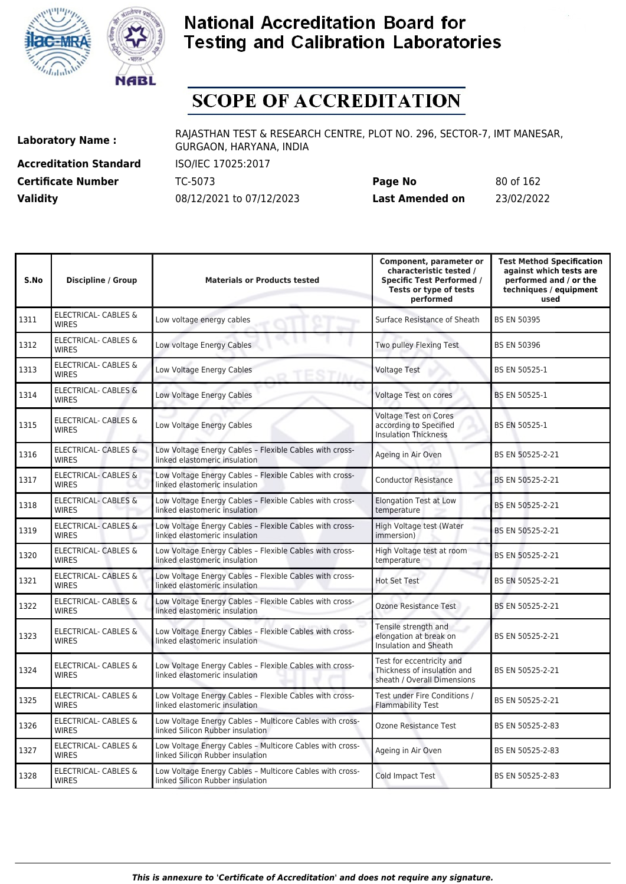



# **SCOPE OF ACCREDITATION**

**Accreditation Standard** ISO/IEC 17025:2017

**Laboratory Name :** RAJASTHAN TEST & RESEARCH CENTRE, PLOT NO. 296, SECTOR-7, IMT MANESAR, GURGAON, HARYANA, INDIA

**Certificate Number** TC-5073 **Page No** 80 of 162 **Validity** 08/12/2021 to 07/12/2023 **Last Amended on** 23/02/2022

| S.No | <b>Discipline / Group</b>                       | <b>Materials or Products tested</b>                                                          | Component, parameter or<br>characteristic tested /<br><b>Specific Test Performed /</b><br>Tests or type of tests<br>performed | <b>Test Method Specification</b><br>against which tests are<br>performed and / or the<br>techniques / equipment<br>used |
|------|-------------------------------------------------|----------------------------------------------------------------------------------------------|-------------------------------------------------------------------------------------------------------------------------------|-------------------------------------------------------------------------------------------------------------------------|
| 1311 | <b>ELECTRICAL- CABLES &amp;</b><br><b>WIRES</b> | Low voltage energy cables                                                                    | Surface Resistance of Sheath                                                                                                  | <b>BS EN 50395</b>                                                                                                      |
| 1312 | <b>ELECTRICAL- CABLES &amp;</b><br><b>WIRES</b> | Low voltage Energy Cables                                                                    | Two pulley Flexing Test                                                                                                       | <b>BS EN 50396</b>                                                                                                      |
| 1313 | ELECTRICAL- CABLES &<br><b>WIRES</b>            | Low Voltage Energy Cables                                                                    | <b>Voltage Test</b>                                                                                                           | BS EN 50525-1                                                                                                           |
| 1314 | <b>ELECTRICAL- CABLES &amp;</b><br><b>WIRES</b> | Low Voltage Energy Cables                                                                    | Voltage Test on cores                                                                                                         | <b>BS EN 50525-1</b>                                                                                                    |
| 1315 | <b>ELECTRICAL- CABLES &amp;</b><br><b>WIRES</b> | Low Voltage Energy Cables                                                                    | <b>Voltage Test on Cores</b><br>according to Specified<br><b>Insulation Thickness</b>                                         | BS EN 50525-1                                                                                                           |
| 1316 | <b>ELECTRICAL- CABLES &amp;</b><br><b>WIRES</b> | Low Voltage Energy Cables - Flexible Cables with cross-<br>linked elastomeric insulation     | Ageing in Air Oven                                                                                                            | BS EN 50525-2-21                                                                                                        |
| 1317 | <b>ELECTRICAL- CABLES &amp;</b><br><b>WIRES</b> | Low Voltage Energy Cables - Flexible Cables with cross-<br>linked elastomeric insulation     | <b>Conductor Resistance</b>                                                                                                   | BS EN 50525-2-21                                                                                                        |
| 1318 | <b>ELECTRICAL- CABLES &amp;</b><br><b>WIRES</b> | Low Voltage Energy Cables - Flexible Cables with cross-<br>linked elastomeric insulation     | <b>Elongation Test at Low</b><br>temperature                                                                                  | BS EN 50525-2-21                                                                                                        |
| 1319 | <b>ELECTRICAL- CABLES &amp;</b><br><b>WIRES</b> | Low Voltage Energy Cables - Flexible Cables with cross-<br>linked elastomeric insulation     | High Voltage test (Water<br>immersion)                                                                                        | BS EN 50525-2-21                                                                                                        |
| 1320 | <b>ELECTRICAL- CABLES &amp;</b><br><b>WIRES</b> | Low Voltage Energy Cables - Flexible Cables with cross-<br>linked elastomeric insulation     | High Voltage test at room<br>temperature                                                                                      | BS EN 50525-2-21                                                                                                        |
| 1321 | <b>ELECTRICAL- CABLES &amp;</b><br><b>WIRES</b> | Low Voltage Energy Cables - Flexible Cables with cross-<br>linked elastomeric insulation     | <b>Hot Set Test</b>                                                                                                           | BS EN 50525-2-21                                                                                                        |
| 1322 | <b>ELECTRICAL- CABLES &amp;</b><br><b>WIRES</b> | Low Voltage Energy Cables - Flexible Cables with cross-<br>linked elastomeric insulation     | Ozone Resistance Test                                                                                                         | BS EN 50525-2-21                                                                                                        |
| 1323 | <b>ELECTRICAL- CABLES &amp;</b><br><b>WIRES</b> | Low Voltage Energy Cables - Flexible Cables with cross-<br>linked elastomeric insulation     | Tensile strength and<br>elongation at break on<br>Insulation and Sheath                                                       | BS EN 50525-2-21                                                                                                        |
| 1324 | <b>ELECTRICAL- CABLES &amp;</b><br><b>WIRES</b> | Low Voltage Energy Cables - Flexible Cables with cross-<br>linked elastomeric insulation     | Test for eccentricity and<br>Thickness of insulation and<br>sheath / Overall Dimensions                                       | BS EN 50525-2-21                                                                                                        |
| 1325 | ELECTRICAL- CABLES &<br><b>WIRES</b>            | Low Voltage Energy Cables - Flexible Cables with cross-<br>linked elastomeric insulation     | Test under Fire Conditions /<br><b>Flammability Test</b>                                                                      | BS EN 50525-2-21                                                                                                        |
| 1326 | <b>ELECTRICAL- CABLES &amp;</b><br><b>WIRES</b> | Low Voltage Energy Cables - Multicore Cables with cross-<br>linked Silicon Rubber insulation | Ozone Resistance Test                                                                                                         | BS EN 50525-2-83                                                                                                        |
| 1327 | ELECTRICAL- CABLES &<br><b>WIRES</b>            | Low Voltage Energy Cables - Multicore Cables with cross-<br>linked Silicon Rubber insulation | Ageing in Air Oven                                                                                                            | BS EN 50525-2-83                                                                                                        |
| 1328 | ELECTRICAL- CABLES &<br><b>WIRES</b>            | Low Voltage Energy Cables - Multicore Cables with cross-<br>linked Silicon Rubber insulation | Cold Impact Test                                                                                                              | BS EN 50525-2-83                                                                                                        |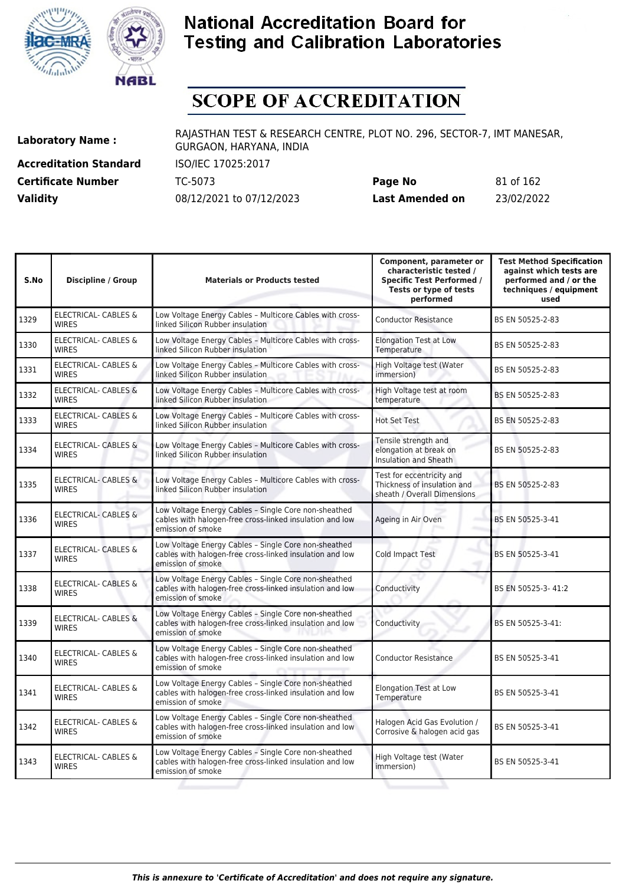



# **SCOPE OF ACCREDITATION**

**Accreditation Standard** ISO/IEC 17025:2017

**Laboratory Name :** RAJASTHAN TEST & RESEARCH CENTRE, PLOT NO. 296, SECTOR-7, IMT MANESAR, GURGAON, HARYANA, INDIA

**Certificate Number** TC-5073 **Page No** 81 of 162 **Validity** 08/12/2021 to 07/12/2023 **Last Amended on** 23/02/2022

| S.No | <b>Discipline / Group</b>                       | <b>Materials or Products tested</b>                                                                                                   | Component, parameter or<br>characteristic tested /<br><b>Specific Test Performed /</b><br>Tests or type of tests<br>performed | <b>Test Method Specification</b><br>against which tests are<br>performed and / or the<br>techniques / equipment<br>used |
|------|-------------------------------------------------|---------------------------------------------------------------------------------------------------------------------------------------|-------------------------------------------------------------------------------------------------------------------------------|-------------------------------------------------------------------------------------------------------------------------|
| 1329 | ELECTRICAL- CABLES &<br><b>WIRES</b>            | Low Voltage Energy Cables - Multicore Cables with cross-<br>linked Silicon Rubber insulation                                          | <b>Conductor Resistance</b>                                                                                                   | BS EN 50525-2-83                                                                                                        |
| 1330 | ELECTRICAL- CABLES &<br><b>WIRES</b>            | Low Voltage Energy Cables - Multicore Cables with cross-<br>linked Silicon Rubber insulation                                          | <b>Elongation Test at Low</b><br>Temperature                                                                                  | BS EN 50525-2-83                                                                                                        |
| 1331 | <b>ELECTRICAL- CABLES &amp;</b><br><b>WIRES</b> | Low Voltage Energy Cables - Multicore Cables with cross-<br>linked Silicon Rubber insulation                                          | High Voltage test (Water<br>immersion)                                                                                        | BS EN 50525-2-83                                                                                                        |
| 1332 | <b>ELECTRICAL- CABLES &amp;</b><br><b>WIRES</b> | Low Voltage Energy Cables - Multicore Cables with cross-<br>linked Silicon Rubber insulation                                          | High Voltage test at room<br>temperature                                                                                      | BS EN 50525-2-83                                                                                                        |
| 1333 | ELECTRICAL- CABLES &<br><b>WIRES</b>            | Low Voltage Energy Cables - Multicore Cables with cross-<br>linked Silicon Rubber insulation                                          | <b>Hot Set Test</b>                                                                                                           | BS EN 50525-2-83                                                                                                        |
| 1334 | <b>ELECTRICAL- CABLES &amp;</b><br><b>WIRES</b> | Low Voltage Energy Cables - Multicore Cables with cross-<br>linked Silicon Rubber insulation                                          | Tensile strength and<br>elongation at break on<br>Insulation and Sheath                                                       | BS EN 50525-2-83                                                                                                        |
| 1335 | <b>ELECTRICAL- CABLES &amp;</b><br><b>WIRES</b> | Low Voltage Energy Cables - Multicore Cables with cross-<br>linked Silicon Rubber insulation                                          | Test for eccentricity and<br>Thickness of insulation and<br>sheath / Overall Dimensions                                       | BS EN 50525-2-83                                                                                                        |
| 1336 | ELECTRICAL- CABLES &<br><b>WIRES</b>            | Low Voltage Energy Cables - Single Core non-sheathed<br>cables with halogen-free cross-linked insulation and low<br>emission of smoke | Ageing in Air Oven                                                                                                            | BS EN 50525-3-41                                                                                                        |
| 1337 | <b>ELECTRICAL- CABLES &amp;</b><br><b>WIRES</b> | Low Voltage Energy Cables - Single Core non-sheathed<br>cables with halogen-free cross-linked insulation and low<br>emission of smoke | Cold Impact Test                                                                                                              | BS EN 50525-3-41                                                                                                        |
| 1338 | ELECTRICAL- CABLES &<br><b>WIRES</b>            | Low Voltage Energy Cables - Single Core non-sheathed<br>cables with halogen-free cross-linked insulation and low<br>emission of smoke | Conductivity                                                                                                                  | BS EN 50525-3-41:2                                                                                                      |
| 1339 | <b>ELECTRICAL- CABLES &amp;</b><br><b>WIRES</b> | Low Voltage Energy Cables - Single Core non-sheathed<br>cables with halogen-free cross-linked insulation and low<br>emission of smoke | Conductivity                                                                                                                  | BS EN 50525-3-41:                                                                                                       |
| 1340 | ELECTRICAL- CABLES &<br><b>WIRES</b>            | Low Voltage Energy Cables - Single Core non-sheathed<br>cables with halogen-free cross-linked insulation and low<br>emission of smoke | <b>Conductor Resistance</b>                                                                                                   | BS EN 50525-3-41                                                                                                        |
| 1341 | <b>ELECTRICAL- CABLES &amp;</b><br><b>WIRES</b> | Low Voltage Energy Cables - Single Core non-sheathed<br>cables with halogen-free cross-linked insulation and low<br>emission of smoke | <b>Elongation Test at Low</b><br>Temperature                                                                                  | BS EN 50525-3-41                                                                                                        |
| 1342 | ELECTRICAL- CABLES &<br><b>WIRES</b>            | Low Voltage Energy Cables - Single Core non-sheathed<br>cables with halogen-free cross-linked insulation and low<br>emission of smoke | Halogen Acid Gas Evolution /<br>Corrosive & halogen acid gas                                                                  | BS EN 50525-3-41                                                                                                        |
| 1343 | <b>ELECTRICAL- CABLES &amp;</b><br><b>WIRES</b> | Low Voltage Energy Cables - Single Core non-sheathed<br>cables with halogen-free cross-linked insulation and low<br>emission of smoke | High Voltage test (Water<br>immersion)                                                                                        | BS EN 50525-3-41                                                                                                        |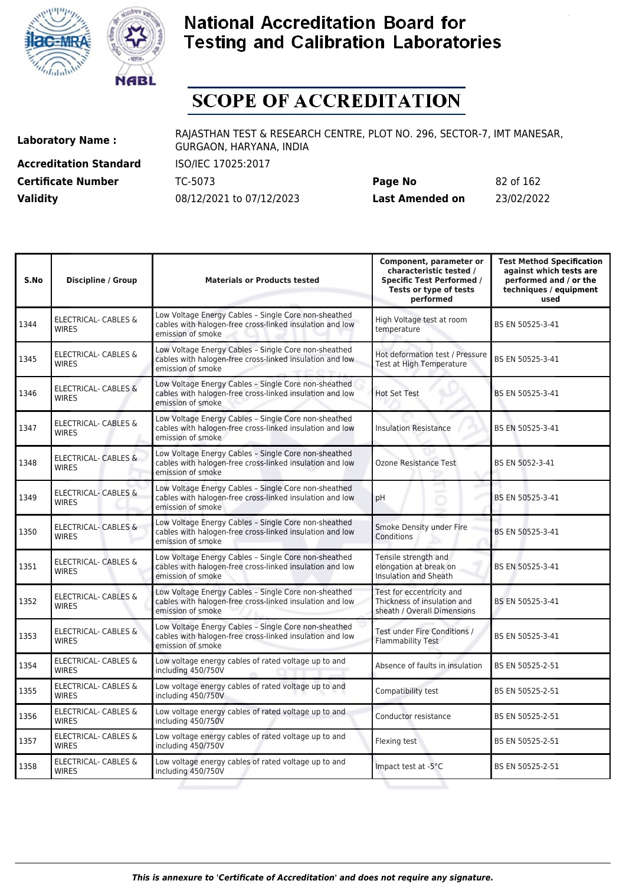



## **SCOPE OF ACCREDITATION**

**Accreditation Standard** ISO/IEC 17025:2017

**Laboratory Name :** RAJASTHAN TEST & RESEARCH CENTRE, PLOT NO. 296, SECTOR-7, IMT MANESAR, GURGAON, HARYANA, INDIA

**Certificate Number** TC-5073 **Page No** 82 of 162 **Validity** 08/12/2021 to 07/12/2023 **Last Amended on** 23/02/2022

| S.No | <b>Discipline / Group</b>                       | <b>Materials or Products tested</b>                                                                                                   | Component, parameter or<br>characteristic tested /<br><b>Specific Test Performed /</b><br>Tests or type of tests<br>performed | <b>Test Method Specification</b><br>against which tests are<br>performed and / or the<br>techniques / equipment<br>used |
|------|-------------------------------------------------|---------------------------------------------------------------------------------------------------------------------------------------|-------------------------------------------------------------------------------------------------------------------------------|-------------------------------------------------------------------------------------------------------------------------|
| 1344 | <b>ELECTRICAL- CABLES &amp;</b><br><b>WIRES</b> | Low Voltage Energy Cables - Single Core non-sheathed<br>cables with halogen-free cross-linked insulation and low<br>emission of smoke | High Voltage test at room<br>temperature                                                                                      | BS EN 50525-3-41                                                                                                        |
| 1345 | <b>ELECTRICAL- CABLES &amp;</b><br><b>WIRES</b> | Low Voltage Energy Cables - Single Core non-sheathed<br>cables with halogen-free cross-linked insulation and low<br>emission of smoke | Hot deformation test / Pressure<br>Test at High Temperature                                                                   | BS EN 50525-3-41                                                                                                        |
| 1346 | <b>ELECTRICAL- CABLES &amp;</b><br><b>WIRES</b> | Low Voltage Energy Cables - Single Core non-sheathed<br>cables with halogen-free cross-linked insulation and low<br>emission of smoke | <b>Hot Set Test</b>                                                                                                           | BS EN 50525-3-41                                                                                                        |
| 1347 | <b>ELECTRICAL- CABLES &amp;</b><br><b>WIRES</b> | Low Voltage Energy Cables - Single Core non-sheathed<br>cables with halogen-free cross-linked insulation and low<br>emission of smoke | <b>Insulation Resistance</b>                                                                                                  | BS EN 50525-3-41                                                                                                        |
| 1348 | <b>ELECTRICAL- CABLES &amp;</b><br><b>WIRES</b> | Low Voltage Energy Cables - Single Core non-sheathed<br>cables with halogen-free cross-linked insulation and low<br>emission of smoke | Ozone Resistance Test                                                                                                         | BS EN 5052-3-41                                                                                                         |
| 1349 | <b>ELECTRICAL- CABLES &amp;</b><br><b>WIRES</b> | Low Voltage Energy Cables - Single Core non-sheathed<br>cables with halogen-free cross-linked insulation and low<br>emission of smoke | pH                                                                                                                            | BS EN 50525-3-41                                                                                                        |
| 1350 | ELECTRICAL- CABLES &<br><b>WIRES</b>            | Low Voltage Energy Cables - Single Core non-sheathed<br>cables with halogen-free cross-linked insulation and low<br>emission of smoke | Smoke Density under Fire<br>Conditions                                                                                        | BS EN 50525-3-41                                                                                                        |
| 1351 | <b>ELECTRICAL- CABLES &amp;</b><br><b>WIRFS</b> | Low Voltage Energy Cables - Single Core non-sheathed<br>cables with halogen-free cross-linked insulation and low<br>emission of smoke | Tensile strength and<br>elongation at break on<br>Insulation and Sheath                                                       | BS EN 50525-3-41                                                                                                        |
| 1352 | <b>ELECTRICAL- CABLES &amp;</b><br><b>WIRES</b> | Low Voltage Energy Cables - Single Core non-sheathed<br>cables with halogen-free cross-linked insulation and low<br>emission of smoke | Test for eccentricity and<br>Thickness of insulation and<br>sheath / Overall Dimensions                                       | BS EN 50525-3-41                                                                                                        |
| 1353 | <b>ELECTRICAL- CABLES &amp;</b><br><b>WIRES</b> | Low Voltage Energy Cables - Single Core non-sheathed<br>cables with halogen-free cross-linked insulation and low<br>emission of smoke | Test under Fire Conditions /<br>Flammability Test                                                                             | BS EN 50525-3-41                                                                                                        |
| 1354 | ELECTRICAL- CABLES &<br><b>WIRES</b>            | Low voltage energy cables of rated voltage up to and<br>including 450/750V                                                            | Absence of faults in insulation                                                                                               | BS EN 50525-2-51                                                                                                        |
| 1355 | ELECTRICAL- CABLES &<br><b>WIRES</b>            | Low voltage energy cables of rated voltage up to and<br>including 450/750V                                                            | Compatibility test                                                                                                            | BS EN 50525-2-51                                                                                                        |
| 1356 | ELECTRICAL- CABLES &<br><b>WIRES</b>            | Low voltage energy cables of rated voltage up to and<br>including 450/750V                                                            | Conductor resistance                                                                                                          | BS EN 50525-2-51                                                                                                        |
| 1357 | <b>ELECTRICAL- CABLES &amp;</b><br><b>WIRES</b> | Low voltage energy cables of rated voltage up to and<br>including 450/750V                                                            | Flexing test                                                                                                                  | BS EN 50525-2-51                                                                                                        |
| 1358 | ELECTRICAL- CABLES &<br><b>WIRES</b>            | Low voltage energy cables of rated voltage up to and<br>including 450/750V                                                            | Impact test at -5°C                                                                                                           | BS EN 50525-2-51                                                                                                        |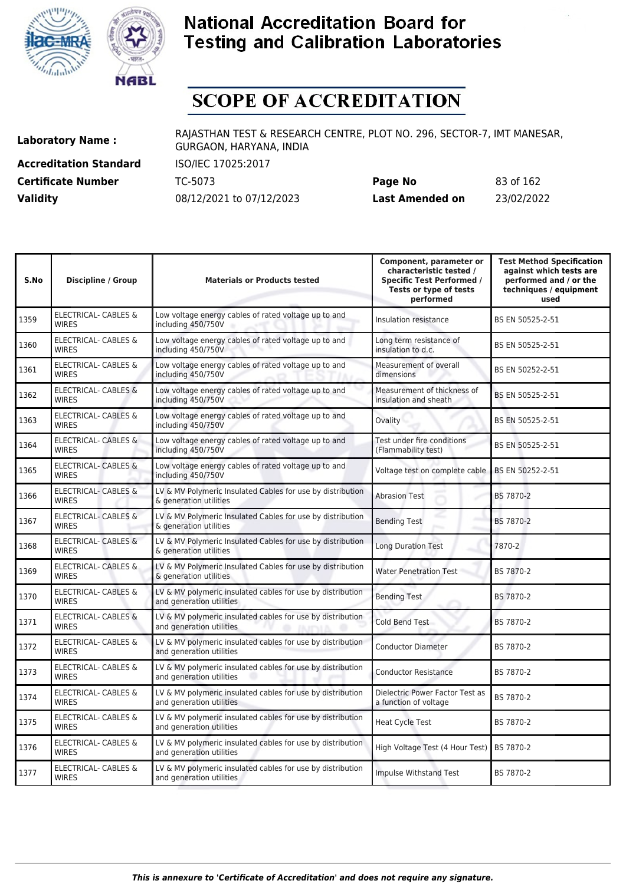



# **SCOPE OF ACCREDITATION**

**Accreditation Standard** ISO/IEC 17025:2017

**Laboratory Name :** RAJASTHAN TEST & RESEARCH CENTRE, PLOT NO. 296, SECTOR-7, IMT MANESAR, GURGAON, HARYANA, INDIA

**Certificate Number** TC-5073 **Page No** 83 of 162 **Validity** 08/12/2021 to 07/12/2023 **Last Amended on** 23/02/2022

| S.No | <b>Discipline / Group</b>                       | <b>Materials or Products tested</b>                                                    | Component, parameter or<br>characteristic tested /<br><b>Specific Test Performed /</b><br>Tests or type of tests<br>performed | <b>Test Method Specification</b><br>against which tests are<br>performed and / or the<br>techniques / equipment<br>used |
|------|-------------------------------------------------|----------------------------------------------------------------------------------------|-------------------------------------------------------------------------------------------------------------------------------|-------------------------------------------------------------------------------------------------------------------------|
| 1359 | <b>ELECTRICAL- CABLES &amp;</b><br><b>WIRES</b> | Low voltage energy cables of rated voltage up to and<br>including 450/750V             | Insulation resistance                                                                                                         | BS EN 50525-2-51                                                                                                        |
| 1360 | ELECTRICAL- CABLES &<br><b>WIRES</b>            | Low voltage energy cables of rated voltage up to and<br>including 450/750V             | Long term resistance of<br>insulation to d.c.                                                                                 | BS EN 50525-2-51                                                                                                        |
| 1361 | <b>ELECTRICAL- CABLES &amp;</b><br><b>WIRES</b> | Low voltage energy cables of rated voltage up to and<br>including 450/750V             | Measurement of overall<br>dimensions                                                                                          | BS EN 50252-2-51                                                                                                        |
| 1362 | <b>ELECTRICAL- CABLES &amp;</b><br><b>WIRES</b> | Low voltage energy cables of rated voltage up to and<br>including 450/750V             | Measurement of thickness of<br>insulation and sheath                                                                          | BS EN 50525-2-51                                                                                                        |
| 1363 | ELECTRICAL- CABLES &<br><b>WIRES</b>            | Low voltage energy cables of rated voltage up to and<br>including 450/750V             | Ovality                                                                                                                       | BS EN 50525-2-51                                                                                                        |
| 1364 | <b>ELECTRICAL- CABLES &amp;</b><br><b>WIRES</b> | Low voltage energy cables of rated voltage up to and<br>including 450/750V             | Test under fire conditions<br>(Flammability test)                                                                             | BS EN 50525-2-51                                                                                                        |
| 1365 | <b>ELECTRICAL- CABLES &amp;</b><br><b>WIRES</b> | Low voltage energy cables of rated voltage up to and<br>including 450/750V             | Voltage test on complete cable                                                                                                | BS EN 50252-2-51                                                                                                        |
| 1366 | <b>ELECTRICAL- CABLES &amp;</b><br><b>WIRES</b> | LV & MV Polymeric Insulated Cables for use by distribution<br>& generation utilities   | <b>Abrasion Test</b>                                                                                                          | BS 7870-2                                                                                                               |
| 1367 | <b>ELECTRICAL- CABLES &amp;</b><br><b>WIRES</b> | LV & MV Polymeric Insulated Cables for use by distribution<br>& generation utilities   | <b>Bending Test</b>                                                                                                           | BS 7870-2                                                                                                               |
| 1368 | <b>ELECTRICAL- CABLES &amp;</b><br><b>WIRES</b> | LV & MV Polymeric Insulated Cables for use by distribution<br>& generation utilities   | Long Duration Test                                                                                                            | 7870-2                                                                                                                  |
| 1369 | ELECTRICAL- CABLES &<br><b>WIRES</b>            | LV & MV Polymeric Insulated Cables for use by distribution<br>& generation utilities   | <b>Water Penetration Test</b>                                                                                                 | BS 7870-2                                                                                                               |
| 1370 | ELECTRICAL- CABLES &<br><b>WIRES</b>            | LV & MV polymeric insulated cables for use by distribution<br>and generation utilities | <b>Bending Test</b>                                                                                                           | BS 7870-2                                                                                                               |
| 1371 | ELECTRICAL- CABLES &<br><b>WIRES</b>            | LV & MV polymeric insulated cables for use by distribution<br>and generation utilities | Cold Bend Test                                                                                                                | BS 7870-2                                                                                                               |
| 1372 | ELECTRICAL- CABLES &<br><b>WIRES</b>            | LV & MV polymeric insulated cables for use by distribution<br>and generation utilities | <b>Conductor Diameter</b>                                                                                                     | BS 7870-2                                                                                                               |
| 1373 | ELECTRICAL- CABLES &<br><b>WIRES</b>            | LV & MV polymeric insulated cables for use by distribution<br>and generation utilities | <b>Conductor Resistance</b>                                                                                                   | BS 7870-2                                                                                                               |
| 1374 | ELECTRICAL- CABLES &<br><b>WIRES</b>            | LV & MV polymeric insulated cables for use by distribution<br>and generation utilities | Dielectric Power Factor Test as<br>a function of voltage                                                                      | BS 7870-2                                                                                                               |
| 1375 | ELECTRICAL- CABLES &<br><b>WIRES</b>            | LV & MV polymeric insulated cables for use by distribution<br>and generation utilities | <b>Heat Cycle Test</b>                                                                                                        | BS 7870-2                                                                                                               |
| 1376 | ELECTRICAL- CABLES &<br><b>WIRES</b>            | LV & MV polymeric insulated cables for use by distribution<br>and generation utilities | High Voltage Test (4 Hour Test)                                                                                               | <b>BS 7870-2</b>                                                                                                        |
| 1377 | <b>ELECTRICAL- CABLES &amp;</b><br><b>WIRES</b> | LV & MV polymeric insulated cables for use by distribution<br>and generation utilities | Impulse Withstand Test                                                                                                        | BS 7870-2                                                                                                               |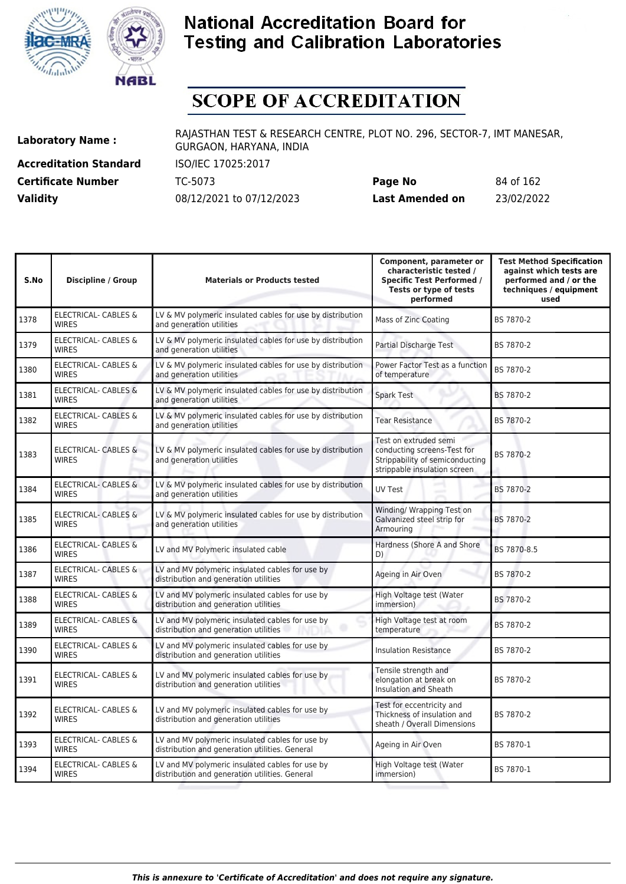



## **SCOPE OF ACCREDITATION**

**Accreditation Standard** ISO/IEC 17025:2017

**Laboratory Name :** RAJASTHAN TEST & RESEARCH CENTRE, PLOT NO. 296, SECTOR-7, IMT MANESAR, GURGAON, HARYANA, INDIA

**Certificate Number** TC-5073 **Page No** 84 of 162 **Validity** 08/12/2021 to 07/12/2023 **Last Amended on** 23/02/2022

| S.No | <b>Discipline / Group</b>                       | <b>Materials or Products tested</b>                                                               | Component, parameter or<br>characteristic tested /<br><b>Specific Test Performed /</b><br>Tests or type of tests<br>performed | <b>Test Method Specification</b><br>against which tests are<br>performed and / or the<br>techniques / equipment<br>used |
|------|-------------------------------------------------|---------------------------------------------------------------------------------------------------|-------------------------------------------------------------------------------------------------------------------------------|-------------------------------------------------------------------------------------------------------------------------|
| 1378 | <b>ELECTRICAL- CABLES &amp;</b><br><b>WIRES</b> | LV & MV polymeric insulated cables for use by distribution<br>and generation utilities            | Mass of Zinc Coating                                                                                                          | BS 7870-2                                                                                                               |
| 1379 | ELECTRICAL- CABLES &<br><b>WIRES</b>            | LV & MV polymeric insulated cables for use by distribution<br>and generation utilities            | Partial Discharge Test                                                                                                        | BS 7870-2                                                                                                               |
| 1380 | ELECTRICAL- CABLES &<br><b>WIRES</b>            | LV & MV polymeric insulated cables for use by distribution<br>and generation utilities            | Power Factor Test as a function<br>of temperature                                                                             | BS 7870-2                                                                                                               |
| 1381 | <b>ELECTRICAL- CABLES &amp;</b><br><b>WIRES</b> | LV & MV polymeric insulated cables for use by distribution<br>and generation utilities            | Spark Test                                                                                                                    | BS 7870-2                                                                                                               |
| 1382 | <b>ELECTRICAL- CABLES &amp;</b><br><b>WIRES</b> | LV & MV polymeric insulated cables for use by distribution<br>and generation utilities            | <b>Tear Resistance</b>                                                                                                        | BS 7870-2                                                                                                               |
| 1383 | <b>ELECTRICAL- CABLES &amp;</b><br><b>WIRES</b> | LV & MV polymeric insulated cables for use by distribution<br>and generation utilities            | Test on extruded semi<br>conducting screens-Test for<br>Strippability of semiconducting<br>strippable insulation screen       | BS 7870-2                                                                                                               |
| 1384 | ELECTRICAL- CABLES &<br><b>WIRES</b>            | LV & MV polymeric insulated cables for use by distribution<br>and generation utilities            | UV Test                                                                                                                       | BS 7870-2                                                                                                               |
| 1385 | ELECTRICAL- CABLES &<br><b>WIRES</b>            | LV & MV polymeric insulated cables for use by distribution<br>and generation utilities            | Winding/ Wrapping Test on<br>Galvanized steel strip for<br>Armouring                                                          | BS 7870-2                                                                                                               |
| 1386 | ELECTRICAL- CABLES &<br><b>WIRES</b>            | LV and MV Polymeric insulated cable                                                               | Hardness (Shore A and Shore<br>D)                                                                                             | BS 7870-8.5                                                                                                             |
| 1387 | <b>ELECTRICAL- CABLES &amp;</b><br><b>WIRES</b> | LV and MV polymeric insulated cables for use by<br>distribution and generation utilities          | Ageing in Air Oven                                                                                                            | BS 7870-2                                                                                                               |
| 1388 | <b>ELECTRICAL- CABLES &amp;</b><br><b>WIRES</b> | LV and MV polymeric insulated cables for use by<br>distribution and generation utilities          | High Voltage test (Water<br>immersion)                                                                                        | BS 7870-2                                                                                                               |
| 1389 | ELECTRICAL- CABLES &<br><b>WIRES</b>            | LV and MV polymeric insulated cables for use by<br>distribution and generation utilities          | High Voltage test at room<br>temperature                                                                                      | BS 7870-2                                                                                                               |
| 1390 | <b>ELECTRICAL- CABLES &amp;</b><br><b>WIRES</b> | LV and MV polymeric insulated cables for use by<br>distribution and generation utilities          | <b>Insulation Resistance</b>                                                                                                  | BS 7870-2                                                                                                               |
| 1391 | ELECTRICAL- CABLES &<br><b>WIRES</b>            | LV and MV polymeric insulated cables for use by<br>distribution and generation utilities          | Tensile strength and<br>elongation at break on<br><b>Insulation and Sheath</b>                                                | BS 7870-2                                                                                                               |
| 1392 | <b>ELECTRICAL- CABLES &amp;</b><br><b>WIRES</b> | LV and MV polymeric insulated cables for use by<br>distribution and generation utilities          | Test for eccentricity and<br>Thickness of insulation and<br>sheath / Overall Dimensions                                       | BS 7870-2                                                                                                               |
| 1393 | ELECTRICAL- CABLES &<br><b>WIRES</b>            | LV and MV polymeric insulated cables for use by<br>distribution and generation utilities. General | Ageing in Air Oven                                                                                                            | BS 7870-1                                                                                                               |
| 1394 | <b>ELECTRICAL- CABLES &amp;</b><br><b>WIRES</b> | LV and MV polymeric insulated cables for use by<br>distribution and generation utilities. General | High Voltage test (Water<br>immersion)                                                                                        | BS 7870-1                                                                                                               |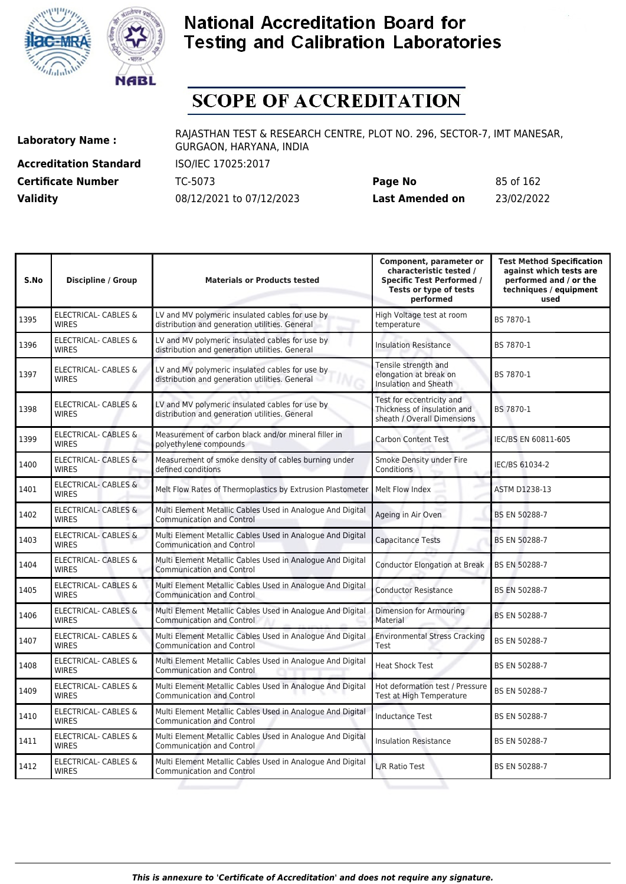



# **SCOPE OF ACCREDITATION**

**Accreditation Standard** ISO/IEC 17025:2017

**Laboratory Name :** RAJASTHAN TEST & RESEARCH CENTRE, PLOT NO. 296, SECTOR-7, IMT MANESAR, GURGAON, HARYANA, INDIA

**Certificate Number** TC-5073 **Page No** 85 of 162 **Validity** 08/12/2021 to 07/12/2023 **Last Amended on** 23/02/2022

| S.No | <b>Discipline / Group</b>                       | <b>Materials or Products tested</b>                                                               | Component, parameter or<br>characteristic tested /<br><b>Specific Test Performed /</b><br>Tests or type of tests<br>performed | <b>Test Method Specification</b><br>against which tests are<br>performed and / or the<br>techniques / equipment<br>used |
|------|-------------------------------------------------|---------------------------------------------------------------------------------------------------|-------------------------------------------------------------------------------------------------------------------------------|-------------------------------------------------------------------------------------------------------------------------|
| 1395 | <b>ELECTRICAL- CABLES &amp;</b><br><b>WIRES</b> | LV and MV polymeric insulated cables for use by<br>distribution and generation utilities. General | High Voltage test at room<br>temperature                                                                                      | BS 7870-1                                                                                                               |
| 1396 | ELECTRICAL- CABLES &<br><b>WIRES</b>            | LV and MV polymeric insulated cables for use by<br>distribution and generation utilities. General | <b>Insulation Resistance</b>                                                                                                  | BS 7870-1                                                                                                               |
| 1397 | <b>ELECTRICAL- CABLES &amp;</b><br><b>WIRES</b> | LV and MV polymeric insulated cables for use by<br>distribution and generation utilities. General | Tensile strength and<br>elongation at break on<br>Insulation and Sheath                                                       | BS 7870-1                                                                                                               |
| 1398 | <b>ELECTRICAL- CABLES &amp;</b><br><b>WIRES</b> | LV and MV polymeric insulated cables for use by<br>distribution and generation utilities. General | Test for eccentricity and<br>Thickness of insulation and<br>sheath / Overall Dimensions                                       | BS 7870-1                                                                                                               |
| 1399 | ELECTRICAL- CABLES &<br><b>WIRES</b>            | Measurement of carbon black and/or mineral filler in<br>polyethylene compounds                    | <b>Carbon Content Test</b>                                                                                                    | IEC/BS EN 60811-605                                                                                                     |
| 1400 | <b>ELECTRICAL- CABLES &amp;</b><br><b>WIRES</b> | Measurement of smoke density of cables burning under<br>defined conditions                        | Smoke Density under Fire<br>Conditions                                                                                        | IEC/BS 61034-2                                                                                                          |
| 1401 | ELECTRICAL- CABLES &<br><b>WIRES</b>            | Melt Flow Rates of Thermoplastics by Extrusion Plastometer                                        | Melt Flow Index                                                                                                               | <b>ASTM D1238-13</b>                                                                                                    |
| 1402 | <b>ELECTRICAL- CABLES &amp;</b><br><b>WIRES</b> | Multi Element Metallic Cables Used in Analogue And Digital<br><b>Communication and Control</b>    | Ageing in Air Oven                                                                                                            | BS EN 50288-7                                                                                                           |
| 1403 | <b>ELECTRICAL- CABLES &amp;</b><br><b>WIRES</b> | Multi Element Metallic Cables Used in Analogue And Digital<br><b>Communication and Control</b>    | <b>Capacitance Tests</b>                                                                                                      | BS EN 50288-7                                                                                                           |
| 1404 | <b>ELECTRICAL- CABLES &amp;</b><br><b>WIRES</b> | Multi Element Metallic Cables Used in Analogue And Digital<br><b>Communication and Control</b>    | <b>Conductor Elongation at Break</b>                                                                                          | BS EN 50288-7                                                                                                           |
| 1405 | ELECTRICAL- CABLES &<br><b>WIRES</b>            | Multi Element Metallic Cables Used in Analogue And Digital<br><b>Communication and Control</b>    | <b>Conductor Resistance</b>                                                                                                   | BS EN 50288-7                                                                                                           |
| 1406 | <b>ELECTRICAL- CABLES &amp;</b><br><b>WIRES</b> | Multi Element Metallic Cables Used in Analogue And Digital<br><b>Communication and Control</b>    | Dimension for Armouring<br>Material                                                                                           | <b>BS EN 50288-7</b>                                                                                                    |
| 1407 | ELECTRICAL- CABLES &<br><b>WIRES</b>            | Multi Element Metallic Cables Used in Analogue And Digital<br><b>Communication and Control</b>    | <b>Environmental Stress Cracking</b><br>Test                                                                                  | BS EN 50288-7                                                                                                           |
| 1408 | ELECTRICAL- CABLES &<br><b>WIRES</b>            | Multi Element Metallic Cables Used in Analogue And Digital<br><b>Communication and Control</b>    | <b>Heat Shock Test</b>                                                                                                        | BS EN 50288-7                                                                                                           |
| 1409 | ELECTRICAL- CABLES &<br><b>WIRES</b>            | Multi Element Metallic Cables Used in Analogue And Digital<br><b>Communication and Control</b>    | Hot deformation test / Pressure<br>Test at High Temperature                                                                   | BS EN 50288-7                                                                                                           |
| 1410 | ELECTRICAL- CABLES &<br><b>WIRES</b>            | Multi Element Metallic Cables Used in Analogue And Digital<br><b>Communication and Control</b>    | <b>Inductance Test</b>                                                                                                        | BS EN 50288-7                                                                                                           |
| 1411 | ELECTRICAL- CABLES &<br><b>WIRES</b>            | Multi Element Metallic Cables Used in Analogue And Digital<br><b>Communication and Control</b>    | <b>Insulation Resistance</b>                                                                                                  | BS EN 50288-7                                                                                                           |
| 1412 | <b>ELECTRICAL- CABLES &amp;</b><br><b>WIRES</b> | Multi Element Metallic Cables Used in Analogue And Digital<br><b>Communication and Control</b>    | L/R Ratio Test                                                                                                                | BS EN 50288-7                                                                                                           |
|      |                                                 |                                                                                                   |                                                                                                                               |                                                                                                                         |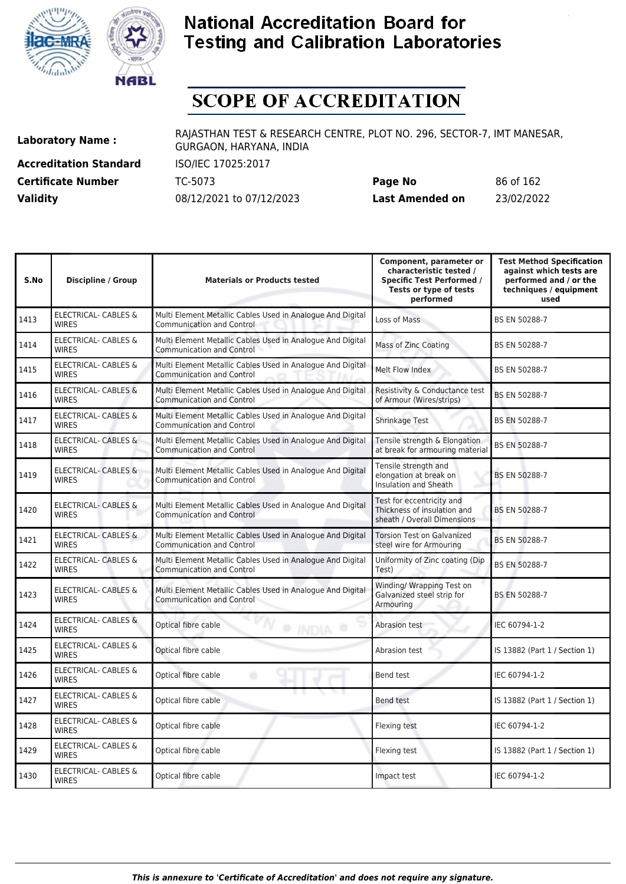



# **SCOPE OF ACCREDITATION**

**Accreditation Standard** ISO/IEC 17025:2017

**Laboratory Name :** RAJASTHAN TEST & RESEARCH CENTRE, PLOT NO. 296, SECTOR-7, IMT MANESAR, GURGAON, HARYANA, INDIA

**Certificate Number** TC-5073 **Page No** 86 of 162 **Validity** 08/12/2021 to 07/12/2023 **Last Amended on** 23/02/2022

| S.No | <b>Discipline / Group</b>                       | <b>Materials or Products tested</b>                                                            | Component, parameter or<br>characteristic tested /<br><b>Specific Test Performed /</b><br>Tests or type of tests<br>performed | <b>Test Method Specification</b><br>against which tests are<br>performed and / or the<br>techniques / equipment<br>used |
|------|-------------------------------------------------|------------------------------------------------------------------------------------------------|-------------------------------------------------------------------------------------------------------------------------------|-------------------------------------------------------------------------------------------------------------------------|
| 1413 | <b>ELECTRICAL- CABLES &amp;</b><br><b>WIRES</b> | Multi Element Metallic Cables Used in Analogue And Digital<br><b>Communication and Control</b> | Loss of Mass                                                                                                                  | BS EN 50288-7                                                                                                           |
| 1414 | ELECTRICAL- CABLES &<br><b>WIRES</b>            | Multi Element Metallic Cables Used in Analogue And Digital<br><b>Communication and Control</b> | Mass of Zinc Coating                                                                                                          | BS EN 50288-7                                                                                                           |
| 1415 | ELECTRICAL- CABLES &<br><b>WIRES</b>            | Multi Element Metallic Cables Used in Analogue And Digital<br><b>Communication and Control</b> | Melt Flow Index                                                                                                               | BS EN 50288-7                                                                                                           |
| 1416 | ELECTRICAL- CABLES &<br><b>WIRES</b>            | Multi Element Metallic Cables Used in Analogue And Digital<br><b>Communication and Control</b> | Resistivity & Conductance test<br>of Armour (Wires/strips)                                                                    | <b>BS EN 50288-7</b>                                                                                                    |
| 1417 | <b>ELECTRICAL- CABLES &amp;</b><br><b>WIRES</b> | Multi Element Metallic Cables Used in Analogue And Digital<br><b>Communication and Control</b> | Shrinkage Test                                                                                                                | BS EN 50288-7                                                                                                           |
| 1418 | ELECTRICAL- CABLES &<br><b>WIRES</b>            | Multi Element Metallic Cables Used in Analogue And Digital<br><b>Communication and Control</b> | Tensile strength & Elongation<br>at break for armouring material                                                              | BS EN 50288-7                                                                                                           |
| 1419 | <b>ELECTRICAL- CABLES &amp;</b><br><b>WIRES</b> | Multi Element Metallic Cables Used in Analogue And Digital<br><b>Communication and Control</b> | Tensile strength and<br>elongation at break on<br>Insulation and Sheath                                                       | BS EN 50288-7                                                                                                           |
| 1420 | <b>ELECTRICAL- CABLES &amp;</b><br><b>WIRES</b> | Multi Element Metallic Cables Used in Analogue And Digital<br><b>Communication and Control</b> | Test for eccentricity and<br>Thickness of insulation and<br>sheath / Overall Dimensions                                       | BS EN 50288-7                                                                                                           |
| 1421 | <b>ELECTRICAL- CABLES &amp;</b><br><b>WIRES</b> | Multi Element Metallic Cables Used in Analogue And Digital<br><b>Communication and Control</b> | <b>Torsion Test on Galvanized</b><br>steel wire for Armouring                                                                 | BS EN 50288-7                                                                                                           |
| 1422 | ELECTRICAL- CABLES &<br><b>WIRES</b>            | Multi Element Metallic Cables Used in Analogue And Digital<br><b>Communication and Control</b> | Uniformity of Zinc coating (Dip<br>Test)                                                                                      | BS EN 50288-7                                                                                                           |
| 1423 | ELECTRICAL- CABLES &<br><b>WIRES</b>            | Multi Element Metallic Cables Used in Analogue And Digital<br><b>Communication and Control</b> | Winding/ Wrapping Test on<br>Galvanized steel strip for<br>Armouring                                                          | <b>BS EN 50288-7</b>                                                                                                    |
| 1424 | ELECTRICAL- CABLES &<br><b>WIRES</b>            | Optical fibre cable<br><b>O</b> INDIA<br>۰                                                     | Abrasion test                                                                                                                 | IEC 60794-1-2                                                                                                           |
| 1425 | ELECTRICAL- CABLES &<br><b>WIRES</b>            | Optical fibre cable                                                                            | Abrasion test                                                                                                                 | IS 13882 (Part 1 / Section 1)                                                                                           |
| 1426 | ELECTRICAL- CABLES &<br><b>WIRES</b>            | Optical fibre cable<br>۰                                                                       | <b>Bend test</b>                                                                                                              | IEC 60794-1-2                                                                                                           |
| 1427 | ELECTRICAL- CABLES &<br><b>WIRES</b>            | Optical fibre cable                                                                            | <b>Bend test</b>                                                                                                              | IS 13882 (Part 1 / Section 1)                                                                                           |
| 1428 | ELECTRICAL- CABLES &<br><b>WIRES</b>            | Optical fibre cable                                                                            | Flexing test                                                                                                                  | IEC 60794-1-2                                                                                                           |
| 1429 | ELECTRICAL- CABLES &<br><b>WIRES</b>            | Optical fibre cable                                                                            | Flexing test                                                                                                                  | IS 13882 (Part 1 / Section 1)                                                                                           |
| 1430 | ELECTRICAL- CABLES &<br><b>WIRES</b>            | Optical fibre cable                                                                            | Impact test                                                                                                                   | IEC 60794-1-2                                                                                                           |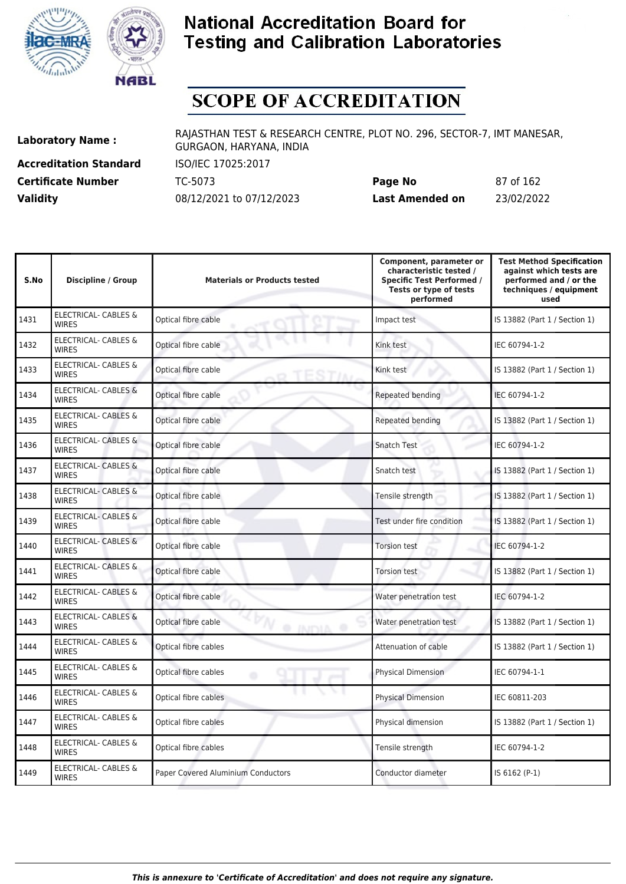



# **SCOPE OF ACCREDITATION**

**Accreditation Standard** ISO/IEC 17025:2017

**Laboratory Name :** RAJASTHAN TEST & RESEARCH CENTRE, PLOT NO. 296, SECTOR-7, IMT MANESAR, GURGAON, HARYANA, INDIA

**Certificate Number** TC-5073 **Page No** 87 of 162 **Validity** 08/12/2021 to 07/12/2023 **Last Amended on** 23/02/2022

| S.No | <b>Discipline / Group</b>                       | <b>Materials or Products tested</b>        | Component, parameter or<br>characteristic tested /<br><b>Specific Test Performed /</b><br>Tests or type of tests<br>performed | <b>Test Method Specification</b><br>against which tests are<br>performed and / or the<br>techniques / equipment<br>used |
|------|-------------------------------------------------|--------------------------------------------|-------------------------------------------------------------------------------------------------------------------------------|-------------------------------------------------------------------------------------------------------------------------|
| 1431 | <b>ELECTRICAL- CABLES &amp;</b><br><b>WIRES</b> | Optical fibre cable                        | Impact test                                                                                                                   | IS 13882 (Part 1 / Section 1)                                                                                           |
| 1432 | <b>ELECTRICAL- CABLES &amp;</b><br><b>WIRES</b> | Optical fibre cable                        | Kink test                                                                                                                     | IEC 60794-1-2                                                                                                           |
| 1433 | <b>ELECTRICAL- CABLES &amp;</b><br><b>WIRES</b> | Optical fibre cable<br><sub>0</sub> TESTIN | Kink test                                                                                                                     | IS 13882 (Part 1 / Section 1)                                                                                           |
| 1434 | ELECTRICAL- CABLES &<br><b>WIRES</b>            | Optical fibre cable                        | Repeated bending                                                                                                              | IEC 60794-1-2                                                                                                           |
| 1435 | <b>ELECTRICAL- CABLES &amp;</b><br><b>WIRES</b> | Optical fibre cable                        | Repeated bending                                                                                                              | IS 13882 (Part 1 / Section 1)                                                                                           |
| 1436 | <b>ELECTRICAL- CABLES &amp;</b><br><b>WIRES</b> | Optical fibre cable                        | <b>Snatch Test</b>                                                                                                            | IEC 60794-1-2                                                                                                           |
| 1437 | <b>ELECTRICAL- CABLES &amp;</b><br><b>WIRES</b> | Optical fibre cable                        | Snatch test                                                                                                                   | IS 13882 (Part 1 / Section 1)                                                                                           |
| 1438 | ELECTRICAL- CABLES &<br><b>WIRES</b>            | Optical fibre cable                        | Tensile strength                                                                                                              | IS 13882 (Part 1 / Section 1)                                                                                           |
| 1439 | ELECTRICAL- CABLES &<br><b>WIRES</b>            | Optical fibre cable                        | Test under fire condition                                                                                                     | IS 13882 (Part 1 / Section 1)                                                                                           |
| 1440 | ELECTRICAL- CABLES &<br><b>WIRES</b>            | Optical fibre cable                        | <b>Torsion test</b>                                                                                                           | IEC 60794-1-2                                                                                                           |
| 1441 | ELECTRICAL- CABLES &<br><b>WIRES</b>            | Optical fibre cable                        | <b>Torsion test</b>                                                                                                           | IS 13882 (Part 1 / Section 1)                                                                                           |
| 1442 | <b>ELECTRICAL- CABLES &amp;</b><br><b>WIRES</b> | Optical fibre cable                        | Water penetration test                                                                                                        | IEC 60794-1-2                                                                                                           |
| 1443 | ELECTRICAL- CABLES &<br><b>WIRES</b>            | Optical fibre cable<br>@ INDIA             | Water penetration test                                                                                                        | IS 13882 (Part 1 / Section 1)                                                                                           |
| 1444 | ELECTRICAL- CABLES &<br><b>WIRES</b>            | Optical fibre cables                       | Attenuation of cable                                                                                                          | IS 13882 (Part 1 / Section 1)                                                                                           |
| 1445 | ELECTRICAL- CABLES &<br><b>WIRES</b>            | Optical fibre cables<br>۰                  | <b>Physical Dimension</b>                                                                                                     | IEC 60794-1-1                                                                                                           |
| 1446 | ELECTRICAL- CABLES &<br><b>WIRES</b>            | Optical fibre cables                       | <b>Physical Dimension</b>                                                                                                     | IEC 60811-203                                                                                                           |
| 1447 | <b>ELECTRICAL- CABLES &amp;</b><br><b>WIRES</b> | Optical fibre cables                       | Physical dimension                                                                                                            | IS 13882 (Part 1 / Section 1)                                                                                           |
| 1448 | ELECTRICAL- CABLES &<br><b>WIRES</b>            | Optical fibre cables                       | Tensile strength                                                                                                              | IEC 60794-1-2                                                                                                           |
| 1449 | ELECTRICAL- CABLES &<br><b>WIRES</b>            | Paper Covered Aluminium Conductors         | Conductor diameter                                                                                                            | IS 6162 (P-1)                                                                                                           |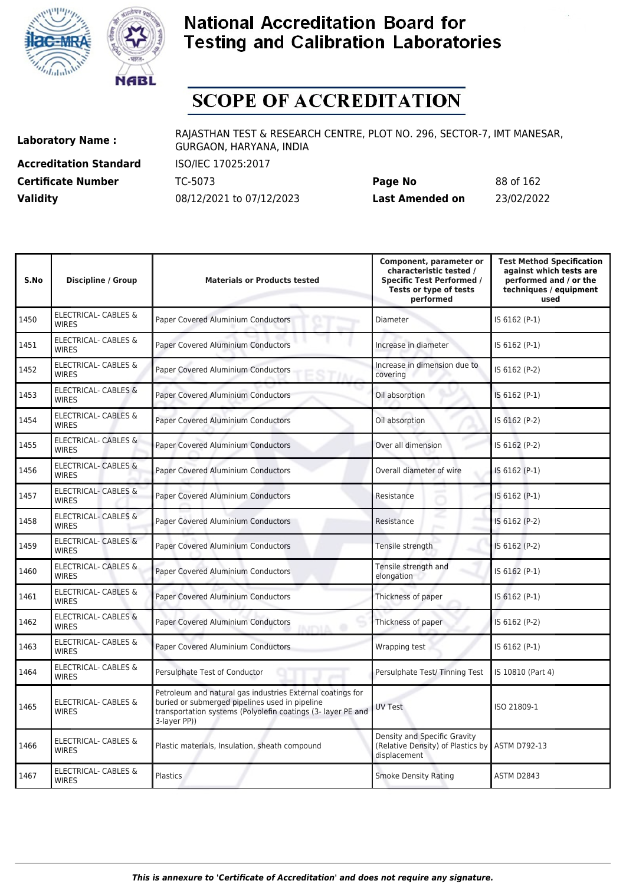



# **SCOPE OF ACCREDITATION**

**Accreditation Standard** ISO/IEC 17025:2017

**Laboratory Name :** RAJASTHAN TEST & RESEARCH CENTRE, PLOT NO. 296, SECTOR-7, IMT MANESAR, GURGAON, HARYANA, INDIA

**Certificate Number** TC-5073 **Page No** 88 of 162 **Validity** 08/12/2021 to 07/12/2023 **Last Amended on** 23/02/2022

| S.No | <b>Discipline / Group</b>                       | <b>Materials or Products tested</b>                                                                                                                                                          | Component, parameter or<br>characteristic tested /<br><b>Specific Test Performed /</b><br>Tests or type of tests<br>performed | <b>Test Method Specification</b><br>against which tests are<br>performed and / or the<br>techniques / equipment<br>used |
|------|-------------------------------------------------|----------------------------------------------------------------------------------------------------------------------------------------------------------------------------------------------|-------------------------------------------------------------------------------------------------------------------------------|-------------------------------------------------------------------------------------------------------------------------|
| 1450 | <b>ELECTRICAL- CABLES &amp;</b><br><b>WIRES</b> | Paper Covered Aluminium Conductors                                                                                                                                                           | Diameter                                                                                                                      | IS 6162 (P-1)                                                                                                           |
| 1451 | <b>ELECTRICAL- CABLES &amp;</b><br><b>WIRES</b> | Paper Covered Aluminium Conductors                                                                                                                                                           | Increase in diameter                                                                                                          | IS 6162 (P-1)                                                                                                           |
| 1452 | <b>ELECTRICAL- CABLES &amp;</b><br><b>WIRES</b> | Paper Covered Aluminium Conductors                                                                                                                                                           | Increase in dimension due to<br>covering                                                                                      | IS 6162 (P-2)                                                                                                           |
| 1453 | <b>ELECTRICAL- CABLES &amp;</b><br><b>WIRFS</b> | Paper Covered Aluminium Conductors                                                                                                                                                           | Oil absorption                                                                                                                | IS 6162 (P-1)                                                                                                           |
| 1454 | <b>ELECTRICAL- CABLES &amp;</b><br><b>WIRES</b> | Paper Covered Aluminium Conductors                                                                                                                                                           | Oil absorption                                                                                                                | IS 6162 (P-2)                                                                                                           |
| 1455 | <b>ELECTRICAL- CABLES &amp;</b><br><b>WIRES</b> | <b>Paper Covered Aluminium Conductors</b>                                                                                                                                                    | Over all dimension                                                                                                            | IS 6162 (P-2)                                                                                                           |
| 1456 | <b>ELECTRICAL- CABLES &amp;</b><br><b>WIRES</b> | Paper Covered Aluminium Conductors                                                                                                                                                           | Overall diameter of wire                                                                                                      | IS 6162 (P-1)                                                                                                           |
| 1457 | <b>ELECTRICAL- CABLES &amp;</b><br><b>WIRES</b> | Paper Covered Aluminium Conductors                                                                                                                                                           | Resistance                                                                                                                    | IS 6162 (P-1)                                                                                                           |
| 1458 | ELECTRICAL- CABLES &<br><b>WIRES</b>            | Paper Covered Aluminium Conductors                                                                                                                                                           | Resistance                                                                                                                    | IS 6162 (P-2)                                                                                                           |
| 1459 | <b>ELECTRICAL- CABLES &amp;</b><br><b>WIRES</b> | Paper Covered Aluminium Conductors                                                                                                                                                           | Tensile strength                                                                                                              | IS 6162 (P-2)                                                                                                           |
| 1460 | <b>ELECTRICAL- CABLES &amp;</b><br><b>WIRES</b> | Paper Covered Aluminium Conductors                                                                                                                                                           | Tensile strength and<br>elongation                                                                                            | IS 6162 (P-1)                                                                                                           |
| 1461 | <b>ELECTRICAL- CABLES &amp;</b><br><b>WIRES</b> | Paper Covered Aluminium Conductors                                                                                                                                                           | Thickness of paper                                                                                                            | IS 6162 (P-1)                                                                                                           |
| 1462 | <b>ELECTRICAL- CABLES &amp;</b><br><b>WIRES</b> | Paper Covered Aluminium Conductors<br><b>AITYLA O</b>                                                                                                                                        | Thickness of paper                                                                                                            | IS 6162 (P-2)                                                                                                           |
| 1463 | <b>ELECTRICAL- CABLES &amp;</b><br><b>WIRES</b> | Paper Covered Aluminium Conductors                                                                                                                                                           | Wrapping test                                                                                                                 | IS 6162 (P-1)                                                                                                           |
| 1464 | <b>ELECTRICAL- CABLES &amp;</b><br><b>WIRES</b> | Persulphate Test of Conductor                                                                                                                                                                | Persulphate Test/Tinning Test                                                                                                 | IS 10810 (Part 4)                                                                                                       |
| 1465 | <b>ELECTRICAL- CABLES &amp;</b><br><b>WIRES</b> | Petroleum and natural gas industries External coatings for<br>buried or submerged pipelines used in pipeline<br>transportation systems (Polyolefin coatings (3- layer PE and<br>3-layer PP)) | <b>UV Test</b>                                                                                                                | ISO 21809-1                                                                                                             |
| 1466 | ELECTRICAL- CABLES &<br><b>WIRES</b>            | Plastic materials, Insulation, sheath compound                                                                                                                                               | Density and Specific Gravity<br>(Relative Density) of Plastics by ASTM D792-13<br>displacement                                |                                                                                                                         |
| 1467 | <b>ELECTRICAL- CABLES &amp;</b><br><b>WIRES</b> | Plastics                                                                                                                                                                                     | <b>Smoke Density Rating</b>                                                                                                   | ASTM D2843                                                                                                              |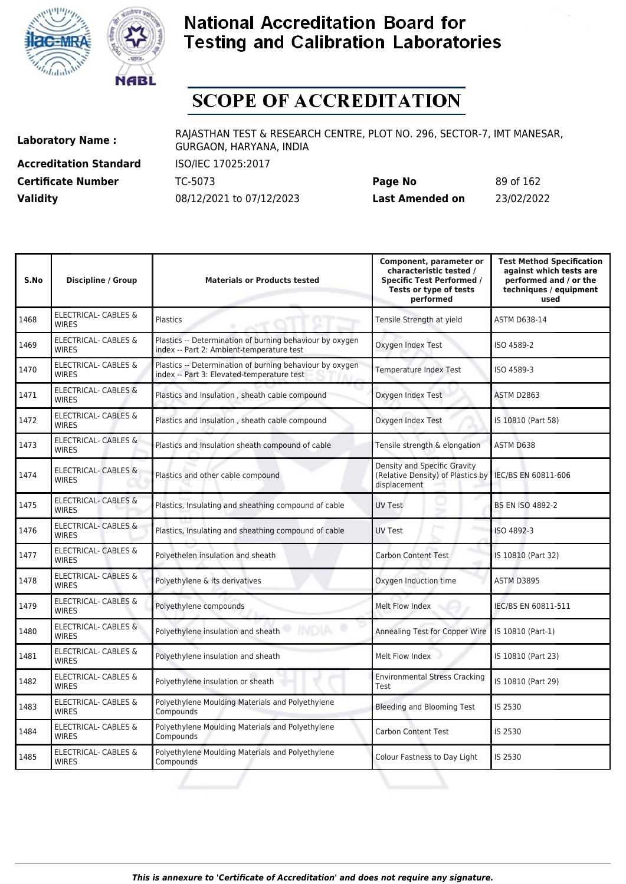



# **SCOPE OF ACCREDITATION**

**Accreditation Standard** ISO/IEC 17025:2017

**Laboratory Name :** RAJASTHAN TEST & RESEARCH CENTRE, PLOT NO. 296, SECTOR-7, IMT MANESAR, GURGAON, HARYANA, INDIA

**Certificate Number** TC-5073 **Page No** 89 of 162 **Validity** 08/12/2021 to 07/12/2023 **Last Amended on** 23/02/2022

| S.No | <b>Discipline / Group</b>                       | <b>Materials or Products tested</b>                                                                    | Component, parameter or<br>characteristic tested /<br><b>Specific Test Performed /</b><br>Tests or type of tests<br>performed | <b>Test Method Specification</b><br>against which tests are<br>performed and / or the<br>techniques / equipment<br>used |
|------|-------------------------------------------------|--------------------------------------------------------------------------------------------------------|-------------------------------------------------------------------------------------------------------------------------------|-------------------------------------------------------------------------------------------------------------------------|
| 1468 | ELECTRICAL- CABLES &<br><b>WIRES</b>            | Plastics                                                                                               | Tensile Strength at yield                                                                                                     | <b>ASTM D638-14</b>                                                                                                     |
| 1469 | <b>ELECTRICAL- CABLES &amp;</b><br><b>WIRES</b> | Plastics -- Determination of burning behaviour by oxygen<br>index -- Part 2: Ambient-temperature test  | Oxygen Index Test                                                                                                             | ISO 4589-2                                                                                                              |
| 1470 | ELECTRICAL- CABLES &<br><b>WIRES</b>            | Plastics -- Determination of burning behaviour by oxygen<br>index -- Part 3: Elevated-temperature test | <b>Temperature Index Test</b>                                                                                                 | ISO 4589-3                                                                                                              |
| 1471 | ELECTRICAL- CABLES &<br><b>WIRES</b>            | Plastics and Insulation, sheath cable compound                                                         | Oxygen Index Test                                                                                                             | ASTM D2863                                                                                                              |
| 1472 | ELECTRICAL- CABLES &<br><b>WIRES</b>            | Plastics and Insulation, sheath cable compound                                                         | Oxygen Index Test                                                                                                             | IS 10810 (Part 58)                                                                                                      |
| 1473 | ELECTRICAL- CABLES &<br><b>WIRES</b>            | Plastics and Insulation sheath compound of cable                                                       | Tensile strength & elongation                                                                                                 | ASTM D638                                                                                                               |
| 1474 | <b>ELECTRICAL- CABLES &amp;</b><br><b>WIRES</b> | Plastics and other cable compound                                                                      | Density and Specific Gravity<br>(Relative Density) of Plastics by<br>displacement                                             | IEC/BS EN 60811-606                                                                                                     |
| 1475 | <b>ELECTRICAL- CABLES &amp;</b><br><b>WIRES</b> | Plastics, Insulating and sheathing compound of cable                                                   | <b>UV Test</b>                                                                                                                | <b>BS EN ISO 4892-2</b>                                                                                                 |
| 1476 | <b>ELECTRICAL- CABLES &amp;</b><br><b>WIRES</b> | Plastics, Insulating and sheathing compound of cable                                                   | <b>UV Test</b>                                                                                                                | ISO 4892-3                                                                                                              |
| 1477 | ELECTRICAL- CABLES &<br><b>WIRES</b>            | Polyethelen insulation and sheath                                                                      | <b>Carbon Content Test</b>                                                                                                    | IS 10810 (Part 32)                                                                                                      |
| 1478 | ELECTRICAL- CABLES &<br><b>WIRES</b>            | Polyethylene & its derivatives                                                                         | Oxygen Induction time                                                                                                         | ASTM D3895                                                                                                              |
| 1479 | ELECTRICAL- CABLES &<br><b>WIRES</b>            | Polyethylene compounds                                                                                 | Melt Flow Index                                                                                                               | IEC/BS EN 60811-511                                                                                                     |
| 1480 | <b>ELECTRICAL- CABLES &amp;</b><br><b>WIRES</b> | <b>INDIA</b><br>Polyethylene insulation and sheath                                                     | Annealing Test for Copper Wire                                                                                                | IS 10810 (Part-1)                                                                                                       |
| 1481 | ELECTRICAL- CABLES &<br><b>WIRES</b>            | Polyethylene insulation and sheath                                                                     | Melt Flow Index                                                                                                               | IS 10810 (Part 23)                                                                                                      |
| 1482 | ELECTRICAL- CABLES &<br><b>WIRES</b>            | Polyethylene insulation or sheath                                                                      | <b>Environmental Stress Cracking</b><br>Test                                                                                  | IS 10810 (Part 29)                                                                                                      |
| 1483 | ELECTRICAL- CABLES &<br><b>WIRES</b>            | Polyethylene Moulding Materials and Polyethylene<br>Compounds                                          | <b>Bleeding and Blooming Test</b>                                                                                             | IS 2530                                                                                                                 |
| 1484 | ELECTRICAL- CABLES &<br><b>WIRES</b>            | Polyethylene Moulding Materials and Polyethylene<br>Compounds                                          | <b>Carbon Content Test</b>                                                                                                    | IS 2530                                                                                                                 |
| 1485 | ELECTRICAL- CABLES &<br><b>WIRES</b>            | Polyethylene Moulding Materials and Polyethylene<br>Compounds                                          | Colour Fastness to Day Light                                                                                                  | IS 2530                                                                                                                 |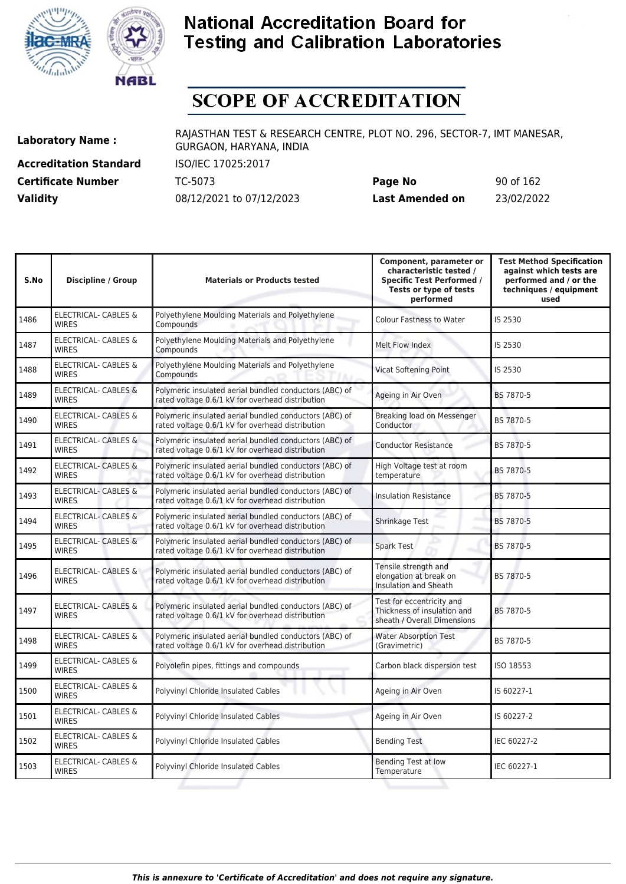



## **SCOPE OF ACCREDITATION**

**Accreditation Standard** ISO/IEC 17025:2017

**Laboratory Name :** RAJASTHAN TEST & RESEARCH CENTRE, PLOT NO. 296, SECTOR-7, IMT MANESAR, GURGAON, HARYANA, INDIA

**Certificate Number** TC-5073 **Page No** 90 of 162 **Validity** 08/12/2021 to 07/12/2023 **Last Amended on** 23/02/2022

| S.No | <b>Discipline / Group</b>                       | <b>Materials or Products tested</b>                                                                        | Component, parameter or<br>characteristic tested /<br><b>Specific Test Performed /</b><br>Tests or type of tests<br>performed | <b>Test Method Specification</b><br>against which tests are<br>performed and / or the<br>techniques / equipment<br>used |
|------|-------------------------------------------------|------------------------------------------------------------------------------------------------------------|-------------------------------------------------------------------------------------------------------------------------------|-------------------------------------------------------------------------------------------------------------------------|
| 1486 | <b>ELECTRICAL- CABLES &amp;</b><br><b>WIRES</b> | Polyethylene Moulding Materials and Polyethylene<br>Compounds                                              | <b>Colour Fastness to Water</b>                                                                                               | IS 2530                                                                                                                 |
| 1487 | <b>ELECTRICAL- CABLES &amp;</b><br><b>WIRES</b> | Polyethylene Moulding Materials and Polyethylene<br>Compounds                                              | Melt Flow Index                                                                                                               | IS 2530                                                                                                                 |
| 1488 | ELECTRICAL- CABLES &<br><b>WIRES</b>            | Polyethylene Moulding Materials and Polyethylene<br>Compounds                                              | <b>Vicat Softening Point</b>                                                                                                  | IS 2530                                                                                                                 |
| 1489 | <b>ELECTRICAL- CABLES &amp;</b><br><b>WIRES</b> | Polymeric insulated aerial bundled conductors (ABC) of<br>rated voltage 0.6/1 kV for overhead distribution | Ageing in Air Oven                                                                                                            | BS 7870-5                                                                                                               |
| 1490 | <b>ELECTRICAL- CABLES &amp;</b><br><b>WIRES</b> | Polymeric insulated aerial bundled conductors (ABC) of<br>rated voltage 0.6/1 kV for overhead distribution | Breaking load on Messenger<br>Conductor                                                                                       | BS 7870-5                                                                                                               |
| 1491 | <b>ELECTRICAL- CABLES &amp;</b><br><b>WIRES</b> | Polymeric insulated aerial bundled conductors (ABC) of<br>rated voltage 0.6/1 kV for overhead distribution | <b>Conductor Resistance</b>                                                                                                   | BS 7870-5                                                                                                               |
| 1492 | <b>ELECTRICAL- CABLES &amp;</b><br><b>WIRES</b> | Polymeric insulated aerial bundled conductors (ABC) of<br>rated voltage 0.6/1 kV for overhead distribution | High Voltage test at room<br>temperature                                                                                      | BS 7870-5                                                                                                               |
| 1493 | <b>ELECTRICAL- CABLES &amp;</b><br><b>WIRES</b> | Polymeric insulated aerial bundled conductors (ABC) of<br>rated voltage 0.6/1 kV for overhead distribution | <b>Insulation Resistance</b>                                                                                                  | BS 7870-5                                                                                                               |
| 1494 | ELECTRICAL- CABLES &<br><b>WIRES</b>            | Polymeric insulated aerial bundled conductors (ABC) of<br>rated voltage 0.6/1 kV for overhead distribution | <b>Shrinkage Test</b>                                                                                                         | BS 7870-5                                                                                                               |
| 1495 | <b>ELECTRICAL- CABLES &amp;</b><br><b>WIRES</b> | Polymeric insulated aerial bundled conductors (ABC) of<br>rated voltage 0.6/1 kV for overhead distribution | Spark Test                                                                                                                    | BS 7870-5                                                                                                               |
| 1496 | ELECTRICAL- CABLES &<br><b>WIRES</b>            | Polymeric insulated aerial bundled conductors (ABC) of<br>rated voltage 0.6/1 kV for overhead distribution | Tensile strength and<br>elongation at break on<br><b>Insulation and Sheath</b>                                                | BS 7870-5                                                                                                               |
| 1497 | <b>ELECTRICAL- CABLES &amp;</b><br><b>WIRES</b> | Polymeric insulated aerial bundled conductors (ABC) of<br>rated voltage 0.6/1 kV for overhead distribution | Test for eccentricity and<br>Thickness of insulation and<br>sheath / Overall Dimensions                                       | BS 7870-5                                                                                                               |
| 1498 | ELECTRICAL- CABLES &<br><b>WIRES</b>            | Polymeric insulated aerial bundled conductors (ABC) of<br>rated voltage 0.6/1 kV for overhead distribution | <b>Water Absorption Test</b><br>(Gravimetric)                                                                                 | BS 7870-5                                                                                                               |
| 1499 | <b>ELECTRICAL- CABLES &amp;</b><br><b>WIRFS</b> | Polyolefin pipes, fittings and compounds                                                                   | Carbon black dispersion test                                                                                                  | ISO 18553                                                                                                               |
| 1500 | ELECTRICAL- CABLES &<br><b>WIRES</b>            | Polyvinyl Chloride Insulated Cables                                                                        | Ageing in Air Oven                                                                                                            | IS 60227-1                                                                                                              |
| 1501 | ELECTRICAL- CABLES &<br><b>WIRES</b>            | Polyvinyl Chloride Insulated Cables                                                                        | Ageing in Air Oven                                                                                                            | IS 60227-2                                                                                                              |
| 1502 | ELECTRICAL- CABLES &<br><b>WIRES</b>            | Polyvinyl Chloride Insulated Cables                                                                        | <b>Bending Test</b>                                                                                                           | IEC 60227-2                                                                                                             |
| 1503 | ELECTRICAL- CABLES &<br><b>WIRES</b>            | Polyvinyl Chloride Insulated Cables                                                                        | Bending Test at low<br>Temperature                                                                                            | IEC 60227-1                                                                                                             |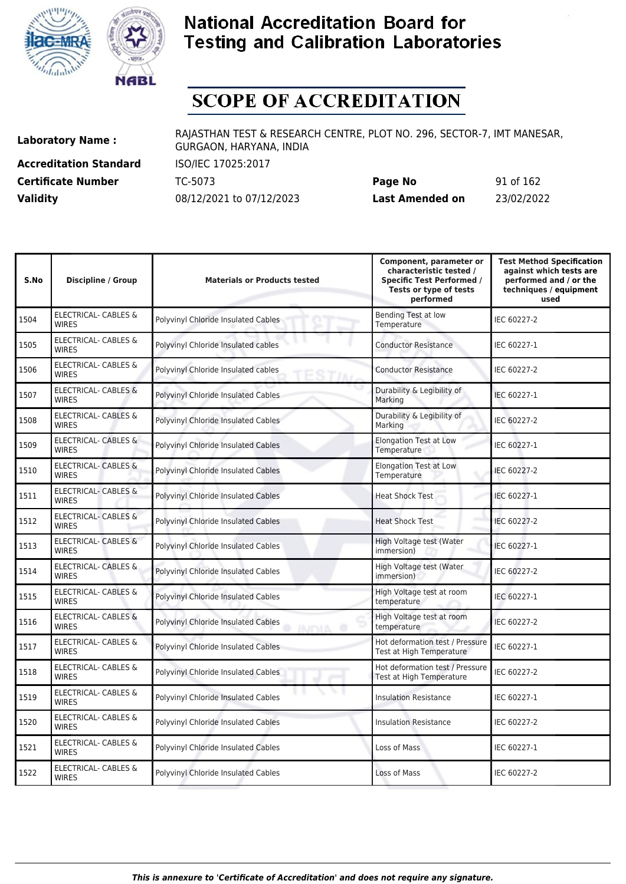



# **SCOPE OF ACCREDITATION**

**Accreditation Standard** ISO/IEC 17025:2017 **Certificate Number** TC-5073

| <b>Certificate Number</b> | TC-5073                  | Page No         | 91 of 162  |
|---------------------------|--------------------------|-----------------|------------|
| <b>Validity</b>           | 08/12/2021 to 07/12/2023 | Last Amended on | 23/02/2022 |

| S.No | <b>Discipline / Group</b>                       | <b>Materials or Products tested</b>                     | Component, parameter or<br>characteristic tested /<br><b>Specific Test Performed /</b><br>Tests or type of tests<br>performed | <b>Test Method Specification</b><br>against which tests are<br>performed and / or the<br>techniques / equipment<br>used |
|------|-------------------------------------------------|---------------------------------------------------------|-------------------------------------------------------------------------------------------------------------------------------|-------------------------------------------------------------------------------------------------------------------------|
| 1504 | <b>ELECTRICAL- CABLES &amp;</b><br><b>WIRES</b> | Polyvinyl Chloride Insulated Cables                     | <b>Bending Test at low</b><br>Temperature                                                                                     | IEC 60227-2                                                                                                             |
| 1505 | ELECTRICAL- CABLES &<br><b>WIRES</b>            | Polyvinyl Chloride Insulated cables                     | <b>Conductor Resistance</b>                                                                                                   | IEC 60227-1                                                                                                             |
| 1506 | <b>ELECTRICAL- CABLES &amp;</b><br><b>WIRES</b> | Polyvinyl Chloride Insulated cables                     | <b>Conductor Resistance</b>                                                                                                   | IEC 60227-2                                                                                                             |
| 1507 | <b>ELECTRICAL- CABLES &amp;</b><br><b>WIRES</b> | Polyvinyl Chloride Insulated Cables                     | Durability & Legibility of<br>Marking                                                                                         | IEC 60227-1                                                                                                             |
| 1508 | <b>ELECTRICAL- CABLES &amp;</b><br><b>WIRES</b> | Polyvinyl Chloride Insulated Cables                     | Durability & Legibility of<br>Marking                                                                                         | IEC 60227-2                                                                                                             |
| 1509 | <b>ELECTRICAL- CABLES &amp;</b><br><b>WIRES</b> | Polyvinyl Chloride Insulated Cables                     | <b>Elongation Test at Low</b><br>Temperature                                                                                  | IEC 60227-1                                                                                                             |
| 1510 | <b>ELECTRICAL- CABLES &amp;</b><br><b>WIRES</b> | Polyvinyl Chloride Insulated Cables                     | <b>Elongation Test at Low</b><br>Temperature                                                                                  | IEC 60227-2                                                                                                             |
| 1511 | <b>ELECTRICAL- CABLES &amp;</b><br><b>WIRES</b> | Polyvinyl Chloride Insulated Cables                     | <b>Heat Shock Test</b>                                                                                                        | IEC 60227-1                                                                                                             |
| 1512 | ELECTRICAL- CABLES &<br><b>WIRES</b>            | Polyvinyl Chloride Insulated Cables                     | <b>Heat Shock Test</b>                                                                                                        | IEC 60227-2                                                                                                             |
| 1513 | <b>ELECTRICAL- CABLES &amp;</b><br><b>WIRES</b> | Polyvinyl Chloride Insulated Cables                     | High Voltage test (Water<br>immersion)                                                                                        | IEC 60227-1                                                                                                             |
| 1514 | <b>ELECTRICAL- CABLES &amp;</b><br><b>WIRES</b> | Polyvinyl Chloride Insulated Cables                     | High Voltage test (Water<br>immersion)                                                                                        | IEC 60227-2                                                                                                             |
| 1515 | <b>ELECTRICAL- CABLES &amp;</b><br><b>WIRES</b> | Polyvinyl Chloride Insulated Cables                     | High Voltage test at room<br>temperature                                                                                      | IEC 60227-1                                                                                                             |
| 1516 | <b>ELECTRICAL- CABLES &amp;</b><br><b>WIRES</b> | Polyvinyl Chloride Insulated Cables<br><b>INITYIA O</b> | High Voltage test at room<br>temperature                                                                                      | IEC 60227-2                                                                                                             |
| 1517 | <b>ELECTRICAL- CABLES &amp;</b><br><b>WIRES</b> | Polyvinyl Chloride Insulated Cables                     | Hot deformation test / Pressure<br>Test at High Temperature                                                                   | IEC 60227-1                                                                                                             |
| 1518 | ELECTRICAL- CABLES &<br><b>WIRES</b>            | Polyvinyl Chloride Insulated Cables                     | Hot deformation test / Pressure<br>Test at High Temperature                                                                   | IEC 60227-2                                                                                                             |
| 1519 | <b>ELECTRICAL- CABLES &amp;</b><br><b>WIRES</b> | Polyvinyl Chloride Insulated Cables                     | <b>Insulation Resistance</b>                                                                                                  | IEC 60227-1                                                                                                             |
| 1520 | ELECTRICAL- CABLES &<br><b>WIRES</b>            | Polyvinyl Chloride Insulated Cables                     | <b>Insulation Resistance</b>                                                                                                  | IEC 60227-2                                                                                                             |
| 1521 | <b>ELECTRICAL- CABLES &amp;</b><br><b>WIRES</b> | Polyvinyl Chloride Insulated Cables                     | Loss of Mass                                                                                                                  | IEC 60227-1                                                                                                             |
| 1522 | ELECTRICAL- CABLES &<br><b>WIRES</b>            | Polyvinyl Chloride Insulated Cables                     | Loss of Mass                                                                                                                  | IEC 60227-2                                                                                                             |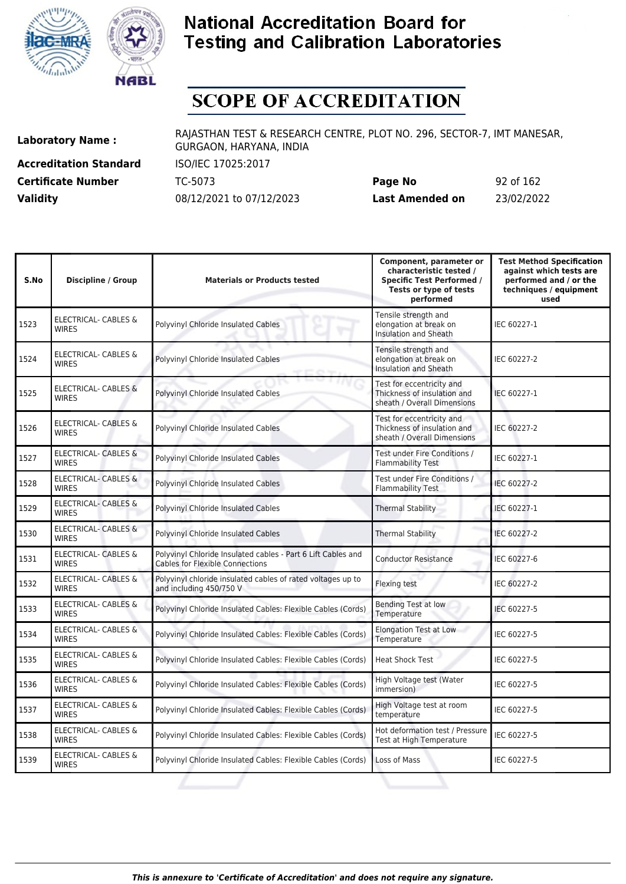



# **SCOPE OF ACCREDITATION**

**Accreditation Standard** ISO/IEC 17025:2017

**Laboratory Name :** RAJASTHAN TEST & RESEARCH CENTRE, PLOT NO. 296, SECTOR-7, IMT MANESAR, GURGAON, HARYANA, INDIA

**Certificate Number** TC-5073 **Page No** 92 of 162 **Validity** 08/12/2021 to 07/12/2023 **Last Amended on** 23/02/2022

| S.No | <b>Discipline / Group</b>                       | <b>Materials or Products tested</b>                                                                    | Component, parameter or<br>characteristic tested /<br><b>Specific Test Performed /</b><br>Tests or type of tests<br>performed | <b>Test Method Specification</b><br>against which tests are<br>performed and / or the<br>techniques / equipment<br>used |
|------|-------------------------------------------------|--------------------------------------------------------------------------------------------------------|-------------------------------------------------------------------------------------------------------------------------------|-------------------------------------------------------------------------------------------------------------------------|
| 1523 | <b>ELECTRICAL- CABLES &amp;</b><br>WIRES        | Polyvinyl Chloride Insulated Cables                                                                    | Tensile strength and<br>elongation at break on<br><b>Insulation and Sheath</b>                                                | IEC 60227-1                                                                                                             |
| 1524 | ELECTRICAL- CABLES &<br><b>WIRES</b>            | Polyvinyl Chloride Insulated Cables                                                                    | Tensile strength and<br>elongation at break on<br><b>Insulation and Sheath</b>                                                | IEC 60227-2                                                                                                             |
| 1525 | <b>ELECTRICAL- CABLES &amp;</b><br><b>WIRES</b> | Polyvinyl Chloride Insulated Cables                                                                    | Test for eccentricity and<br>Thickness of insulation and<br>sheath / Overall Dimensions                                       | IEC 60227-1                                                                                                             |
| 1526 | <b>ELECTRICAL- CABLES &amp;</b><br><b>WIRES</b> | Polyvinyl Chloride Insulated Cables                                                                    | Test for eccentricity and<br>Thickness of insulation and<br>sheath / Overall Dimensions                                       | IEC 60227-2                                                                                                             |
| 1527 | <b>ELECTRICAL- CABLES &amp;</b><br><b>WIRES</b> | Polyvinyl Chloride Insulated Cables                                                                    | Test under Fire Conditions /<br><b>Flammability Test</b>                                                                      | IEC 60227-1                                                                                                             |
| 1528 | <b>ELECTRICAL- CABLES &amp;</b><br><b>WIRES</b> | Polyvinyl Chloride Insulated Cables                                                                    | Test under Fire Conditions /<br><b>Flammability Test</b>                                                                      | IEC 60227-2                                                                                                             |
| 1529 | <b>ELECTRICAL- CABLES &amp;</b><br><b>WIRES</b> | Polyvinyl Chloride Insulated Cables                                                                    | <b>Thermal Stability</b>                                                                                                      | IEC 60227-1                                                                                                             |
| 1530 | ELECTRICAL- CABLES &<br><b>WIRES</b>            | Polyvinyl Chloride Insulated Cables                                                                    | <b>Thermal Stability</b>                                                                                                      | IEC 60227-2                                                                                                             |
| 1531 | <b>ELECTRICAL- CABLES &amp;</b><br><b>WIRES</b> | Polyvinyl Chloride Insulated cables - Part 6 Lift Cables and<br><b>Cables for Flexible Connections</b> | <b>Conductor Resistance</b>                                                                                                   | IEC 60227-6                                                                                                             |
| 1532 | <b>ELECTRICAL- CABLES &amp;</b><br><b>WIRES</b> | Polyvinyl chloride insulated cables of rated voltages up to<br>and including 450/750 V                 | Flexing test                                                                                                                  | IEC 60227-2                                                                                                             |
| 1533 | ELECTRICAL- CABLES &<br><b>WIRES</b>            | Polyvinyl Chloride Insulated Cables: Flexible Cables (Cords)                                           | <b>Bending Test at low</b><br>Temperature                                                                                     | IEC 60227-5                                                                                                             |
| 1534 | ELECTRICAL- CABLES &<br><b>WIRES</b>            | Polyvinyl Chloride Insulated Cables: Flexible Cables (Cords)                                           | <b>Elongation Test at Low</b><br>Temperature                                                                                  | IEC 60227-5                                                                                                             |
| 1535 | ELECTRICAL- CABLES &<br><b>WIRES</b>            | Polyvinyl Chloride Insulated Cables: Flexible Cables (Cords)                                           | <b>Heat Shock Test</b>                                                                                                        | IEC 60227-5                                                                                                             |
| 1536 | ELECTRICAL- CABLES &<br><b>WIRES</b>            | Polyvinyl Chloride Insulated Cables: Flexible Cables (Cords)                                           | High Voltage test (Water<br>immersion)                                                                                        | IEC 60227-5                                                                                                             |
| 1537 | ELECTRICAL- CABLES &<br><b>WIRES</b>            | Polyvinyl Chloride Insulated Cables: Flexible Cables (Cords)                                           | High Voltage test at room<br>temperature                                                                                      | IEC 60227-5                                                                                                             |
| 1538 | ELECTRICAL- CABLES &<br><b>WIRES</b>            | Polyvinyl Chloride Insulated Cables: Flexible Cables (Cords)                                           | Hot deformation test / Pressure<br>Test at High Temperature                                                                   | IEC 60227-5                                                                                                             |
| 1539 | <b>ELECTRICAL- CABLES &amp;</b><br><b>WIRES</b> | Polyvinyl Chloride Insulated Cables: Flexible Cables (Cords)                                           | Loss of Mass                                                                                                                  | IEC 60227-5                                                                                                             |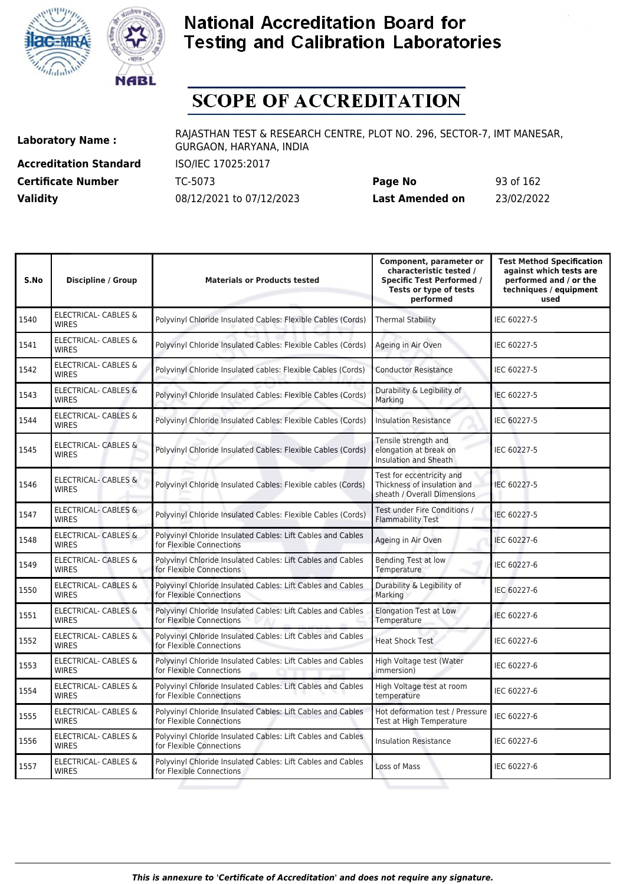![](_page_92_Picture_0.jpeg)

![](_page_92_Picture_1.jpeg)

# **SCOPE OF ACCREDITATION**

**Accreditation Standard** ISO/IEC 17025:2017 **Certificate Number** TC-5073

| <b>Certificate Number</b> | TC-5073                  | Page No         | 93 of 162  |
|---------------------------|--------------------------|-----------------|------------|
| <b>Validity</b>           | 08/12/2021 to 07/12/2023 | Last Amended on | 23/02/2022 |

| S.No | <b>Discipline / Group</b>                       | <b>Materials or Products tested</b>                                                     | Component, parameter or<br>characteristic tested /<br><b>Specific Test Performed /</b><br>Tests or type of tests<br>performed | <b>Test Method Specification</b><br>against which tests are<br>performed and / or the<br>techniques / equipment<br>used |
|------|-------------------------------------------------|-----------------------------------------------------------------------------------------|-------------------------------------------------------------------------------------------------------------------------------|-------------------------------------------------------------------------------------------------------------------------|
| 1540 | <b>ELECTRICAL- CABLES &amp;</b><br><b>WIRFS</b> | Polyvinyl Chloride Insulated Cables: Flexible Cables (Cords)                            | <b>Thermal Stability</b>                                                                                                      | IEC 60227-5                                                                                                             |
| 1541 | <b>ELECTRICAL- CABLES &amp;</b><br><b>WIRES</b> | Polyvinyl Chloride Insulated Cables: Flexible Cables (Cords)                            | Ageing in Air Oven                                                                                                            | IEC 60227-5                                                                                                             |
| 1542 | <b>ELECTRICAL- CABLES &amp;</b><br><b>WIRES</b> | Polyvinyl Chloride Insulated cables: Flexible Cables (Cords)                            | <b>Conductor Resistance</b>                                                                                                   | IEC 60227-5                                                                                                             |
| 1543 | <b>ELECTRICAL- CABLES &amp;</b><br><b>WIRES</b> | Polyvinyl Chloride Insulated Cables: Flexible Cables (Cords)                            | Durability & Legibility of<br>Marking                                                                                         | IEC 60227-5                                                                                                             |
| 1544 | ELECTRICAL- CABLES &<br><b>WIRES</b>            | Polyvinyl Chloride Insulated Cables: Flexible Cables (Cords)                            | <b>Insulation Resistance</b>                                                                                                  | IEC 60227-5                                                                                                             |
| 1545 | <b>ELECTRICAL- CABLES &amp;</b><br><b>WIRES</b> | Polyvinyl Chloride Insulated Cables: Flexible Cables (Cords)                            | Tensile strength and<br>elongation at break on<br>Insulation and Sheath                                                       | IEC 60227-5                                                                                                             |
| 1546 | ELECTRICAL- CABLES &<br><b>WIRES</b>            | Polyvinyl Chloride Insulated Cables: Flexible cables (Cords)                            | Test for eccentricity and<br>Thickness of insulation and<br>sheath / Overall Dimensions                                       | IEC 60227-5                                                                                                             |
| 1547 | <b>ELECTRICAL- CABLES &amp;</b><br><b>WIRES</b> | Polyvinyl Chloride Insulated Cables: Flexible Cables (Cords)                            | Test under Fire Conditions /<br><b>Flammability Test</b>                                                                      | IEC 60227-5                                                                                                             |
| 1548 | <b>ELECTRICAL- CABLES &amp;</b><br><b>WIRES</b> | Polyvinyl Chloride Insulated Cables: Lift Cables and Cables<br>for Flexible Connections | Ageing in Air Oven                                                                                                            | IEC 60227-6                                                                                                             |
| 1549 | <b>ELECTRICAL- CABLES &amp;</b><br><b>WIRES</b> | Polyvinyl Chloride Insulated Cables: Lift Cables and Cables<br>for Flexible Connections | Bending Test at low<br>Temperature                                                                                            | IEC 60227-6                                                                                                             |
| 1550 | ELECTRICAL- CABLES &<br><b>WIRES</b>            | Polyvinyl Chloride Insulated Cables: Lift Cables and Cables<br>for Flexible Connections | Durability & Legibility of<br>Marking                                                                                         | IEC 60227-6                                                                                                             |
| 1551 | <b>ELECTRICAL- CABLES &amp;</b><br><b>WIRES</b> | Polyvinyl Chloride Insulated Cables: Lift Cables and Cables<br>for Flexible Connections | <b>Elongation Test at Low</b><br>Temperature                                                                                  | IEC 60227-6                                                                                                             |
| 1552 | <b>ELECTRICAL- CABLES &amp;</b><br><b>WIRES</b> | Polyvinyl Chloride Insulated Cables: Lift Cables and Cables<br>for Flexible Connections | <b>Heat Shock Test</b>                                                                                                        | IEC 60227-6                                                                                                             |
| 1553 | <b>ELECTRICAL- CABLES &amp;</b><br><b>WIRES</b> | Polyvinyl Chloride Insulated Cables: Lift Cables and Cables<br>for Flexible Connections | High Voltage test (Water<br>immersion)                                                                                        | IEC 60227-6                                                                                                             |
| 1554 | ELECTRICAL- CABLES &<br><b>WIRES</b>            | Polyvinyl Chloride Insulated Cables: Lift Cables and Cables<br>for Flexible Connections | High Voltage test at room<br>temperature                                                                                      | IEC 60227-6                                                                                                             |
| 1555 | ELECTRICAL- CABLES &<br><b>WIRES</b>            | Polyvinyl Chloride Insulated Cables: Lift Cables and Cables<br>for Flexible Connections | Hot deformation test / Pressure<br>Test at High Temperature                                                                   | IEC 60227-6                                                                                                             |
| 1556 | ELECTRICAL- CABLES &<br><b>WIRES</b>            | Polyvinyl Chloride Insulated Cables: Lift Cables and Cables<br>for Flexible Connections | <b>Insulation Resistance</b>                                                                                                  | IEC 60227-6                                                                                                             |
| 1557 | ELECTRICAL- CABLES &<br><b>WIRES</b>            | Polyvinyl Chloride Insulated Cables: Lift Cables and Cables<br>for Flexible Connections | Loss of Mass                                                                                                                  | IEC 60227-6                                                                                                             |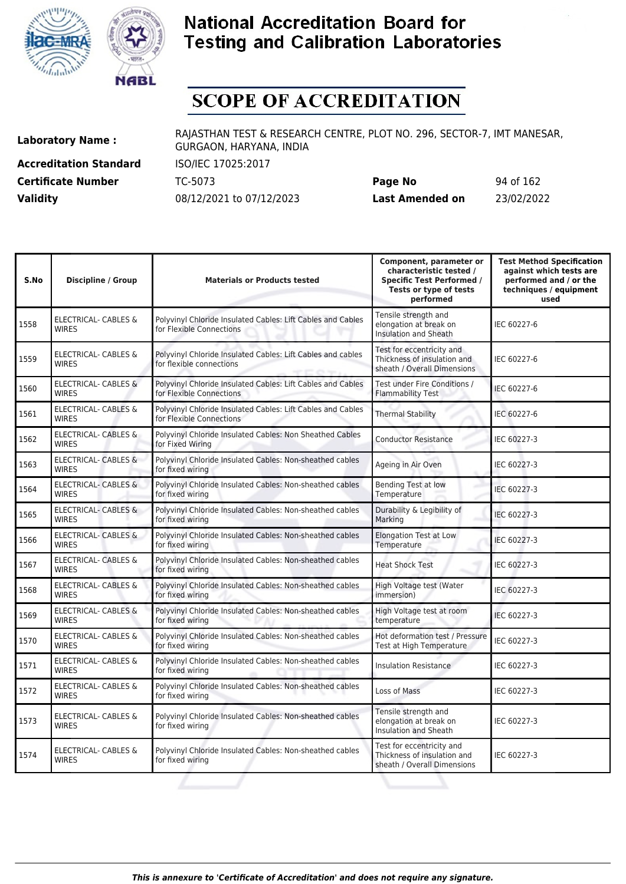![](_page_93_Picture_0.jpeg)

![](_page_93_Picture_1.jpeg)

# **SCOPE OF ACCREDITATION**

**Accreditation Standard** ISO/IEC 17025:2017

**Laboratory Name :** RAJASTHAN TEST & RESEARCH CENTRE, PLOT NO. 296, SECTOR-7, IMT MANESAR, GURGAON, HARYANA, INDIA

**Certificate Number** TC-5073 **Page No** 94 of 162 **Validity** 08/12/2021 to 07/12/2023 **Last Amended on** 23/02/2022

| S.No | <b>Discipline / Group</b>                       | <b>Materials or Products tested</b>                                                     | Component, parameter or<br>characteristic tested /<br><b>Specific Test Performed /</b><br>Tests or type of tests<br>performed | <b>Test Method Specification</b><br>against which tests are<br>performed and / or the<br>techniques / equipment<br>used |
|------|-------------------------------------------------|-----------------------------------------------------------------------------------------|-------------------------------------------------------------------------------------------------------------------------------|-------------------------------------------------------------------------------------------------------------------------|
| 1558 | <b>ELECTRICAL- CABLES &amp;</b><br><b>WIRES</b> | Polyvinyl Chloride Insulated Cables: Lift Cables and Cables<br>for Flexible Connections | Tensile strength and<br>elongation at break on<br>Insulation and Sheath                                                       | IEC 60227-6                                                                                                             |
| 1559 | <b>ELECTRICAL- CABLES &amp;</b><br><b>WIRES</b> | Polyvinyl Chloride Insulated Cables: Lift Cables and cables<br>for flexible connections | Test for eccentricity and<br>Thickness of insulation and<br>sheath / Overall Dimensions                                       | IEC 60227-6                                                                                                             |
| 1560 | <b>ELECTRICAL- CABLES &amp;</b><br><b>WIRES</b> | Polyvinyl Chloride Insulated Cables: Lift Cables and Cables<br>for Flexible Connections | Test under Fire Conditions /<br><b>Flammability Test</b>                                                                      | IEC 60227-6                                                                                                             |
| 1561 | <b>ELECTRICAL- CABLES &amp;</b><br><b>WIRES</b> | Polyvinyl Chloride Insulated Cables: Lift Cables and Cables<br>for Flexible Connections | <b>Thermal Stability</b>                                                                                                      | IEC 60227-6                                                                                                             |
| 1562 | ELECTRICAL- CABLES &<br><b>WIRES</b>            | Polyvinyl Chloride Insulated Cables: Non Sheathed Cables<br>for Fixed Wiring            | <b>Conductor Resistance</b>                                                                                                   | IEC 60227-3                                                                                                             |
| 1563 | <b>ELECTRICAL- CABLES &amp;</b><br><b>WIRES</b> | Polyvinyl Chloride Insulated Cables: Non-sheathed cables<br>for fixed wiring            | Ageing in Air Oven                                                                                                            | IEC 60227-3                                                                                                             |
| 1564 | ELECTRICAL- CABLES &<br><b>WIRES</b>            | Polyvinyl Chloride Insulated Cables: Non-sheathed cables<br>for fixed wiring            | Bending Test at low<br>Temperature                                                                                            | IEC 60227-3                                                                                                             |
| 1565 | <b>ELECTRICAL- CABLES &amp;</b><br><b>WIRES</b> | Polyvinyl Chloride Insulated Cables: Non-sheathed cables<br>for fixed wiring            | Durability & Legibility of<br>Marking                                                                                         | IEC 60227-3                                                                                                             |
| 1566 | <b>ELECTRICAL- CABLES &amp;</b><br><b>WIRES</b> | Polyvinyl Chloride Insulated Cables: Non-sheathed cables<br>for fixed wiring            | <b>Elongation Test at Low</b><br>Temperature                                                                                  | IEC 60227-3                                                                                                             |
| 1567 | <b>ELECTRICAL- CABLES &amp;</b><br><b>WIRES</b> | Polyvinyl Chloride Insulated Cables: Non-sheathed cables<br>for fixed wiring            | <b>Heat Shock Test</b>                                                                                                        | IEC 60227-3                                                                                                             |
| 1568 | <b>ELECTRICAL- CABLES &amp;</b><br><b>WIRES</b> | Polyvinyl Chloride Insulated Cables: Non-sheathed cables<br>for fixed wiring            | High Voltage test (Water<br>immersion)                                                                                        | IEC 60227-3                                                                                                             |
| 1569 | <b>ELECTRICAL- CABLES &amp;</b><br><b>WIRFS</b> | Polyvinyl Chloride Insulated Cables: Non-sheathed cables<br>for fixed wiring            | High Voltage test at room<br>temperature                                                                                      | IEC 60227-3                                                                                                             |
| 1570 | ELECTRICAL- CABLES &<br><b>WIRES</b>            | Polyvinyl Chloride Insulated Cables: Non-sheathed cables<br>for fixed wiring            | Hot deformation test / Pressure<br>Test at High Temperature                                                                   | IEC 60227-3                                                                                                             |
| 1571 | ELECTRICAL- CABLES &<br><b>WIRES</b>            | Polyvinyl Chloride Insulated Cables: Non-sheathed cables<br>for fixed wiring            | <b>Insulation Resistance</b>                                                                                                  | IEC 60227-3                                                                                                             |
| 1572 | ELECTRICAL- CABLES &<br><b>WIRES</b>            | Polyvinyl Chloride Insulated Cables: Non-sheathed cables<br>for fixed wiring            | Loss of Mass                                                                                                                  | IEC 60227-3                                                                                                             |
| 1573 | <b>ELECTRICAL- CABLES &amp;</b><br><b>WIRES</b> | Polyvinyl Chloride Insulated Cables: Non-sheathed cables<br>for fixed wiring            | Tensile strength and<br>elongation at break on<br>Insulation and Sheath                                                       | IEC 60227-3                                                                                                             |
| 1574 | ELECTRICAL- CABLES &<br><b>WIRES</b>            | Polyvinyl Chloride Insulated Cables: Non-sheathed cables<br>for fixed wiring            | Test for eccentricity and<br>Thickness of insulation and<br>sheath / Overall Dimensions                                       | IEC 60227-3                                                                                                             |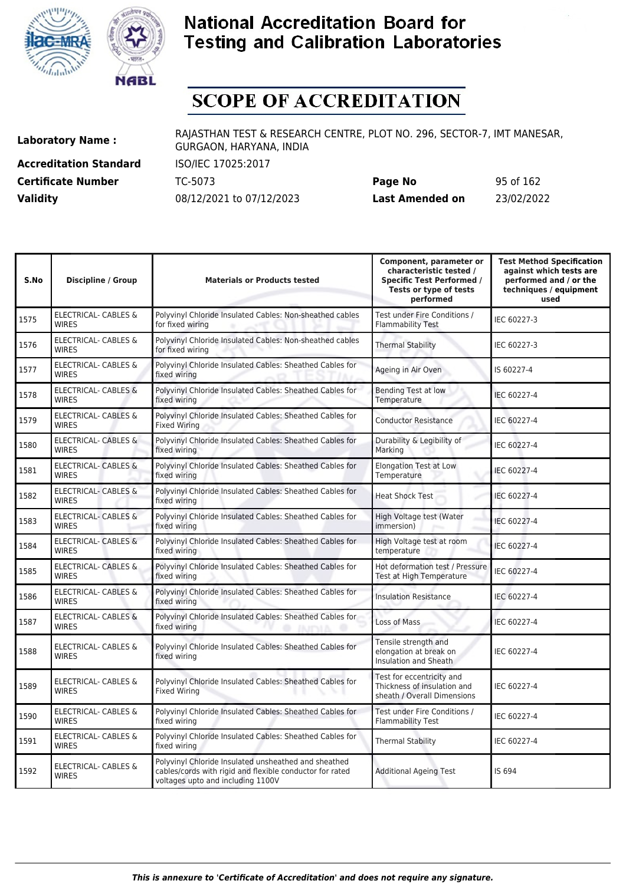![](_page_94_Picture_0.jpeg)

![](_page_94_Picture_1.jpeg)

## **SCOPE OF ACCREDITATION**

**Accreditation Standard** ISO/IEC 17025:2017

**Laboratory Name :** RAJASTHAN TEST & RESEARCH CENTRE, PLOT NO. 296, SECTOR-7, IMT MANESAR, GURGAON, HARYANA, INDIA

**Certificate Number** TC-5073 **Page No** 95 of 162 **Validity** 08/12/2021 to 07/12/2023 **Last Amended on** 23/02/2022

| S.No | <b>Discipline / Group</b>                       | <b>Materials or Products tested</b>                                                                                                                   | Component, parameter or<br>characteristic tested /<br><b>Specific Test Performed /</b><br>Tests or type of tests<br>performed | <b>Test Method Specification</b><br>against which tests are<br>performed and / or the<br>techniques / equipment<br>used |
|------|-------------------------------------------------|-------------------------------------------------------------------------------------------------------------------------------------------------------|-------------------------------------------------------------------------------------------------------------------------------|-------------------------------------------------------------------------------------------------------------------------|
| 1575 | ELECTRICAL- CABLES &<br><b>WIRES</b>            | Polyvinyl Chloride Insulated Cables: Non-sheathed cables<br>for fixed wiring                                                                          | Test under Fire Conditions /<br><b>Flammability Test</b>                                                                      | IEC 60227-3                                                                                                             |
| 1576 | ELECTRICAL- CABLES &<br><b>WIRES</b>            | Polyvinyl Chloride Insulated Cables: Non-sheathed cables<br>for fixed wiring                                                                          | <b>Thermal Stability</b>                                                                                                      | IEC 60227-3                                                                                                             |
| 1577 | ELECTRICAL- CABLES &<br><b>WIRES</b>            | Polyvinyl Chloride Insulated Cables: Sheathed Cables for<br>fixed wiring                                                                              | Ageing in Air Oven                                                                                                            | IS 60227-4                                                                                                              |
| 1578 | <b>ELECTRICAL- CABLES &amp;</b><br><b>WIRES</b> | Polyvinyl Chloride Insulated Cables: Sheathed Cables for<br>fixed wiring                                                                              | <b>Bending Test at low</b><br>Temperature                                                                                     | IEC 60227-4                                                                                                             |
| 1579 | <b>ELECTRICAL- CABLES &amp;</b><br><b>WIRES</b> | Polyvinyl Chloride Insulated Cables: Sheathed Cables for<br><b>Fixed Wiring</b>                                                                       | <b>Conductor Resistance</b>                                                                                                   | IEC 60227-4                                                                                                             |
| 1580 | ELECTRICAL- CABLES &<br><b>WIRES</b>            | Polyvinyl Chloride Insulated Cables: Sheathed Cables for<br>fixed wiring                                                                              | Durability & Legibility of<br>Marking                                                                                         | IEC 60227-4                                                                                                             |
| 1581 | <b>ELECTRICAL- CABLES &amp;</b><br><b>WIRES</b> | Polyvinyl Chloride Insulated Cables: Sheathed Cables for<br>fixed wiring                                                                              | <b>Elongation Test at Low</b><br>Temperature                                                                                  | IEC 60227-4                                                                                                             |
| 1582 | <b>ELECTRICAL- CABLES &amp;</b><br><b>WIRES</b> | Polyvinyl Chloride Insulated Cables: Sheathed Cables for<br>fixed wiring                                                                              | <b>Heat Shock Test</b>                                                                                                        | IEC 60227-4                                                                                                             |
| 1583 | ELECTRICAL- CABLES &<br><b>WIRES</b>            | Polyvinyl Chloride Insulated Cables: Sheathed Cables for<br>fixed wiring                                                                              | High Voltage test (Water<br>immersion)                                                                                        | IEC 60227-4                                                                                                             |
| 1584 | ELECTRICAL- CABLES &<br><b>WIRES</b>            | Polyvinyl Chloride Insulated Cables: Sheathed Cables for<br>fixed wiring                                                                              | High Voltage test at room<br>temperature                                                                                      | IEC 60227-4                                                                                                             |
| 1585 | <b>ELECTRICAL- CABLES &amp;</b><br><b>WIRES</b> | Polyvinyl Chloride Insulated Cables: Sheathed Cables for<br>fixed wiring                                                                              | Hot deformation test / Pressure<br>Test at High Temperature                                                                   | IEC 60227-4                                                                                                             |
| 1586 | ELECTRICAL- CABLES &<br><b>WIRES</b>            | Polyvinyl Chloride Insulated Cables: Sheathed Cables for<br>fixed wiring                                                                              | <b>Insulation Resistance</b>                                                                                                  | IEC 60227-4                                                                                                             |
| 1587 | <b>ELECTRICAL- CABLES &amp;</b><br><b>WIRES</b> | Polyvinyl Chloride Insulated Cables: Sheathed Cables for<br>fixed wiring<br><b>JAJPMA</b>                                                             | Loss of Mass                                                                                                                  | IEC 60227-4                                                                                                             |
| 1588 | ELECTRICAL- CABLES &<br><b>WIRES</b>            | Polyvinyl Chloride Insulated Cables: Sheathed Cables for<br>fixed wiring                                                                              | Tensile strength and<br>elongation at break on<br>Insulation and Sheath                                                       | IEC 60227-4                                                                                                             |
| 1589 | ELECTRICAL- CABLES &<br><b>WIRES</b>            | Polyvinyl Chloride Insulated Cables: Sheathed Cables for<br><b>Fixed Wiring</b>                                                                       | Test for eccentricity and<br>Thickness of insulation and<br>sheath / Overall Dimensions                                       | IEC 60227-4                                                                                                             |
| 1590 | ELECTRICAL- CABLES &<br><b>WIRES</b>            | Polyvinyl Chloride Insulated Cables: Sheathed Cables for<br>fixed wiring                                                                              | Test under Fire Conditions /<br><b>Flammability Test</b>                                                                      | IEC 60227-4                                                                                                             |
| 1591 | ELECTRICAL- CABLES &<br><b>WIRES</b>            | Polyvinyl Chloride Insulated Cables: Sheathed Cables for<br>fixed wiring                                                                              | <b>Thermal Stability</b>                                                                                                      | IEC 60227-4                                                                                                             |
| 1592 | <b>ELECTRICAL- CABLES &amp;</b><br><b>WIRES</b> | Polyvinyl Chloride Insulated unsheathed and sheathed<br>cables/cords with rigid and flexible conductor for rated<br>voltages upto and including 1100V | <b>Additional Ageing Test</b>                                                                                                 | IS 694                                                                                                                  |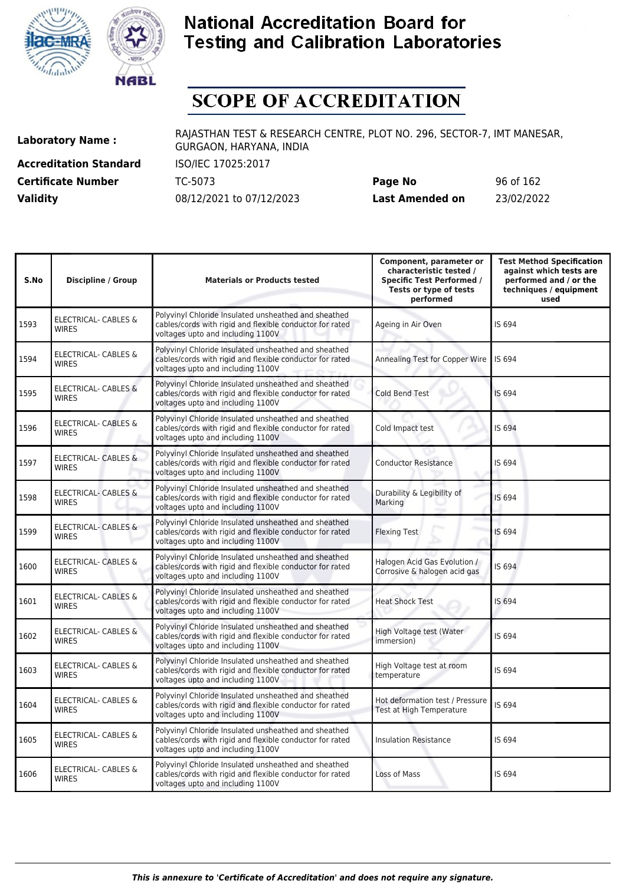![](_page_95_Picture_0.jpeg)

![](_page_95_Picture_1.jpeg)

# **SCOPE OF ACCREDITATION**

**Accreditation Standard** ISO/IEC 17025:2017 **Certificate Number Page 162 TC-5073 Validity** 08/12/2021 to 07/12/2023

| Page No         | 96 of 162  |
|-----------------|------------|
| Last Amended on | 23/02/2022 |

| S.No | <b>Discipline / Group</b>                       | <b>Materials or Products tested</b>                                                                                                                   | Component, parameter or<br>characteristic tested /<br><b>Specific Test Performed /</b><br>Tests or type of tests<br>performed | <b>Test Method Specification</b><br>against which tests are<br>performed and / or the<br>techniques / equipment<br>used |
|------|-------------------------------------------------|-------------------------------------------------------------------------------------------------------------------------------------------------------|-------------------------------------------------------------------------------------------------------------------------------|-------------------------------------------------------------------------------------------------------------------------|
| 1593 | ELECTRICAL- CABLES &<br><b>WIRES</b>            | Polyvinyl Chloride Insulated unsheathed and sheathed<br>cables/cords with rigid and flexible conductor for rated<br>voltages upto and including 1100V | Ageing in Air Oven                                                                                                            | IS 694                                                                                                                  |
| 1594 | <b>ELECTRICAL- CABLES &amp;</b><br><b>WIRES</b> | Polyvinyl Chloride Insulated unsheathed and sheathed<br>cables/cords with rigid and flexible conductor for rated<br>voltages upto and including 1100V | Annealing Test for Copper Wire                                                                                                | IS 694                                                                                                                  |
| 1595 | <b>ELECTRICAL- CABLES &amp;</b><br><b>WIRES</b> | Polyvinyl Chloride Insulated unsheathed and sheathed<br>cables/cords with rigid and flexible conductor for rated<br>voltages upto and including 1100V | <b>Cold Bend Test</b>                                                                                                         | <b>IS 694</b>                                                                                                           |
| 1596 | <b>ELECTRICAL- CABLES &amp;</b><br><b>WIRES</b> | Polyvinyl Chloride Insulated unsheathed and sheathed<br>cables/cords with rigid and flexible conductor for rated<br>voltages upto and including 1100V | Cold Impact test                                                                                                              | IS 694                                                                                                                  |
| 1597 | ELECTRICAL- CABLES &<br><b>WIRES</b>            | Polyvinyl Chloride Insulated unsheathed and sheathed<br>cables/cords with rigid and flexible conductor for rated<br>voltages upto and including 1100V | <b>Conductor Resistance</b>                                                                                                   | IS 694                                                                                                                  |
| 1598 | ELECTRICAL- CABLES &<br><b>WIRES</b>            | Polyvinyl Chloride Insulated unsheathed and sheathed<br>cables/cords with rigid and flexible conductor for rated<br>voltages upto and including 1100V | Durability & Legibility of<br>Marking                                                                                         | IS 694                                                                                                                  |
| 1599 | <b>ELECTRICAL- CABLES &amp;</b><br><b>WIRES</b> | Polyvinyl Chloride Insulated unsheathed and sheathed<br>cables/cords with rigid and flexible conductor for rated<br>voltages upto and including 1100V | <b>Flexing Test</b>                                                                                                           | IS 694                                                                                                                  |
| 1600 | ELECTRICAL- CABLES &<br><b>WIRES</b>            | Polyvinyl Chloride Insulated unsheathed and sheathed<br>cables/cords with rigid and flexible conductor for rated<br>voltages upto and including 1100V | Halogen Acid Gas Evolution /<br>Corrosive & halogen acid gas                                                                  | IS 694                                                                                                                  |
| 1601 | ELECTRICAL- CABLES &<br><b>WIRES</b>            | Polyvinyl Chloride Insulated unsheathed and sheathed<br>cables/cords with rigid and flexible conductor for rated<br>voltages upto and including 1100V | <b>Heat Shock Test</b>                                                                                                        | IS 694                                                                                                                  |
| 1602 | ELECTRICAL- CABLES &<br><b>WIRES</b>            | Polyvinyl Chloride Insulated unsheathed and sheathed<br>cables/cords with rigid and flexible conductor for rated<br>voltages upto and including 1100V | High Voltage test (Water<br>immersion)                                                                                        | IS 694                                                                                                                  |
| 1603 | <b>ELECTRICAL- CABLES &amp;</b><br><b>WIRES</b> | Polyvinyl Chloride Insulated unsheathed and sheathed<br>cables/cords with rigid and flexible conductor for rated<br>voltages upto and including 1100V | High Voltage test at room<br>temperature                                                                                      | IS 694                                                                                                                  |
| 1604 | ELECTRICAL- CABLES &<br><b>WIRES</b>            | Polyvinyl Chloride Insulated unsheathed and sheathed<br>cables/cords with rigid and flexible conductor for rated<br>voltages upto and including 1100V | Hot deformation test / Pressure<br>Test at High Temperature                                                                   | IS 694                                                                                                                  |
| 1605 | ELECTRICAL- CABLES &<br><b>WIRES</b>            | Polyvinyl Chloride Insulated unsheathed and sheathed<br>cables/cords with rigid and flexible conductor for rated<br>voltages upto and including 1100V | <b>Insulation Resistance</b>                                                                                                  | IS 694                                                                                                                  |
| 1606 | ELECTRICAL- CABLES &<br><b>WIRES</b>            | Polyvinyl Chloride Insulated unsheathed and sheathed<br>cables/cords with rigid and flexible conductor for rated<br>voltages upto and including 1100V | Loss of Mass                                                                                                                  | IS 694                                                                                                                  |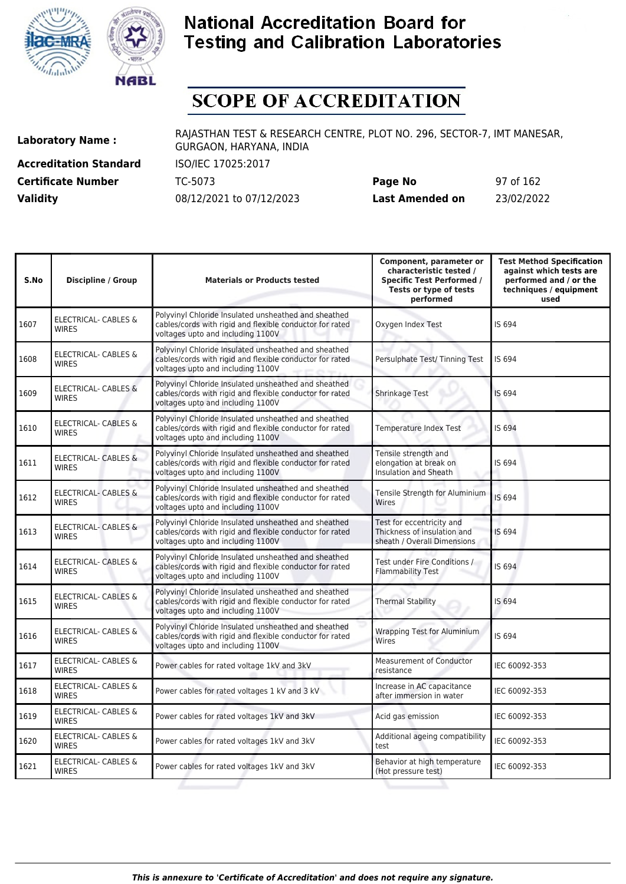![](_page_96_Picture_0.jpeg)

![](_page_96_Picture_1.jpeg)

## **SCOPE OF ACCREDITATION**

**Accreditation Standard** ISO/IEC 17025:2017

**Laboratory Name :** RAJASTHAN TEST & RESEARCH CENTRE, PLOT NO. 296, SECTOR-7, IMT MANESAR, GURGAON, HARYANA, INDIA

**Certificate Number** TC-5073 **Page No** 97 of 162 **Validity** 08/12/2021 to 07/12/2023 **Last Amended on** 23/02/2022

| S.No | <b>Discipline / Group</b>                       | <b>Materials or Products tested</b>                                                                                                                   | Component, parameter or<br>characteristic tested /<br><b>Specific Test Performed /</b><br>Tests or type of tests<br>performed | <b>Test Method Specification</b><br>against which tests are<br>performed and / or the<br>techniques / equipment<br>used |
|------|-------------------------------------------------|-------------------------------------------------------------------------------------------------------------------------------------------------------|-------------------------------------------------------------------------------------------------------------------------------|-------------------------------------------------------------------------------------------------------------------------|
| 1607 | ELECTRICAL- CABLES &<br>WIRES                   | Polyvinyl Chloride Insulated unsheathed and sheathed<br>cables/cords with rigid and flexible conductor for rated<br>voltages upto and including 1100V | Oxygen Index Test                                                                                                             | IS 694                                                                                                                  |
| 1608 | <b>ELECTRICAL- CABLES &amp;</b><br><b>WIRES</b> | Polyvinyl Chloride Insulated unsheathed and sheathed<br>cables/cords with rigid and flexible conductor for rated<br>voltages upto and including 1100V | Persulphate Test/ Tinning Test                                                                                                | IS 694                                                                                                                  |
| 1609 | <b>ELECTRICAL- CABLES &amp;</b><br><b>WIRES</b> | Polyvinyl Chloride Insulated unsheathed and sheathed<br>cables/cords with rigid and flexible conductor for rated<br>voltages upto and including 1100V | Shrinkage Test                                                                                                                | IS 694                                                                                                                  |
| 1610 | <b>ELECTRICAL- CABLES &amp;</b><br><b>WIRES</b> | Polyvinyl Chloride Insulated unsheathed and sheathed<br>cables/cords with rigid and flexible conductor for rated<br>voltages upto and including 1100V | <b>Temperature Index Test</b>                                                                                                 | IS 694                                                                                                                  |
| 1611 | <b>ELECTRICAL- CABLES &amp;</b><br><b>WIRES</b> | Polyvinyl Chloride Insulated unsheathed and sheathed<br>cables/cords with rigid and flexible conductor for rated<br>voltages upto and including 1100V | Tensile strength and<br>elongation at break on<br>Insulation and Sheath                                                       | IS 694                                                                                                                  |
| 1612 | <b>ELECTRICAL- CABLES &amp;</b><br><b>WIRES</b> | Polyvinyl Chloride Insulated unsheathed and sheathed<br>cables/cords with rigid and flexible conductor for rated<br>voltages upto and including 1100V | Tensile Strength for Aluminium<br>Wires                                                                                       | IS 694                                                                                                                  |
| 1613 | <b>ELECTRICAL- CABLES &amp;</b><br><b>WIRES</b> | Polyvinyl Chloride Insulated unsheathed and sheathed<br>cables/cords with rigid and flexible conductor for rated<br>voltages upto and including 1100V | Test for eccentricity and<br>Thickness of insulation and<br>sheath / Overall Dimensions                                       | IS 694                                                                                                                  |
| 1614 | ELECTRICAL- CABLES &<br><b>WIRES</b>            | Polyvinyl Chloride Insulated unsheathed and sheathed<br>cables/cords with rigid and flexible conductor for rated<br>voltages upto and including 1100V | Test under Fire Conditions /<br><b>Flammability Test</b>                                                                      | IS 694                                                                                                                  |
| 1615 | ELECTRICAL- CABLES &<br><b>WIRES</b>            | Polyvinyl Chloride Insulated unsheathed and sheathed<br>cables/cords with rigid and flexible conductor for rated<br>voltages upto and including 1100V | <b>Thermal Stability</b>                                                                                                      | IS 694                                                                                                                  |
| 1616 | ELECTRICAL- CABLES &<br><b>WIRES</b>            | Polyvinyl Chloride Insulated unsheathed and sheathed<br>cables/cords with rigid and flexible conductor for rated<br>voltages upto and including 1100V | <b>Wrapping Test for Aluminium</b><br>Wires                                                                                   | IS 694                                                                                                                  |
| 1617 | ELECTRICAL- CABLES &<br><b>WIRES</b>            | Power cables for rated voltage 1kV and 3kV                                                                                                            | <b>Measurement of Conductor</b><br>resistance                                                                                 | IEC 60092-353                                                                                                           |
| 1618 | ELECTRICAL- CABLES &<br><b>WIRES</b>            | Power cables for rated voltages 1 kV and 3 kV                                                                                                         | Increase in AC capacitance<br>after immersion in water                                                                        | IEC 60092-353                                                                                                           |
| 1619 | ELECTRICAL- CABLES &<br><b>WIRES</b>            | Power cables for rated voltages 1kV and 3kV                                                                                                           | Acid gas emission                                                                                                             | IEC 60092-353                                                                                                           |
| 1620 | <b>ELECTRICAL- CABLES &amp;</b><br><b>WIRES</b> | Power cables for rated voltages 1kV and 3kV                                                                                                           | Additional ageing compatibility<br>test                                                                                       | IEC 60092-353                                                                                                           |
| 1621 | ELECTRICAL- CABLES &<br><b>WIRES</b>            | Power cables for rated voltages 1kV and 3kV                                                                                                           | Behavior at high temperature<br>(Hot pressure test)                                                                           | IEC 60092-353                                                                                                           |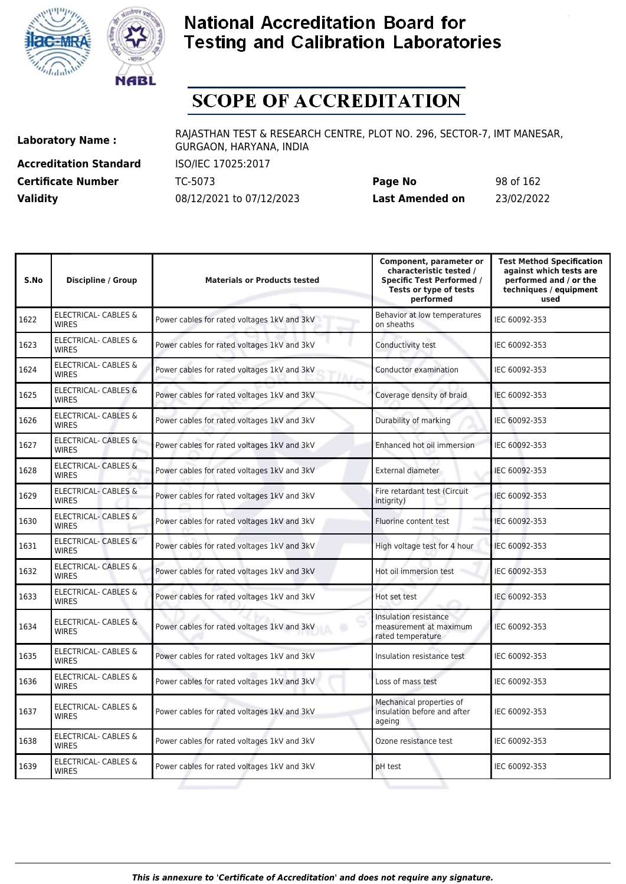![](_page_97_Picture_0.jpeg)

![](_page_97_Picture_1.jpeg)

# **SCOPE OF ACCREDITATION**

**Accreditation Standard** ISO/IEC 17025:2017

**Laboratory Name :** RAJASTHAN TEST & RESEARCH CENTRE, PLOT NO. 296, SECTOR-7, IMT MANESAR, GURGAON, HARYANA, INDIA

**Certificate Number** TC-5073 **Page No** 98 of 162 **Validity** 08/12/2021 to 07/12/2023 **Last Amended on** 23/02/2022

| S.No | <b>Discipline / Group</b>                       | <b>Materials or Products tested</b>         | Component, parameter or<br>characteristic tested /<br><b>Specific Test Performed /</b><br>Tests or type of tests<br>performed | <b>Test Method Specification</b><br>against which tests are<br>performed and / or the<br>techniques / equipment<br>used |
|------|-------------------------------------------------|---------------------------------------------|-------------------------------------------------------------------------------------------------------------------------------|-------------------------------------------------------------------------------------------------------------------------|
| 1622 | <b>ELECTRICAL- CABLES &amp;</b><br><b>WIRES</b> | Power cables for rated voltages 1kV and 3kV | Behavior at low temperatures<br>on sheaths                                                                                    | IEC 60092-353                                                                                                           |
| 1623 | ELECTRICAL- CABLES &<br><b>WIRES</b>            | Power cables for rated voltages 1kV and 3kV | Conductivity test                                                                                                             | IEC 60092-353                                                                                                           |
| 1624 | <b>ELECTRICAL- CABLES &amp;</b><br><b>WIRES</b> | Power cables for rated voltages 1kV and 3kV | Conductor examination                                                                                                         | IEC 60092-353                                                                                                           |
| 1625 | <b>ELECTRICAL- CABLES &amp;</b><br><b>WIRES</b> | Power cables for rated voltages 1kV and 3kV | Coverage density of braid                                                                                                     | IEC 60092-353                                                                                                           |
| 1626 | <b>ELECTRICAL- CABLES &amp;</b><br><b>WIRES</b> | Power cables for rated voltages 1kV and 3kV | Durability of marking                                                                                                         | IEC 60092-353                                                                                                           |
| 1627 | <b>ELECTRICAL- CABLES &amp;</b><br><b>WIRES</b> | Power cables for rated voltages 1kV and 3kV | Enhanced hot oil immersion                                                                                                    | IEC 60092-353                                                                                                           |
| 1628 | ELECTRICAL- CABLES &<br><b>WIRES</b>            | Power cables for rated voltages 1kV and 3kV | External diameter                                                                                                             | IEC 60092-353                                                                                                           |
| 1629 | <b>ELECTRICAL- CABLES &amp;</b><br><b>WIRES</b> | Power cables for rated voltages 1kV and 3kV | Fire retardant test (Circuit<br>intigrity)                                                                                    | IEC 60092-353                                                                                                           |
| 1630 | <b>ELECTRICAL- CABLES &amp;</b><br><b>WIRES</b> | Power cables for rated voltages 1kV and 3kV | Fluorine content test                                                                                                         | IEC 60092-353                                                                                                           |
| 1631 | <b>ELECTRICAL- CABLES &amp;</b><br><b>WIRES</b> | Power cables for rated voltages 1kV and 3kV | High voltage test for 4 hour                                                                                                  | IEC 60092-353                                                                                                           |
| 1632 | ELECTRICAL- CABLES &<br><b>WIRES</b>            | Power cables for rated voltages 1kV and 3kV | Hot oil immersion test                                                                                                        | IEC 60092-353                                                                                                           |
| 1633 | ELECTRICAL- CABLES &<br><b>WIRES</b>            | Power cables for rated voltages 1kV and 3kV | Hot set test                                                                                                                  | IEC 60092-353                                                                                                           |
| 1634 | <b>ELECTRICAL- CABLES &amp;</b><br><b>WIRES</b> | Power cables for rated voltages 1kV and 3kV | Insulation resistance<br>measurement at maximum<br>rated temperature                                                          | IEC 60092-353                                                                                                           |
| 1635 | ELECTRICAL- CABLES &<br><b>WIRES</b>            | Power cables for rated voltages 1kV and 3kV | Insulation resistance test                                                                                                    | IEC 60092-353                                                                                                           |
| 1636 | <b>ELECTRICAL- CABLES &amp;</b><br><b>WIRES</b> | Power cables for rated voltages 1kV and 3kV | Loss of mass test                                                                                                             | IEC 60092-353                                                                                                           |
| 1637 | ELECTRICAL- CABLES &<br><b>WIRES</b>            | Power cables for rated voltages 1kV and 3kV | Mechanical properties of<br>insulation before and after<br>ageing                                                             | IEC 60092-353                                                                                                           |
| 1638 | ELECTRICAL- CABLES &<br><b>WIRES</b>            | Power cables for rated voltages 1kV and 3kV | Ozone resistance test                                                                                                         | IEC 60092-353                                                                                                           |
| 1639 | <b>ELECTRICAL- CABLES &amp;</b><br><b>WIRES</b> | Power cables for rated voltages 1kV and 3kV | pH test                                                                                                                       | IEC 60092-353                                                                                                           |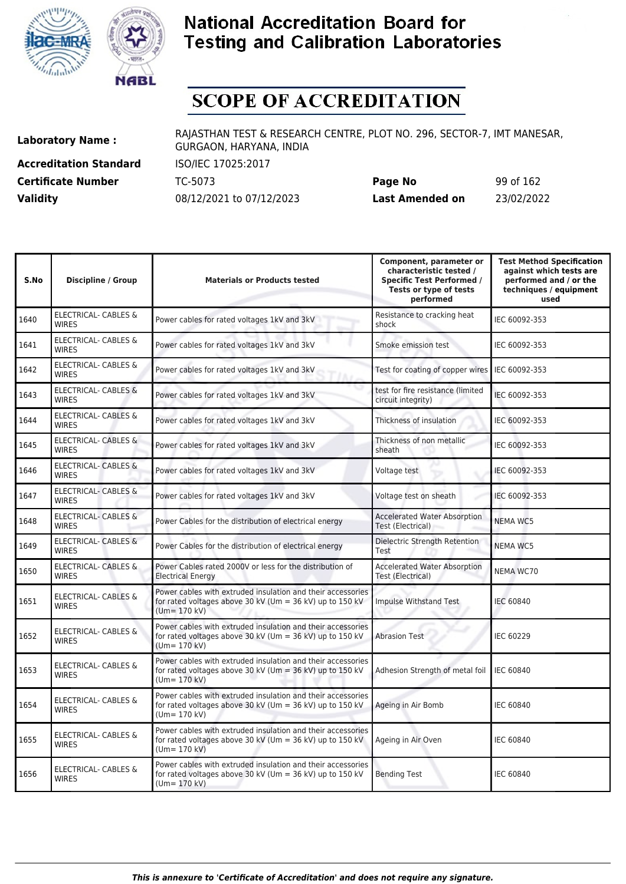![](_page_98_Picture_0.jpeg)

![](_page_98_Picture_1.jpeg)

# **SCOPE OF ACCREDITATION**

**Accreditation Standard** ISO/IEC 17025:2017 **Certificate Number** TC-5073

| <b>Certificate Number</b> | TC-5073                  | Page No         | 99 of 162  |
|---------------------------|--------------------------|-----------------|------------|
| <b>Validity</b>           | 08/12/2021 to 07/12/2023 | Last Amended on | 23/02/2022 |

| S.No | <b>Discipline / Group</b>                       | <b>Materials or Products tested</b>                                                                                                        | Component, parameter or<br>characteristic tested /<br><b>Specific Test Performed /</b><br>Tests or type of tests<br>performed | <b>Test Method Specification</b><br>against which tests are<br>performed and / or the<br>techniques / equipment<br>used |
|------|-------------------------------------------------|--------------------------------------------------------------------------------------------------------------------------------------------|-------------------------------------------------------------------------------------------------------------------------------|-------------------------------------------------------------------------------------------------------------------------|
| 1640 | ELECTRICAL- CABLES &<br><b>WIRES</b>            | Power cables for rated voltages 1kV and 3kV                                                                                                | Resistance to cracking heat<br>shock                                                                                          | IEC 60092-353                                                                                                           |
| 1641 | ELECTRICAL- CABLES &<br><b>WIRES</b>            | Power cables for rated voltages 1kV and 3kV                                                                                                | Smoke emission test                                                                                                           | IEC 60092-353                                                                                                           |
| 1642 | ELECTRICAL- CABLES &<br><b>WIRES</b>            | Power cables for rated voltages 1kV and 3kV                                                                                                | Test for coating of copper wires                                                                                              | IEC 60092-353                                                                                                           |
| 1643 | <b>ELECTRICAL- CABLES &amp;</b><br><b>WIRES</b> | Power cables for rated voltages 1kV and 3kV                                                                                                | test for fire resistance (limited<br>circuit integrity)                                                                       | IEC 60092-353                                                                                                           |
| 1644 | <b>ELECTRICAL- CABLES &amp;</b><br><b>WIRES</b> | Power cables for rated voltages 1kV and 3kV                                                                                                | Thickness of insulation                                                                                                       | IEC 60092-353                                                                                                           |
| 1645 | <b>ELECTRICAL- CABLES &amp;</b><br><b>WIRES</b> | Power cables for rated voltages 1kV and 3kV                                                                                                | Thickness of non metallic<br>sheath                                                                                           | IEC 60092-353                                                                                                           |
| 1646 | <b>ELECTRICAL- CABLES &amp;</b><br><b>WIRES</b> | Power cables for rated voltages 1kV and 3kV                                                                                                | Voltage test                                                                                                                  | IEC 60092-353                                                                                                           |
| 1647 | ELECTRICAL- CABLES &<br><b>WIRES</b>            | Power cables for rated voltages 1kV and 3kV                                                                                                | Voltage test on sheath                                                                                                        | IEC 60092-353                                                                                                           |
| 1648 | <b>ELECTRICAL- CABLES &amp;</b><br><b>WIRES</b> | Power Cables for the distribution of electrical energy                                                                                     | <b>Accelerated Water Absorption</b><br>Test (Electrical)                                                                      | <b>NEMA WC5</b>                                                                                                         |
| 1649 | <b>ELECTRICAL- CABLES &amp;</b><br><b>WIRES</b> | Power Cables for the distribution of electrical energy                                                                                     | Dielectric Strength Retention<br>Test                                                                                         | <b>NEMA WC5</b>                                                                                                         |
| 1650 | ELECTRICAL- CABLES &<br><b>WIRES</b>            | Power Cables rated 2000V or less for the distribution of<br><b>Electrical Energy</b>                                                       | <b>Accelerated Water Absorption</b><br>Test (Electrical)                                                                      | <b>NEMA WC70</b>                                                                                                        |
| 1651 | ELECTRICAL- CABLES &<br><b>WIRES</b>            | Power cables with extruded insulation and their accessories<br>for rated voltages above 30 kV (Um = 36 kV) up to 150 kV<br>$(Um = 170 kV)$ | Impulse Withstand Test                                                                                                        | <b>IEC 60840</b>                                                                                                        |
| 1652 | <b>ELECTRICAL- CABLES &amp;</b><br><b>WIRES</b> | Power cables with extruded insulation and their accessories<br>for rated voltages above 30 kV (Um = 36 kV) up to 150 kV<br>$(Um = 170 kV)$ | <b>Abrasion Test</b>                                                                                                          | <b>IEC 60229</b>                                                                                                        |
| 1653 | ELECTRICAL- CABLES &<br><b>WIRES</b>            | Power cables with extruded insulation and their accessories<br>for rated voltages above 30 kV (Um = 36 kV) up to 150 kV<br>$(Um = 170 kV)$ | Adhesion Strength of metal foil                                                                                               | <b>IEC 60840</b>                                                                                                        |
| 1654 | <b>ELECTRICAL- CABLES &amp;</b><br><b>WIRES</b> | Power cables with extruded insulation and their accessories<br>for rated voltages above 30 kV (Um = 36 kV) up to 150 kV<br>$(Um = 170 kV)$ | Ageing in Air Bomb                                                                                                            | <b>IEC 60840</b>                                                                                                        |
| 1655 | ELECTRICAL- CABLES &<br><b>WIRES</b>            | Power cables with extruded insulation and their accessories<br>for rated voltages above 30 kV (Um = 36 kV) up to 150 kV<br>$(Um = 170 kV)$ | Ageing in Air Oven                                                                                                            | <b>IEC 60840</b>                                                                                                        |
| 1656 | <b>ELECTRICAL- CABLES &amp;</b><br><b>WIRES</b> | Power cables with extruded insulation and their accessories<br>for rated voltages above 30 kV (Um = 36 kV) up to 150 kV<br>$(Um = 170 kV)$ | <b>Bending Test</b>                                                                                                           | <b>IEC 60840</b>                                                                                                        |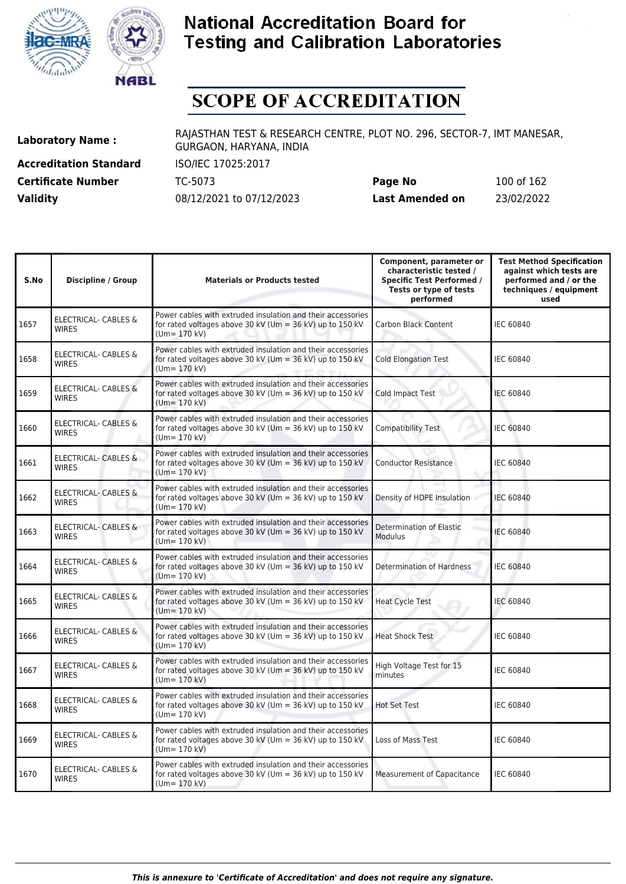![](_page_99_Picture_0.jpeg)

![](_page_99_Picture_1.jpeg)

# **SCOPE OF ACCREDITATION**

**Accreditation Standard** ISO/IEC 17025:2017 **Certificate Number Page 1625073 Validity** 08/12/2021 to 07/12/2023

| Page No         | 100 of 162 |
|-----------------|------------|
| Last Amended on | 23/02/2022 |

| S.No | <b>Discipline / Group</b>                       | <b>Materials or Products tested</b>                                                                                                          | Component, parameter or<br>characteristic tested /<br><b>Specific Test Performed /</b><br>Tests or type of tests<br>performed | <b>Test Method Specification</b><br>against which tests are<br>performed and / or the<br>techniques / equipment<br>used |
|------|-------------------------------------------------|----------------------------------------------------------------------------------------------------------------------------------------------|-------------------------------------------------------------------------------------------------------------------------------|-------------------------------------------------------------------------------------------------------------------------|
| 1657 | ELECTRICAL- CABLES &<br><b>WIRES</b>            | Power cables with extruded insulation and their accessories<br>for rated voltages above 30 kV (Um = 36 kV) up to 150 kV<br>$(Um = 170 kV)$   | <b>Carbon Black Content</b>                                                                                                   | <b>IEC 60840</b>                                                                                                        |
| 1658 | <b>ELECTRICAL- CABLES &amp;</b><br><b>WIRES</b> | Power cables with extruded insulation and their accessories<br>for rated voltages above 30 kV (Um = 36 kV) up to 150 kV<br>$(Um = 170 kV)$   | <b>Cold Elongation Test</b>                                                                                                   | <b>IEC 60840</b>                                                                                                        |
| 1659 | ELECTRICAL- CABLES &<br><b>WIRES</b>            | Power cables with extruded insulation and their accessories<br>for rated voltages above 30 kV (Um = 36 kV) up to 150 kV<br>$(Um = 170 kV)$   | <b>Cold Impact Test</b>                                                                                                       | <b>IEC 60840</b>                                                                                                        |
| 1660 | <b>ELECTRICAL- CABLES &amp;</b><br><b>WIRES</b> | Power cables with extruded insulation and their accessories<br>for rated voltages above 30 kV (Um = 36 kV) up to 150 kV<br>$(Um = 170 kV)$   | Compatibility Test                                                                                                            | <b>IEC 60840</b>                                                                                                        |
| 1661 | ELECTRICAL- CABLES &<br><b>WIRES</b>            | Power cables with extruded insulation and their accessories<br>for rated voltages above 30 kV (Um = 36 kV) up to 150 kV<br>$(Um = 170$ kV)   | <b>Conductor Resistance</b>                                                                                                   | <b>IEC 60840</b>                                                                                                        |
| 1662 | <b>ELECTRICAL- CABLES &amp;</b><br><b>WIRES</b> | Power cables with extruded insulation and their accessories<br>for rated voltages above 30 kV (Um = 36 kV) up to 150 kV<br>$(Um = 170 kV)$   | Density of HDPE Insulation                                                                                                    | <b>IEC 60840</b>                                                                                                        |
| 1663 | ELECTRICAL- CABLES &<br><b>WIRES</b>            | Power cables with extruded insulation and their accessories<br>for rated voltages above 30 kV (Um = $36$ kV) up to 150 kV<br>$(Um = 170 kV)$ | Determination of Elastic<br>Modulus                                                                                           | <b>IEC 60840</b>                                                                                                        |
| 1664 | ELECTRICAL- CABLES &<br><b>WIRES</b>            | Power cables with extruded insulation and their accessories<br>for rated voltages above 30 kV (Um = 36 kV) up to 150 kV<br>$Um = 170$ kV)    | <b>Determination of Hardness</b>                                                                                              | <b>IEC 60840</b>                                                                                                        |
| 1665 | <b>ELECTRICAL- CABLES &amp;</b><br><b>WIRES</b> | Power cables with extruded insulation and their accessories<br>for rated voltages above 30 kV (Um = 36 kV) up to 150 kV<br>$(Um = 170 kV)$   | <b>Heat Cycle Test</b>                                                                                                        | <b>IEC 60840</b>                                                                                                        |
| 1666 | ELECTRICAL- CABLES &<br><b>WIRES</b>            | Power cables with extruded insulation and their accessories<br>for rated voltages above 30 kV (Um = 36 kV) up to 150 kV<br>$(Um = 170 kV)$   | <b>Heat Shock Test</b>                                                                                                        | <b>IEC 60840</b>                                                                                                        |
| 1667 | <b>ELECTRICAL- CABLES &amp;</b><br><b>WIRES</b> | Power cables with extruded insulation and their accessories<br>for rated voltages above 30 kV (Um = 36 kV) up to 150 kV<br>$(Um = 170 kV)$   | High Voltage Test for 15<br>minutes                                                                                           | <b>IEC 60840</b>                                                                                                        |
| 1668 | <b>ELECTRICAL- CABLES &amp;</b><br><b>WIRES</b> | Power cables with extruded insulation and their accessories<br>for rated voltages above 30 kV (Um = 36 kV) up to 150 kV<br>$(Um = 170 kV)$   | <b>Hot Set Test</b>                                                                                                           | <b>IEC 60840</b>                                                                                                        |
| 1669 | <b>ELECTRICAL- CABLES &amp;</b><br><b>WIRES</b> | Power cables with extruded insulation and their accessories<br>for rated voltages above 30 kV (Um = 36 kV) up to 150 kV<br>$(Um = 170 kV)$   | Loss of Mass Test                                                                                                             | <b>IEC 60840</b>                                                                                                        |
| 1670 | <b>ELECTRICAL- CABLES &amp;</b><br><b>WIRES</b> | Power cables with extruded insulation and their accessories<br>for rated voltages above 30 kV (Um = 36 kV) up to 150 kV<br>$(Um = 170 kV)$   | <b>Measurement of Capacitance</b>                                                                                             | <b>IEC 60840</b>                                                                                                        |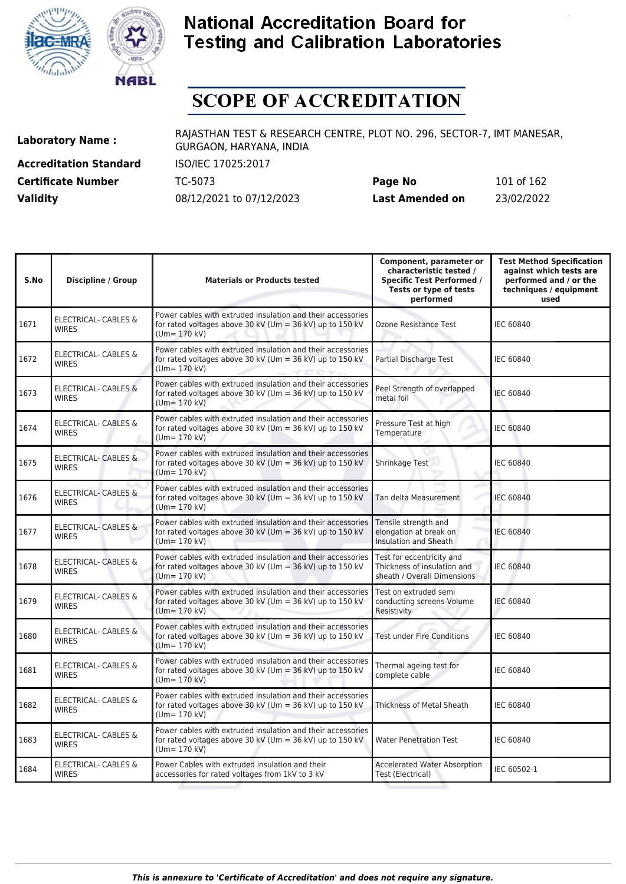![](_page_100_Picture_0.jpeg)

![](_page_100_Picture_1.jpeg)

# **SCOPE OF ACCREDITATION**

**Accreditation Standard** ISO/IEC 17025:2017 **Certificate Number Page 1625073 Validity** 08/12/2021 to 07/12/2023

| Page No         | 101 of 162 |
|-----------------|------------|
| Last Amended on | 23/02/2022 |

| S.No | <b>Discipline / Group</b>                       | <b>Materials or Products tested</b>                                                                                                        | Component, parameter or<br>characteristic tested /<br><b>Specific Test Performed /</b><br>Tests or type of tests<br>performed | <b>Test Method Specification</b><br>against which tests are<br>performed and / or the<br>techniques / equipment<br>used |
|------|-------------------------------------------------|--------------------------------------------------------------------------------------------------------------------------------------------|-------------------------------------------------------------------------------------------------------------------------------|-------------------------------------------------------------------------------------------------------------------------|
| 1671 | <b>ELECTRICAL- CABLES &amp;</b><br><b>WIRES</b> | Power cables with extruded insulation and their accessories<br>for rated voltages above 30 kV (Um = 36 kV) up to 150 kV<br>$(Um = 170 kV)$ | Ozone Resistance Test                                                                                                         | <b>IEC 60840</b>                                                                                                        |
| 1672 | ELECTRICAL- CABLES &<br><b>WIRES</b>            | Power cables with extruded insulation and their accessories<br>for rated voltages above 30 kV (Um = 36 kV) up to 150 kV<br>$(Um = 170 kV)$ | Partial Discharge Test                                                                                                        | <b>IEC 60840</b>                                                                                                        |
| 1673 | ELECTRICAL- CABLES &<br><b>WIRES</b>            | Power cables with extruded insulation and their accessories<br>for rated voltages above 30 kV (Um = 36 kV) up to 150 kV<br>$(Um = 170 kV)$ | Peel Strength of overlapped<br>metal foil                                                                                     | <b>IEC 60840</b>                                                                                                        |
| 1674 | <b>ELECTRICAL- CABLES &amp;</b><br><b>WIRES</b> | Power cables with extruded insulation and their accessories<br>for rated voltages above 30 kV (Um = 36 kV) up to 150 kV<br>$(Um = 170$ kV) | Pressure Test at high<br>Temperature                                                                                          | <b>IEC 60840</b>                                                                                                        |
| 1675 | <b>ELECTRICAL- CABLES &amp;</b><br><b>WIRES</b> | Power cables with extruded insulation and their accessories<br>for rated voltages above 30 kV (Um = 36 kV) up to 150 kV<br>$(Um = 170 kV)$ | Shrinkage Test                                                                                                                | <b>IEC 60840</b>                                                                                                        |
| 1676 | <b>ELECTRICAL- CABLES &amp;</b><br><b>WIRES</b> | Power cables with extruded insulation and their accessories<br>for rated voltages above 30 kV (Um = 36 kV) up to 150 kV<br>$(Um = 170 kV)$ | Tan delta Measurement                                                                                                         | <b>IEC 60840</b>                                                                                                        |
| 1677 | <b>ELECTRICAL- CABLES &amp;</b><br><b>WIRES</b> | Power cables with extruded insulation and their accessories<br>for rated voltages above 30 kV (Um = 36 kV) up to 150 kV<br>$(Um = 170 kV)$ | Tensile strength and<br>elongation at break on<br>Insulation and Sheath                                                       | <b>IEC 60840</b>                                                                                                        |
| 1678 | ELECTRICAL- CABLES &<br><b>WIRES</b>            | Power cables with extruded insulation and their accessories<br>for rated voltages above 30 kV (Um = 36 kV) up to 150 kV<br>$(Um = 170 kV)$ | Test for eccentricity and<br>Thickness of insulation and<br>sheath / Overall Dimensions                                       | <b>IEC 60840</b>                                                                                                        |
| 1679 | <b>ELECTRICAL- CABLES &amp;</b><br><b>WIRES</b> | Power cables with extruded insulation and their accessories<br>for rated voltages above 30 kV (Um = 36 kV) up to 150 kV<br>$(Um = 170 kV)$ | Test on extruded semi<br>conducting screens-Volume<br>Resistivity                                                             | <b>IEC 60840</b>                                                                                                        |
| 1680 | ELECTRICAL- CABLES &<br><b>WIRES</b>            | Power cables with extruded insulation and their accessories<br>for rated voltages above 30 kV (Um = 36 kV) up to 150 kV<br>$(Um = 170$ kV) | <b>Test under Fire Conditions</b>                                                                                             | <b>IEC 60840</b>                                                                                                        |
| 1681 | ELECTRICAL- CABLES &<br><b>WIRES</b>            | Power cables with extruded insulation and their accessories<br>for rated voltages above 30 kV (Um = 36 kV) up to 150 kV<br>$(Um = 170 kV)$ | Thermal ageing test for<br>complete cable                                                                                     | <b>IEC 60840</b>                                                                                                        |
| 1682 | ELECTRICAL- CABLES &<br><b>WIRES</b>            | Power cables with extruded insulation and their accessories<br>for rated voltages above 30 kV (Um = 36 kV) up to 150 kV<br>$(Um = 170 kV)$ | Thickness of Metal Sheath                                                                                                     | <b>IEC 60840</b>                                                                                                        |
| 1683 | <b>ELECTRICAL- CABLES &amp;</b><br><b>WIRES</b> | Power cables with extruded insulation and their accessories<br>for rated voltages above 30 kV (Um = 36 kV) up to 150 kV<br>$(Um = 170 kV)$ | <b>Water Penetration Test</b>                                                                                                 | <b>IEC 60840</b>                                                                                                        |
| 1684 | <b>ELECTRICAL- CABLES &amp;</b><br><b>WIRES</b> | Power Cables with extruded insulation and their<br>accessories for rated voltages from 1kV to 3 kV                                         | <b>Accelerated Water Absorption</b><br>Test (Electrical)                                                                      | IEC 60502-1                                                                                                             |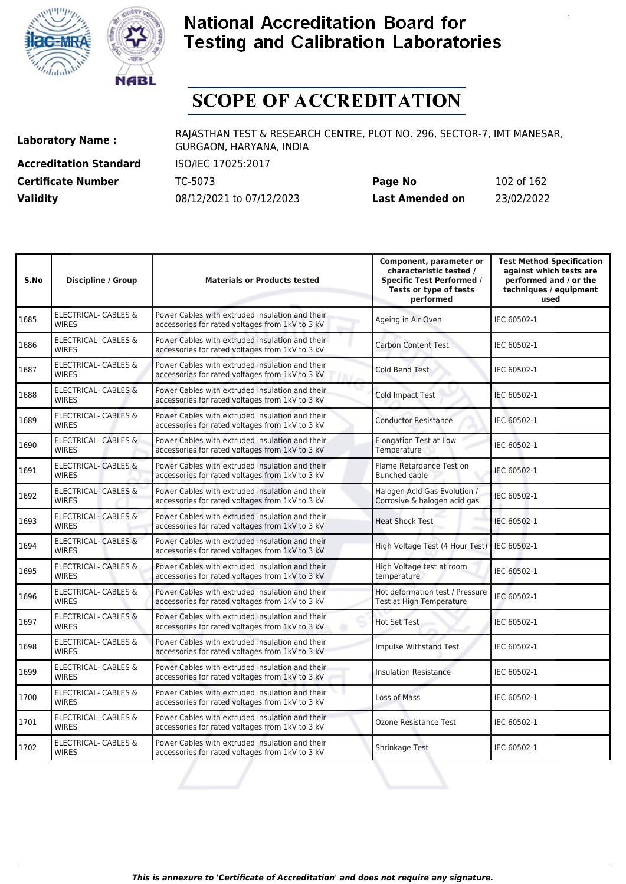![](_page_101_Picture_0.jpeg)

![](_page_101_Picture_1.jpeg)

# **SCOPE OF ACCREDITATION**

**Accreditation Standard** ISO/IEC 17025:2017 **Certificate Number** TC-5073

| <b>Certificate Number</b> | TC-5073                  | Page No         | 102 of 162 |
|---------------------------|--------------------------|-----------------|------------|
| <b>Validity</b>           | 08/12/2021 to 07/12/2023 | Last Amended on | 23/02/2022 |

| S.No | <b>Discipline / Group</b>                       | <b>Materials or Products tested</b>                                                                | Component, parameter or<br>characteristic tested /<br><b>Specific Test Performed /</b><br>Tests or type of tests<br>performed | <b>Test Method Specification</b><br>against which tests are<br>performed and / or the<br>techniques / equipment<br>used |
|------|-------------------------------------------------|----------------------------------------------------------------------------------------------------|-------------------------------------------------------------------------------------------------------------------------------|-------------------------------------------------------------------------------------------------------------------------|
| 1685 | <b>ELECTRICAL- CABLES &amp;</b><br><b>WIRES</b> | Power Cables with extruded insulation and their<br>accessories for rated voltages from 1kV to 3 kV | Ageing in Air Oven                                                                                                            | IEC 60502-1                                                                                                             |
| 1686 | <b>ELECTRICAL- CABLES &amp;</b><br><b>WIRES</b> | Power Cables with extruded insulation and their<br>accessories for rated voltages from 1kV to 3 kV | <b>Carbon Content Test</b>                                                                                                    | IEC 60502-1                                                                                                             |
| 1687 | <b>ELECTRICAL- CABLES &amp;</b><br><b>WIRES</b> | Power Cables with extruded insulation and their<br>accessories for rated voltages from 1kV to 3 kV | <b>Cold Bend Test</b>                                                                                                         | IEC 60502-1                                                                                                             |
| 1688 | <b>ELECTRICAL- CABLES &amp;</b><br><b>WIRES</b> | Power Cables with extruded insulation and their<br>accessories for rated voltages from 1kV to 3 kV | <b>Cold Impact Test</b>                                                                                                       | IEC 60502-1                                                                                                             |
| 1689 | <b>ELECTRICAL- CABLES &amp;</b><br><b>WIRES</b> | Power Cables with extruded insulation and their<br>accessories for rated voltages from 1kV to 3 kV | <b>Conductor Resistance</b>                                                                                                   | IEC 60502-1                                                                                                             |
| 1690 | <b>ELECTRICAL- CABLES &amp;</b><br><b>WIRES</b> | Power Cables with extruded insulation and their<br>accessories for rated voltages from 1kV to 3 kV | <b>Elongation Test at Low</b><br>Temperature                                                                                  | IEC 60502-1                                                                                                             |
| 1691 | <b>ELECTRICAL- CABLES &amp;</b><br><b>WIRES</b> | Power Cables with extruded insulation and their<br>accessories for rated voltages from 1kV to 3 kV | Flame Retardance Test on<br><b>Bunched cable</b>                                                                              | IEC 60502-1                                                                                                             |
| 1692 | ELECTRICAL- CABLES &<br><b>WIRES</b>            | Power Cables with extruded insulation and their<br>accessories for rated voltages from 1kV to 3 kV | Halogen Acid Gas Evolution /<br>Corrosive & halogen acid gas                                                                  | IEC 60502-1                                                                                                             |
| 1693 | <b>ELECTRICAL- CABLES &amp;</b><br><b>WIRES</b> | Power Cables with extruded insulation and their<br>accessories for rated voltages from 1kV to 3 kV | <b>Heat Shock Test</b>                                                                                                        | IEC 60502-1                                                                                                             |
| 1694 | <b>ELECTRICAL- CABLES &amp;</b><br><b>WIRES</b> | Power Cables with extruded insulation and their<br>accessories for rated voltages from 1kV to 3 kV | High Voltage Test (4 Hour Test)                                                                                               | IEC 60502-1                                                                                                             |
| 1695 | <b>ELECTRICAL- CABLES &amp;</b><br><b>WIRES</b> | Power Cables with extruded insulation and their<br>accessories for rated voltages from 1kV to 3 kV | High Voltage test at room<br>temperature                                                                                      | IEC 60502-1                                                                                                             |
| 1696 | <b>ELECTRICAL- CABLES &amp;</b><br><b>WIRES</b> | Power Cables with extruded insulation and their<br>accessories for rated voltages from 1kV to 3 kV | Hot deformation test / Pressure<br>Test at High Temperature                                                                   | IEC 60502-1                                                                                                             |
| 1697 | <b>ELECTRICAL- CABLES &amp;</b><br><b>WIRES</b> | Power Cables with extruded insulation and their<br>accessories for rated voltages from 1kV to 3 kV | <b>Hot Set Test</b>                                                                                                           | IEC 60502-1                                                                                                             |
| 1698 | <b>ELECTRICAL- CABLES &amp;</b><br><b>WIRES</b> | Power Cables with extruded insulation and their<br>accessories for rated voltages from 1kV to 3 kV | Impulse Withstand Test                                                                                                        | IEC 60502-1                                                                                                             |
| 1699 | <b>ELECTRICAL- CABLES &amp;</b><br><b>WIRES</b> | Power Cables with extruded insulation and their<br>accessories for rated voltages from 1kV to 3 kV | <b>Insulation Resistance</b>                                                                                                  | IEC 60502-1                                                                                                             |
| 1700 | <b>ELECTRICAL- CABLES &amp;</b><br><b>WIRES</b> | Power Cables with extruded insulation and their<br>accessories for rated voltages from 1kV to 3 kV | <b>Loss of Mass</b>                                                                                                           | IEC 60502-1                                                                                                             |
| 1701 | ELECTRICAL- CABLES &<br><b>WIRES</b>            | Power Cables with extruded insulation and their<br>accessories for rated voltages from 1kV to 3 kV | Ozone Resistance Test                                                                                                         | IEC 60502-1                                                                                                             |
| 1702 | <b>ELECTRICAL- CABLES &amp;</b><br><b>WIRES</b> | Power Cables with extruded insulation and their<br>accessories for rated voltages from 1kV to 3 kV | Shrinkage Test                                                                                                                | IEC 60502-1                                                                                                             |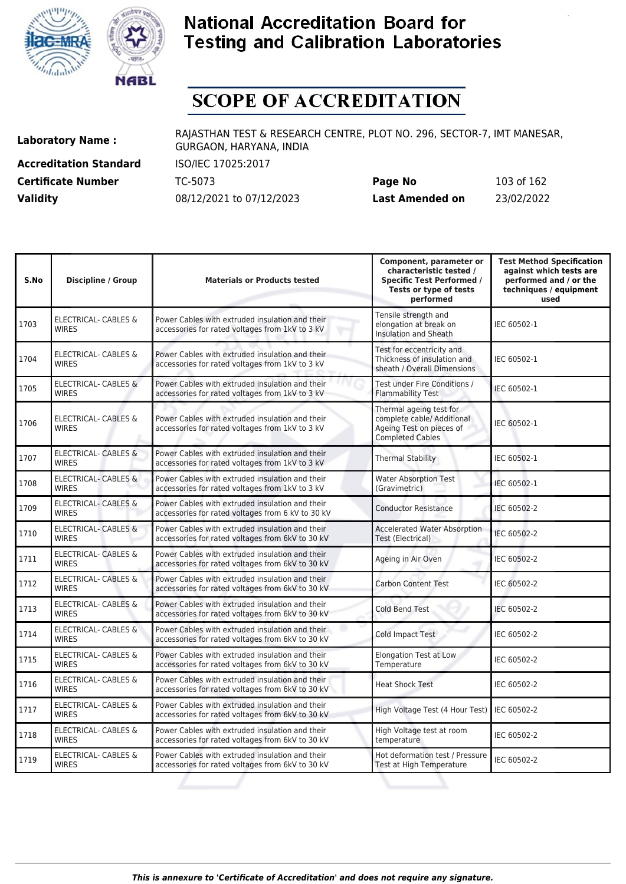![](_page_102_Picture_0.jpeg)

![](_page_102_Picture_1.jpeg)

# **SCOPE OF ACCREDITATION**

**Accreditation Standard** ISO/IEC 17025:2017 **Certificate Number** TC-5073

| <b>Certificate Number</b> | TC-5073                  | Page No         | 103 of 162 |
|---------------------------|--------------------------|-----------------|------------|
| <b>Validity</b>           | 08/12/2021 to 07/12/2023 | Last Amended on | 23/02/2022 |

| S.No | <b>Discipline / Group</b>                       | <b>Materials or Products tested</b>                                                                  | Component, parameter or<br>characteristic tested /<br><b>Specific Test Performed /</b><br>Tests or type of tests<br>performed | <b>Test Method Specification</b><br>against which tests are<br>performed and / or the<br>techniques / equipment<br>used |
|------|-------------------------------------------------|------------------------------------------------------------------------------------------------------|-------------------------------------------------------------------------------------------------------------------------------|-------------------------------------------------------------------------------------------------------------------------|
| 1703 | <b>ELECTRICAL- CABLES &amp;</b><br><b>WIRES</b> | Power Cables with extruded insulation and their<br>accessories for rated voltages from 1kV to 3 kV   | Tensile strength and<br>elongation at break on<br><b>Insulation and Sheath</b>                                                | IEC 60502-1                                                                                                             |
| 1704 | ELECTRICAL- CABLES &<br><b>WIRES</b>            | Power Cables with extruded insulation and their<br>accessories for rated voltages from 1kV to 3 kV   | Test for eccentricity and<br>Thickness of insulation and<br>sheath / Overall Dimensions                                       | IEC 60502-1                                                                                                             |
| 1705 | <b>ELECTRICAL- CABLES &amp;</b><br><b>WIRES</b> | Power Cables with extruded insulation and their<br>accessories for rated voltages from 1kV to 3 kV   | Test under Fire Conditions /<br><b>Flammability Test</b>                                                                      | IEC 60502-1                                                                                                             |
| 1706 | ELECTRICAL- CABLES &<br><b>WIRES</b>            | Power Cables with extruded insulation and their<br>accessories for rated voltages from 1kV to 3 kV   | Thermal ageing test for<br>complete cable/ Additional<br>Ageing Test on pieces of<br><b>Completed Cables</b>                  | IEC 60502-1                                                                                                             |
| 1707 | ELECTRICAL- CABLES &<br><b>WIRES</b>            | Power Cables with extruded insulation and their<br>accessories for rated voltages from 1kV to 3 kV   | <b>Thermal Stability</b>                                                                                                      | IEC 60502-1                                                                                                             |
| 1708 | <b>ELECTRICAL- CABLES &amp;</b><br><b>WIRES</b> | Power Cables with extruded insulation and their<br>accessories for rated voltages from 1kV to 3 kV   | <b>Water Absorption Test</b><br>(Gravimetric)                                                                                 | IEC 60502-1                                                                                                             |
| 1709 | <b>ELECTRICAL- CABLES &amp;</b><br><b>WIRES</b> | Power Cables with extruded insulation and their<br>accessories for rated voltages from 6 kV to 30 kV | <b>Conductor Resistance</b>                                                                                                   | IEC 60502-2                                                                                                             |
| 1710 | <b>ELECTRICAL- CABLES &amp;</b><br><b>WIRES</b> | Power Cables with extruded insulation and their<br>accessories for rated voltages from 6kV to 30 kV  | <b>Accelerated Water Absorption</b><br>Test (Electrical)                                                                      | IEC 60502-2                                                                                                             |
| 1711 | ELECTRICAL- CABLES &<br><b>WIRES</b>            | Power Cables with extruded insulation and their<br>accessories for rated voltages from 6kV to 30 kV  | Ageing in Air Oven                                                                                                            | IEC 60502-2                                                                                                             |
| 1712 | ELECTRICAL- CABLES &<br><b>WIRES</b>            | Power Cables with extruded insulation and their<br>accessories for rated voltages from 6kV to 30 kV  | <b>Carbon Content Test</b>                                                                                                    | IEC 60502-2                                                                                                             |
| 1713 | ELECTRICAL- CABLES &<br><b>WIRES</b>            | Power Cables with extruded insulation and their<br>accessories for rated voltages from 6kV to 30 kV  | <b>Cold Bend Test</b>                                                                                                         | IEC 60502-2                                                                                                             |
| 1714 | <b>ELECTRICAL- CABLES &amp;</b><br><b>WIRES</b> | Power Cables with extruded insulation and their<br>accessories for rated voltages from 6kV to 30 kV  | Cold Impact Test                                                                                                              | IEC 60502-2                                                                                                             |
| 1715 | <b>ELECTRICAL- CABLES &amp;</b><br><b>WIRES</b> | Power Cables with extruded insulation and their<br>accessories for rated voltages from 6kV to 30 kV  | <b>Elongation Test at Low</b><br>Temperature                                                                                  | IEC 60502-2                                                                                                             |
| 1716 | ELECTRICAL- CABLES &<br><b>WIRES</b>            | Power Cables with extruded insulation and their<br>accessories for rated voltages from 6kV to 30 kV  | <b>Heat Shock Test</b>                                                                                                        | IEC 60502-2                                                                                                             |
| 1717 | ELECTRICAL- CABLES &<br><b>WIRES</b>            | Power Cables with extruded insulation and their<br>accessories for rated voltages from 6kV to 30 kV  | High Voltage Test (4 Hour Test)                                                                                               | IEC 60502-2                                                                                                             |
| 1718 | ELECTRICAL- CABLES &<br><b>WIRES</b>            | Power Cables with extruded insulation and their<br>accessories for rated voltages from 6kV to 30 kV  | High Voltage test at room<br>temperature                                                                                      | IEC 60502-2                                                                                                             |
| 1719 | ELECTRICAL- CABLES &<br><b>WIRES</b>            | Power Cables with extruded insulation and their<br>accessories for rated voltages from 6kV to 30 kV  | Hot deformation test / Pressure<br>Test at High Temperature                                                                   | IEC 60502-2                                                                                                             |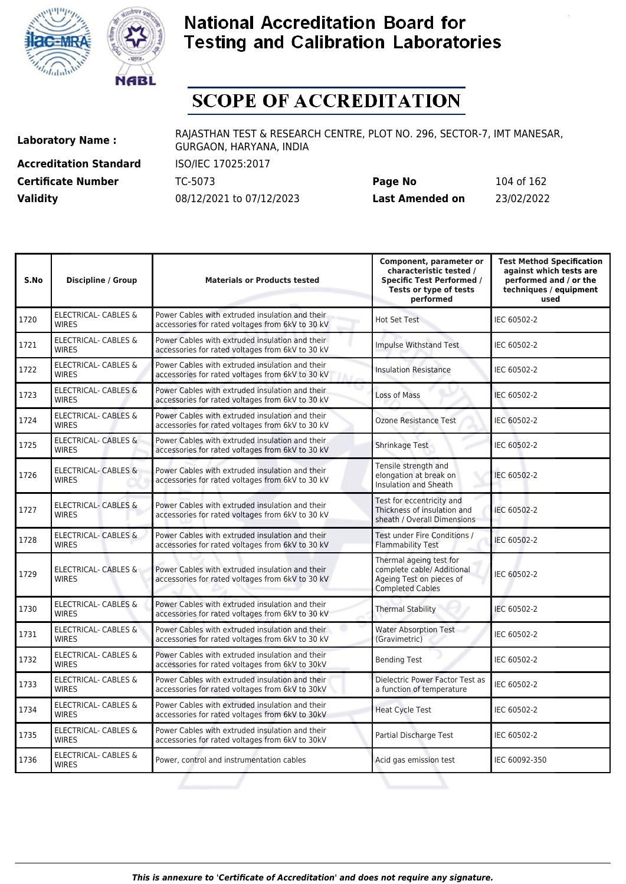![](_page_103_Picture_0.jpeg)

![](_page_103_Picture_1.jpeg)

# **SCOPE OF ACCREDITATION**

**Accreditation Standard** ISO/IEC 17025:2017 **Certificate Number Page 162 TC-5073 Validity** 08/12/2021 to 07/12/2023

| Page No         | 104 of 162 |
|-----------------|------------|
| Last Amended on | 23/02/2022 |

| S.No | <b>Discipline / Group</b>                       | <b>Materials or Products tested</b>                                                                 | Component, parameter or<br>characteristic tested /<br><b>Specific Test Performed /</b><br>Tests or type of tests<br>performed | <b>Test Method Specification</b><br>against which tests are<br>performed and / or the<br>techniques / equipment<br>used |
|------|-------------------------------------------------|-----------------------------------------------------------------------------------------------------|-------------------------------------------------------------------------------------------------------------------------------|-------------------------------------------------------------------------------------------------------------------------|
| 1720 | <b>ELECTRICAL- CABLES &amp;</b><br><b>WIRES</b> | Power Cables with extruded insulation and their<br>accessories for rated voltages from 6kV to 30 kV | Hot Set Test                                                                                                                  | IEC 60502-2                                                                                                             |
| 1721 | ELECTRICAL- CABLES &<br><b>WIRES</b>            | Power Cables with extruded insulation and their<br>accessories for rated voltages from 6kV to 30 kV | Impulse Withstand Test                                                                                                        | IEC 60502-2                                                                                                             |
| 1722 | ELECTRICAL- CABLES &<br><b>WIRES</b>            | Power Cables with extruded insulation and their<br>accessories for rated voltages from 6kV to 30 kV | <b>Insulation Resistance</b>                                                                                                  | IEC 60502-2                                                                                                             |
| 1723 | ELECTRICAL- CABLES &<br><b>WIRES</b>            | Power Cables with extruded insulation and their<br>accessories for rated voltages from 6kV to 30 kV | Loss of Mass                                                                                                                  | IEC 60502-2                                                                                                             |
| 1724 | <b>ELECTRICAL- CABLES &amp;</b><br><b>WIRES</b> | Power Cables with extruded insulation and their<br>accessories for rated voltages from 6kV to 30 kV | <b>Ozone Resistance Test</b>                                                                                                  | IEC 60502-2                                                                                                             |
| 1725 | <b>ELECTRICAL- CABLES &amp;</b><br><b>WIRES</b> | Power Cables with extruded insulation and their<br>accessories for rated voltages from 6kV to 30 kV | Shrinkage Test                                                                                                                | IEC 60502-2                                                                                                             |
| 1726 | <b>ELECTRICAL- CABLES &amp;</b><br><b>WIRES</b> | Power Cables with extruded insulation and their<br>accessories for rated voltages from 6kV to 30 kV | Tensile strength and<br>elongation at break on<br>Insulation and Sheath                                                       | IEC 60502-2                                                                                                             |
| 1727 | <b>ELECTRICAL- CABLES &amp;</b><br><b>WIRES</b> | Power Cables with extruded insulation and their<br>accessories for rated voltages from 6kV to 30 kV | Test for eccentricity and<br>Thickness of insulation and<br>sheath / Overall Dimensions                                       | IEC 60502-2                                                                                                             |
| 1728 | ELECTRICAL- CABLES &<br><b>WIRES</b>            | Power Cables with extruded insulation and their<br>accessories for rated voltages from 6kV to 30 kV | Test under Fire Conditions /<br><b>Flammability Test</b>                                                                      | IEC 60502-2                                                                                                             |
| 1729 | ELECTRICAL- CABLES &<br><b>WIRES</b>            | Power Cables with extruded insulation and their<br>accessories for rated voltages from 6kV to 30 kV | Thermal ageing test for<br>complete cable/ Additional<br>Ageing Test on pieces of<br><b>Completed Cables</b>                  | IEC 60502-2                                                                                                             |
| 1730 | ELECTRICAL- CABLES &<br><b>WIRES</b>            | Power Cables with extruded insulation and their<br>accessories for rated voltages from 6kV to 30 kV | <b>Thermal Stability</b>                                                                                                      | IEC 60502-2                                                                                                             |
| 1731 | <b>ELECTRICAL- CABLES &amp;</b><br><b>WIRES</b> | Power Cables with extruded insulation and their<br>accessories for rated voltages from 6kV to 30 kV | <b>Water Absorption Test</b><br>(Gravimetric)                                                                                 | IEC 60502-2                                                                                                             |
| 1732 | ELECTRICAL- CABLES &<br><b>WIRES</b>            | Power Cables with extruded insulation and their<br>accessories for rated voltages from 6kV to 30kV  | <b>Bending Test</b>                                                                                                           | IEC 60502-2                                                                                                             |
| 1733 | ELECTRICAL- CABLES &<br><b>WIRES</b>            | Power Cables with extruded insulation and their<br>accessories for rated voltages from 6kV to 30kV  | Dielectric Power Factor Test as<br>a function of temperature                                                                  | IEC 60502-2                                                                                                             |
| 1734 | ELECTRICAL- CABLES &<br><b>WIRES</b>            | Power Cables with extruded insulation and their<br>accessories for rated voltages from 6kV to 30kV  | <b>Heat Cycle Test</b>                                                                                                        | IEC 60502-2                                                                                                             |
| 1735 | ELECTRICAL- CABLES &<br><b>WIRES</b>            | Power Cables with extruded insulation and their<br>accessories for rated voltages from 6kV to 30kV  | Partial Discharge Test                                                                                                        | IEC 60502-2                                                                                                             |
| 1736 | ELECTRICAL- CABLES &<br><b>WIRES</b>            | Power, control and instrumentation cables                                                           | Acid gas emission test                                                                                                        | IEC 60092-350                                                                                                           |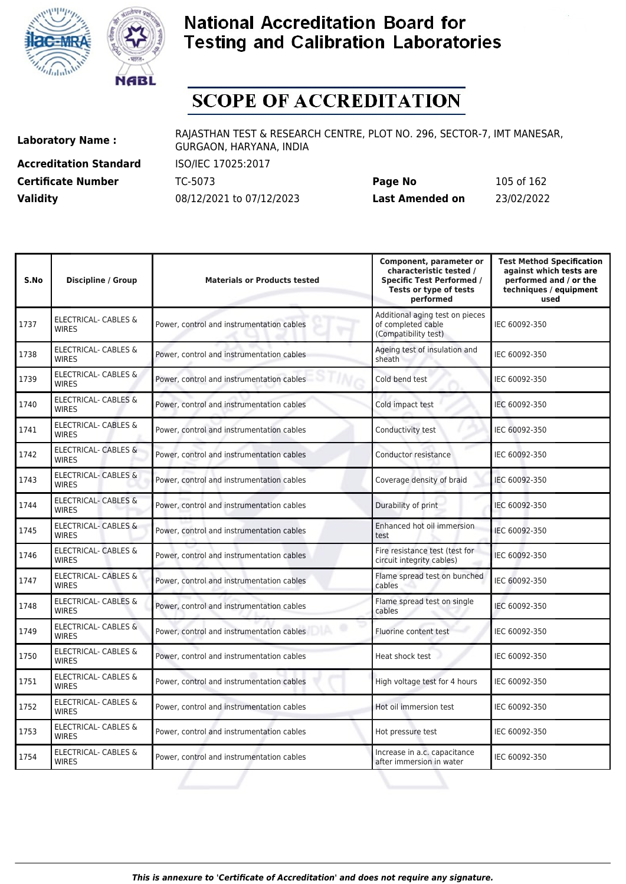![](_page_104_Picture_0.jpeg)

![](_page_104_Picture_1.jpeg)

# **SCOPE OF ACCREDITATION**

**Accreditation Standard** ISO/IEC 17025:2017 **Certificate Number Page 1625 TC-5073** 

| <b>Certificate Number</b> | TC-5073                  | Page No         | 105 of 162 |
|---------------------------|--------------------------|-----------------|------------|
| <b>Validity</b>           | 08/12/2021 to 07/12/2023 | Last Amended on | 23/02/2022 |

| S.No | <b>Discipline / Group</b>                       | <b>Materials or Products tested</b>       | Component, parameter or<br>characteristic tested /<br><b>Specific Test Performed /</b><br>Tests or type of tests<br>performed | <b>Test Method Specification</b><br>against which tests are<br>performed and / or the<br>techniques / equipment<br>used |
|------|-------------------------------------------------|-------------------------------------------|-------------------------------------------------------------------------------------------------------------------------------|-------------------------------------------------------------------------------------------------------------------------|
| 1737 | <b>ELECTRICAL- CABLES &amp;</b><br><b>WIRES</b> | Power, control and instrumentation cables | Additional aging test on pieces<br>of completed cable<br>(Compatibility test)                                                 | IEC 60092-350                                                                                                           |
| 1738 | <b>ELECTRICAL- CABLES &amp;</b><br><b>WIRES</b> | Power, control and instrumentation cables | Ageing test of insulation and<br>sheath                                                                                       | IEC 60092-350                                                                                                           |
| 1739 | ELECTRICAL- CABLES &<br><b>WIRES</b>            | Power, control and instrumentation cables | Cold bend test                                                                                                                | IEC 60092-350                                                                                                           |
| 1740 | <b>ELECTRICAL- CABLES &amp;</b><br><b>WIRFS</b> | Power, control and instrumentation cables | Cold impact test                                                                                                              | IEC 60092-350                                                                                                           |
| 1741 | <b>ELECTRICAL- CABLES &amp;</b><br><b>WIRES</b> | Power, control and instrumentation cables | Conductivity test                                                                                                             | IEC 60092-350                                                                                                           |
| 1742 | ELECTRICAL- CABLES &<br><b>WIRES</b>            | Power, control and instrumentation cables | Conductor resistance                                                                                                          | IEC 60092-350                                                                                                           |
| 1743 | <b>ELECTRICAL- CABLES &amp;</b><br><b>WIRES</b> | Power, control and instrumentation cables | Coverage density of braid                                                                                                     | IEC 60092-350                                                                                                           |
| 1744 | <b>ELECTRICAL- CABLES &amp;</b><br><b>WIRES</b> | Power, control and instrumentation cables | Durability of print                                                                                                           | IEC 60092-350                                                                                                           |
| 1745 | <b>ELECTRICAL- CABLES &amp;</b><br><b>WIRFS</b> | Power, control and instrumentation cables | Enhanced hot oil immersion<br>test                                                                                            | IEC 60092-350                                                                                                           |
| 1746 | <b>ELECTRICAL- CABLES &amp;</b><br><b>WIRES</b> | Power, control and instrumentation cables | Fire resistance test (test for<br>circuit integrity cables)                                                                   | IEC 60092-350                                                                                                           |
| 1747 | <b>ELECTRICAL- CABLES &amp;</b><br><b>WIRES</b> | Power, control and instrumentation cables | Flame spread test on bunched<br>cables                                                                                        | IEC 60092-350                                                                                                           |
| 1748 | <b>ELECTRICAL- CABLES &amp;</b><br><b>WIRES</b> | Power, control and instrumentation cables | Flame spread test on single<br>cables                                                                                         | IEC 60092-350                                                                                                           |
| 1749 | <b>ELECTRICAL- CABLES &amp;</b><br><b>WIRES</b> | Power, control and instrumentation cables | Fluorine content test                                                                                                         | IEC 60092-350                                                                                                           |
| 1750 | <b>ELECTRICAL- CABLES &amp;</b><br><b>WIRES</b> | Power, control and instrumentation cables | Heat shock test                                                                                                               | IEC 60092-350                                                                                                           |
| 1751 | <b>ELECTRICAL- CABLES &amp;</b><br><b>WIRES</b> | Power, control and instrumentation cables | High voltage test for 4 hours                                                                                                 | IEC 60092-350                                                                                                           |
| 1752 | ELECTRICAL- CABLES &<br><b>WIRES</b>            | Power, control and instrumentation cables | Hot oil immersion test                                                                                                        | IEC 60092-350                                                                                                           |
| 1753 | ELECTRICAL- CABLES &<br><b>WIRES</b>            | Power, control and instrumentation cables | Hot pressure test                                                                                                             | IEC 60092-350                                                                                                           |
| 1754 | <b>ELECTRICAL- CABLES &amp;</b><br><b>WIRES</b> | Power, control and instrumentation cables | Increase in a.c. capacitance<br>after immersion in water                                                                      | IEC 60092-350                                                                                                           |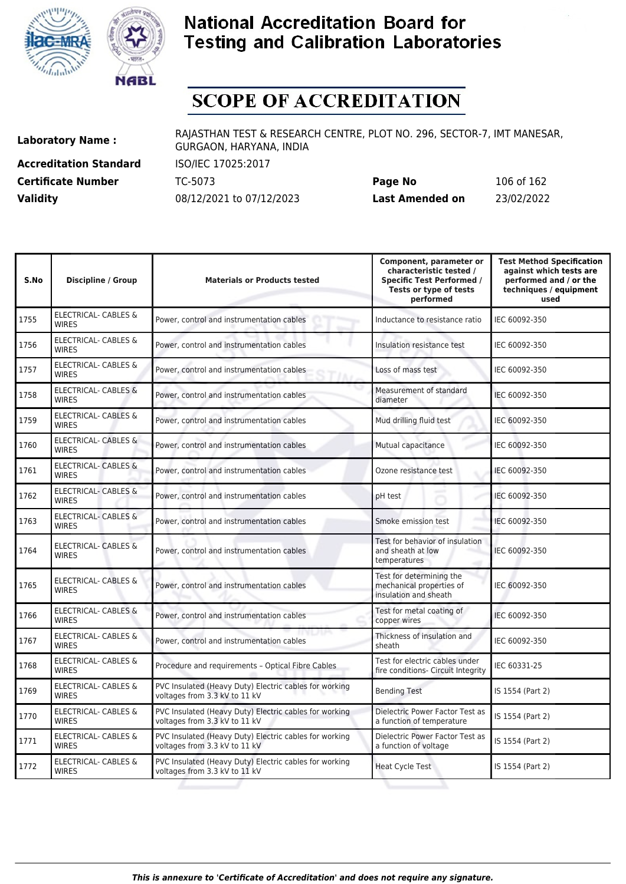![](_page_105_Picture_0.jpeg)

![](_page_105_Picture_1.jpeg)

# **SCOPE OF ACCREDITATION**

**Accreditation Standard** ISO/IEC 17025:2017 **Certificate Number Page 162 TC-5073** 

| <b>Certificate Number</b> | TC-5073                  | Page No         | 106 of 162 |
|---------------------------|--------------------------|-----------------|------------|
| <b>Validity</b>           | 08/12/2021 to 07/12/2023 | Last Amended on | 23/02/2022 |

| S.No | <b>Discipline / Group</b>                       | <b>Materials or Products tested</b>                                                     | Component, parameter or<br>characteristic tested /<br><b>Specific Test Performed /</b><br>Tests or type of tests<br>performed | <b>Test Method Specification</b><br>against which tests are<br>performed and / or the<br>techniques / equipment<br>used |
|------|-------------------------------------------------|-----------------------------------------------------------------------------------------|-------------------------------------------------------------------------------------------------------------------------------|-------------------------------------------------------------------------------------------------------------------------|
| 1755 | <b>ELECTRICAL- CABLES &amp;</b><br><b>WIRES</b> | Power, control and instrumentation cables                                               | Inductance to resistance ratio                                                                                                | IEC 60092-350                                                                                                           |
| 1756 | <b>ELECTRICAL- CABLES &amp;</b><br><b>WIRES</b> | Power, control and instrumentation cables                                               | Insulation resistance test                                                                                                    | IEC 60092-350                                                                                                           |
| 1757 | ELECTRICAL- CABLES &<br><b>WIRES</b>            | Power, control and instrumentation cables                                               | Loss of mass test                                                                                                             | IEC 60092-350                                                                                                           |
| 1758 | <b>ELECTRICAL- CABLES &amp;</b><br><b>WIRES</b> | Power, control and instrumentation cables                                               | Measurement of standard<br>diameter                                                                                           | IEC 60092-350                                                                                                           |
| 1759 | ELECTRICAL- CABLES &<br><b>WIRES</b>            | Power, control and instrumentation cables                                               | Mud drilling fluid test                                                                                                       | IEC 60092-350                                                                                                           |
| 1760 | <b>ELECTRICAL- CABLES &amp;</b><br><b>WIRES</b> | Power, control and instrumentation cables                                               | Mutual capacitance                                                                                                            | IEC 60092-350                                                                                                           |
| 1761 | <b>ELECTRICAL- CABLES &amp;</b><br><b>WIRES</b> | Power, control and instrumentation cables                                               | Ozone resistance test                                                                                                         | IEC 60092-350                                                                                                           |
| 1762 | <b>ELECTRICAL- CABLES &amp;</b><br><b>WIRES</b> | Power, control and instrumentation cables                                               | pH test                                                                                                                       | IEC 60092-350                                                                                                           |
| 1763 | ELECTRICAL- CABLES &<br><b>WIRES</b>            | Power, control and instrumentation cables                                               | Smoke emission test                                                                                                           | IEC 60092-350                                                                                                           |
| 1764 | ELECTRICAL- CABLES &<br><b>WIRES</b>            | Power, control and instrumentation cables                                               | Test for behavior of insulation<br>and sheath at low<br>temperatures                                                          | IEC 60092-350                                                                                                           |
| 1765 | ELECTRICAL- CABLES &<br><b>WIRES</b>            | Power, control and instrumentation cables                                               | Test for determining the<br>mechanical properties of<br>insulation and sheath                                                 | IEC 60092-350                                                                                                           |
| 1766 | <b>ELECTRICAL- CABLES &amp;</b><br><b>WIRES</b> | Power, control and instrumentation cables                                               | Test for metal coating of<br>copper wires                                                                                     | IEC 60092-350                                                                                                           |
| 1767 | ELECTRICAL- CABLES &<br><b>WIRES</b>            | Power, control and instrumentation cables                                               | Thickness of insulation and<br>sheath                                                                                         | IEC 60092-350                                                                                                           |
| 1768 | <b>ELECTRICAL- CABLES &amp;</b><br><b>WIRES</b> | Procedure and requirements - Optical Fibre Cables                                       | Test for electric cables under<br>fire conditions- Circuit Integrity                                                          | IEC 60331-25                                                                                                            |
| 1769 | ELECTRICAL- CABLES &<br><b>WIRES</b>            | PVC Insulated (Heavy Duty) Electric cables for working<br>voltages from 3.3 kV to 11 kV | <b>Bending Test</b>                                                                                                           | IS 1554 (Part 2)                                                                                                        |
| 1770 | <b>ELECTRICAL- CABLES &amp;</b><br><b>WIRES</b> | PVC Insulated (Heavy Duty) Electric cables for working<br>voltages from 3.3 kV to 11 kV | Dielectric Power Factor Test as<br>a function of temperature                                                                  | IS 1554 (Part 2)                                                                                                        |
| 1771 | ELECTRICAL- CABLES &<br><b>WIRES</b>            | PVC Insulated (Heavy Duty) Electric cables for working<br>voltages from 3.3 kV to 11 kV | Dielectric Power Factor Test as<br>a function of voltage                                                                      | IS 1554 (Part 2)                                                                                                        |
| 1772 | ELECTRICAL- CABLES &<br><b>WIRES</b>            | PVC Insulated (Heavy Duty) Electric cables for working<br>voltages from 3.3 kV to 11 kV | <b>Heat Cycle Test</b>                                                                                                        | IS 1554 (Part 2)                                                                                                        |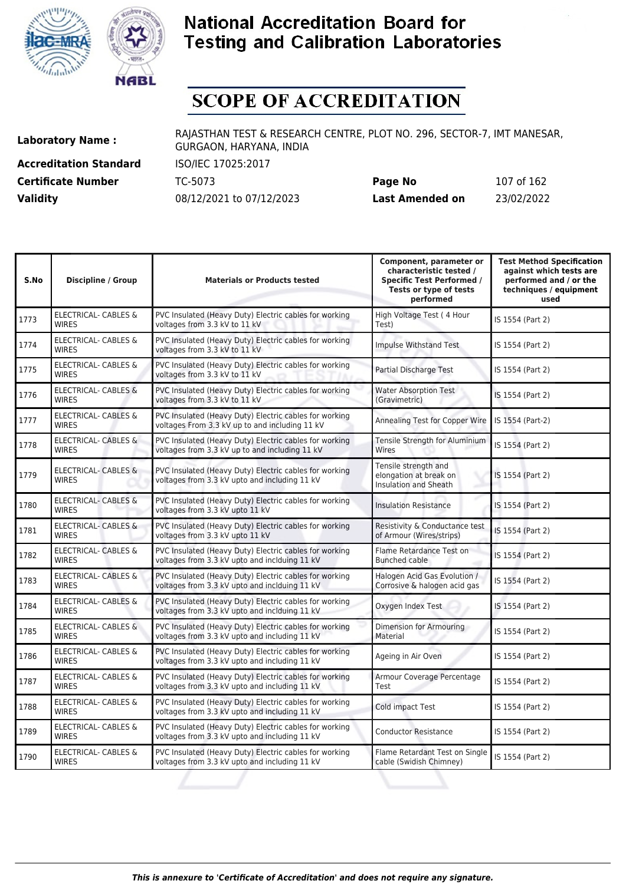![](_page_106_Picture_0.jpeg)

![](_page_106_Picture_1.jpeg)

# **SCOPE OF ACCREDITATION**

**Accreditation Standard** ISO/IEC 17025:2017 **Certificate Number** TC-5073

| <b>Certificate Number</b> | TC-5073                  | Page No         | 107 of 162 |
|---------------------------|--------------------------|-----------------|------------|
| <b>Validity</b>           | 08/12/2021 to 07/12/2023 | Last Amended on | 23/02/2022 |

| S.No | <b>Discipline / Group</b>                       | <b>Materials or Products tested</b>                                                                      | Component, parameter or<br>characteristic tested /<br><b>Specific Test Performed /</b><br>Tests or type of tests<br>performed | <b>Test Method Specification</b><br>against which tests are<br>performed and / or the<br>techniques / equipment<br>used |
|------|-------------------------------------------------|----------------------------------------------------------------------------------------------------------|-------------------------------------------------------------------------------------------------------------------------------|-------------------------------------------------------------------------------------------------------------------------|
| 1773 | <b>ELECTRICAL- CABLES &amp;</b><br><b>WIRES</b> | PVC Insulated (Heavy Duty) Electric cables for working<br>voltages from 3.3 kV to 11 kV                  | High Voltage Test (4 Hour<br>Test)                                                                                            | IS 1554 (Part 2)                                                                                                        |
| 1774 | <b>ELECTRICAL- CABLES &amp;</b><br><b>WIRES</b> | PVC Insulated (Heavy Duty) Electric cables for working<br>voltages from 3.3 kV to 11 kV                  | Impulse Withstand Test                                                                                                        | IS 1554 (Part 2)                                                                                                        |
| 1775 | <b>ELECTRICAL- CABLES &amp;</b><br><b>WIRES</b> | PVC Insulated (Heavy Duty) Electric cables for working<br>voltages from 3.3 kV to 11 kV                  | Partial Discharge Test                                                                                                        | IS 1554 (Part 2)                                                                                                        |
| 1776 | <b>ELECTRICAL- CABLES &amp;</b><br><b>WIRES</b> | PVC Insulated (Heavy Duty) Electric cables for working<br>voltages from 3.3 kV to 11 kV                  | <b>Water Absorption Test</b><br>(Gravimetric)                                                                                 | IS 1554 (Part 2)                                                                                                        |
| 1777 | <b>ELECTRICAL- CABLES &amp;</b><br><b>WIRES</b> | PVC Insulated (Heavy Duty) Electric cables for working<br>voltages From 3.3 kV up to and including 11 kV | Annealing Test for Copper Wire                                                                                                | IS 1554 (Part-2)                                                                                                        |
| 1778 | ELECTRICAL- CABLES &<br><b>WIRES</b>            | PVC Insulated (Heavy Duty) Electric cables for working<br>voltages from 3.3 kV up to and including 11 kV | Tensile Strength for Aluminium<br>Wires                                                                                       | IS 1554 (Part 2)                                                                                                        |
| 1779 | <b>ELECTRICAL- CABLES &amp;</b><br><b>WIRES</b> | PVC Insulated (Heavy Duty) Electric cables for working<br>voltages from 3.3 kV upto and including 11 kV  | Tensile strength and<br>elongation at break on<br>Insulation and Sheath                                                       | IS 1554 (Part 2)                                                                                                        |
| 1780 | <b>ELECTRICAL- CABLES &amp;</b><br><b>WIRES</b> | PVC Insulated (Heavy Duty) Electric cables for working<br>voltages from 3.3 kV upto 11 kV                | <b>Insulation Resistance</b>                                                                                                  | IS 1554 (Part 2)                                                                                                        |
| 1781 | <b>ELECTRICAL- CABLES &amp;</b><br><b>WIRES</b> | PVC Insulated (Heavy Duty) Electric cables for working<br>voltages from 3.3 kV upto 11 kV                | Resistivity & Conductance test<br>of Armour (Wires/strips)                                                                    | IS 1554 (Part 2)                                                                                                        |
| 1782 | ELECTRICAL- CABLES &<br><b>WIRES</b>            | PVC Insulated (Heavy Duty) Electric cables for working<br>voltages from 3.3 kV upto and inclduing 11 kV  | Flame Retardance Test on<br><b>Bunched cable</b>                                                                              | IS 1554 (Part 2)                                                                                                        |
| 1783 | <b>ELECTRICAL- CABLES &amp;</b><br><b>WIRES</b> | PVC Insulated (Heavy Duty) Electric cables for working<br>voltages from 3.3 kV upto and inclduing 11 kV  | Halogen Acid Gas Evolution /<br>Corrosive & halogen acid gas                                                                  | IS 1554 (Part 2)                                                                                                        |
| 1784 | ELECTRICAL- CABLES &<br><b>WIRES</b>            | PVC Insulated (Heavy Duty) Electric cables for working<br>voltages from 3.3 kV upto and inclduing 11 kV  | Oxygen Index Test                                                                                                             | IS 1554 (Part 2)                                                                                                        |
| 1785 | ELECTRICAL- CABLES &<br><b>WIRES</b>            | PVC Insulated (Heavy Duty) Electric cables for working<br>voltages from 3.3 kV upto and including 11 kV  | Dimension for Armouring<br>Material                                                                                           | IS 1554 (Part 2)                                                                                                        |
| 1786 | ELECTRICAL- CABLES &<br><b>WIRES</b>            | PVC Insulated (Heavy Duty) Electric cables for working<br>voltages from 3.3 kV upto and including 11 kV  | Ageing in Air Oven                                                                                                            | IS 1554 (Part 2)                                                                                                        |
| 1787 | ELECTRICAL- CABLES &<br><b>WIRES</b>            | PVC Insulated (Heavy Duty) Electric cables for working<br>voltages from 3.3 kV upto and including 11 kV  | Armour Coverage Percentage<br>Test                                                                                            | IS 1554 (Part 2)                                                                                                        |
| 1788 | <b>ELECTRICAL- CABLES &amp;</b><br><b>WIRES</b> | PVC Insulated (Heavy Duty) Electric cables for working<br>voltages from 3.3 kV upto and including 11 kV  | Cold impact Test                                                                                                              | IS 1554 (Part 2)                                                                                                        |
| 1789 | ELECTRICAL- CABLES &<br><b>WIRES</b>            | PVC Insulated (Heavy Duty) Electric cables for working<br>voltages from 3.3 kV upto and including 11 kV  | <b>Conductor Resistance</b>                                                                                                   | IS 1554 (Part 2)                                                                                                        |
| 1790 | <b>ELECTRICAL- CABLES &amp;</b><br><b>WIRES</b> | PVC Insulated (Heavy Duty) Electric cables for working<br>voltages from 3.3 kV upto and including 11 kV  | Flame Retardant Test on Single<br>cable (Swidish Chimney)                                                                     | IS 1554 (Part 2)                                                                                                        |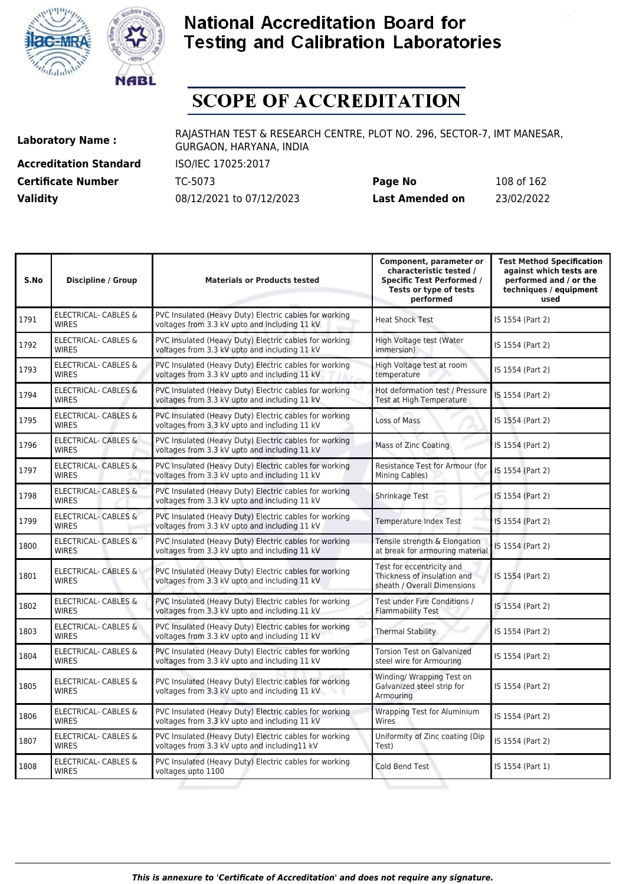![](_page_107_Picture_0.jpeg)

![](_page_107_Picture_1.jpeg)

# **SCOPE OF ACCREDITATION**

**Accreditation Standard** ISO/IEC 17025:2017 **Certificate Number** TC-5073

| <b>Certificate Number</b> | TC-5073                  | Page No         | 108 of 162 |
|---------------------------|--------------------------|-----------------|------------|
| <b>Validity</b>           | 08/12/2021 to 07/12/2023 | Last Amended on | 23/02/2022 |

| S.No | <b>Discipline / Group</b>                       | <b>Materials or Products tested</b>                                                                     | Component, parameter or<br>characteristic tested /<br><b>Specific Test Performed /</b><br>Tests or type of tests<br>performed | <b>Test Method Specification</b><br>against which tests are<br>performed and / or the<br>techniques / equipment<br>used |
|------|-------------------------------------------------|---------------------------------------------------------------------------------------------------------|-------------------------------------------------------------------------------------------------------------------------------|-------------------------------------------------------------------------------------------------------------------------|
| 1791 | <b>ELECTRICAL- CABLES &amp;</b><br><b>WIRES</b> | PVC Insulated (Heavy Duty) Electric cables for working<br>voltages from 3.3 kV upto and including 11 kV | <b>Heat Shock Test</b>                                                                                                        | IS 1554 (Part 2)                                                                                                        |
| 1792 | <b>ELECTRICAL- CABLES &amp;</b><br><b>WIRES</b> | PVC Insulated (Heavy Duty) Electric cables for working<br>voltages from 3.3 kV upto and including 11 kV | High Voltage test (Water<br>immersion)                                                                                        | IS 1554 (Part 2)                                                                                                        |
| 1793 | ELECTRICAL- CABLES &<br><b>WIRES</b>            | PVC Insulated (Heavy Duty) Electric cables for working<br>voltages from 3.3 kV upto and including 11 kV | High Voltage test at room<br>temperature                                                                                      | IS 1554 (Part 2)                                                                                                        |
| 1794 | <b>ELECTRICAL- CABLES &amp;</b><br><b>WIRES</b> | PVC Insulated (Heavy Duty) Electric cables for working<br>voltages from 3.3 kV upto and including 11 kV | Hot deformation test / Pressure<br>Test at High Temperature                                                                   | IS 1554 (Part 2)                                                                                                        |
| 1795 | ELECTRICAL- CABLES &<br><b>WIRES</b>            | PVC Insulated (Heavy Duty) Electric cables for working<br>voltages from 3.3 kV upto and including 11 kV | Loss of Mass                                                                                                                  | IS 1554 (Part 2)                                                                                                        |
| 1796 | <b>ELECTRICAL- CABLES &amp;</b><br><b>WIRES</b> | PVC Insulated (Heavy Duty) Electric cables for working<br>voltages from 3.3 kV upto and including 11 kV | Mass of Zinc Coating                                                                                                          | IS 1554 (Part 2)                                                                                                        |
| 1797 | <b>ELECTRICAL- CABLES &amp;</b><br><b>WIRES</b> | PVC Insulated (Heavy Duty) Electric cables for working<br>voltages from 3.3 kV upto and including 11 kV | Resistance Test for Armour (for<br>Mining Cables)                                                                             | IS 1554 (Part 2)                                                                                                        |
| 1798 | <b>ELECTRICAL- CABLES &amp;</b><br><b>WIRES</b> | PVC Insulated (Heavy Duty) Electric cables for working<br>voltages from 3.3 kV upto and including 11 kV | Shrinkage Test                                                                                                                | IS 1554 (Part 2)                                                                                                        |
| 1799 | ELECTRICAL- CABLES &<br><b>WIRES</b>            | PVC Insulated (Heavy Duty) Electric cables for working<br>voltages from 3.3 kV upto and including 11 kV | Temperature Index Test                                                                                                        | IS 1554 (Part 2)                                                                                                        |
| 1800 | <b>ELECTRICAL- CABLES &amp;</b><br><b>WIRES</b> | PVC Insulated (Heavy Duty) Electric cables for working<br>voltages from 3.3 kV upto and including 11 kV | Tensile strength & Elongation<br>at break for armouring material                                                              | IS 1554 (Part 2)                                                                                                        |
| 1801 | ELECTRICAL- CABLES &<br><b>WIRES</b>            | PVC Insulated (Heavy Duty) Electric cables for working<br>voltages from 3.3 kV upto and including 11 kV | Test for eccentricity and<br>Thickness of insulation and<br>sheath / Overall Dimensions                                       | IS 1554 (Part 2)                                                                                                        |
| 1802 | ELECTRICAL- CABLES &<br><b>WIRFS</b>            | PVC Insulated (Heavy Duty) Electric cables for working<br>voltages from 3.3 kV upto and including 11 kV | Test under Fire Conditions /<br><b>Flammability Test</b>                                                                      | IS 1554 (Part 2)                                                                                                        |
| 1803 | <b>ELECTRICAL- CABLES &amp;</b><br><b>WIRES</b> | PVC Insulated (Heavy Duty) Electric cables for working<br>voltages from 3.3 kV upto and including 11 kV | <b>Thermal Stability</b>                                                                                                      | IS 1554 (Part 2)                                                                                                        |
| 1804 | <b>ELECTRICAL- CABLES &amp;</b><br><b>WIRES</b> | PVC Insulated (Heavy Duty) Electric cables for working<br>voltages from 3.3 kV upto and including 11 kV | <b>Torsion Test on Galvanized</b><br>steel wire for Armouring                                                                 | IS 1554 (Part 2)                                                                                                        |
| 1805 | <b>ELECTRICAL- CABLES &amp;</b><br><b>WIRES</b> | PVC Insulated (Heavy Duty) Electric cables for working<br>voltages from 3.3 kV upto and including 11 kV | Winding/ Wrapping Test on<br>Galvanized steel strip for<br>Armouring                                                          | IS 1554 (Part 2)                                                                                                        |
| 1806 | ELECTRICAL- CABLES &<br><b>WIRES</b>            | PVC Insulated (Heavy Duty) Electric cables for working<br>voltages from 3.3 kV upto and including 11 kV | <b>Wrapping Test for Aluminium</b><br>Wires                                                                                   | IS 1554 (Part 2)                                                                                                        |
| 1807 | ELECTRICAL- CABLES &<br><b>WIRES</b>            | PVC Insulated (Heavy Duty) Electric cables for working<br>voltages from 3.3 kV upto and including11 kV  | Uniformity of Zinc coating (Dip<br>Test)                                                                                      | IS 1554 (Part 2)                                                                                                        |
| 1808 | <b>ELECTRICAL- CABLES &amp;</b><br><b>WIRES</b> | PVC Insulated (Heavy Duty) Electric cables for working<br>voltages upto 1100                            | Cold Bend Test                                                                                                                | IS 1554 (Part 1)                                                                                                        |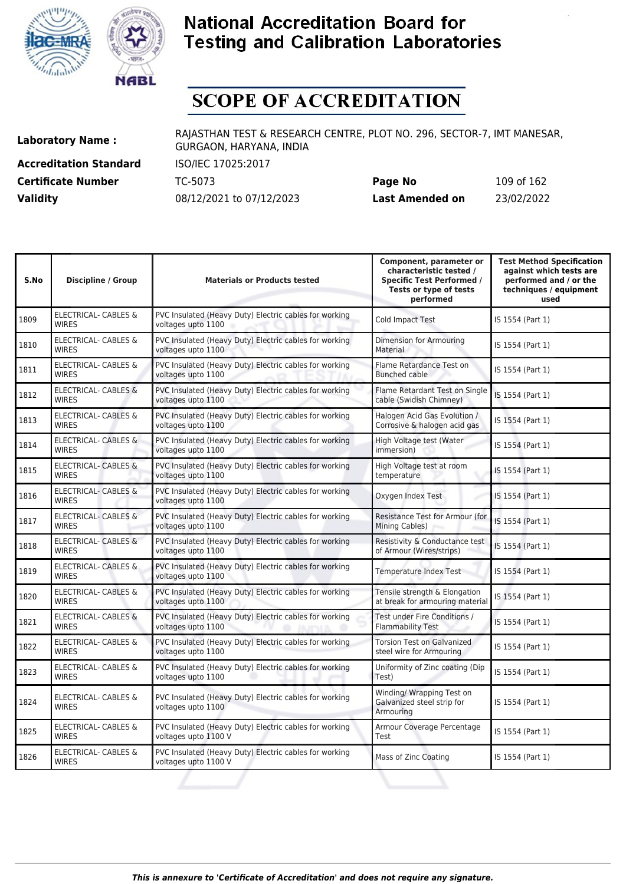



# **SCOPE OF ACCREDITATION**

**Accreditation Standard** ISO/IEC 17025:2017

**Laboratory Name :** RAJASTHAN TEST & RESEARCH CENTRE, PLOT NO. 296, SECTOR-7, IMT MANESAR, GURGAON, HARYANA, INDIA

**Certificate Number** TC-5073 **Page No** 109 of 162 **Validity** 08/12/2021 to 07/12/2023 **Last Amended on** 23/02/2022

| S.No | <b>Discipline / Group</b>                       | <b>Materials or Products tested</b>                                            | Component, parameter or<br>characteristic tested /<br><b>Specific Test Performed /</b><br>Tests or type of tests<br>performed | <b>Test Method Specification</b><br>against which tests are<br>performed and / or the<br>techniques / equipment<br>used |
|------|-------------------------------------------------|--------------------------------------------------------------------------------|-------------------------------------------------------------------------------------------------------------------------------|-------------------------------------------------------------------------------------------------------------------------|
| 1809 | <b>ELECTRICAL- CABLES &amp;</b><br><b>WIRES</b> | PVC Insulated (Heavy Duty) Electric cables for working<br>voltages upto 1100   | Cold Impact Test                                                                                                              | IS 1554 (Part 1)                                                                                                        |
| 1810 | ELECTRICAL- CABLES &<br><b>WIRES</b>            | PVC Insulated (Heavy Duty) Electric cables for working<br>voltages upto 1100   | Dimension for Armouring<br>Material                                                                                           | IS 1554 (Part 1)                                                                                                        |
| 1811 | ELECTRICAL- CABLES &<br><b>WIRES</b>            | PVC Insulated (Heavy Duty) Electric cables for working<br>voltages upto 1100   | Flame Retardance Test on<br>Bunched cable                                                                                     | IS 1554 (Part 1)                                                                                                        |
| 1812 | <b>ELECTRICAL- CABLES &amp;</b><br><b>WIRES</b> | PVC Insulated (Heavy Duty) Electric cables for working<br>voltages upto 1100   | Flame Retardant Test on Single<br>cable (Swidish Chimney)                                                                     | IS 1554 (Part 1)                                                                                                        |
| 1813 | ELECTRICAL- CABLES &<br><b>WIRES</b>            | PVC Insulated (Heavy Duty) Electric cables for working<br>voltages upto 1100   | Halogen Acid Gas Evolution /<br>Corrosive & halogen acid gas                                                                  | IS 1554 (Part 1)                                                                                                        |
| 1814 | <b>ELECTRICAL- CABLES &amp;</b><br><b>WIRES</b> | PVC Insulated (Heavy Duty) Electric cables for working<br>voltages upto 1100   | High Voltage test (Water<br>immersion)                                                                                        | IS 1554 (Part 1)                                                                                                        |
| 1815 | <b>ELECTRICAL- CABLES &amp;</b><br><b>WIRES</b> | PVC Insulated (Heavy Duty) Electric cables for working<br>voltages upto 1100   | High Voltage test at room<br>temperature                                                                                      | IS 1554 (Part 1)                                                                                                        |
| 1816 | <b>ELECTRICAL- CABLES &amp;</b><br><b>WIRES</b> | PVC Insulated (Heavy Duty) Electric cables for working<br>voltages upto 1100   | Oxygen Index Test                                                                                                             | IS 1554 (Part 1)                                                                                                        |
| 1817 | <b>ELECTRICAL- CABLES &amp;</b><br><b>WIRES</b> | PVC Insulated (Heavy Duty) Electric cables for working<br>voltages upto 1100   | Resistance Test for Armour (for<br>Mining Cables)                                                                             | IS 1554 (Part 1)                                                                                                        |
| 1818 | <b>ELECTRICAL- CABLES &amp;</b><br><b>WIRES</b> | PVC Insulated (Heavy Duty) Electric cables for working<br>voltages upto 1100   | Resistivity & Conductance test<br>of Armour (Wires/strips)                                                                    | IS 1554 (Part 1)                                                                                                        |
| 1819 | ELECTRICAL- CABLES &<br><b>WIRES</b>            | PVC Insulated (Heavy Duty) Electric cables for working<br>voltages upto 1100   | Temperature Index Test                                                                                                        | IS 1554 (Part 1)                                                                                                        |
| 1820 | ELECTRICAL- CABLES &<br><b>WIRES</b>            | PVC Insulated (Heavy Duty) Electric cables for working<br>voltages upto 1100   | Tensile strength & Elongation<br>at break for armouring material                                                              | IS 1554 (Part 1)                                                                                                        |
| 1821 | <b>ELECTRICAL- CABLES &amp;</b><br><b>WIRES</b> | PVC Insulated (Heavy Duty) Electric cables for working<br>voltages upto 1100   | Test under Fire Conditions /<br><b>Flammability Test</b>                                                                      | IS 1554 (Part 1)                                                                                                        |
| 1822 | ELECTRICAL- CABLES &<br><b>WIRES</b>            | PVC Insulated (Heavy Duty) Electric cables for working<br>voltages upto 1100   | <b>Torsion Test on Galvanized</b><br>steel wire for Armouring                                                                 | IS 1554 (Part 1)                                                                                                        |
| 1823 | ELECTRICAL- CABLES &<br><b>WIRES</b>            | PVC Insulated (Heavy Duty) Electric cables for working<br>voltages upto 1100   | Uniformity of Zinc coating (Dip<br>Test)                                                                                      | IS 1554 (Part 1)                                                                                                        |
| 1824 | ELECTRICAL- CABLES &<br><b>WIRES</b>            | PVC Insulated (Heavy Duty) Electric cables for working<br>voltages upto 1100   | Winding/ Wrapping Test on<br>Galvanized steel strip for<br>Armouring                                                          | IS 1554 (Part 1)                                                                                                        |
| 1825 | ELECTRICAL- CABLES &<br><b>WIRES</b>            | PVC Insulated (Heavy Duty) Electric cables for working<br>voltages upto 1100 V | Armour Coverage Percentage<br>Test                                                                                            | IS 1554 (Part 1)                                                                                                        |
| 1826 | ELECTRICAL- CABLES &<br><b>WIRES</b>            | PVC Insulated (Heavy Duty) Electric cables for working<br>voltages upto 1100 V | Mass of Zinc Coating                                                                                                          | IS 1554 (Part 1)                                                                                                        |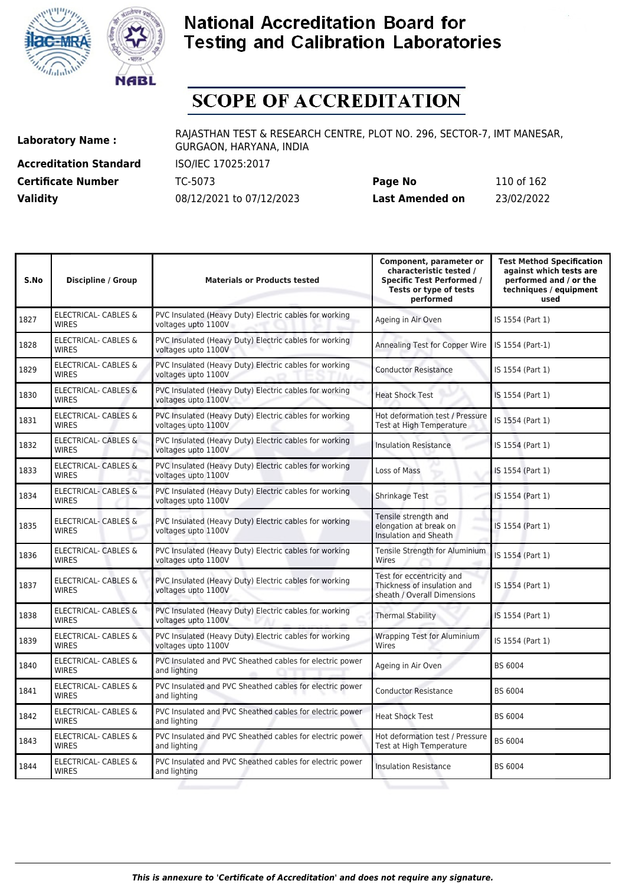



# **SCOPE OF ACCREDITATION**

**Accreditation Standard** ISO/IEC 17025:2017 **Certificate Number** TC-5073

| <b>Certificate Number</b> | TC-5073                  | Page No         | 110 of 162 |
|---------------------------|--------------------------|-----------------|------------|
| <b>Validity</b>           | 08/12/2021 to 07/12/2023 | Last Amended on | 23/02/2022 |

| S.No | <b>Discipline / Group</b>                       | <b>Materials or Products tested</b>                                           | Component, parameter or<br>characteristic tested /<br><b>Specific Test Performed /</b><br>Tests or type of tests<br>performed | <b>Test Method Specification</b><br>against which tests are<br>performed and / or the<br>techniques / equipment<br>used |
|------|-------------------------------------------------|-------------------------------------------------------------------------------|-------------------------------------------------------------------------------------------------------------------------------|-------------------------------------------------------------------------------------------------------------------------|
| 1827 | ELECTRICAL- CABLES &<br><b>WIRES</b>            | PVC Insulated (Heavy Duty) Electric cables for working<br>voltages upto 1100V | Ageing in Air Oven                                                                                                            | IS 1554 (Part 1)                                                                                                        |
| 1828 | ELECTRICAL- CABLES &<br><b>WIRES</b>            | PVC Insulated (Heavy Duty) Electric cables for working<br>voltages upto 1100V | Annealing Test for Copper Wire                                                                                                | IS 1554 (Part-1)                                                                                                        |
| 1829 | ELECTRICAL- CABLES &<br><b>WIRES</b>            | PVC Insulated (Heavy Duty) Electric cables for working<br>voltages upto 1100V | <b>Conductor Resistance</b>                                                                                                   | IS 1554 (Part 1)                                                                                                        |
| 1830 | <b>ELECTRICAL- CABLES &amp;</b><br><b>WIRES</b> | PVC Insulated (Heavy Duty) Electric cables for working<br>voltages upto 1100V | <b>Heat Shock Test</b>                                                                                                        | IS 1554 (Part 1)                                                                                                        |
| 1831 | <b>ELECTRICAL- CABLES &amp;</b><br><b>WIRES</b> | PVC Insulated (Heavy Duty) Electric cables for working<br>voltages upto 1100V | Hot deformation test / Pressure<br><b>Test at High Temperature</b>                                                            | IS 1554 (Part 1)                                                                                                        |
| 1832 | ELECTRICAL- CABLES &<br><b>WIRES</b>            | PVC Insulated (Heavy Duty) Electric cables for working<br>voltages upto 1100V | <b>Insulation Resistance</b>                                                                                                  | IS 1554 (Part 1)                                                                                                        |
| 1833 | <b>ELECTRICAL- CABLES &amp;</b><br><b>WIRES</b> | PVC Insulated (Heavy Duty) Electric cables for working<br>voltages upto 1100V | Loss of Mass                                                                                                                  | IS 1554 (Part 1)                                                                                                        |
| 1834 | <b>ELECTRICAL- CABLES &amp;</b><br><b>WIRES</b> | PVC Insulated (Heavy Duty) Electric cables for working<br>voltages upto 1100V | Shrinkage Test                                                                                                                | IS 1554 (Part 1)                                                                                                        |
| 1835 | <b>ELECTRICAL- CABLES &amp;</b><br><b>WIRES</b> | PVC Insulated (Heavy Duty) Electric cables for working<br>voltages upto 1100V | Tensile strength and<br>elongation at break on<br>Insulation and Sheath                                                       | IS 1554 (Part 1)                                                                                                        |
| 1836 | <b>ELECTRICAL- CABLES &amp;</b><br><b>WIRES</b> | PVC Insulated (Heavy Duty) Electric cables for working<br>voltages upto 1100V | Tensile Strength for Aluminium<br>Wires                                                                                       | IS 1554 (Part 1)                                                                                                        |
| 1837 | ELECTRICAL- CABLES &<br><b>WIRES</b>            | PVC Insulated (Heavy Duty) Electric cables for working<br>voltages upto 1100V | Test for eccentricity and<br>Thickness of insulation and<br>sheath / Overall Dimensions                                       | IS 1554 (Part 1)                                                                                                        |
| 1838 | <b>ELECTRICAL- CABLES &amp;</b><br><b>WIRES</b> | PVC Insulated (Heavy Duty) Electric cables for working<br>voltages upto 1100V | <b>Thermal Stability</b>                                                                                                      | IS 1554 (Part 1)                                                                                                        |
| 1839 | <b>ELECTRICAL- CABLES &amp;</b><br><b>WIRES</b> | PVC Insulated (Heavy Duty) Electric cables for working<br>voltages upto 1100V | <b>Wrapping Test for Aluminium</b><br>Wires                                                                                   | IS 1554 (Part 1)                                                                                                        |
| 1840 | ELECTRICAL- CABLES &<br><b>WIRES</b>            | PVC Insulated and PVC Sheathed cables for electric power<br>and lighting      | Ageing in Air Oven                                                                                                            | BS 6004                                                                                                                 |
| 1841 | ELECTRICAL- CABLES &<br><b>WIRES</b>            | PVC Insulated and PVC Sheathed cables for electric power<br>and lighting      | <b>Conductor Resistance</b>                                                                                                   | BS 6004                                                                                                                 |
| 1842 | ELECTRICAL- CABLES &<br><b>WIRES</b>            | PVC Insulated and PVC Sheathed cables for electric power<br>and lighting      | <b>Heat Shock Test</b>                                                                                                        | BS 6004                                                                                                                 |
| 1843 | ELECTRICAL- CABLES &<br><b>WIRES</b>            | PVC Insulated and PVC Sheathed cables for electric power<br>and lighting      | Hot deformation test / Pressure<br>Test at High Temperature                                                                   | BS 6004                                                                                                                 |
| 1844 | ELECTRICAL- CABLES &<br><b>WIRES</b>            | PVC Insulated and PVC Sheathed cables for electric power<br>and lighting      | <b>Insulation Resistance</b>                                                                                                  | BS 6004                                                                                                                 |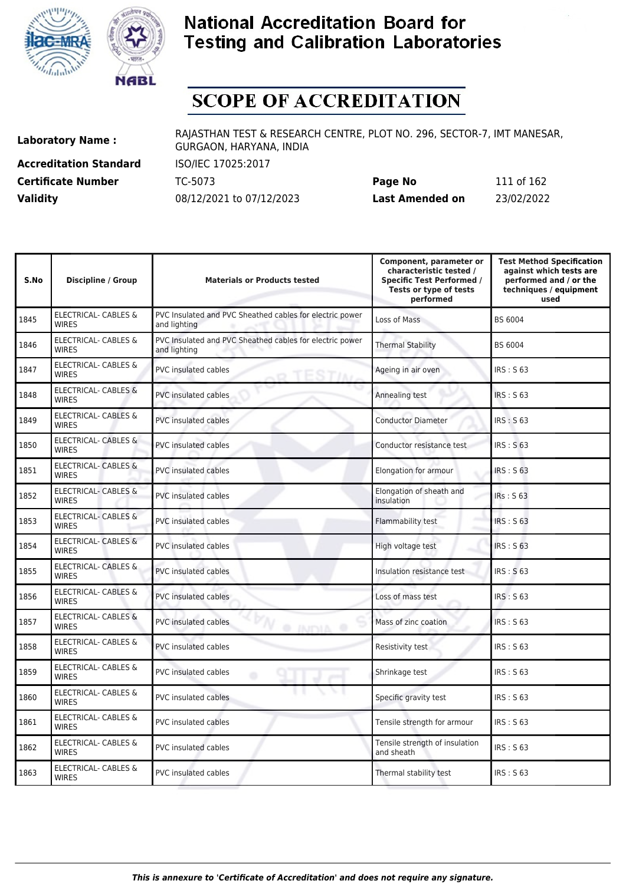



# **SCOPE OF ACCREDITATION**

**Accreditation Standard** ISO/IEC 17025:2017 **Certificate Number** TC-5073 **Validity** 08/12/2021 to 07/12/2023

| Page No         | 111 of 162 |
|-----------------|------------|
| Last Amended on | 23/02/2022 |

| S.No | <b>Discipline / Group</b>                       | <b>Materials or Products tested</b>                                      | Component, parameter or<br>characteristic tested /<br><b>Specific Test Performed /</b><br>Tests or type of tests<br>performed | <b>Test Method Specification</b><br>against which tests are<br>performed and / or the<br>techniques / equipment<br>used |
|------|-------------------------------------------------|--------------------------------------------------------------------------|-------------------------------------------------------------------------------------------------------------------------------|-------------------------------------------------------------------------------------------------------------------------|
| 1845 | ELECTRICAL- CABLES &<br><b>WIRES</b>            | PVC Insulated and PVC Sheathed cables for electric power<br>and lighting | Loss of Mass                                                                                                                  | BS 6004                                                                                                                 |
| 1846 | <b>ELECTRICAL- CABLES &amp;</b><br><b>WIRES</b> | PVC Insulated and PVC Sheathed cables for electric power<br>and lighting | <b>Thermal Stability</b>                                                                                                      | BS 6004                                                                                                                 |
| 1847 | <b>ELECTRICAL- CABLES &amp;</b><br><b>WIRES</b> | <b>PVC</b> insulated cables                                              | Ageing in air oven                                                                                                            | IRS: S63                                                                                                                |
| 1848 | <b>ELECTRICAL- CABLES &amp;</b><br><b>WIRES</b> | <b>PVC insulated cables</b>                                              | Annealing test                                                                                                                | <b>IRS: S 63</b>                                                                                                        |
| 1849 | ELECTRICAL- CABLES &<br><b>WIRES</b>            | <b>PVC</b> insulated cables                                              | <b>Conductor Diameter</b>                                                                                                     | <b>IRS: S63</b>                                                                                                         |
| 1850 | <b>ELECTRICAL- CABLES &amp;</b><br><b>WIRES</b> | <b>PVC</b> insulated cables                                              | Conductor resistance test                                                                                                     | <b>IRS: S63</b>                                                                                                         |
| 1851 | <b>ELECTRICAL- CABLES &amp;</b><br><b>WIRES</b> | <b>PVC</b> insulated cables                                              | Elongation for armour                                                                                                         | IRS: S63                                                                                                                |
| 1852 | ELECTRICAL- CABLES &<br><b>WIRES</b>            | PVC insulated cables                                                     | Elongation of sheath and<br>insulation                                                                                        | IRs: S <sub>63</sub>                                                                                                    |
| 1853 | ELECTRICAL- CABLES &<br><b>WIRES</b>            | <b>PVC</b> insulated cables                                              | Flammability test                                                                                                             | IRS: S 63                                                                                                               |
| 1854 | ELECTRICAL- CABLES &<br><b>WIRES</b>            | <b>PVC</b> insulated cables                                              | High voltage test                                                                                                             | IRS: S63                                                                                                                |
| 1855 | <b>ELECTRICAL- CABLES &amp;</b><br><b>WIRES</b> | <b>PVC</b> insulated cables                                              | Insulation resistance test                                                                                                    | <b>IRS: S63</b>                                                                                                         |
| 1856 | ELECTRICAL- CABLES &<br><b>WIRES</b>            | <b>PVC</b> insulated cables                                              | Loss of mass test                                                                                                             | IRS: S63                                                                                                                |
| 1857 | <b>ELECTRICAL- CABLES &amp;</b><br><b>WIRES</b> | <b>PVC</b> insulated cables<br>@ INITYIA @                               | Mass of zinc coation                                                                                                          | <b>IRS: S 63</b>                                                                                                        |
| 1858 | ELECTRICAL- CABLES &<br><b>WIRES</b>            | <b>PVC</b> insulated cables                                              | Resistivity test                                                                                                              | IRS: S 63                                                                                                               |
| 1859 | ELECTRICAL- CABLES &<br><b>WIRES</b>            | <b>PVC</b> insulated cables<br>٠                                         | Shrinkage test                                                                                                                | IRS: S63                                                                                                                |
| 1860 | ELECTRICAL- CABLES &<br><b>WIRES</b>            | . .<br><b>PVC</b> insulated cables                                       | Specific gravity test                                                                                                         | IRS: S63                                                                                                                |
| 1861 | ELECTRICAL- CABLES &<br><b>WIRES</b>            | <b>PVC</b> insulated cables                                              | Tensile strength for armour                                                                                                   | IRS: S63                                                                                                                |
| 1862 | <b>ELECTRICAL- CABLES &amp;</b><br><b>WIRES</b> | <b>PVC</b> insulated cables                                              | Tensile strength of insulation<br>and sheath                                                                                  | IRS: S 63                                                                                                               |
| 1863 | <b>ELECTRICAL- CABLES &amp;</b><br><b>WIRES</b> | <b>PVC</b> insulated cables                                              | Thermal stability test                                                                                                        | IRS: S 63                                                                                                               |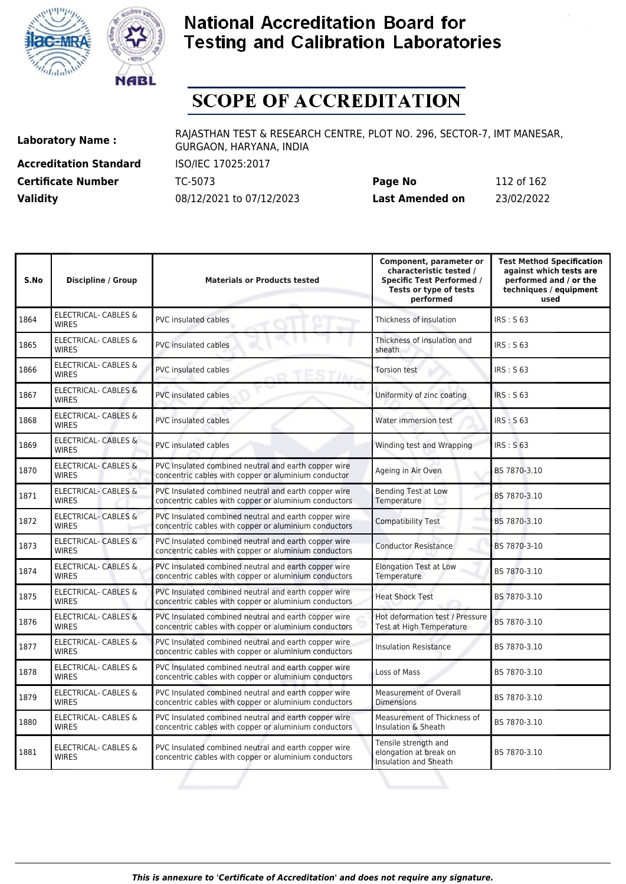



# **SCOPE OF ACCREDITATION**

**Accreditation Standard** ISO/IEC 17025:2017 **Certificate Number** TC-5073

| <b>Certificate Number</b> | TC-5073                  | Page No         | 112 of 162 |
|---------------------------|--------------------------|-----------------|------------|
| <b>Validity</b>           | 08/12/2021 to 07/12/2023 | Last Amended on | 23/02/2022 |

| S.No | <b>Discipline / Group</b>                       | <b>Materials or Products tested</b>                                                                           | Component, parameter or<br>characteristic tested /<br><b>Specific Test Performed /</b><br>Tests or type of tests<br>performed | <b>Test Method Specification</b><br>against which tests are<br>performed and / or the<br>techniques / equipment<br>used |
|------|-------------------------------------------------|---------------------------------------------------------------------------------------------------------------|-------------------------------------------------------------------------------------------------------------------------------|-------------------------------------------------------------------------------------------------------------------------|
| 1864 | <b>ELECTRICAL- CABLES &amp;</b><br><b>WIRFS</b> | PVC insulated cables                                                                                          | Thickness of insulation                                                                                                       | <b>IRS: S 63</b>                                                                                                        |
| 1865 | ELECTRICAL- CABLES &<br><b>WIRES</b>            | <b>PVC</b> insulated cables                                                                                   | Thickness of insulation and<br>sheath                                                                                         | IRS: S 63                                                                                                               |
| 1866 | <b>ELECTRICAL- CABLES &amp;</b><br><b>WIRES</b> | PVC insulated cables                                                                                          | <b>Torsion test</b>                                                                                                           | IRS: S 63                                                                                                               |
| 1867 | <b>ELECTRICAL- CABLES &amp;</b><br><b>WIRES</b> | <b>PVC</b> insulated cables                                                                                   | Uniformity of zinc coating                                                                                                    | <b>IRS: S 63</b>                                                                                                        |
| 1868 | <b>ELECTRICAL- CABLES &amp;</b><br><b>WIRES</b> | <b>PVC insulated cables</b>                                                                                   | Water immersion test                                                                                                          | IRS: S63                                                                                                                |
| 1869 | ELECTRICAL- CABLES &<br><b>WIRES</b>            | <b>PVC</b> insulated cables                                                                                   | Winding test and Wrapping                                                                                                     | <b>IRS: S 63</b>                                                                                                        |
| 1870 | <b>ELECTRICAL- CABLES &amp;</b><br><b>WIRES</b> | PVC Insulated combined neutral and earth copper wire<br>concentric cables with copper or aluminium conductor  | Ageing in Air Oven                                                                                                            | BS 7870-3.10                                                                                                            |
| 1871 | <b>ELECTRICAL- CABLES &amp;</b><br><b>WIRES</b> | PVC Insulated combined neutral and earth copper wire<br>concentric cables with copper or aluminium conductors | <b>Bending Test at Low</b><br>Temperature                                                                                     | BS 7870-3.10                                                                                                            |
| 1872 | <b>ELECTRICAL- CABLES &amp;</b><br><b>WIRES</b> | PVC Insulated combined neutral and earth copper wire<br>concentric cables with copper or aluminium conductors | <b>Compatibility Test</b>                                                                                                     | BS 7870-3.10                                                                                                            |
| 1873 | <b>ELECTRICAL- CABLES &amp;</b><br><b>WIRES</b> | PVC Insulated combined neutral and earth copper wire<br>concentric cables with copper or aluminium conductors | <b>Conductor Resistance</b>                                                                                                   | BS 7870-3-10                                                                                                            |
| 1874 | ELECTRICAL- CABLES &<br><b>WIRES</b>            | PVC Insulated combined neutral and earth copper wire<br>concentric cables with copper or aluminium conductors | <b>Elongation Test at Low</b><br>Temperature                                                                                  | BS 7870-3.10                                                                                                            |
| 1875 | ELECTRICAL- CABLES &<br><b>WIRES</b>            | PVC Insulated combined neutral and earth copper wire<br>concentric cables with copper or aluminium conductors | <b>Heat Shock Test</b>                                                                                                        | BS 7870-3.10                                                                                                            |
| 1876 | <b>ELECTRICAL- CABLES &amp;</b><br><b>WIRES</b> | PVC Insulated combined neutral and earth copper wire<br>concentric cables with copper or aluminium conductors | Hot deformation test / Pressure<br>Test at High Temperature                                                                   | BS 7870-3.10                                                                                                            |
| 1877 | ELECTRICAL- CABLES &<br><b>WIRES</b>            | PVC Insulated combined neutral and earth copper wire<br>concentric cables with copper or aluminium conductors | <b>Insulation Resistance</b>                                                                                                  | BS 7870-3.10                                                                                                            |
| 1878 | ELECTRICAL- CABLES &<br><b>WIRES</b>            | PVC Insulated combined neutral and earth copper wire<br>concentric cables with copper or aluminium conductors | Loss of Mass                                                                                                                  | BS 7870-3.10                                                                                                            |
| 1879 | ELECTRICAL- CABLES &<br><b>WIRES</b>            | PVC Insulated combined neutral and earth copper wire<br>concentric cables with copper or aluminium conductors | Measurement of Overall<br><b>Dimensions</b>                                                                                   | BS 7870-3.10                                                                                                            |
| 1880 | ELECTRICAL- CABLES &<br><b>WIRES</b>            | PVC Insulated combined neutral and earth copper wire<br>concentric cables with copper or aluminium conductors | Measurement of Thickness of<br>Insulation & Sheath                                                                            | BS 7870-3.10                                                                                                            |
| 1881 | ELECTRICAL- CABLES &<br><b>WIRES</b>            | PVC Insulated combined neutral and earth copper wire<br>concentric cables with copper or aluminium conductors | Tensile strength and<br>elongation at break on<br><b>Insulation and Sheath</b>                                                | BS 7870-3.10                                                                                                            |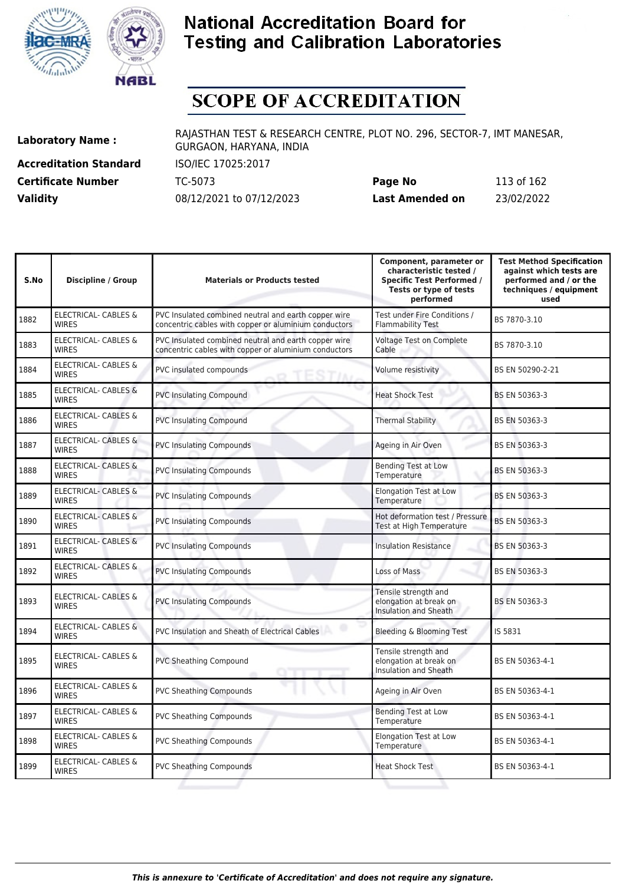



# **SCOPE OF ACCREDITATION**

**Accreditation Standard** ISO/IEC 17025:2017 **Certificate Number** TC-5073

| <b>Certificate Number</b> | TC-5073                  | Page No         | 113 of 162 |
|---------------------------|--------------------------|-----------------|------------|
| <b>Validity</b>           | 08/12/2021 to 07/12/2023 | Last Amended on | 23/02/2022 |

| S.No | <b>Discipline / Group</b>                       | <b>Materials or Products tested</b>                                                                           | Component, parameter or<br>characteristic tested /<br><b>Specific Test Performed /</b><br>Tests or type of tests<br>performed | <b>Test Method Specification</b><br>against which tests are<br>performed and / or the<br>techniques / equipment<br>used |
|------|-------------------------------------------------|---------------------------------------------------------------------------------------------------------------|-------------------------------------------------------------------------------------------------------------------------------|-------------------------------------------------------------------------------------------------------------------------|
| 1882 | ELECTRICAL- CABLES &<br><b>WIRES</b>            | PVC Insulated combined neutral and earth copper wire<br>concentric cables with copper or aluminium conductors | Test under Fire Conditions /<br><b>Flammability Test</b>                                                                      | BS 7870-3.10                                                                                                            |
| 1883 | <b>ELECTRICAL- CABLES &amp;</b><br><b>WIRES</b> | PVC Insulated combined neutral and earth copper wire<br>concentric cables with copper or aluminium conductors | <b>Voltage Test on Complete</b><br>Cable                                                                                      | BS 7870-3.10                                                                                                            |
| 1884 | ELECTRICAL- CABLES &<br><b>WIRES</b>            | PVC insulated compounds<br>TESTIN                                                                             | Volume resistivity                                                                                                            | BS EN 50290-2-21                                                                                                        |
| 1885 | <b>ELECTRICAL- CABLES &amp;</b><br><b>WIRES</b> | <b>PVC Insulating Compound</b>                                                                                | <b>Heat Shock Test</b>                                                                                                        | BS EN 50363-3                                                                                                           |
| 1886 | <b>ELECTRICAL- CABLES &amp;</b><br><b>WIRES</b> | <b>PVC Insulating Compound</b>                                                                                | <b>Thermal Stability</b>                                                                                                      | BS EN 50363-3                                                                                                           |
| 1887 | <b>ELECTRICAL- CABLES &amp;</b><br><b>WIRES</b> | <b>PVC Insulating Compounds</b>                                                                               | Ageing in Air Oven                                                                                                            | BS EN 50363-3                                                                                                           |
| 1888 | <b>ELECTRICAL- CABLES &amp;</b><br><b>WIRES</b> | <b>PVC Insulating Compounds</b>                                                                               | <b>Bending Test at Low</b><br>Temperature                                                                                     | BS EN 50363-3                                                                                                           |
| 1889 | <b>ELECTRICAL- CABLES &amp;</b><br><b>WIRES</b> | <b>PVC Insulating Compounds</b>                                                                               | <b>Elongation Test at Low</b><br>Temperature                                                                                  | BS EN 50363-3                                                                                                           |
| 1890 | <b>ELECTRICAL- CABLES &amp;</b><br><b>WIRES</b> | <b>PVC Insulating Compounds</b>                                                                               | Hot deformation test / Pressure<br>Test at High Temperature                                                                   | BS EN 50363-3                                                                                                           |
| 1891 | <b>ELECTRICAL- CABLES &amp;</b><br><b>WIRES</b> | <b>PVC Insulating Compounds</b>                                                                               | <b>Insulation Resistance</b>                                                                                                  | BS EN 50363-3                                                                                                           |
| 1892 | ELECTRICAL- CABLES &<br><b>WIRES</b>            | <b>PVC Insulating Compounds</b>                                                                               | <b>Loss of Mass</b>                                                                                                           | BS EN 50363-3                                                                                                           |
| 1893 | <b>ELECTRICAL- CABLES &amp;</b><br><b>WIRES</b> | <b>PVC Insulating Compounds</b>                                                                               | Tensile strength and<br>elongation at break on<br><b>Insulation and Sheath</b>                                                | BS EN 50363-3                                                                                                           |
| 1894 | ELECTRICAL- CABLES &<br><b>WIRES</b>            | PVC Insulation and Sheath of Electrical Cables                                                                | Bleeding & Blooming Test                                                                                                      | IS 5831                                                                                                                 |
| 1895 | ELECTRICAL- CABLES &<br><b>WIRES</b>            | <b>PVC Sheathing Compound</b>                                                                                 | Tensile strength and<br>elongation at break on<br><b>Insulation and Sheath</b>                                                | BS EN 50363-4-1                                                                                                         |
| 1896 | ELECTRICAL- CABLES &<br><b>WIRES</b>            | <b>PVC Sheathing Compounds</b>                                                                                | Ageing in Air Oven                                                                                                            | BS EN 50363-4-1                                                                                                         |
| 1897 | ELECTRICAL- CABLES &<br><b>WIRES</b>            | <b>PVC Sheathing Compounds</b>                                                                                | <b>Bending Test at Low</b><br>Temperature                                                                                     | BS EN 50363-4-1                                                                                                         |
| 1898 | <b>ELECTRICAL- CABLES &amp;</b><br><b>WIRES</b> | <b>PVC Sheathing Compounds</b>                                                                                | <b>Elongation Test at Low</b><br>Temperature                                                                                  | BS EN 50363-4-1                                                                                                         |
| 1899 | <b>ELECTRICAL- CABLES &amp;</b><br><b>WIRES</b> | <b>PVC Sheathing Compounds</b>                                                                                | <b>Heat Shock Test</b>                                                                                                        | BS EN 50363-4-1                                                                                                         |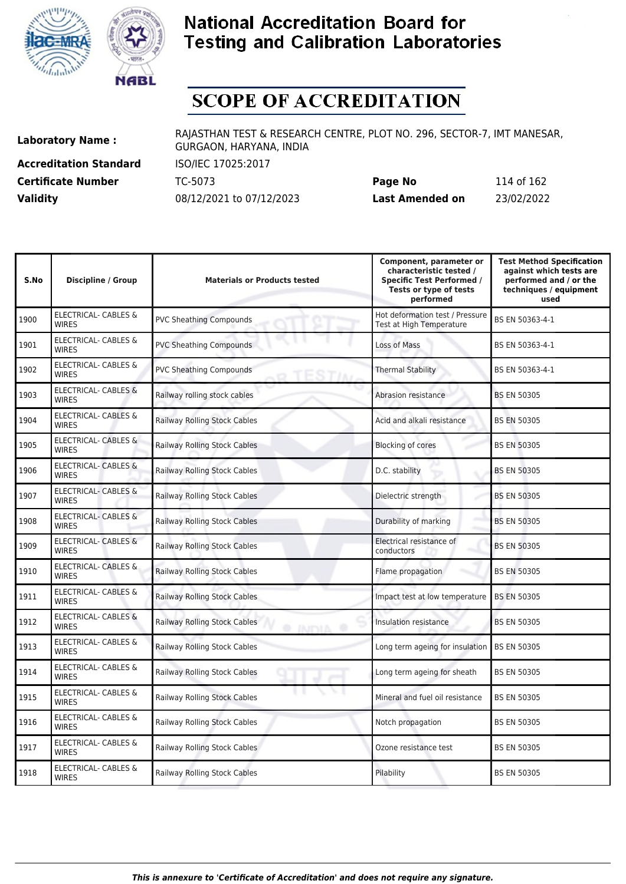



## **SCOPE OF ACCREDITATION**

**Accreditation Standard** ISO/IEC 17025:2017

**Laboratory Name :** RAJASTHAN TEST & RESEARCH CENTRE, PLOT NO. 296, SECTOR-7, IMT MANESAR, GURGAON, HARYANA, INDIA

**Certificate Number** TC-5073 **Page No** 114 of 162 **Validity** 08/12/2021 to 07/12/2023 **Last Amended on** 23/02/2022

| S.No | <b>Discipline / Group</b>                       | <b>Materials or Products tested</b>                | Component, parameter or<br>characteristic tested /<br><b>Specific Test Performed /</b><br>Tests or type of tests<br>performed | <b>Test Method Specification</b><br>against which tests are<br>performed and / or the<br>techniques / equipment<br>used |
|------|-------------------------------------------------|----------------------------------------------------|-------------------------------------------------------------------------------------------------------------------------------|-------------------------------------------------------------------------------------------------------------------------|
| 1900 | <b>ELECTRICAL- CABLES &amp;</b><br><b>WIRES</b> | <b>PVC Sheathing Compounds</b>                     | Hot deformation test / Pressure<br>Test at High Temperature                                                                   | BS EN 50363-4-1                                                                                                         |
| 1901 | ELECTRICAL- CABLES &<br><b>WIRES</b>            | <b>PVC Sheathing Compounds</b>                     | Loss of Mass                                                                                                                  | BS EN 50363-4-1                                                                                                         |
| 1902 | <b>ELECTRICAL- CABLES &amp;</b><br><b>WIRES</b> | <b>PVC Sheathing Compounds</b><br>TEST             | <b>Thermal Stability</b>                                                                                                      | BS EN 50363-4-1                                                                                                         |
| 1903 | <b>ELECTRICAL- CABLES &amp;</b><br><b>WIRES</b> | Railway rolling stock cables                       | Abrasion resistance                                                                                                           | <b>BS EN 50305</b>                                                                                                      |
| 1904 | <b>ELECTRICAL- CABLES &amp;</b><br><b>WIRES</b> | <b>Railway Rolling Stock Cables</b>                | Acid and alkali resistance                                                                                                    | <b>BS EN 50305</b>                                                                                                      |
| 1905 | ELECTRICAL- CABLES &<br><b>WIRES</b>            | Railway Rolling Stock Cables                       | <b>Blocking of cores</b>                                                                                                      | <b>BS EN 50305</b>                                                                                                      |
| 1906 | <b>ELECTRICAL- CABLES &amp;</b><br><b>WIRES</b> | <b>Railway Rolling Stock Cables</b>                | D.C. stability                                                                                                                | <b>BS EN 50305</b>                                                                                                      |
| 1907 | ELECTRICAL- CABLES &<br><b>WIRES</b>            | Railway Rolling Stock Cables                       | Dielectric strength                                                                                                           | <b>BS EN 50305</b>                                                                                                      |
| 1908 | <b>ELECTRICAL- CABLES &amp;</b><br><b>WIRES</b> | <b>Railway Rolling Stock Cables</b>                | Durability of marking                                                                                                         | <b>BS EN 50305</b>                                                                                                      |
| 1909 | <b>ELECTRICAL- CABLES &amp;</b><br><b>WIRES</b> | Railway Rolling Stock Cables                       | Electrical resistance of<br>conductors                                                                                        | <b>BS EN 50305</b>                                                                                                      |
| 1910 | <b>ELECTRICAL- CABLES &amp;</b><br><b>WIRES</b> | Railway Rolling Stock Cables                       | Flame propagation                                                                                                             | <b>BS EN 50305</b>                                                                                                      |
| 1911 | <b>ELECTRICAL- CABLES &amp;</b><br><b>WIRES</b> | <b>Railway Rolling Stock Cables</b>                | Impact test at low temperature                                                                                                | <b>BS EN 50305</b>                                                                                                      |
| 1912 | <b>ELECTRICAL- CABLES &amp;</b><br><b>WIRES</b> | <b>Railway Rolling Stock Cables</b><br>@ INITYIA @ | Insulation resistance                                                                                                         | <b>BS EN 50305</b>                                                                                                      |
| 1913 | <b>ELECTRICAL- CABLES &amp;</b><br><b>WIRES</b> | <b>Railway Rolling Stock Cables</b>                | Long term ageing for insulation                                                                                               | <b>BS EN 50305</b>                                                                                                      |
| 1914 | <b>ELECTRICAL- CABLES &amp;</b><br><b>WIRES</b> | Railway Rolling Stock Cables                       | Long term ageing for sheath                                                                                                   | <b>BS EN 50305</b>                                                                                                      |
| 1915 | ELECTRICAL- CABLES &<br><b>WIRES</b>            | <b>Railway Rolling Stock Cables</b>                | Mineral and fuel oil resistance                                                                                               | <b>BS EN 50305</b>                                                                                                      |
| 1916 | ELECTRICAL- CABLES &<br><b>WIRES</b>            | <b>Railway Rolling Stock Cables</b>                | Notch propagation                                                                                                             | <b>BS EN 50305</b>                                                                                                      |
| 1917 | ELECTRICAL- CABLES &<br><b>WIRES</b>            | <b>Railway Rolling Stock Cables</b>                | Ozone resistance test                                                                                                         | <b>BS EN 50305</b>                                                                                                      |
| 1918 | ELECTRICAL- CABLES &<br><b>WIRES</b>            | Railway Rolling Stock Cables                       | Pilability                                                                                                                    | <b>BS EN 50305</b>                                                                                                      |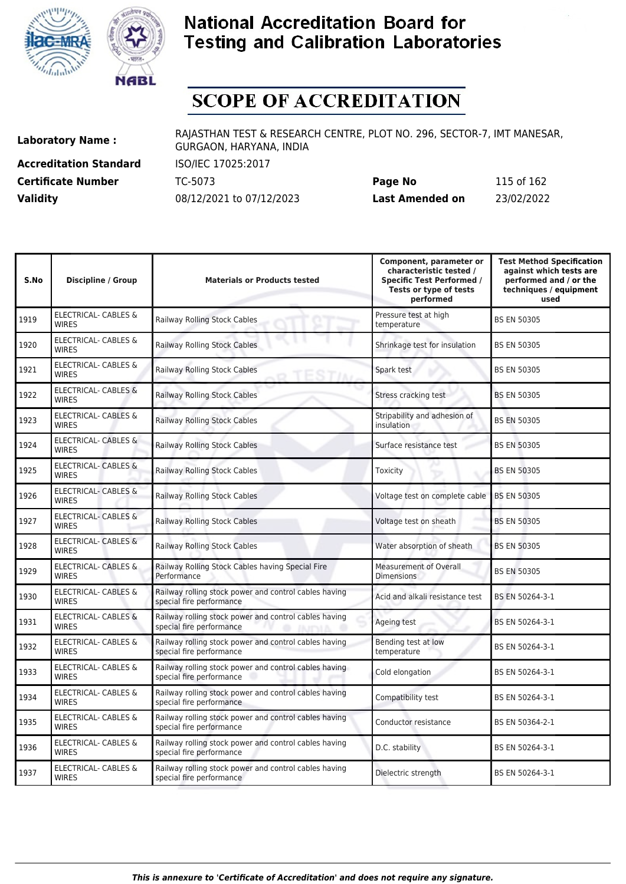



# **SCOPE OF ACCREDITATION**

**Accreditation Standard** ISO/IEC 17025:2017

**Laboratory Name :** RAJASTHAN TEST & RESEARCH CENTRE, PLOT NO. 296, SECTOR-7, IMT MANESAR, GURGAON, HARYANA, INDIA

**Certificate Number** TC-5073 **Page No** 115 of 162 **Validity** 08/12/2021 to 07/12/2023 **Last Amended on** 23/02/2022

| S.No | <b>Discipline / Group</b>                       | <b>Materials or Products tested</b>                                               | Component, parameter or<br>characteristic tested /<br><b>Specific Test Performed /</b><br>Tests or type of tests<br>performed | <b>Test Method Specification</b><br>against which tests are<br>performed and / or the<br>techniques / equipment<br>used |
|------|-------------------------------------------------|-----------------------------------------------------------------------------------|-------------------------------------------------------------------------------------------------------------------------------|-------------------------------------------------------------------------------------------------------------------------|
| 1919 | <b>ELECTRICAL- CABLES &amp;</b><br><b>WIRES</b> | Railway Rolling Stock Cables                                                      | Pressure test at high<br>temperature                                                                                          | <b>BS EN 50305</b>                                                                                                      |
| 1920 | <b>ELECTRICAL- CABLES &amp;</b><br><b>WIRES</b> | <b>Railway Rolling Stock Cables</b>                                               | Shrinkage test for insulation                                                                                                 | <b>BS EN 50305</b>                                                                                                      |
| 1921 | ELECTRICAL- CABLES &<br><b>WIRES</b>            | <b>Railway Rolling Stock Cables</b><br><b>ESTIA</b>                               | Spark test                                                                                                                    | <b>BS EN 50305</b>                                                                                                      |
| 1922 | <b>ELECTRICAL- CABLES &amp;</b><br><b>WIRES</b> | Railway Rolling Stock Cables                                                      | Stress cracking test                                                                                                          | <b>BS EN 50305</b>                                                                                                      |
| 1923 | <b>ELECTRICAL- CABLES &amp;</b><br><b>WIRES</b> | Railway Rolling Stock Cables                                                      | Stripability and adhesion of<br>insulation                                                                                    | <b>BS EN 50305</b>                                                                                                      |
| 1924 | <b>ELECTRICAL- CABLES &amp;</b><br><b>WIRES</b> | Railway Rolling Stock Cables                                                      | Surface resistance test                                                                                                       | <b>BS EN 50305</b>                                                                                                      |
| 1925 | <b>ELECTRICAL- CABLES &amp;</b><br><b>WIRES</b> | Railway Rolling Stock Cables                                                      | Toxicity                                                                                                                      | <b>BS EN 50305</b>                                                                                                      |
| 1926 | <b>ELECTRICAL- CABLES &amp;</b><br><b>WIRES</b> | Railway Rolling Stock Cables                                                      | Voltage test on complete cable                                                                                                | <b>BS EN 50305</b>                                                                                                      |
| 1927 | <b>ELECTRICAL- CABLES &amp;</b><br><b>WIRES</b> | Railway Rolling Stock Cables                                                      | Voltage test on sheath                                                                                                        | <b>BS EN 50305</b>                                                                                                      |
| 1928 | <b>ELECTRICAL- CABLES &amp;</b><br><b>WIRES</b> | Railway Rolling Stock Cables                                                      | Water absorption of sheath                                                                                                    | <b>BS EN 50305</b>                                                                                                      |
| 1929 | <b>ELECTRICAL- CABLES &amp;</b><br><b>WIRES</b> | Railway Rolling Stock Cables having Special Fire<br>Performance                   | Measurement of Overall<br><b>Dimensions</b>                                                                                   | <b>BS EN 50305</b>                                                                                                      |
| 1930 | <b>ELECTRICAL- CABLES &amp;</b><br><b>WIRES</b> | Railway rolling stock power and control cables having<br>special fire performance | Acid and alkali resistance test                                                                                               | BS EN 50264-3-1                                                                                                         |
| 1931 | <b>ELECTRICAL- CABLES &amp;</b><br><b>WIRES</b> | Railway rolling stock power and control cables having<br>special fire performance | Ageing test                                                                                                                   | BS EN 50264-3-1                                                                                                         |
| 1932 | ELECTRICAL- CABLES &<br><b>WIRES</b>            | Railway rolling stock power and control cables having<br>special fire performance | Bending test at low<br>temperature                                                                                            | BS EN 50264-3-1                                                                                                         |
| 1933 | <b>ELECTRICAL- CABLES &amp;</b><br><b>WIRES</b> | Railway rolling stock power and control cables having<br>special fire performance | Cold elongation                                                                                                               | BS EN 50264-3-1                                                                                                         |
| 1934 | ELECTRICAL- CABLES &<br><b>WIRES</b>            | Railway rolling stock power and control cables having<br>special fire performance | Compatibility test                                                                                                            | BS EN 50264-3-1                                                                                                         |
| 1935 | ELECTRICAL- CABLES &<br><b>WIRES</b>            | Railway rolling stock power and control cables having<br>special fire performance | Conductor resistance                                                                                                          | BS EN 50364-2-1                                                                                                         |
| 1936 | ELECTRICAL- CABLES &<br><b>WIRES</b>            | Railway rolling stock power and control cables having<br>special fire performance | D.C. stability                                                                                                                | BS EN 50264-3-1                                                                                                         |
| 1937 | <b>ELECTRICAL- CABLES &amp;</b><br><b>WIRES</b> | Railway rolling stock power and control cables having<br>special fire performance | Dielectric strength                                                                                                           | BS EN 50264-3-1                                                                                                         |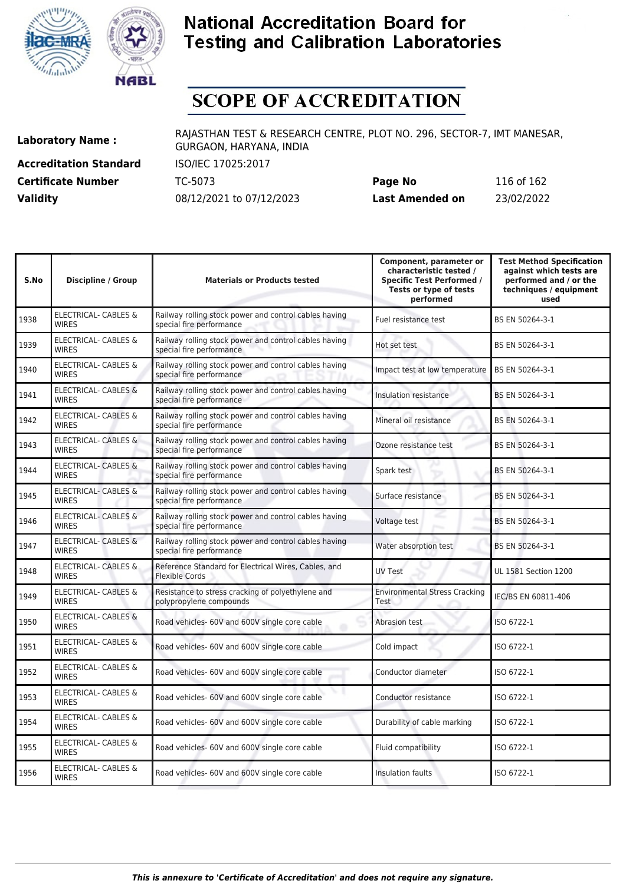



# **SCOPE OF ACCREDITATION**

**Accreditation Standard** ISO/IEC 17025:2017 **Certificate Number** TC-5073

| <b>Certificate Number</b> | TC-5073                  | Page No         | 116 of 162 |
|---------------------------|--------------------------|-----------------|------------|
| <b>Validity</b>           | 08/12/2021 to 07/12/2023 | Last Amended on | 23/02/2022 |

| S.No | <b>Discipline / Group</b>                       | <b>Materials or Products tested</b>                                               | Component, parameter or<br>characteristic tested /<br><b>Specific Test Performed /</b><br>Tests or type of tests<br>performed | <b>Test Method Specification</b><br>against which tests are<br>performed and / or the<br>techniques / equipment<br>used |
|------|-------------------------------------------------|-----------------------------------------------------------------------------------|-------------------------------------------------------------------------------------------------------------------------------|-------------------------------------------------------------------------------------------------------------------------|
| 1938 | <b>ELECTRICAL- CABLES &amp;</b><br><b>WIRES</b> | Railway rolling stock power and control cables having<br>special fire performance | Fuel resistance test                                                                                                          | BS EN 50264-3-1                                                                                                         |
| 1939 | ELECTRICAL- CABLES &<br><b>WIRES</b>            | Railway rolling stock power and control cables having<br>special fire performance | Hot set test                                                                                                                  | BS EN 50264-3-1                                                                                                         |
| 1940 | ELECTRICAL- CABLES &<br><b>WIRES</b>            | Railway rolling stock power and control cables having<br>special fire performance | Impact test at low temperature                                                                                                | BS EN 50264-3-1                                                                                                         |
| 1941 | <b>ELECTRICAL- CABLES &amp;</b><br><b>WIRES</b> | Railway rolling stock power and control cables having<br>special fire performance | Insulation resistance                                                                                                         | BS EN 50264-3-1                                                                                                         |
| 1942 | <b>ELECTRICAL- CABLES &amp;</b><br><b>WIRES</b> | Railway rolling stock power and control cables having<br>special fire performance | Mineral oil resistance                                                                                                        | BS EN 50264-3-1                                                                                                         |
| 1943 | <b>ELECTRICAL- CABLES &amp;</b><br><b>WIRES</b> | Railway rolling stock power and control cables having<br>special fire performance | Ozone resistance test                                                                                                         | BS EN 50264-3-1                                                                                                         |
| 1944 | <b>ELECTRICAL- CABLES &amp;</b><br><b>WIRES</b> | Railway rolling stock power and control cables having<br>special fire performance | Spark test                                                                                                                    | BS EN 50264-3-1                                                                                                         |
| 1945 | ELECTRICAL- CABLES &<br><b>WIRES</b>            | Railway rolling stock power and control cables having<br>special fire performance | Surface resistance                                                                                                            | BS EN 50264-3-1                                                                                                         |
| 1946 | ELECTRICAL- CABLES &<br><b>WIRES</b>            | Railway rolling stock power and control cables having<br>special fire performance | Voltage test                                                                                                                  | BS EN 50264-3-1                                                                                                         |
| 1947 | ELECTRICAL- CABLES &<br><b>WIRES</b>            | Railway rolling stock power and control cables having<br>special fire performance | Water absorption test                                                                                                         | BS EN 50264-3-1                                                                                                         |
| 1948 | <b>ELECTRICAL- CABLES &amp;</b><br><b>WIRES</b> | Reference Standard for Electrical Wires, Cables, and<br><b>Flexible Cords</b>     | <b>UV Test</b>                                                                                                                | UL 1581 Section 1200                                                                                                    |
| 1949 | ELECTRICAL- CABLES &<br><b>WIRES</b>            | Resistance to stress cracking of polyethylene and<br>polypropylene compounds      | <b>Environmental Stress Cracking</b><br><b>Test</b>                                                                           | IEC/BS EN 60811-406                                                                                                     |
| 1950 | ELECTRICAL- CABLES &<br><b>WIRES</b>            | Road vehicles- 60V and 600V single core cable                                     | Abrasion test                                                                                                                 | ISO 6722-1                                                                                                              |
| 1951 | ELECTRICAL- CABLES &<br><b>WIRES</b>            | Road vehicles- 60V and 600V single core cable                                     | Cold impact                                                                                                                   | ISO 6722-1                                                                                                              |
| 1952 | ELECTRICAL- CABLES &<br><b>WIRES</b>            | Road vehicles- 60V and 600V single core cable                                     | Conductor diameter                                                                                                            | ISO 6722-1                                                                                                              |
| 1953 | ELECTRICAL- CABLES &<br><b>WIRFS</b>            | Road vehicles- 60V and 600V single core cable                                     | Conductor resistance                                                                                                          | ISO 6722-1                                                                                                              |
| 1954 | ELECTRICAL- CABLES &<br><b>WIRES</b>            | Road vehicles- 60V and 600V single core cable                                     | Durability of cable marking                                                                                                   | ISO 6722-1                                                                                                              |
| 1955 | <b>ELECTRICAL- CABLES &amp;</b><br><b>WIRES</b> | Road vehicles- 60V and 600V single core cable                                     | Fluid compatibility                                                                                                           | ISO 6722-1                                                                                                              |
| 1956 | <b>ELECTRICAL- CABLES &amp;</b><br><b>WIRES</b> | Road vehicles- 60V and 600V single core cable                                     | Insulation faults                                                                                                             | ISO 6722-1                                                                                                              |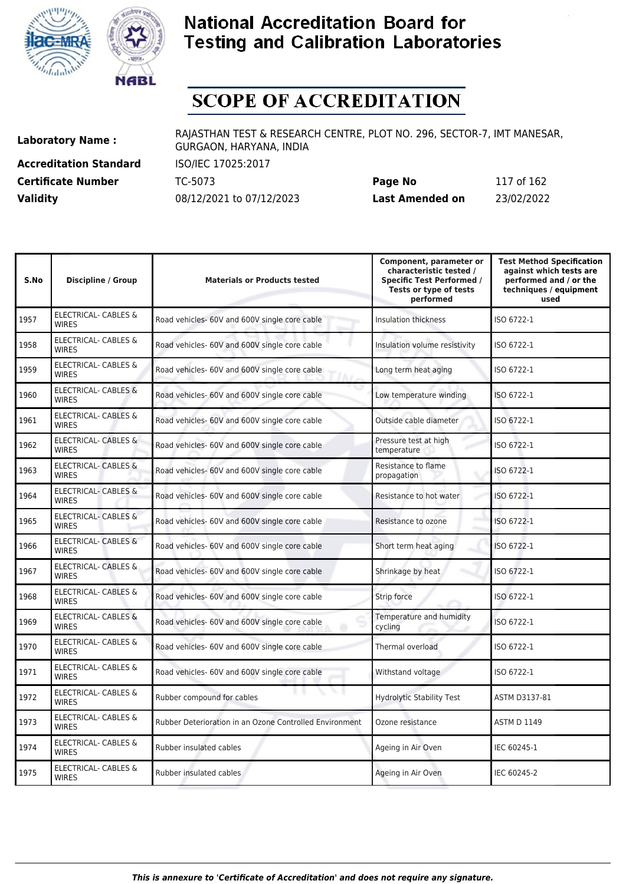



# **SCOPE OF ACCREDITATION**

**Accreditation Standard** ISO/IEC 17025:2017 **Certificate Number** TC-5073 **Validity** 08/12/2021 to 07/12/2023

| Page No         | 117 of 162 |
|-----------------|------------|
| Last Amended on | 23/02/2022 |

| S.No | <b>Discipline / Group</b>                       | <b>Materials or Products tested</b>                     | Component, parameter or<br>characteristic tested /<br><b>Specific Test Performed /</b><br>Tests or type of tests<br>performed | <b>Test Method Specification</b><br>against which tests are<br>performed and / or the<br>techniques / equipment<br>used |
|------|-------------------------------------------------|---------------------------------------------------------|-------------------------------------------------------------------------------------------------------------------------------|-------------------------------------------------------------------------------------------------------------------------|
| 1957 | <b>ELECTRICAL- CABLES &amp;</b><br><b>WIRES</b> | Road vehicles- 60V and 600V single core cable           | Insulation thickness                                                                                                          | ISO 6722-1                                                                                                              |
| 1958 | ELECTRICAL- CABLES &<br><b>WIRES</b>            | Road vehicles- 60V and 600V single core cable           | Insulation volume resistivity                                                                                                 | ISO 6722-1                                                                                                              |
| 1959 | ELECTRICAL- CABLES &<br><b>WIRES</b>            | Road vehicles- 60V and 600V single core cable           | Long term heat aging                                                                                                          | ISO 6722-1                                                                                                              |
| 1960 | <b>ELECTRICAL- CABLES &amp;</b><br><b>WIRFS</b> | Road vehicles- 60V and 600V single core cable           | Low temperature winding                                                                                                       | ISO 6722-1                                                                                                              |
| 1961 | ELECTRICAL- CABLES &<br><b>WIRES</b>            | Road vehicles- 60V and 600V single core cable           | Outside cable diameter                                                                                                        | ISO 6722-1                                                                                                              |
| 1962 | <b>ELECTRICAL- CABLES &amp;</b><br><b>WIRES</b> | Road vehicles- 60V and 600V single core cable           | Pressure test at high<br>temperature                                                                                          | ISO 6722-1                                                                                                              |
| 1963 | <b>ELECTRICAL- CABLES &amp;</b><br><b>WIRES</b> | Road vehicles- 60V and 600V single core cable           | Resistance to flame<br>propagation                                                                                            | ISO 6722-1                                                                                                              |
| 1964 | <b>ELECTRICAL- CABLES &amp;</b><br><b>WIRFS</b> | Road vehicles- 60V and 600V single core cable           | Resistance to hot water                                                                                                       | ISO 6722-1                                                                                                              |
| 1965 | <b>ELECTRICAL- CABLES &amp;</b><br><b>WIRES</b> | Road vehicles- 60V and 600V single core cable           | Resistance to ozone                                                                                                           | ISO 6722-1                                                                                                              |
| 1966 | <b>ELECTRICAL- CABLES &amp;</b><br><b>WIRES</b> | Road vehicles- 60V and 600V single core cable           | Short term heat aging                                                                                                         | ISO 6722-1                                                                                                              |
| 1967 | <b>ELECTRICAL- CABLES &amp;</b><br><b>WIRES</b> | Road vehicles- 60V and 600V single core cable           | Shrinkage by heat                                                                                                             | ISO 6722-1                                                                                                              |
| 1968 | ELECTRICAL- CABLES &<br><b>WIRES</b>            | Road vehicles- 60V and 600V single core cable           | Strip force                                                                                                                   | ISO 6722-1                                                                                                              |
| 1969 | ELECTRICAL- CABLES &<br><b>WIRES</b>            | Road vehicles- 60V and 600V single core cable           | Temperature and humidity<br>cycling                                                                                           | ISO 6722-1                                                                                                              |
| 1970 | ELECTRICAL- CABLES &<br><b>WIRES</b>            | Road vehicles- 60V and 600V single core cable           | Thermal overload                                                                                                              | ISO 6722-1                                                                                                              |
| 1971 | ELECTRICAL- CABLES &<br><b>WIRES</b>            | Road vehicles- 60V and 600V single core cable           | Withstand voltage                                                                                                             | ISO 6722-1                                                                                                              |
| 1972 | ELECTRICAL- CABLES &<br><b>WIRES</b>            | Rubber compound for cables                              | <b>Hydrolytic Stability Test</b>                                                                                              | ASTM D3137-81                                                                                                           |
| 1973 | ELECTRICAL- CABLES &<br><b>WIRES</b>            | Rubber Deterioration in an Ozone Controlled Environment | Ozone resistance                                                                                                              | <b>ASTM D 1149</b>                                                                                                      |
| 1974 | <b>ELECTRICAL- CABLES &amp;</b><br><b>WIRES</b> | Rubber insulated cables                                 | Ageing in Air Oven                                                                                                            | IEC 60245-1                                                                                                             |
| 1975 | <b>ELECTRICAL- CABLES &amp;</b><br><b>WIRES</b> | Rubber insulated cables                                 | Ageing in Air Oven                                                                                                            | IEC 60245-2                                                                                                             |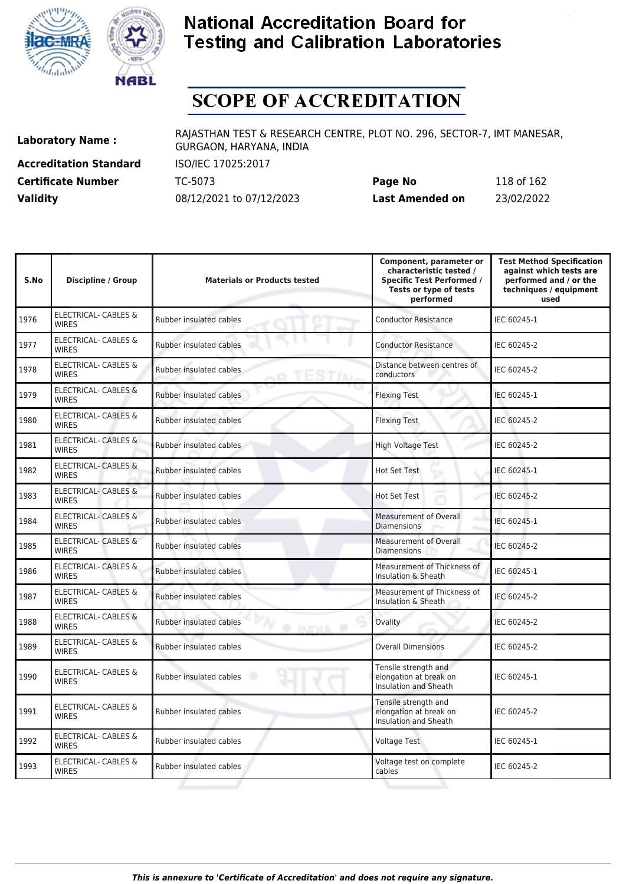



# **SCOPE OF ACCREDITATION**

**Accreditation Standard** ISO/IEC 17025:2017 **Certificate Number Page 118 TC-5073** 

| <b>Certificate Number</b> | TC-5073                  | Page No         | 118 of 162 |
|---------------------------|--------------------------|-----------------|------------|
| <b>Validity</b>           | 08/12/2021 to 07/12/2023 | Last Amended on | 23/02/2022 |

| S.No | <b>Discipline / Group</b>                       | <b>Materials or Products tested</b>        | Component, parameter or<br>characteristic tested /<br><b>Specific Test Performed /</b><br>Tests or type of tests<br>performed | <b>Test Method Specification</b><br>against which tests are<br>performed and / or the<br>techniques / equipment<br>used |
|------|-------------------------------------------------|--------------------------------------------|-------------------------------------------------------------------------------------------------------------------------------|-------------------------------------------------------------------------------------------------------------------------|
| 1976 | ELECTRICAL- CABLES &<br><b>WIRES</b>            | Rubber insulated cables                    | <b>Conductor Resistance</b>                                                                                                   | IEC 60245-1                                                                                                             |
| 1977 | <b>ELECTRICAL- CABLES &amp;</b><br><b>WIRES</b> | Rubber insulated cables                    | <b>Conductor Resistance</b>                                                                                                   | IEC 60245-2                                                                                                             |
| 1978 | ELECTRICAL- CABLES &<br><b>WIRES</b>            | Rubber insulated cables                    | Distance between centres of<br>conductors                                                                                     | IEC 60245-2                                                                                                             |
| 1979 | <b>ELECTRICAL- CABLES &amp;</b><br><b>WIRES</b> | Rubber insulated cables                    | <b>Flexing Test</b>                                                                                                           | IEC 60245-1                                                                                                             |
| 1980 | <b>ELECTRICAL- CABLES &amp;</b><br><b>WIRES</b> | Rubber insulated cables                    | <b>Flexing Test</b>                                                                                                           | IEC 60245-2                                                                                                             |
| 1981 | <b>ELECTRICAL- CABLES &amp;</b><br><b>WIRES</b> | Rubber insulated cables                    | <b>High Voltage Test</b>                                                                                                      | IEC 60245-2                                                                                                             |
| 1982 | <b>ELECTRICAL- CABLES &amp;</b><br><b>WIRES</b> | Rubber insulated cables                    | <b>Hot Set Test</b>                                                                                                           | IEC 60245-1                                                                                                             |
| 1983 | <b>ELECTRICAL- CABLES &amp;</b><br><b>WIRES</b> | Rubber insulated cables                    | <b>Hot Set Test</b>                                                                                                           | IEC 60245-2                                                                                                             |
| 1984 | ELECTRICAL- CABLES &<br><b>WIRES</b>            | Rubber insulated cables                    | <b>Measurement of Overall</b><br><b>Diamensions</b>                                                                           | IEC 60245-1                                                                                                             |
| 1985 | <b>ELECTRICAL- CABLES &amp;</b><br><b>WIRES</b> | Rubber insulated cables                    | Measurement of Overall<br><b>Diamensions</b>                                                                                  | IEC 60245-2                                                                                                             |
| 1986 | <b>ELECTRICAL- CABLES &amp;</b><br><b>WIRES</b> | Rubber insulated cables                    | Measurement of Thickness of<br>Insulation & Sheath                                                                            | IEC 60245-1                                                                                                             |
| 1987 | ELECTRICAL- CABLES &<br><b>WIRES</b>            | Rubber insulated cables                    | Measurement of Thickness of<br>Insulation & Sheath                                                                            | IEC 60245-2                                                                                                             |
| 1988 | <b>ELECTRICAL- CABLES &amp;</b><br><b>WIRES</b> | Rubber insulated cables<br><b>O INIDIA</b> | Ovality                                                                                                                       | IEC 60245-2                                                                                                             |
| 1989 | <b>ELECTRICAL- CABLES &amp;</b><br><b>WIRES</b> | Rubber insulated cables                    | <b>Overall Dimensions</b>                                                                                                     | IEC 60245-2                                                                                                             |
| 1990 | ELECTRICAL- CABLES &<br><b>WIRES</b>            | Rubber insulated cables                    | Tensile strength and<br>elongation at break on<br><b>Insulation and Sheath</b>                                                | IEC 60245-1                                                                                                             |
| 1991 | ELECTRICAL- CABLES &<br><b>WIRES</b>            | Rubber insulated cables                    | Tensile strength and<br>elongation at break on<br>Insulation and Sheath                                                       | IEC 60245-2                                                                                                             |
| 1992 | <b>ELECTRICAL- CABLES &amp;</b><br><b>WIRES</b> | Rubber insulated cables                    | <b>Voltage Test</b>                                                                                                           | IEC 60245-1                                                                                                             |
| 1993 | ELECTRICAL- CABLES &<br><b>WIRES</b>            | Rubber insulated cables                    | Voltage test on complete<br>cables                                                                                            | IEC 60245-2                                                                                                             |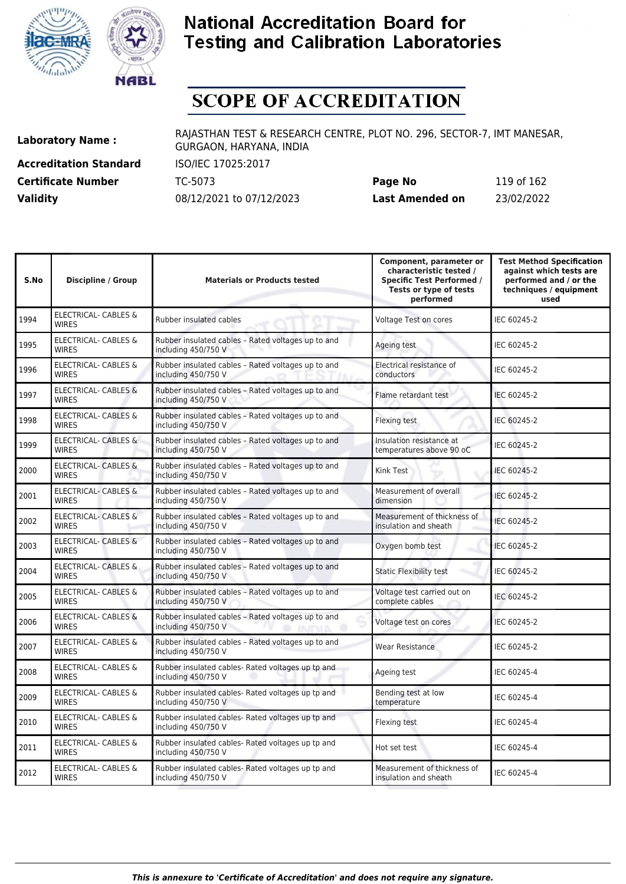



# **SCOPE OF ACCREDITATION**

**Accreditation Standard** ISO/IEC 17025:2017 **Certificate Number** TC-5073 **Validity** 08/12/2021 to 07/12/2023

| Page No         | 119 of 162 |
|-----------------|------------|
| Last Amended on | 23/02/2022 |

| S.No | <b>Discipline / Group</b>                       | <b>Materials or Products tested</b>                                                           | Component, parameter or<br>characteristic tested /<br><b>Specific Test Performed /</b><br>Tests or type of tests<br>performed | <b>Test Method Specification</b><br>against which tests are<br>performed and / or the<br>techniques / equipment<br>used |
|------|-------------------------------------------------|-----------------------------------------------------------------------------------------------|-------------------------------------------------------------------------------------------------------------------------------|-------------------------------------------------------------------------------------------------------------------------|
| 1994 | <b>ELECTRICAL- CABLES &amp;</b><br><b>WIRES</b> | Rubber insulated cables                                                                       | Voltage Test on cores                                                                                                         | IEC 60245-2                                                                                                             |
| 1995 | <b>ELECTRICAL- CABLES &amp;</b><br><b>WIRES</b> | Rubber insulated cables - Rated voltages up to and<br>including 450/750 V                     | Ageing test                                                                                                                   | IEC 60245-2                                                                                                             |
| 1996 | <b>ELECTRICAL- CABLES &amp;</b><br><b>WIRES</b> | Rubber insulated cables - Rated voltages up to and<br>including 450/750 V                     | Electrical resistance of<br>conductors                                                                                        | IEC 60245-2                                                                                                             |
| 1997 | <b>ELECTRICAL- CABLES &amp;</b><br><b>WIRES</b> | Rubber insulated cables - Rated voltages up to and<br>including 450/750 V                     | Flame retardant test                                                                                                          | IEC 60245-2                                                                                                             |
| 1998 | ELECTRICAL- CABLES &<br><b>WIRES</b>            | Rubber insulated cables - Rated voltages up to and<br>including 450/750 V                     | Flexing test                                                                                                                  | IEC 60245-2                                                                                                             |
| 1999 | ELECTRICAL- CABLES &<br><b>WIRES</b>            | Rubber insulated cables - Rated voltages up to and<br>including 450/750 V                     | Insulation resistance at<br>temperatures above 90 oC                                                                          | IEC 60245-2                                                                                                             |
| 2000 | <b>ELECTRICAL- CABLES &amp;</b><br><b>WIRES</b> | Rubber insulated cables - Rated voltages up to and<br>including 450/750 V                     | Kink Test                                                                                                                     | IEC 60245-2                                                                                                             |
| 2001 | <b>ELECTRICAL- CABLES &amp;</b><br><b>WIRES</b> | Rubber insulated cables - Rated voltages up to and<br>including 450/750 V                     | Measurement of overall<br>dimension                                                                                           | IEC 60245-2                                                                                                             |
| 2002 | ELECTRICAL- CABLES &<br><b>WIRES</b>            | Rubber insulated cables - Rated voltages up to and<br>including 450/750 V                     | Measurement of thickness of<br>insulation and sheath                                                                          | IEC 60245-2                                                                                                             |
| 2003 | ELECTRICAL- CABLES &<br><b>WIRES</b>            | Rubber insulated cables - Rated voltages up to and<br>including 450/750 V                     | Oxygen bomb test                                                                                                              | IEC 60245-2                                                                                                             |
| 2004 | ELECTRICAL- CABLES &<br><b>WIRES</b>            | Rubber insulated cables - Rated voltages up to and<br>including 450/750 V                     | <b>Static Flexibility test</b>                                                                                                | IEC 60245-2                                                                                                             |
| 2005 | <b>ELECTRICAL- CABLES &amp;</b><br><b>WIRES</b> | Rubber insulated cables - Rated voltages up to and<br>including 450/750 V                     | Voltage test carried out on<br>complete cables                                                                                | IEC 60245-2                                                                                                             |
| 2006 | <b>ELECTRICAL- CABLES &amp;</b><br><b>WIRES</b> | Rubber insulated cables - Rated voltages up to and<br>including 450/750 V<br><b>@ JIUPALA</b> | Voltage test on cores                                                                                                         | IEC 60245-2                                                                                                             |
| 2007 | ELECTRICAL- CABLES &<br><b>WIRES</b>            | Rubber insulated cables - Rated voltages up to and<br>including 450/750 V                     | <b>Wear Resistance</b>                                                                                                        | IEC 60245-2                                                                                                             |
| 2008 | ELECTRICAL- CABLES &<br><b>WIRES</b>            | Rubber insulated cables- Rated voltages up tp and<br>including 450/750 V                      | Ageing test                                                                                                                   | IEC 60245-4                                                                                                             |
| 2009 | ELECTRICAL- CABLES &<br><b>WIRES</b>            | Rubber insulated cables- Rated voltages up tp and<br>including 450/750 V                      | Bending test at low<br>temperature                                                                                            | IEC 60245-4                                                                                                             |
| 2010 | ELECTRICAL- CABLES &<br><b>WIRES</b>            | Rubber insulated cables- Rated voltages up tp and<br>including 450/750 V                      | Flexing test                                                                                                                  | IEC 60245-4                                                                                                             |
| 2011 | ELECTRICAL- CABLES &<br><b>WIRES</b>            | Rubber insulated cables- Rated voltages up tp and<br>including 450/750 V                      | Hot set test                                                                                                                  | IEC 60245-4                                                                                                             |
| 2012 | ELECTRICAL- CABLES &<br><b>WIRES</b>            | Rubber insulated cables- Rated voltages up tp and<br>including 450/750 V                      | Measurement of thickness of<br>insulation and sheath                                                                          | IEC 60245-4                                                                                                             |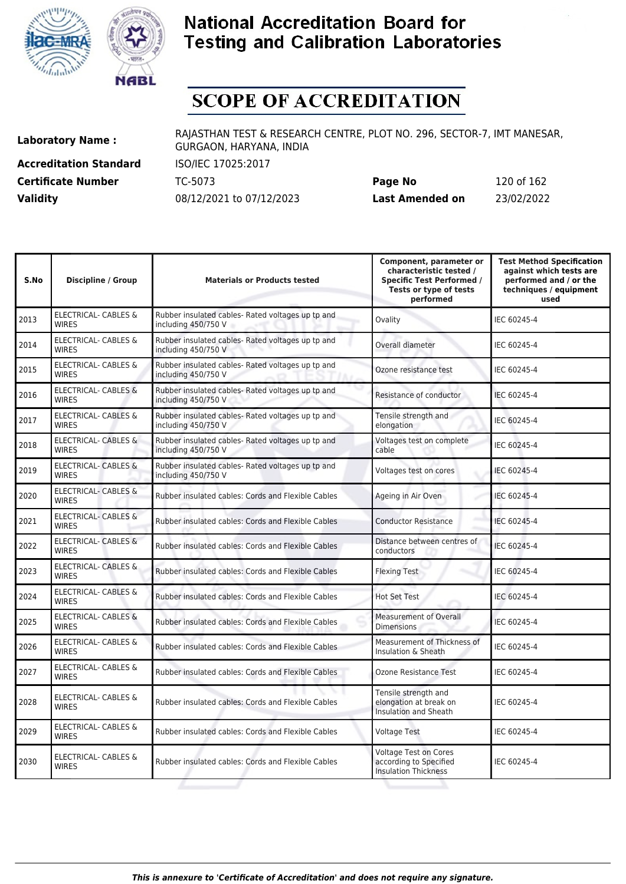



# **SCOPE OF ACCREDITATION**

**Accreditation Standard** ISO/IEC 17025:2017

**Laboratory Name :** RAJASTHAN TEST & RESEARCH CENTRE, PLOT NO. 296, SECTOR-7, IMT MANESAR, GURGAON, HARYANA, INDIA

**Certificate Number** TC-5073 **Page No** 120 of 162 **Validity** 08/12/2021 to 07/12/2023 **Last Amended on** 23/02/2022

| S.No | <b>Discipline / Group</b>                       | <b>Materials or Products tested</b>                                      | Component, parameter or<br>characteristic tested /<br><b>Specific Test Performed /</b><br>Tests or type of tests<br>performed | <b>Test Method Specification</b><br>against which tests are<br>performed and / or the<br>techniques / equipment<br>used |
|------|-------------------------------------------------|--------------------------------------------------------------------------|-------------------------------------------------------------------------------------------------------------------------------|-------------------------------------------------------------------------------------------------------------------------|
| 2013 | <b>ELECTRICAL- CABLES &amp;</b><br><b>WIRES</b> | Rubber insulated cables- Rated voltages up tp and<br>including 450/750 V | Ovality                                                                                                                       | IEC 60245-4                                                                                                             |
| 2014 | ELECTRICAL- CABLES &<br><b>WIRES</b>            | Rubber insulated cables- Rated voltages up tp and<br>including 450/750 V | Overall diameter                                                                                                              | IEC 60245-4                                                                                                             |
| 2015 | <b>ELECTRICAL- CABLES &amp;</b><br><b>WIRES</b> | Rubber insulated cables- Rated voltages up tp and<br>including 450/750 V | Ozone resistance test                                                                                                         | IEC 60245-4                                                                                                             |
| 2016 | <b>ELECTRICAL- CABLES &amp;</b><br><b>WIRES</b> | Rubber insulated cables- Rated voltages up tp and<br>including 450/750 V | Resistance of conductor                                                                                                       | IEC 60245-4                                                                                                             |
| 2017 | <b>ELECTRICAL- CABLES &amp;</b><br><b>WIRES</b> | Rubber insulated cables- Rated voltages up tp and<br>including 450/750 V | Tensile strength and<br>elongation                                                                                            | IEC 60245-4                                                                                                             |
| 2018 | <b>ELECTRICAL- CABLES &amp;</b><br><b>WIRES</b> | Rubber insulated cables- Rated voltages up tp and<br>including 450/750 V | Voltages test on complete<br>cable                                                                                            | IEC 60245-4                                                                                                             |
| 2019 | <b>ELECTRICAL- CABLES &amp;</b><br><b>WIRES</b> | Rubber insulated cables- Rated voltages up tp and<br>including 450/750 V | Voltages test on cores                                                                                                        | IEC 60245-4                                                                                                             |
| 2020 | <b>ELECTRICAL- CABLES &amp;</b><br><b>WIRES</b> | Rubber insulated cables: Cords and Flexible Cables                       | Ageing in Air Oven                                                                                                            | IEC 60245-4                                                                                                             |
| 2021 | ELECTRICAL- CABLES &<br><b>WIRFS</b>            | Rubber insulated cables: Cords and Flexible Cables                       | <b>Conductor Resistance</b>                                                                                                   | IEC 60245-4                                                                                                             |
| 2022 | ELECTRICAL- CABLES &<br><b>WIRES</b>            | Rubber insulated cables: Cords and Flexible Cables                       | Distance between centres of<br>conductors                                                                                     | IEC 60245-4                                                                                                             |
| 2023 | ELECTRICAL- CABLES &<br><b>WIRES</b>            | Rubber insulated cables: Cords and Flexible Cables                       | <b>Flexing Test</b>                                                                                                           | IEC 60245-4                                                                                                             |
| 2024 | <b>ELECTRICAL- CABLES &amp;</b><br><b>WIRES</b> | Rubber insulated cables: Cords and Flexible Cables                       | <b>Hot Set Test</b>                                                                                                           | IEC 60245-4                                                                                                             |
| 2025 | <b>ELECTRICAL- CABLES &amp;</b><br><b>WIRES</b> | Rubber insulated cables: Cords and Flexible Cables                       | <b>Measurement of Overall</b><br><b>Dimensions</b>                                                                            | IEC 60245-4                                                                                                             |
| 2026 | <b>ELECTRICAL- CABLES &amp;</b><br><b>WIRES</b> | Rubber insulated cables: Cords and Flexible Cables                       | Measurement of Thickness of<br>Insulation & Sheath                                                                            | IEC 60245-4                                                                                                             |
| 2027 | ELECTRICAL- CABLES &<br><b>WIRES</b>            | Rubber insulated cables: Cords and Flexible Cables                       | <b>Ozone Resistance Test</b>                                                                                                  | IEC 60245-4                                                                                                             |
| 2028 | <b>ELECTRICAL- CABLES &amp;</b><br><b>WIRES</b> | Rubber insulated cables: Cords and Flexible Cables                       | Tensile strength and<br>elongation at break on<br><b>Insulation and Sheath</b>                                                | IEC 60245-4                                                                                                             |
| 2029 | ELECTRICAL- CABLES &<br><b>WIRES</b>            | Rubber insulated cables: Cords and Flexible Cables                       | <b>Voltage Test</b>                                                                                                           | IEC 60245-4                                                                                                             |
| 2030 | <b>ELECTRICAL- CABLES &amp;</b><br><b>WIRES</b> | Rubber insulated cables: Cords and Flexible Cables                       | <b>Voltage Test on Cores</b><br>according to Specified<br><b>Insulation Thickness</b>                                         | IEC 60245-4                                                                                                             |
|      |                                                 |                                                                          |                                                                                                                               |                                                                                                                         |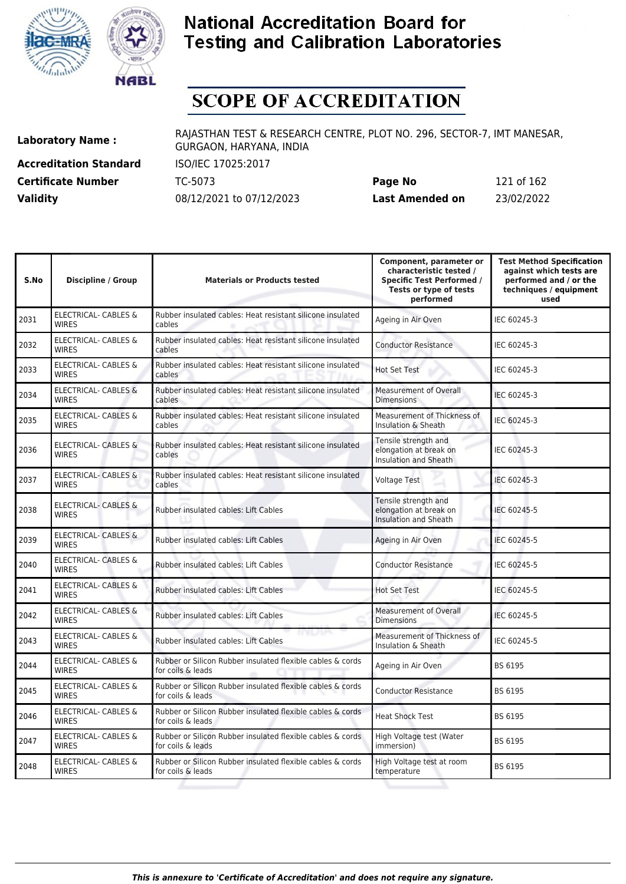



# **SCOPE OF ACCREDITATION**

**Accreditation Standard** ISO/IEC 17025:2017 **Certificate Number** TC-5073 **Validity** 08/12/2021 to 07/12/2023

| Page No         | 121 of 162 |
|-----------------|------------|
| Last Amended on | 23/02/2022 |

| S.No | <b>Discipline / Group</b>                       | <b>Materials or Products tested</b>                                             | Component, parameter or<br>characteristic tested /<br><b>Specific Test Performed /</b><br>Tests or type of tests<br>performed | <b>Test Method Specification</b><br>against which tests are<br>performed and / or the<br>techniques / equipment<br>used |
|------|-------------------------------------------------|---------------------------------------------------------------------------------|-------------------------------------------------------------------------------------------------------------------------------|-------------------------------------------------------------------------------------------------------------------------|
| 2031 | ELECTRICAL- CABLES &<br><b>WIRES</b>            | Rubber insulated cables: Heat resistant silicone insulated<br>cables            | Ageing in Air Oven                                                                                                            | IEC 60245-3                                                                                                             |
| 2032 | <b>ELECTRICAL- CABLES &amp;</b><br><b>WIRES</b> | Rubber insulated cables: Heat resistant silicone insulated<br>cables            | <b>Conductor Resistance</b>                                                                                                   | IEC 60245-3                                                                                                             |
| 2033 | <b>ELECTRICAL- CABLES &amp;</b><br><b>WIRES</b> | Rubber insulated cables: Heat resistant silicone insulated<br>cables            | <b>Hot Set Test</b>                                                                                                           | IEC 60245-3                                                                                                             |
| 2034 | <b>ELECTRICAL- CABLES &amp;</b><br><b>WIRES</b> | Rubber insulated cables: Heat resistant silicone insulated<br>cables            | <b>Measurement of Overall</b><br><b>Dimensions</b>                                                                            | IEC 60245-3                                                                                                             |
| 2035 | ELECTRICAL- CABLES &<br><b>WIRES</b>            | Rubber insulated cables: Heat resistant silicone insulated<br>cables            | Measurement of Thickness of<br>Insulation & Sheath                                                                            | IEC 60245-3                                                                                                             |
| 2036 | <b>ELECTRICAL- CABLES &amp;</b><br><b>WIRES</b> | Rubber insulated cables: Heat resistant silicone insulated<br>cables            | Tensile strength and<br>elongation at break on<br><b>Insulation and Sheath</b>                                                | IEC 60245-3                                                                                                             |
| 2037 | <b>ELECTRICAL- CABLES &amp;</b><br><b>WIRES</b> | Rubber insulated cables: Heat resistant silicone insulated<br>cables            | <b>Voltage Test</b>                                                                                                           | IEC 60245-3                                                                                                             |
| 2038 | <b>ELECTRICAL- CABLES &amp;</b><br><b>WIRES</b> | <b>Rubber insulated cables: Lift Cables</b>                                     | Tensile strength and<br>elongation at break on<br>Insulation and Sheath                                                       | IEC 60245-5                                                                                                             |
| 2039 | ELECTRICAL- CABLES &<br><b>WIRES</b>            | Rubber insulated cables: Lift Cables                                            | Ageing in Air Oven                                                                                                            | IEC 60245-5                                                                                                             |
| 2040 | <b>ELECTRICAL- CABLES &amp;</b><br><b>WIRES</b> | Rubber insulated cables: Lift Cables                                            | <b>Conductor Resistance</b>                                                                                                   | IEC 60245-5                                                                                                             |
| 2041 | <b>ELECTRICAL- CABLES &amp;</b><br><b>WIRES</b> | Rubber insulated cables: Lift Cables                                            | <b>Hot Set Test</b>                                                                                                           | IEC 60245-5                                                                                                             |
| 2042 | <b>ELECTRICAL- CABLES &amp;</b><br><b>WIRES</b> | Rubber insulated cables: Lift Cables                                            | <b>Measurement of Overall</b><br><b>Dimensions</b>                                                                            | IEC 60245-5                                                                                                             |
| 2043 | <b>ELECTRICAL- CABLES &amp;</b><br><b>WIRES</b> | התרכזיתו<br><b>Rubber insulated cables: Lift Cables</b>                         | Measurement of Thickness of<br>Insulation & Sheath                                                                            | IEC 60245-5                                                                                                             |
| 2044 | ELECTRICAL- CABLES &<br><b>WIRES</b>            | Rubber or Silicon Rubber insulated flexible cables & cords<br>for coils & leads | Ageing in Air Oven                                                                                                            | BS 6195                                                                                                                 |
| 2045 | ELECTRICAL- CABLES &<br><b>WIRES</b>            | Rubber or Silicon Rubber insulated flexible cables & cords<br>for coils & leads | <b>Conductor Resistance</b>                                                                                                   | BS 6195                                                                                                                 |
| 2046 | <b>ELECTRICAL- CABLES &amp;</b><br><b>WIRES</b> | Rubber or Silicon Rubber insulated flexible cables & cords<br>for coils & leads | <b>Heat Shock Test</b>                                                                                                        | BS 6195                                                                                                                 |
| 2047 | <b>ELECTRICAL- CABLES &amp;</b><br><b>WIRES</b> | Rubber or Silicon Rubber insulated flexible cables & cords<br>for coils & leads | High Voltage test (Water<br>immersion)                                                                                        | BS 6195                                                                                                                 |
| 2048 | <b>ELECTRICAL- CABLES &amp;</b><br><b>WIRES</b> | Rubber or Silicon Rubber insulated flexible cables & cords<br>for coils & leads | High Voltage test at room<br>temperature                                                                                      | BS 6195                                                                                                                 |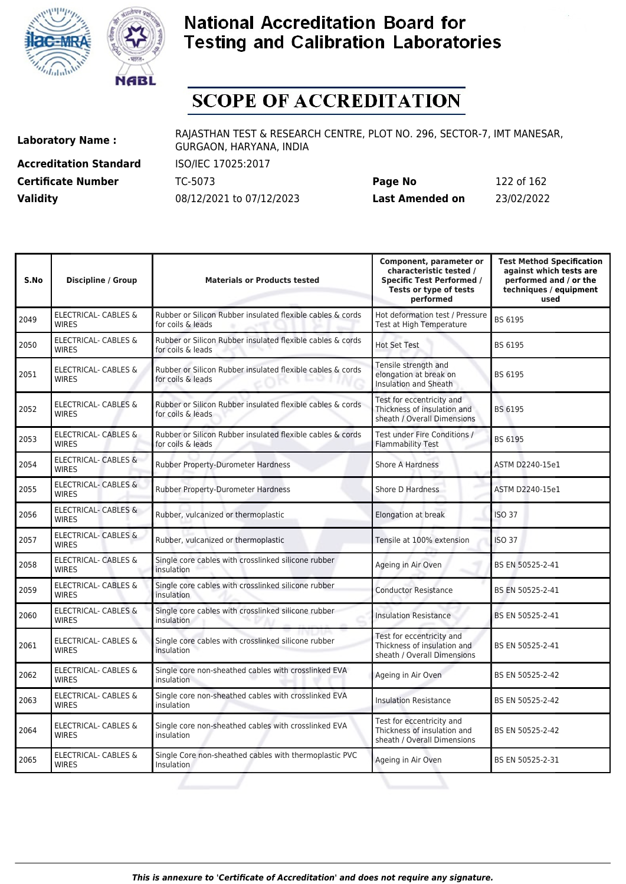



# **SCOPE OF ACCREDITATION**

**Accreditation Standard** ISO/IEC 17025:2017 **Certificate Number** TC-5073 **Validity** 08/12/2021 to 07/12/2023

| Page No         | 122 of 162 |
|-----------------|------------|
| Last Amended on | 23/02/2022 |

| S.No | <b>Discipline / Group</b>                       | <b>Materials or Products tested</b>                                             | Component, parameter or<br>characteristic tested /<br><b>Specific Test Performed /</b><br>Tests or type of tests<br>performed | <b>Test Method Specification</b><br>against which tests are<br>performed and / or the<br>techniques / equipment<br>used |
|------|-------------------------------------------------|---------------------------------------------------------------------------------|-------------------------------------------------------------------------------------------------------------------------------|-------------------------------------------------------------------------------------------------------------------------|
| 2049 | ELECTRICAL- CABLES &<br><b>WIRES</b>            | Rubber or Silicon Rubber insulated flexible cables & cords<br>for coils & leads | Hot deformation test / Pressure<br>Test at High Temperature                                                                   | BS 6195                                                                                                                 |
| 2050 | <b>ELECTRICAL- CABLES &amp;</b><br><b>WIRES</b> | Rubber or Silicon Rubber insulated flexible cables & cords<br>for coils & leads | <b>Hot Set Test</b>                                                                                                           | BS 6195                                                                                                                 |
| 2051 | ELECTRICAL- CABLES &<br><b>WIRES</b>            | Rubber or Silicon Rubber insulated flexible cables & cords<br>for coils & leads | Tensile strength and<br>elongation at break on<br><b>Insulation and Sheath</b>                                                | BS 6195                                                                                                                 |
| 2052 | <b>ELECTRICAL- CABLES &amp;</b><br><b>WIRES</b> | Rubber or Silicon Rubber insulated flexible cables & cords<br>for coils & leads | Test for eccentricity and<br>Thickness of insulation and<br>sheath / Overall Dimensions                                       | BS 6195                                                                                                                 |
| 2053 | <b>ELECTRICAL- CABLES &amp;</b><br><b>WIRES</b> | Rubber or Silicon Rubber insulated flexible cables & cords<br>for coils & leads | Test under Fire Conditions /<br><b>Flammability Test</b>                                                                      | BS 6195                                                                                                                 |
| 2054 | <b>ELECTRICAL- CABLES &amp;</b><br><b>WIRFS</b> | <b>Rubber Property-Durometer Hardness</b>                                       | <b>Shore A Hardness</b>                                                                                                       | ASTM D2240-15e1                                                                                                         |
| 2055 | <b>ELECTRICAL- CABLES &amp;</b><br><b>WIRES</b> | Rubber Property-Durometer Hardness                                              | Shore D Hardness                                                                                                              | ASTM D2240-15e1                                                                                                         |
| 2056 | ELECTRICAL- CABLES &<br><b>WIRES</b>            | Rubber, vulcanized or thermoplastic                                             | Elongation at break                                                                                                           | <b>ISO 37</b>                                                                                                           |
| 2057 | <b>ELECTRICAL- CABLES &amp;</b><br><b>WIRES</b> | Rubber, vulcanized or thermoplastic                                             | Tensile at 100% extension                                                                                                     | <b>ISO 37</b>                                                                                                           |
| 2058 | <b>ELECTRICAL- CABLES &amp;</b><br><b>WIRES</b> | Single core cables with crosslinked silicone rubber<br>insulation               | Ageing in Air Oven                                                                                                            | BS EN 50525-2-41                                                                                                        |
| 2059 | ELECTRICAL- CABLES &<br><b>WIRES</b>            | Single core cables with crosslinked silicone rubber<br>insulation               | <b>Conductor Resistance</b>                                                                                                   | BS EN 50525-2-41                                                                                                        |
| 2060 | ELECTRICAL- CABLES &<br><b>WIRES</b>            | Single core cables with crosslinked silicone rubber<br><i>insulation</i>        | <b>Insulation Resistance</b>                                                                                                  | BS EN 50525-2-41                                                                                                        |
| 2061 | ELECTRICAL- CABLES &<br><b>WIRES</b>            | Single core cables with crosslinked silicone rubber<br><i>insulation</i>        | Test for eccentricity and<br>Thickness of insulation and<br>sheath / Overall Dimensions                                       | BS EN 50525-2-41                                                                                                        |
| 2062 | <b>ELECTRICAL- CABLES &amp;</b><br><b>WIRES</b> | Single core non-sheathed cables with crosslinked EVA<br>insulation              | Ageing in Air Oven                                                                                                            | BS EN 50525-2-42                                                                                                        |
| 2063 | ELECTRICAL- CABLES &<br><b>WIRES</b>            | Single core non-sheathed cables with crosslinked EVA<br>insulation              | <b>Insulation Resistance</b>                                                                                                  | BS EN 50525-2-42                                                                                                        |
| 2064 | ELECTRICAL- CABLES &<br><b>WIRES</b>            | Single core non-sheathed cables with crosslinked EVA<br>insulation              | Test for eccentricity and<br>Thickness of insulation and<br>sheath / Overall Dimensions                                       | BS EN 50525-2-42                                                                                                        |
| 2065 | <b>ELECTRICAL- CABLES &amp;</b><br><b>WIRES</b> | Single Core non-sheathed cables with thermoplastic PVC<br>Insulation            | Ageing in Air Oven                                                                                                            | BS EN 50525-2-31                                                                                                        |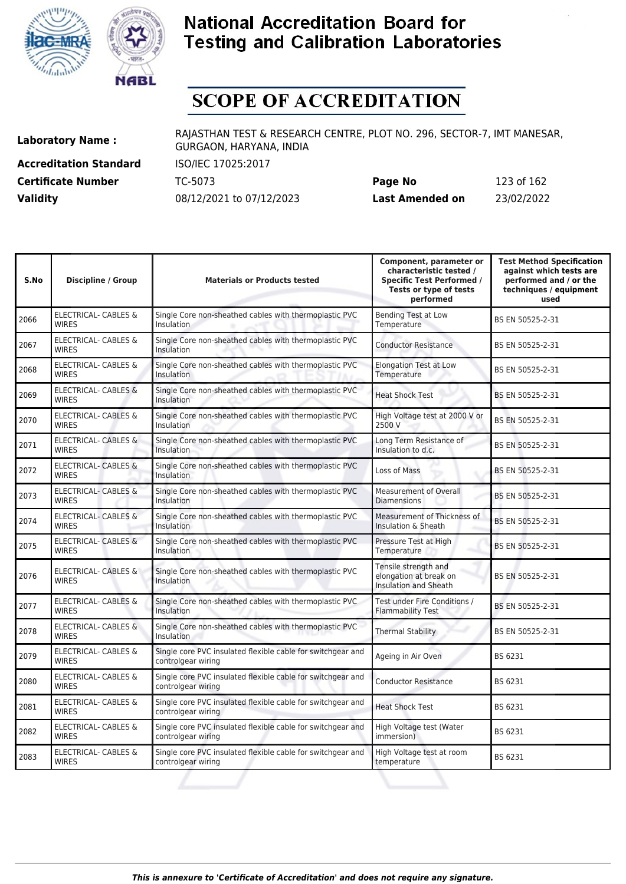



# **SCOPE OF ACCREDITATION**

**Accreditation Standard** ISO/IEC 17025:2017 **Certificate Number** TC-5073

| <b>Certificate Number</b> | TC-5073                  | Page No         | 123 of 162 |
|---------------------------|--------------------------|-----------------|------------|
| <b>Validity</b>           | 08/12/2021 to 07/12/2023 | Last Amended on | 23/02/2022 |

| S.No | <b>Discipline / Group</b>                       | <b>Materials or Products tested</b>                                               | Component, parameter or<br>characteristic tested /<br><b>Specific Test Performed /</b><br>Tests or type of tests<br>performed | <b>Test Method Specification</b><br>against which tests are<br>performed and / or the<br>techniques / equipment<br>used |
|------|-------------------------------------------------|-----------------------------------------------------------------------------------|-------------------------------------------------------------------------------------------------------------------------------|-------------------------------------------------------------------------------------------------------------------------|
| 2066 | <b>ELECTRICAL- CABLES &amp;</b><br><b>WIRES</b> | Single Core non-sheathed cables with thermoplastic PVC<br><b>Insulation</b>       | <b>Bending Test at Low</b><br>Temperature                                                                                     | BS EN 50525-2-31                                                                                                        |
| 2067 | <b>ELECTRICAL- CABLES &amp;</b><br><b>WIRES</b> | Single Core non-sheathed cables with thermoplastic PVC<br>Insulation              | <b>Conductor Resistance</b>                                                                                                   | BS EN 50525-2-31                                                                                                        |
| 2068 | ELECTRICAL- CABLES &<br><b>WIRES</b>            | Single Core non-sheathed cables with thermoplastic PVC<br><b>Insulation</b>       | <b>Elongation Test at Low</b><br>Temperature                                                                                  | BS EN 50525-2-31                                                                                                        |
| 2069 | <b>ELECTRICAL- CABLES &amp;</b><br><b>WIRES</b> | Single Core non-sheathed cables with thermoplastic PVC<br>Insulation              | <b>Heat Shock Test</b>                                                                                                        | BS EN 50525-2-31                                                                                                        |
| 2070 | ELECTRICAL- CABLES &<br><b>WIRES</b>            | Single Core non-sheathed cables with thermoplastic PVC<br>Insulation              | High Voltage test at 2000 V or<br>2500 V                                                                                      | BS EN 50525-2-31                                                                                                        |
| 2071 | <b>ELECTRICAL- CABLES &amp;</b><br><b>WIRES</b> | Single Core non-sheathed cables with thermoplastic PVC<br><b>Insulation</b>       | Long Term Resistance of<br>Insulation to d.c.                                                                                 | BS EN 50525-2-31                                                                                                        |
| 2072 | <b>ELECTRICAL- CABLES &amp;</b><br><b>WIRES</b> | Single Core non-sheathed cables with thermoplastic PVC<br><b>Insulation</b>       | Loss of Mass                                                                                                                  | BS EN 50525-2-31                                                                                                        |
| 2073 | <b>ELECTRICAL- CABLES &amp;</b><br><b>WIRES</b> | Single Core non-sheathed cables with thermoplastic PVC<br>Insulation              | Measurement of Overall<br><b>Diamensions</b>                                                                                  | BS EN 50525-2-31                                                                                                        |
| 2074 | <b>ELECTRICAL- CABLES &amp;</b><br><b>WIRES</b> | Single Core non-sheathed cables with thermoplastic PVC<br>Insulation              | Measurement of Thickness of<br>Insulation & Sheath                                                                            | BS EN 50525-2-31                                                                                                        |
| 2075 | <b>ELECTRICAL- CABLES &amp;</b><br><b>WIRES</b> | Single Core non-sheathed cables with thermoplastic PVC<br><b>Insulation</b>       | Pressure Test at High<br>Temperature                                                                                          | BS EN 50525-2-31                                                                                                        |
| 2076 | <b>ELECTRICAL- CABLES &amp;</b><br><b>WIRES</b> | Single Core non-sheathed cables with thermoplastic PVC<br>Insulation              | Tensile strength and<br>elongation at break on<br><b>Insulation and Sheath</b>                                                | BS EN 50525-2-31                                                                                                        |
| 2077 | ELECTRICAL- CABLES &<br><b>WIRES</b>            | Single Core non-sheathed cables with thermoplastic PVC<br><b>Insulation</b>       | Test under Fire Conditions /<br><b>Flammability Test</b>                                                                      | BS EN 50525-2-31                                                                                                        |
| 2078 | ELECTRICAL- CABLES &<br><b>WIRES</b>            | Single Core non-sheathed cables with thermoplastic PVC<br>Insulation              | <b>Thermal Stability</b>                                                                                                      | BS EN 50525-2-31                                                                                                        |
| 2079 | ELECTRICAL- CABLES &<br><b>WIRFS</b>            | Single core PVC insulated flexible cable for switchgear and<br>controlgear wiring | Ageing in Air Oven                                                                                                            | BS 6231                                                                                                                 |
| 2080 | ELECTRICAL- CABLES &<br><b>WIRES</b>            | Single core PVC insulated flexible cable for switchgear and<br>controlgear wiring | <b>Conductor Resistance</b>                                                                                                   | BS 6231                                                                                                                 |
| 2081 | ELECTRICAL- CABLES &<br><b>WIRES</b>            | Single core PVC insulated flexible cable for switchgear and<br>controlgear wiring | <b>Heat Shock Test</b>                                                                                                        | BS 6231                                                                                                                 |
| 2082 | ELECTRICAL- CABLES &<br><b>WIRES</b>            | Single core PVC insulated flexible cable for switchgear and<br>controlgear wiring | High Voltage test (Water<br>immersion)                                                                                        | BS 6231                                                                                                                 |
| 2083 | ELECTRICAL- CABLES &<br><b>WIRES</b>            | Single core PVC insulated flexible cable for switchgear and<br>controlgear wiring | High Voltage test at room<br>temperature                                                                                      | BS 6231                                                                                                                 |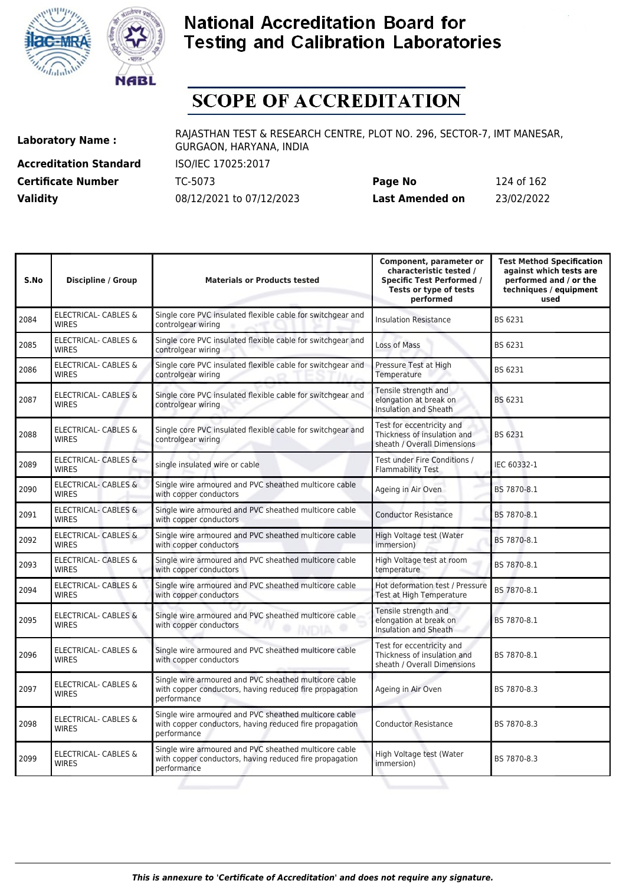



# **SCOPE OF ACCREDITATION**

**Accreditation Standard** ISO/IEC 17025:2017

**Laboratory Name :** RAJASTHAN TEST & RESEARCH CENTRE, PLOT NO. 296, SECTOR-7, IMT MANESAR, GURGAON, HARYANA, INDIA

**Certificate Number** TC-5073 **Page No** 124 of 162 **Validity** 08/12/2021 to 07/12/2023 **Last Amended on** 23/02/2022

| S.No | <b>Discipline / Group</b>                       | <b>Materials or Products tested</b>                                                                                             | Component, parameter or<br>characteristic tested /<br><b>Specific Test Performed /</b><br>Tests or type of tests<br>performed | <b>Test Method Specification</b><br>against which tests are<br>performed and / or the<br>techniques / equipment<br>used |
|------|-------------------------------------------------|---------------------------------------------------------------------------------------------------------------------------------|-------------------------------------------------------------------------------------------------------------------------------|-------------------------------------------------------------------------------------------------------------------------|
| 2084 | <b>ELECTRICAL- CABLES &amp;</b><br><b>WIRES</b> | Single core PVC insulated flexible cable for switchgear and<br>controlgear wiring                                               | <b>Insulation Resistance</b>                                                                                                  | BS 6231                                                                                                                 |
| 2085 | <b>ELECTRICAL- CABLES &amp;</b><br><b>WIRES</b> | Single core PVC insulated flexible cable for switchgear and<br>controlgear wiring                                               | Loss of Mass                                                                                                                  | BS 6231                                                                                                                 |
| 2086 | <b>ELECTRICAL- CABLES &amp;</b><br><b>WIRES</b> | Single core PVC insulated flexible cable for switchgear and<br>controlgear wiring                                               | Pressure Test at High<br>Temperature                                                                                          | BS 6231                                                                                                                 |
| 2087 | <b>ELECTRICAL- CABLES &amp;</b><br><b>WIRES</b> | Single core PVC insulated flexible cable for switchgear and<br>controlgear wiring                                               | Tensile strength and<br>elongation at break on<br>Insulation and Sheath                                                       | BS 6231                                                                                                                 |
| 2088 | ELECTRICAL- CABLES &<br><b>WIRES</b>            | Single core PVC insulated flexible cable for switchgear and<br>controlgear wiring                                               | Test for eccentricity and<br>Thickness of insulation and<br>sheath / Overall Dimensions                                       | BS 6231                                                                                                                 |
| 2089 | ELECTRICAL- CABLES &<br><b>WIRES</b>            | single insulated wire or cable                                                                                                  | Test under Fire Conditions /<br><b>Flammability Test</b>                                                                      | IEC 60332-1                                                                                                             |
| 2090 | ELECTRICAL- CABLES &<br><b>WIRES</b>            | Single wire armoured and PVC sheathed multicore cable<br>with copper conductors                                                 | Ageing in Air Oven                                                                                                            | BS 7870-8.1                                                                                                             |
| 2091 | <b>ELECTRICAL- CABLES &amp;</b><br><b>WIRES</b> | Single wire armoured and PVC sheathed multicore cable<br>with copper conductors                                                 | <b>Conductor Resistance</b>                                                                                                   | BS 7870-8.1                                                                                                             |
| 2092 | <b>ELECTRICAL- CABLES &amp;</b><br><b>WIRES</b> | Single wire armoured and PVC sheathed multicore cable<br>with copper conductors                                                 | High Voltage test (Water<br>immersion)                                                                                        | BS 7870-8.1                                                                                                             |
| 2093 | ELECTRICAL- CABLES &<br><b>WIRES</b>            | Single wire armoured and PVC sheathed multicore cable<br>with copper conductors                                                 | High Voltage test at room<br>temperature                                                                                      | BS 7870-8.1                                                                                                             |
| 2094 | ELECTRICAL- CABLES &<br><b>WIRES</b>            | Single wire armoured and PVC sheathed multicore cable<br>with copper conductors                                                 | Hot deformation test / Pressure<br>Test at High Temperature                                                                   | BS 7870-8.1                                                                                                             |
| 2095 | <b>ELECTRICAL- CABLES &amp;</b><br><b>WIRES</b> | Single wire armoured and PVC sheathed multicore cable<br>with copper conductors<br>۰<br><b>INDIA</b><br>۰                       | Tensile strength and<br>elongation at break on<br>Insulation and Sheath                                                       | BS 7870-8.1                                                                                                             |
| 2096 | <b>ELECTRICAL- CABLES &amp;</b><br><b>WIRES</b> | Single wire armoured and PVC sheathed multicore cable<br>with copper conductors                                                 | Test for eccentricity and<br>Thickness of insulation and<br>sheath / Overall Dimensions                                       | BS 7870-8.1                                                                                                             |
| 2097 | ELECTRICAL- CABLES &<br><b>WIRES</b>            | Single wire armoured and PVC sheathed multicore cable<br>with copper conductors, having reduced fire propagation<br>performance | Ageing in Air Oven                                                                                                            | BS 7870-8.3                                                                                                             |
| 2098 | <b>ELECTRICAL- CABLES &amp;</b><br><b>WIRES</b> | Single wire armoured and PVC sheathed multicore cable<br>with copper conductors, having reduced fire propagation<br>performance | <b>Conductor Resistance</b>                                                                                                   | BS 7870-8.3                                                                                                             |
| 2099 | ELECTRICAL- CABLES &<br><b>WIRES</b>            | Single wire armoured and PVC sheathed multicore cable<br>with copper conductors, having reduced fire propagation<br>performance | High Voltage test (Water<br>immersion)                                                                                        | BS 7870-8.3                                                                                                             |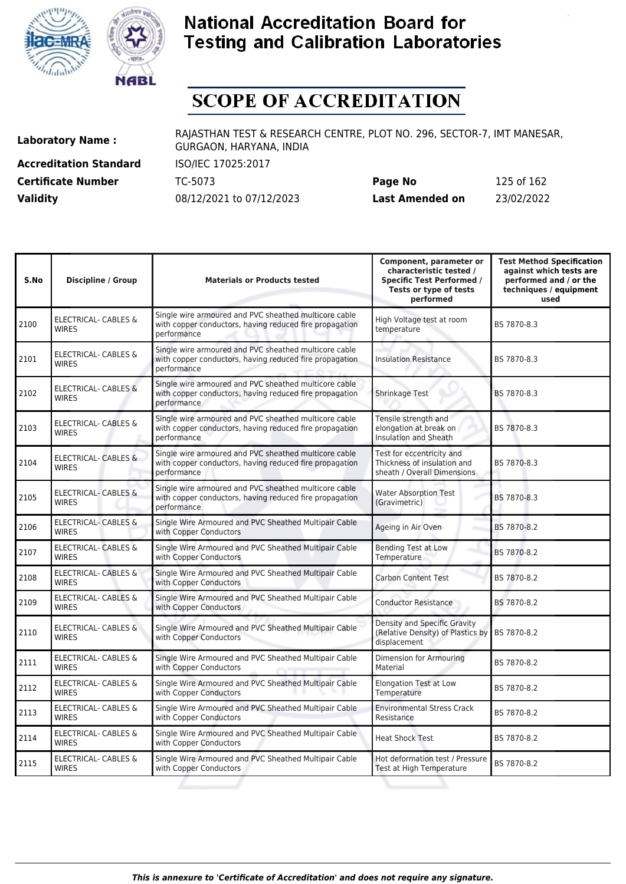



# **SCOPE OF ACCREDITATION**

**Accreditation Standard** ISO/IEC 17025:2017 **Certificate Number** TC-5073 **Validity** 08/12/2021 to 07/12/2023

| Page No         | 125 of 162 |
|-----------------|------------|
| Last Amended on | 23/02/2022 |

| S.No | <b>Discipline / Group</b>                       | <b>Materials or Products tested</b>                                                                                             | Component, parameter or<br>characteristic tested /<br><b>Specific Test Performed /</b><br>Tests or type of tests<br>performed | <b>Test Method Specification</b><br>against which tests are<br>performed and / or the<br>techniques / equipment<br>used |
|------|-------------------------------------------------|---------------------------------------------------------------------------------------------------------------------------------|-------------------------------------------------------------------------------------------------------------------------------|-------------------------------------------------------------------------------------------------------------------------|
| 2100 | ELECTRICAL- CABLES &<br><b>WIRES</b>            | Single wire armoured and PVC sheathed multicore cable<br>with copper conductors, having reduced fire propagation<br>performance | High Voltage test at room<br>temperature                                                                                      | BS 7870-8.3                                                                                                             |
| 2101 | <b>ELECTRICAL- CABLES &amp;</b><br><b>WIRES</b> | Single wire armoured and PVC sheathed multicore cable<br>with copper conductors, having reduced fire propagation<br>performance | <b>Insulation Resistance</b>                                                                                                  | BS 7870-8.3                                                                                                             |
| 2102 | <b>ELECTRICAL- CABLES &amp;</b><br><b>WIRES</b> | Single wire armoured and PVC sheathed multicore cable<br>with copper conductors, having reduced fire propagation<br>performance | Shrinkage Test                                                                                                                | BS 7870-8.3                                                                                                             |
| 2103 | <b>ELECTRICAL- CABLES &amp;</b><br><b>WIRES</b> | Single wire armoured and PVC sheathed multicore cable<br>with copper conductors, having reduced fire propagation<br>performance | Tensile strength and<br>elongation at break on<br><b>Insulation and Sheath</b>                                                | BS 7870-8.3                                                                                                             |
| 2104 | ELECTRICAL- CABLES &<br><b>WIRES</b>            | Single wire armoured and PVC sheathed multicore cable<br>with copper conductors, having reduced fire propagation<br>performance | Test for eccentricity and<br>Thickness of insulation and<br>sheath / Overall Dimensions                                       | BS 7870-8.3                                                                                                             |
| 2105 | ELECTRICAL- CABLES &<br><b>WIRES</b>            | Single wire armoured and PVC sheathed multicore cable<br>with copper conductors, having reduced fire propagation<br>performance | <b>Water Absorption Test</b><br>(Gravimetric)                                                                                 | BS 7870-8.3                                                                                                             |
| 2106 | <b>ELECTRICAL- CABLES &amp;</b><br><b>WIRES</b> | Single Wire Armoured and PVC Sheathed Multipair Cable<br>with Copper Conductors                                                 | Ageing in Air Oven                                                                                                            | BS 7870-8.2                                                                                                             |
| 2107 | <b>ELECTRICAL- CABLES &amp;</b><br><b>WIRES</b> | Single Wire Armoured and PVC Sheathed Multipair Cable<br>with Copper Conductors                                                 | <b>Bending Test at Low</b><br>Temperature                                                                                     | BS 7870-8.2                                                                                                             |
| 2108 | <b>ELECTRICAL- CABLES &amp;</b><br><b>WIRES</b> | Single Wire Armoured and PVC Sheathed Multipair Cable<br>with Copper Conductors                                                 | Carbon Content Test                                                                                                           | BS 7870-8.2                                                                                                             |
| 2109 | ELECTRICAL- CABLES &<br><b>WIRES</b>            | Single Wire Armoured and PVC Sheathed Multipair Cable<br>with Copper Conductors                                                 | <b>Conductor Resistance</b>                                                                                                   | BS 7870-8.2                                                                                                             |
| 2110 | ELECTRICAL- CABLES &<br><b>WIRES</b>            | Single Wire Armoured and PVC Sheathed Multipair Cable<br>with Copper Conductors                                                 | Density and Specific Gravity<br>(Relative Density) of Plastics by BS 7870-8.2<br>displacement                                 |                                                                                                                         |
| 2111 | ELECTRICAL- CABLES &<br><b>WIRES</b>            | Single Wire Armoured and PVC Sheathed Multipair Cable<br>with Copper Conductors                                                 | Dimension for Armouring<br>Material                                                                                           | BS 7870-8.2                                                                                                             |
| 2112 | ELECTRICAL- CABLES &<br><b>WIRES</b>            | Single Wire Armoured and PVC Sheathed Multipair Cable<br>with Copper Conductors                                                 | <b>Elongation Test at Low</b><br>Temperature                                                                                  | BS 7870-8.2                                                                                                             |
| 2113 | ELECTRICAL- CABLES &<br><b>WIRES</b>            | Single Wire Armoured and PVC Sheathed Multipair Cable<br>with Copper Conductors                                                 | <b>Environmental Stress Crack</b><br>Resistance                                                                               | BS 7870-8.2                                                                                                             |
| 2114 | ELECTRICAL- CABLES &<br><b>WIRES</b>            | Single Wire Armoured and PVC Sheathed Multipair Cable<br>with Copper Conductors                                                 | <b>Heat Shock Test</b>                                                                                                        | BS 7870-8.2                                                                                                             |
| 2115 | ELECTRICAL- CABLES &<br><b>WIRES</b>            | Single Wire Armoured and PVC Sheathed Multipair Cable<br>with Copper Conductors                                                 | Hot deformation test / Pressure<br>Test at High Temperature                                                                   | BS 7870-8.2                                                                                                             |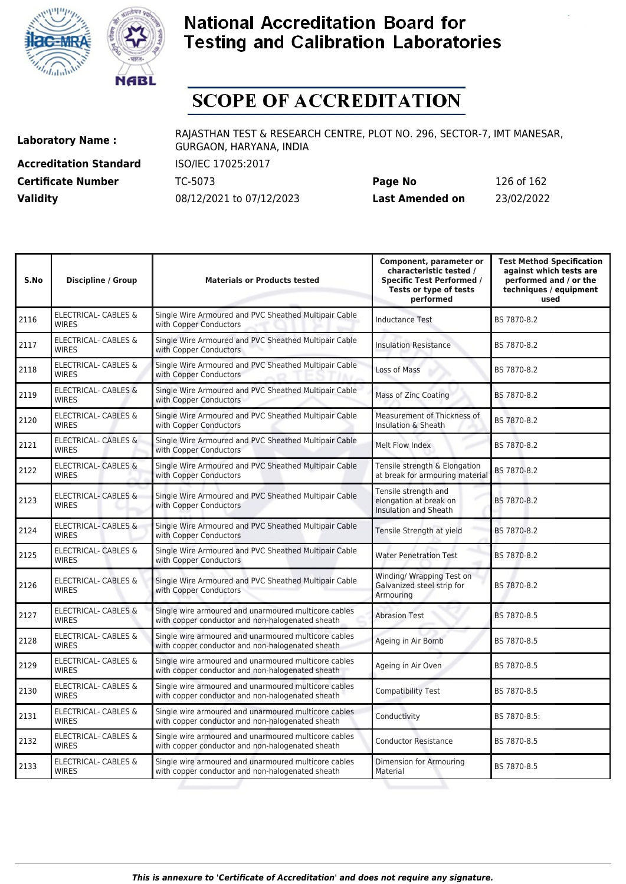



# **SCOPE OF ACCREDITATION**

**Accreditation Standard** ISO/IEC 17025:2017

**Laboratory Name :** RAJASTHAN TEST & RESEARCH CENTRE, PLOT NO. 296, SECTOR-7, IMT MANESAR, GURGAON, HARYANA, INDIA

**Certificate Number** TC-5073 **Page No** 126 of 162 **Validity** 08/12/2021 to 07/12/2023 **Last Amended on** 23/02/2022

| S.No | <b>Discipline / Group</b>                       | <b>Materials or Products tested</b>                                                                      | Component, parameter or<br>characteristic tested /<br><b>Specific Test Performed /</b><br>Tests or type of tests<br>performed | <b>Test Method Specification</b><br>against which tests are<br>performed and / or the<br>techniques / equipment<br>used |
|------|-------------------------------------------------|----------------------------------------------------------------------------------------------------------|-------------------------------------------------------------------------------------------------------------------------------|-------------------------------------------------------------------------------------------------------------------------|
| 2116 | <b>ELECTRICAL- CABLES &amp;</b><br><b>WIRES</b> | Single Wire Armoured and PVC Sheathed Multipair Cable<br>with Copper Conductors                          | <b>Inductance Test</b>                                                                                                        | BS 7870-8.2                                                                                                             |
| 2117 | ELECTRICAL- CABLES &<br><b>WIRES</b>            | Single Wire Armoured and PVC Sheathed Multipair Cable<br>with Copper Conductors                          | <b>Insulation Resistance</b>                                                                                                  | BS 7870-8.2                                                                                                             |
| 2118 | <b>ELECTRICAL- CABLES &amp;</b><br><b>WIRES</b> | Single Wire Armoured and PVC Sheathed Multipair Cable<br>with Copper Conductors                          | Loss of Mass                                                                                                                  | BS 7870-8.2                                                                                                             |
| 2119 | <b>ELECTRICAL- CABLES &amp;</b><br><b>WIRES</b> | Single Wire Armoured and PVC Sheathed Multipair Cable<br>with Copper Conductors                          | Mass of Zinc Coating                                                                                                          | BS 7870-8.2                                                                                                             |
| 2120 | <b>ELECTRICAL- CABLES &amp;</b><br><b>WIRES</b> | Single Wire Armoured and PVC Sheathed Multipair Cable<br>with Copper Conductors                          | Measurement of Thickness of<br>Insulation & Sheath                                                                            | BS 7870-8.2                                                                                                             |
| 2121 | <b>ELECTRICAL- CABLES &amp;</b><br><b>WIRES</b> | Single Wire Armoured and PVC Sheathed Multipair Cable<br>with Copper Conductors                          | Melt Flow Index                                                                                                               | BS 7870-8.2                                                                                                             |
| 2122 | <b>ELECTRICAL- CABLES &amp;</b><br><b>WIRES</b> | Single Wire Armoured and PVC Sheathed Multipair Cable<br>with Copper Conductors                          | Tensile strength & Elongation<br>at break for armouring material                                                              | BS 7870-8.2                                                                                                             |
| 2123 | ELECTRICAL- CABLES &<br><b>WIRES</b>            | Single Wire Armoured and PVC Sheathed Multipair Cable<br>with Copper Conductors                          | Tensile strength and<br>elongation at break on<br>Insulation and Sheath                                                       | BS 7870-8.2                                                                                                             |
| 2124 | <b>ELECTRICAL- CABLES &amp;</b><br><b>WIRES</b> | Single Wire Armoured and PVC Sheathed Multipair Cable<br>with Copper Conductors                          | Tensile Strength at yield                                                                                                     | BS 7870-8.2                                                                                                             |
| 2125 | <b>ELECTRICAL- CABLES &amp;</b><br><b>WIRES</b> | Single Wire Armoured and PVC Sheathed Multipair Cable<br>with Copper Conductors                          | <b>Water Penetration Test</b>                                                                                                 | BS 7870-8.2                                                                                                             |
| 2126 | <b>ELECTRICAL- CABLES &amp;</b><br><b>WIRES</b> | Single Wire Armoured and PVC Sheathed Multipair Cable<br>with Copper Conductors                          | Winding/ Wrapping Test on<br>Galvanized steel strip for<br>Armouring                                                          | BS 7870-8.2                                                                                                             |
| 2127 | <b>ELECTRICAL- CABLES &amp;</b><br><b>WIRES</b> | Single wire armoured and unarmoured multicore cables<br>with copper conductor and non-halogenated sheath | <b>Abrasion Test</b>                                                                                                          | BS 7870-8.5                                                                                                             |
| 2128 | <b>ELECTRICAL- CABLES &amp;</b><br><b>WIRES</b> | Single wire armoured and unarmoured multicore cables<br>with copper conductor and non-halogenated sheath | Ageing in Air Bomb                                                                                                            | BS 7870-8.5                                                                                                             |
| 2129 | ELECTRICAL- CABLES &<br><b>WIRES</b>            | Single wire armoured and unarmoured multicore cables<br>with copper conductor and non-halogenated sheath | Ageing in Air Oven                                                                                                            | BS 7870-8.5                                                                                                             |
| 2130 | ELECTRICAL- CABLES &<br><b>WIRES</b>            | Single wire armoured and unarmoured multicore cables<br>with copper conductor and non-halogenated sheath | <b>Compatibility Test</b>                                                                                                     | BS 7870-8.5                                                                                                             |
| 2131 | <b>ELECTRICAL- CABLES &amp;</b><br><b>WIRES</b> | Single wire armoured and unarmoured multicore cables<br>with copper conductor and non-halogenated sheath | Conductivity                                                                                                                  | BS 7870-8.5:                                                                                                            |
| 2132 | <b>ELECTRICAL- CABLES &amp;</b><br><b>WIRES</b> | Single wire armoured and unarmoured multicore cables<br>with copper conductor and non-halogenated sheath | <b>Conductor Resistance</b>                                                                                                   | BS 7870-8.5                                                                                                             |
| 2133 | ELECTRICAL- CABLES &<br><b>WIRES</b>            | Single wire armoured and unarmoured multicore cables<br>with copper conductor and non-halogenated sheath | Dimension for Armouring<br>Material                                                                                           | BS 7870-8.5                                                                                                             |
|      |                                                 |                                                                                                          |                                                                                                                               |                                                                                                                         |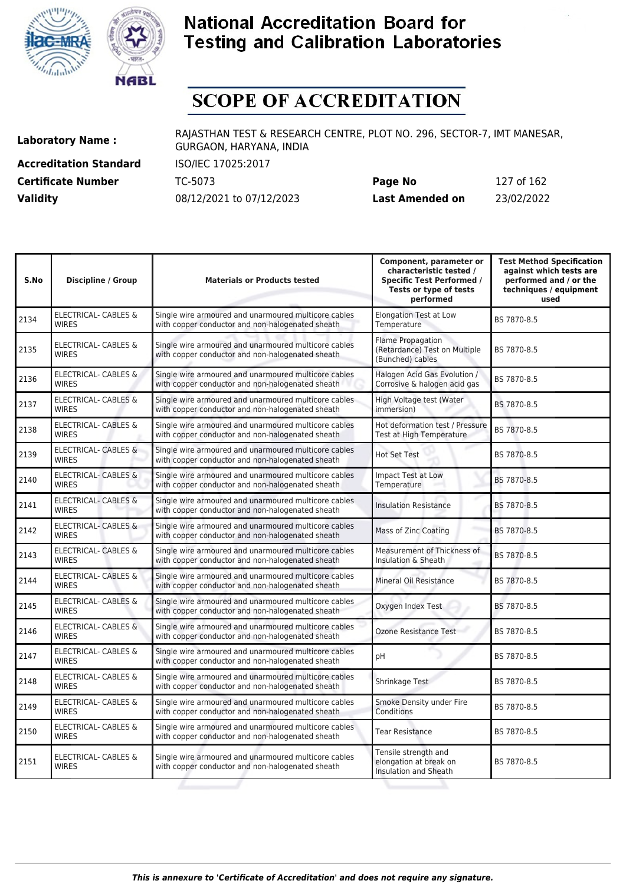



# **SCOPE OF ACCREDITATION**

**Accreditation Standard** ISO/IEC 17025:2017 **Certificate Number** TC-5073 **Validity** 08/12/2021 to 07/12/2023

| Page No         | 127 of 162 |
|-----------------|------------|
| Last Amended on | 23/02/2022 |

| S.No | <b>Discipline / Group</b>                       | <b>Materials or Products tested</b>                                                                      | Component, parameter or<br>characteristic tested /<br><b>Specific Test Performed /</b><br>Tests or type of tests<br>performed | <b>Test Method Specification</b><br>against which tests are<br>performed and / or the<br>techniques / equipment<br>used |
|------|-------------------------------------------------|----------------------------------------------------------------------------------------------------------|-------------------------------------------------------------------------------------------------------------------------------|-------------------------------------------------------------------------------------------------------------------------|
| 2134 | ELECTRICAL- CABLES &<br><b>WIRES</b>            | Single wire armoured and unarmoured multicore cables<br>with copper conductor and non-halogenated sheath | <b>Elongation Test at Low</b><br>Temperature                                                                                  | BS 7870-8.5                                                                                                             |
| 2135 | ELECTRICAL- CABLES &<br><b>WIRES</b>            | Single wire armoured and unarmoured multicore cables<br>with copper conductor and non-halogenated sheath | <b>Flame Propagation</b><br>(Retardance) Test on Multiple<br>(Bunched) cables                                                 | BS 7870-8.5                                                                                                             |
| 2136 | ELECTRICAL- CABLES &<br><b>WIRES</b>            | Single wire armoured and unarmoured multicore cables<br>with copper conductor and non-halogenated sheath | Halogen Acid Gas Evolution /<br>Corrosive & halogen acid gas                                                                  | BS 7870-8.5                                                                                                             |
| 2137 | ELECTRICAL- CABLES &<br><b>WIRES</b>            | Single wire armoured and unarmoured multicore cables<br>with copper conductor and non-halogenated sheath | High Voltage test (Water<br>immersion)                                                                                        | BS 7870-8.5                                                                                                             |
| 2138 | <b>ELECTRICAL- CABLES &amp;</b><br><b>WIRES</b> | Single wire armoured and unarmoured multicore cables<br>with copper conductor and non-halogenated sheath | Hot deformation test / Pressure<br>Test at High Temperature                                                                   | BS 7870-8.5                                                                                                             |
| 2139 | <b>ELECTRICAL- CABLES &amp;</b><br><b>WIRES</b> | Single wire armoured and unarmoured multicore cables<br>with copper conductor and non-halogenated sheath | <b>Hot Set Test</b>                                                                                                           | BS 7870-8.5                                                                                                             |
| 2140 | <b>ELECTRICAL- CABLES &amp;</b><br><b>WIRES</b> | Single wire armoured and unarmoured multicore cables<br>with copper conductor and non-halogenated sheath | Impact Test at Low<br>Temperature                                                                                             | BS 7870-8.5                                                                                                             |
| 2141 | ELECTRICAL- CABLES &<br><b>WIRES</b>            | Single wire armoured and unarmoured multicore cables<br>with copper conductor and non-halogenated sheath | <b>Insulation Resistance</b>                                                                                                  | BS 7870-8.5                                                                                                             |
| 2142 | <b>ELECTRICAL- CABLES &amp;</b><br><b>WIRES</b> | Single wire armoured and unarmoured multicore cables<br>with copper conductor and non-halogenated sheath | Mass of Zinc Coating                                                                                                          | BS 7870-8.5                                                                                                             |
| 2143 | <b>ELECTRICAL- CABLES &amp;</b><br><b>WIRES</b> | Single wire armoured and unarmoured multicore cables<br>with copper conductor and non-halogenated sheath | Measurement of Thickness of<br>Insulation & Sheath                                                                            | BS 7870-8.5                                                                                                             |
| 2144 | <b>ELECTRICAL- CABLES &amp;</b><br><b>WIRES</b> | Single wire armoured and unarmoured multicore cables<br>with copper conductor and non-halogenated sheath | Mineral Oil Resistance                                                                                                        | BS 7870-8.5                                                                                                             |
| 2145 | ELECTRICAL- CABLES &<br><b>WIRES</b>            | Single wire armoured and unarmoured multicore cables<br>with copper conductor and non-halogenated sheath | Oxygen Index Test                                                                                                             | BS 7870-8.5                                                                                                             |
| 2146 | <b>ELECTRICAL- CABLES &amp;</b><br><b>WIRES</b> | Single wire armoured and unarmoured multicore cables<br>with copper conductor and non-halogenated sheath | <b>Ozone Resistance Test</b>                                                                                                  | BS 7870-8.5                                                                                                             |
| 2147 | ELECTRICAL- CABLES &<br><b>WIRES</b>            | Single wire armoured and unarmoured multicore cables<br>with copper conductor and non-halogenated sheath | pH                                                                                                                            | BS 7870-8.5                                                                                                             |
| 2148 | ELECTRICAL- CABLES &<br><b>WIRES</b>            | Single wire armoured and unarmoured multicore cables<br>with copper conductor and non-halogenated sheath | Shrinkage Test                                                                                                                | BS 7870-8.5                                                                                                             |
| 2149 | ELECTRICAL- CABLES &<br><b>WIRES</b>            | Single wire armoured and unarmoured multicore cables<br>with copper conductor and non-halogenated sheath | Smoke Density under Fire<br>Conditions                                                                                        | BS 7870-8.5                                                                                                             |
| 2150 | ELECTRICAL- CABLES &<br><b>WIRES</b>            | Single wire armoured and unarmoured multicore cables<br>with copper conductor and non-halogenated sheath | <b>Tear Resistance</b>                                                                                                        | BS 7870-8.5                                                                                                             |
| 2151 | ELECTRICAL- CABLES &<br><b>WIRES</b>            | Single wire armoured and unarmoured multicore cables<br>with copper conductor and non-halogenated sheath | Tensile strength and<br>elongation at break on<br>Insulation and Sheath                                                       | BS 7870-8.5                                                                                                             |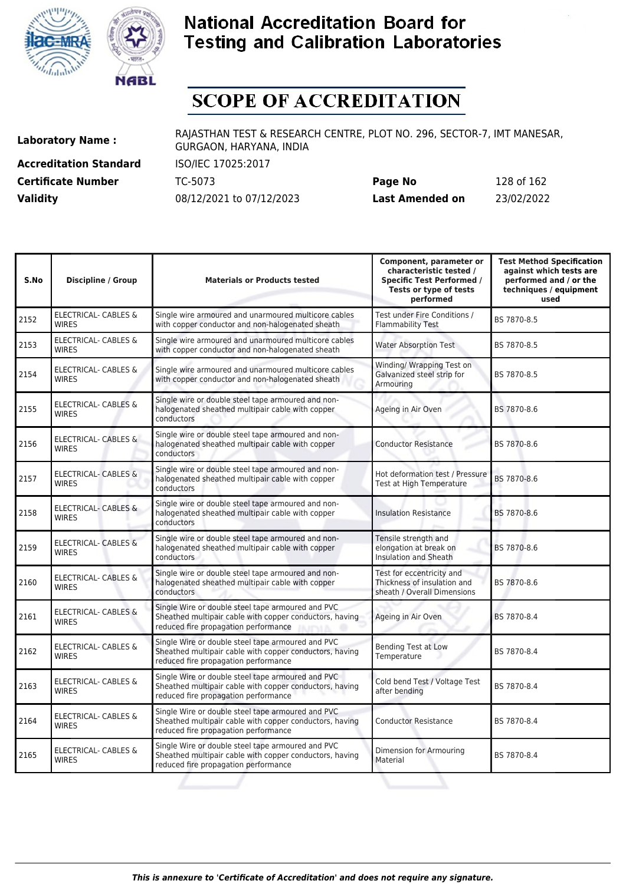



# **SCOPE OF ACCREDITATION**

**Accreditation Standard** ISO/IEC 17025:2017 **Certificate Number** TC-5073

| <b>Certificate Number</b> | TC-5073                  | Page No         | 128 of 162 |
|---------------------------|--------------------------|-----------------|------------|
| <b>Validity</b>           | 08/12/2021 to 07/12/2023 | Last Amended on | 23/02/2022 |

| S.No | <b>Discipline / Group</b>                       | <b>Materials or Products tested</b>                                                                                                                                   | Component, parameter or<br>characteristic tested /<br><b>Specific Test Performed /</b><br>Tests or type of tests<br>performed | <b>Test Method Specification</b><br>against which tests are<br>performed and / or the<br>techniques / equipment<br>used |
|------|-------------------------------------------------|-----------------------------------------------------------------------------------------------------------------------------------------------------------------------|-------------------------------------------------------------------------------------------------------------------------------|-------------------------------------------------------------------------------------------------------------------------|
| 2152 | ELECTRICAL- CABLES &<br><b>WIRES</b>            | Single wire armoured and unarmoured multicore cables<br>with copper conductor and non-halogenated sheath                                                              | Test under Fire Conditions /<br><b>Flammability Test</b>                                                                      | BS 7870-8.5                                                                                                             |
| 2153 | <b>ELECTRICAL- CABLES &amp;</b><br><b>WIRES</b> | Single wire armoured and unarmoured multicore cables<br>with copper conductor and non-halogenated sheath                                                              | <b>Water Absorption Test</b>                                                                                                  | BS 7870-8.5                                                                                                             |
| 2154 | <b>ELECTRICAL- CABLES &amp;</b><br><b>WIRES</b> | Single wire armoured and unarmoured multicore cables<br>with copper conductor and non-halogenated sheath                                                              | Winding/ Wrapping Test on<br>Galvanized steel strip for<br>Armouring                                                          | BS 7870-8.5                                                                                                             |
| 2155 | <b>ELECTRICAL- CABLES &amp;</b><br><b>WIRES</b> | Single wire or double steel tape armoured and non-<br>halogenated sheathed multipair cable with copper<br>conductors                                                  | Ageing in Air Oven                                                                                                            | BS 7870-8.6                                                                                                             |
| 2156 | <b>ELECTRICAL- CABLES &amp;</b><br><b>WIRES</b> | Single wire or double steel tape armoured and non-<br>halogenated sheathed multipair cable with copper<br>conductors                                                  | <b>Conductor Resistance</b>                                                                                                   | BS 7870-8.6                                                                                                             |
| 2157 | <b>ELECTRICAL- CABLES &amp;</b><br><b>WIRES</b> | Single wire or double steel tape armoured and non-<br>halogenated sheathed multipair cable with copper<br>conductors                                                  | Hot deformation test / Pressure<br>Test at High Temperature                                                                   | BS 7870-8.6                                                                                                             |
| 2158 | <b>ELECTRICAL- CABLES &amp;</b><br><b>WIRES</b> | Single wire or double steel tape armoured and non-<br>halogenated sheathed multipair cable with copper<br>conductors                                                  | <b>Insulation Resistance</b>                                                                                                  | BS 7870-8.6                                                                                                             |
| 2159 | ELECTRICAL- CABLES &<br><b>WIRES</b>            | Single wire or double steel tape armoured and non-<br>halogenated sheathed multipair cable with copper<br>conductors                                                  | Tensile strength and<br>elongation at break on<br>Insulation and Sheath                                                       | BS 7870-8.6                                                                                                             |
| 2160 | <b>ELECTRICAL- CABLES &amp;</b><br><b>WIRES</b> | Single wire or double steel tape armoured and non-<br>halogenated sheathed multipair cable with copper<br>conductors                                                  | Test for eccentricity and<br>Thickness of insulation and<br>sheath / Overall Dimensions                                       | BS 7870-8.6                                                                                                             |
| 2161 | ELECTRICAL- CABLES &<br><b>WIRES</b>            | Single Wire or double steel tape armoured and PVC<br>Sheathed multipair cable with copper conductors, having<br>reduced fire propagation performance<br><b>DUTY A</b> | Ageing in Air Oven                                                                                                            | BS 7870-8.4                                                                                                             |
| 2162 | ELECTRICAL- CABLES &<br><b>WIRES</b>            | Single Wire or double steel tape armoured and PVC<br>Sheathed multipair cable with copper conductors, having<br>reduced fire propagation performance                  | <b>Bending Test at Low</b><br>Temperature                                                                                     | BS 7870-8.4                                                                                                             |
| 2163 | ELECTRICAL- CABLES &<br><b>WIRES</b>            | Single Wire or double steel tape armoured and PVC<br>Sheathed multipair cable with copper conductors, having<br>reduced fire propagation performance                  | Cold bend Test / Voltage Test<br>after bending                                                                                | BS 7870-8.4                                                                                                             |
| 2164 | <b>ELECTRICAL- CABLES &amp;</b><br><b>WIRES</b> | Single Wire or double steel tape armoured and PVC<br>Sheathed multipair cable with copper conductors, having<br>reduced fire propagation performance                  | <b>Conductor Resistance</b>                                                                                                   | BS 7870-8.4                                                                                                             |
| 2165 | ELECTRICAL- CABLES &<br><b>WIRES</b>            | Single Wire or double steel tape armoured and PVC<br>Sheathed multipair cable with copper conductors, having<br>reduced fire propagation performance                  | Dimension for Armouring<br>Material                                                                                           | BS 7870-8.4                                                                                                             |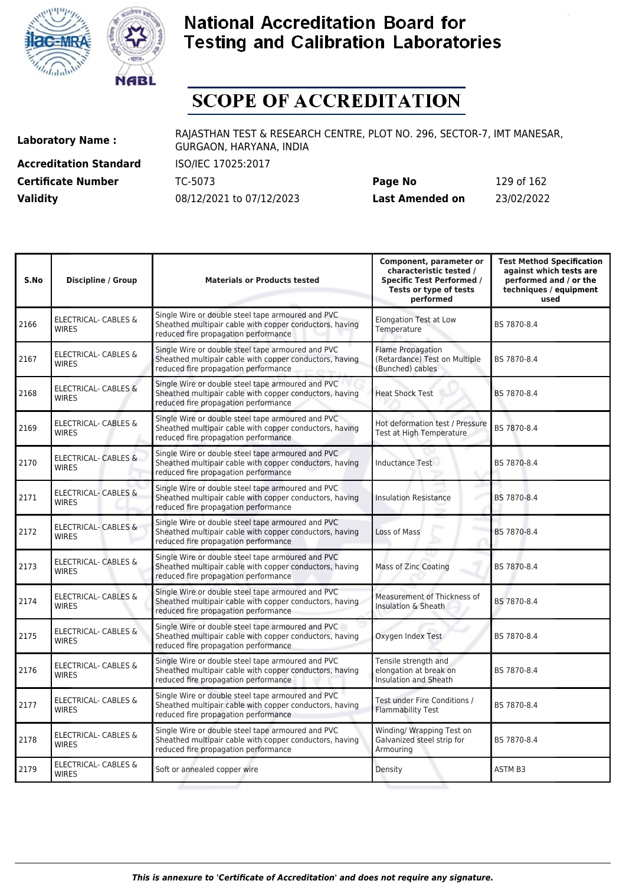



# **SCOPE OF ACCREDITATION**

**Accreditation Standard** ISO/IEC 17025:2017 **Certificate Number** TC-5073 **Validity** 08/12/2021 to 07/12/2023

| Page No         | 129 of 162 |
|-----------------|------------|
| Last Amended on | 23/02/2022 |

| S.No | <b>Discipline / Group</b>                       | <b>Materials or Products tested</b>                                                                                                                  | Component, parameter or<br>characteristic tested /<br><b>Specific Test Performed /</b><br>Tests or type of tests<br>performed | <b>Test Method Specification</b><br>against which tests are<br>performed and / or the<br>techniques / equipment<br>used |
|------|-------------------------------------------------|------------------------------------------------------------------------------------------------------------------------------------------------------|-------------------------------------------------------------------------------------------------------------------------------|-------------------------------------------------------------------------------------------------------------------------|
| 2166 | <b>ELECTRICAL- CABLES &amp;</b><br><b>WIRES</b> | Single Wire or double steel tape armoured and PVC<br>Sheathed multipair cable with copper conductors, having<br>reduced fire propagation performance | <b>Elongation Test at Low</b><br>Temperature                                                                                  | BS 7870-8.4                                                                                                             |
| 2167 | <b>ELECTRICAL- CABLES &amp;</b><br><b>WIRES</b> | Single Wire or double steel tape armoured and PVC<br>Sheathed multipair cable with copper conductors, having<br>reduced fire propagation performance | <b>Flame Propagation</b><br>(Retardance) Test on Multiple<br>(Bunched) cables                                                 | BS 7870-8.4                                                                                                             |
| 2168 | <b>ELECTRICAL- CABLES &amp;</b><br><b>WIRES</b> | Single Wire or double steel tape armoured and PVC<br>Sheathed multipair cable with copper conductors, having<br>reduced fire propagation performance | <b>Heat Shock Test</b>                                                                                                        | BS 7870-8.4                                                                                                             |
| 2169 | <b>ELECTRICAL- CABLES &amp;</b><br><b>WIRES</b> | Single Wire or double steel tape armoured and PVC<br>Sheathed multipair cable with copper conductors, having<br>reduced fire propagation performance | Hot deformation test / Pressure<br>Test at High Temperature                                                                   | BS 7870-8.4                                                                                                             |
| 2170 | ELECTRICAL- CABLES &<br><b>WIRES</b>            | Single Wire or double steel tape armoured and PVC<br>Sheathed multipair cable with copper conductors, having<br>reduced fire propagation performance | <b>Inductance Test</b>                                                                                                        | BS 7870-8.4                                                                                                             |
| 2171 | <b>ELECTRICAL- CABLES &amp;</b><br><b>WIRES</b> | Single Wire or double steel tape armoured and PVC<br>Sheathed multipair cable with copper conductors, having<br>reduced fire propagation performance | <b>Insulation Resistance</b>                                                                                                  | BS 7870-8.4                                                                                                             |
| 2172 | <b>ELECTRICAL- CABLES &amp;</b><br><b>WIRES</b> | Single Wire or double steel tape armoured and PVC<br>Sheathed multipair cable with copper conductors, having<br>reduced fire propagation performance | Loss of Mass                                                                                                                  | BS 7870-8.4                                                                                                             |
| 2173 | ELECTRICAL- CABLES &<br><b>WIRES</b>            | Single Wire or double steel tape armoured and PVC<br>Sheathed multipair cable with copper conductors, having<br>reduced fire propagation performance | <b>Mass of Zinc Coating</b>                                                                                                   | BS 7870-8.4                                                                                                             |
| 2174 | <b>ELECTRICAL- CABLES &amp;</b><br><b>WIRES</b> | Single Wire or double steel tape armoured and PVC<br>Sheathed multipair cable with copper conductors, having<br>reduced fire propagation performance | Measurement of Thickness of<br>Insulation & Sheath                                                                            | BS 7870-8.4                                                                                                             |
| 2175 | ELECTRICAL- CABLES &<br><b>WIRES</b>            | Single Wire or double steel tape armoured and PVC<br>Sheathed multipair cable with copper conductors, having<br>reduced fire propagation performance | Oxygen Index Test                                                                                                             | BS 7870-8.4                                                                                                             |
| 2176 | <b>ELECTRICAL- CABLES &amp;</b><br><b>WIRES</b> | Single Wire or double steel tape armoured and PVC<br>Sheathed multipair cable with copper conductors, having<br>reduced fire propagation performance | Tensile strength and<br>elongation at break on<br><b>Insulation and Sheath</b>                                                | BS 7870-8.4                                                                                                             |
| 2177 | <b>ELECTRICAL- CABLES &amp;</b><br><b>WIRES</b> | Single Wire or double steel tape armoured and PVC<br>Sheathed multipair cable with copper conductors, having<br>reduced fire propagation performance | Test under Fire Conditions /<br><b>Flammability Test</b>                                                                      | BS 7870-8.4                                                                                                             |
| 2178 | ELECTRICAL- CABLES &<br><b>WIRES</b>            | Single Wire or double steel tape armoured and PVC<br>Sheathed multipair cable with copper conductors, having<br>reduced fire propagation performance | Winding/ Wrapping Test on<br>Galvanized steel strip for<br>Armouring                                                          | BS 7870-8.4                                                                                                             |
| 2179 | <b>ELECTRICAL- CABLES &amp;</b><br><b>WIRES</b> | Soft or annealed copper wire                                                                                                                         | Density                                                                                                                       | ASTM B3                                                                                                                 |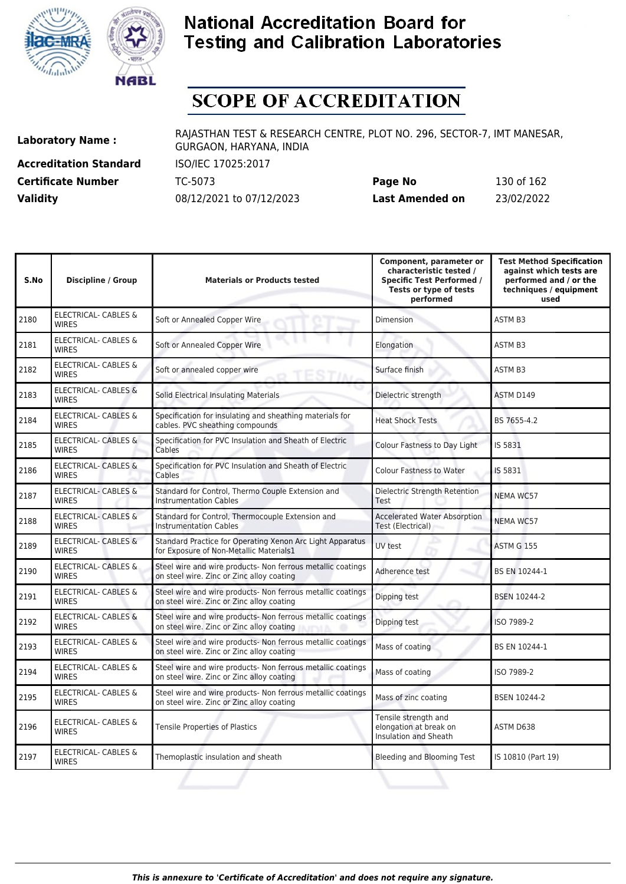



# **SCOPE OF ACCREDITATION**

**Accreditation Standard** ISO/IEC 17025:2017

**Laboratory Name :** RAJASTHAN TEST & RESEARCH CENTRE, PLOT NO. 296, SECTOR-7, IMT MANESAR, GURGAON, HARYANA, INDIA

**Certificate Number** TC-5073 **Page No** 130 of 162 **Validity** 08/12/2021 to 07/12/2023 **Last Amended on** 23/02/2022

| S.No | Discipline / Group                              | <b>Materials or Products tested</b>                                                                      | Component, parameter or<br>characteristic tested /<br><b>Specific Test Performed /</b><br>Tests or type of tests<br>performed | <b>Test Method Specification</b><br>against which tests are<br>performed and / or the<br>techniques / equipment<br>used |
|------|-------------------------------------------------|----------------------------------------------------------------------------------------------------------|-------------------------------------------------------------------------------------------------------------------------------|-------------------------------------------------------------------------------------------------------------------------|
| 2180 | ELECTRICAL- CABLES &<br><b>WIRES</b>            | Soft or Annealed Copper Wire                                                                             | <b>Dimension</b>                                                                                                              | <b>ASTM B3</b>                                                                                                          |
| 2181 | ELECTRICAL- CABLES &<br><b>WIRES</b>            | Soft or Annealed Copper Wire                                                                             | Elongation                                                                                                                    | <b>ASTM B3</b>                                                                                                          |
| 2182 | ELECTRICAL- CABLES &<br><b>WIRES</b>            | Soft or annealed copper wire                                                                             | Surface finish                                                                                                                | ASTM B3                                                                                                                 |
| 2183 | <b>ELECTRICAL- CABLES &amp;</b><br><b>WIRES</b> | Solid Electrical Insulating Materials                                                                    | Dielectric strength                                                                                                           | ASTM D149                                                                                                               |
| 2184 | <b>ELECTRICAL- CABLES &amp;</b><br><b>WIRES</b> | Specification for insulating and sheathing materials for<br>cables. PVC sheathing compounds              | <b>Heat Shock Tests</b>                                                                                                       | BS 7655-4.2                                                                                                             |
| 2185 | <b>ELECTRICAL- CABLES &amp;</b><br><b>WIRES</b> | Specification for PVC Insulation and Sheath of Electric<br>Cables                                        | Colour Fastness to Day Light                                                                                                  | IS 5831                                                                                                                 |
| 2186 | <b>ELECTRICAL- CABLES &amp;</b><br><b>WIRES</b> | Specification for PVC Insulation and Sheath of Electric<br>Cables                                        | <b>Colour Fastness to Water</b>                                                                                               | IS 5831                                                                                                                 |
| 2187 | <b>ELECTRICAL- CABLES &amp;</b><br><b>WIRES</b> | Standard for Control, Thermo Couple Extension and<br><b>Instrumentation Cables</b>                       | Dielectric Strength Retention<br><b>Test</b>                                                                                  | <b>NEMA WC57</b>                                                                                                        |
| 2188 | ELECTRICAL- CABLES &<br><b>WIRES</b>            | Standard for Control, Thermocouple Extension and<br><b>Instrumentation Cables</b>                        | <b>Accelerated Water Absorption</b><br>Test (Electrical)                                                                      | <b>NEMA WC57</b>                                                                                                        |
| 2189 | <b>ELECTRICAL- CABLES &amp;</b><br><b>WIRES</b> | Standard Practice for Operating Xenon Arc Light Apparatus<br>for Exposure of Non-Metallic Materials1     | UV test                                                                                                                       | <b>ASTM G 155</b>                                                                                                       |
| 2190 | ELECTRICAL- CABLES &<br><b>WIRES</b>            | Steel wire and wire products- Non ferrous metallic coatings<br>on steel wire. Zinc or Zinc alloy coating | Adherence test                                                                                                                | BS EN 10244-1                                                                                                           |
| 2191 | <b>ELECTRICAL- CABLES &amp;</b><br><b>WIRES</b> | Steel wire and wire products- Non ferrous metallic coatings<br>on steel wire. Zinc or Zinc alloy coating | Dipping test                                                                                                                  | <b>BSEN 10244-2</b>                                                                                                     |
| 2192 | <b>ELECTRICAL- CABLES &amp;</b><br><b>WIRES</b> | Steel wire and wire products- Non ferrous metallic coatings<br>on steel wire. Zinc or Zinc alloy coating | Dipping test                                                                                                                  | ISO 7989-2                                                                                                              |
| 2193 | ELECTRICAL- CABLES &<br><b>WIRES</b>            | Steel wire and wire products- Non ferrous metallic coatings<br>on steel wire. Zinc or Zinc alloy coating | Mass of coating                                                                                                               | BS EN 10244-1                                                                                                           |
| 2194 | <b>ELECTRICAL- CABLES &amp;</b><br><b>WIRES</b> | Steel wire and wire products- Non ferrous metallic coatings<br>on steel wire. Zinc or Zinc alloy coating | Mass of coating                                                                                                               | ISO 7989-2                                                                                                              |
| 2195 | ELECTRICAL- CABLES &<br><b>WIRES</b>            | Steel wire and wire products- Non ferrous metallic coatings<br>on steel wire. Zinc or Zinc alloy coating | Mass of zinc coating                                                                                                          | BSEN 10244-2                                                                                                            |
| 2196 | ELECTRICAL- CABLES &<br><b>WIRES</b>            | <b>Tensile Properties of Plastics</b>                                                                    | Tensile strength and<br>elongation at break on<br>Insulation and Sheath                                                       | ASTM D638                                                                                                               |
| 2197 | ELECTRICAL- CABLES &<br><b>WIRES</b>            | Themoplastic insulation and sheath                                                                       | Bleeding and Blooming Test                                                                                                    | IS 10810 (Part 19)                                                                                                      |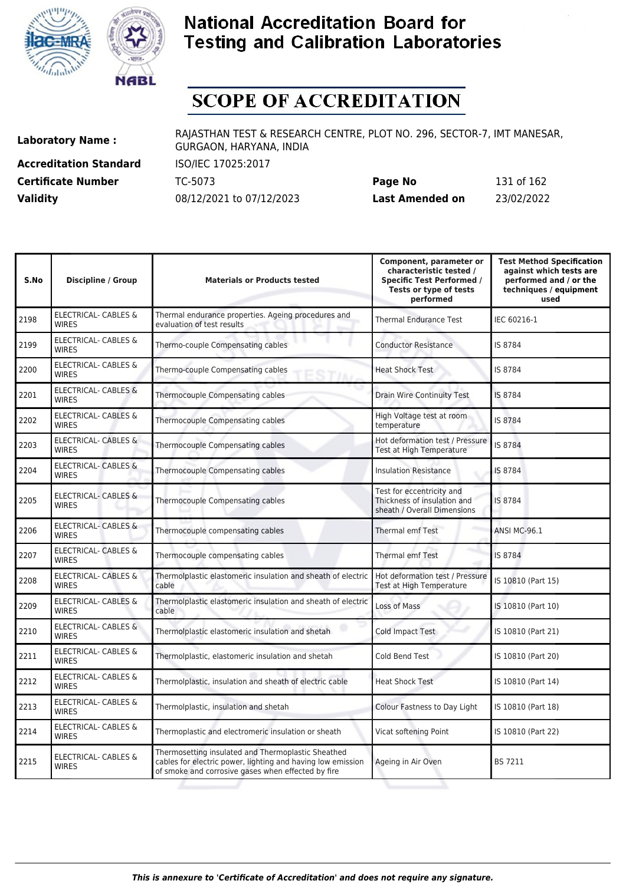



# **SCOPE OF ACCREDITATION**

**Accreditation Standard** ISO/IEC 17025:2017 **Certificate Number** TC-5073 **Validity** 08/12/2021 to 07/12/2023

| Page No         | 131 of 162 |
|-----------------|------------|
| Last Amended on | 23/02/2022 |

| S.No | <b>Discipline / Group</b>                       | <b>Materials or Products tested</b>                                                                                                                                     | Component, parameter or<br>characteristic tested /<br><b>Specific Test Performed /</b><br>Tests or type of tests<br>performed | <b>Test Method Specification</b><br>against which tests are<br>performed and / or the<br>techniques / equipment<br>used |
|------|-------------------------------------------------|-------------------------------------------------------------------------------------------------------------------------------------------------------------------------|-------------------------------------------------------------------------------------------------------------------------------|-------------------------------------------------------------------------------------------------------------------------|
| 2198 | <b>ELECTRICAL- CABLES &amp;</b><br><b>WIRES</b> | Thermal endurance properties. Ageing procedures and<br>evaluation of test results                                                                                       | <b>Thermal Endurance Test</b>                                                                                                 | IEC 60216-1                                                                                                             |
| 2199 | <b>ELECTRICAL- CABLES &amp;</b><br><b>WIRES</b> | Thermo-couple Compensating cables                                                                                                                                       | <b>Conductor Resistance</b>                                                                                                   | IS 8784                                                                                                                 |
| 2200 | ELECTRICAL- CABLES &<br><b>WIRES</b>            | Thermo-couple Compensating cables                                                                                                                                       | <b>Heat Shock Test</b>                                                                                                        | IS 8784                                                                                                                 |
| 2201 | <b>ELECTRICAL- CABLES &amp;</b><br><b>WIRES</b> | Thermocouple Compensating cables                                                                                                                                        | <b>Drain Wire Continuity Test</b>                                                                                             | IS 8784                                                                                                                 |
| 2202 | ELECTRICAL- CABLES &<br><b>WIRES</b>            | Thermocouple Compensating cables                                                                                                                                        | High Voltage test at room<br>temperature                                                                                      | IS 8784                                                                                                                 |
| 2203 | <b>ELECTRICAL- CABLES &amp;</b><br><b>WIRES</b> | Thermocouple Compensating cables                                                                                                                                        | Hot deformation test / Pressure<br>Test at High Temperature                                                                   | IS 8784                                                                                                                 |
| 2204 | <b>ELECTRICAL- CABLES &amp;</b><br><b>WIRES</b> | Thermocouple Compensating cables                                                                                                                                        | <b>Insulation Resistance</b>                                                                                                  | IS 8784                                                                                                                 |
| 2205 | <b>ELECTRICAL- CABLES &amp;</b><br><b>WIRES</b> | Thermocouple Compensating cables                                                                                                                                        | Test for eccentricity and<br>Thickness of insulation and<br>sheath / Overall Dimensions                                       | IS 8784                                                                                                                 |
| 2206 | <b>ELECTRICAL- CABLES &amp;</b><br><b>WIRES</b> | Thermocouple compensating cables                                                                                                                                        | <b>Thermal emf Test</b>                                                                                                       | <b>ANSI MC-96.1</b>                                                                                                     |
| 2207 | ELECTRICAL- CABLES &<br><b>WIRES</b>            | Thermocouple compensating cables                                                                                                                                        | <b>Thermal emf Test</b>                                                                                                       | IS 8784                                                                                                                 |
| 2208 | <b>ELECTRICAL- CABLES &amp;</b><br><b>WIRES</b> | Thermolplastic elastomeric insulation and sheath of electric<br>cable                                                                                                   | Hot deformation test / Pressure<br>Test at High Temperature                                                                   | IS 10810 (Part 15)                                                                                                      |
| 2209 | ELECTRICAL- CABLES &<br><b>WIRES</b>            | Thermolplastic elastomeric insulation and sheath of electric<br>cable                                                                                                   | Loss of Mass                                                                                                                  | IS 10810 (Part 10)                                                                                                      |
| 2210 | ELECTRICAL- CABLES &<br><b>WIRES</b>            | Thermolplastic elastomeric insulation and shetah                                                                                                                        | Cold Impact Test                                                                                                              | IS 10810 (Part 21)                                                                                                      |
| 2211 | ELECTRICAL- CABLES &<br><b>WIRES</b>            | Thermolplastic, elastomeric insulation and shetah                                                                                                                       | Cold Bend Test                                                                                                                | IS 10810 (Part 20)                                                                                                      |
| 2212 | ELECTRICAL- CABLES &<br><b>WIRES</b>            | Thermolplastic, insulation and sheath of electric cable                                                                                                                 | <b>Heat Shock Test</b>                                                                                                        | IS 10810 (Part 14)                                                                                                      |
| 2213 | <b>ELECTRICAL- CABLES &amp;</b><br><b>WIRES</b> | Thermolplastic, insulation and shetah                                                                                                                                   | Colour Fastness to Day Light                                                                                                  | IS 10810 (Part 18)                                                                                                      |
| 2214 | ELECTRICAL- CABLES &<br><b>WIRES</b>            | Thermoplastic and electromeric insulation or sheath                                                                                                                     | Vicat softening Point                                                                                                         | IS 10810 (Part 22)                                                                                                      |
| 2215 | <b>ELECTRICAL- CABLES &amp;</b><br><b>WIRES</b> | Thermosetting insulated and Thermoplastic Sheathed<br>cables for electric power, lighting and having low emission<br>of smoke and corrosive gases when effected by fire | Ageing in Air Oven                                                                                                            | <b>BS 7211</b>                                                                                                          |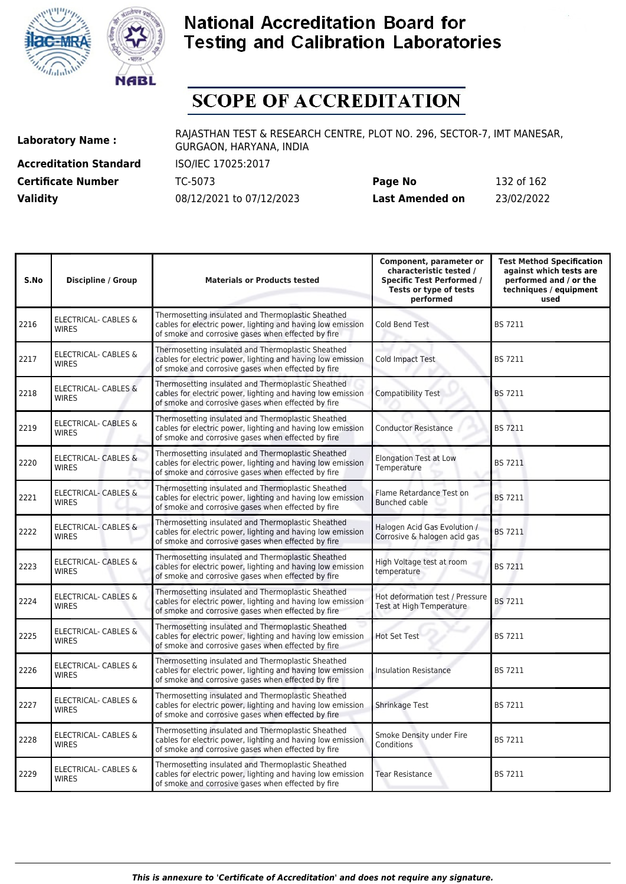



# **SCOPE OF ACCREDITATION**

**Accreditation Standard** ISO/IEC 17025:2017 **Certificate Number** TC-5073 **Validity** 08/12/2021 to 07/12/2023

| Page No         | 132 of 162 |
|-----------------|------------|
| Last Amended on | 23/02/2022 |

| S.No | <b>Discipline / Group</b>                       | <b>Materials or Products tested</b>                                                                                                                                     | Component, parameter or<br>characteristic tested /<br><b>Specific Test Performed /</b><br>Tests or type of tests<br>performed | <b>Test Method Specification</b><br>against which tests are<br>performed and / or the<br>techniques / equipment<br>used |
|------|-------------------------------------------------|-------------------------------------------------------------------------------------------------------------------------------------------------------------------------|-------------------------------------------------------------------------------------------------------------------------------|-------------------------------------------------------------------------------------------------------------------------|
| 2216 | <b>ELECTRICAL- CABLES &amp;</b><br><b>WIRES</b> | Thermosetting insulated and Thermoplastic Sheathed<br>cables for electric power, lighting and having low emission<br>of smoke and corrosive gases when effected by fire | Cold Bend Test                                                                                                                | <b>BS 7211</b>                                                                                                          |
| 2217 | <b>ELECTRICAL- CABLES &amp;</b><br><b>WIRES</b> | Thermosetting insulated and Thermoplastic Sheathed<br>cables for electric power, lighting and having low emission<br>of smoke and corrosive gases when effected by fire | Cold Impact Test                                                                                                              | <b>BS 7211</b>                                                                                                          |
| 2218 | <b>ELECTRICAL- CABLES &amp;</b><br><b>WIRES</b> | Thermosetting insulated and Thermoplastic Sheathed<br>cables for electric power, lighting and having low emission<br>of smoke and corrosive gases when effected by fire | <b>Compatibility Test</b>                                                                                                     | <b>BS 7211</b>                                                                                                          |
| 2219 | ELECTRICAL- CABLES &<br><b>WIRES</b>            | Thermosetting insulated and Thermoplastic Sheathed<br>cables for electric power, lighting and having low emission<br>of smoke and corrosive gases when effected by fire | <b>Conductor Resistance</b>                                                                                                   | <b>BS 7211</b>                                                                                                          |
| 2220 | ELECTRICAL- CABLES &<br><b>WIRES</b>            | Thermosetting insulated and Thermoplastic Sheathed<br>cables for electric power, lighting and having low emission<br>of smoke and corrosive gases when effected by fire | <b>Elongation Test at Low</b><br>Temperature                                                                                  | <b>BS 7211</b>                                                                                                          |
| 2221 | ELECTRICAL- CABLES &<br><b>WIRES</b>            | Thermosetting insulated and Thermoplastic Sheathed<br>cables for electric power, lighting and having low emission<br>of smoke and corrosive gases when effected by fire | Flame Retardance Test on<br><b>Bunched cable</b>                                                                              | <b>BS 7211</b>                                                                                                          |
| 2222 | <b>ELECTRICAL- CABLES &amp;</b><br><b>WIRES</b> | Thermosetting insulated and Thermoplastic Sheathed<br>cables for electric power, lighting and having low emission<br>of smoke and corrosive gases when effected by fire | Halogen Acid Gas Evolution /<br>Corrosive & halogen acid gas                                                                  | <b>BS 7211</b>                                                                                                          |
| 2223 | ELECTRICAL- CABLES &<br><b>WIRES</b>            | Thermosetting insulated and Thermoplastic Sheathed<br>cables for electric power, lighting and having low emission<br>of smoke and corrosive gases when effected by fire | High Voltage test at room<br>temperature                                                                                      | <b>BS 7211</b>                                                                                                          |
| 2224 | ELECTRICAL- CABLES &<br><b>WIRES</b>            | Thermosetting insulated and Thermoplastic Sheathed<br>cables for electric power, lighting and having low emission<br>of smoke and corrosive gases when effected by fire | Hot deformation test / Pressure<br>Test at High Temperature                                                                   | <b>BS 7211</b>                                                                                                          |
| 2225 | <b>ELECTRICAL- CABLES &amp;</b><br><b>WIRES</b> | Thermosetting insulated and Thermoplastic Sheathed<br>cables for electric power, lighting and having low emission<br>of smoke and corrosive gases when effected by fire | <b>Hot Set Test</b>                                                                                                           | <b>BS 7211</b>                                                                                                          |
| 2226 | ELECTRICAL- CABLES &<br><b>WIRES</b>            | Thermosetting insulated and Thermoplastic Sheathed<br>cables for electric power, lighting and having low emission<br>of smoke and corrosive gases when effected by fire | <b>Insulation Resistance</b>                                                                                                  | <b>BS 7211</b>                                                                                                          |
| 2227 | <b>ELECTRICAL- CABLES &amp;</b><br><b>WIRES</b> | Thermosetting insulated and Thermoplastic Sheathed<br>cables for electric power, lighting and having low emission<br>of smoke and corrosive gases when effected by fire | Shrinkage Test                                                                                                                | <b>BS 7211</b>                                                                                                          |
| 2228 | <b>ELECTRICAL- CABLES &amp;</b><br><b>WIRES</b> | Thermosetting insulated and Thermoplastic Sheathed<br>cables for electric power, lighting and having low emission<br>of smoke and corrosive gases when effected by fire | Smoke Density under Fire<br>Conditions                                                                                        | <b>BS 7211</b>                                                                                                          |
| 2229 | ELECTRICAL- CABLES &<br><b>WIRES</b>            | Thermosetting insulated and Thermoplastic Sheathed<br>cables for electric power, lighting and having low emission<br>of smoke and corrosive gases when effected by fire | <b>Tear Resistance</b>                                                                                                        | <b>BS 7211</b>                                                                                                          |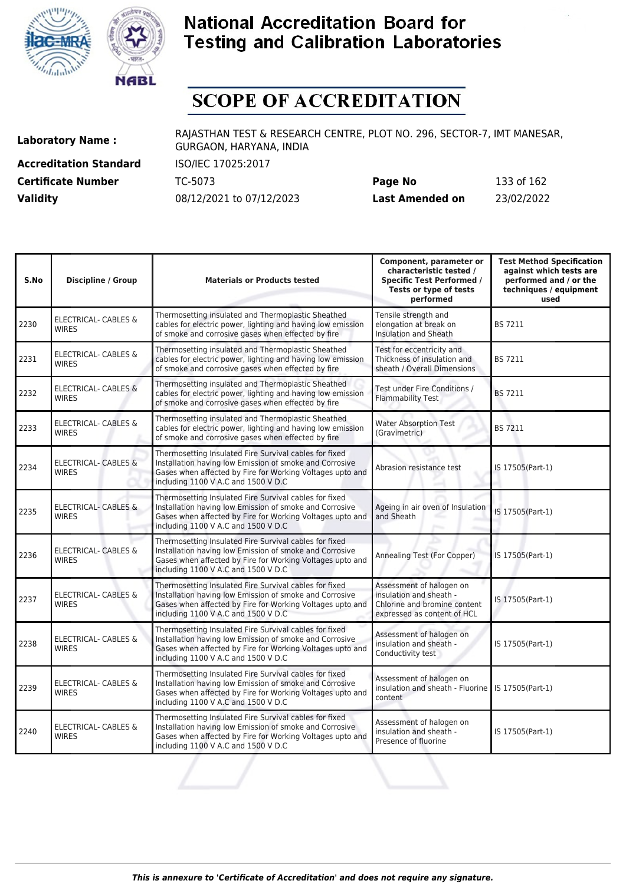



# **SCOPE OF ACCREDITATION**

**Accreditation Standard** ISO/IEC 17025:2017 **Certificate Number** TC-5073 **Validity** 08/12/2021 to 07/12/2023

| Page No         | 133 of 162 |
|-----------------|------------|
| Last Amended on | 23/02/2022 |

| S.No | <b>Discipline / Group</b>                       | <b>Materials or Products tested</b>                                                                                                                                                                                   | Component, parameter or<br>characteristic tested /<br><b>Specific Test Performed /</b><br>Tests or type of tests<br>performed | <b>Test Method Specification</b><br>against which tests are<br>performed and / or the<br>techniques / equipment<br>used |
|------|-------------------------------------------------|-----------------------------------------------------------------------------------------------------------------------------------------------------------------------------------------------------------------------|-------------------------------------------------------------------------------------------------------------------------------|-------------------------------------------------------------------------------------------------------------------------|
| 2230 | <b>ELECTRICAL- CABLES &amp;</b><br><b>WIRES</b> | Thermosetting insulated and Thermoplastic Sheathed<br>cables for electric power, lighting and having low emission<br>of smoke and corrosive gases when effected by fire                                               | Tensile strength and<br>elongation at break on<br>Insulation and Sheath                                                       | <b>BS 7211</b>                                                                                                          |
| 2231 | ELECTRICAL- CABLES &<br><b>WIRES</b>            | Thermosetting insulated and Thermoplastic Sheathed<br>cables for electric power, lighting and having low emission<br>of smoke and corrosive gases when effected by fire                                               | Test for eccentricity and<br>Thickness of insulation and<br>sheath / Overall Dimensions                                       | <b>BS 7211</b>                                                                                                          |
| 2232 | <b>ELECTRICAL- CABLES &amp;</b><br><b>WIRES</b> | Thermosetting insulated and Thermoplastic Sheathed<br>cables for electric power, lighting and having low emission<br>of smoke and corrosive gases when effected by fire                                               | Test under Fire Conditions /<br><b>Flammability Test</b>                                                                      | <b>BS 7211</b>                                                                                                          |
| 2233 | <b>ELECTRICAL- CABLES &amp;</b><br><b>WIRES</b> | Thermosetting insulated and Thermoplastic Sheathed<br>cables for electric power, lighting and having low emission<br>of smoke and corrosive gases when effected by fire                                               | <b>Water Absorption Test</b><br>(Gravimetric)                                                                                 | <b>BS 7211</b>                                                                                                          |
| 2234 | ELECTRICAL- CABLES &<br><b>WIRES</b>            | Thermosetting Insulated Fire Survival cables for fixed<br>Installation having low Emission of smoke and Corrosive<br>Gases when affected by Fire for Working Voltages upto and<br>including 1100 V A.C and 1500 V D.C | Abrasion resistance test                                                                                                      | IS 17505(Part-1)                                                                                                        |
| 2235 | <b>ELECTRICAL- CABLES &amp;</b><br><b>WIRES</b> | Thermosetting Insulated Fire Survival cables for fixed<br>Installation having low Emission of smoke and Corrosive<br>Gases when affected by Fire for Working Voltages upto and<br>including 1100 V A.C and 1500 V D.C | Ageing in air oven of Insulation<br>and Sheath                                                                                | IS 17505(Part-1)                                                                                                        |
| 2236 | <b>ELECTRICAL- CABLES &amp;</b><br><b>WIRES</b> | Thermosetting Insulated Fire Survival cables for fixed<br>Installation having low Emission of smoke and Corrosive<br>Gases when affected by Fire for Working Voltages upto and<br>including 1100 V A.C and 1500 V D.C | Annealing Test (For Copper)                                                                                                   | IS 17505(Part-1)                                                                                                        |
| 2237 | ELECTRICAL- CABLES &<br><b>WIRFS</b>            | Thermosetting Insulated Fire Survival cables for fixed<br>Installation having low Emission of smoke and Corrosive<br>Gases when affected by Fire for Working Voltages upto and<br>including 1100 V A.C and 1500 V D.C | Assessment of halogen on<br>insulation and sheath -<br>Chlorine and bromine content<br>expressed as content of HCL            | IS 17505(Part-1)                                                                                                        |
| 2238 | <b>ELECTRICAL- CABLES &amp;</b><br><b>WIRES</b> | Thermosetting Insulated Fire Survival cables for fixed<br>Installation having low Emission of smoke and Corrosive<br>Gases when affected by Fire for Working Voltages upto and<br>including 1100 V A.C and 1500 V D.C | Assessment of halogen on<br>insulation and sheath -<br>Conductivity test                                                      | IS 17505(Part-1)                                                                                                        |
| 2239 | <b>ELECTRICAL- CABLES &amp;</b><br><b>WIRES</b> | Thermosetting Insulated Fire Survival cables for fixed<br>Installation having low Emission of smoke and Corrosive<br>Gases when affected by Fire for Working Voltages upto and<br>including 1100 V A.C and 1500 V D.C | Assessment of halogen on<br>insulation and sheath - Fluorine   IS 17505(Part-1)<br>content                                    |                                                                                                                         |
| 2240 | <b>ELECTRICAL- CABLES &amp;</b><br><b>WIRES</b> | Thermosetting Insulated Fire Survival cables for fixed<br>Installation having low Emission of smoke and Corrosive<br>Gases when affected by Fire for Working Voltages upto and<br>including 1100 V A.C and 1500 V D.C | Assessment of halogen on<br>insulation and sheath -<br>Presence of fluorine                                                   | IS 17505(Part-1)                                                                                                        |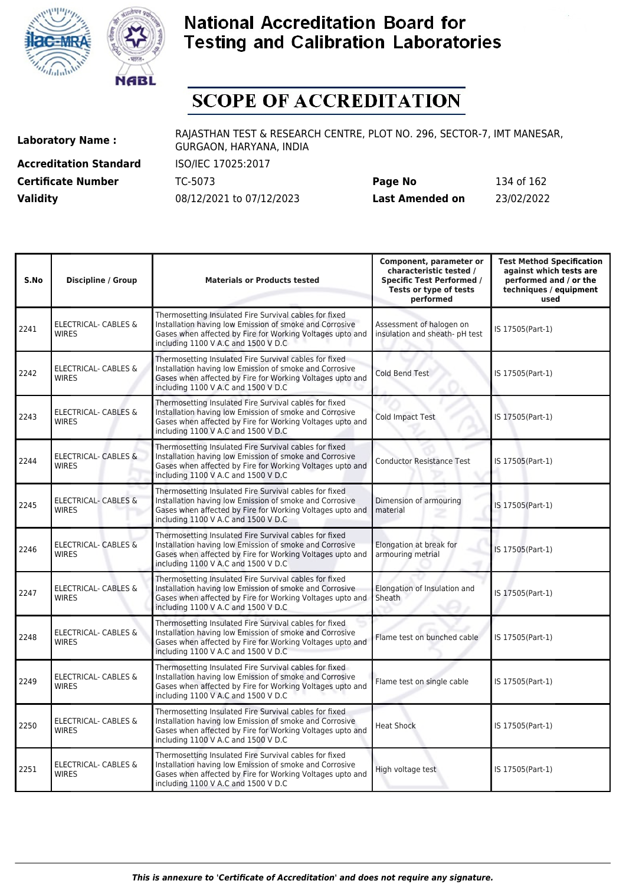



# **SCOPE OF ACCREDITATION**

**Accreditation Standard** ISO/IEC 17025:2017 **Certificate Number** TC-5073

| <b>Certificate Number</b> | TC-5073                  | Page No         | 134 of 162 |
|---------------------------|--------------------------|-----------------|------------|
| <b>Validity</b>           | 08/12/2021 to 07/12/2023 | Last Amended on | 23/02/2022 |

| S.No | <b>Discipline / Group</b>                       | <b>Materials or Products tested</b>                                                                                                                                                                                   | Component, parameter or<br>characteristic tested /<br><b>Specific Test Performed /</b><br>Tests or type of tests<br>performed | <b>Test Method Specification</b><br>against which tests are<br>performed and / or the<br>techniques / equipment<br>used |
|------|-------------------------------------------------|-----------------------------------------------------------------------------------------------------------------------------------------------------------------------------------------------------------------------|-------------------------------------------------------------------------------------------------------------------------------|-------------------------------------------------------------------------------------------------------------------------|
| 2241 | <b>ELECTRICAL- CABLES &amp;</b><br><b>WIRES</b> | Thermosetting Insulated Fire Survival cables for fixed<br>Installation having low Emission of smoke and Corrosive<br>Gases when affected by Fire for Working Voltages upto and<br>including 1100 V A.C and 1500 V D.C | Assessment of halogen on<br>insulation and sheath- pH test                                                                    | IS 17505(Part-1)                                                                                                        |
| 2242 | <b>ELECTRICAL- CABLES &amp;</b><br><b>WIRES</b> | Thermosetting Insulated Fire Survival cables for fixed<br>Installation having low Emission of smoke and Corrosive<br>Gases when affected by Fire for Working Voltages upto and<br>including 1100 V A.C and 1500 V D.C | Cold Bend Test                                                                                                                | IS 17505(Part-1)                                                                                                        |
| 2243 | ELECTRICAL- CABLES &<br><b>WIRES</b>            | Thermosetting Insulated Fire Survival cables for fixed<br>Installation having low Emission of smoke and Corrosive<br>Gases when affected by Fire for Working Voltages upto and<br>including 1100 V A.C and 1500 V D.C | Cold Impact Test                                                                                                              | IS 17505(Part-1)                                                                                                        |
| 2244 | ELECTRICAL- CABLES &<br><b>WIRES</b>            | Thermosetting Insulated Fire Survival cables for fixed<br>Installation having low Emission of smoke and Corrosive<br>Gases when affected by Fire for Working Voltages upto and<br>including 1100 V A.C and 1500 V D.C | <b>Conductor Resistance Test</b>                                                                                              | IS 17505(Part-1)                                                                                                        |
| 2245 | ELECTRICAL- CABLES &<br><b>WIRES</b>            | Thermosetting Insulated Fire Survival cables for fixed<br>Installation having low Emission of smoke and Corrosive<br>Gases when affected by Fire for Working Voltages upto and<br>including 1100 V A.C and 1500 V D.C | Dimension of armouring<br>material                                                                                            | IS 17505(Part-1)                                                                                                        |
| 2246 | <b>ELECTRICAL- CABLES &amp;</b><br><b>WIRES</b> | Thermosetting Insulated Fire Survival cables for fixed<br>Installation having low Emission of smoke and Corrosive<br>Gases when affected by Fire for Working Voltages upto and<br>including 1100 V A.C and 1500 V D.C | Elongation at break for<br>armouring metrial                                                                                  | IS 17505(Part-1)                                                                                                        |
| 2247 | <b>ELECTRICAL- CABLES &amp;</b><br><b>WIRES</b> | Thermosetting Insulated Fire Survival cables for fixed<br>Installation having low Emission of smoke and Corrosive<br>Gases when affected by Fire for Working Voltages upto and<br>including 1100 V A.C and 1500 V D.C | Elongation of Insulation and<br>Sheath                                                                                        | IS 17505(Part-1)                                                                                                        |
| 2248 | ELECTRICAL- CABLES &<br><b>WIRES</b>            | Thermosetting Insulated Fire Survival cables for fixed<br>Installation having low Emission of smoke and Corrosive<br>Gases when affected by Fire for Working Voltages upto and<br>including 1100 V A.C and 1500 V D.C | Flame test on bunched cable                                                                                                   | IS 17505(Part-1)                                                                                                        |
| 2249 | <b>ELECTRICAL- CABLES &amp;</b><br><b>WIRES</b> | Thermosetting Insulated Fire Survival cables for fixed<br>Installation having low Emission of smoke and Corrosive<br>Gases when affected by Fire for Working Voltages upto and<br>including 1100 V A.C and 1500 V D.C | Flame test on single cable                                                                                                    | IS 17505(Part-1)                                                                                                        |
| 2250 | ELECTRICAL- CABLES &<br><b>WIRES</b>            | Thermosetting Insulated Fire Survival cables for fixed<br>Installation having low Emission of smoke and Corrosive<br>Gases when affected by Fire for Working Voltages upto and<br>including 1100 V A.C and 1500 V D.C | <b>Heat Shock</b>                                                                                                             | IS 17505(Part-1)                                                                                                        |
| 2251 | <b>ELECTRICAL- CABLES &amp;</b><br><b>WIRES</b> | Thermosetting Insulated Fire Survival cables for fixed<br>Installation having low Emission of smoke and Corrosive<br>Gases when affected by Fire for Working Voltages upto and<br>including 1100 V A.C and 1500 V D.C | High voltage test                                                                                                             | IS 17505(Part-1)                                                                                                        |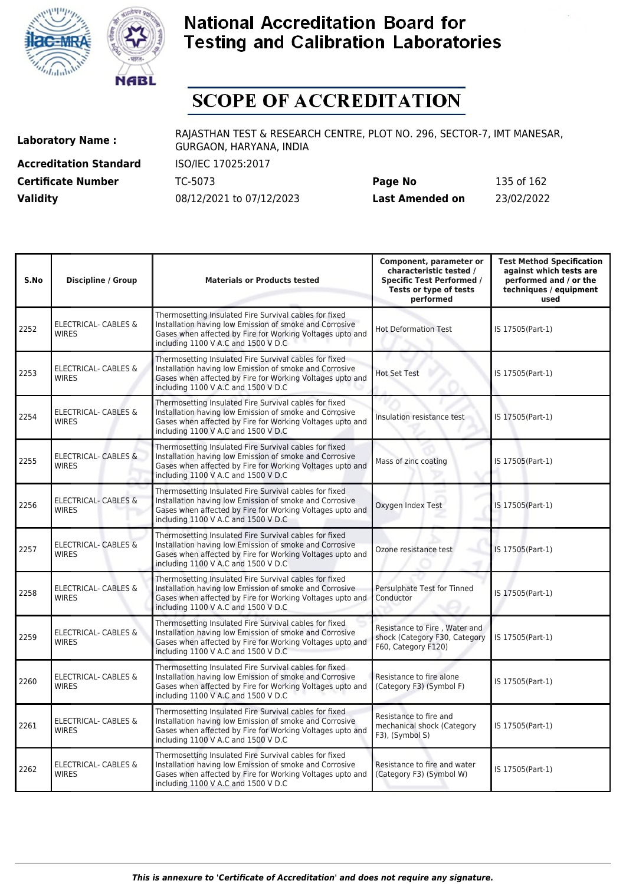



# **SCOPE OF ACCREDITATION**

**Accreditation Standard** ISO/IEC 17025:2017 **Certificate Number** TC-5073

| <b>Certificate Number</b> | TC-5073                  | Page No         | 135 of 162 |
|---------------------------|--------------------------|-----------------|------------|
| <b>Validity</b>           | 08/12/2021 to 07/12/2023 | Last Amended on | 23/02/2022 |

| S.No | <b>Discipline / Group</b>                       | <b>Materials or Products tested</b>                                                                                                                                                                                   | Component, parameter or<br>characteristic tested /<br><b>Specific Test Performed /</b><br>Tests or type of tests<br>performed | <b>Test Method Specification</b><br>against which tests are<br>performed and / or the<br>techniques / equipment<br>used |
|------|-------------------------------------------------|-----------------------------------------------------------------------------------------------------------------------------------------------------------------------------------------------------------------------|-------------------------------------------------------------------------------------------------------------------------------|-------------------------------------------------------------------------------------------------------------------------|
| 2252 | <b>ELECTRICAL- CABLES &amp;</b><br><b>WIRES</b> | Thermosetting Insulated Fire Survival cables for fixed<br>Installation having low Emission of smoke and Corrosive<br>Gases when affected by Fire for Working Voltages upto and<br>including 1100 V A.C and 1500 V D.C | <b>Hot Deformation Test</b>                                                                                                   | IS 17505(Part-1)                                                                                                        |
| 2253 | <b>ELECTRICAL- CABLES &amp;</b><br><b>WIRES</b> | Thermosetting Insulated Fire Survival cables for fixed<br>Installation having low Emission of smoke and Corrosive<br>Gases when affected by Fire for Working Voltages upto and<br>including 1100 V A.C and 1500 V D.C | <b>Hot Set Test</b>                                                                                                           | IS 17505(Part-1)                                                                                                        |
| 2254 | <b>ELECTRICAL- CABLES &amp;</b><br><b>WIRES</b> | Thermosetting Insulated Fire Survival cables for fixed<br>Installation having low Emission of smoke and Corrosive<br>Gases when affected by Fire for Working Voltages upto and<br>including 1100 V A.C and 1500 V D.C | Insulation resistance test                                                                                                    | IS 17505(Part-1)                                                                                                        |
| 2255 | <b>ELECTRICAL- CABLES &amp;</b><br><b>WIRES</b> | Thermosetting Insulated Fire Survival cables for fixed<br>Installation having low Emission of smoke and Corrosive<br>Gases when affected by Fire for Working Voltages upto and<br>including 1100 V A.C and 1500 V D.C | Mass of zinc coating                                                                                                          | IS 17505(Part-1)                                                                                                        |
| 2256 | <b>ELECTRICAL- CABLES &amp;</b><br><b>WIRES</b> | Thermosetting Insulated Fire Survival cables for fixed<br>Installation having low Emission of smoke and Corrosive<br>Gases when affected by Fire for Working Voltages upto and<br>including 1100 V A.C and 1500 V D.C | Oxygen Index Test                                                                                                             | IS 17505(Part-1)                                                                                                        |
| 2257 | <b>ELECTRICAL- CABLES &amp;</b><br><b>WIRES</b> | Thermosetting Insulated Fire Survival cables for fixed<br>Installation having low Emission of smoke and Corrosive<br>Gases when affected by Fire for Working Voltages upto and<br>including 1100 V A.C and 1500 V D.C | Ozone resistance test                                                                                                         | IS 17505(Part-1)                                                                                                        |
| 2258 | <b>ELECTRICAL- CABLES &amp;</b><br><b>WIRES</b> | Thermosetting Insulated Fire Survival cables for fixed<br>Installation having low Emission of smoke and Corrosive<br>Gases when affected by Fire for Working Voltages upto and<br>including 1100 V A.C and 1500 V D.C | Persulphate Test for Tinned<br>Conductor                                                                                      | IS 17505(Part-1)                                                                                                        |
| 2259 | <b>ELECTRICAL- CABLES &amp;</b><br><b>WIRES</b> | Thermosetting Insulated Fire Survival cables for fixed<br>Installation having low Emission of smoke and Corrosive<br>Gases when affected by Fire for Working Voltages upto and<br>including 1100 V A.C and 1500 V D.C | Resistance to Fire, Water and<br>shock (Category F30, Category<br>F60, Category F120)                                         | IS 17505(Part-1)                                                                                                        |
| 2260 | ELECTRICAL- CABLES &<br><b>WIRES</b>            | Thermosetting Insulated Fire Survival cables for fixed<br>Installation having low Emission of smoke and Corrosive<br>Gases when affected by Fire for Working Voltages upto and<br>including 1100 V A.C and 1500 V D.C | Resistance to fire alone<br>(Category F3) (Symbol F)                                                                          | IS 17505(Part-1)                                                                                                        |
| 2261 | <b>ELECTRICAL- CABLES &amp;</b><br><b>WIRES</b> | Thermosetting Insulated Fire Survival cables for fixed<br>Installation having low Emission of smoke and Corrosive<br>Gases when affected by Fire for Working Voltages upto and<br>including 1100 V A.C and 1500 V D.C | Resistance to fire and<br>mechanical shock (Category<br>F3), (Symbol S)                                                       | IS 17505(Part-1)                                                                                                        |
| 2262 | ELECTRICAL- CABLES &<br><b>WIRES</b>            | Thermosetting Insulated Fire Survival cables for fixed<br>Installation having low Emission of smoke and Corrosive<br>Gases when affected by Fire for Working Voltages upto and<br>including 1100 V A.C and 1500 V D.C | Resistance to fire and water<br>(Category F3) (Symbol W)                                                                      | IS 17505(Part-1)                                                                                                        |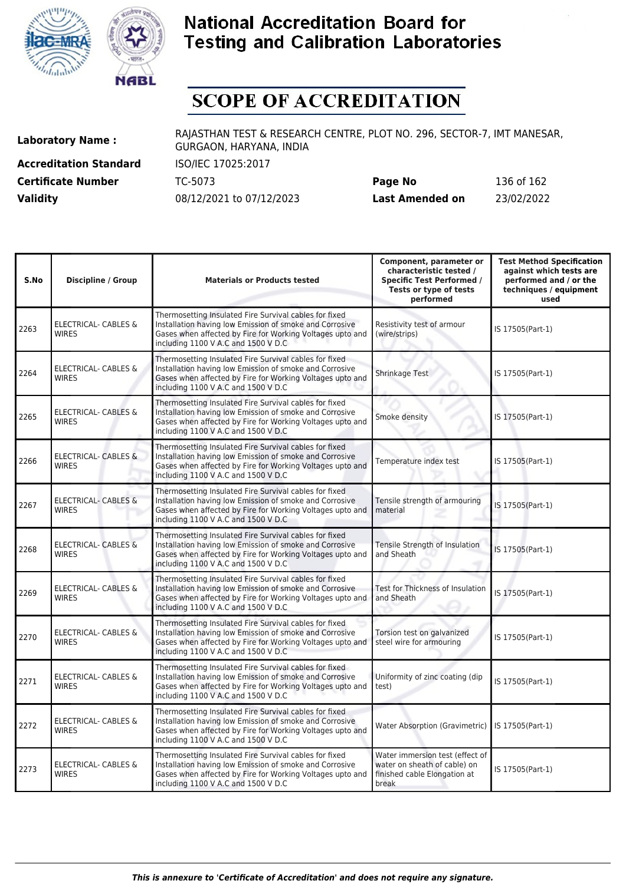



# **SCOPE OF ACCREDITATION**

**Accreditation Standard** ISO/IEC 17025:2017 **Certificate Number** TC-5073

| <b>Certificate Number</b> | TC-5073                  | Page No         | 136 of 162 |
|---------------------------|--------------------------|-----------------|------------|
| <b>Validity</b>           | 08/12/2021 to 07/12/2023 | Last Amended on | 23/02/2022 |

| S.No | <b>Discipline / Group</b>                       | <b>Materials or Products tested</b>                                                                                                                                                                                   | Component, parameter or<br>characteristic tested /<br><b>Specific Test Performed /</b><br>Tests or type of tests<br>performed | <b>Test Method Specification</b><br>against which tests are<br>performed and / or the<br>techniques / equipment<br>used |
|------|-------------------------------------------------|-----------------------------------------------------------------------------------------------------------------------------------------------------------------------------------------------------------------------|-------------------------------------------------------------------------------------------------------------------------------|-------------------------------------------------------------------------------------------------------------------------|
| 2263 | <b>ELECTRICAL- CABLES &amp;</b><br><b>WIRES</b> | Thermosetting Insulated Fire Survival cables for fixed<br>Installation having low Emission of smoke and Corrosive<br>Gases when affected by Fire for Working Voltages upto and<br>including 1100 V A.C and 1500 V D.C | Resistivity test of armour<br>(wire/strips)                                                                                   | IS 17505(Part-1)                                                                                                        |
| 2264 | <b>ELECTRICAL- CABLES &amp;</b><br><b>WIRES</b> | Thermosetting Insulated Fire Survival cables for fixed<br>Installation having low Emission of smoke and Corrosive<br>Gases when affected by Fire for Working Voltages upto and<br>including 1100 V A.C and 1500 V D.C | Shrinkage Test                                                                                                                | IS 17505(Part-1)                                                                                                        |
| 2265 | <b>ELECTRICAL- CABLES &amp;</b><br><b>WIRES</b> | Thermosetting Insulated Fire Survival cables for fixed<br>Installation having low Emission of smoke and Corrosive<br>Gases when affected by Fire for Working Voltages upto and<br>including 1100 V A.C and 1500 V D.C | Smoke density                                                                                                                 | IS 17505(Part-1)                                                                                                        |
| 2266 | <b>ELECTRICAL- CABLES &amp;</b><br><b>WIRES</b> | Thermosetting Insulated Fire Survival cables for fixed<br>Installation having low Emission of smoke and Corrosive<br>Gases when affected by Fire for Working Voltages upto and<br>including 1100 V A.C and 1500 V D.C | Temperature index test                                                                                                        | IS 17505(Part-1)                                                                                                        |
| 2267 | <b>ELECTRICAL- CABLES &amp;</b><br><b>WIRES</b> | Thermosetting Insulated Fire Survival cables for fixed<br>Installation having low Emission of smoke and Corrosive<br>Gases when affected by Fire for Working Voltages upto and<br>including 1100 V A.C and 1500 V D.C | Tensile strength of armouring<br>material                                                                                     | IS 17505(Part-1)                                                                                                        |
| 2268 | <b>ELECTRICAL- CABLES &amp;</b><br><b>WIRES</b> | Thermosetting Insulated Fire Survival cables for fixed<br>Installation having low Emission of smoke and Corrosive<br>Gases when affected by Fire for Working Voltages upto and<br>including 1100 V A.C and 1500 V D.C | Tensile Strength of Insulation<br>and Sheath                                                                                  | IS 17505(Part-1)                                                                                                        |
| 2269 | ELECTRICAL- CABLES &<br><b>WIRES</b>            | Thermosetting Insulated Fire Survival cables for fixed<br>Installation having low Emission of smoke and Corrosive<br>Gases when affected by Fire for Working Voltages upto and<br>including 1100 V A.C and 1500 V D.C | Test for Thickness of Insulation<br>and Sheath                                                                                | IS 17505(Part-1)                                                                                                        |
| 2270 | <b>ELECTRICAL- CABLES &amp;</b><br><b>WIRES</b> | Thermosetting Insulated Fire Survival cables for fixed<br>Installation having low Emission of smoke and Corrosive<br>Gases when affected by Fire for Working Voltages upto and<br>including 1100 V A.C and 1500 V D.C | Torsion test on galvanized<br>steel wire for armouring                                                                        | IS 17505(Part-1)                                                                                                        |
| 2271 | ELECTRICAL- CABLES &<br><b>WIRES</b>            | Thermosetting Insulated Fire Survival cables for fixed<br>Installation having low Emission of smoke and Corrosive<br>Gases when affected by Fire for Working Voltages upto and<br>including 1100 V A.C and 1500 V D.C | Uniformity of zinc coating (dip<br>test)                                                                                      | IS 17505(Part-1)                                                                                                        |
| 2272 | ELECTRICAL- CABLES &<br><b>WIRES</b>            | Thermosetting Insulated Fire Survival cables for fixed<br>Installation having low Emission of smoke and Corrosive<br>Gases when affected by Fire for Working Voltages upto and<br>including 1100 V A.C and 1500 V D.C | <b>Water Absorption (Gravimetric)</b>                                                                                         | IS 17505(Part-1)                                                                                                        |
| 2273 | ELECTRICAL- CABLES &<br><b>WIRES</b>            | Thermosetting Insulated Fire Survival cables for fixed<br>Installation having low Emission of smoke and Corrosive<br>Gases when affected by Fire for Working Voltages upto and<br>including 1100 V A.C and 1500 V D.C | Water immersion test (effect of<br>water on sheath of cable) on<br>finished cable Elongation at<br>break                      | IS 17505(Part-1)                                                                                                        |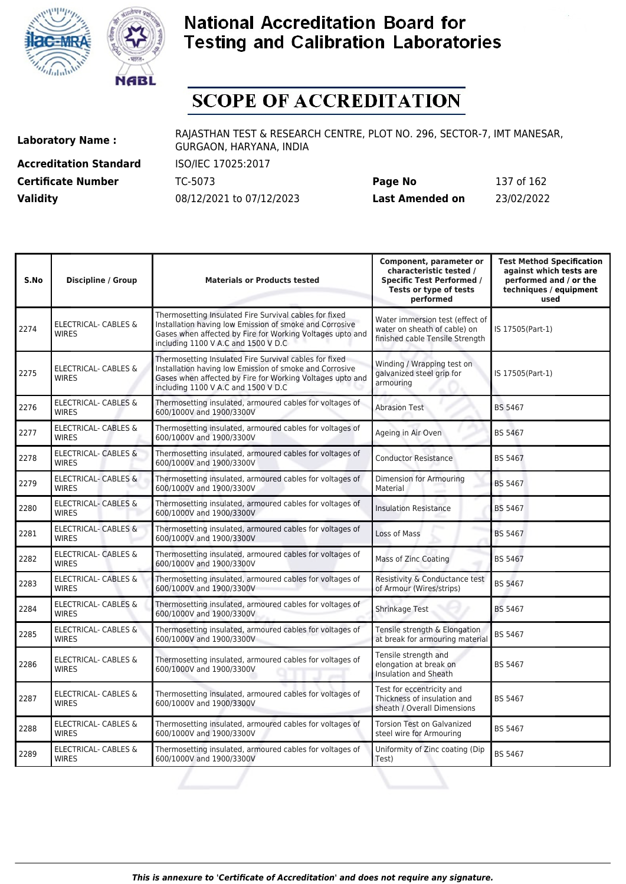



# **SCOPE OF ACCREDITATION**

**Accreditation Standard** ISO/IEC 17025:2017 **Certificate Number** TC-5073

| <b>Certificate Number</b> | TC-5073                  | Page No         | 137 of 162 |
|---------------------------|--------------------------|-----------------|------------|
| <b>Validity</b>           | 08/12/2021 to 07/12/2023 | Last Amended on | 23/02/2022 |

| S.No | <b>Discipline / Group</b>                       | <b>Materials or Products tested</b>                                                                                                                                                                                   | Component, parameter or<br>characteristic tested /<br><b>Specific Test Performed /</b><br>Tests or type of tests<br>performed | <b>Test Method Specification</b><br>against which tests are<br>performed and / or the<br>techniques / equipment<br>used |
|------|-------------------------------------------------|-----------------------------------------------------------------------------------------------------------------------------------------------------------------------------------------------------------------------|-------------------------------------------------------------------------------------------------------------------------------|-------------------------------------------------------------------------------------------------------------------------|
| 2274 | <b>ELECTRICAL- CABLES &amp;</b><br><b>WIRES</b> | Thermosetting Insulated Fire Survival cables for fixed<br>Installation having low Emission of smoke and Corrosive<br>Gases when affected by Fire for Working Voltages upto and<br>including 1100 V A.C and 1500 V D.C | Water immersion test (effect of<br>water on sheath of cable) on<br>finished cable Tensile Strength                            | IS 17505(Part-1)                                                                                                        |
| 2275 | ELECTRICAL- CABLES &<br><b>WIRES</b>            | Thermosetting Insulated Fire Survival cables for fixed<br>Installation having low Emission of smoke and Corrosive<br>Gases when affected by Fire for Working Voltages upto and<br>including 1100 V A.C and 1500 V D.C | Winding / Wrapping test on<br>galvanized steel grip for<br>armouring                                                          | IS 17505(Part-1)                                                                                                        |
| 2276 | ELECTRICAL- CABLES &<br><b>WIRES</b>            | Thermosetting insulated, armoured cables for voltages of<br>600/1000V and 1900/3300V                                                                                                                                  | <b>Abrasion Test</b>                                                                                                          | <b>BS 5467</b>                                                                                                          |
| 2277 | ELECTRICAL- CABLES &<br><b>WIRES</b>            | Thermosetting insulated, armoured cables for voltages of<br>600/1000V and 1900/3300V                                                                                                                                  | Ageing in Air Oven                                                                                                            | <b>BS 5467</b>                                                                                                          |
| 2278 | <b>ELECTRICAL- CABLES &amp;</b><br><b>WIRES</b> | Thermosetting insulated, armoured cables for voltages of<br>600/1000V and 1900/3300V                                                                                                                                  | <b>Conductor Resistance</b>                                                                                                   | BS 5467                                                                                                                 |
| 2279 | <b>ELECTRICAL- CABLES &amp;</b><br><b>WIRES</b> | Thermosetting insulated, armoured cables for voltages of<br>600/1000V and 1900/3300V                                                                                                                                  | Dimension for Armouring<br>Material                                                                                           | <b>BS 5467</b>                                                                                                          |
| 2280 | <b>ELECTRICAL- CABLES &amp;</b><br><b>WIRES</b> | Thermosetting insulated, armoured cables for voltages of<br>600/1000V and 1900/3300V                                                                                                                                  | <b>Insulation Resistance</b>                                                                                                  | <b>BS 5467</b>                                                                                                          |
| 2281 | <b>ELECTRICAL- CABLES &amp;</b><br><b>WIRES</b> | Thermosetting insulated, armoured cables for voltages of<br>600/1000V and 1900/3300V                                                                                                                                  | Loss of Mass                                                                                                                  | <b>BS 5467</b>                                                                                                          |
| 2282 | <b>ELECTRICAL- CABLES &amp;</b><br><b>WIRES</b> | Thermosetting insulated, armoured cables for voltages of<br>600/1000V and 1900/3300V                                                                                                                                  | Mass of Zinc Coating                                                                                                          | <b>BS 5467</b>                                                                                                          |
| 2283 | ELECTRICAL- CABLES &<br><b>WIRFS</b>            | Thermosetting insulated, armoured cables for voltages of<br>600/1000V and 1900/3300V                                                                                                                                  | Resistivity & Conductance test<br>of Armour (Wires/strips)                                                                    | <b>BS 5467</b>                                                                                                          |
| 2284 | ELECTRICAL- CABLES &<br><b>WIRES</b>            | Thermosetting insulated, armoured cables for voltages of<br>600/1000V and 1900/3300V                                                                                                                                  | Shrinkage Test                                                                                                                | <b>BS 5467</b>                                                                                                          |
| 2285 | <b>ELECTRICAL- CABLES &amp;</b><br><b>WIRES</b> | Thermosetting insulated, armoured cables for voltages of<br>600/1000V and 1900/3300V                                                                                                                                  | Tensile strength & Elongation<br>at break for armouring material                                                              | BS 5467                                                                                                                 |
| 2286 | ELECTRICAL- CABLES &<br><b>WIRES</b>            | Thermosetting insulated, armoured cables for voltages of<br>600/1000V and 1900/3300V                                                                                                                                  | Tensile strength and<br>elongation at break on<br>Insulation and Sheath                                                       | BS 5467                                                                                                                 |
| 2287 | <b>ELECTRICAL- CABLES &amp;</b><br><b>WIRES</b> | Thermosetting insulated, armoured cables for voltages of<br>600/1000V and 1900/3300V                                                                                                                                  | Test for eccentricity and<br>Thickness of insulation and<br>sheath / Overall Dimensions                                       | <b>BS 5467</b>                                                                                                          |
| 2288 | ELECTRICAL- CABLES &<br><b>WIRES</b>            | Thermosetting insulated, armoured cables for voltages of<br>600/1000V and 1900/3300V                                                                                                                                  | <b>Torsion Test on Galvanized</b><br>steel wire for Armouring                                                                 | BS 5467                                                                                                                 |
| 2289 | ELECTRICAL- CABLES &<br><b>WIRES</b>            | Thermosetting insulated, armoured cables for voltages of<br>600/1000V and 1900/3300V                                                                                                                                  | Uniformity of Zinc coating (Dip<br>Test)                                                                                      | <b>BS 5467</b>                                                                                                          |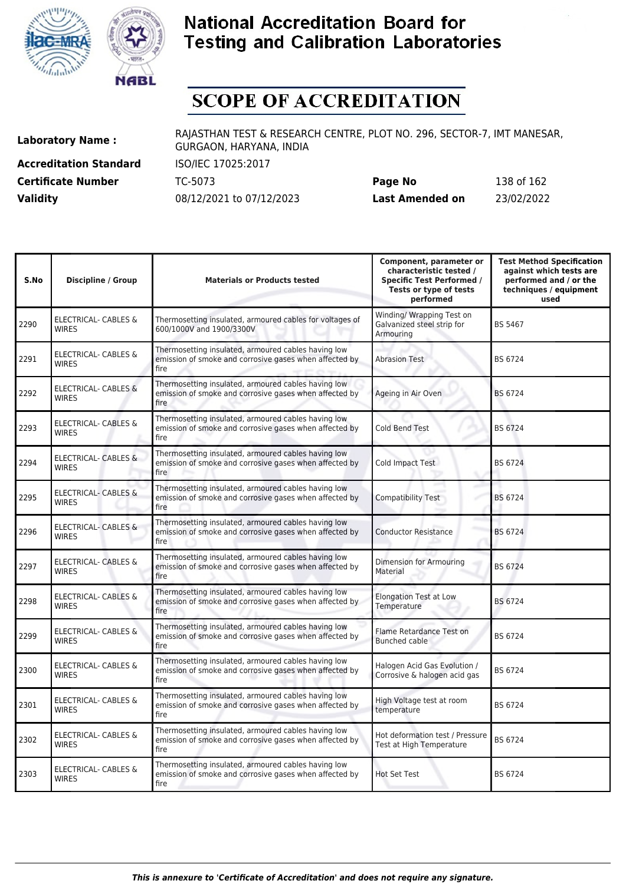



# **SCOPE OF ACCREDITATION**

**Accreditation Standard** ISO/IEC 17025:2017 **Certificate Number** TC-5073 **Validity** 08/12/2021 to 07/12/2023

| Page No         | 138 of 162 |
|-----------------|------------|
| Last Amended on | 23/02/2022 |

| S.No | <b>Discipline / Group</b>                       | <b>Materials or Products tested</b>                                                                                   | Component, parameter or<br>characteristic tested /<br><b>Specific Test Performed /</b><br>Tests or type of tests<br>performed | <b>Test Method Specification</b><br>against which tests are<br>performed and / or the<br>techniques / equipment<br>used |
|------|-------------------------------------------------|-----------------------------------------------------------------------------------------------------------------------|-------------------------------------------------------------------------------------------------------------------------------|-------------------------------------------------------------------------------------------------------------------------|
| 2290 | <b>ELECTRICAL- CABLES &amp;</b><br><b>WIRES</b> | Thermosetting insulated, armoured cables for voltages of<br>600/1000V and 1900/3300V                                  | Winding/ Wrapping Test on<br>Galvanized steel strip for<br>Armouring                                                          | <b>BS 5467</b>                                                                                                          |
| 2291 | ELECTRICAL- CABLES &<br><b>WIRES</b>            | Thermosetting insulated, armoured cables having low<br>emission of smoke and corrosive gases when affected by<br>fire | <b>Abrasion Test</b>                                                                                                          | BS 6724                                                                                                                 |
| 2292 | ELECTRICAL- CABLES &<br><b>WIRES</b>            | Thermosetting insulated, armoured cables having low<br>emission of smoke and corrosive gases when affected by<br>fire | Ageing in Air Oven                                                                                                            | <b>BS 6724</b>                                                                                                          |
| 2293 | <b>ELECTRICAL- CABLES &amp;</b><br><b>WIRES</b> | Thermosetting insulated, armoured cables having low<br>emission of smoke and corrosive gases when affected by<br>fire | <b>Cold Bend Test</b>                                                                                                         | BS 6724                                                                                                                 |
| 2294 | ELECTRICAL- CABLES &<br><b>WIRES</b>            | Thermosetting insulated, armoured cables having low<br>emission of smoke and corrosive gases when affected by<br>fire | Cold Impact Test                                                                                                              | BS 6724                                                                                                                 |
| 2295 | ELECTRICAL- CABLES &<br><b>WIRES</b>            | Thermosetting insulated, armoured cables having low<br>emission of smoke and corrosive gases when affected by<br>fire | <b>Compatibility Test</b><br>s                                                                                                | BS 6724                                                                                                                 |
| 2296 | <b>ELECTRICAL- CABLES &amp;</b><br><b>WIRES</b> | Thermosetting insulated, armoured cables having low<br>emission of smoke and corrosive gases when affected by<br>fire | <b>Conductor Resistance</b>                                                                                                   | <b>BS 6724</b>                                                                                                          |
| 2297 | ELECTRICAL- CABLES &<br><b>WIRES</b>            | Thermosetting insulated, armoured cables having low<br>emission of smoke and corrosive gases when affected by<br>fire | Dimension for Armouring<br>Material                                                                                           | BS 6724                                                                                                                 |
| 2298 | ELECTRICAL- CABLES &<br><b>WIRES</b>            | Thermosetting insulated, armoured cables having low<br>emission of smoke and corrosive gases when affected by<br>fire | <b>Elongation Test at Low</b><br>Temperature                                                                                  | BS 6724                                                                                                                 |
| 2299 | <b>ELECTRICAL- CABLES &amp;</b><br><b>WIRES</b> | Thermosetting insulated, armoured cables having low<br>emission of smoke and corrosive gases when affected by<br>fire | Flame Retardance Test on<br><b>Bunched cable</b>                                                                              | BS 6724                                                                                                                 |
| 2300 | ELECTRICAL- CABLES &<br><b>WIRES</b>            | Thermosetting insulated, armoured cables having low<br>emission of smoke and corrosive gases when affected by<br>fire | Halogen Acid Gas Evolution /<br>Corrosive & halogen acid gas                                                                  | BS 6724                                                                                                                 |
| 2301 | <b>ELECTRICAL- CABLES &amp;</b><br><b>WIRES</b> | Thermosetting insulated, armoured cables having low<br>emission of smoke and corrosive gases when affected by<br>fire | High Voltage test at room<br>temperature                                                                                      | BS 6724                                                                                                                 |
| 2302 | ELECTRICAL- CABLES &<br><b>WIRES</b>            | Thermosetting insulated, armoured cables having low<br>emission of smoke and corrosive gases when affected by<br>fire | Hot deformation test / Pressure<br>Test at High Temperature                                                                   | BS 6724                                                                                                                 |
| 2303 | ELECTRICAL- CABLES &<br><b>WIRES</b>            | Thermosetting insulated, armoured cables having low<br>emission of smoke and corrosive gases when affected by<br>fire | <b>Hot Set Test</b>                                                                                                           | BS 6724                                                                                                                 |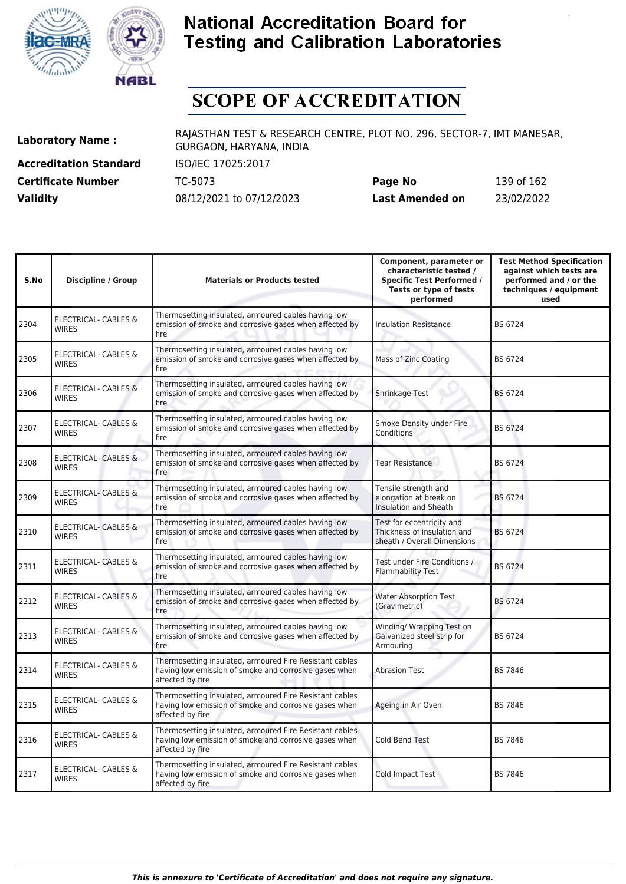



# **SCOPE OF ACCREDITATION**

**Accreditation Standard** ISO/IEC 17025:2017 **Certificate Number** TC-5073 **Validity** 08/12/2021 to 07/12/2023

| Page No         | 139 of 162 |
|-----------------|------------|
| Last Amended on | 23/02/2022 |

| S.No | <b>Discipline / Group</b>                       | <b>Materials or Products tested</b>                                                                                                  | Component, parameter or<br>characteristic tested /<br><b>Specific Test Performed /</b><br>Tests or type of tests<br>performed | <b>Test Method Specification</b><br>against which tests are<br>performed and / or the<br>techniques / equipment<br>used |
|------|-------------------------------------------------|--------------------------------------------------------------------------------------------------------------------------------------|-------------------------------------------------------------------------------------------------------------------------------|-------------------------------------------------------------------------------------------------------------------------|
| 2304 | <b>ELECTRICAL- CABLES &amp;</b><br><b>WIRES</b> | Thermosetting insulated, armoured cables having low<br>emission of smoke and corrosive gases when affected by<br>fire                | <b>Insulation Resistance</b>                                                                                                  | BS 6724                                                                                                                 |
| 2305 | ELECTRICAL- CABLES &<br><b>WIRES</b>            | Thermosetting insulated, armoured cables having low<br>emission of smoke and corrosive gases when affected by<br>fire                | Mass of Zinc Coating                                                                                                          | BS 6724                                                                                                                 |
| 2306 | <b>ELECTRICAL- CABLES &amp;</b><br><b>WIRES</b> | Thermosetting insulated, armoured cables having low<br>emission of smoke and corrosive gases when affected by<br>fire                | Shrinkage Test                                                                                                                | <b>BS 6724</b>                                                                                                          |
| 2307 | ELECTRICAL- CABLES &<br><b>WIRES</b>            | Thermosetting insulated, armoured cables having low<br>emission of smoke and corrosive gases when affected by<br>fire                | Smoke Density under Fire<br>Conditions                                                                                        | BS 6724                                                                                                                 |
| 2308 | ELECTRICAL- CABLES &<br><b>WIRES</b>            | Thermosetting insulated, armoured cables having low<br>emission of smoke and corrosive gases when affected by<br>fire                | Tear Resistance                                                                                                               | BS 6724                                                                                                                 |
| 2309 | <b>ELECTRICAL- CABLES &amp;</b><br><b>WIRES</b> | Thermosetting insulated, armoured cables having low<br>emission of smoke and corrosive gases when affected by<br>fire                | Tensile strength and<br>elongation at break on<br>Insulation and Sheath                                                       | BS 6724                                                                                                                 |
| 2310 | <b>ELECTRICAL- CABLES &amp;</b><br><b>WIRES</b> | Thermosetting insulated, armoured cables having low<br>emission of smoke and corrosive gases when affected by<br>fire                | Test for eccentricity and<br>Thickness of insulation and<br>sheath / Overall Dimensions                                       | <b>BS 6724</b>                                                                                                          |
| 2311 | <b>ELECTRICAL- CABLES &amp;</b><br><b>WIRES</b> | Thermosetting insulated, armoured cables having low<br>emission of smoke and corrosive gases when affected by<br>fire                | Test under Fire Conditions /<br><b>Flammability Test</b>                                                                      | <b>BS 6724</b>                                                                                                          |
| 2312 | ELECTRICAL- CABLES &<br><b>WIRES</b>            | Thermosetting insulated, armoured cables having low<br>emission of smoke and corrosive gases when affected by<br>fire                | <b>Water Absorption Test</b><br>(Gravimetric)                                                                                 | <b>BS 6724</b>                                                                                                          |
| 2313 | ELECTRICAL- CABLES &<br><b>WIRES</b>            | Thermosetting insulated, armoured cables having low<br>emission of smoke and corrosive gases when affected by<br>fire                | Winding/ Wrapping Test on<br>Galvanized steel strip for<br>Armouring                                                          | BS 6724                                                                                                                 |
| 2314 | ELECTRICAL- CABLES &<br><b>WIRES</b>            | Thermosetting insulated, armoured Fire Resistant cables<br>having low emission of smoke and corrosive gases when<br>affected by fire | <b>Abrasion Test</b>                                                                                                          | <b>BS 7846</b>                                                                                                          |
| 2315 | ELECTRICAL- CABLES &<br><b>WIRES</b>            | Thermosetting insulated, armoured Fire Resistant cables<br>having low emission of smoke and corrosive gases when<br>affected by fire | Ageing in Alr Oven                                                                                                            | <b>BS 7846</b>                                                                                                          |
| 2316 | ELECTRICAL- CABLES &<br><b>WIRES</b>            | Thermosetting insulated, armoured Fire Resistant cables<br>having low emission of smoke and corrosive gases when<br>affected by fire | Cold Bend Test                                                                                                                | <b>BS 7846</b>                                                                                                          |
| 2317 | ELECTRICAL- CABLES &<br><b>WIRES</b>            | Thermosetting insulated, armoured Fire Resistant cables<br>having low emission of smoke and corrosive gases when<br>affected by fire | <b>Cold Impact Test</b>                                                                                                       | <b>BS 7846</b>                                                                                                          |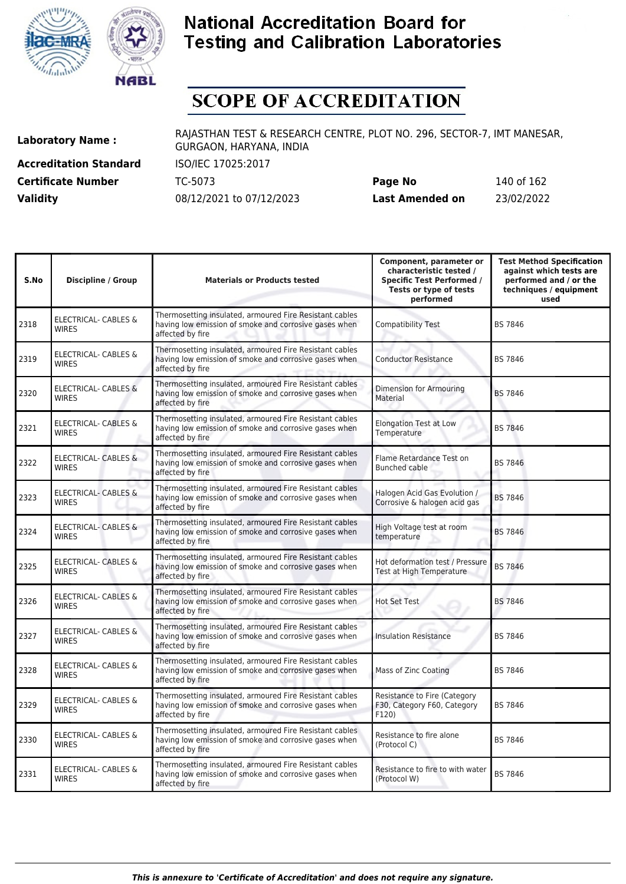



# **SCOPE OF ACCREDITATION**

**Accreditation Standard** ISO/IEC 17025:2017 **Certificate Number** TC-5073 **Validity** 08/12/2021 to 07/12/2023

| Page No         | 140 of 162 |
|-----------------|------------|
| Last Amended on | 23/02/2022 |

| S.No | <b>Discipline / Group</b>                       | <b>Materials or Products tested</b>                                                                                                  | Component, parameter or<br>characteristic tested /<br><b>Specific Test Performed /</b><br>Tests or type of tests<br>performed | <b>Test Method Specification</b><br>against which tests are<br>performed and / or the<br>techniques / equipment<br>used |
|------|-------------------------------------------------|--------------------------------------------------------------------------------------------------------------------------------------|-------------------------------------------------------------------------------------------------------------------------------|-------------------------------------------------------------------------------------------------------------------------|
| 2318 | ELECTRICAL- CABLES &<br><b>WIRES</b>            | Thermosetting insulated, armoured Fire Resistant cables<br>having low emission of smoke and corrosive gases when<br>affected by fire | <b>Compatibility Test</b>                                                                                                     | BS 7846                                                                                                                 |
| 2319 | <b>ELECTRICAL- CABLES &amp;</b><br><b>WIRES</b> | Thermosetting insulated, armoured Fire Resistant cables<br>having low emission of smoke and corrosive gases when<br>affected by fire | <b>Conductor Resistance</b>                                                                                                   | <b>BS 7846</b>                                                                                                          |
| 2320 | ELECTRICAL- CABLES &<br><b>WIRES</b>            | Thermosetting insulated, armoured Fire Resistant cables<br>having low emission of smoke and corrosive gases when<br>affected by fire | Dimension for Armouring<br>Material                                                                                           | <b>BS 7846</b>                                                                                                          |
| 2321 | <b>ELECTRICAL- CABLES &amp;</b><br><b>WIRES</b> | Thermosetting insulated, armoured Fire Resistant cables<br>having low emission of smoke and corrosive gases when<br>affected by fire | <b>Elongation Test at Low</b><br>Temperature                                                                                  | <b>BS 7846</b>                                                                                                          |
| 2322 | <b>ELECTRICAL- CABLES &amp;</b><br><b>WIRES</b> | Thermosetting insulated, armoured Fire Resistant cables<br>having low emission of smoke and corrosive gases when<br>affected by fire | Flame Retardance Test on<br>Bunched cable                                                                                     | <b>BS 7846</b>                                                                                                          |
| 2323 | ELECTRICAL- CABLES &<br><b>WIRES</b>            | Thermosetting insulated, armoured Fire Resistant cables<br>having low emission of smoke and corrosive gases when<br>affected by fire | Halogen Acid Gas Evolution /<br>Corrosive & halogen acid gas                                                                  | <b>BS 7846</b>                                                                                                          |
| 2324 | <b>ELECTRICAL- CABLES &amp;</b><br><b>WIRES</b> | Thermosetting insulated, armoured Fire Resistant cables<br>having low emission of smoke and corrosive gases when<br>affected by fire | High Voltage test at room<br>temperature                                                                                      | <b>BS 7846</b>                                                                                                          |
| 2325 | ELECTRICAL- CABLES &<br><b>WIRES</b>            | Thermosetting insulated, armoured Fire Resistant cables<br>having low emission of smoke and corrosive gases when<br>affected by fire | Hot deformation test / Pressure<br>Test at High Temperature                                                                   | <b>BS 7846</b>                                                                                                          |
| 2326 | ELECTRICAL- CABLES &<br><b>WIRES</b>            | Thermosetting insulated, armoured Fire Resistant cables<br>having low emission of smoke and corrosive gases when<br>affected by fire | <b>Hot Set Test</b>                                                                                                           | <b>BS 7846</b>                                                                                                          |
| 2327 | <b>ELECTRICAL- CABLES &amp;</b><br><b>WIRES</b> | Thermosetting insulated, armoured Fire Resistant cables<br>having low emission of smoke and corrosive gases when<br>affected by fire | <b>Insulation Resistance</b>                                                                                                  | BS 7846                                                                                                                 |
| 2328 | ELECTRICAL- CABLES &<br><b>WIRFS</b>            | Thermosetting insulated, armoured Fire Resistant cables<br>having low emission of smoke and corrosive gases when<br>affected by fire | Mass of Zinc Coating                                                                                                          | <b>BS 7846</b>                                                                                                          |
| 2329 | <b>ELECTRICAL- CABLES &amp;</b><br><b>WIRES</b> | Thermosetting insulated, armoured Fire Resistant cables<br>having low emission of smoke and corrosive gases when<br>affected by fire | Resistance to Fire (Category<br>F30, Category F60, Category<br>F120                                                           | <b>BS 7846</b>                                                                                                          |
| 2330 | ELECTRICAL- CABLES &<br><b>WIRES</b>            | Thermosetting insulated, armoured Fire Resistant cables<br>having low emission of smoke and corrosive gases when<br>affected by fire | Resistance to fire alone<br>(Protocol C)                                                                                      | <b>BS 7846</b>                                                                                                          |
| 2331 | ELECTRICAL- CABLES &<br><b>WIRES</b>            | Thermosetting insulated, armoured Fire Resistant cables<br>having low emission of smoke and corrosive gases when<br>affected by fire | Resistance to fire to with water<br>(Protocol W)                                                                              | BS 7846                                                                                                                 |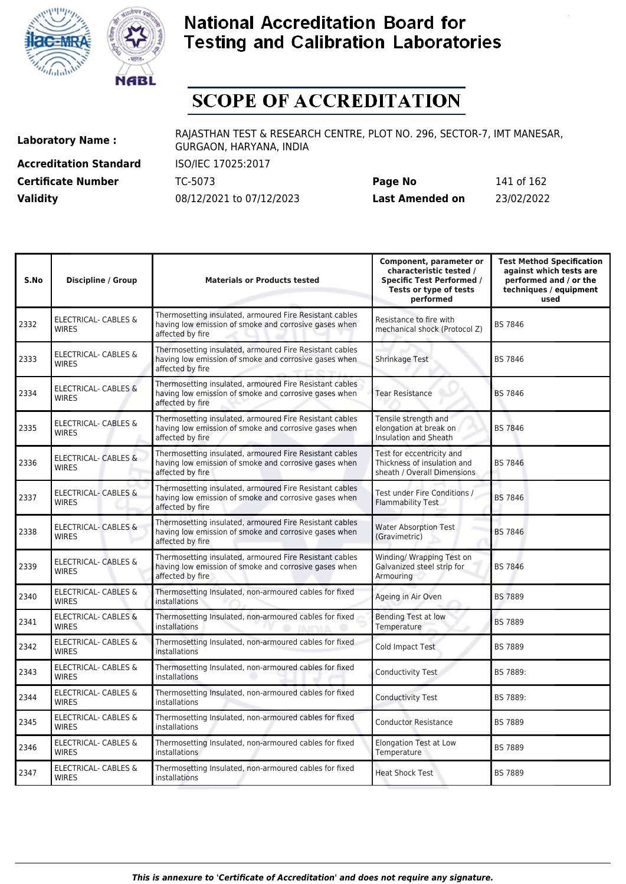



# **SCOPE OF ACCREDITATION**

**Accreditation Standard** ISO/IEC 17025:2017 **Certificate Number** TC-5073 **Validity** 08/12/2021 to 07/12/2023

| Page No         | 141 of 162 |
|-----------------|------------|
| Last Amended on | 23/02/2022 |

| S.No | <b>Discipline / Group</b>                       | <b>Materials or Products tested</b>                                                                                                  | Component, parameter or<br>characteristic tested /<br><b>Specific Test Performed /</b><br>Tests or type of tests<br>performed | <b>Test Method Specification</b><br>against which tests are<br>performed and / or the<br>techniques / equipment<br>used |
|------|-------------------------------------------------|--------------------------------------------------------------------------------------------------------------------------------------|-------------------------------------------------------------------------------------------------------------------------------|-------------------------------------------------------------------------------------------------------------------------|
| 2332 | <b>ELECTRICAL- CABLES &amp;</b><br><b>WIRES</b> | Thermosetting insulated, armoured Fire Resistant cables<br>having low emission of smoke and corrosive gases when<br>affected by fire | Resistance to fire with<br>mechanical shock (Protocol Z)                                                                      | <b>BS 7846</b>                                                                                                          |
| 2333 | <b>ELECTRICAL- CABLES &amp;</b><br><b>WIRES</b> | Thermosetting insulated, armoured Fire Resistant cables<br>having low emission of smoke and corrosive gases when<br>affected by fire | Shrinkage Test                                                                                                                | <b>BS 7846</b>                                                                                                          |
| 2334 | <b>ELECTRICAL- CABLES &amp;</b><br><b>WIRES</b> | Thermosetting insulated, armoured Fire Resistant cables<br>having low emission of smoke and corrosive gases when<br>affected by fire | <b>Tear Resistance</b>                                                                                                        | <b>BS 7846</b>                                                                                                          |
| 2335 | <b>ELECTRICAL- CABLES &amp;</b><br><b>WIRES</b> | Thermosetting insulated, armoured Fire Resistant cables<br>having low emission of smoke and corrosive gases when<br>affected by fire | Tensile strength and<br>elongation at break on<br><b>Insulation and Sheath</b>                                                | <b>BS 7846</b>                                                                                                          |
| 2336 | <b>ELECTRICAL- CABLES &amp;</b><br><b>WIRES</b> | Thermosetting insulated, armoured Fire Resistant cables<br>having low emission of smoke and corrosive gases when<br>affected by fire | Test for eccentricity and<br>Thickness of insulation and<br>sheath / Overall Dimensions                                       | <b>BS 7846</b>                                                                                                          |
| 2337 | ELECTRICAL- CABLES &<br><b>WIRES</b>            | Thermosetting insulated, armoured Fire Resistant cables<br>having low emission of smoke and corrosive gases when<br>affected by fire | Test under Fire Conditions /<br><b>Flammability Test</b>                                                                      | <b>BS 7846</b>                                                                                                          |
| 2338 | <b>ELECTRICAL- CABLES &amp;</b><br><b>WIRES</b> | Thermosetting insulated, armoured Fire Resistant cables<br>having low emission of smoke and corrosive gases when<br>affected by fire | <b>Water Absorption Test</b><br>(Gravimetric)                                                                                 | <b>BS 7846</b>                                                                                                          |
| 2339 | ELECTRICAL- CABLES &<br><b>WIRES</b>            | Thermosetting insulated, armoured Fire Resistant cables<br>having low emission of smoke and corrosive gases when<br>affected by fire | Winding/ Wrapping Test on<br>Galvanized steel strip for<br>Armouring                                                          | <b>BS 7846</b>                                                                                                          |
| 2340 | <b>ELECTRICAL- CABLES &amp;</b><br><b>WIRES</b> | Thermosetting Insulated, non-armoured cables for fixed<br>installations                                                              | Ageing in Air Oven                                                                                                            | <b>BS 7889</b>                                                                                                          |
| 2341 | <b>ELECTRICAL- CABLES &amp;</b><br><b>WIRES</b> | Thermosetting Insulated, non-armoured cables for fixed<br>installations                                                              | <b>Bending Test at low</b><br>Temperature                                                                                     | <b>BS 7889</b>                                                                                                          |
| 2342 | <b>ELECTRICAL- CABLES &amp;</b><br><b>WIRES</b> | Thermosetting Insulated, non-armoured cables for fixed<br>installations                                                              | Cold Impact Test                                                                                                              | <b>BS 7889</b>                                                                                                          |
| 2343 | <b>ELECTRICAL- CABLES &amp;</b><br><b>WIRES</b> | Thermosetting Insulated, non-armoured cables for fixed<br>installations                                                              | Conductivity Test                                                                                                             | BS 7889:                                                                                                                |
| 2344 | ELECTRICAL- CABLES &<br><b>WIRES</b>            | Thermosetting Insulated, non-armoured cables for fixed<br>installations                                                              | <b>Conductivity Test</b>                                                                                                      | BS 7889:                                                                                                                |
| 2345 | <b>ELECTRICAL- CABLES &amp;</b><br><b>WIRES</b> | Thermosetting Insulated, non-armoured cables for fixed<br>installations                                                              | <b>Conductor Resistance</b>                                                                                                   | <b>BS 7889</b>                                                                                                          |
| 2346 | ELECTRICAL- CABLES &<br><b>WIRES</b>            | Thermosetting Insulated, non-armoured cables for fixed<br>installations                                                              | <b>Elongation Test at Low</b><br>Temperature                                                                                  | <b>BS 7889</b>                                                                                                          |
| 2347 | ELECTRICAL- CABLES &<br><b>WIRES</b>            | Thermosetting Insulated, non-armoured cables for fixed<br>installations                                                              | <b>Heat Shock Test</b>                                                                                                        | <b>BS 7889</b>                                                                                                          |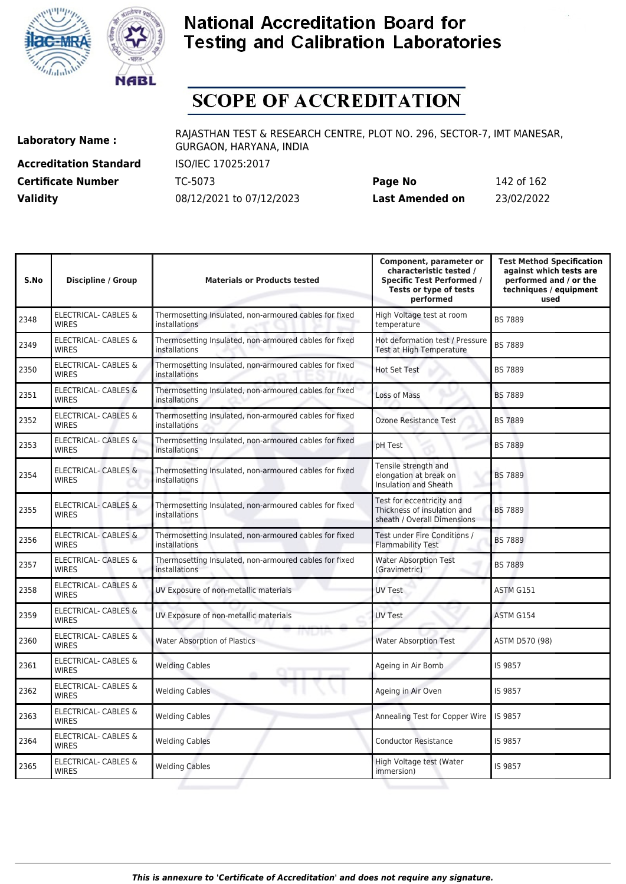



# **SCOPE OF ACCREDITATION**

**Accreditation Standard** ISO/IEC 17025:2017 **Certificate Number** TC-5073

| <b>Certificate Number</b> | TC-5073                  | Page No         | 142 of 162 |
|---------------------------|--------------------------|-----------------|------------|
| <b>Validity</b>           | 08/12/2021 to 07/12/2023 | Last Amended on | 23/02/2022 |

| S.No | <b>Discipline / Group</b>                       | <b>Materials or Products tested</b>                                     | Component, parameter or<br>characteristic tested /<br><b>Specific Test Performed /</b><br>Tests or type of tests<br>performed | <b>Test Method Specification</b><br>against which tests are<br>performed and / or the<br>techniques / equipment<br>used |
|------|-------------------------------------------------|-------------------------------------------------------------------------|-------------------------------------------------------------------------------------------------------------------------------|-------------------------------------------------------------------------------------------------------------------------|
| 2348 | ELECTRICAL- CABLES &<br><b>WIRES</b>            | Thermosetting Insulated, non-armoured cables for fixed<br>installations | High Voltage test at room<br>temperature                                                                                      | <b>BS 7889</b>                                                                                                          |
| 2349 | ELECTRICAL- CABLES &<br><b>WIRES</b>            | Thermosetting Insulated, non-armoured cables for fixed<br>installations | Hot deformation test / Pressure<br>Test at High Temperature                                                                   | <b>BS 7889</b>                                                                                                          |
| 2350 | <b>ELECTRICAL- CABLES &amp;</b><br><b>WIRES</b> | Thermosetting Insulated, non-armoured cables for fixed<br>installations | <b>Hot Set Test</b>                                                                                                           | <b>BS 7889</b>                                                                                                          |
| 2351 | <b>ELECTRICAL- CABLES &amp;</b><br><b>WIRES</b> | Thermosetting Insulated, non-armoured cables for fixed<br>installations | Loss of Mass                                                                                                                  | <b>BS 7889</b>                                                                                                          |
| 2352 | ELECTRICAL- CABLES &<br><b>WIRES</b>            | Thermosetting Insulated, non-armoured cables for fixed<br>installations | Ozone Resistance Test                                                                                                         | <b>BS 7889</b>                                                                                                          |
| 2353 | ELECTRICAL- CABLES &<br><b>WIRES</b>            | Thermosetting Insulated, non-armoured cables for fixed<br>installations | pH Test                                                                                                                       | <b>BS 7889</b>                                                                                                          |
| 2354 | <b>ELECTRICAL- CABLES &amp;</b><br><b>WIRES</b> | Thermosetting Insulated, non-armoured cables for fixed<br>installations | Tensile strength and<br>elongation at break on<br>Insulation and Sheath                                                       | <b>BS 7889</b>                                                                                                          |
| 2355 | ELECTRICAL- CABLES &<br><b>WIRES</b>            | Thermosetting Insulated, non-armoured cables for fixed<br>installations | Test for eccentricity and<br>Thickness of insulation and<br>sheath / Overall Dimensions                                       | <b>BS 7889</b>                                                                                                          |
| 2356 | <b>ELECTRICAL- CABLES &amp;</b><br><b>WIRES</b> | Thermosetting Insulated, non-armoured cables for fixed<br>installations | Test under Fire Conditions /<br><b>Flammability Test</b>                                                                      | <b>BS 7889</b>                                                                                                          |
| 2357 | ELECTRICAL- CABLES &<br><b>WIRES</b>            | Thermosetting Insulated, non-armoured cables for fixed<br>installations | <b>Water Absorption Test</b><br>(Gravimetric)                                                                                 | <b>BS 7889</b>                                                                                                          |
| 2358 | <b>ELECTRICAL- CABLES &amp;</b><br><b>WIRES</b> | UV Exposure of non-metallic materials                                   | <b>UV Test</b>                                                                                                                | ASTM G151                                                                                                               |
| 2359 | ELECTRICAL- CABLES &<br><b>WIRES</b>            | UV Exposure of non-metallic materials                                   | <b>UV Test</b>                                                                                                                | ASTM G154                                                                                                               |
| 2360 | <b>ELECTRICAL- CABLES &amp;</b><br><b>WIRES</b> | טיש ח<br>Water Absorption of Plastics                                   | <b>Water Absorption Test</b>                                                                                                  | ASTM D570 (98)                                                                                                          |
| 2361 | ELECTRICAL- CABLES &<br><b>WIRES</b>            | <b>Welding Cables</b><br>om                                             | Ageing in Air Bomb                                                                                                            | IS 9857                                                                                                                 |
| 2362 | ELECTRICAL- CABLES &<br><b>WIRES</b>            | <b>Welding Cables</b>                                                   | Ageing in Air Oven                                                                                                            | IS 9857                                                                                                                 |
| 2363 | ELECTRICAL- CABLES &<br><b>WIRES</b>            | <b>Welding Cables</b>                                                   | Annealing Test for Copper Wire                                                                                                | IS 9857                                                                                                                 |
| 2364 | ELECTRICAL- CABLES &<br><b>WIRES</b>            | <b>Welding Cables</b>                                                   | <b>Conductor Resistance</b>                                                                                                   | IS 9857                                                                                                                 |
| 2365 | ELECTRICAL- CABLES &<br><b>WIRES</b>            | <b>Welding Cables</b>                                                   | High Voltage test (Water<br>immersion)                                                                                        | IS 9857                                                                                                                 |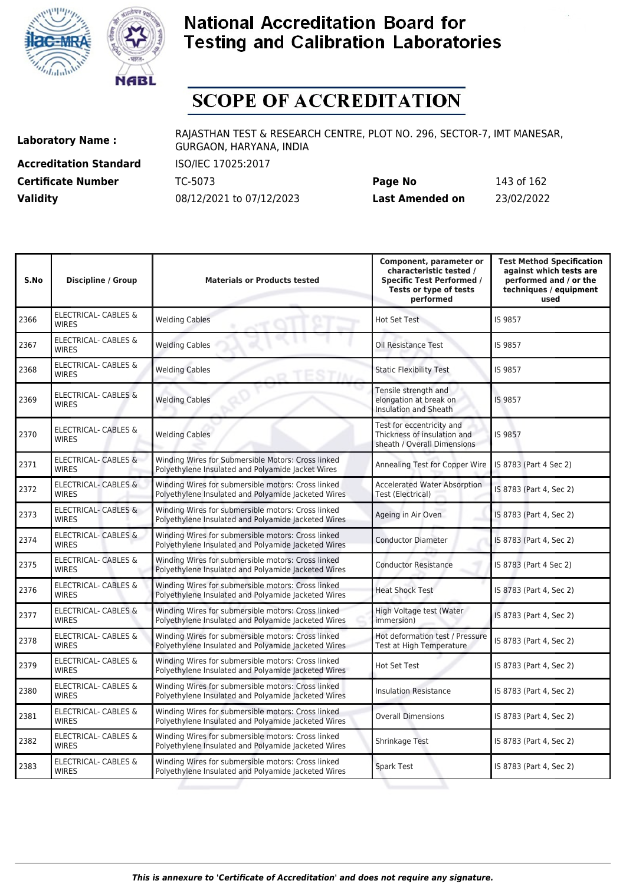



# **SCOPE OF ACCREDITATION**

**Accreditation Standard** ISO/IEC 17025:2017 **Certificate Number** TC-5073

| <b>Certificate Number</b> | TC-5073                  | Page No         | 143 of 162 |
|---------------------------|--------------------------|-----------------|------------|
| <b>Validity</b>           | 08/12/2021 to 07/12/2023 | Last Amended on | 23/02/2022 |

| S.No | <b>Discipline / Group</b>                       | <b>Materials or Products tested</b>                                                                       | Component, parameter or<br>characteristic tested /<br><b>Specific Test Performed /</b><br>Tests or type of tests<br>performed | <b>Test Method Specification</b><br>against which tests are<br>performed and / or the<br>techniques / equipment<br>used |
|------|-------------------------------------------------|-----------------------------------------------------------------------------------------------------------|-------------------------------------------------------------------------------------------------------------------------------|-------------------------------------------------------------------------------------------------------------------------|
| 2366 | <b>ELECTRICAL- CABLES &amp;</b><br><b>WIRES</b> | <b>Welding Cables</b>                                                                                     | <b>Hot Set Test</b>                                                                                                           | IS 9857                                                                                                                 |
| 2367 | <b>ELECTRICAL- CABLES &amp;</b><br><b>WIRES</b> | <b>Welding Cables</b>                                                                                     | Oil Resistance Test                                                                                                           | IS 9857                                                                                                                 |
| 2368 | <b>ELECTRICAL- CABLES &amp;</b><br><b>WIRES</b> | <b>Welding Cables</b>                                                                                     | <b>Static Flexibility Test</b>                                                                                                | IS 9857                                                                                                                 |
| 2369 | <b>ELECTRICAL- CABLES &amp;</b><br><b>WIRES</b> | <b>Welding Cables</b>                                                                                     | Tensile strength and<br>elongation at break on<br><b>Insulation and Sheath</b>                                                | IS 9857                                                                                                                 |
| 2370 | ELECTRICAL- CABLES &<br><b>WIRES</b>            | <b>Welding Cables</b>                                                                                     | Test for eccentricity and<br>Thickness of insulation and<br>sheath / Overall Dimensions                                       | IS 9857                                                                                                                 |
| 2371 | <b>ELECTRICAL- CABLES &amp;</b><br><b>WIRES</b> | Winding Wires for Submersible Motors: Cross linked<br>Polyethylene Insulated and Polyamide Jacket Wires   | Annealing Test for Copper Wire                                                                                                | IS 8783 (Part 4 Sec 2)                                                                                                  |
| 2372 | <b>ELECTRICAL- CABLES &amp;</b><br><b>WIRES</b> | Winding Wires for submersible motors: Cross linked<br>Polyethylene Insulated and Polyamide Jacketed Wires | <b>Accelerated Water Absorption</b><br>Test (Electrical)                                                                      | IS 8783 (Part 4, Sec 2)                                                                                                 |
| 2373 | ELECTRICAL- CABLES &<br><b>WIRES</b>            | Winding Wires for submersible motors: Cross linked<br>Polyethylene Insulated and Polyamide Jacketed Wires | Ageing in Air Oven                                                                                                            | IS 8783 (Part 4, Sec 2)                                                                                                 |
| 2374 | <b>ELECTRICAL- CABLES &amp;</b><br><b>WIRES</b> | Winding Wires for submersible motors: Cross linked<br>Polyethylene Insulated and Polyamide Jacketed Wires | <b>Conductor Diameter</b>                                                                                                     | IS 8783 (Part 4, Sec 2)                                                                                                 |
| 2375 | <b>ELECTRICAL- CABLES &amp;</b><br><b>WIRES</b> | Winding Wires for submersible motors: Cross linked<br>Polyethylene Insulated and Polyamide Jacketed Wires | <b>Conductor Resistance</b>                                                                                                   | IS 8783 (Part 4 Sec 2)                                                                                                  |
| 2376 | ELECTRICAL- CABLES &<br><b>WIRES</b>            | Winding Wires for submersible motors: Cross linked<br>Polyethylene Insulated and Polyamide Jacketed Wires | <b>Heat Shock Test</b>                                                                                                        | IS 8783 (Part 4, Sec 2)                                                                                                 |
| 2377 | <b>ELECTRICAL- CABLES &amp;</b><br><b>WIRES</b> | Winding Wires for submersible motors: Cross linked<br>Polyethylene Insulated and Polyamide Jacketed Wires | High Voltage test (Water<br>immersion)                                                                                        | IS 8783 (Part 4, Sec 2)                                                                                                 |
| 2378 | ELECTRICAL- CABLES &<br><b>WIRES</b>            | Winding Wires for submersible motors: Cross linked<br>Polyethylene Insulated and Polyamide Jacketed Wires | Hot deformation test / Pressure<br>Test at High Temperature                                                                   | IS 8783 (Part 4, Sec 2)                                                                                                 |
| 2379 | ELECTRICAL- CABLES &<br><b>WIRES</b>            | Winding Wires for submersible motors: Cross linked<br>Polyethylene Insulated and Polyamide Jacketed Wires | <b>Hot Set Test</b>                                                                                                           | IS 8783 (Part 4, Sec 2)                                                                                                 |
| 2380 | ELECTRICAL- CABLES &<br><b>WIRES</b>            | Winding Wires for submersible motors: Cross linked<br>Polvethylene Insulated and Polvamide Jacketed Wires | <b>Insulation Resistance</b>                                                                                                  | IS 8783 (Part 4, Sec 2)                                                                                                 |
| 2381 | <b>ELECTRICAL- CABLES &amp;</b><br><b>WIRES</b> | Winding Wires for submersible motors: Cross linked<br>Polyethylene Insulated and Polyamide Jacketed Wires | <b>Overall Dimensions</b>                                                                                                     | IS 8783 (Part 4, Sec 2)                                                                                                 |
| 2382 | ELECTRICAL- CABLES &<br><b>WIRES</b>            | Winding Wires for submersible motors: Cross linked<br>Polyethylene Insulated and Polyamide Jacketed Wires | Shrinkage Test                                                                                                                | IS 8783 (Part 4, Sec 2)                                                                                                 |
| 2383 | <b>ELECTRICAL- CABLES &amp;</b><br><b>WIRES</b> | Winding Wires for submersible motors: Cross linked<br>Polyethylene Insulated and Polyamide Jacketed Wires | <b>Spark Test</b>                                                                                                             | IS 8783 (Part 4, Sec 2)                                                                                                 |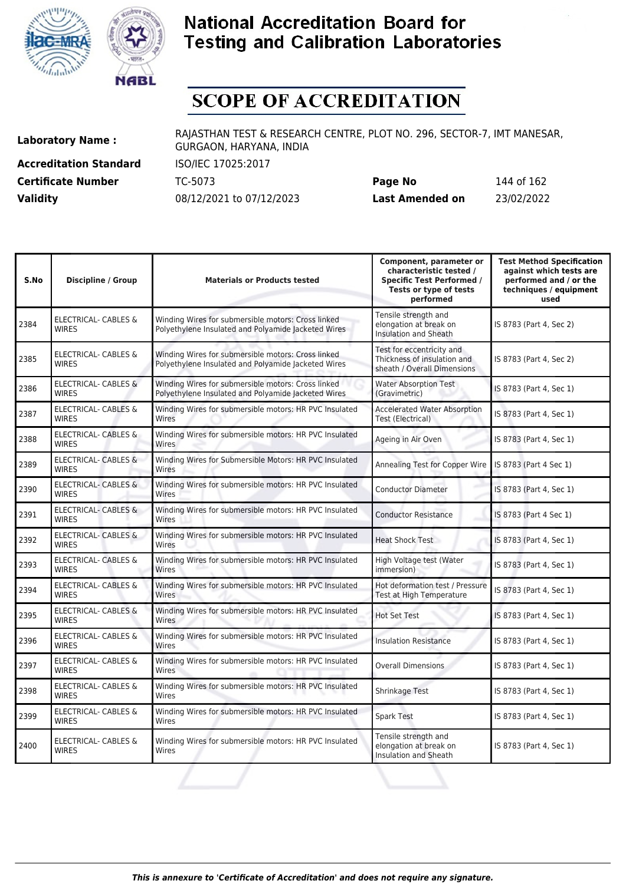



# **SCOPE OF ACCREDITATION**

**Accreditation Standard** ISO/IEC 17025:2017 **Certificate Number** TC-5073

| <b>Certificate Number</b> | TC-5073                  | Page No         | 144 of 162 |
|---------------------------|--------------------------|-----------------|------------|
| <b>Validity</b>           | 08/12/2021 to 07/12/2023 | Last Amended on | 23/02/2022 |

| S.No | <b>Discipline / Group</b>                       | <b>Materials or Products tested</b>                                                                       | Component, parameter or<br>characteristic tested /<br><b>Specific Test Performed /</b><br>Tests or type of tests<br>performed | <b>Test Method Specification</b><br>against which tests are<br>performed and / or the<br>techniques / equipment<br>used |
|------|-------------------------------------------------|-----------------------------------------------------------------------------------------------------------|-------------------------------------------------------------------------------------------------------------------------------|-------------------------------------------------------------------------------------------------------------------------|
| 2384 | <b>ELECTRICAL- CABLES &amp;</b><br><b>WIRES</b> | Winding Wires for submersible motors: Cross linked<br>Polyethylene Insulated and Polyamide Jacketed Wires | Tensile strength and<br>elongation at break on<br><b>Insulation and Sheath</b>                                                | IS 8783 (Part 4, Sec 2)                                                                                                 |
| 2385 | <b>ELECTRICAL- CABLES &amp;</b><br><b>WIRES</b> | Winding Wires for submersible motors: Cross linked<br>Polyethylene Insulated and Polyamide Jacketed Wires | Test for eccentricity and<br>Thickness of insulation and<br>sheath / Overall Dimensions                                       | IS 8783 (Part 4, Sec 2)                                                                                                 |
| 2386 | ELECTRICAL- CABLES &<br><b>WIRES</b>            | Winding Wires for submersible motors: Cross linked<br>Polyethylene Insulated and Polyamide Jacketed Wires | <b>Water Absorption Test</b><br>(Gravimetric)                                                                                 | IS 8783 (Part 4, Sec 1)                                                                                                 |
| 2387 | <b>ELECTRICAL- CABLES &amp;</b><br><b>WIRES</b> | Winding Wires for submersible motors: HR PVC Insulated<br>Wires                                           | <b>Accelerated Water Absorption</b><br>Test (Electrical)                                                                      | IS 8783 (Part 4, Sec 1)                                                                                                 |
| 2388 | ELECTRICAL- CABLES &<br><b>WIRES</b>            | Winding Wires for submersible motors: HR PVC Insulated<br>Wires                                           | Ageing in Air Oven                                                                                                            | IS 8783 (Part 4, Sec 1)                                                                                                 |
| 2389 | <b>ELECTRICAL- CABLES &amp;</b><br><b>WIRES</b> | Winding Wires for Submersible Motors: HR PVC Insulated<br>Wires                                           | Annealing Test for Copper Wire                                                                                                | IS 8783 (Part 4 Sec 1)                                                                                                  |
| 2390 | <b>ELECTRICAL- CABLES &amp;</b><br><b>WIRES</b> | Winding Wires for submersible motors: HR PVC Insulated<br>Wires                                           | <b>Conductor Diameter</b>                                                                                                     | IS 8783 (Part 4, Sec 1)                                                                                                 |
| 2391 | <b>ELECTRICAL- CABLES &amp;</b><br><b>WIRES</b> | Winding Wires for submersible motors: HR PVC Insulated<br>Wires                                           | <b>Conductor Resistance</b>                                                                                                   | IS 8783 (Part 4 Sec 1)                                                                                                  |
| 2392 | <b>ELECTRICAL- CABLES &amp;</b><br><b>WIRES</b> | Winding Wires for submersible motors: HR PVC Insulated<br>Wires                                           | <b>Heat Shock Test</b>                                                                                                        | IS 8783 (Part 4, Sec 1)                                                                                                 |
| 2393 | ELECTRICAL- CABLES &<br><b>WIRES</b>            | Winding Wires for submersible motors: HR PVC Insulated<br>Wires                                           | High Voltage test (Water<br>immersion)                                                                                        | IS 8783 (Part 4, Sec 1)                                                                                                 |
| 2394 | ELECTRICAL- CABLES &<br><b>WIRES</b>            | Winding Wires for submersible motors: HR PVC Insulated<br>Wires                                           | Hot deformation test / Pressure<br>Test at High Temperature                                                                   | IS 8783 (Part 4, Sec 1)                                                                                                 |
| 2395 | <b>ELECTRICAL- CABLES &amp;</b><br><b>WIRES</b> | Winding Wires for submersible motors: HR PVC Insulated<br>Wires                                           | <b>Hot Set Test</b>                                                                                                           | IS 8783 (Part 4, Sec 1)                                                                                                 |
| 2396 | ELECTRICAL- CABLES &<br><b>WIRES</b>            | Winding Wires for submersible motors: HR PVC Insulated<br>Wires                                           | <b>Insulation Resistance</b>                                                                                                  | IS 8783 (Part 4, Sec 1)                                                                                                 |
| 2397 | <b>ELECTRICAL- CABLES &amp;</b><br><b>WIRFS</b> | Winding Wires for submersible motors: HR PVC Insulated<br>Wires                                           | Overall Dimensions                                                                                                            | IS 8783 (Part 4, Sec 1)                                                                                                 |
| 2398 | ELECTRICAL- CABLES &<br><b>WIRES</b>            | Winding Wires for submersible motors: HR PVC Insulated<br>Wires                                           | Shrinkage Test                                                                                                                | IS 8783 (Part 4, Sec 1)                                                                                                 |
| 2399 | ELECTRICAL- CABLES &<br><b>WIRES</b>            | Winding Wires for submersible motors: HR PVC Insulated<br>Wires                                           | <b>Spark Test</b>                                                                                                             | IS 8783 (Part 4, Sec 1)                                                                                                 |
| 2400 | ELECTRICAL- CABLES &<br><b>WIRES</b>            | Winding Wires for submersible motors: HR PVC Insulated<br>Wires                                           | Tensile strength and<br>elongation at break on<br><b>Insulation and Sheath</b>                                                | IS 8783 (Part 4, Sec 1)                                                                                                 |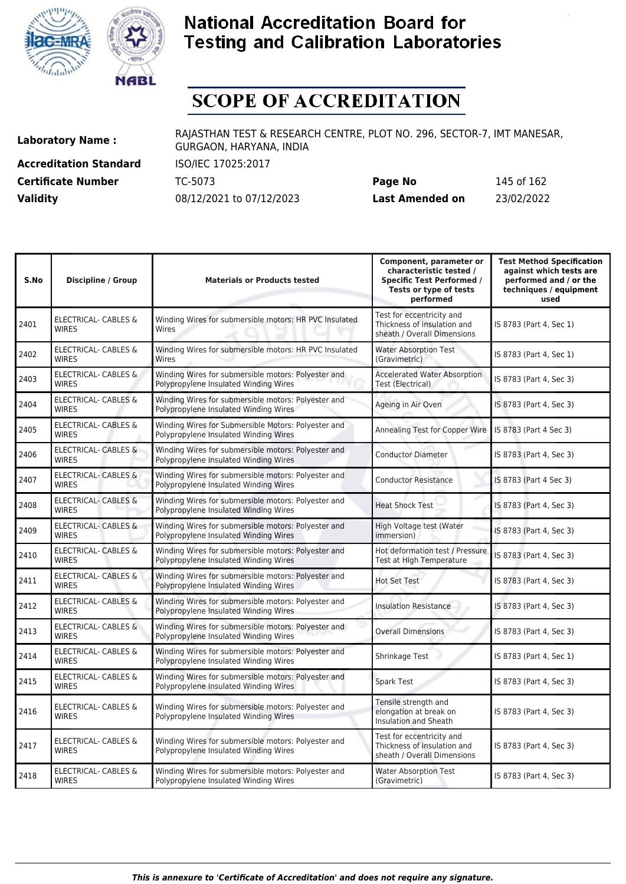



# **SCOPE OF ACCREDITATION**

**Accreditation Standard** ISO/IEC 17025:2017 **Certificate Number** TC-5073

| <b>Certificate Number</b> | TC-5073                  | Page No         | 145 of 162 |
|---------------------------|--------------------------|-----------------|------------|
| <b>Validity</b>           | 08/12/2021 to 07/12/2023 | Last Amended on | 23/02/2022 |

| S.No | Discipline / Group                              | <b>Materials or Products tested</b>                                                          | Component, parameter or<br>characteristic tested /<br><b>Specific Test Performed /</b><br>Tests or type of tests<br>performed | <b>Test Method Specification</b><br>against which tests are<br>performed and / or the<br>techniques / equipment<br>used |
|------|-------------------------------------------------|----------------------------------------------------------------------------------------------|-------------------------------------------------------------------------------------------------------------------------------|-------------------------------------------------------------------------------------------------------------------------|
| 2401 | <b>ELECTRICAL- CABLES &amp;</b><br><b>WIRES</b> | Winding Wires for submersible motors: HR PVC Insulated<br>Wires                              | Test for eccentricity and<br>Thickness of insulation and<br>sheath / Overall Dimensions                                       | IS 8783 (Part 4, Sec 1)                                                                                                 |
| 2402 | <b>ELECTRICAL- CABLES &amp;</b><br><b>WIRES</b> | Winding Wires for submersible motors: HR PVC Insulated<br>Wires                              | <b>Water Absorption Test</b><br>(Gravimetric)                                                                                 | IS 8783 (Part 4, Sec 1)                                                                                                 |
| 2403 | <b>ELECTRICAL- CABLES &amp;</b><br><b>WIRES</b> | Winding Wires for submersible motors: Polyester and<br>Polypropylene Insulated Winding Wires | <b>Accelerated Water Absorption</b><br>Test (Electrical)                                                                      | IS 8783 (Part 4, Sec 3)                                                                                                 |
| 2404 | ELECTRICAL- CABLES &<br><b>WIRES</b>            | Winding Wires for submersible motors: Polyester and<br>Polypropylene Insulated Winding Wires | Ageing in Air Oven                                                                                                            | IS 8783 (Part 4, Sec 3)                                                                                                 |
| 2405 | <b>ELECTRICAL- CABLES &amp;</b><br><b>WIRES</b> | Winding Wires for Submersible Motors: Polyester and<br>Polypropylene Insulated Winding Wires | Annealing Test for Copper Wire                                                                                                | IS 8783 (Part 4 Sec 3)                                                                                                  |
| 2406 | ELECTRICAL- CABLES &<br><b>WIRFS</b>            | Winding Wires for submersible motors: Polyester and<br>Polypropylene Insulated Winding Wires | <b>Conductor Diameter</b>                                                                                                     | IS 8783 (Part 4, Sec 3)                                                                                                 |
| 2407 | <b>ELECTRICAL- CABLES &amp;</b><br><b>WIRES</b> | Winding Wires for submersible motors: Polyester and<br>Polypropylene Insulated Winding Wires | <b>Conductor Resistance</b>                                                                                                   | IS 8783 (Part 4 Sec 3)                                                                                                  |
| 2408 | <b>ELECTRICAL- CABLES &amp;</b><br><b>WIRES</b> | Winding Wires for submersible motors: Polyester and<br>Polypropylene Insulated Winding Wires | <b>Heat Shock Test</b>                                                                                                        | IS 8783 (Part 4, Sec 3)                                                                                                 |
| 2409 | <b>ELECTRICAL- CABLES &amp;</b><br><b>WIRES</b> | Winding Wires for submersible motors: Polyester and<br>Polypropylene Insulated Winding Wires | High Voltage test (Water<br>immersion)                                                                                        | IS 8783 (Part 4, Sec 3)                                                                                                 |
| 2410 | ELECTRICAL- CABLES &<br><b>WIRES</b>            | Winding Wires for submersible motors: Polyester and<br>Polypropylene Insulated Winding Wires | Hot deformation test / Pressure<br>Test at High Temperature                                                                   | IS 8783 (Part 4, Sec 3)                                                                                                 |
| 2411 | ELECTRICAL- CABLES &<br><b>WIRFS</b>            | Winding Wires for submersible motors: Polyester and<br>Polypropylene Insulated Winding Wires | <b>Hot Set Test</b>                                                                                                           | IS 8783 (Part 4, Sec 3)                                                                                                 |
| 2412 | ELECTRICAL- CABLES &<br><b>WIRES</b>            | Winding Wires for submersible motors: Polyester and<br>Polypropylene Insulated Winding Wires | <b>Insulation Resistance</b>                                                                                                  | IS 8783 (Part 4, Sec 3)                                                                                                 |
| 2413 | ELECTRICAL- CABLES &<br><b>WIRES</b>            | Winding Wires for submersible motors: Polyester and<br>Polypropylene Insulated Winding Wires | <b>Overall Dimensions</b>                                                                                                     | IS 8783 (Part 4, Sec 3)                                                                                                 |
| 2414 | ELECTRICAL- CABLES &<br><b>WIRFS</b>            | Winding Wires for submersible motors: Polyester and<br>Polypropylene Insulated Winding Wires | Shrinkage Test                                                                                                                | IS 8783 (Part 4, Sec 1)                                                                                                 |
| 2415 | ELECTRICAL- CABLES &<br><b>WIRFS</b>            | Winding Wires for submersible motors: Polyester and<br>Polypropylene Insulated Winding Wires | <b>Spark Test</b>                                                                                                             | IS 8783 (Part 4, Sec 3)                                                                                                 |
| 2416 | <b>ELECTRICAL- CABLES &amp;</b><br><b>WIRES</b> | Winding Wires for submersible motors: Polyester and<br>Polypropylene Insulated Winding Wires | Tensile strength and<br>elongation at break on<br>Insulation and Sheath                                                       | IS 8783 (Part 4, Sec 3)                                                                                                 |
| 2417 | <b>ELECTRICAL- CABLES &amp;</b><br><b>WIRES</b> | Winding Wires for submersible motors: Polyester and<br>Polypropylene Insulated Winding Wires | Test for eccentricity and<br>Thickness of insulation and<br>sheath / Overall Dimensions                                       | IS 8783 (Part 4, Sec 3)                                                                                                 |
| 2418 | ELECTRICAL- CABLES &<br><b>WIRES</b>            | Winding Wires for submersible motors: Polyester and<br>Polypropylene Insulated Winding Wires | <b>Water Absorption Test</b><br>(Gravimetric)                                                                                 | IS 8783 (Part 4, Sec 3)                                                                                                 |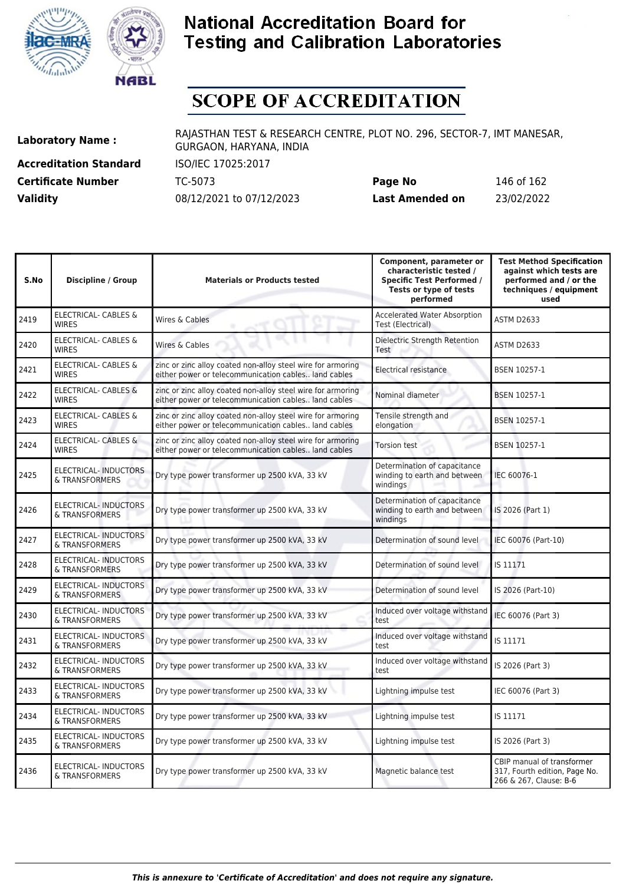



# **SCOPE OF ACCREDITATION**

**Accreditation Standard** ISO/IEC 17025:2017 **Certificate Number Page 162 TC-5073 Validity** 08/12/2021 to 07/12/2023

| Page No         | 146 of 162 |
|-----------------|------------|
| Last Amended on | 23/02/2022 |

| S.No | <b>Discipline / Group</b>                       | <b>Materials or Products tested</b>                                                                                 | Component, parameter or<br>characteristic tested /<br><b>Specific Test Performed /</b><br>Tests or type of tests<br>performed | <b>Test Method Specification</b><br>against which tests are<br>performed and / or the<br>techniques / equipment<br>used |
|------|-------------------------------------------------|---------------------------------------------------------------------------------------------------------------------|-------------------------------------------------------------------------------------------------------------------------------|-------------------------------------------------------------------------------------------------------------------------|
| 2419 | <b>ELECTRICAL- CABLES &amp;</b><br><b>WIRES</b> | Wires & Cables                                                                                                      | <b>Accelerated Water Absorption</b><br>Test (Electrical)                                                                      | <b>ASTM D2633</b>                                                                                                       |
| 2420 | <b>ELECTRICAL- CABLES &amp;</b><br><b>WIRES</b> | Wires & Cables                                                                                                      | Dielectric Strength Retention<br>Test                                                                                         | ASTM D2633                                                                                                              |
| 2421 | ELECTRICAL- CABLES &<br><b>WIRES</b>            | zinc or zinc alloy coated non-alloy steel wire for armoring<br>either power or telecommunication cables land cables | Electrical resistance                                                                                                         | <b>BSEN 10257-1</b>                                                                                                     |
| 2422 | <b>ELECTRICAL- CABLES &amp;</b><br><b>WIRES</b> | zinc or zinc alloy coated non-alloy steel wire for armoring<br>either power or telecommunication cables land cables | Nominal diameter                                                                                                              | <b>BSEN 10257-1</b>                                                                                                     |
| 2423 | ELECTRICAL- CABLES &<br><b>WIRES</b>            | zinc or zinc alloy coated non-alloy steel wire for armoring<br>either power or telecommunication cables land cables | Tensile strength and<br>elongation                                                                                            | BSEN 10257-1                                                                                                            |
| 2424 | ELECTRICAL- CABLES &<br><b>WIRES</b>            | zinc or zinc alloy coated non-alloy steel wire for armoring<br>either power or telecommunication cables land cables | <b>Torsion test</b>                                                                                                           | BSEN 10257-1                                                                                                            |
| 2425 | ELECTRICAL- INDUCTORS<br>& TRANSFORMERS         | Dry type power transformer up 2500 kVA, 33 kV                                                                       | Determination of capacitance<br>winding to earth and between<br>windings                                                      | IEC 60076-1                                                                                                             |
| 2426 | <b>ELECTRICAL-INDUCTORS</b><br>& TRANSFORMERS   | Dry type power transformer up 2500 kVA, 33 kV                                                                       | Determination of capacitance<br>winding to earth and between<br>windings                                                      | IS 2026 (Part 1)                                                                                                        |
| 2427 | <b>ELECTRICAL-INDUCTORS</b><br>& TRANSFORMERS   | Dry type power transformer up 2500 kVA, 33 kV                                                                       | Determination of sound level                                                                                                  | IEC 60076 (Part-10)                                                                                                     |
| 2428 | <b>ELECTRICAL-INDUCTORS</b><br>& TRANSFORMERS   | Dry type power transformer up 2500 kVA, 33 kV                                                                       | Determination of sound level                                                                                                  | IS 11171                                                                                                                |
| 2429 | ELECTRICAL- INDUCTORS<br>& TRANSFORMERS         | Dry type power transformer up 2500 kVA, 33 kV                                                                       | Determination of sound level                                                                                                  | IS 2026 (Part-10)                                                                                                       |
| 2430 | ELECTRICAL- INDUCTORS<br>& TRANSFORMERS         | Dry type power transformer up 2500 kVA, 33 kV                                                                       | Induced over voltage withstand<br>test                                                                                        | IEC 60076 (Part 3)                                                                                                      |
| 2431 | <b>ELECTRICAL-INDUCTORS</b><br>& TRANSFORMERS   | Dry type power transformer up 2500 kVA, 33 kV                                                                       | Induced over voltage withstand<br>test                                                                                        | IS 11171                                                                                                                |
| 2432 | <b>ELECTRICAL-INDUCTORS</b><br>& TRANSFORMERS   | Dry type power transformer up 2500 kVA, 33 kV                                                                       | Induced over voltage withstand<br>test                                                                                        | IS 2026 (Part 3)                                                                                                        |
| 2433 | <b>ELECTRICAL-INDUCTORS</b><br>& TRANSFORMERS   | Dry type power transformer up 2500 kVA, 33 kV                                                                       | Lightning impulse test                                                                                                        | IEC 60076 (Part 3)                                                                                                      |
| 2434 | <b>ELECTRICAL-INDUCTORS</b><br>& TRANSFORMERS   | Dry type power transformer up 2500 kVA, 33 kV                                                                       | Lightning impulse test                                                                                                        | IS 11171                                                                                                                |
| 2435 | <b>ELECTRICAL-INDUCTORS</b><br>& TRANSFORMERS   | Dry type power transformer up 2500 kVA, 33 kV                                                                       | Lightning impulse test                                                                                                        | IS 2026 (Part 3)                                                                                                        |
| 2436 | <b>ELECTRICAL-INDUCTORS</b><br>& TRANSFORMERS   | Dry type power transformer up 2500 kVA, 33 kV                                                                       | Magnetic balance test                                                                                                         | CBIP manual of transformer<br>317, Fourth edition, Page No.<br>266 & 267, Clause: B-6                                   |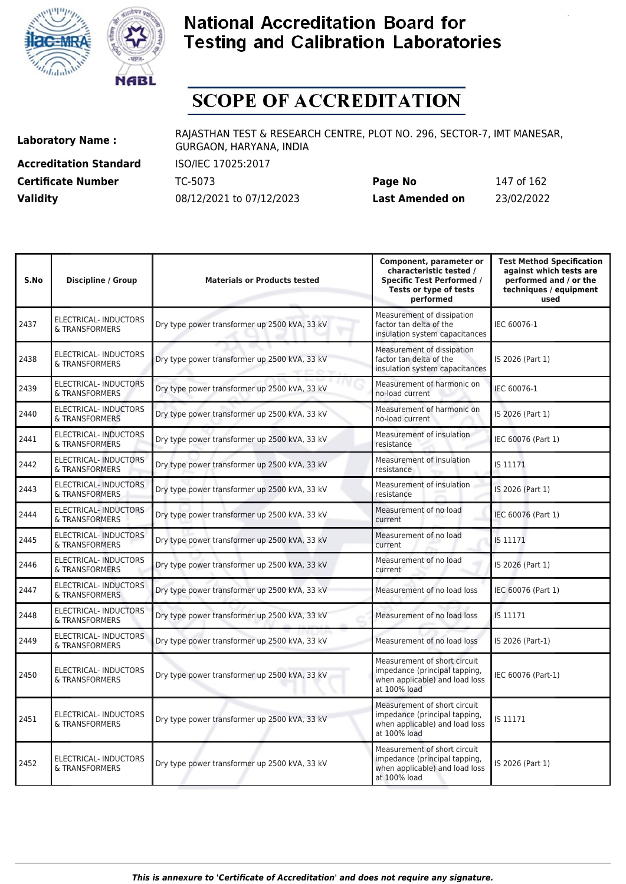



# **SCOPE OF ACCREDITATION**

**Accreditation Standard** ISO/IEC 17025:2017 **Certificate Number** TC-5073

| <b>Certificate Number</b> | TC-5073                  | Page No         | 147 of 162 |
|---------------------------|--------------------------|-----------------|------------|
| <b>Validity</b>           | 08/12/2021 to 07/12/2023 | Last Amended on | 23/02/2022 |

| S.No | <b>Discipline / Group</b>                      | <b>Materials or Products tested</b>           | Component, parameter or<br>characteristic tested /<br><b>Specific Test Performed /</b><br>Tests or type of tests<br>performed | <b>Test Method Specification</b><br>against which tests are<br>performed and / or the<br>techniques / equipment<br>used |
|------|------------------------------------------------|-----------------------------------------------|-------------------------------------------------------------------------------------------------------------------------------|-------------------------------------------------------------------------------------------------------------------------|
| 2437 | ELECTRICAL- INDUCTORS<br>& TRANSFORMERS        | Dry type power transformer up 2500 kVA, 33 kV | Measurement of dissipation<br>factor tan delta of the<br>insulation system capacitances                                       | IEC 60076-1                                                                                                             |
| 2438 | <b>ELECTRICAL-INDUCTORS</b><br>& TRANSFORMERS  | Dry type power transformer up 2500 kVA, 33 kV | Measurement of dissipation<br>factor tan delta of the<br>insulation system capacitances                                       | IS 2026 (Part 1)                                                                                                        |
| 2439 | <b>ELECTRICAL- INDUCTORS</b><br>& TRANSFORMERS | Dry type power transformer up 2500 kVA, 33 kV | Measurement of harmonic on<br>no-load current                                                                                 | IEC 60076-1                                                                                                             |
| 2440 | <b>ELECTRICAL- INDUCTORS</b><br>& TRANSFORMERS | Dry type power transformer up 2500 kVA, 33 kV | Measurement of harmonic on<br>no-load current                                                                                 | IS 2026 (Part 1)                                                                                                        |
| 2441 | <b>ELECTRICAL-INDUCTORS</b><br>& TRANSFORMERS  | Dry type power transformer up 2500 kVA, 33 kV | Measurement of insulation<br>resistance                                                                                       | IEC 60076 (Part 1)                                                                                                      |
| 2442 | <b>ELECTRICAL- INDUCTORS</b><br>& TRANSFORMERS | Dry type power transformer up 2500 kVA, 33 kV | Measurement of insulation<br>resistance                                                                                       | IS 11171                                                                                                                |
| 2443 | <b>ELECTRICAL-INDUCTORS</b><br>& TRANSFORMERS  | Dry type power transformer up 2500 kVA, 33 kV | Measurement of insulation<br>resistance                                                                                       | IS 2026 (Part 1)                                                                                                        |
| 2444 | <b>ELECTRICAL-INDUCTORS</b><br>& TRANSFORMERS  | Dry type power transformer up 2500 kVA, 33 kV | Measurement of no load<br>current                                                                                             | IEC 60076 (Part 1)                                                                                                      |
| 2445 | <b>ELECTRICAL-INDUCTORS</b><br>& TRANSFORMERS  | Dry type power transformer up 2500 kVA, 33 kV | Measurement of no load<br>current                                                                                             | IS 11171                                                                                                                |
| 2446 | ELECTRICAL-INDUCTORS<br>& TRANSFORMERS         | Dry type power transformer up 2500 kVA, 33 kV | Measurement of no load<br><b>current</b>                                                                                      | IS 2026 (Part 1)                                                                                                        |
| 2447 | ELECTRICAL- INDUCTORS<br>& TRANSFORMERS        | Dry type power transformer up 2500 kVA, 33 kV | Measurement of no load loss                                                                                                   | IEC 60076 (Part 1)                                                                                                      |
| 2448 | ELECTRICAL- INDUCTORS<br>& TRANSFORMERS        | Dry type power transformer up 2500 kVA, 33 kV | Measurement of no load loss                                                                                                   | IS 11171                                                                                                                |
| 2449 | ELECTRICAL- INDUCTORS<br>& TRANSFORMERS        | Dry type power transformer up 2500 kVA, 33 kV | Measurement of no load loss                                                                                                   | IS 2026 (Part-1)                                                                                                        |
| 2450 | <b>ELECTRICAL-INDUCTORS</b><br>& TRANSFORMERS  | Dry type power transformer up 2500 kVA, 33 kV | Measurement of short circuit<br>impedance (principal tapping,<br>when applicable) and load loss<br>at 100% load               | IEC 60076 (Part-1)                                                                                                      |
| 2451 | ELECTRICAL- INDUCTORS<br>& TRANSFORMERS        | Dry type power transformer up 2500 kVA, 33 kV | Measurement of short circuit<br>impedance (principal tapping,<br>when applicable) and load loss<br>at 100% load               | IS 11171                                                                                                                |
| 2452 | ELECTRICAL-INDUCTORS<br>& TRANSFORMERS         | Dry type power transformer up 2500 kVA, 33 kV | Measurement of short circuit<br>impedance (principal tapping,<br>when applicable) and load loss<br>at 100% load               | IS 2026 (Part 1)                                                                                                        |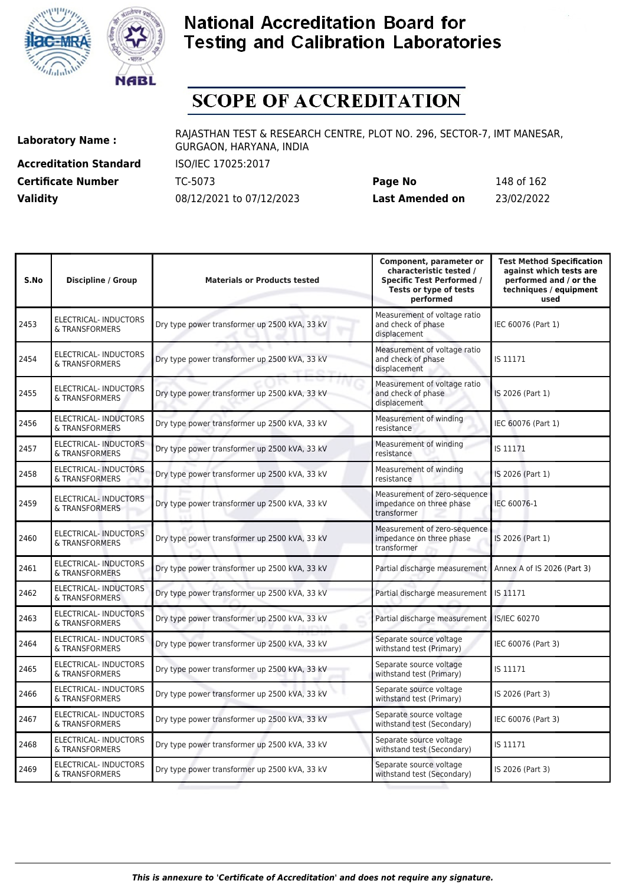



# **SCOPE OF ACCREDITATION**

**Accreditation Standard** ISO/IEC 17025:2017 **Certificate Number** TC-5073

| <b>Certificate Number</b> | TC-5073                  | Page No         | 148 of 162 |
|---------------------------|--------------------------|-----------------|------------|
| <b>Validity</b>           | 08/12/2021 to 07/12/2023 | Last Amended on | 23/02/2022 |

| S.No | <b>Discipline / Group</b>                      | <b>Materials or Products tested</b>           | Component, parameter or<br>characteristic tested /<br><b>Specific Test Performed /</b><br>Tests or type of tests<br>performed | <b>Test Method Specification</b><br>against which tests are<br>performed and / or the<br>techniques / equipment<br>used |
|------|------------------------------------------------|-----------------------------------------------|-------------------------------------------------------------------------------------------------------------------------------|-------------------------------------------------------------------------------------------------------------------------|
| 2453 | ELECTRICAL- INDUCTORS<br>& TRANSFORMERS        | Dry type power transformer up 2500 kVA, 33 kV | Measurement of voltage ratio<br>and check of phase<br>displacement                                                            | IEC 60076 (Part 1)                                                                                                      |
| 2454 | ELECTRICAL- INDUCTORS<br>& TRANSFORMERS        | Dry type power transformer up 2500 kVA, 33 kV | Measurement of voltage ratio<br>and check of phase<br>displacement                                                            | IS 11171                                                                                                                |
| 2455 | ELECTRICAL- INDUCTORS<br>& TRANSFORMERS        | Dry type power transformer up 2500 kVA, 33 kV | Measurement of voltage ratio<br>and check of phase<br>displacement                                                            | IS 2026 (Part 1)                                                                                                        |
| 2456 | <b>ELECTRICAL-INDUCTORS</b><br>& TRANSFORMERS  | Dry type power transformer up 2500 kVA, 33 kV | Measurement of winding<br>resistance                                                                                          | IEC 60076 (Part 1)                                                                                                      |
| 2457 | <b>ELECTRICAL-INDUCTORS</b><br>& TRANSFORMERS  | Dry type power transformer up 2500 kVA, 33 kV | Measurement of winding<br>resistance                                                                                          | IS 11171                                                                                                                |
| 2458 | <b>ELECTRICAL- INDUCTORS</b><br>& TRANSFORMERS | Dry type power transformer up 2500 kVA, 33 kV | Measurement of winding<br>resistance                                                                                          | IS 2026 (Part 1)                                                                                                        |
| 2459 | ELECTRICAL-INDUCTORS<br>& TRANSFORMERS         | Dry type power transformer up 2500 kVA, 33 kV | Measurement of zero-sequence<br>impedance on three phase<br>transformer                                                       | IEC 60076-1                                                                                                             |
| 2460 | <b>ELECTRICAL- INDUCTORS</b><br>& TRANSFORMERS | Dry type power transformer up 2500 kVA, 33 kV | Measurement of zero-sequence<br>impedance on three phase<br>transformer                                                       | IS 2026 (Part 1)                                                                                                        |
| 2461 | <b>ELECTRICAL-INDUCTORS</b><br>& TRANSFORMERS  | Dry type power transformer up 2500 kVA, 33 kV | Partial discharge measurement                                                                                                 | Annex A of IS 2026 (Part 3)                                                                                             |
| 2462 | ELECTRICAL-INDUCTORS<br>& TRANSFORMERS         | Dry type power transformer up 2500 kVA, 33 kV | Partial discharge measurement                                                                                                 | IS 11171                                                                                                                |
| 2463 | ELECTRICAL- INDUCTORS<br>& TRANSFORMERS        | Dry type power transformer up 2500 kVA, 33 kV | Partial discharge measurement                                                                                                 | <b>IS/IEC 60270</b>                                                                                                     |
| 2464 | ELECTRICAL- INDUCTORS<br>& TRANSFORMERS        | Dry type power transformer up 2500 kVA, 33 kV | Separate source voltage<br>withstand test (Primary)                                                                           | IEC 60076 (Part 3)                                                                                                      |
| 2465 | ELECTRICAL- INDUCTORS<br>& TRANSFORMERS        | Dry type power transformer up 2500 kVA, 33 kV | Separate source voltage<br>withstand test (Primary)                                                                           | IS 11171                                                                                                                |
| 2466 | <b>ELECTRICAL-INDUCTORS</b><br>& TRANSFORMERS  | Dry type power transformer up 2500 kVA, 33 kV | Separate source voltage<br>withstand test (Primary)                                                                           | IS 2026 (Part 3)                                                                                                        |
| 2467 | <b>ELECTRICAL- INDUCTORS</b><br>& TRANSFORMERS | Dry type power transformer up 2500 kVA, 33 kV | Separate source voltage<br>withstand test (Secondary)                                                                         | IEC 60076 (Part 3)                                                                                                      |
| 2468 | <b>ELECTRICAL- INDUCTORS</b><br>& TRANSFORMERS | Dry type power transformer up 2500 kVA, 33 kV | Separate source voltage<br>withstand test (Secondary)                                                                         | IS 11171                                                                                                                |
| 2469 | <b>ELECTRICAL- INDUCTORS</b><br>& TRANSFORMERS | Dry type power transformer up 2500 kVA, 33 kV | Separate source voltage<br>withstand test (Secondary)                                                                         | IS 2026 (Part 3)                                                                                                        |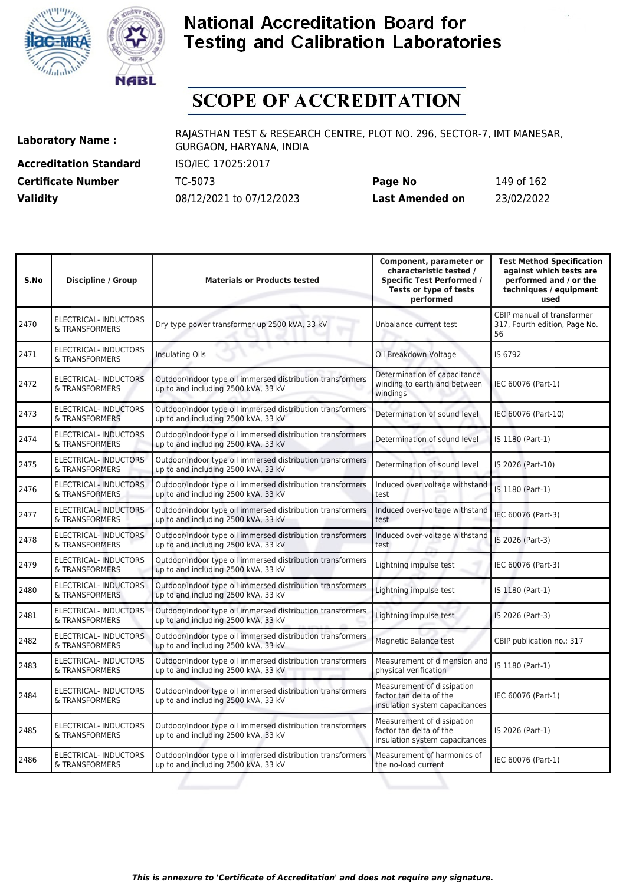



# **SCOPE OF ACCREDITATION**

**Accreditation Standard** ISO/IEC 17025:2017 **Certificate Number Page 162 TC-5073** 

| <b>Certificate Number</b> | TC-5073                  | Page No         | 149 of 162 |
|---------------------------|--------------------------|-----------------|------------|
| <b>Validity</b>           | 08/12/2021 to 07/12/2023 | Last Amended on | 23/02/2022 |

| S.No | <b>Discipline / Group</b>                      | <b>Materials or Products tested</b>                                                               | Component, parameter or<br>characteristic tested /<br><b>Specific Test Performed /</b><br>Tests or type of tests<br>performed | <b>Test Method Specification</b><br>against which tests are<br>performed and / or the<br>techniques / equipment<br>used |
|------|------------------------------------------------|---------------------------------------------------------------------------------------------------|-------------------------------------------------------------------------------------------------------------------------------|-------------------------------------------------------------------------------------------------------------------------|
| 2470 | ELECTRICAL-INDUCTORS<br>& TRANSFORMERS         | Dry type power transformer up 2500 kVA, 33 kV                                                     | Unbalance current test                                                                                                        | CBIP manual of transformer<br>317, Fourth edition, Page No.<br>56                                                       |
| 2471 | <b>ELECTRICAL-INDUCTORS</b><br>& TRANSFORMERS  | <b>Insulating Oils</b>                                                                            | Oil Breakdown Voltage                                                                                                         | IS 6792                                                                                                                 |
| 2472 | ELECTRICAL-INDUCTORS<br>& TRANSFORMERS         | Outdoor/Indoor type oil immersed distribution transformers<br>up to and including 2500 kVA, 33 kV | Determination of capacitance<br>winding to earth and between<br>windings                                                      | IEC 60076 (Part-1)                                                                                                      |
| 2473 | ELECTRICAL- INDUCTORS<br>& TRANSFORMERS        | Outdoor/Indoor type oil immersed distribution transformers<br>up to and including 2500 kVA, 33 kV | Determination of sound level                                                                                                  | IEC 60076 (Part-10)                                                                                                     |
| 2474 | <b>ELECTRICAL- INDUCTORS</b><br>& TRANSFORMERS | Outdoor/Indoor type oil immersed distribution transformers<br>up to and including 2500 kVA, 33 kV | Determination of sound level                                                                                                  | IS 1180 (Part-1)                                                                                                        |
| 2475 | <b>ELECTRICAL-INDUCTORS</b><br>& TRANSFORMERS  | Outdoor/Indoor type oil immersed distribution transformers<br>up to and including 2500 kVA, 33 kV | Determination of sound level                                                                                                  | IS 2026 (Part-10)                                                                                                       |
| 2476 | <b>ELECTRICAL-INDUCTORS</b><br>& TRANSFORMERS  | Outdoor/Indoor type oil immersed distribution transformers<br>up to and including 2500 kVA, 33 kV | Induced over voltage withstand<br>test                                                                                        | IS 1180 (Part-1)                                                                                                        |
| 2477 | <b>ELECTRICAL- INDUCTORS</b><br>& TRANSFORMERS | Outdoor/Indoor type oil immersed distribution transformers<br>up to and including 2500 kVA, 33 kV | Induced over-voltage withstand<br>test                                                                                        | IEC 60076 (Part-3)                                                                                                      |
| 2478 | <b>ELECTRICAL-INDUCTORS</b><br>& TRANSFORMERS  | Outdoor/Indoor type oil immersed distribution transformers<br>up to and including 2500 kVA, 33 kV | Induced over-voltage withstand<br>test                                                                                        | IS 2026 (Part-3)                                                                                                        |
| 2479 | <b>ELECTRICAL- INDUCTORS</b><br>& TRANSFORMERS | Outdoor/Indoor type oil immersed distribution transformers<br>up to and including 2500 kVA, 33 kV | Lightning impulse test                                                                                                        | IEC 60076 (Part-3)                                                                                                      |
| 2480 | <b>ELECTRICAL- INDUCTORS</b><br>& TRANSFORMERS | Outdoor/Indoor type oil immersed distribution transformers<br>up to and including 2500 kVA, 33 kV | Lightning impulse test                                                                                                        | IS 1180 (Part-1)                                                                                                        |
| 2481 | <b>ELECTRICAL-INDUCTORS</b><br>& TRANSFORMERS  | Outdoor/Indoor type oil immersed distribution transformers<br>up to and including 2500 kVA, 33 kV | Lightning impulse test                                                                                                        | IS 2026 (Part-3)                                                                                                        |
| 2482 | ELECTRICAL- INDUCTORS<br>& TRANSFORMERS        | Outdoor/Indoor type oil immersed distribution transformers<br>up to and including 2500 kVA, 33 kV | Magnetic Balance test                                                                                                         | CBIP publication no.: 317                                                                                               |
| 2483 | ELECTRICAL- INDUCTORS<br>& TRANSFORMERS        | Outdoor/Indoor type oil immersed distribution transformers<br>up to and including 2500 kVA, 33 kV | Measurement of dimension and<br>physical verification                                                                         | IS 1180 (Part-1)                                                                                                        |
| 2484 | <b>ELECTRICAL- INDUCTORS</b><br>& TRANSFORMERS | Outdoor/Indoor type oil immersed distribution transformers<br>up to and including 2500 kVA, 33 kV | Measurement of dissipation<br>factor tan delta of the<br>insulation system capacitances                                       | IEC 60076 (Part-1)                                                                                                      |
| 2485 | <b>ELECTRICAL- INDUCTORS</b><br>& TRANSFORMERS | Outdoor/Indoor type oil immersed distribution transformers<br>up to and including 2500 kVA, 33 kV | Measurement of dissipation<br>factor tan delta of the<br>insulation system capacitances                                       | IS 2026 (Part-1)                                                                                                        |
| 2486 | <b>ELECTRICAL- INDUCTORS</b><br>& TRANSFORMERS | Outdoor/Indoor type oil immersed distribution transformers<br>up to and including 2500 kVA, 33 kV | Measurement of harmonics of<br>the no-load current                                                                            | IEC 60076 (Part-1)                                                                                                      |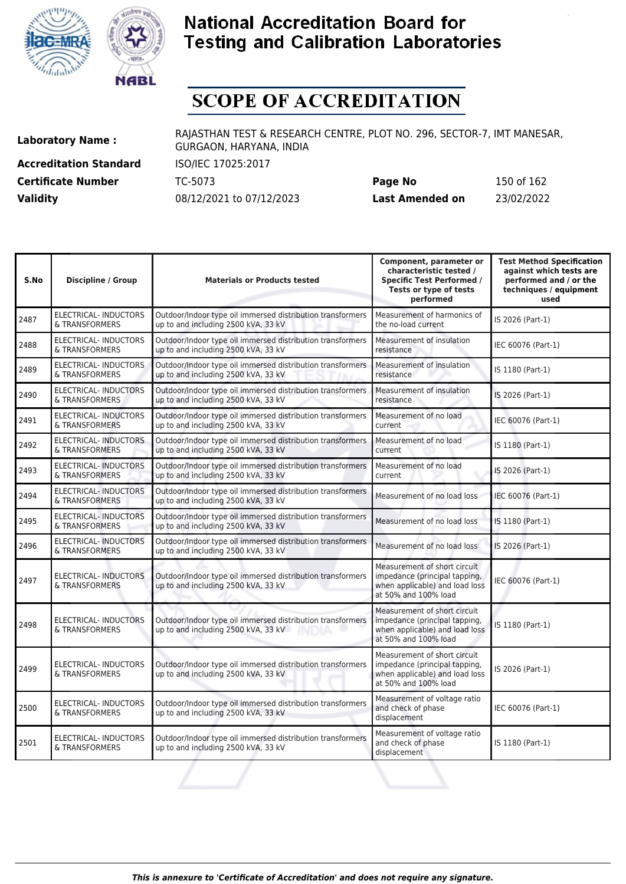



# **SCOPE OF ACCREDITATION**

**Accreditation Standard** ISO/IEC 17025:2017 **Certificate Number Page 162 TC-5073** 

| <b>Certificate Number</b> | TC-5073                  | Page No         | 150 of 162 |
|---------------------------|--------------------------|-----------------|------------|
| <b>Validity</b>           | 08/12/2021 to 07/12/2023 | Last Amended on | 23/02/2022 |

| S.No | <b>Discipline / Group</b>                      | <b>Materials or Products tested</b>                                                                         | Component, parameter or<br>characteristic tested /<br><b>Specific Test Performed /</b><br>Tests or type of tests<br>performed | <b>Test Method Specification</b><br>against which tests are<br>performed and / or the<br>techniques / equipment<br>used |
|------|------------------------------------------------|-------------------------------------------------------------------------------------------------------------|-------------------------------------------------------------------------------------------------------------------------------|-------------------------------------------------------------------------------------------------------------------------|
| 2487 | <b>ELECTRICAL- INDUCTORS</b><br>& TRANSFORMERS | Outdoor/Indoor type oil immersed distribution transformers<br>up to and including 2500 kVA, 33 kV           | Measurement of harmonics of<br>the no-load current                                                                            | IS 2026 (Part-1)                                                                                                        |
| 2488 | ELECTRICAL- INDUCTORS<br>& TRANSFORMERS        | Outdoor/Indoor type oil immersed distribution transformers<br>up to and including 2500 kVA, 33 kV           | Measurement of insulation<br>resistance                                                                                       | IEC 60076 (Part-1)                                                                                                      |
| 2489 | ELECTRICAL- INDUCTORS<br>& TRANSFORMERS        | Outdoor/Indoor type oil immersed distribution transformers<br>up to and including 2500 kVA, 33 kV           | Measurement of insulation<br>resistance                                                                                       | IS 1180 (Part-1)                                                                                                        |
| 2490 | ELECTRICAL- INDUCTORS<br>& TRANSFORMERS        | Outdoor/Indoor type oil immersed distribution transformers<br>up to and including 2500 kVA, 33 kV           | Measurement of insulation<br>resistance                                                                                       | IS 2026 (Part-1)                                                                                                        |
| 2491 | <b>ELECTRICAL-INDUCTORS</b><br>& TRANSFORMERS  | Outdoor/Indoor type oil immersed distribution transformers<br>up to and including 2500 kVA, 33 kV           | Measurement of no load<br>current                                                                                             | IEC 60076 (Part-1)                                                                                                      |
| 2492 | <b>ELECTRICAL-INDUCTORS</b><br>& TRANSFORMERS  | Outdoor/Indoor type oil immersed distribution transformers<br>up to and including 2500 kVA, 33 kV           | Measurement of no load<br>current                                                                                             | IS 1180 (Part-1)                                                                                                        |
| 2493 | <b>ELECTRICAL- INDUCTORS</b><br>& TRANSFORMERS | Outdoor/Indoor type oil immersed distribution transformers<br>up to and including 2500 kVA, 33 kV           | Measurement of no load<br>current                                                                                             | IS 2026 (Part-1)                                                                                                        |
| 2494 | <b>ELECTRICAL-INDUCTORS</b><br>& TRANSFORMERS  | Outdoor/Indoor type oil immersed distribution transformers<br>up to and including 2500 kVA, 33 kV           | Measurement of no load loss                                                                                                   | IEC 60076 (Part-1)                                                                                                      |
| 2495 | <b>ELECTRICAL- INDUCTORS</b><br>& TRANSFORMERS | Outdoor/Indoor type oil immersed distribution transformers<br>up to and including 2500 kVA, 33 kV           | Measurement of no load loss                                                                                                   | IS 1180 (Part-1)                                                                                                        |
| 2496 | <b>ELECTRICAL-INDUCTORS</b><br>& TRANSFORMERS  | Outdoor/Indoor type oil immersed distribution transformers<br>up to and including 2500 kVA, 33 kV           | Measurement of no load loss                                                                                                   | IS 2026 (Part-1)                                                                                                        |
| 2497 | ELECTRICAL-INDUCTORS<br>& TRANSFORMERS         | Outdoor/Indoor type oil immersed distribution transformers<br>up to and including 2500 kVA, 33 kV           | Measurement of short circuit<br>impedance (principal tapping,<br>when applicable) and load loss<br>at 50% and 100% load       | IEC 60076 (Part-1)                                                                                                      |
| 2498 | <b>ELECTRICAL-INDUCTORS</b><br>& TRANSFORMERS  | Outdoor/Indoor type oil immersed distribution transformers<br>up to and including 2500 kVA, 33 kV<br>INDIA. | Measurement of short circuit<br>impedance (principal tapping,<br>when applicable) and load loss<br>at 50% and 100% load       | IS 1180 (Part-1)                                                                                                        |
| 2499 | <b>ELECTRICAL-INDUCTORS</b><br>& TRANSFORMERS  | Outdoor/Indoor type oil immersed distribution transformers<br>up to and including 2500 kVA, 33 kV           | Measurement of short circuit<br>impedance (principal tapping,<br>when applicable) and load loss<br>at 50% and 100% load       | IS 2026 (Part-1)                                                                                                        |
| 2500 | ELECTRICAL- INDUCTORS<br>& TRANSFORMERS        | Outdoor/Indoor type oil immersed distribution transformers<br>up to and including 2500 kVA, 33 kV           | Measurement of voltage ratio<br>and check of phase<br>displacement                                                            | IEC 60076 (Part-1)                                                                                                      |
| 2501 | <b>ELECTRICAL- INDUCTORS</b><br>& TRANSFORMERS | Outdoor/Indoor type oil immersed distribution transformers<br>up to and including 2500 kVA, 33 kV           | Measurement of voltage ratio<br>and check of phase<br>displacement                                                            | IS 1180 (Part-1)                                                                                                        |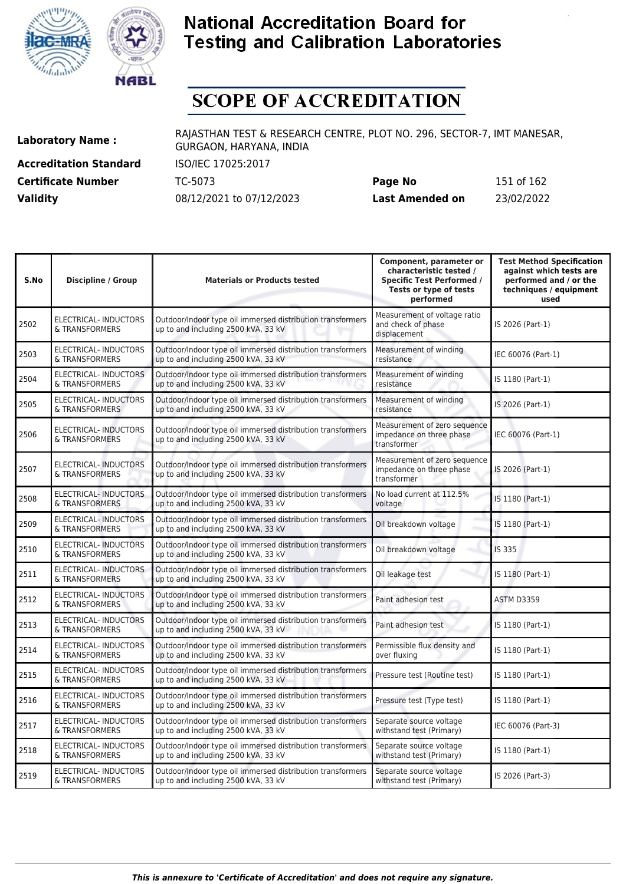



# **SCOPE OF ACCREDITATION**

**Accreditation Standard** ISO/IEC 17025:2017 **Certificate Number** TC-5073

| <b>Certificate Number</b> | TC-5073                  | Page No         | 151 of 162 |
|---------------------------|--------------------------|-----------------|------------|
| <b>Validity</b>           | 08/12/2021 to 07/12/2023 | Last Amended on | 23/02/2022 |

| S.No | <b>Discipline / Group</b>                      | <b>Materials or Products tested</b>                                                               | Component, parameter or<br>characteristic tested /<br><b>Specific Test Performed /</b><br>Tests or type of tests<br>performed | <b>Test Method Specification</b><br>against which tests are<br>performed and / or the<br>techniques / equipment<br>used |
|------|------------------------------------------------|---------------------------------------------------------------------------------------------------|-------------------------------------------------------------------------------------------------------------------------------|-------------------------------------------------------------------------------------------------------------------------|
| 2502 | <b>ELECTRICAL-INDUCTORS</b><br>& TRANSFORMERS  | Outdoor/Indoor type oil immersed distribution transformers<br>up to and including 2500 kVA, 33 kV | Measurement of voltage ratio<br>and check of phase<br>displacement                                                            | IS 2026 (Part-1)                                                                                                        |
| 2503 | <b>ELECTRICAL-INDUCTORS</b><br>& TRANSFORMERS  | Outdoor/Indoor type oil immersed distribution transformers<br>up to and including 2500 kVA, 33 kV | Measurement of winding<br>resistance                                                                                          | IEC 60076 (Part-1)                                                                                                      |
| 2504 | ELECTRICAL- INDUCTORS<br>& TRANSFORMERS        | Outdoor/Indoor type oil immersed distribution transformers<br>up to and including 2500 kVA, 33 kV | Measurement of winding<br>resistance                                                                                          | IS 1180 (Part-1)                                                                                                        |
| 2505 | ELECTRICAL- INDUCTORS<br>& TRANSFORMERS        | Outdoor/Indoor type oil immersed distribution transformers<br>up to and including 2500 kVA, 33 kV | Measurement of winding<br>resistance                                                                                          | IS 2026 (Part-1)                                                                                                        |
| 2506 | ELECTRICAL-INDUCTORS<br>& TRANSFORMERS         | Outdoor/Indoor type oil immersed distribution transformers<br>up to and including 2500 kVA, 33 kV | Measurement of zero sequence<br>impedance on three phase<br>transformer                                                       | IEC 60076 (Part-1)                                                                                                      |
| 2507 | ELECTRICAL- INDUCTORS<br>& TRANSFORMERS        | Outdoor/Indoor type oil immersed distribution transformers<br>up to and including 2500 kVA, 33 kV | Measurement of zero sequence<br>impedance on three phase<br>transformer                                                       | IS 2026 (Part-1)                                                                                                        |
| 2508 | <b>ELECTRICAL- INDUCTORS</b><br>& TRANSFORMERS | Outdoor/Indoor type oil immersed distribution transformers<br>up to and including 2500 kVA, 33 kV | No load current at 112.5%<br>voltage                                                                                          | IS 1180 (Part-1)                                                                                                        |
| 2509 | <b>ELECTRICAL-INDUCTORS</b><br>& TRANSFORMERS  | Outdoor/Indoor type oil immersed distribution transformers<br>up to and including 2500 kVA, 33 kV | Oil breakdown voltage                                                                                                         | IS 1180 (Part-1)                                                                                                        |
| 2510 | <b>ELECTRICAL-INDUCTORS</b><br>& TRANSFORMERS  | Outdoor/Indoor type oil immersed distribution transformers<br>up to and including 2500 kVA, 33 kV | Oil breakdown voltage                                                                                                         | IS 335                                                                                                                  |
| 2511 | ELECTRICAL- INDUCTORS<br>& TRANSFORMERS        | Outdoor/Indoor type oil immersed distribution transformers<br>up to and including 2500 kVA, 33 kV | Oil leakage test                                                                                                              | IS 1180 (Part-1)                                                                                                        |
| 2512 | <b>ELECTRICAL- INDUCTORS</b><br>& TRANSFORMERS | Outdoor/Indoor type oil immersed distribution transformers<br>up to and including 2500 kVA, 33 kV | Paint adhesion test                                                                                                           | <b>ASTM D3359</b>                                                                                                       |
| 2513 | ELECTRICAL- INDUCTORS<br>& TRANSFORMERS        | Outdoor/Indoor type oil immersed distribution transformers<br>up to and including 2500 kVA, 33 kV | Paint adhesion test                                                                                                           | IS 1180 (Part-1)                                                                                                        |
| 2514 | ELECTRICAL- INDUCTORS<br>& TRANSFORMERS        | Outdoor/Indoor type oil immersed distribution transformers<br>up to and including 2500 kVA, 33 kV | Permissible flux density and<br>over fluxing                                                                                  | IS 1180 (Part-1)                                                                                                        |
| 2515 | ELECTRICAL- INDUCTORS<br>& TRANSFORMERS        | Outdoor/Indoor type oil immersed distribution transformers<br>up to and including 2500 kVA, 33 kV | Pressure test (Routine test)                                                                                                  | IS 1180 (Part-1)                                                                                                        |
| 2516 | ELECTRICAL- INDUCTORS<br>& TRANSFORMERS        | Outdoor/Indoor type oil immersed distribution transformers<br>up to and including 2500 kVA, 33 kV | Pressure test (Type test)                                                                                                     | IS 1180 (Part-1)                                                                                                        |
| 2517 | ELECTRICAL- INDUCTORS<br>& TRANSFORMERS        | Outdoor/Indoor type oil immersed distribution transformers<br>up to and including 2500 kVA, 33 kV | Separate source voltage<br>withstand test (Primary)                                                                           | IEC 60076 (Part-3)                                                                                                      |
| 2518 | ELECTRICAL- INDUCTORS<br>& TRANSFORMERS        | Outdoor/Indoor type oil immersed distribution transformers<br>up to and including 2500 kVA, 33 kV | Separate source voltage<br>withstand test (Primary)                                                                           | IS 1180 (Part-1)                                                                                                        |
| 2519 | ELECTRICAL- INDUCTORS<br>& TRANSFORMERS        | Outdoor/Indoor type oil immersed distribution transformers<br>up to and including 2500 kVA, 33 kV | Separate source voltage<br>withstand test (Primary)                                                                           | IS 2026 (Part-3)                                                                                                        |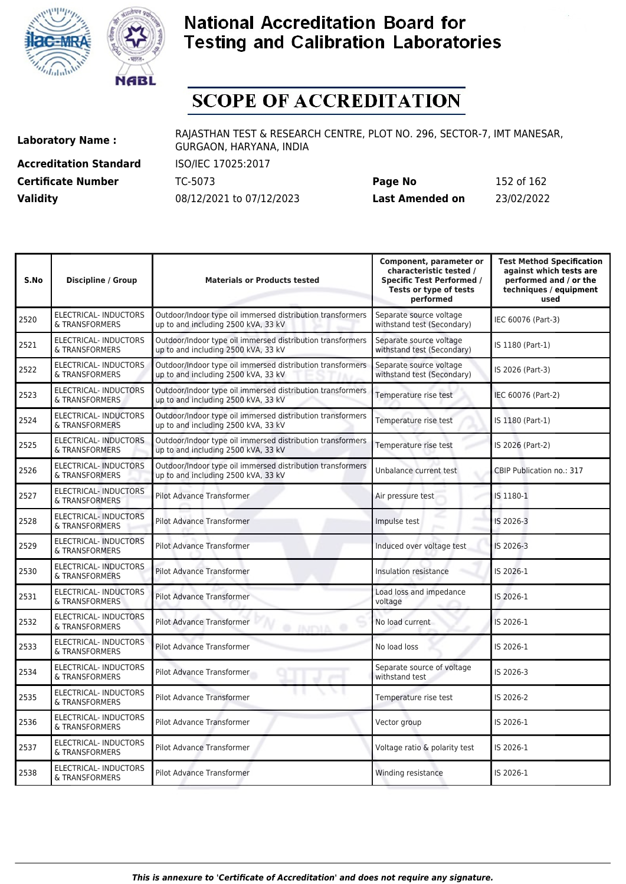



# **SCOPE OF ACCREDITATION**

**Accreditation Standard** ISO/IEC 17025:2017 **Certificate Number** TC-5073

| <b>Certificate Number</b> | TC-5073                  | Page No         | 152 of 162 |
|---------------------------|--------------------------|-----------------|------------|
| <b>Validity</b>           | 08/12/2021 to 07/12/2023 | Last Amended on | 23/02/2022 |

| S.No | <b>Discipline / Group</b>                      | <b>Materials or Products tested</b>                                                               | Component, parameter or<br>characteristic tested /<br><b>Specific Test Performed /</b><br>Tests or type of tests<br>performed | <b>Test Method Specification</b><br>against which tests are<br>performed and / or the<br>techniques / equipment<br>used |
|------|------------------------------------------------|---------------------------------------------------------------------------------------------------|-------------------------------------------------------------------------------------------------------------------------------|-------------------------------------------------------------------------------------------------------------------------|
| 2520 | <b>ELECTRICAL-INDUCTORS</b><br>& TRANSFORMERS  | Outdoor/Indoor type oil immersed distribution transformers<br>up to and including 2500 kVA, 33 kV | Separate source voltage<br>withstand test (Secondary)                                                                         | IEC 60076 (Part-3)                                                                                                      |
| 2521 | ELECTRICAL- INDUCTORS<br>& TRANSFORMERS        | Outdoor/Indoor type oil immersed distribution transformers<br>up to and including 2500 kVA, 33 kV | Separate source voltage<br>withstand test (Secondary)                                                                         | IS 1180 (Part-1)                                                                                                        |
| 2522 | ELECTRICAL- INDUCTORS<br>& TRANSFORMERS        | Outdoor/Indoor type oil immersed distribution transformers<br>up to and including 2500 kVA, 33 kV | Separate source voltage<br>withstand test (Secondary)                                                                         | IS 2026 (Part-3)                                                                                                        |
| 2523 | <b>ELECTRICAL-INDUCTORS</b><br>& TRANSFORMERS  | Outdoor/Indoor type oil immersed distribution transformers<br>up to and including 2500 kVA, 33 kV | Temperature rise test                                                                                                         | IEC 60076 (Part-2)                                                                                                      |
| 2524 | ELECTRICAL- INDUCTORS<br>& TRANSFORMERS        | Outdoor/Indoor type oil immersed distribution transformers<br>up to and including 2500 kVA, 33 kV | Temperature rise test                                                                                                         | IS 1180 (Part-1)                                                                                                        |
| 2525 | ELECTRICAL- INDUCTORS<br>& TRANSFORMERS        | Outdoor/Indoor type oil immersed distribution transformers<br>up to and including 2500 kVA, 33 kV | Temperature rise test                                                                                                         | IS 2026 (Part-2)                                                                                                        |
| 2526 | <b>ELECTRICAL- INDUCTORS</b><br>& TRANSFORMERS | Outdoor/Indoor type oil immersed distribution transformers<br>up to and including 2500 kVA, 33 kV | Unbalance current test                                                                                                        | <b>CBIP Publication no.: 317</b>                                                                                        |
| 2527 | <b>ELECTRICAL- INDUCTORS</b><br>& TRANSFORMERS | <b>Pilot Advance Transformer</b>                                                                  | Air pressure test                                                                                                             | IS 1180-1                                                                                                               |
| 2528 | <b>ELECTRICAL-INDUCTORS</b><br>& TRANSFORMERS  | <b>Pilot Advance Transformer</b>                                                                  | Impulse test                                                                                                                  | IS 2026-3                                                                                                               |
| 2529 | <b>ELECTRICAL-INDUCTORS</b><br>& TRANSFORMERS  | Pilot Advance Transformer                                                                         | Induced over voltage test                                                                                                     | IS 2026-3                                                                                                               |
| 2530 | <b>ELECTRICAL-INDUCTORS</b><br>& TRANSFORMERS  | Pilot Advance Transformer                                                                         | Insulation resistance                                                                                                         | IS 2026-1                                                                                                               |
| 2531 | <b>ELECTRICAL- INDUCTORS</b><br>& TRANSFORMERS | <b>Pilot Advance Transformer</b>                                                                  | Load loss and impedance<br>voltage                                                                                            | IS 2026-1                                                                                                               |
| 2532 | ELECTRICAL- INDUCTORS<br>& TRANSFORMERS        | <b>Pilot Advance Transformer</b><br><b>O INDIA O</b>                                              | No load current                                                                                                               | IS 2026-1                                                                                                               |
| 2533 | ELECTRICAL- INDUCTORS<br>& TRANSFORMERS        | <b>Pilot Advance Transformer</b>                                                                  | No load loss                                                                                                                  | IS 2026-1                                                                                                               |
| 2534 | ELECTRICAL- INDUCTORS<br>& TRANSFORMERS        | Pilot Advance Transformer                                                                         | Separate source of voltage<br>withstand test                                                                                  | IS 2026-3                                                                                                               |
| 2535 | ELECTRICAL- INDUCTORS<br>& TRANSFORMERS        | Pilot Advance Transformer                                                                         | Temperature rise test                                                                                                         | IS 2026-2                                                                                                               |
| 2536 | ELECTRICAL- INDUCTORS<br>& TRANSFORMERS        | <b>Pilot Advance Transformer</b>                                                                  | Vector group                                                                                                                  | IS 2026-1                                                                                                               |
| 2537 | ELECTRICAL- INDUCTORS<br>& TRANSFORMERS        | <b>Pilot Advance Transformer</b>                                                                  | Voltage ratio & polarity test                                                                                                 | IS 2026-1                                                                                                               |
| 2538 | ELECTRICAL- INDUCTORS<br>& TRANSFORMERS        | Pilot Advance Transformer                                                                         | Winding resistance                                                                                                            | IS 2026-1                                                                                                               |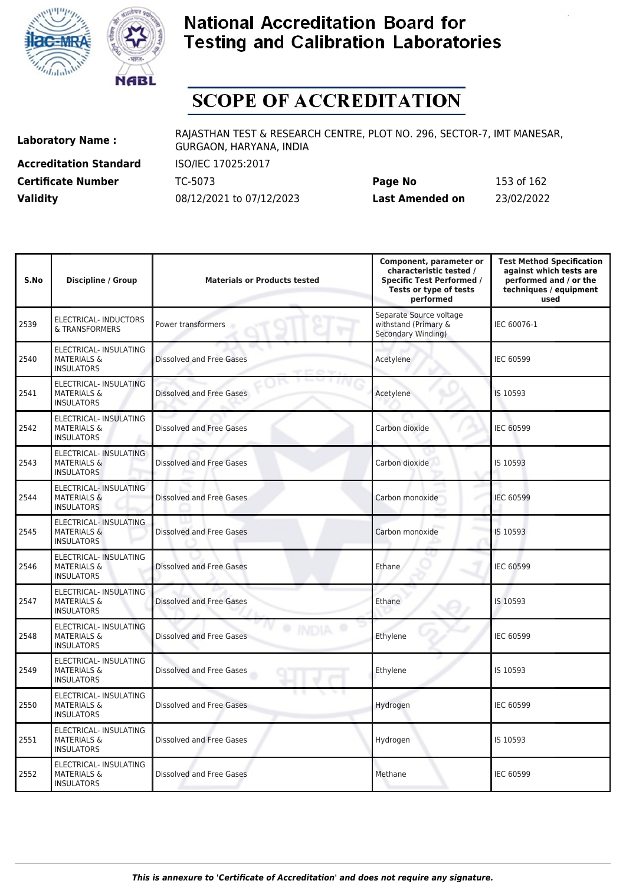



# **SCOPE OF ACCREDITATION**

**Accreditation Standard** ISO/IEC 17025:2017

**Laboratory Name :** RAJASTHAN TEST & RESEARCH CENTRE, PLOT NO. 296, SECTOR-7, IMT MANESAR, GURGAON, HARYANA, INDIA

**Certificate Number** TC-5073 **Page No** 153 of 162 **Validity** 08/12/2021 to 07/12/2023 **Last Amended on** 23/02/2022

| S.No | <b>Discipline / Group</b>                                                    | <b>Materials or Products tested</b> | Component, parameter or<br>characteristic tested /<br><b>Specific Test Performed /</b><br>Tests or type of tests<br>performed | <b>Test Method Specification</b><br>against which tests are<br>performed and / or the<br>techniques / equipment<br>used |
|------|------------------------------------------------------------------------------|-------------------------------------|-------------------------------------------------------------------------------------------------------------------------------|-------------------------------------------------------------------------------------------------------------------------|
| 2539 | ELECTRICAL-INDUCTORS<br>& TRANSFORMERS                                       | Power transformers                  | Separate Source voltage<br>withstand (Primary &<br>Secondary Winding)                                                         | IEC 60076-1                                                                                                             |
| 2540 | ELECTRICAL- INSULATING<br><b>MATERIALS &amp;</b><br><b>INSULATORS</b>        | Dissolved and Free Gases            | Acetylene                                                                                                                     | <b>IEC 60599</b>                                                                                                        |
| 2541 | ELECTRICAL- INSULATING<br><b>MATERIALS &amp;</b><br><b>INSULATORS</b>        | Dissolved and Free Gases            | Acetylene                                                                                                                     | IS 10593                                                                                                                |
| 2542 | ELECTRICAL- INSULATING<br><b>MATERIALS &amp;</b><br><b>INSULATORS</b>        | Dissolved and Free Gases            | Carbon dioxide                                                                                                                | <b>IEC 60599</b>                                                                                                        |
| 2543 | ELECTRICAL- INSULATING<br><b>MATERIALS &amp;</b><br><b>INSULATORS</b>        | <b>Dissolved and Free Gases</b>     | Carbon dioxide                                                                                                                | IS 10593                                                                                                                |
| 2544 | ELECTRICAL- INSULATING<br><b>MATERIALS &amp;</b><br><b>INSULATORS</b>        | Dissolved and Free Gases            | Carbon monoxide<br>a,                                                                                                         | <b>IEC 60599</b>                                                                                                        |
| 2545 | <b>ELECTRICAL- INSULATING</b><br><b>MATERIALS &amp;</b><br><b>INSULATORS</b> | Dissolved and Free Gases            | Carbon monoxide                                                                                                               | IS 10593                                                                                                                |
| 2546 | ELECTRICAL- INSULATING<br><b>MATERIALS &amp;</b><br><b>INSULATORS</b>        | <b>Dissolved and Free Gases</b>     | Ethane                                                                                                                        | IEC 60599                                                                                                               |
| 2547 | ELECTRICAL- INSULATING<br><b>MATERIALS &amp;</b><br><b>INSULATORS</b>        | Dissolved and Free Gases            | Ethane                                                                                                                        | IS 10593                                                                                                                |
| 2548 | ELECTRICAL- INSULATING<br><b>MATERIALS &amp;</b><br><b>INSULATORS</b>        | Dissolved and Free Gases            | Ethylene                                                                                                                      | IEC 60599                                                                                                               |
| 2549 | ELECTRICAL- INSULATING<br><b>MATERIALS &amp;</b><br><b>INSULATORS</b>        | Dissolved and Free Gases            | Ethylene                                                                                                                      | IS 10593                                                                                                                |
| 2550 | ELECTRICAL- INSULATING<br><b>MATERIALS &amp;</b><br><b>INSULATORS</b>        | Dissolved and Free Gases            | Hydrogen                                                                                                                      | <b>IEC 60599</b>                                                                                                        |
| 2551 | ELECTRICAL- INSULATING<br><b>MATERIALS &amp;</b><br><b>INSULATORS</b>        | Dissolved and Free Gases            | Hydrogen                                                                                                                      | IS 10593                                                                                                                |
| 2552 | ELECTRICAL- INSULATING<br><b>MATERIALS &amp;</b><br><b>INSULATORS</b>        | <b>Dissolved and Free Gases</b>     | Methane                                                                                                                       | <b>IEC 60599</b>                                                                                                        |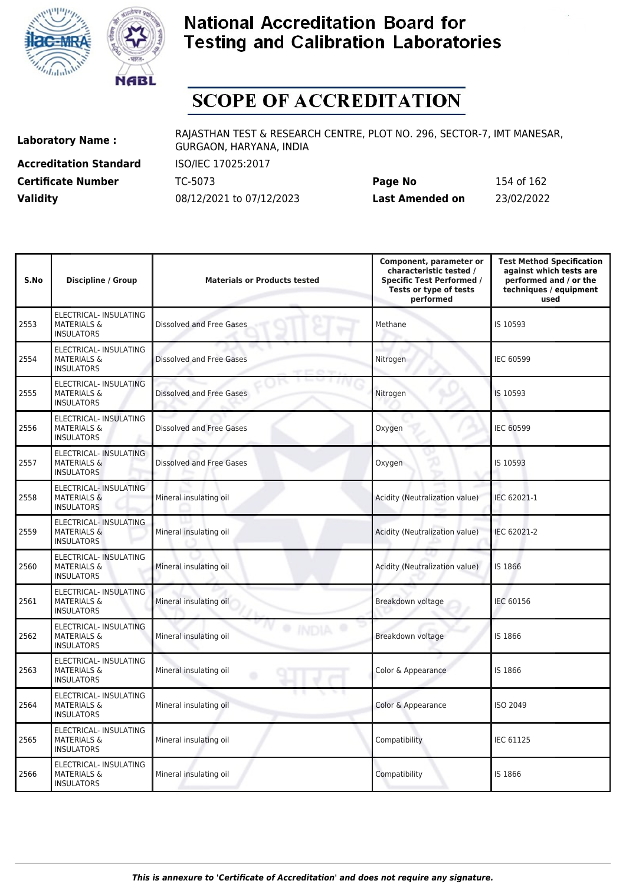



# **SCOPE OF ACCREDITATION**

**Accreditation Standard** ISO/IEC 17025:2017 **Certificate Number** TC-5073

| <b>Certificate Number</b> | TC-5073                  | Page No         | 154 of 162 |
|---------------------------|--------------------------|-----------------|------------|
| <b>Validity</b>           | 08/12/2021 to 07/12/2023 | Last Amended on | 23/02/2022 |

| S.No | <b>Discipline / Group</b>                                                    | <b>Materials or Products tested</b> | Component, parameter or<br>characteristic tested /<br><b>Specific Test Performed /</b><br>Tests or type of tests<br>performed | <b>Test Method Specification</b><br>against which tests are<br>performed and / or the<br>techniques / equipment<br>used |
|------|------------------------------------------------------------------------------|-------------------------------------|-------------------------------------------------------------------------------------------------------------------------------|-------------------------------------------------------------------------------------------------------------------------|
| 2553 | ELECTRICAL- INSULATING<br><b>MATERIALS &amp;</b><br><b>INSULATORS</b>        | <b>Dissolved and Free Gases</b>     | Methane                                                                                                                       | IS 10593                                                                                                                |
| 2554 | ELECTRICAL- INSULATING<br><b>MATERIALS &amp;</b><br><b>INSULATORS</b>        | Dissolved and Free Gases            | Nitrogen                                                                                                                      | IEC 60599                                                                                                               |
| 2555 | ELECTRICAL- INSULATING<br><b>MATERIALS &amp;</b><br><b>INSULATORS</b>        | Dissolved and Free Gases            | Nitrogen                                                                                                                      | IS 10593                                                                                                                |
| 2556 | ELECTRICAL- INSULATING<br><b>MATERIALS &amp;</b><br><b>INSULATORS</b>        | <b>Dissolved and Free Gases</b>     | Oxygen                                                                                                                        | <b>IEC 60599</b>                                                                                                        |
| 2557 | ELECTRICAL- INSULATING<br><b>MATERIALS &amp;</b><br><b>INSULATORS</b>        | Dissolved and Free Gases            | Oxygen                                                                                                                        | IS 10593                                                                                                                |
| 2558 | <b>ELECTRICAL- INSULATING</b><br><b>MATERIALS &amp;</b><br><b>INSULATORS</b> | Mineral insulating oil              | Acidity (Neutralization value)                                                                                                | IEC 62021-1                                                                                                             |
| 2559 | ELECTRICAL- INSULATING<br><b>MATERIALS &amp;</b><br><b>INSULATORS</b>        | Mineral insulating oil              | Acidity (Neutralization value)                                                                                                | IEC 62021-2                                                                                                             |
| 2560 | ELECTRICAL- INSULATING<br><b>MATERIALS &amp;</b><br><b>INSULATORS</b>        | Mineral insulating oil              | Acidity (Neutralization value)                                                                                                | IS 1866                                                                                                                 |
| 2561 | ELECTRICAL- INSULATING<br><b>MATERIALS &amp;</b><br><b>INSULATORS</b>        | Mineral insulating oil              | Breakdown voltage                                                                                                             | <b>IEC 60156</b>                                                                                                        |
| 2562 | ELECTRICAL- INSULATING<br><b>MATERIALS &amp;</b><br><b>INSULATORS</b>        | Mineral insulating oil              | Breakdown voltage                                                                                                             | IS 1866                                                                                                                 |
| 2563 | <b>ELECTRICAL- INSULATING</b><br><b>MATERIALS &amp;</b><br><b>INSULATORS</b> | Mineral insulating oil<br>۰         | Color & Appearance                                                                                                            | IS 1866                                                                                                                 |
| 2564 | ELECTRICAL- INSULATING<br><b>MATERIALS &amp;</b><br><b>INSULATORS</b>        | Mineral insulating oil              | Color & Appearance                                                                                                            | <b>ISO 2049</b>                                                                                                         |
| 2565 | ELECTRICAL- INSULATING<br><b>MATERIALS &amp;</b><br><b>INSULATORS</b>        | Mineral insulating oil              | Compatibility                                                                                                                 | <b>IEC 61125</b>                                                                                                        |
| 2566 | ELECTRICAL- INSULATING<br><b>MATERIALS &amp;</b><br><b>INSULATORS</b>        | Mineral insulating oil              | Compatibility                                                                                                                 | IS 1866                                                                                                                 |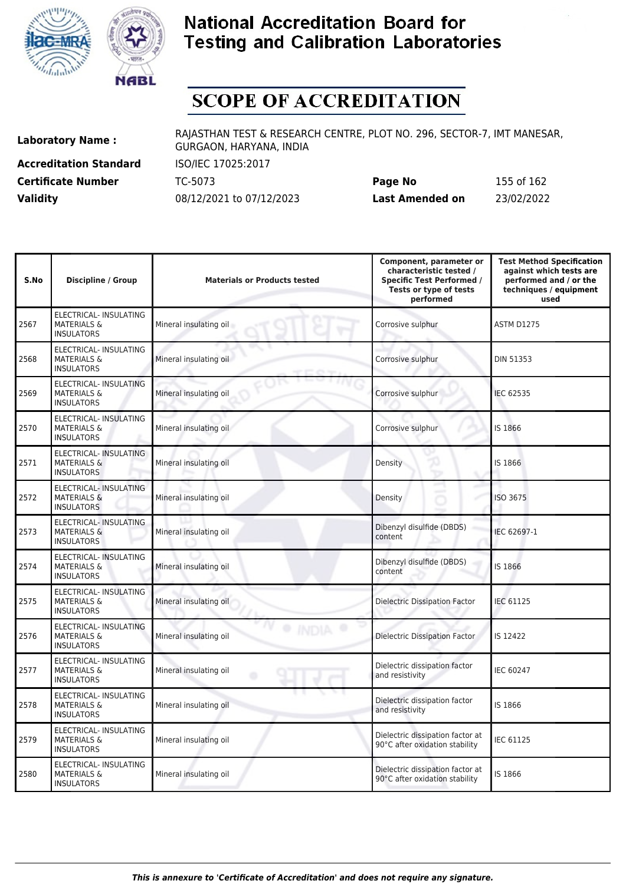



# **SCOPE OF ACCREDITATION**

**Accreditation Standard** ISO/IEC 17025:2017

**Laboratory Name :** RAJASTHAN TEST & RESEARCH CENTRE, PLOT NO. 296, SECTOR-7, IMT MANESAR, GURGAON, HARYANA, INDIA

**Certificate Number** TC-5073 **Page No** 155 of 162 **Validity** 08/12/2021 to 07/12/2023 **Last Amended on** 23/02/2022

| S.No | <b>Discipline / Group</b>                                                    | <b>Materials or Products tested</b> | Component, parameter or<br>characteristic tested /<br><b>Specific Test Performed /</b><br>Tests or type of tests<br>performed | <b>Test Method Specification</b><br>against which tests are<br>performed and / or the<br>techniques / equipment<br>used |
|------|------------------------------------------------------------------------------|-------------------------------------|-------------------------------------------------------------------------------------------------------------------------------|-------------------------------------------------------------------------------------------------------------------------|
| 2567 | ELECTRICAL- INSULATING<br><b>MATERIALS &amp;</b><br><b>INSULATORS</b>        | Mineral insulating oil              | Corrosive sulphur                                                                                                             | <b>ASTM D1275</b>                                                                                                       |
| 2568 | ELECTRICAL- INSULATING<br><b>MATERIALS &amp;</b><br><b>INSULATORS</b>        | Mineral insulating oil              | Corrosive sulphur                                                                                                             | <b>DIN 51353</b>                                                                                                        |
| 2569 | ELECTRICAL- INSULATING<br><b>MATERIALS &amp;</b><br><b>INSULATORS</b>        | Mineral insulating oil              | Corrosive sulphur                                                                                                             | <b>IEC 62535</b>                                                                                                        |
| 2570 | ELECTRICAL- INSULATING<br><b>MATERIALS &amp;</b><br><b>INSULATORS</b>        | Mineral insulating oil              | Corrosive sulphur                                                                                                             | IS 1866                                                                                                                 |
| 2571 | ELECTRICAL- INSULATING<br><b>MATERIALS &amp;</b><br><b>INSULATORS</b>        | Mineral insulating oil              | Density                                                                                                                       | IS 1866                                                                                                                 |
| 2572 | ELECTRICAL- INSULATING<br><b>MATERIALS &amp;</b><br><b>INSULATORS</b>        | Mineral insulating oil              | Density                                                                                                                       | ISO 3675                                                                                                                |
| 2573 | <b>ELECTRICAL- INSULATING</b><br><b>MATERIALS &amp;</b><br><b>INSULATORS</b> | Mineral insulating oil              | Dibenzyl disulfide (DBDS)<br>content                                                                                          | IEC 62697-1                                                                                                             |
| 2574 | ELECTRICAL- INSULATING<br><b>MATERIALS &amp;</b><br><b>INSULATORS</b>        | Mineral insulating oil              | Dibenzyl disulfide (DBDS)<br>content                                                                                          | IS 1866                                                                                                                 |
| 2575 | ELECTRICAL- INSULATING<br><b>MATERIALS &amp;</b><br><b>INSULATORS</b>        | Mineral insulating oil              | Dielectric Dissipation Factor                                                                                                 | <b>IEC 61125</b>                                                                                                        |
| 2576 | ELECTRICAL- INSULATING<br><b>MATERIALS &amp;</b><br><b>INSULATORS</b>        | Mineral insulating oil              | <b>Dielectric Dissipation Factor</b>                                                                                          | IS 12422                                                                                                                |
| 2577 | ELECTRICAL- INSULATING<br><b>MATERIALS &amp;</b><br><b>INSULATORS</b>        | Mineral insulating oil<br>۰         | Dielectric dissipation factor<br>and resistivity                                                                              | <b>IEC 60247</b>                                                                                                        |
| 2578 | ELECTRICAL- INSULATING<br><b>MATERIALS &amp;</b><br><b>INSULATORS</b>        | Mineral insulating oil              | Dielectric dissipation factor<br>and resistivity                                                                              | IS 1866                                                                                                                 |
| 2579 | ELECTRICAL- INSULATING<br><b>MATERIALS &amp;</b><br><b>INSULATORS</b>        | Mineral insulating oil              | Dielectric dissipation factor at<br>90°C after oxidation stability                                                            | IEC 61125                                                                                                               |
| 2580 | ELECTRICAL- INSULATING<br><b>MATERIALS &amp;</b><br><b>INSULATORS</b>        | Mineral insulating oil              | Dielectric dissipation factor at<br>90°C after oxidation stability                                                            | IS 1866                                                                                                                 |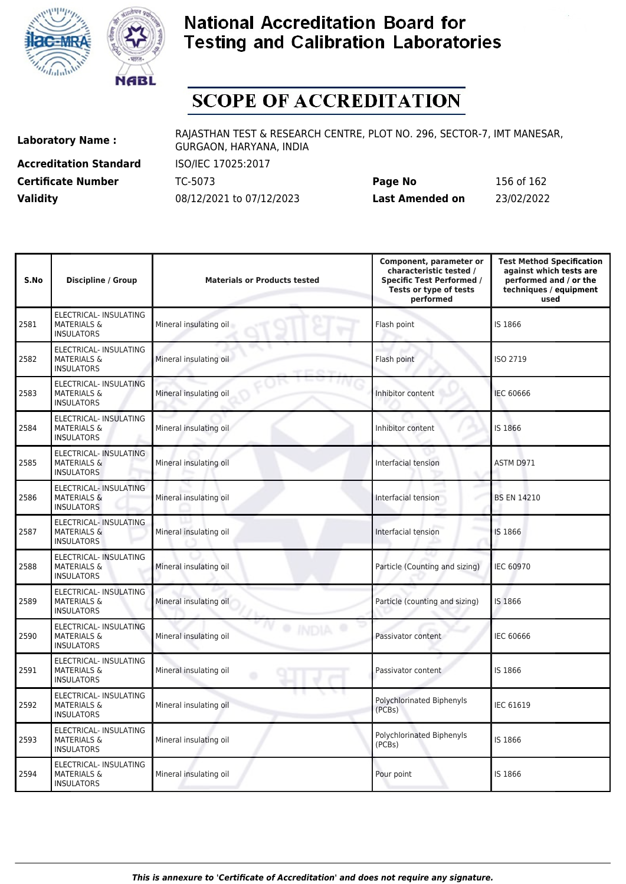



# **SCOPE OF ACCREDITATION**

**Accreditation Standard** ISO/IEC 17025:2017 **Certificate Number** TC-5073

| <b>Certificate Number</b> | TC-5073                  | Page No         | 156 of 162 |
|---------------------------|--------------------------|-----------------|------------|
| <b>Validity</b>           | 08/12/2021 to 07/12/2023 | Last Amended on | 23/02/2022 |

| S.No | Discipline / Group                                                           | <b>Materials or Products tested</b>        | Component, parameter or<br>characteristic tested /<br><b>Specific Test Performed /</b><br>Tests or type of tests<br>performed | <b>Test Method Specification</b><br>against which tests are<br>performed and / or the<br>techniques / equipment<br>used |
|------|------------------------------------------------------------------------------|--------------------------------------------|-------------------------------------------------------------------------------------------------------------------------------|-------------------------------------------------------------------------------------------------------------------------|
| 2581 | ELECTRICAL- INSULATING<br><b>MATERIALS &amp;</b><br><b>INSULATORS</b>        | Mineral insulating oil                     | Flash point                                                                                                                   | IS 1866                                                                                                                 |
| 2582 | ELECTRICAL- INSULATING<br><b>MATERIALS &amp;</b><br><b>INSULATORS</b>        | Mineral insulating oil                     | Flash point                                                                                                                   | ISO 2719                                                                                                                |
| 2583 | ELECTRICAL- INSULATING<br><b>MATERIALS &amp;</b><br><b>INSULATORS</b>        | Mineral insulating oil                     | Inhibitor content                                                                                                             | <b>IEC 60666</b>                                                                                                        |
| 2584 | ELECTRICAL- INSULATING<br><b>MATERIALS &amp;</b><br><b>INSULATORS</b>        | Mineral insulating oil                     | Inhibitor content                                                                                                             | IS 1866                                                                                                                 |
| 2585 | ELECTRICAL- INSULATING<br><b>MATERIALS &amp;</b><br><b>INSULATORS</b>        | Mineral insulating oil                     | Interfacial tension                                                                                                           | ASTM D971                                                                                                               |
| 2586 | ELECTRICAL- INSULATING<br><b>MATERIALS &amp;</b><br><b>INSULATORS</b>        | Mineral insulating oil                     | Interfacial tension                                                                                                           | <b>BS EN 14210</b>                                                                                                      |
| 2587 | <b>ELECTRICAL- INSULATING</b><br><b>MATERIALS &amp;</b><br><b>INSULATORS</b> | Mineral insulating oil                     | Interfacial tension                                                                                                           | IS 1866                                                                                                                 |
| 2588 | ELECTRICAL- INSULATING<br><b>MATERIALS &amp;</b><br><b>INSULATORS</b>        | Mineral insulating oil                     | Particle (Counting and sizing)                                                                                                | <b>IEC 60970</b>                                                                                                        |
| 2589 | ELECTRICAL- INSULATING<br><b>MATERIALS &amp;</b><br><b>INSULATORS</b>        | Mineral insulating oil                     | Particle (counting and sizing)                                                                                                | IS 1866                                                                                                                 |
| 2590 | ELECTRICAL- INSULATING<br><b>MATERIALS &amp;</b><br><b>INSULATORS</b>        | <sup>O</sup> IND<br>Mineral insulating oil | Passivator content                                                                                                            | <b>IEC 60666</b>                                                                                                        |
| 2591 | ELECTRICAL- INSULATING<br><b>MATERIALS &amp;</b><br><b>INSULATORS</b>        | Mineral insulating oil<br>۰                | Passivator content                                                                                                            | IS 1866                                                                                                                 |
| 2592 | <b>ELECTRICAL- INSULATING</b><br><b>MATERIALS &amp;</b><br><b>INSULATORS</b> | Mineral insulating oil                     | <b>Polychlorinated Biphenyls</b><br>(PCBs)                                                                                    | IEC 61619                                                                                                               |
| 2593 | ELECTRICAL- INSULATING<br><b>MATERIALS &amp;</b><br><b>INSULATORS</b>        | Mineral insulating oil                     | Polychlorinated Biphenyls<br>(PCBs)                                                                                           | IS 1866                                                                                                                 |
| 2594 | ELECTRICAL- INSULATING<br><b>MATERIALS &amp;</b><br><b>INSULATORS</b>        | Mineral insulating oil                     | Pour point                                                                                                                    | IS 1866                                                                                                                 |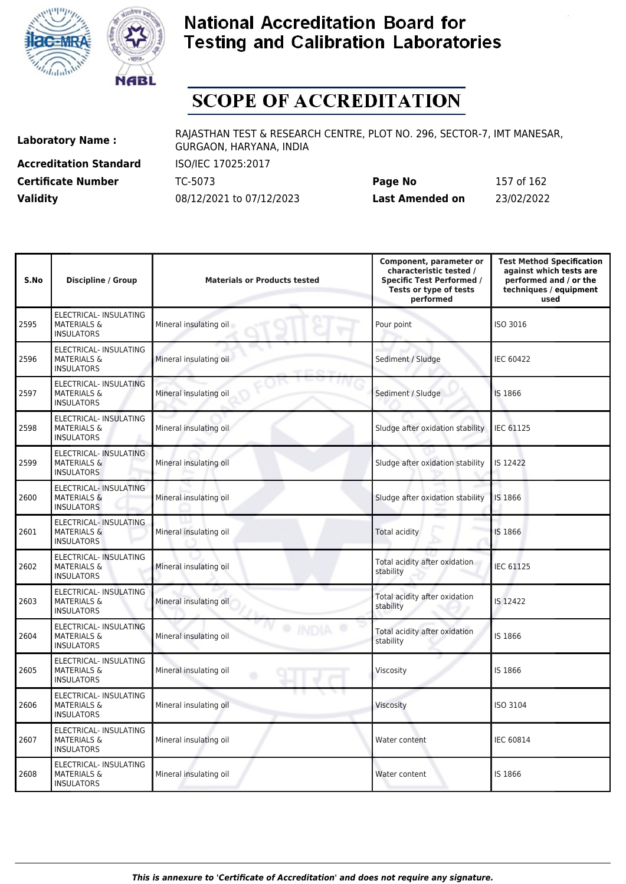



# **SCOPE OF ACCREDITATION**

**Accreditation Standard** ISO/IEC 17025:2017

**Laboratory Name :** RAJASTHAN TEST & RESEARCH CENTRE, PLOT NO. 296, SECTOR-7, IMT MANESAR, GURGAON, HARYANA, INDIA

**Certificate Number** TC-5073 **Page No** 157 of 162 **Validity** 08/12/2021 to 07/12/2023 **Last Amended on** 23/02/2022

| S.No | <b>Discipline / Group</b>                                             | <b>Materials or Products tested</b> | Component, parameter or<br>characteristic tested /<br><b>Specific Test Performed /</b><br>Tests or type of tests<br>performed | <b>Test Method Specification</b><br>against which tests are<br>performed and / or the<br>techniques / equipment<br>used |
|------|-----------------------------------------------------------------------|-------------------------------------|-------------------------------------------------------------------------------------------------------------------------------|-------------------------------------------------------------------------------------------------------------------------|
| 2595 | ELECTRICAL- INSULATING<br><b>MATERIALS &amp;</b><br><b>INSULATORS</b> | Mineral insulating oil              | Pour point                                                                                                                    | ISO 3016                                                                                                                |
| 2596 | ELECTRICAL- INSULATING<br><b>MATERIALS &amp;</b><br><b>INSULATORS</b> | Mineral insulating oil              | Sediment / Sludge                                                                                                             | <b>IEC 60422</b>                                                                                                        |
| 2597 | ELECTRICAL- INSULATING<br><b>MATERIALS &amp;</b><br><b>INSULATORS</b> | Mineral insulating oil              | Sediment / Sludge                                                                                                             | IS 1866                                                                                                                 |
| 2598 | ELECTRICAL- INSULATING<br><b>MATERIALS &amp;</b><br><b>INSULATORS</b> | Mineral insulating oil              | Sludge after oxidation stability                                                                                              | <b>IEC 61125</b>                                                                                                        |
| 2599 | ELECTRICAL- INSULATING<br><b>MATERIALS &amp;</b><br><b>INSULATORS</b> | Mineral insulating oil              | Sludge after oxidation stability                                                                                              | IS 12422                                                                                                                |
| 2600 | ELECTRICAL- INSULATING<br><b>MATERIALS &amp;</b><br><b>INSULATORS</b> | Mineral insulating oil              | Sludge after oxidation stability                                                                                              | IS 1866                                                                                                                 |
| 2601 | ELECTRICAL- INSULATING<br><b>MATERIALS &amp;</b><br><b>INSULATORS</b> | Mineral insulating oil              | Total acidity                                                                                                                 | IS 1866                                                                                                                 |
| 2602 | ELECTRICAL- INSULATING<br><b>MATERIALS &amp;</b><br><b>INSULATORS</b> | Mineral insulating oil              | Total acidity after oxidation<br>stability                                                                                    | <b>IEC 61125</b>                                                                                                        |
| 2603 | ELECTRICAL- INSULATING<br><b>MATERIALS &amp;</b><br><b>INSULATORS</b> | Mineral insulating oil              | Total acidity after oxidation<br>stability                                                                                    | IS 12422                                                                                                                |
| 2604 | ELECTRICAL- INSULATING<br><b>MATERIALS &amp;</b><br><b>INSULATORS</b> | Mineral insulating oil              | Total acidity after oxidation<br>stability                                                                                    | IS 1866                                                                                                                 |
| 2605 | ELECTRICAL- INSULATING<br><b>MATERIALS &amp;</b><br><b>INSULATORS</b> | Mineral insulating oil<br>٥         | Viscosity                                                                                                                     | IS 1866                                                                                                                 |
| 2606 | ELECTRICAL- INSULATING<br><b>MATERIALS &amp;</b><br><b>INSULATORS</b> | Mineral insulating oil              | Viscosity                                                                                                                     | <b>ISO 3104</b>                                                                                                         |
| 2607 | ELECTRICAL- INSULATING<br><b>MATERIALS &amp;</b><br><b>INSULATORS</b> | Mineral insulating oil              | Water content                                                                                                                 | IEC 60814                                                                                                               |
| 2608 | ELECTRICAL- INSULATING<br><b>MATERIALS &amp;</b><br><b>INSULATORS</b> | Mineral insulating oil              | Water content                                                                                                                 | IS 1866                                                                                                                 |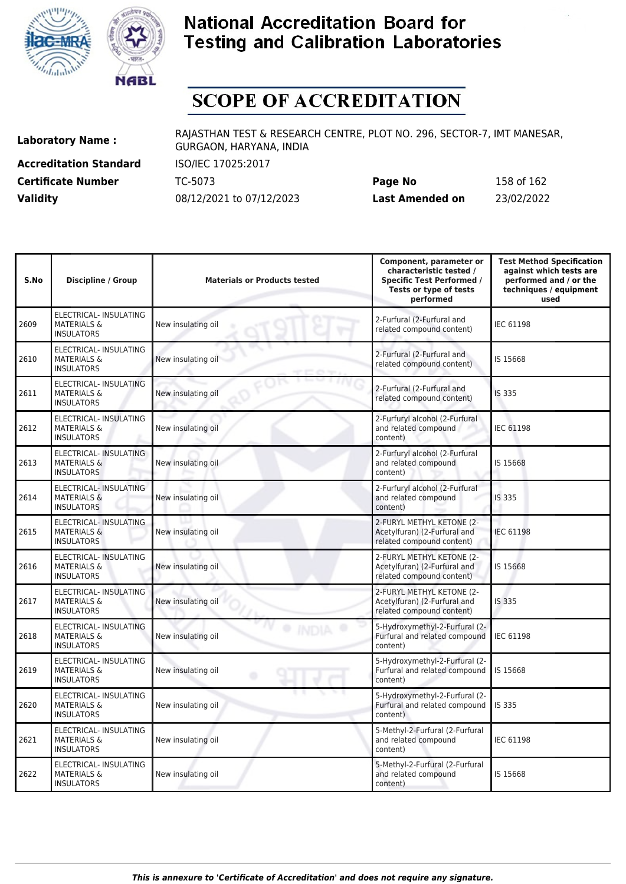



# **SCOPE OF ACCREDITATION**

**Accreditation Standard** ISO/IEC 17025:2017

**Laboratory Name :** RAJASTHAN TEST & RESEARCH CENTRE, PLOT NO. 296, SECTOR-7, IMT MANESAR, GURGAON, HARYANA, INDIA

**Certificate Number** TC-5073 **Page No** 158 of 162 **Validity** 08/12/2021 to 07/12/2023 **Last Amended on** 23/02/2022

| S.No | Discipline / Group                                                           | <b>Materials or Products tested</b> | Component, parameter or<br>characteristic tested /<br><b>Specific Test Performed /</b><br>Tests or type of tests<br>performed | <b>Test Method Specification</b><br>against which tests are<br>performed and / or the<br>techniques / equipment<br>used |
|------|------------------------------------------------------------------------------|-------------------------------------|-------------------------------------------------------------------------------------------------------------------------------|-------------------------------------------------------------------------------------------------------------------------|
| 2609 | ELECTRICAL- INSULATING<br><b>MATERIALS &amp;</b><br><b>INSULATORS</b>        | New insulating oil                  | 2-Furfural (2-Furfural and<br>related compound content)                                                                       | <b>IEC 61198</b>                                                                                                        |
| 2610 | ELECTRICAL- INSULATING<br><b>MATERIALS &amp;</b><br><b>INSULATORS</b>        | New insulating oil                  | 2-Furfural (2-Furfural and<br>related compound content)                                                                       | IS 15668                                                                                                                |
| 2611 | ELECTRICAL- INSULATING<br><b>MATERIALS &amp;</b><br><b>INSULATORS</b>        | New insulating oil                  | 2-Furfural (2-Furfural and<br>related compound content)                                                                       | IS 335                                                                                                                  |
| 2612 | ELECTRICAL- INSULATING<br><b>MATERIALS &amp;</b><br><b>INSULATORS</b>        | New insulating oil                  | 2-Furfuryl alcohol (2-Furfural<br>and related compound<br>content)                                                            | <b>IEC 61198</b>                                                                                                        |
| 2613 | <b>ELECTRICAL- INSULATING</b><br><b>MATERIALS &amp;</b><br><b>INSULATORS</b> | New insulating oil                  | 2-Furfuryl alcohol (2-Furfural<br>and related compound<br>content)                                                            | IS 15668                                                                                                                |
| 2614 | ELECTRICAL- INSULATING<br><b>MATERIALS &amp;</b><br><b>INSULATORS</b>        | New insulating oil                  | 2-Furfuryl alcohol (2-Furfural<br>and related compound<br>content)                                                            | IS 335                                                                                                                  |
| 2615 | <b>ELECTRICAL- INSULATING</b><br><b>MATERIALS &amp;</b><br><b>INSULATORS</b> | New insulating oil                  | 2-FURYL METHYL KETONE (2-<br>Acetylfuran) (2-Furfural and<br>related compound content)                                        | <b>IEC 61198</b>                                                                                                        |
| 2616 | ELECTRICAL- INSULATING<br><b>MATERIALS &amp;</b><br><b>INSULATORS</b>        | New insulating oil                  | 2-FURYL METHYL KETONE (2-<br>Acetylfuran) (2-Furfural and<br>related compound content)                                        | IS 15668                                                                                                                |
| 2617 | ELECTRICAL- INSULATING<br><b>MATERIALS &amp;</b><br><b>INSULATORS</b>        | New insulating oil                  | 2-FURYL METHYL KETONE (2-<br>Acetylfuran) (2-Furfural and<br>related compound content)                                        | IS 335                                                                                                                  |
| 2618 | ELECTRICAL- INSULATING<br><b>MATERIALS &amp;</b><br><b>INSULATORS</b>        | New insulating oil                  | 5-Hydroxymethyl-2-Furfural (2-<br>Furfural and related compound<br>content)                                                   | IEC 61198                                                                                                               |
| 2619 | ELECTRICAL- INSULATING<br><b>MATERIALS &amp;</b><br><b>INSULATORS</b>        | New insulating oil                  | 5-Hydroxymethyl-2-Furfural (2-<br>Furfural and related compound<br>content)                                                   | IS 15668                                                                                                                |
| 2620 | ELECTRICAL- INSULATING<br><b>MATERIALS &amp;</b><br><b>INSULATORS</b>        | New insulating oil                  | 5-Hydroxymethyl-2-Furfural (2-<br>Furfural and related compound<br>content)                                                   | <b>IS 335</b>                                                                                                           |
| 2621 | ELECTRICAL- INSULATING<br><b>MATERIALS &amp;</b><br><b>INSULATORS</b>        | New insulating oil                  | 5-Methyl-2-Furfural (2-Furfural<br>and related compound<br>content)                                                           | IEC 61198                                                                                                               |
| 2622 | ELECTRICAL- INSULATING<br><b>MATERIALS &amp;</b><br><b>INSULATORS</b>        | New insulating oil                  | 5-Methyl-2-Furfural (2-Furfural<br>and related compound<br>content)                                                           | IS 15668                                                                                                                |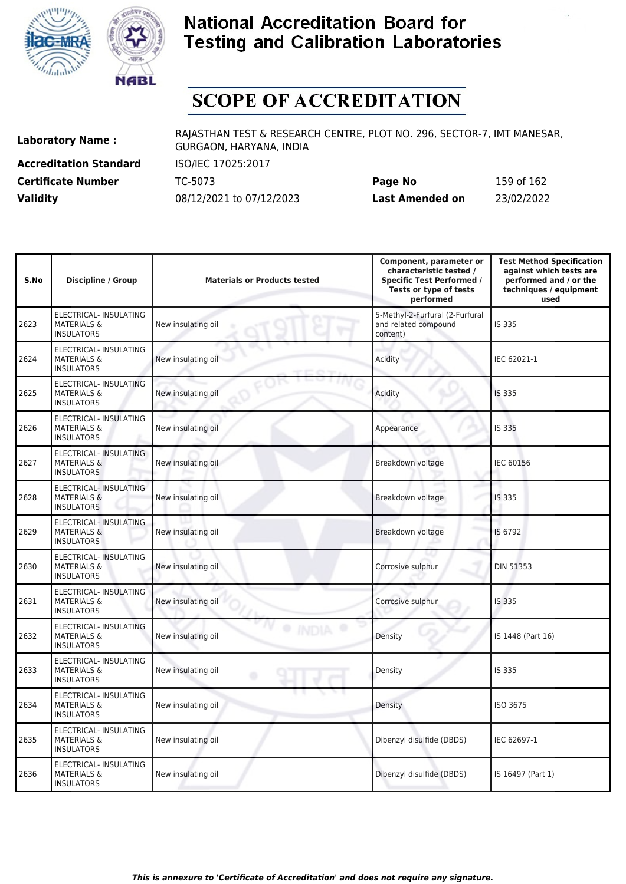



# **SCOPE OF ACCREDITATION**

**Accreditation Standard** ISO/IEC 17025:2017

**Laboratory Name :** RAJASTHAN TEST & RESEARCH CENTRE, PLOT NO. 296, SECTOR-7, IMT MANESAR, GURGAON, HARYANA, INDIA

**Certificate Number** TC-5073 **Page No** 159 of 162 **Validity** 08/12/2021 to 07/12/2023 **Last Amended on** 23/02/2022

| S.No | Discipline / Group                                                           | <b>Materials or Products tested</b> | Component, parameter or<br>characteristic tested /<br><b>Specific Test Performed /</b><br>Tests or type of tests<br>performed | <b>Test Method Specification</b><br>against which tests are<br>performed and / or the<br>techniques / equipment<br>used |
|------|------------------------------------------------------------------------------|-------------------------------------|-------------------------------------------------------------------------------------------------------------------------------|-------------------------------------------------------------------------------------------------------------------------|
| 2623 | ELECTRICAL- INSULATING<br><b>MATERIALS &amp;</b><br><b>INSULATORS</b>        | New insulating oil                  | 5-Methyl-2-Furfural (2-Furfural<br>and related compound<br>content)                                                           | IS 335                                                                                                                  |
| 2624 | ELECTRICAL- INSULATING<br><b>MATERIALS &amp;</b><br><b>INSULATORS</b>        | New insulating oil                  | Acidity                                                                                                                       | IEC 62021-1                                                                                                             |
| 2625 | ELECTRICAL- INSULATING<br><b>MATERIALS &amp;</b><br><b>INSULATORS</b>        | New insulating oil                  | Acidity                                                                                                                       | <b>IS 335</b>                                                                                                           |
| 2626 | ELECTRICAL- INSULATING<br><b>MATERIALS &amp;</b><br><b>INSULATORS</b>        | New insulating oil                  | Appearance                                                                                                                    | IS 335                                                                                                                  |
| 2627 | ELECTRICAL- INSULATING<br><b>MATERIALS &amp;</b><br><b>INSULATORS</b>        | New insulating oil                  | Breakdown voltage                                                                                                             | <b>IEC 60156</b>                                                                                                        |
| 2628 | ELECTRICAL- INSULATING<br><b>MATERIALS &amp;</b><br><b>INSULATORS</b>        | New insulating oil                  | Breakdown voltage<br>s                                                                                                        | IS 335                                                                                                                  |
| 2629 | <b>ELECTRICAL- INSULATING</b><br><b>MATERIALS &amp;</b><br><b>INSULATORS</b> | New insulating oil                  | Breakdown voltage                                                                                                             | IS 6792                                                                                                                 |
| 2630 | ELECTRICAL- INSULATING<br><b>MATERIALS &amp;</b><br><b>INSULATORS</b>        | New insulating oil                  | Corrosive sulphur                                                                                                             | <b>DIN 51353</b>                                                                                                        |
| 2631 | ELECTRICAL- INSULATING<br><b>MATERIALS &amp;</b><br><b>INSULATORS</b>        | New insulating oil                  | Corrosive sulphur                                                                                                             | IS 335                                                                                                                  |
| 2632 | ELECTRICAL- INSULATING<br><b>MATERIALS &amp;</b><br><b>INSULATORS</b>        | New insulating oil                  | Density                                                                                                                       | IS 1448 (Part 16)                                                                                                       |
| 2633 | ELECTRICAL- INSULATING<br><b>MATERIALS &amp;</b><br><b>INSULATORS</b>        | New insulating oil                  | Density                                                                                                                       | IS 335                                                                                                                  |
| 2634 | ELECTRICAL- INSULATING<br><b>MATERIALS &amp;</b><br><b>INSULATORS</b>        | New insulating oil                  | Density                                                                                                                       | ISO 3675                                                                                                                |
| 2635 | ELECTRICAL- INSULATING<br><b>MATERIALS &amp;</b><br><b>INSULATORS</b>        | New insulating oil                  | Dibenzyl disulfide (DBDS)                                                                                                     | IEC 62697-1                                                                                                             |
| 2636 | ELECTRICAL- INSULATING<br><b>MATERIALS &amp;</b><br><b>INSULATORS</b>        | New insulating oil                  | Dibenzyl disulfide (DBDS)                                                                                                     | IS 16497 (Part 1)                                                                                                       |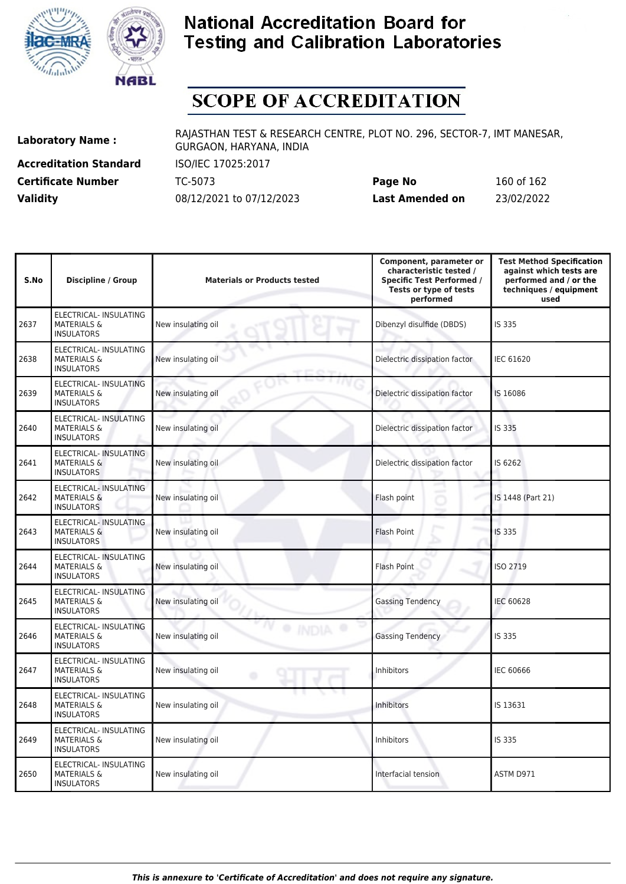



# **SCOPE OF ACCREDITATION**

**Accreditation Standard** ISO/IEC 17025:2017

**Laboratory Name :** RAJASTHAN TEST & RESEARCH CENTRE, PLOT NO. 296, SECTOR-7, IMT MANESAR, GURGAON, HARYANA, INDIA

**Certificate Number** TC-5073 **Page No** 160 of 162 **Validity** 08/12/2021 to 07/12/2023 **Last Amended on** 23/02/2022

| S.No | <b>Discipline / Group</b>                                                    | <b>Materials or Products tested</b> | Component, parameter or<br>characteristic tested /<br><b>Specific Test Performed /</b><br>Tests or type of tests<br>performed | <b>Test Method Specification</b><br>against which tests are<br>performed and / or the<br>techniques / equipment<br>used |
|------|------------------------------------------------------------------------------|-------------------------------------|-------------------------------------------------------------------------------------------------------------------------------|-------------------------------------------------------------------------------------------------------------------------|
| 2637 | ELECTRICAL- INSULATING<br><b>MATERIALS &amp;</b><br><b>INSULATORS</b>        | New insulating oil                  | Dibenzyl disulfide (DBDS)                                                                                                     | IS 335                                                                                                                  |
| 2638 | ELECTRICAL- INSULATING<br><b>MATERIALS &amp;</b><br><b>INSULATORS</b>        | New insulating oil                  | Dielectric dissipation factor                                                                                                 | <b>IEC 61620</b>                                                                                                        |
| 2639 | ELECTRICAL- INSULATING<br><b>MATERIALS &amp;</b><br><b>INSULATORS</b>        | New insulating oil                  | Dielectric dissipation factor                                                                                                 | IS 16086                                                                                                                |
| 2640 | ELECTRICAL- INSULATING<br><b>MATERIALS &amp;</b><br><b>INSULATORS</b>        | New insulating oil                  | Dielectric dissipation factor                                                                                                 | IS 335                                                                                                                  |
| 2641 | ELECTRICAL- INSULATING<br><b>MATERIALS &amp;</b><br><b>INSULATORS</b>        | New insulating oil                  | Dielectric dissipation factor                                                                                                 | IS 6262                                                                                                                 |
| 2642 | ELECTRICAL- INSULATING<br><b>MATERIALS &amp;</b><br><b>INSULATORS</b>        | New insulating oil                  | Flash point                                                                                                                   | IS 1448 (Part 21)                                                                                                       |
| 2643 | <b>ELECTRICAL- INSULATING</b><br><b>MATERIALS &amp;</b><br><b>INSULATORS</b> | New insulating oil                  | Flash Point                                                                                                                   | <b>IS 335</b>                                                                                                           |
| 2644 | ELECTRICAL- INSULATING<br><b>MATERIALS &amp;</b><br><b>INSULATORS</b>        | New insulating oil                  | Flash Point                                                                                                                   | ISO 2719                                                                                                                |
| 2645 | ELECTRICAL- INSULATING<br><b>MATERIALS &amp;</b><br><b>INSULATORS</b>        | New insulating oil                  | <b>Gassing Tendency</b>                                                                                                       | <b>IEC 60628</b>                                                                                                        |
| 2646 | ELECTRICAL- INSULATING<br><b>MATERIALS &amp;</b><br><b>INSULATORS</b>        | · INDV<br>New insulating oil        | <b>Gassing Tendency</b>                                                                                                       | IS 335                                                                                                                  |
| 2647 | ELECTRICAL- INSULATING<br><b>MATERIALS &amp;</b><br><b>INSULATORS</b>        | New insulating oil                  | Inhibitors                                                                                                                    | IEC 60666                                                                                                               |
| 2648 | ELECTRICAL- INSULATING<br><b>MATERIALS &amp;</b><br><b>INSULATORS</b>        | New insulating oil                  | <b>Inhibitors</b>                                                                                                             | IS 13631                                                                                                                |
| 2649 | ELECTRICAL- INSULATING<br><b>MATERIALS &amp;</b><br><b>INSULATORS</b>        | New insulating oil                  | Inhibitors                                                                                                                    | IS 335                                                                                                                  |
| 2650 | ELECTRICAL- INSULATING<br><b>MATERIALS &amp;</b><br><b>INSULATORS</b>        | New insulating oil                  | Interfacial tension                                                                                                           | ASTM D971                                                                                                               |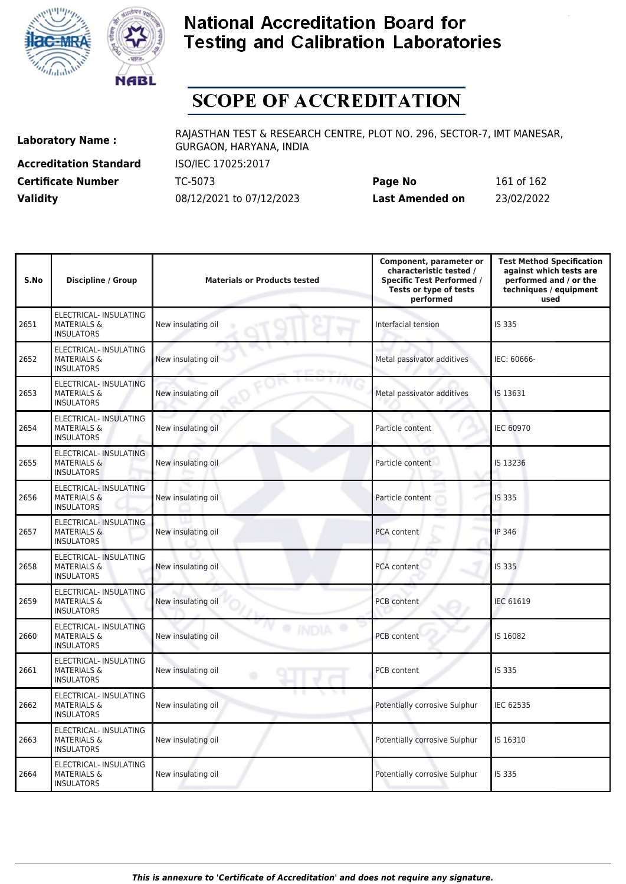



# **SCOPE OF ACCREDITATION**

**Accreditation Standard** ISO/IEC 17025:2017 **Certificate Number** TC-5073

| <b>Certificate Number</b> | TC-5073                  | Page No         | 161 of 162 |
|---------------------------|--------------------------|-----------------|------------|
| <b>Validity</b>           | 08/12/2021 to 07/12/2023 | Last Amended on | 23/02/2022 |

| S.No | <b>Discipline / Group</b>                                                    | <b>Materials or Products tested</b> | Component, parameter or<br>characteristic tested /<br><b>Specific Test Performed /</b><br>Tests or type of tests<br>performed | <b>Test Method Specification</b><br>against which tests are<br>performed and / or the<br>techniques / equipment<br>used |
|------|------------------------------------------------------------------------------|-------------------------------------|-------------------------------------------------------------------------------------------------------------------------------|-------------------------------------------------------------------------------------------------------------------------|
| 2651 | ELECTRICAL- INSULATING<br><b>MATERIALS &amp;</b><br><b>INSULATORS</b>        | New insulating oil                  | Interfacial tension                                                                                                           | IS 335                                                                                                                  |
| 2652 | ELECTRICAL- INSULATING<br><b>MATERIALS &amp;</b><br><b>INSULATORS</b>        | New insulating oil                  | Metal passivator additives                                                                                                    | IEC: 60666-                                                                                                             |
| 2653 | ELECTRICAL- INSULATING<br><b>MATERIALS &amp;</b><br><b>INSULATORS</b>        | New insulating oil                  | Metal passivator additives                                                                                                    | IS 13631                                                                                                                |
| 2654 | ELECTRICAL- INSULATING<br><b>MATERIALS &amp;</b><br><b>INSULATORS</b>        | New insulating oil                  | Particle content                                                                                                              | <b>IEC 60970</b>                                                                                                        |
| 2655 | ELECTRICAL- INSULATING<br><b>MATERIALS &amp;</b><br><b>INSULATORS</b>        | New insulating oil                  | Particle content                                                                                                              | IS 13236                                                                                                                |
| 2656 | ELECTRICAL- INSULATING<br><b>MATERIALS &amp;</b><br><b>INSULATORS</b>        | New insulating oil                  | Particle content<br>×                                                                                                         | IS 335                                                                                                                  |
| 2657 | ELECTRICAL- INSULATING<br><b>MATERIALS &amp;</b><br><b>INSULATORS</b>        | New insulating oil                  | PCA content                                                                                                                   | <b>IP 346</b>                                                                                                           |
| 2658 | ELECTRICAL- INSULATING<br><b>MATERIALS &amp;</b><br><b>INSULATORS</b>        | New insulating oil                  | PCA content                                                                                                                   | IS 335                                                                                                                  |
| 2659 | ELECTRICAL- INSULATING<br><b>MATERIALS &amp;</b><br><b>INSULATORS</b>        | New insulating oil                  | PCB content                                                                                                                   | <b>IEC 61619</b>                                                                                                        |
| 2660 | <b>ELECTRICAL- INSULATING</b><br><b>MATERIALS &amp;</b><br><b>INSULATORS</b> | <b>INDIA</b><br>New insulating oil  | <b>PCB</b> content                                                                                                            | IS 16082                                                                                                                |
| 2661 | ELECTRICAL- INSULATING<br><b>MATERIALS &amp;</b><br><b>INSULATORS</b>        | New insulating oil<br>۰             | PCB content                                                                                                                   | IS 335                                                                                                                  |
| 2662 | ELECTRICAL- INSULATING<br><b>MATERIALS &amp;</b><br><b>INSULATORS</b>        | New insulating oil                  | Potentially corrosive Sulphur                                                                                                 | IEC 62535                                                                                                               |
| 2663 | ELECTRICAL- INSULATING<br><b>MATERIALS &amp;</b><br><b>INSULATORS</b>        | New insulating oil                  | Potentially corrosive Sulphur                                                                                                 | IS 16310                                                                                                                |
| 2664 | ELECTRICAL- INSULATING<br><b>MATERIALS &amp;</b><br><b>INSULATORS</b>        | New insulating oil                  | Potentially corrosive Sulphur                                                                                                 | IS 335                                                                                                                  |